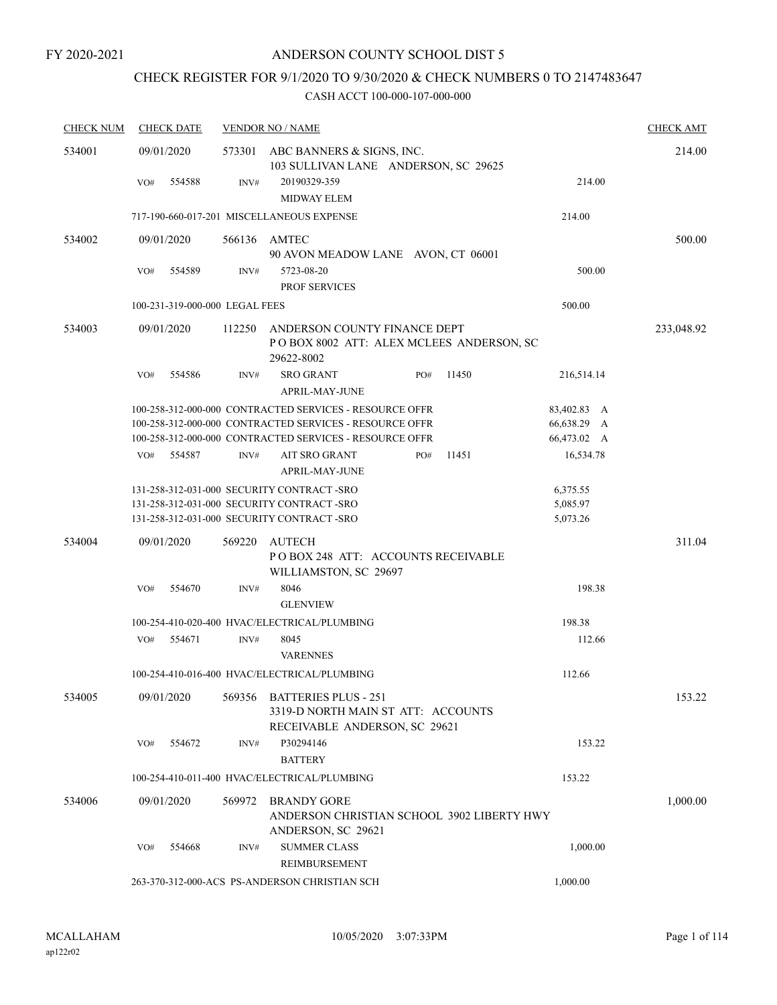## CHECK REGISTER FOR 9/1/2020 TO 9/30/2020 & CHECK NUMBERS 0 TO 2147483647

| <b>CHECK NUM</b> | <b>CHECK DATE</b>              |        | <b>VENDOR NO / NAME</b>                                                                                                                                                       |                                           | <b>CHECK AMT</b> |
|------------------|--------------------------------|--------|-------------------------------------------------------------------------------------------------------------------------------------------------------------------------------|-------------------------------------------|------------------|
| 534001           | 09/01/2020                     |        | 573301 ABC BANNERS & SIGNS, INC.<br>103 SULLIVAN LANE ANDERSON, SC 29625                                                                                                      |                                           | 214.00           |
|                  | 554588<br>VO#                  | INV#   | 20190329-359<br><b>MIDWAY ELEM</b>                                                                                                                                            | 214.00                                    |                  |
|                  |                                |        | 717-190-660-017-201 MISCELLANEOUS EXPENSE                                                                                                                                     | 214.00                                    |                  |
| 534002           | 09/01/2020                     |        | 566136 AMTEC<br>90 AVON MEADOW LANE AVON, CT 06001                                                                                                                            |                                           | 500.00           |
|                  | 554589<br>VO#                  | INV#   | 5723-08-20<br><b>PROF SERVICES</b>                                                                                                                                            | 500.00                                    |                  |
|                  | 100-231-319-000-000 LEGAL FEES |        |                                                                                                                                                                               | 500.00                                    |                  |
| 534003           | 09/01/2020                     | 112250 | ANDERSON COUNTY FINANCE DEPT<br>POBOX 8002 ATT: ALEX MCLEES ANDERSON, SC<br>29622-8002                                                                                        |                                           | 233,048.92       |
|                  | 554586<br>VO#                  | INV#   | <b>SRO GRANT</b><br>11450<br>PO#<br><b>APRIL-MAY-JUNE</b>                                                                                                                     | 216,514.14                                |                  |
|                  |                                |        | 100-258-312-000-000 CONTRACTED SERVICES - RESOURCE OFFR<br>100-258-312-000-000 CONTRACTED SERVICES - RESOURCE OFFR<br>100-258-312-000-000 CONTRACTED SERVICES - RESOURCE OFFR | 83,402.83 A<br>66,638.29 A<br>66,473.02 A |                  |
|                  | 554587<br>VO#                  | INV#   | AIT SRO GRANT<br>PO#<br>11451<br><b>APRIL-MAY-JUNE</b>                                                                                                                        | 16,534.78                                 |                  |
|                  |                                |        | 131-258-312-031-000 SECURITY CONTRACT -SRO<br>131-258-312-031-000 SECURITY CONTRACT -SRO<br>131-258-312-031-000 SECURITY CONTRACT -SRO                                        | 6,375.55<br>5,085.97<br>5,073.26          |                  |
| 534004           | 09/01/2020                     | 569220 | <b>AUTECH</b><br>POBOX 248 ATT: ACCOUNTS RECEIVABLE<br>WILLIAMSTON, SC 29697                                                                                                  |                                           | 311.04           |
|                  | 554670<br>VO#                  | INV#   | 8046<br><b>GLENVIEW</b>                                                                                                                                                       | 198.38                                    |                  |
|                  |                                |        | 100-254-410-020-400 HVAC/ELECTRICAL/PLUMBING                                                                                                                                  | 198.38                                    |                  |
|                  | VO#<br>554671                  | INV#   | 8045<br><b>VARENNES</b>                                                                                                                                                       | 112.66                                    |                  |
|                  |                                |        | 100-254-410-016-400 HVAC/ELECTRICAL/PLUMBING                                                                                                                                  | 112.66                                    |                  |
| 534005           | 09/01/2020                     | 569356 | <b>BATTERIES PLUS - 251</b><br>3319-D NORTH MAIN ST ATT: ACCOUNTS<br>RECEIVABLE ANDERSON, SC 29621                                                                            |                                           | 153.22           |
|                  | 554672<br>VO#                  | INV#   | P30294146<br><b>BATTERY</b>                                                                                                                                                   | 153.22                                    |                  |
|                  |                                |        | 100-254-410-011-400 HVAC/ELECTRICAL/PLUMBING                                                                                                                                  | 153.22                                    |                  |
| 534006           | 09/01/2020                     | 569972 | <b>BRANDY GORE</b><br>ANDERSON CHRISTIAN SCHOOL 3902 LIBERTY HWY<br>ANDERSON, SC 29621                                                                                        |                                           | 1,000.00         |
|                  | VO#<br>554668                  | INV#   | <b>SUMMER CLASS</b><br>REIMBURSEMENT                                                                                                                                          | 1,000.00                                  |                  |
|                  |                                |        | 263-370-312-000-ACS PS-ANDERSON CHRISTIAN SCH                                                                                                                                 | 1,000.00                                  |                  |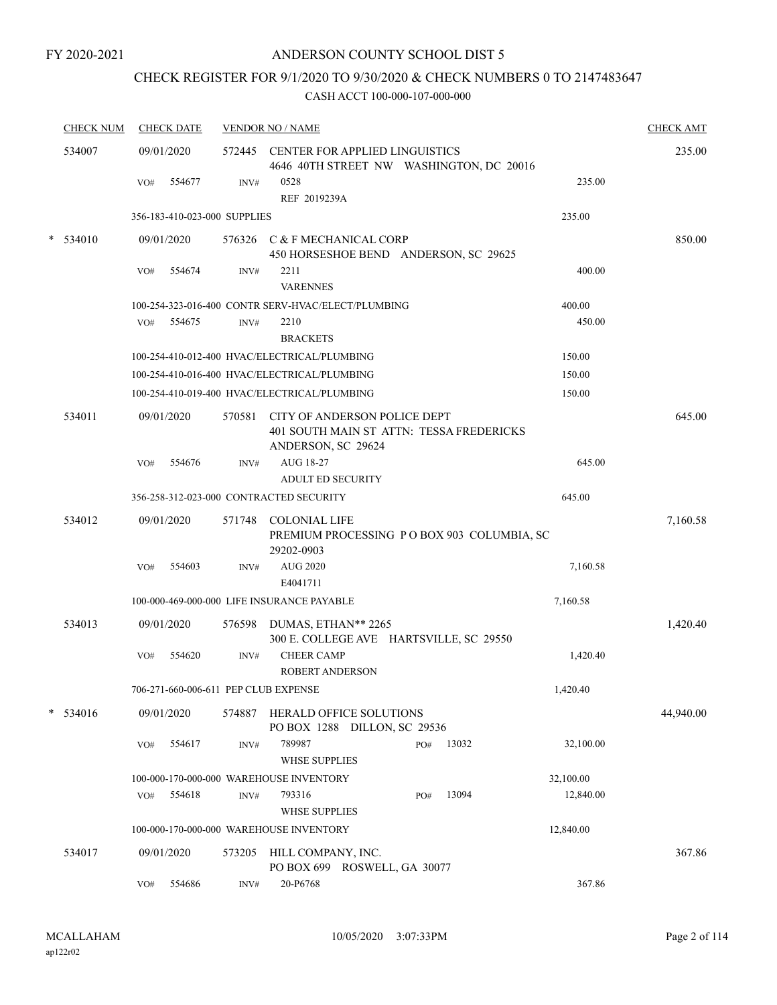## ANDERSON COUNTY SCHOOL DIST 5

## CHECK REGISTER FOR 9/1/2020 TO 9/30/2020 & CHECK NUMBERS 0 TO 2147483647

| <b>CHECK NUM</b> | <b>CHECK DATE</b>                    |        | <b>VENDOR NO / NAME</b>                                                                        |              |           | <b>CHECK AMT</b> |
|------------------|--------------------------------------|--------|------------------------------------------------------------------------------------------------|--------------|-----------|------------------|
| 534007           | 09/01/2020                           |        | 572445 CENTER FOR APPLIED LINGUISTICS<br>4646 40TH STREET NW WASHINGTON, DC 20016              |              |           | 235.00           |
|                  | 554677<br>VO#                        | INV#   | 0528<br>REF 2019239A                                                                           |              | 235.00    |                  |
|                  | 356-183-410-023-000 SUPPLIES         |        |                                                                                                |              | 235.00    |                  |
| $*$ 534010       | 09/01/2020                           |        | 576326 C & F MECHANICAL CORP<br>450 HORSESHOE BEND ANDERSON, SC 29625                          |              |           | 850.00           |
|                  | 554674<br>VO#                        | INV#   | 2211<br><b>VARENNES</b>                                                                        |              | 400.00    |                  |
|                  |                                      |        | 100-254-323-016-400 CONTR SERV-HVAC/ELECT/PLUMBING                                             |              | 400.00    |                  |
|                  | 554675<br>VO#                        | INV#   | 2210<br><b>BRACKETS</b>                                                                        |              | 450.00    |                  |
|                  |                                      |        | 100-254-410-012-400 HVAC/ELECTRICAL/PLUMBING                                                   |              | 150.00    |                  |
|                  |                                      |        | 100-254-410-016-400 HVAC/ELECTRICAL/PLUMBING                                                   |              | 150.00    |                  |
|                  |                                      |        | 100-254-410-019-400 HVAC/ELECTRICAL/PLUMBING                                                   |              | 150.00    |                  |
| 534011           | 09/01/2020                           | 570581 | CITY OF ANDERSON POLICE DEPT<br>401 SOUTH MAIN ST ATTN: TESSA FREDERICKS<br>ANDERSON, SC 29624 |              |           | 645.00           |
|                  | 554676<br>VO#                        | INV#   | AUG 18-27                                                                                      |              | 645.00    |                  |
|                  |                                      |        | <b>ADULT ED SECURITY</b>                                                                       |              |           |                  |
|                  |                                      |        | 356-258-312-023-000 CONTRACTED SECURITY                                                        |              | 645.00    |                  |
| 534012           | 09/01/2020                           |        | 571748 COLONIAL LIFE<br>PREMIUM PROCESSING PO BOX 903 COLUMBIA, SC<br>29202-0903               |              |           | 7,160.58         |
|                  | 554603<br>VO#                        | INV#   | <b>AUG 2020</b><br>E4041711                                                                    |              | 7,160.58  |                  |
|                  |                                      |        | 100-000-469-000-000 LIFE INSURANCE PAYABLE                                                     |              | 7,160.58  |                  |
| 534013           | 09/01/2020                           |        | 576598 DUMAS, ETHAN** 2265<br>300 E. COLLEGE AVE HARTSVILLE, SC 29550                          |              |           | 1,420.40         |
|                  | 554620<br>VO#                        | INV#   | <b>CHEER CAMP</b><br><b>ROBERT ANDERSON</b>                                                    |              | 1,420.40  |                  |
|                  | 706-271-660-006-611 PEP CLUB EXPENSE |        |                                                                                                |              | 1,420.40  |                  |
| * 534016         | 09/01/2020                           | 574887 | HERALD OFFICE SOLUTIONS<br>PO BOX 1288 DILLON, SC 29536                                        |              |           | 44,940.00        |
|                  | 554617<br>VO#                        | INV#   | 789987                                                                                         | 13032<br>PO# | 32,100.00 |                  |
|                  |                                      |        | <b>WHSE SUPPLIES</b>                                                                           |              |           |                  |
|                  |                                      |        | 100-000-170-000-000 WAREHOUSE INVENTORY                                                        |              | 32,100.00 |                  |
|                  | 554618<br>VO#                        | INV#   | 793316                                                                                         | 13094<br>PO# | 12,840.00 |                  |
|                  |                                      |        | <b>WHSE SUPPLIES</b>                                                                           |              |           |                  |
|                  |                                      |        | 100-000-170-000-000 WAREHOUSE INVENTORY                                                        |              | 12,840.00 |                  |
| 534017           | 09/01/2020                           |        | 573205 HILL COMPANY, INC.<br>PO BOX 699 ROSWELL, GA 30077                                      |              |           | 367.86           |
|                  | VO#<br>554686                        | INV#   | 20-P6768                                                                                       |              | 367.86    |                  |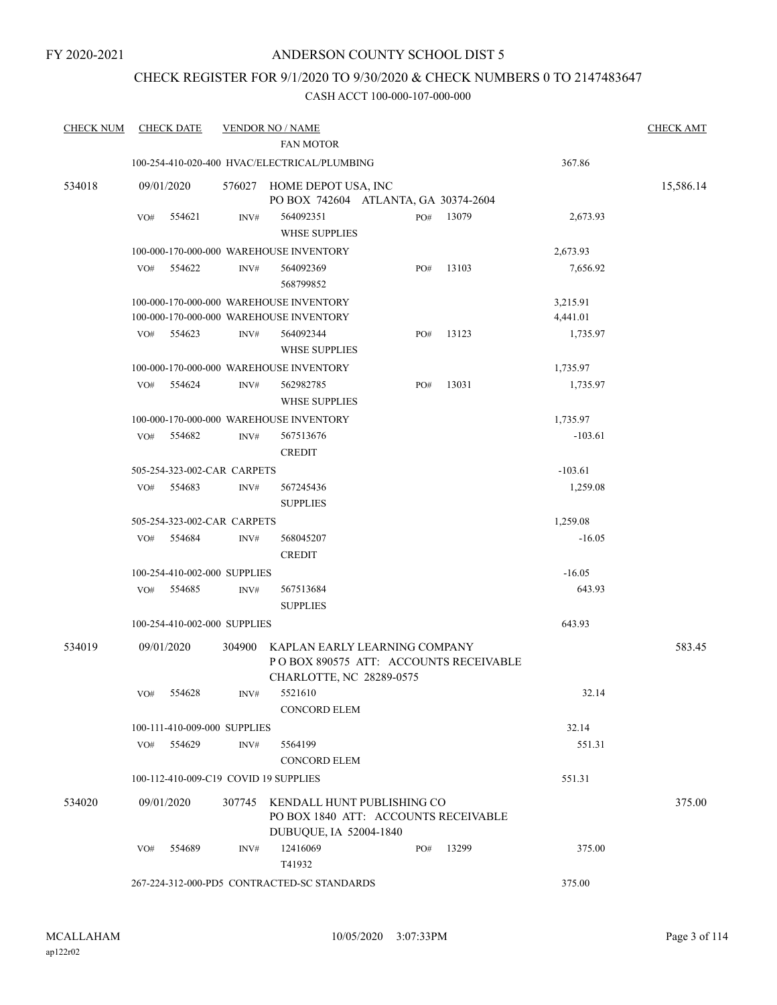## CHECK REGISTER FOR 9/1/2020 TO 9/30/2020 & CHECK NUMBERS 0 TO 2147483647

| <b>CHECK NUM</b> |     | <b>CHECK DATE</b>            |        | <b>VENDOR NO / NAME</b>                                                                             |     |       |           | <b>CHECK AMT</b> |
|------------------|-----|------------------------------|--------|-----------------------------------------------------------------------------------------------------|-----|-------|-----------|------------------|
|                  |     |                              |        | <b>FAN MOTOR</b>                                                                                    |     |       |           |                  |
|                  |     |                              |        | 100-254-410-020-400 HVAC/ELECTRICAL/PLUMBING                                                        |     |       | 367.86    |                  |
| 534018           |     | 09/01/2020                   | 576027 | HOME DEPOT USA, INC<br>PO BOX 742604 ATLANTA, GA 30374-2604                                         |     |       |           | 15,586.14        |
|                  | VO# | 554621                       | INV#   | 564092351                                                                                           | PO# | 13079 | 2,673.93  |                  |
|                  |     |                              |        | <b>WHSE SUPPLIES</b>                                                                                |     |       |           |                  |
|                  |     |                              |        | 100-000-170-000-000 WAREHOUSE INVENTORY                                                             |     |       | 2,673.93  |                  |
|                  | VO# | 554622                       | INV#   | 564092369                                                                                           | PO# | 13103 | 7,656.92  |                  |
|                  |     |                              |        | 568799852                                                                                           |     |       |           |                  |
|                  |     |                              |        | 100-000-170-000-000 WAREHOUSE INVENTORY                                                             |     |       | 3,215.91  |                  |
|                  |     |                              |        | 100-000-170-000-000 WAREHOUSE INVENTORY                                                             |     |       | 4,441.01  |                  |
|                  | VO# | 554623                       | INV#   | 564092344                                                                                           | PO# | 13123 | 1,735.97  |                  |
|                  |     |                              |        | <b>WHSE SUPPLIES</b>                                                                                |     |       |           |                  |
|                  |     |                              |        | 100-000-170-000-000 WAREHOUSE INVENTORY                                                             |     |       | 1,735.97  |                  |
|                  | VO# | 554624                       | INV#   | 562982785                                                                                           | PO# | 13031 | 1,735.97  |                  |
|                  |     |                              |        | <b>WHSE SUPPLIES</b>                                                                                |     |       |           |                  |
|                  |     |                              |        | 100-000-170-000-000 WAREHOUSE INVENTORY                                                             |     |       | 1,735.97  |                  |
|                  | VO# | 554682                       | INV#   | 567513676                                                                                           |     |       | $-103.61$ |                  |
|                  |     |                              |        | <b>CREDIT</b>                                                                                       |     |       |           |                  |
|                  |     | 505-254-323-002-CAR CARPETS  |        |                                                                                                     |     |       | $-103.61$ |                  |
|                  | VO# | 554683                       | INV#   | 567245436                                                                                           |     |       | 1,259.08  |                  |
|                  |     |                              |        | <b>SUPPLIES</b>                                                                                     |     |       |           |                  |
|                  |     | 505-254-323-002-CAR CARPETS  |        |                                                                                                     |     |       | 1,259.08  |                  |
|                  | VO# | 554684                       | INV#   | 568045207                                                                                           |     |       | $-16.05$  |                  |
|                  |     |                              |        | <b>CREDIT</b>                                                                                       |     |       |           |                  |
|                  |     | 100-254-410-002-000 SUPPLIES |        |                                                                                                     |     |       | $-16.05$  |                  |
|                  | VO# | 554685                       | INV#   | 567513684                                                                                           |     |       | 643.93    |                  |
|                  |     |                              |        | <b>SUPPLIES</b>                                                                                     |     |       |           |                  |
|                  |     | 100-254-410-002-000 SUPPLIES |        |                                                                                                     |     |       | 643.93    |                  |
|                  |     |                              |        |                                                                                                     |     |       |           |                  |
| 534019           |     | 09/01/2020                   | 304900 | KAPLAN EARLY LEARNING COMPANY<br>PO BOX 890575 ATT: ACCOUNTS RECEIVABLE<br>CHARLOTTE, NC 28289-0575 |     |       |           | 583.45           |
|                  |     | VO# 554628                   | INV#   | 5521610                                                                                             |     |       | 32.14     |                  |
|                  |     |                              |        | <b>CONCORD ELEM</b>                                                                                 |     |       |           |                  |
|                  |     | 100-111-410-009-000 SUPPLIES |        |                                                                                                     |     |       | 32.14     |                  |
|                  | VO# | 554629                       | INV#   | 5564199                                                                                             |     |       | 551.31    |                  |
|                  |     |                              |        | <b>CONCORD ELEM</b>                                                                                 |     |       |           |                  |
|                  |     |                              |        | 100-112-410-009-C19 COVID 19 SUPPLIES                                                               |     |       | 551.31    |                  |
| 534020           |     | 09/01/2020                   |        | 307745 KENDALL HUNT PUBLISHING CO<br>PO BOX 1840 ATT: ACCOUNTS RECEIVABLE                           |     |       |           | 375.00           |
|                  |     |                              |        | DUBUQUE, IA 52004-1840                                                                              |     |       |           |                  |
|                  | VO# | 554689                       | INV#   | 12416069<br>T41932                                                                                  | PO# | 13299 | 375.00    |                  |
|                  |     |                              |        | 267-224-312-000-PD5 CONTRACTED-SC STANDARDS                                                         |     |       | 375.00    |                  |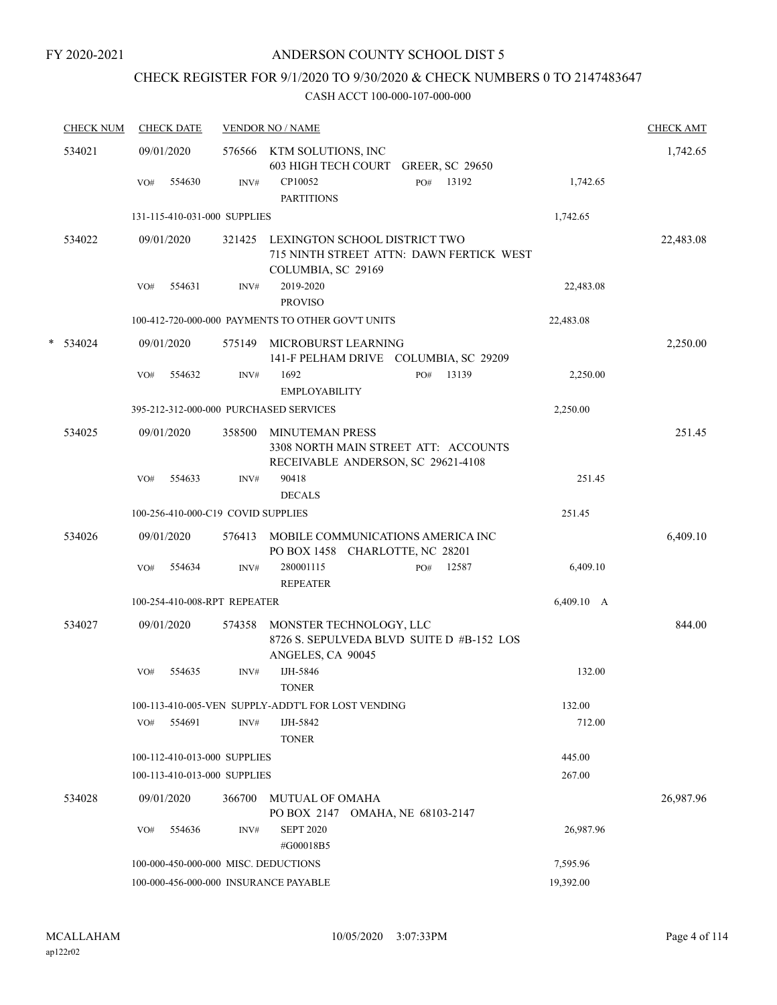## CHECK REGISTER FOR 9/1/2020 TO 9/30/2020 & CHECK NUMBERS 0 TO 2147483647

|   | <b>CHECK NUM</b> | <b>CHECK DATE</b>                      |        | <b>VENDOR NO / NAME</b>                                                                       |                                          |            | <b>CHECK AMT</b> |
|---|------------------|----------------------------------------|--------|-----------------------------------------------------------------------------------------------|------------------------------------------|------------|------------------|
|   | 534021           | 09/01/2020                             |        | 576566 KTM SOLUTIONS, INC<br><b>603 HIGH TECH COURT</b>                                       | <b>GREER, SC 29650</b>                   |            | 1,742.65         |
|   |                  | 554630<br>VO#                          | INV#   | CP10052<br><b>PARTITIONS</b>                                                                  | 13192<br>PO#                             | 1,742.65   |                  |
|   |                  | 131-115-410-031-000 SUPPLIES           |        |                                                                                               |                                          | 1,742.65   |                  |
|   | 534022           | 09/01/2020                             | 321425 | LEXINGTON SCHOOL DISTRICT TWO<br>COLUMBIA, SC 29169                                           | 715 NINTH STREET ATTN: DAWN FERTICK WEST |            | 22,483.08        |
|   |                  | 554631<br>VO#                          | INV#   | 2019-2020<br><b>PROVISO</b>                                                                   |                                          | 22,483.08  |                  |
|   |                  |                                        |        | 100-412-720-000-000 PAYMENTS TO OTHER GOV'T UNITS                                             |                                          | 22,483.08  |                  |
| * | 534024           | 09/01/2020                             | 575149 | MICROBURST LEARNING<br>141-F PELHAM DRIVE COLUMBIA, SC 29209                                  |                                          |            | 2,250.00         |
|   |                  | VO#<br>554632                          | INV#   | 1692<br><b>EMPLOYABILITY</b>                                                                  | 13139<br>PO#                             | 2,250.00   |                  |
|   |                  | 395-212-312-000-000 PURCHASED SERVICES |        |                                                                                               |                                          | 2,250.00   |                  |
|   | 534025           | 09/01/2020                             | 358500 | MINUTEMAN PRESS<br>3308 NORTH MAIN STREET ATT: ACCOUNTS<br>RECEIVABLE ANDERSON, SC 29621-4108 |                                          |            | 251.45           |
|   |                  | 554633<br>VO#                          | INV#   | 90418<br><b>DECALS</b>                                                                        |                                          | 251.45     |                  |
|   |                  | 100-256-410-000-C19 COVID SUPPLIES     |        |                                                                                               |                                          | 251.45     |                  |
|   | 534026           | 09/01/2020                             | 576413 | MOBILE COMMUNICATIONS AMERICA INC<br>PO BOX 1458 CHARLOTTE, NC 28201                          |                                          |            | 6,409.10         |
|   |                  | 554634<br>VO#                          | INV#   | 280001115<br><b>REPEATER</b>                                                                  | 12587<br>PO#                             | 6,409.10   |                  |
|   |                  | 100-254-410-008-RPT REPEATER           |        |                                                                                               |                                          | 6,409.10 A |                  |
|   | 534027           | 09/01/2020                             | 574358 | MONSTER TECHNOLOGY, LLC<br>8726 S. SEPULVEDA BLVD SUITE D #B-152 LOS<br>ANGELES, CA 90045     |                                          |            | 844.00           |
|   |                  | 554635<br>VO#                          | INV#   | IJH-5846<br><b>TONER</b>                                                                      |                                          | 132.00     |                  |
|   |                  |                                        |        | 100-113-410-005-VEN SUPPLY-ADDT'L FOR LOST VENDING                                            |                                          | 132.00     |                  |
|   |                  | 554691<br>VO#                          | INV#   | IJH-5842<br><b>TONER</b>                                                                      |                                          | 712.00     |                  |
|   |                  | 100-112-410-013-000 SUPPLIES           |        |                                                                                               |                                          | 445.00     |                  |
|   |                  | 100-113-410-013-000 SUPPLIES           |        |                                                                                               |                                          | 267.00     |                  |
|   | 534028           | 09/01/2020                             | 366700 | <b>MUTUAL OF OMAHA</b><br>PO BOX 2147 OMAHA, NE 68103-2147                                    |                                          |            | 26,987.96        |
|   |                  | VO#<br>554636                          | INV#   | <b>SEPT 2020</b><br>#G00018B5                                                                 |                                          | 26,987.96  |                  |
|   |                  | 100-000-450-000-000 MISC. DEDUCTIONS   |        |                                                                                               |                                          | 7,595.96   |                  |
|   |                  | 100-000-456-000-000 INSURANCE PAYABLE  |        |                                                                                               |                                          | 19,392.00  |                  |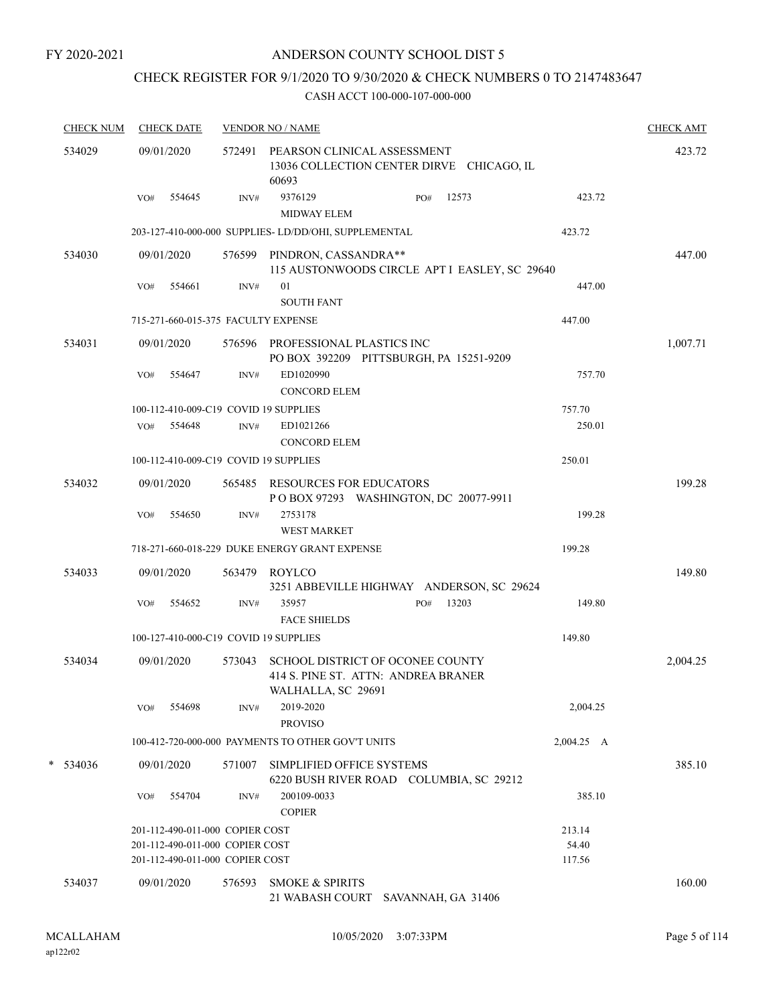## ANDERSON COUNTY SCHOOL DIST 5

## CHECK REGISTER FOR 9/1/2020 TO 9/30/2020 & CHECK NUMBERS 0 TO 2147483647

| <b>CHECK NUM</b> |     | <b>CHECK DATE</b>                                                  |        | <b>VENDOR NO / NAME</b>                                                                       |              |                 | <b>CHECK AMT</b> |
|------------------|-----|--------------------------------------------------------------------|--------|-----------------------------------------------------------------------------------------------|--------------|-----------------|------------------|
| 534029           |     | 09/01/2020                                                         |        | 572491 PEARSON CLINICAL ASSESSMENT<br>13036 COLLECTION CENTER DIRVE CHICAGO, IL<br>60693      |              |                 | 423.72           |
|                  | VO# | 554645                                                             | INV#   | 9376129<br><b>MIDWAY ELEM</b>                                                                 | 12573<br>PO# | 423.72          |                  |
|                  |     |                                                                    |        | 203-127-410-000-000 SUPPLIES- LD/DD/OHI, SUPPLEMENTAL                                         |              | 423.72          |                  |
| 534030           |     | 09/01/2020                                                         |        | 576599 PINDRON, CASSANDRA**<br>115 AUSTONWOODS CIRCLE APT I EASLEY, SC 29640                  |              |                 | 447.00           |
|                  | VO# | 554661                                                             | INV#   | 01<br><b>SOUTH FANT</b>                                                                       |              | 447.00          |                  |
|                  |     |                                                                    |        | 715-271-660-015-375 FACULTY EXPENSE                                                           |              | 447.00          |                  |
| 534031           |     | 09/01/2020                                                         |        | 576596 PROFESSIONAL PLASTICS INC<br>PO BOX 392209 PITTSBURGH, PA 15251-9209                   |              |                 | 1,007.71         |
|                  | VO# | 554647                                                             | INV#   | ED1020990<br><b>CONCORD ELEM</b>                                                              |              | 757.70          |                  |
|                  |     |                                                                    |        | 100-112-410-009-C19 COVID 19 SUPPLIES                                                         |              | 757.70          |                  |
|                  |     | VO# 554648                                                         | INV#   | ED1021266<br><b>CONCORD ELEM</b>                                                              |              | 250.01          |                  |
|                  |     |                                                                    |        | 100-112-410-009-C19 COVID 19 SUPPLIES                                                         |              | 250.01          |                  |
| 534032           |     | 09/01/2020                                                         |        | 565485 RESOURCES FOR EDUCATORS<br>POBOX 97293 WASHINGTON, DC 20077-9911                       |              |                 | 199.28           |
|                  | VO# | 554650                                                             | INV#   | 2753178<br><b>WEST MARKET</b>                                                                 |              | 199.28          |                  |
|                  |     |                                                                    |        | 718-271-660-018-229 DUKE ENERGY GRANT EXPENSE                                                 |              | 199.28          |                  |
| 534033           |     | 09/01/2020                                                         | 563479 | ROYLCO<br>3251 ABBEVILLE HIGHWAY ANDERSON, SC 29624                                           |              |                 | 149.80           |
|                  | VO# | 554652                                                             | INV#   | 35957<br><b>FACE SHIELDS</b>                                                                  | 13203<br>PO# | 149.80          |                  |
|                  |     |                                                                    |        | 100-127-410-000-C19 COVID 19 SUPPLIES                                                         |              | 149.80          |                  |
| 534034           |     | 09/01/2020                                                         | 573043 | SCHOOL DISTRICT OF OCONEE COUNTY<br>414 S. PINE ST. ATTN: ANDREA BRANER<br>WALHALLA, SC 29691 |              |                 | 2,004.25         |
|                  | VO# | 554698                                                             | INV#   | 2019-2020<br><b>PROVISO</b>                                                                   |              | 2,004.25        |                  |
|                  |     |                                                                    |        | 100-412-720-000-000 PAYMENTS TO OTHER GOV'T UNITS                                             |              | 2,004.25 A      |                  |
| $*$ 534036       |     | 09/01/2020                                                         | 571007 | SIMPLIFIED OFFICE SYSTEMS<br>6220 BUSH RIVER ROAD COLUMBIA, SC 29212                          |              |                 | 385.10           |
|                  | VO# | 554704                                                             | INV#   | 200109-0033<br><b>COPIER</b>                                                                  |              | 385.10          |                  |
|                  |     | 201-112-490-011-000 COPIER COST                                    |        |                                                                                               |              | 213.14          |                  |
|                  |     | 201-112-490-011-000 COPIER COST<br>201-112-490-011-000 COPIER COST |        |                                                                                               |              | 54.40<br>117.56 |                  |
| 534037           |     | 09/01/2020                                                         | 576593 | <b>SMOKE &amp; SPIRITS</b><br>21 WABASH COURT SAVANNAH, GA 31406                              |              |                 | 160.00           |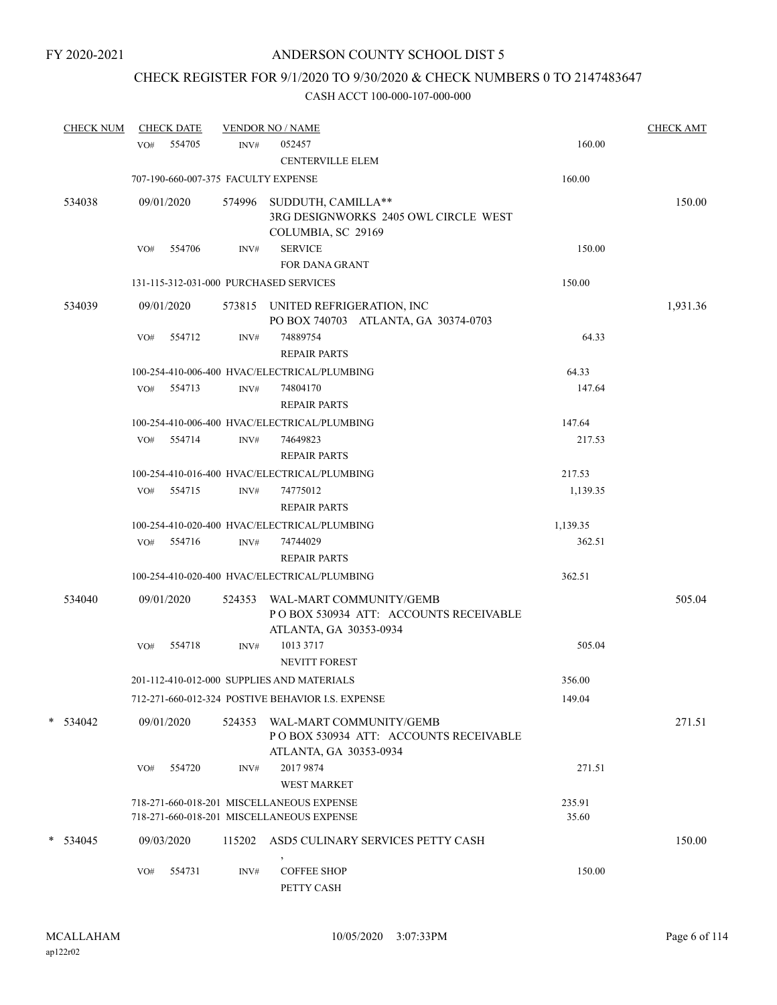## CHECK REGISTER FOR 9/1/2020 TO 9/30/2020 & CHECK NUMBERS 0 TO 2147483647

| <b>CHECK NUM</b> |     | <b>CHECK DATE</b>                   |        | <b>VENDOR NO / NAME</b>                                                                    |                 | <b>CHECK AMT</b> |
|------------------|-----|-------------------------------------|--------|--------------------------------------------------------------------------------------------|-----------------|------------------|
|                  |     | VO# 554705                          | INV#   | 052457<br><b>CENTERVILLE ELEM</b>                                                          | 160.00          |                  |
|                  |     | 707-190-660-007-375 FACULTY EXPENSE |        |                                                                                            | 160.00          |                  |
| 534038           |     | 09/01/2020                          | 574996 | SUDDUTH, CAMILLA**<br>3RG DESIGNWORKS 2405 OWL CIRCLE WEST<br>COLUMBIA, SC 29169           |                 | 150.00           |
|                  | VO# | 554706                              | INV#   | <b>SERVICE</b><br><b>FOR DANA GRANT</b>                                                    | 150.00          |                  |
|                  |     |                                     |        | 131-115-312-031-000 PURCHASED SERVICES                                                     | 150.00          |                  |
| 534039           |     | 09/01/2020                          |        | 573815 UNITED REFRIGERATION, INC<br>PO BOX 740703 ATLANTA, GA 30374-0703                   |                 | 1,931.36         |
|                  | VO# | 554712                              | INV#   | 74889754<br><b>REPAIR PARTS</b>                                                            | 64.33           |                  |
|                  |     |                                     |        | 100-254-410-006-400 HVAC/ELECTRICAL/PLUMBING                                               | 64.33           |                  |
|                  |     | VO# 554713                          | INV#   | 74804170<br><b>REPAIR PARTS</b>                                                            | 147.64          |                  |
|                  |     |                                     |        | 100-254-410-006-400 HVAC/ELECTRICAL/PLUMBING                                               | 147.64          |                  |
|                  |     | VO# 554714                          | INV#   | 74649823<br><b>REPAIR PARTS</b>                                                            | 217.53          |                  |
|                  |     |                                     |        | 100-254-410-016-400 HVAC/ELECTRICAL/PLUMBING                                               | 217.53          |                  |
|                  |     | VO# 554715                          | INV#   | 74775012<br><b>REPAIR PARTS</b>                                                            | 1,139.35        |                  |
|                  |     |                                     |        | 100-254-410-020-400 HVAC/ELECTRICAL/PLUMBING                                               | 1,139.35        |                  |
|                  |     | VO# 554716                          | INV#   | 74744029<br><b>REPAIR PARTS</b>                                                            | 362.51          |                  |
|                  |     |                                     |        | 100-254-410-020-400 HVAC/ELECTRICAL/PLUMBING                                               | 362.51          |                  |
| 534040           |     | 09/01/2020                          | 524353 | WAL-MART COMMUNITY/GEMB<br>POBOX 530934 ATT: ACCOUNTS RECEIVABLE<br>ATLANTA, GA 30353-0934 |                 | 505.04           |
|                  | VO# | 554718                              | INV#   | 1013 3717<br><b>NEVITT FOREST</b>                                                          | 505.04          |                  |
|                  |     |                                     |        | 201-112-410-012-000 SUPPLIES AND MATERIALS                                                 | 356.00          |                  |
|                  |     |                                     |        | 712-271-660-012-324 POSTIVE BEHAVIOR I.S. EXPENSE                                          | 149.04          |                  |
| $*$ 534042       |     | 09/01/2020                          | 524353 | WAL-MART COMMUNITY/GEMB<br>POBOX 530934 ATT: ACCOUNTS RECEIVABLE<br>ATLANTA, GA 30353-0934 |                 | 271.51           |
|                  | VO# | 554720                              | INV#   | 2017 9874<br><b>WEST MARKET</b>                                                            | 271.51          |                  |
|                  |     |                                     |        | 718-271-660-018-201 MISCELLANEOUS EXPENSE<br>718-271-660-018-201 MISCELLANEOUS EXPENSE     | 235.91<br>35.60 |                  |
| $*$ 534045       |     | 09/03/2020                          | 115202 | ASD5 CULINARY SERVICES PETTY CASH                                                          |                 | 150.00           |
|                  | VO# | 554731                              | INV#   | <b>COFFEE SHOP</b><br>PETTY CASH                                                           | 150.00          |                  |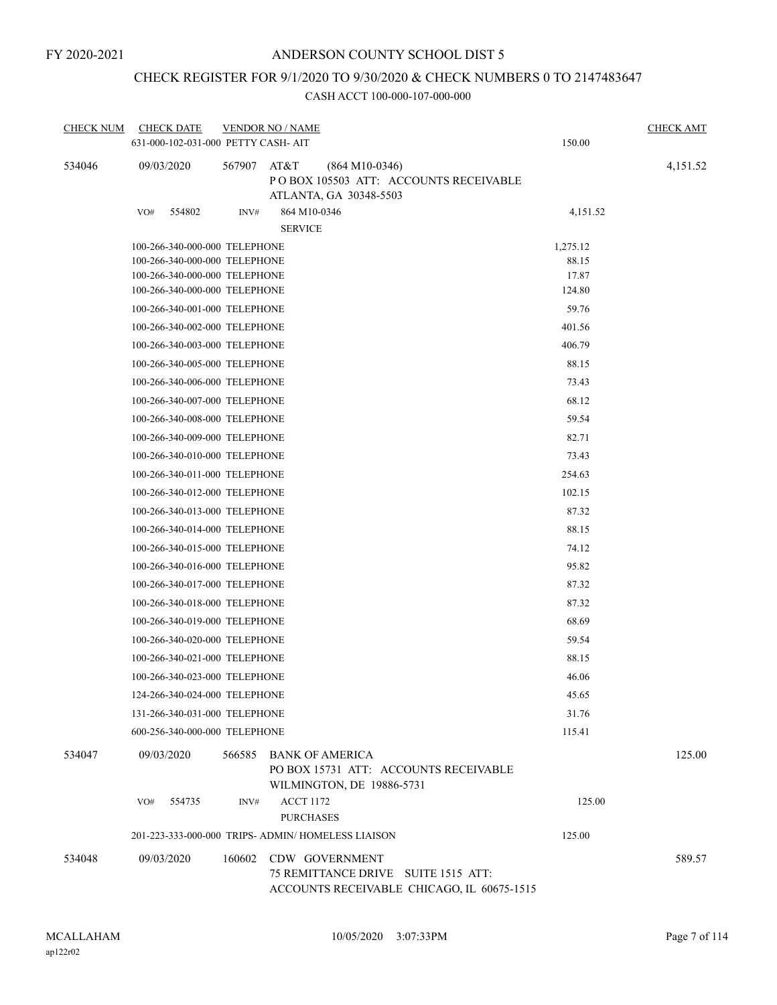## CHECK REGISTER FOR 9/1/2020 TO 9/30/2020 & CHECK NUMBERS 0 TO 2147483647

| <b>CHECK NUM</b> | <b>CHECK DATE</b><br>631-000-102-031-000 PETTY CASH- AIT |        | <b>VENDOR NO / NAME</b>                                                                      | 150.00   | <b>CHECK AMT</b> |
|------------------|----------------------------------------------------------|--------|----------------------------------------------------------------------------------------------|----------|------------------|
|                  |                                                          |        |                                                                                              |          |                  |
| 534046           | 09/03/2020                                               | 567907 | AT&T<br>$(864 M10-0346)$<br>POBOX 105503 ATT: ACCOUNTS RECEIVABLE<br>ATLANTA, GA 30348-5503  |          | 4,151.52         |
|                  | 554802<br>VO#                                            | INV#   | 864 M10-0346                                                                                 | 4,151.52 |                  |
|                  |                                                          |        | <b>SERVICE</b>                                                                               |          |                  |
|                  | 100-266-340-000-000 TELEPHONE                            |        |                                                                                              | 1,275.12 |                  |
|                  | 100-266-340-000-000 TELEPHONE                            |        |                                                                                              | 88.15    |                  |
|                  | 100-266-340-000-000 TELEPHONE                            |        |                                                                                              | 17.87    |                  |
|                  | 100-266-340-000-000 TELEPHONE                            |        |                                                                                              | 124.80   |                  |
|                  | 100-266-340-001-000 TELEPHONE                            |        |                                                                                              | 59.76    |                  |
|                  | 100-266-340-002-000 TELEPHONE                            |        |                                                                                              | 401.56   |                  |
|                  | 100-266-340-003-000 TELEPHONE                            |        |                                                                                              | 406.79   |                  |
|                  | 100-266-340-005-000 TELEPHONE                            |        |                                                                                              | 88.15    |                  |
|                  | 100-266-340-006-000 TELEPHONE                            |        |                                                                                              | 73.43    |                  |
|                  | 100-266-340-007-000 TELEPHONE                            |        |                                                                                              | 68.12    |                  |
|                  | 100-266-340-008-000 TELEPHONE                            |        |                                                                                              | 59.54    |                  |
|                  | 100-266-340-009-000 TELEPHONE                            |        |                                                                                              | 82.71    |                  |
|                  | 100-266-340-010-000 TELEPHONE                            |        |                                                                                              | 73.43    |                  |
|                  | 100-266-340-011-000 TELEPHONE                            |        |                                                                                              | 254.63   |                  |
|                  | 100-266-340-012-000 TELEPHONE                            |        |                                                                                              | 102.15   |                  |
|                  | 100-266-340-013-000 TELEPHONE                            |        |                                                                                              | 87.32    |                  |
|                  | 100-266-340-014-000 TELEPHONE                            |        |                                                                                              | 88.15    |                  |
|                  | 100-266-340-015-000 TELEPHONE                            |        |                                                                                              | 74.12    |                  |
|                  | 100-266-340-016-000 TELEPHONE                            |        |                                                                                              | 95.82    |                  |
|                  | 100-266-340-017-000 TELEPHONE                            |        |                                                                                              | 87.32    |                  |
|                  | 100-266-340-018-000 TELEPHONE                            |        |                                                                                              | 87.32    |                  |
|                  | 100-266-340-019-000 TELEPHONE                            |        |                                                                                              | 68.69    |                  |
|                  | 100-266-340-020-000 TELEPHONE                            |        |                                                                                              | 59.54    |                  |
|                  | 100-266-340-021-000 TELEPHONE                            |        |                                                                                              | 88.15    |                  |
|                  | 100-266-340-023-000 TELEPHONE                            |        |                                                                                              | 46.06    |                  |
|                  | 124-266-340-024-000 TELEPHONE                            |        |                                                                                              | 45.65    |                  |
|                  | 131-266-340-031-000 TELEPHONE                            |        |                                                                                              | 31.76    |                  |
|                  | 600-256-340-000-000 TELEPHONE                            |        |                                                                                              | 115.41   |                  |
|                  |                                                          |        |                                                                                              |          |                  |
| 534047           | 09/03/2020                                               | 566585 | <b>BANK OF AMERICA</b><br>PO BOX 15731 ATT: ACCOUNTS RECEIVABLE<br>WILMINGTON, DE 19886-5731 |          | 125.00           |
|                  | 554735<br>VO#                                            | INV#   | <b>ACCT 1172</b>                                                                             | 125.00   |                  |
|                  |                                                          |        | <b>PURCHASES</b>                                                                             |          |                  |
|                  |                                                          |        | 201-223-333-000-000 TRIPS- ADMIN/ HOMELESS LIAISON                                           | 125.00   |                  |
| 534048           | 09/03/2020                                               | 160602 | <b>CDW GOVERNMENT</b>                                                                        |          | 589.57           |
|                  |                                                          |        | 75 REMITTANCE DRIVE SUITE 1515 ATT:<br>ACCOUNTS RECEIVABLE CHICAGO, IL 60675-1515            |          |                  |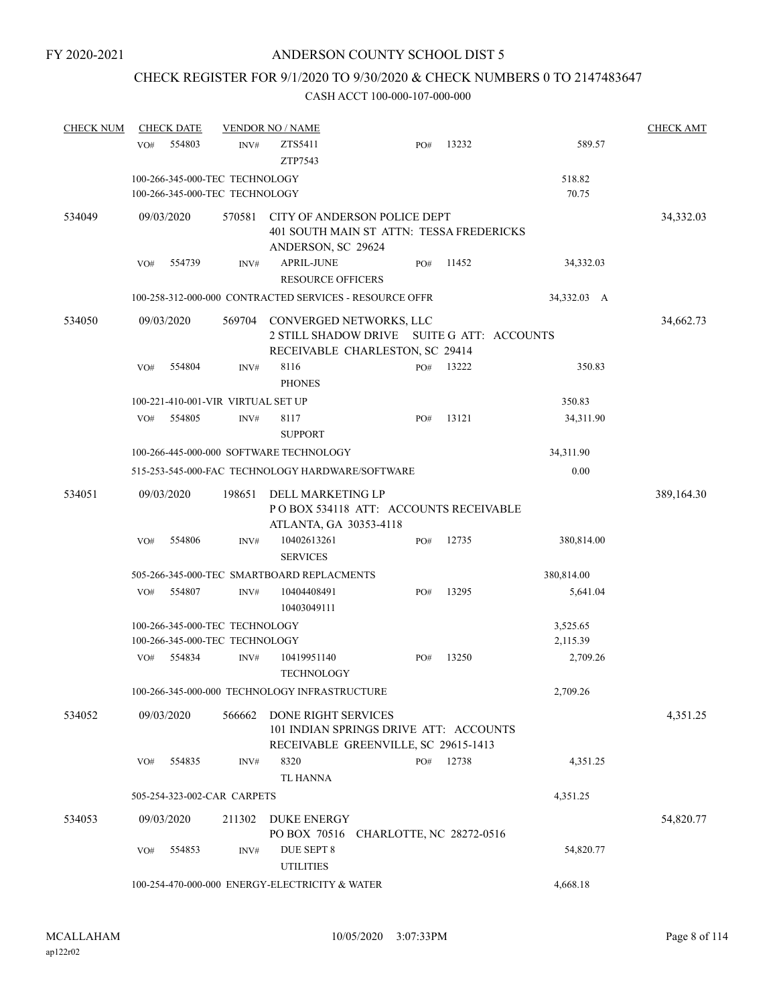## CHECK REGISTER FOR 9/1/2020 TO 9/30/2020 & CHECK NUMBERS 0 TO 2147483647

| <b>CHECK NUM</b> |     | <b>CHECK DATE</b> |                                                                  | <b>VENDOR NO / NAME</b>                                                                                  |     |       |                 | <b>CHECK AMT</b> |
|------------------|-----|-------------------|------------------------------------------------------------------|----------------------------------------------------------------------------------------------------------|-----|-------|-----------------|------------------|
|                  | VO# | 554803            | INV#                                                             | ZTS5411<br>ZTP7543                                                                                       | PO# | 13232 | 589.57          |                  |
|                  |     |                   | 100-266-345-000-TEC TECHNOLOGY<br>100-266-345-000-TEC TECHNOLOGY |                                                                                                          |     |       | 518.82<br>70.75 |                  |
| 534049           |     | 09/03/2020        | 570581                                                           | CITY OF ANDERSON POLICE DEPT<br>401 SOUTH MAIN ST ATTN: TESSA FREDERICKS<br>ANDERSON, SC 29624           |     |       |                 | 34,332.03        |
|                  | VO# | 554739            | INV#                                                             | APRIL-JUNE<br><b>RESOURCE OFFICERS</b>                                                                   | PO# | 11452 | 34,332.03       |                  |
|                  |     |                   |                                                                  | 100-258-312-000-000 CONTRACTED SERVICES - RESOURCE OFFR                                                  |     |       | 34,332.03 A     |                  |
| 534050           |     | 09/03/2020        | 569704                                                           | CONVERGED NETWORKS, LLC<br>2 STILL SHADOW DRIVE SUITE G ATT: ACCOUNTS<br>RECEIVABLE CHARLESTON, SC 29414 |     |       |                 | 34,662.73        |
|                  | VO# | 554804            | INV#                                                             | 8116<br><b>PHONES</b>                                                                                    | PO# | 13222 | 350.83          |                  |
|                  |     |                   | 100-221-410-001-VIR VIRTUAL SET UP                               |                                                                                                          |     |       | 350.83          |                  |
|                  | VO# | 554805            | INV#                                                             | 8117<br><b>SUPPORT</b>                                                                                   | PO# | 13121 | 34,311.90       |                  |
|                  |     |                   |                                                                  | 100-266-445-000-000 SOFTWARE TECHNOLOGY                                                                  |     |       | 34,311.90       |                  |
|                  |     |                   |                                                                  | 515-253-545-000-FAC TECHNOLOGY HARDWARE/SOFTWARE                                                         |     |       | 0.00            |                  |
| 534051           |     | 09/03/2020        | 198651                                                           | DELL MARKETING LP<br>POBOX 534118 ATT: ACCOUNTS RECEIVABLE<br>ATLANTA, GA 30353-4118                     |     |       |                 | 389,164.30       |
|                  | VO# | 554806            | INV#                                                             | 10402613261<br><b>SERVICES</b>                                                                           | PO# | 12735 | 380,814.00      |                  |
|                  |     |                   |                                                                  | 505-266-345-000-TEC SMARTBOARD REPLACMENTS                                                               |     |       | 380,814.00      |                  |
|                  | VO# | 554807            | INV#                                                             | 10404408491<br>10403049111                                                                               | PO# | 13295 | 5,641.04        |                  |
|                  |     |                   | 100-266-345-000-TEC TECHNOLOGY                                   |                                                                                                          |     |       | 3,525.65        |                  |
|                  |     |                   | 100-266-345-000-TEC TECHNOLOGY                                   |                                                                                                          |     |       | 2,115.39        |                  |
|                  | VO# | 554834            | INV#                                                             | 10419951140<br><b>TECHNOLOGY</b>                                                                         | PO# | 13250 | 2,709.26        |                  |
|                  |     |                   |                                                                  | 100-266-345-000-000 TECHNOLOGY INFRASTRUCTURE                                                            |     |       | 2,709.26        |                  |
| 534052           |     | 09/03/2020        | 566662                                                           | DONE RIGHT SERVICES<br>101 INDIAN SPRINGS DRIVE ATT: ACCOUNTS<br>RECEIVABLE GREENVILLE, SC 29615-1413    |     |       |                 | 4,351.25         |
|                  | VO# | 554835            | INV#                                                             | 8320<br>TL HANNA                                                                                         | PO# | 12738 | 4,351.25        |                  |
|                  |     |                   | 505-254-323-002-CAR CARPETS                                      |                                                                                                          |     |       | 4,351.25        |                  |
| 534053           |     | 09/03/2020        | 211302                                                           | DUKE ENERGY<br>PO BOX 70516 CHARLOTTE, NC 28272-0516                                                     |     |       |                 | 54,820.77        |
|                  | VO# | 554853            | INV#                                                             | DUE SEPT 8<br><b>UTILITIES</b>                                                                           |     |       | 54,820.77       |                  |
|                  |     |                   |                                                                  | 100-254-470-000-000 ENERGY-ELECTRICITY & WATER                                                           |     |       | 4,668.18        |                  |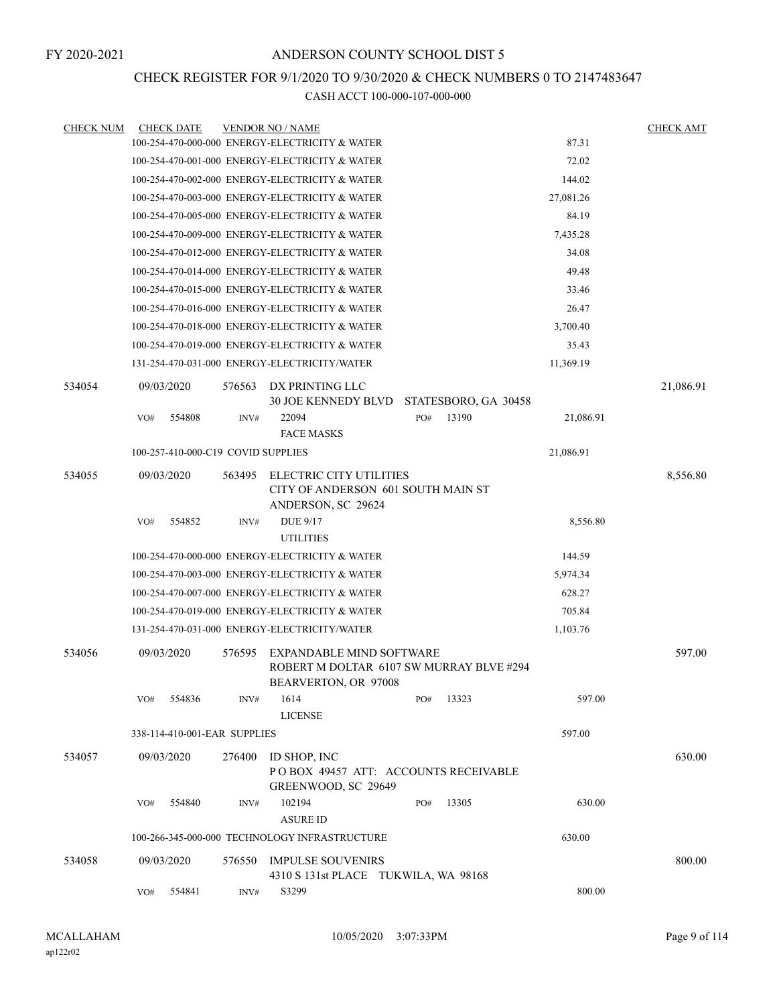## CHECK REGISTER FOR 9/1/2020 TO 9/30/2020 & CHECK NUMBERS 0 TO 2147483647

| <b>CHECK NUM</b> |     | <b>CHECK DATE</b>                  |        | <b>VENDOR NO / NAME</b>                                                                             |     |       |           | <b>CHECK AMT</b> |
|------------------|-----|------------------------------------|--------|-----------------------------------------------------------------------------------------------------|-----|-------|-----------|------------------|
|                  |     |                                    |        | 100-254-470-000-000 ENERGY-ELECTRICITY & WATER                                                      |     |       | 87.31     |                  |
|                  |     |                                    |        | 100-254-470-001-000 ENERGY-ELECTRICITY & WATER                                                      |     |       | 72.02     |                  |
|                  |     |                                    |        | 100-254-470-002-000 ENERGY-ELECTRICITY & WATER                                                      |     |       | 144.02    |                  |
|                  |     |                                    |        | 100-254-470-003-000 ENERGY-ELECTRICITY & WATER                                                      |     |       | 27,081.26 |                  |
|                  |     |                                    |        | 100-254-470-005-000 ENERGY-ELECTRICITY & WATER                                                      |     |       | 84.19     |                  |
|                  |     |                                    |        | 100-254-470-009-000 ENERGY-ELECTRICITY & WATER                                                      |     |       | 7,435.28  |                  |
|                  |     |                                    |        | 100-254-470-012-000 ENERGY-ELECTRICITY & WATER                                                      |     |       | 34.08     |                  |
|                  |     |                                    |        | 100-254-470-014-000 ENERGY-ELECTRICITY & WATER                                                      |     |       | 49.48     |                  |
|                  |     |                                    |        | 100-254-470-015-000 ENERGY-ELECTRICITY & WATER                                                      |     |       | 33.46     |                  |
|                  |     |                                    |        | 100-254-470-016-000 ENERGY-ELECTRICITY & WATER                                                      |     |       | 26.47     |                  |
|                  |     |                                    |        | 100-254-470-018-000 ENERGY-ELECTRICITY & WATER                                                      |     |       | 3,700.40  |                  |
|                  |     |                                    |        | 100-254-470-019-000 ENERGY-ELECTRICITY & WATER                                                      |     |       | 35.43     |                  |
|                  |     |                                    |        | 131-254-470-031-000 ENERGY-ELECTRICITY/WATER                                                        |     |       | 11,369.19 |                  |
| 534054           |     | 09/03/2020                         | 576563 | DX PRINTING LLC<br>30 JOE KENNEDY BLVD STATESBORO, GA 30458                                         |     |       |           | 21,086.91        |
|                  | VO# | 554808                             | INV#   | 22094<br><b>FACE MASKS</b>                                                                          | PO# | 13190 | 21,086.91 |                  |
|                  |     | 100-257-410-000-C19 COVID SUPPLIES |        |                                                                                                     |     |       | 21,086.91 |                  |
| 534055           |     | 09/03/2020                         | 563495 | <b>ELECTRIC CITY UTILITIES</b><br>CITY OF ANDERSON 601 SOUTH MAIN ST<br>ANDERSON, SC 29624          |     |       |           | 8,556.80         |
|                  | VO# | 554852                             | INV#   | <b>DUE 9/17</b><br><b>UTILITIES</b>                                                                 |     |       | 8,556.80  |                  |
|                  |     |                                    |        | 100-254-470-000-000 ENERGY-ELECTRICITY & WATER                                                      |     |       | 144.59    |                  |
|                  |     |                                    |        | 100-254-470-003-000 ENERGY-ELECTRICITY & WATER                                                      |     |       | 5,974.34  |                  |
|                  |     |                                    |        | 100-254-470-007-000 ENERGY-ELECTRICITY & WATER                                                      |     |       | 628.27    |                  |
|                  |     |                                    |        | 100-254-470-019-000 ENERGY-ELECTRICITY & WATER                                                      |     |       | 705.84    |                  |
|                  |     |                                    |        | 131-254-470-031-000 ENERGY-ELECTRICITY/WATER                                                        |     |       | 1,103.76  |                  |
| 534056           |     | 09/03/2020                         | 576595 | <b>EXPANDABLE MIND SOFTWARE</b><br>ROBERT M DOLTAR 6107 SW MURRAY BLVE #294<br>BEARVERTON, OR 97008 |     |       |           | 597.00           |
|                  | VO# | 554836                             | INV#   | 1614<br><b>LICENSE</b>                                                                              | PO# | 13323 | 597.00    |                  |
|                  |     | 338-114-410-001-EAR SUPPLIES       |        |                                                                                                     |     |       | 597.00    |                  |
| 534057           |     | 09/03/2020                         | 276400 | ID SHOP, INC<br>POBOX 49457 ATT: ACCOUNTS RECEIVABLE<br>GREENWOOD, SC 29649                         |     |       |           | 630.00           |
|                  | VO# | 554840                             | INV#   | 102194<br><b>ASURE ID</b>                                                                           | PO# | 13305 | 630.00    |                  |
|                  |     |                                    |        | 100-266-345-000-000 TECHNOLOGY INFRASTRUCTURE                                                       |     |       | 630.00    |                  |
| 534058           |     | 09/03/2020                         | 576550 | <b>IMPULSE SOUVENIRS</b><br>4310 S 131st PLACE TUKWILA, WA 98168                                    |     |       |           | 800.00           |
|                  | VO# | 554841                             | INV#   | S3299                                                                                               |     |       | 800.00    |                  |
|                  |     |                                    |        |                                                                                                     |     |       |           |                  |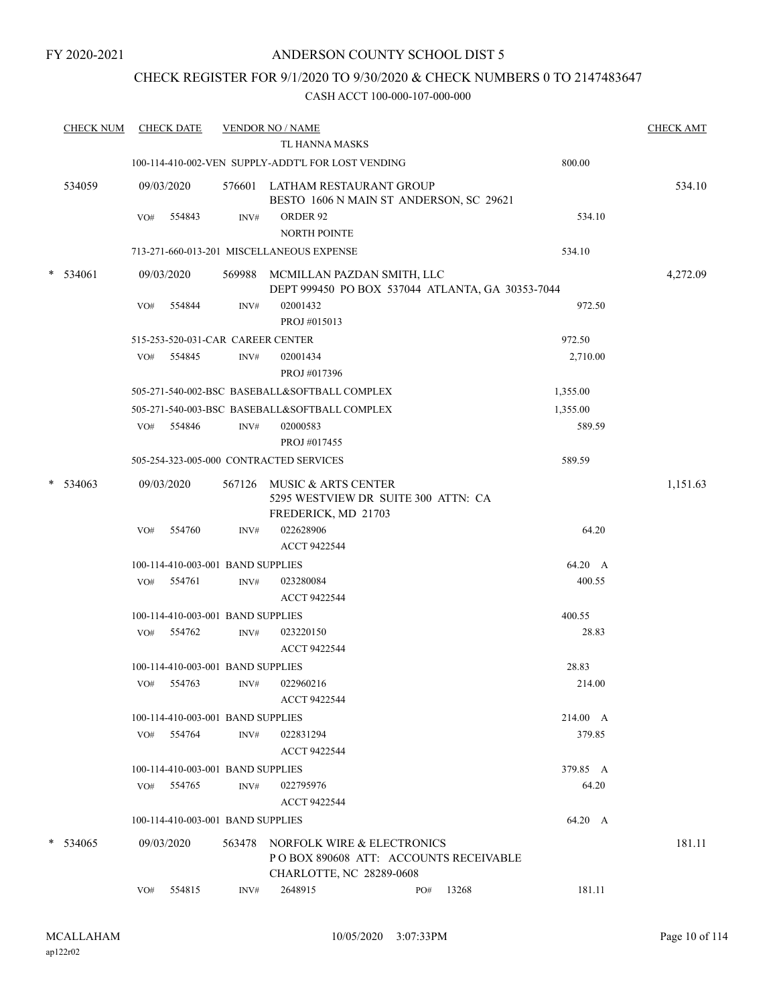## ANDERSON COUNTY SCHOOL DIST 5

## CHECK REGISTER FOR 9/1/2020 TO 9/30/2020 & CHECK NUMBERS 0 TO 2147483647

|        | <b>CHECK NUM</b> |     | <b>CHECK DATE</b>                 |        | <b>VENDOR NO / NAME</b>                            |                                                                                                         |       |          | <b>CHECK AMT</b> |
|--------|------------------|-----|-----------------------------------|--------|----------------------------------------------------|---------------------------------------------------------------------------------------------------------|-------|----------|------------------|
|        |                  |     |                                   |        | TL HANNA MASKS                                     |                                                                                                         |       |          |                  |
|        |                  |     |                                   |        | 100-114-410-002-VEN SUPPLY-ADDT'L FOR LOST VENDING |                                                                                                         |       | 800.00   |                  |
|        | 534059           |     | 09/03/2020                        |        |                                                    | 576601 LATHAM RESTAURANT GROUP<br>BESTO 1606 N MAIN ST ANDERSON, SC 29621                               |       |          | 534.10           |
|        |                  | VO# | 554843                            | INV#   | ORDER 92<br><b>NORTH POINTE</b>                    |                                                                                                         |       | 534.10   |                  |
|        |                  |     |                                   |        | 713-271-660-013-201 MISCELLANEOUS EXPENSE          |                                                                                                         |       | 534.10   |                  |
| $\ast$ | 534061           |     | 09/03/2020                        |        |                                                    | 569988 MCMILLAN PAZDAN SMITH, LLC<br>DEPT 999450 PO BOX 537044 ATLANTA, GA 30353-7044                   |       |          | 4,272.09         |
|        |                  | VO# | 554844                            | INV#   | 02001432<br>PROJ #015013                           |                                                                                                         |       | 972.50   |                  |
|        |                  |     | 515-253-520-031-CAR CAREER CENTER |        |                                                    |                                                                                                         |       | 972.50   |                  |
|        |                  |     | VO# 554845                        | INV#   | 02001434<br>PROJ #017396                           |                                                                                                         |       | 2,710.00 |                  |
|        |                  |     |                                   |        | 505-271-540-002-BSC BASEBALL&SOFTBALL COMPLEX      |                                                                                                         |       | 1,355.00 |                  |
|        |                  |     |                                   |        | 505-271-540-003-BSC BASEBALL&SOFTBALL COMPLEX      |                                                                                                         |       | 1,355.00 |                  |
|        |                  |     | VO# 554846                        | INV#   | 02000583                                           |                                                                                                         |       | 589.59   |                  |
|        |                  |     |                                   |        | PROJ #017455                                       |                                                                                                         |       |          |                  |
|        |                  |     |                                   |        | 505-254-323-005-000 CONTRACTED SERVICES            |                                                                                                         |       | 589.59   |                  |
|        | $*$ 534063       |     | 09/03/2020                        |        | 567126 MUSIC & ARTS CENTER                         | 5295 WESTVIEW DR SUITE 300 ATTN: CA                                                                     |       |          | 1,151.63         |
|        |                  | VO# | 554760                            | INV#   | FREDERICK, MD 21703<br>022628906                   |                                                                                                         |       | 64.20    |                  |
|        |                  |     |                                   |        | ACCT 9422544                                       |                                                                                                         |       |          |                  |
|        |                  |     | 100-114-410-003-001 BAND SUPPLIES |        |                                                    |                                                                                                         |       | 64.20 A  |                  |
|        |                  | VO# | 554761                            | INV#   | 023280084                                          |                                                                                                         |       | 400.55   |                  |
|        |                  |     |                                   |        | ACCT 9422544                                       |                                                                                                         |       |          |                  |
|        |                  |     | 100-114-410-003-001 BAND SUPPLIES |        |                                                    |                                                                                                         |       | 400.55   |                  |
|        |                  |     | VO# 554762                        | INV#   | 023220150<br>ACCT 9422544                          |                                                                                                         |       | 28.83    |                  |
|        |                  |     | 100-114-410-003-001 BAND SUPPLIES |        |                                                    |                                                                                                         |       | 28.83    |                  |
|        |                  | VO# | 554763                            | INV#   | 022960216                                          |                                                                                                         |       | 214.00   |                  |
|        |                  |     |                                   |        | <b>ACCT 9422544</b>                                |                                                                                                         |       |          |                  |
|        |                  |     | 100-114-410-003-001 BAND SUPPLIES |        |                                                    |                                                                                                         |       | 214.00 A |                  |
|        |                  | VO# | 554764                            | INV#   | 022831294                                          |                                                                                                         |       | 379.85   |                  |
|        |                  |     |                                   |        | ACCT 9422544                                       |                                                                                                         |       |          |                  |
|        |                  |     | 100-114-410-003-001 BAND SUPPLIES |        |                                                    |                                                                                                         |       | 379.85 A |                  |
|        |                  | VO# | 554765                            | INV#   | 022795976                                          |                                                                                                         |       | 64.20    |                  |
|        |                  |     |                                   |        | <b>ACCT 9422544</b>                                |                                                                                                         |       |          |                  |
|        |                  |     | 100-114-410-003-001 BAND SUPPLIES |        |                                                    |                                                                                                         |       | 64.20 A  |                  |
|        | $*$ 534065       |     | 09/03/2020                        | 563478 |                                                    | NORFOLK WIRE & ELECTRONICS<br>PO BOX 890608 ATT: ACCOUNTS RECEIVABLE<br><b>CHARLOTTE, NC 28289-0608</b> |       |          | 181.11           |
|        |                  | VO# | 554815                            | INV#   | 2648915                                            | PO#                                                                                                     | 13268 | 181.11   |                  |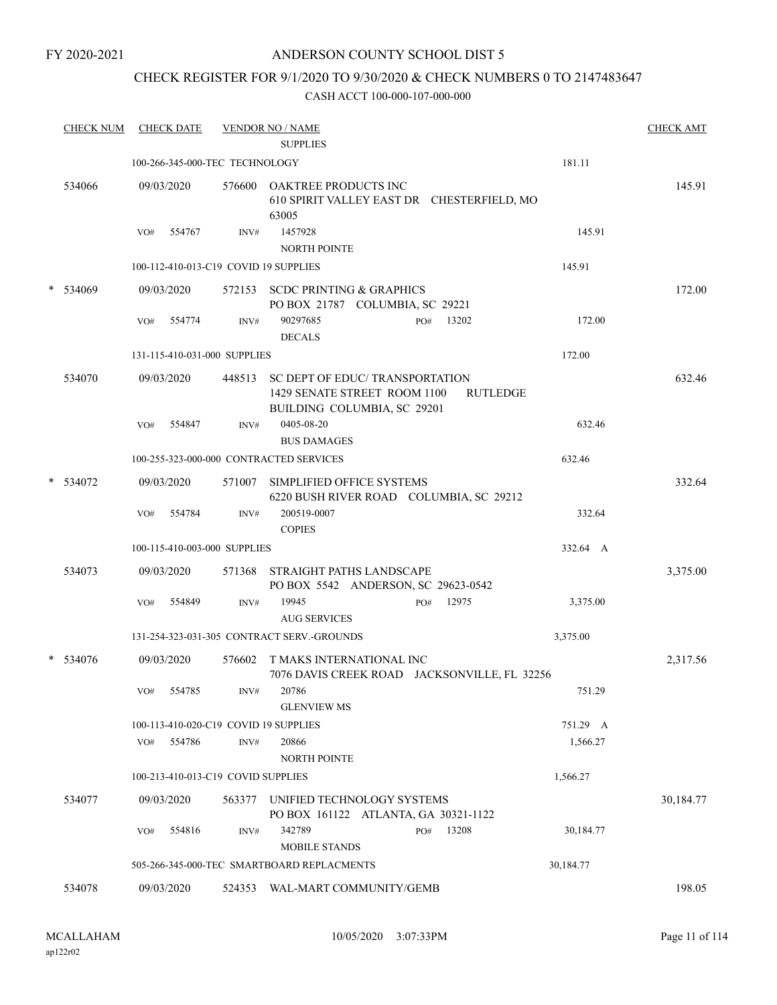## ANDERSON COUNTY SCHOOL DIST 5

## CHECK REGISTER FOR 9/1/2020 TO 9/30/2020 & CHECK NUMBERS 0 TO 2147483647

| <b>CHECK NUM</b> |     | <b>CHECK DATE</b>                  |                | <b>VENDOR NO / NAME</b><br><b>SUPPLIES</b>                                                                               | <b>CHECK AMT</b> |
|------------------|-----|------------------------------------|----------------|--------------------------------------------------------------------------------------------------------------------------|------------------|
|                  |     | 100-266-345-000-TEC TECHNOLOGY     |                | 181.11                                                                                                                   |                  |
| 534066           |     | 09/03/2020                         |                | 576600 OAKTREE PRODUCTS INC<br>610 SPIRIT VALLEY EAST DR CHESTERFIELD, MO<br>63005                                       | 145.91           |
|                  | VO# | 554767                             | INV#           | 1457928<br>145.91<br><b>NORTH POINTE</b>                                                                                 |                  |
|                  |     |                                    |                | 100-112-410-013-C19 COVID 19 SUPPLIES<br>145.91                                                                          |                  |
| $*$ 534069       |     | 09/03/2020                         |                | 572153 SCDC PRINTING & GRAPHICS<br>PO BOX 21787 COLUMBIA, SC 29221                                                       | 172.00           |
|                  | VO# | 554774                             | INV#           | 90297685<br>13202<br>172.00<br>PO#<br><b>DECALS</b>                                                                      |                  |
|                  |     | 131-115-410-031-000 SUPPLIES       |                | 172.00                                                                                                                   |                  |
| 534070           |     | 09/03/2020                         |                | 448513 SC DEPT OF EDUC/ TRANSPORTATION<br>1429 SENATE STREET ROOM 1100<br><b>RUTLEDGE</b><br>BUILDING COLUMBIA, SC 29201 | 632.46           |
|                  | VO# | 554847                             | INV#           | 0405-08-20<br>632.46<br><b>BUS DAMAGES</b>                                                                               |                  |
|                  |     |                                    |                | 100-255-323-000-000 CONTRACTED SERVICES<br>632.46                                                                        |                  |
| $*$ 534072       |     | 09/03/2020                         |                | 571007 SIMPLIFIED OFFICE SYSTEMS<br>6220 BUSH RIVER ROAD COLUMBIA, SC 29212                                              | 332.64           |
|                  | VO# | 554784                             | INV#           | 332.64<br>200519-0007<br><b>COPIES</b>                                                                                   |                  |
|                  |     | 100-115-410-003-000 SUPPLIES       |                | 332.64 A                                                                                                                 |                  |
| 534073           |     | 09/03/2020                         | 571368         | STRAIGHT PATHS LANDSCAPE<br>PO BOX 5542 ANDERSON, SC 29623-0542                                                          | 3,375.00         |
|                  | VO# | 554849                             | INV#           | 19945<br>12975<br>3,375.00<br>PO#<br><b>AUG SERVICES</b>                                                                 |                  |
|                  |     |                                    |                | 131-254-323-031-305 CONTRACT SERV.-GROUNDS<br>3,375.00                                                                   |                  |
| 534076           |     | 09/03/2020                         | 576602         | T MAKS INTERNATIONAL INC<br>7076 DAVIS CREEK ROAD JACKSONVILLE, FL 32256                                                 | 2,317.56         |
|                  |     | VO# 554785                         | $\text{INV}\#$ | 20786<br>751.29<br><b>GLENVIEW MS</b>                                                                                    |                  |
|                  | VO# | 554786                             | INV#           | 100-113-410-020-C19 COVID 19 SUPPLIES<br>751.29 A<br>20866<br>1,566.27<br><b>NORTH POINTE</b>                            |                  |
|                  |     | 100-213-410-013-C19 COVID SUPPLIES |                | 1,566.27                                                                                                                 |                  |
| 534077           |     | 09/03/2020                         | 563377         | UNIFIED TECHNOLOGY SYSTEMS<br>PO BOX 161122 ATLANTA, GA 30321-1122                                                       | 30,184.77        |
|                  | VO# | 554816                             | INV#           | 342789<br>13208<br>PO#<br>30,184.77<br><b>MOBILE STANDS</b>                                                              |                  |
|                  |     |                                    |                | 30,184.77<br>505-266-345-000-TEC SMARTBOARD REPLACMENTS                                                                  |                  |
| 534078           |     | 09/03/2020                         |                | 524353 WAL-MART COMMUNITY/GEMB                                                                                           | 198.05           |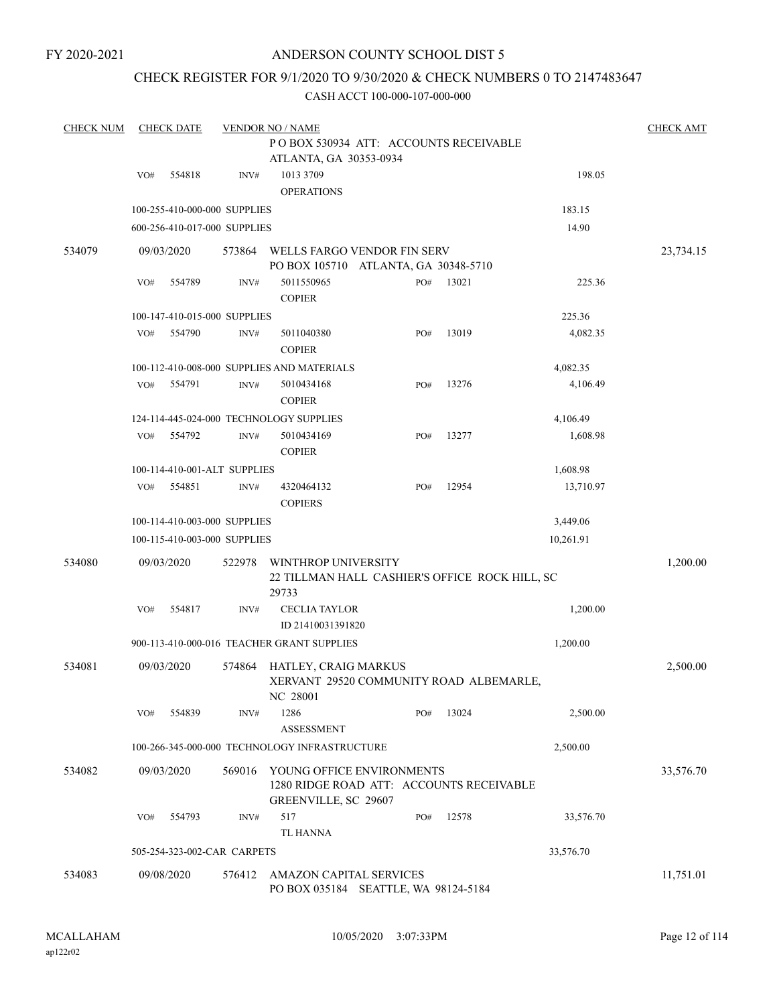## ANDERSON COUNTY SCHOOL DIST 5

## CHECK REGISTER FOR 9/1/2020 TO 9/30/2020 & CHECK NUMBERS 0 TO 2147483647

| <b>CHECK NUM</b> |     | <b>CHECK DATE</b> |                              | <b>VENDOR NO / NAME</b>                                             |     |       |           | <b>CHECK AMT</b> |
|------------------|-----|-------------------|------------------------------|---------------------------------------------------------------------|-----|-------|-----------|------------------|
|                  |     |                   |                              | PO BOX 530934 ATT: ACCOUNTS RECEIVABLE                              |     |       |           |                  |
|                  |     |                   |                              | ATLANTA, GA 30353-0934                                              |     |       |           |                  |
|                  | VO# | 554818            | INV#                         | 1013 3709                                                           |     |       | 198.05    |                  |
|                  |     |                   |                              | <b>OPERATIONS</b>                                                   |     |       |           |                  |
|                  |     |                   | 100-255-410-000-000 SUPPLIES |                                                                     |     |       | 183.15    |                  |
|                  |     |                   | 600-256-410-017-000 SUPPLIES |                                                                     |     |       | 14.90     |                  |
|                  |     |                   |                              |                                                                     |     |       |           |                  |
| 534079           |     | 09/03/2020        | 573864                       | WELLS FARGO VENDOR FIN SERV<br>PO BOX 105710 ATLANTA, GA 30348-5710 |     |       |           | 23,734.15        |
|                  | VO# | 554789            | INV#                         | 5011550965                                                          | PO# | 13021 | 225.36    |                  |
|                  |     |                   |                              | <b>COPIER</b>                                                       |     |       |           |                  |
|                  |     |                   |                              |                                                                     |     |       | 225.36    |                  |
|                  |     |                   | 100-147-410-015-000 SUPPLIES |                                                                     |     |       |           |                  |
|                  | VO# | 554790            | INV#                         | 5011040380                                                          | PO# | 13019 | 4,082.35  |                  |
|                  |     |                   |                              | <b>COPIER</b>                                                       |     |       |           |                  |
|                  |     |                   |                              | 100-112-410-008-000 SUPPLIES AND MATERIALS                          |     |       | 4,082.35  |                  |
|                  | VO# | 554791            | INV#                         | 5010434168                                                          | PO# | 13276 | 4,106.49  |                  |
|                  |     |                   |                              | <b>COPIER</b>                                                       |     |       |           |                  |
|                  |     |                   |                              | 124-114-445-024-000 TECHNOLOGY SUPPLIES                             |     |       | 4,106.49  |                  |
|                  | VO# | 554792            | INV#                         | 5010434169                                                          | PO# | 13277 | 1,608.98  |                  |
|                  |     |                   |                              | <b>COPIER</b>                                                       |     |       |           |                  |
|                  |     |                   | 100-114-410-001-ALT SUPPLIES |                                                                     |     |       | 1,608.98  |                  |
|                  | VO# | 554851            | INV#                         | 4320464132                                                          | PO# | 12954 | 13,710.97 |                  |
|                  |     |                   |                              | <b>COPIERS</b>                                                      |     |       |           |                  |
|                  |     |                   | 100-114-410-003-000 SUPPLIES |                                                                     |     |       | 3,449.06  |                  |
|                  |     |                   | 100-115-410-003-000 SUPPLIES |                                                                     |     |       | 10,261.91 |                  |
| 534080           |     | 09/03/2020        | 522978                       | WINTHROP UNIVERSITY                                                 |     |       |           | 1,200.00         |
|                  |     |                   |                              | 22 TILLMAN HALL CASHIER'S OFFICE ROCK HILL, SC                      |     |       |           |                  |
|                  |     |                   |                              | 29733                                                               |     |       |           |                  |
|                  | VO# | 554817            | INV#                         | <b>CECLIA TAYLOR</b>                                                |     |       | 1,200.00  |                  |
|                  |     |                   |                              | ID 21410031391820                                                   |     |       |           |                  |
|                  |     |                   |                              | 900-113-410-000-016 TEACHER GRANT SUPPLIES                          |     |       | 1,200.00  |                  |
|                  |     |                   |                              |                                                                     |     |       |           |                  |
| 534081           |     | 09/03/2020        | 574864                       | HATLEY, CRAIG MARKUS<br>XERVANT 29520 COMMUNITY ROAD ALBEMARLE,     |     |       |           | 2,500.00         |
|                  |     |                   |                              | NC 28001                                                            |     |       |           |                  |
|                  | VO# | 554839            | INV#                         | 1286                                                                | PO# | 13024 | 2,500.00  |                  |
|                  |     |                   |                              | <b>ASSESSMENT</b>                                                   |     |       |           |                  |
|                  |     |                   |                              | 100-266-345-000-000 TECHNOLOGY INFRASTRUCTURE                       |     |       | 2,500.00  |                  |
|                  |     |                   |                              |                                                                     |     |       |           |                  |
| 534082           |     | 09/03/2020        | 569016                       | YOUNG OFFICE ENVIRONMENTS                                           |     |       |           | 33,576.70        |
|                  |     |                   |                              | 1280 RIDGE ROAD ATT: ACCOUNTS RECEIVABLE                            |     |       |           |                  |
|                  |     |                   |                              | GREENVILLE, SC 29607                                                |     |       |           |                  |
|                  | VO# | 554793            | INV#                         | 517                                                                 | PO# | 12578 | 33,576.70 |                  |
|                  |     |                   |                              | TL HANNA                                                            |     |       |           |                  |
|                  |     |                   | 505-254-323-002-CAR CARPETS  |                                                                     |     |       | 33,576.70 |                  |
| 534083           |     | 09/08/2020        | 576412                       | AMAZON CAPITAL SERVICES                                             |     |       |           | 11,751.01        |
|                  |     |                   |                              | PO BOX 035184 SEATTLE, WA 98124-5184                                |     |       |           |                  |
|                  |     |                   |                              |                                                                     |     |       |           |                  |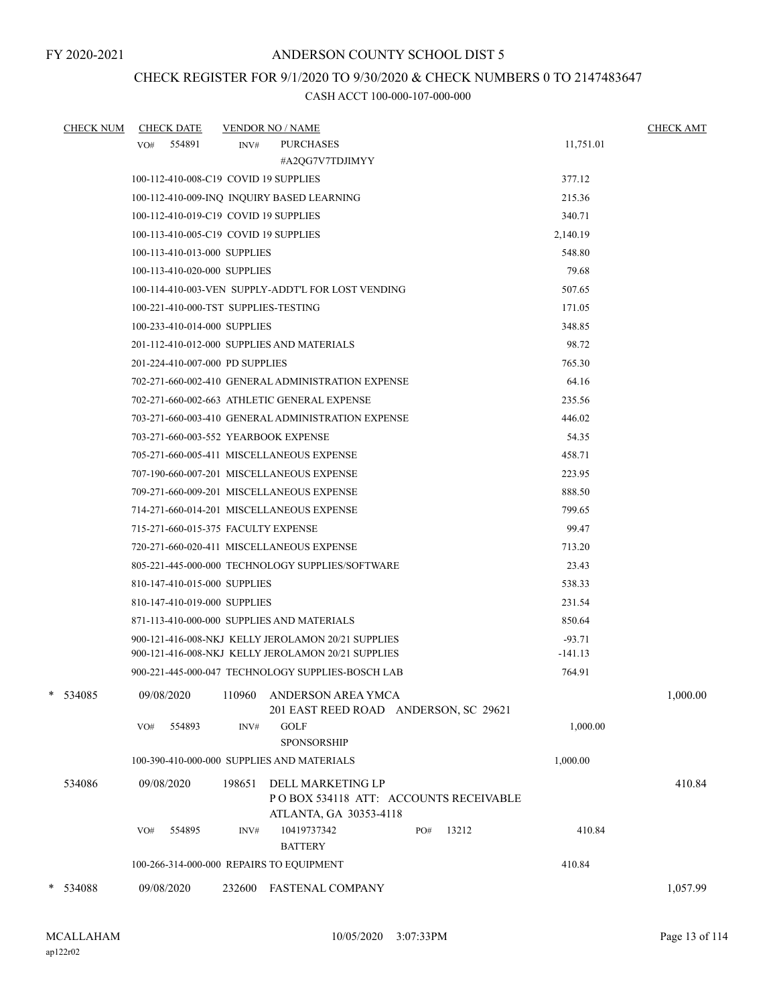## CHECK REGISTER FOR 9/1/2020 TO 9/30/2020 & CHECK NUMBERS 0 TO 2147483647

| <b>CHECK NUM</b> | <b>CHECK DATE</b>                     | <b>VENDOR NO / NAME</b>                                                                        |           | <b>CHECK AMT</b> |
|------------------|---------------------------------------|------------------------------------------------------------------------------------------------|-----------|------------------|
|                  | VO# 554891                            | <b>PURCHASES</b><br>INV#                                                                       | 11,751.01 |                  |
|                  |                                       | #A2QG7V7TDJIMYY                                                                                |           |                  |
|                  | 100-112-410-008-C19 COVID 19 SUPPLIES |                                                                                                | 377.12    |                  |
|                  |                                       | 100-112-410-009-INQ INQUIRY BASED LEARNING                                                     | 215.36    |                  |
|                  | 100-112-410-019-C19 COVID 19 SUPPLIES |                                                                                                | 340.71    |                  |
|                  | 100-113-410-005-C19 COVID 19 SUPPLIES |                                                                                                | 2,140.19  |                  |
|                  | 100-113-410-013-000 SUPPLIES          |                                                                                                | 548.80    |                  |
|                  | 100-113-410-020-000 SUPPLIES          |                                                                                                | 79.68     |                  |
|                  |                                       | 100-114-410-003-VEN SUPPLY-ADDT'L FOR LOST VENDING                                             | 507.65    |                  |
|                  | 100-221-410-000-TST SUPPLIES-TESTING  |                                                                                                | 171.05    |                  |
|                  | 100-233-410-014-000 SUPPLIES          |                                                                                                | 348.85    |                  |
|                  |                                       | 201-112-410-012-000 SUPPLIES AND MATERIALS                                                     | 98.72     |                  |
|                  | 201-224-410-007-000 PD SUPPLIES       |                                                                                                | 765.30    |                  |
|                  |                                       | 702-271-660-002-410 GENERAL ADMINISTRATION EXPENSE                                             | 64.16     |                  |
|                  |                                       | 702-271-660-002-663 ATHLETIC GENERAL EXPENSE                                                   | 235.56    |                  |
|                  |                                       | 703-271-660-003-410 GENERAL ADMINISTRATION EXPENSE                                             | 446.02    |                  |
|                  |                                       | 703-271-660-003-552 YEARBOOK EXPENSE                                                           | 54.35     |                  |
|                  |                                       | 705-271-660-005-411 MISCELLANEOUS EXPENSE                                                      | 458.71    |                  |
|                  |                                       | 707-190-660-007-201 MISCELLANEOUS EXPENSE                                                      | 223.95    |                  |
|                  |                                       | 709-271-660-009-201 MISCELLANEOUS EXPENSE                                                      | 888.50    |                  |
|                  |                                       | 714-271-660-014-201 MISCELLANEOUS EXPENSE                                                      | 799.65    |                  |
|                  | 715-271-660-015-375 FACULTY EXPENSE   |                                                                                                | 99.47     |                  |
|                  |                                       | 720-271-660-020-411 MISCELLANEOUS EXPENSE                                                      | 713.20    |                  |
|                  |                                       | 805-221-445-000-000 TECHNOLOGY SUPPLIES/SOFTWARE                                               | 23.43     |                  |
|                  | 810-147-410-015-000 SUPPLIES          |                                                                                                | 538.33    |                  |
|                  | 810-147-410-019-000 SUPPLIES          |                                                                                                | 231.54    |                  |
|                  |                                       | 871-113-410-000-000 SUPPLIES AND MATERIALS                                                     | 850.64    |                  |
|                  |                                       | 900-121-416-008-NKJ KELLY JEROLAMON 20/21 SUPPLIES                                             | $-93.71$  |                  |
|                  |                                       | 900-121-416-008-NKJ KELLY JEROLAMON 20/21 SUPPLIES                                             | $-141.13$ |                  |
|                  |                                       | 900-221-445-000-047 TECHNOLOGY SUPPLIES-BOSCH LAB                                              | 764.91    |                  |
| 534085           | 09/08/2020                            | 110960 ANDERSON AREA YMCA<br>201 EAST REED ROAD ANDERSON, SC 29621                             |           | 1,000.00         |
|                  | 554893<br>VO#                         | <b>GOLF</b><br>INV#<br><b>SPONSORSHIP</b>                                                      | 1,000.00  |                  |
|                  |                                       | 100-390-410-000-000 SUPPLIES AND MATERIALS                                                     | 1,000.00  |                  |
| 534086           | 09/08/2020                            | 198651<br>DELL MARKETING LP<br>POBOX 534118 ATT: ACCOUNTS RECEIVABLE<br>ATLANTA, GA 30353-4118 |           | 410.84           |
|                  | 554895<br>VO#                         | 10419737342<br>13212<br>PO#<br>INV#<br><b>BATTERY</b>                                          | 410.84    |                  |
|                  |                                       | 100-266-314-000-000 REPAIRS TO EQUIPMENT                                                       | 410.84    |                  |
| * 534088         | 09/08/2020                            | 232600<br><b>FASTENAL COMPANY</b>                                                              |           | 1,057.99         |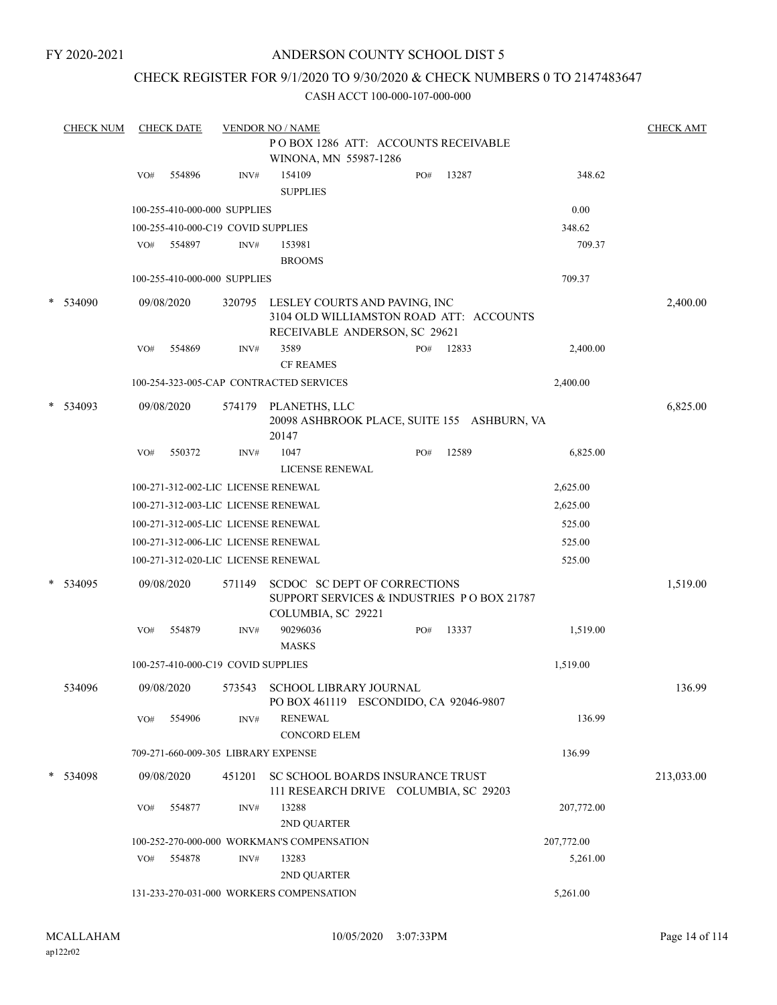## ANDERSON COUNTY SCHOOL DIST 5

## CHECK REGISTER FOR 9/1/2020 TO 9/30/2020 & CHECK NUMBERS 0 TO 2147483647

|        | <b>CHECK NUM</b> |     | <b>CHECK DATE</b> |                                    | <b>VENDOR NO / NAME</b>                                                                                          |     |       |            | <b>CHECK AMT</b> |
|--------|------------------|-----|-------------------|------------------------------------|------------------------------------------------------------------------------------------------------------------|-----|-------|------------|------------------|
|        |                  |     |                   |                                    | POBOX 1286 ATT: ACCOUNTS RECEIVABLE<br>WINONA, MN 55987-1286                                                     |     |       |            |                  |
|        |                  | VO# | 554896            | INV#                               | 154109<br><b>SUPPLIES</b>                                                                                        | PO# | 13287 | 348.62     |                  |
|        |                  |     |                   | 100-255-410-000-000 SUPPLIES       |                                                                                                                  |     |       | 0.00       |                  |
|        |                  |     |                   | 100-255-410-000-C19 COVID SUPPLIES |                                                                                                                  |     |       | 348.62     |                  |
|        |                  | VO# | 554897            | INV#                               | 153981                                                                                                           |     |       | 709.37     |                  |
|        |                  |     |                   |                                    | <b>BROOMS</b>                                                                                                    |     |       |            |                  |
|        |                  |     |                   | 100-255-410-000-000 SUPPLIES       |                                                                                                                  |     |       | 709.37     |                  |
|        | * 534090         |     | 09/08/2020        |                                    | 320795 LESLEY COURTS AND PAVING, INC<br>3104 OLD WILLIAMSTON ROAD ATT: ACCOUNTS<br>RECEIVABLE ANDERSON, SC 29621 |     |       |            | 2,400.00         |
|        |                  | VO# | 554869            | INV#                               | 3589<br><b>CF REAMES</b>                                                                                         | PO# | 12833 | 2,400.00   |                  |
|        |                  |     |                   |                                    | 100-254-323-005-CAP CONTRACTED SERVICES                                                                          |     |       | 2,400.00   |                  |
|        | * 534093         |     | 09/08/2020        |                                    | 574179 PLANETHS, LLC<br>20098 ASHBROOK PLACE, SUITE 155 ASHBURN, VA<br>20147                                     |     |       |            | 6,825.00         |
|        |                  | VO# | 550372            | INV#                               | 1047<br>LICENSE RENEWAL                                                                                          | PO# | 12589 | 6,825.00   |                  |
|        |                  |     |                   |                                    | 100-271-312-002-LIC LICENSE RENEWAL                                                                              |     |       | 2,625.00   |                  |
|        |                  |     |                   |                                    | 100-271-312-003-LIC LICENSE RENEWAL                                                                              |     |       | 2,625.00   |                  |
|        |                  |     |                   |                                    | 100-271-312-005-LIC LICENSE RENEWAL                                                                              |     |       | 525.00     |                  |
|        |                  |     |                   |                                    | 100-271-312-006-LIC LICENSE RENEWAL                                                                              |     |       | 525.00     |                  |
|        |                  |     |                   |                                    | 100-271-312-020-LIC LICENSE RENEWAL                                                                              |     |       | 525.00     |                  |
| $\ast$ | 534095           |     | 09/08/2020        | 571149                             | SCDOC SC DEPT OF CORRECTIONS<br>SUPPORT SERVICES & INDUSTRIES PO BOX 21787<br>COLUMBIA, SC 29221                 |     |       |            | 1,519.00         |
|        |                  | VO# | 554879            | INV#                               | 90296036<br><b>MASKS</b>                                                                                         | PO# | 13337 | 1,519.00   |                  |
|        |                  |     |                   | 100-257-410-000-C19 COVID SUPPLIES |                                                                                                                  |     |       | 1,519.00   |                  |
|        | 534096           |     | 09/08/2020        |                                    | 573543 SCHOOL LIBRARY JOURNAL<br>PO BOX 461119 ESCONDIDO, CA 92046-9807                                          |     |       |            | 136.99           |
|        |                  | VO# | 554906            | INV#                               | <b>RENEWAL</b><br><b>CONCORD ELEM</b>                                                                            |     |       | 136.99     |                  |
|        |                  |     |                   |                                    | 709-271-660-009-305 LIBRARY EXPENSE                                                                              |     |       | 136.99     |                  |
|        | * 534098         |     | 09/08/2020        | 451201                             | SC SCHOOL BOARDS INSURANCE TRUST<br>111 RESEARCH DRIVE COLUMBIA, SC 29203                                        |     |       |            | 213,033.00       |
|        |                  | VO# | 554877            | INV#                               | 13288<br>2ND QUARTER                                                                                             |     |       | 207,772.00 |                  |
|        |                  |     |                   |                                    | 100-252-270-000-000 WORKMAN'S COMPENSATION                                                                       |     |       | 207,772.00 |                  |
|        |                  | VO# | 554878            | INV#                               | 13283<br>2ND QUARTER                                                                                             |     |       | 5,261.00   |                  |
|        |                  |     |                   |                                    | 131-233-270-031-000 WORKERS COMPENSATION                                                                         |     |       | 5,261.00   |                  |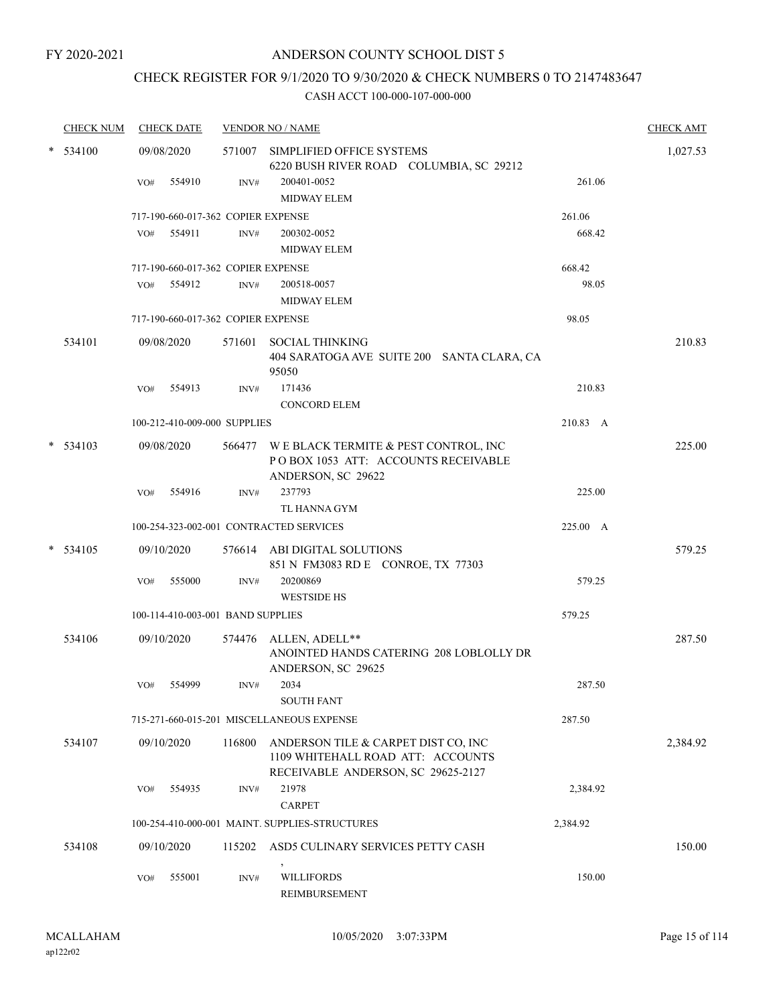## CHECK REGISTER FOR 9/1/2020 TO 9/30/2020 & CHECK NUMBERS 0 TO 2147483647

|        | <b>CHECK NUM</b> |     | <b>CHECK DATE</b>                  |        | <b>VENDOR NO / NAME</b>                                                                                        |          | <b>CHECK AMT</b> |
|--------|------------------|-----|------------------------------------|--------|----------------------------------------------------------------------------------------------------------------|----------|------------------|
| *      | 534100           |     | 09/08/2020                         |        | 571007 SIMPLIFIED OFFICE SYSTEMS<br>6220 BUSH RIVER ROAD COLUMBIA, SC 29212                                    |          | 1,027.53         |
|        |                  | VO# | 554910                             | INV#   | 200401-0052<br><b>MIDWAY ELEM</b>                                                                              | 261.06   |                  |
|        |                  |     | 717-190-660-017-362 COPIER EXPENSE |        |                                                                                                                | 261.06   |                  |
|        |                  | VO# | 554911                             | INV#   | 200302-0052<br><b>MIDWAY ELEM</b>                                                                              | 668.42   |                  |
|        |                  |     | 717-190-660-017-362 COPIER EXPENSE |        |                                                                                                                | 668.42   |                  |
|        |                  | VO# | 554912                             | INV#   | 200518-0057<br><b>MIDWAY ELEM</b>                                                                              | 98.05    |                  |
|        |                  |     | 717-190-660-017-362 COPIER EXPENSE |        |                                                                                                                | 98.05    |                  |
|        | 534101           |     | 09/08/2020                         |        | 571601 SOCIAL THINKING<br>404 SARATOGA AVE SUITE 200 SANTA CLARA, CA<br>95050                                  |          | 210.83           |
|        |                  | VO# | 554913                             | INV#   | 171436<br><b>CONCORD ELEM</b>                                                                                  | 210.83   |                  |
|        |                  |     | 100-212-410-009-000 SUPPLIES       |        |                                                                                                                | 210.83 A |                  |
|        | $*$ 534103       |     | 09/08/2020                         |        | 566477 WE BLACK TERMITE & PEST CONTROL, INC<br>POBOX 1053 ATT: ACCOUNTS RECEIVABLE<br>ANDERSON, SC 29622       |          | 225.00           |
|        |                  | VO# | 554916                             | INV#   | 237793<br>TL HANNA GYM                                                                                         | 225.00   |                  |
|        |                  |     |                                    |        | 100-254-323-002-001 CONTRACTED SERVICES                                                                        | 225.00 A |                  |
| $\ast$ | 534105           |     | 09/10/2020                         |        | 576614 ABI DIGITAL SOLUTIONS<br>851 N FM3083 RD E CONROE, TX 77303                                             |          | 579.25           |
|        |                  | VO# | 555000                             | INV#   | 20200869<br><b>WESTSIDE HS</b>                                                                                 | 579.25   |                  |
|        |                  |     | 100-114-410-003-001 BAND SUPPLIES  |        |                                                                                                                | 579.25   |                  |
|        | 534106           |     | 09/10/2020                         | 574476 | ALLEN, ADELL**<br>ANOINTED HANDS CATERING 208 LOBLOLLY DR<br>ANDERSON, SC 29625                                |          | 287.50           |
|        |                  | VO# | 554999                             | INV#   | 2034<br><b>SOUTH FANT</b>                                                                                      | 287.50   |                  |
|        |                  |     |                                    |        | 715-271-660-015-201 MISCELLANEOUS EXPENSE                                                                      | 287.50   |                  |
|        | 534107           |     | 09/10/2020                         | 116800 | ANDERSON TILE & CARPET DIST CO, INC<br>1109 WHITEHALL ROAD ATT: ACCOUNTS<br>RECEIVABLE ANDERSON, SC 29625-2127 |          | 2,384.92         |
|        |                  | VO# | 554935                             | INV#   | 21978<br><b>CARPET</b>                                                                                         | 2,384.92 |                  |
|        |                  |     |                                    |        | 100-254-410-000-001 MAINT. SUPPLIES-STRUCTURES                                                                 | 2,384.92 |                  |
|        | 534108           |     | 09/10/2020                         | 115202 | ASD5 CULINARY SERVICES PETTY CASH                                                                              |          | 150.00           |
|        |                  | VO# | 555001                             | INV#   | $\,$<br><b>WILLIFORDS</b><br><b>REIMBURSEMENT</b>                                                              | 150.00   |                  |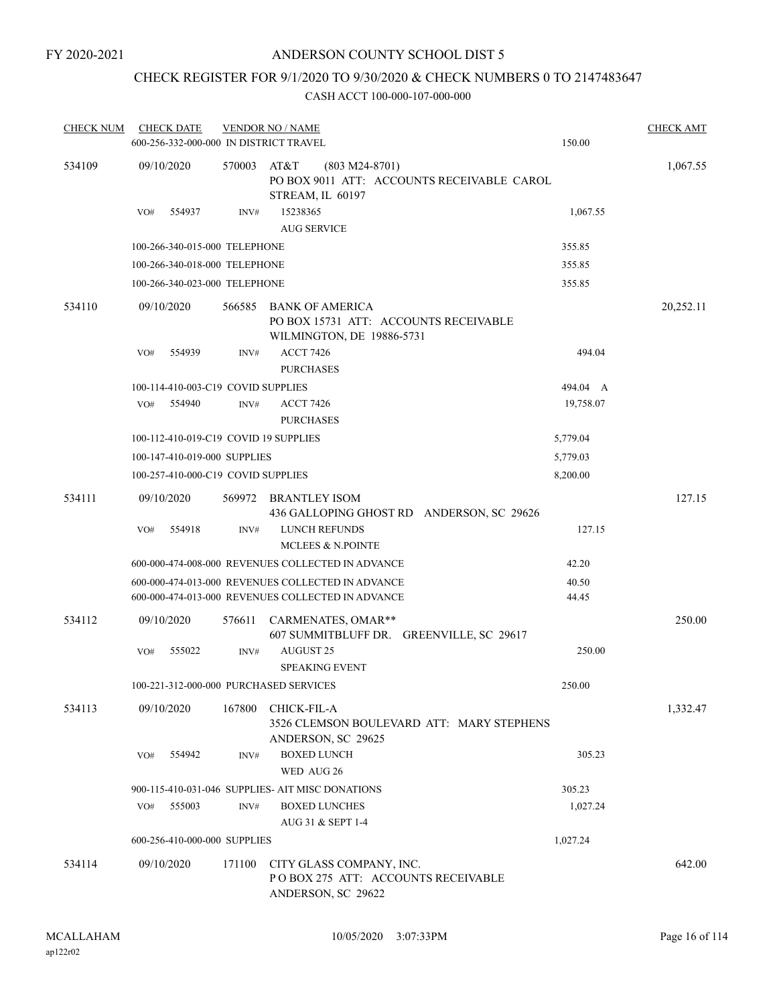## CHECK REGISTER FOR 9/1/2020 TO 9/30/2020 & CHECK NUMBERS 0 TO 2147483647

| <b>CHECK NUM</b> | <b>CHECK DATE</b><br>600-256-332-000-000 IN DISTRICT TRAVEL |        | <b>VENDOR NO / NAME</b>                                                                                | 150.00         | <b>CHECK AMT</b> |
|------------------|-------------------------------------------------------------|--------|--------------------------------------------------------------------------------------------------------|----------------|------------------|
| 534109           | 09/10/2020                                                  | 570003 | AT&T<br>$(803 M24-8701)$<br>PO BOX 9011 ATT: ACCOUNTS RECEIVABLE CAROL<br>STREAM, IL 60197             |                | 1,067.55         |
|                  | 554937<br>VO#                                               | INV#   | 15238365<br><b>AUG SERVICE</b>                                                                         | 1,067.55       |                  |
|                  | 100-266-340-015-000 TELEPHONE                               |        |                                                                                                        | 355.85         |                  |
|                  | 100-266-340-018-000 TELEPHONE                               |        |                                                                                                        | 355.85         |                  |
|                  | 100-266-340-023-000 TELEPHONE                               |        |                                                                                                        | 355.85         |                  |
| 534110           | 09/10/2020                                                  | 566585 | BANK OF AMERICA<br>PO BOX 15731 ATT: ACCOUNTS RECEIVABLE<br>WILMINGTON, DE 19886-5731                  |                | 20,252.11        |
|                  | 554939<br>VO#                                               | INV#   | <b>ACCT 7426</b><br><b>PURCHASES</b>                                                                   | 494.04         |                  |
|                  | 100-114-410-003-C19 COVID SUPPLIES                          |        |                                                                                                        | 494.04 A       |                  |
|                  | VO#<br>554940                                               | INV#   | <b>ACCT 7426</b><br><b>PURCHASES</b>                                                                   | 19,758.07      |                  |
|                  | 100-112-410-019-C19 COVID 19 SUPPLIES                       |        |                                                                                                        | 5,779.04       |                  |
|                  | 100-147-410-019-000 SUPPLIES                                |        |                                                                                                        | 5,779.03       |                  |
|                  | 100-257-410-000-C19 COVID SUPPLIES                          |        |                                                                                                        | 8,200.00       |                  |
| 534111           | 09/10/2020                                                  | 569972 | BRANTLEY ISOM<br>436 GALLOPING GHOST RD ANDERSON, SC 29626                                             |                | 127.15           |
|                  | VO#<br>554918                                               | INV#   | LUNCH REFUNDS<br><b>MCLEES &amp; N.POINTE</b>                                                          | 127.15         |                  |
|                  |                                                             |        | 600-000-474-008-000 REVENUES COLLECTED IN ADVANCE                                                      | 42.20          |                  |
|                  |                                                             |        | 600-000-474-013-000 REVENUES COLLECTED IN ADVANCE<br>600-000-474-013-000 REVENUES COLLECTED IN ADVANCE | 40.50<br>44.45 |                  |
| 534112           | 09/10/2020                                                  | 576611 | CARMENATES, OMAR**<br>607 SUMMITBLUFF DR. GREENVILLE, SC 29617                                         |                | 250.00           |
|                  | 555022<br>VO#                                               | INV#   | AUGUST 25<br><b>SPEAKING EVENT</b>                                                                     | 250.00         |                  |
|                  | 100-221-312-000-000 PURCHASED SERVICES                      |        |                                                                                                        | 250.00         |                  |
| 534113           | 09/10/2020                                                  | 167800 | <b>CHICK-FIL-A</b><br>3526 CLEMSON BOULEVARD ATT: MARY STEPHENS<br>ANDERSON, SC 29625                  |                | 1,332.47         |
|                  | 554942<br>VO#                                               | INV#   | <b>BOXED LUNCH</b><br>WED AUG 26                                                                       | 305.23         |                  |
|                  |                                                             |        | 900-115-410-031-046 SUPPLIES- AIT MISC DONATIONS                                                       | 305.23         |                  |
|                  | 555003<br>VO#                                               | INV#   | <b>BOXED LUNCHES</b>                                                                                   | 1,027.24       |                  |
|                  |                                                             |        | AUG 31 & SEPT 1-4                                                                                      |                |                  |
|                  | 600-256-410-000-000 SUPPLIES                                |        |                                                                                                        | 1,027.24       |                  |
| 534114           | 09/10/2020                                                  | 171100 | CITY GLASS COMPANY, INC.<br>POBOX 275 ATT: ACCOUNTS RECEIVABLE<br>ANDERSON, SC 29622                   |                | 642.00           |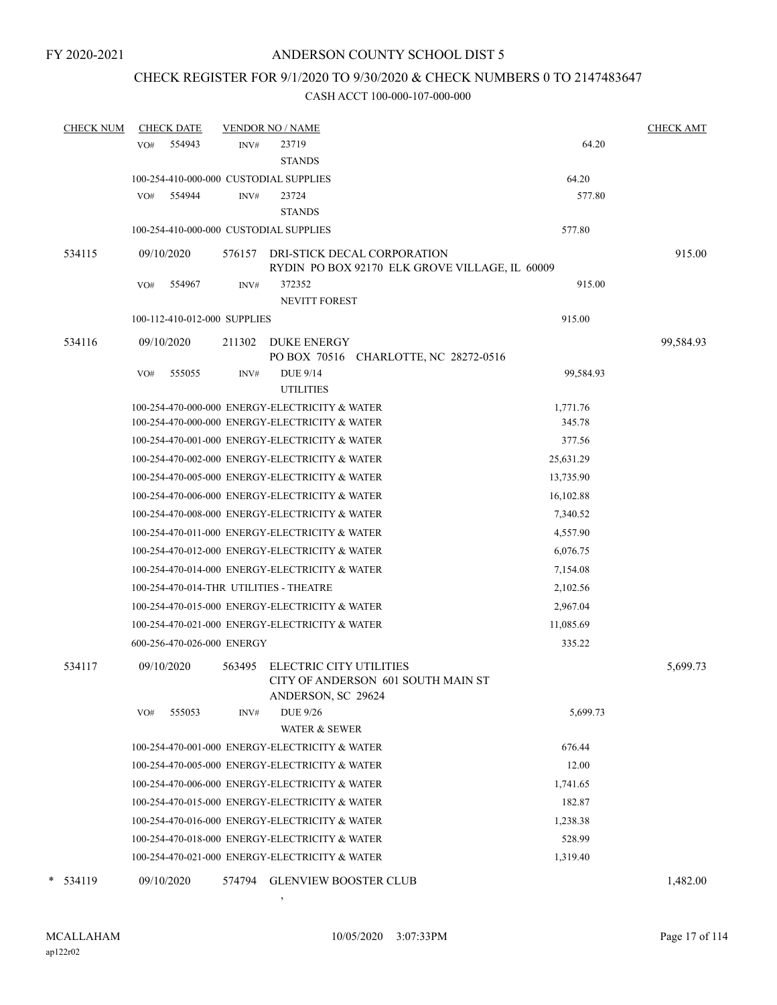## CHECK REGISTER FOR 9/1/2020 TO 9/30/2020 & CHECK NUMBERS 0 TO 2147483647

### CASH ACCT 100-000-107-000-000

| <b>CHECK NUM</b> | <b>CHECK DATE</b>                       |        | <b>VENDOR NO / NAME</b>                                                             |           | <b>CHECK AMT</b> |
|------------------|-----------------------------------------|--------|-------------------------------------------------------------------------------------|-----------|------------------|
|                  | 554943<br>VO#                           | INV#   | 23719                                                                               | 64.20     |                  |
|                  |                                         |        | <b>STANDS</b>                                                                       |           |                  |
|                  | 100-254-410-000-000 CUSTODIAL SUPPLIES  |        |                                                                                     | 64.20     |                  |
|                  | 554944<br>VO#                           | INV#   | 23724                                                                               | 577.80    |                  |
|                  |                                         |        | <b>STANDS</b>                                                                       |           |                  |
|                  | 100-254-410-000-000 CUSTODIAL SUPPLIES  |        |                                                                                     | 577.80    |                  |
| 534115           | 09/10/2020                              | 576157 | DRI-STICK DECAL CORPORATION<br>RYDIN PO BOX 92170 ELK GROVE VILLAGE, IL 60009       |           | 915.00           |
|                  | 554967<br>VO#                           | INV#   | 372352<br><b>NEVITT FOREST</b>                                                      | 915.00    |                  |
|                  | 100-112-410-012-000 SUPPLIES            |        |                                                                                     | 915.00    |                  |
| 534116           | 09/10/2020                              | 211302 | <b>DUKE ENERGY</b><br>PO BOX 70516 CHARLOTTE, NC 28272-0516                         |           | 99,584.93        |
|                  | 555055<br>VO#                           | INV#   | <b>DUE 9/14</b><br><b>UTILITIES</b>                                                 | 99,584.93 |                  |
|                  |                                         |        | 100-254-470-000-000 ENERGY-ELECTRICITY & WATER                                      | 1,771.76  |                  |
|                  |                                         |        | 100-254-470-000-000 ENERGY-ELECTRICITY & WATER                                      | 345.78    |                  |
|                  |                                         |        | 100-254-470-001-000 ENERGY-ELECTRICITY & WATER                                      | 377.56    |                  |
|                  |                                         |        | 100-254-470-002-000 ENERGY-ELECTRICITY & WATER                                      | 25,631.29 |                  |
|                  |                                         |        | 100-254-470-005-000 ENERGY-ELECTRICITY & WATER                                      | 13,735.90 |                  |
|                  |                                         |        | 100-254-470-006-000 ENERGY-ELECTRICITY & WATER                                      | 16,102.88 |                  |
|                  |                                         |        | 100-254-470-008-000 ENERGY-ELECTRICITY & WATER                                      | 7,340.52  |                  |
|                  |                                         |        | 100-254-470-011-000 ENERGY-ELECTRICITY & WATER                                      | 4,557.90  |                  |
|                  |                                         |        | 100-254-470-012-000 ENERGY-ELECTRICITY & WATER                                      | 6,076.75  |                  |
|                  |                                         |        | 100-254-470-014-000 ENERGY-ELECTRICITY & WATER                                      | 7,154.08  |                  |
|                  | 100-254-470-014-THR UTILITIES - THEATRE |        |                                                                                     | 2,102.56  |                  |
|                  |                                         |        | 100-254-470-015-000 ENERGY-ELECTRICITY & WATER                                      | 2,967.04  |                  |
|                  |                                         |        | 100-254-470-021-000 ENERGY-ELECTRICITY & WATER                                      | 11,085.69 |                  |
|                  | 600-256-470-026-000 ENERGY              |        |                                                                                     | 335.22    |                  |
| 534117           | 09/10/2020                              | 563495 | ELECTRIC CITY UTILITIES<br>CITY OF ANDERSON 601 SOUTH MAIN ST<br>ANDERSON, SC 29624 |           | 5,699.73         |
|                  | 555053<br>VO#                           | INV#   | <b>DUE 9/26</b><br><b>WATER &amp; SEWER</b>                                         | 5,699.73  |                  |
|                  |                                         |        | 100-254-470-001-000 ENERGY-ELECTRICITY & WATER                                      | 676.44    |                  |
|                  |                                         |        | 100-254-470-005-000 ENERGY-ELECTRICITY & WATER                                      | 12.00     |                  |
|                  |                                         |        | 100-254-470-006-000 ENERGY-ELECTRICITY & WATER                                      | 1,741.65  |                  |
|                  |                                         |        | 100-254-470-015-000 ENERGY-ELECTRICITY & WATER                                      | 182.87    |                  |
|                  |                                         |        | 100-254-470-016-000 ENERGY-ELECTRICITY & WATER                                      | 1,238.38  |                  |
|                  |                                         |        | 100-254-470-018-000 ENERGY-ELECTRICITY & WATER                                      | 528.99    |                  |
|                  |                                         |        | 100-254-470-021-000 ENERGY-ELECTRICITY & WATER                                      | 1,319.40  |                  |
| 534119           | 09/10/2020                              | 574794 | <b>GLENVIEW BOOSTER CLUB</b>                                                        |           | 1,482.00         |

,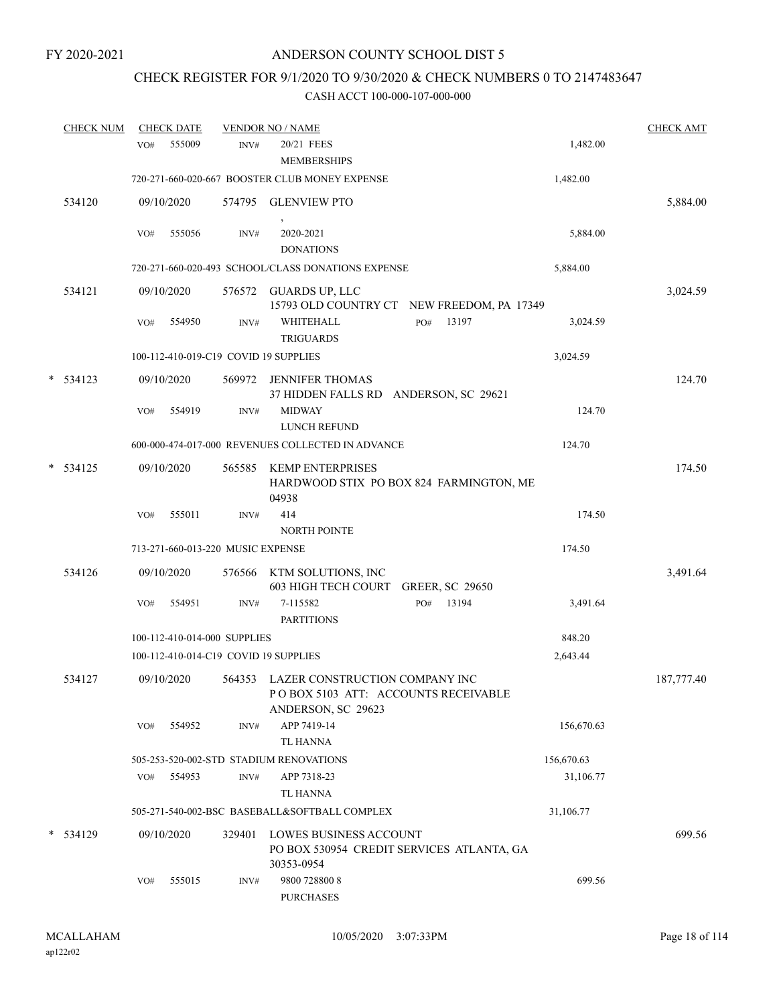## CHECK REGISTER FOR 9/1/2020 TO 9/30/2020 & CHECK NUMBERS 0 TO 2147483647

|   | <b>CHECK NUM</b> |     | <b>CHECK DATE</b> |                                   | <b>VENDOR NO / NAME</b>                                                                            |                        |       |            | <b>CHECK AMT</b> |
|---|------------------|-----|-------------------|-----------------------------------|----------------------------------------------------------------------------------------------------|------------------------|-------|------------|------------------|
|   |                  | VO# | 555009            | INV#                              | 20/21 FEES<br><b>MEMBERSHIPS</b>                                                                   |                        |       | 1,482.00   |                  |
|   |                  |     |                   |                                   | 720-271-660-020-667 BOOSTER CLUB MONEY EXPENSE                                                     |                        |       | 1,482.00   |                  |
|   | 534120           |     | 09/10/2020        | 574795                            | <b>GLENVIEW PTO</b>                                                                                |                        |       |            | 5,884.00         |
|   |                  | VO# | 555056            | INV#                              | 2020-2021<br><b>DONATIONS</b>                                                                      |                        |       | 5,884.00   |                  |
|   |                  |     |                   |                                   | 720-271-660-020-493 SCHOOL/CLASS DONATIONS EXPENSE                                                 |                        |       | 5,884.00   |                  |
|   | 534121           |     | 09/10/2020        | 576572                            | GUARDS UP, LLC<br>15793 OLD COUNTRY CT NEW FREEDOM, PA 17349                                       |                        |       |            | 3,024.59         |
|   |                  | VO# | 554950            | INV#                              | WHITEHALL<br><b>TRIGUARDS</b>                                                                      | PO#                    | 13197 | 3,024.59   |                  |
|   |                  |     |                   |                                   | 100-112-410-019-C19 COVID 19 SUPPLIES                                                              |                        |       | 3,024.59   |                  |
| * | 534123           |     | 09/10/2020        | 569972                            | <b>JENNIFER THOMAS</b><br>37 HIDDEN FALLS RD ANDERSON, SC 29621                                    |                        |       |            | 124.70           |
|   |                  | VO# | 554919            | INV#                              | <b>MIDWAY</b><br>LUNCH REFUND                                                                      |                        |       | 124.70     |                  |
|   |                  |     |                   |                                   | 600-000-474-017-000 REVENUES COLLECTED IN ADVANCE                                                  |                        |       | 124.70     |                  |
|   | $*$ 534125       |     | 09/10/2020        | 565585                            | <b>KEMP ENTERPRISES</b><br>HARDWOOD STIX PO BOX 824 FARMINGTON, ME<br>04938                        |                        |       |            | 174.50           |
|   |                  | VO# | 555011            | INV#                              | 414<br>NORTH POINTE                                                                                |                        |       | 174.50     |                  |
|   |                  |     |                   | 713-271-660-013-220 MUSIC EXPENSE |                                                                                                    |                        |       | 174.50     |                  |
|   | 534126           |     | 09/10/2020        | 576566                            | KTM SOLUTIONS, INC<br>603 HIGH TECH COURT                                                          | <b>GREER, SC 29650</b> |       |            | 3,491.64         |
|   |                  | VO# | 554951            | INV#                              | 7-115582<br><b>PARTITIONS</b>                                                                      | PO#                    | 13194 | 3,491.64   |                  |
|   |                  |     |                   | 100-112-410-014-000 SUPPLIES      |                                                                                                    |                        |       | 848.20     |                  |
|   |                  |     |                   |                                   | 100-112-410-014-C19 COVID 19 SUPPLIES                                                              |                        |       | 2,643.44   |                  |
|   | 534127           |     | 09/10/2020        |                                   | 564353 LAZER CONSTRUCTION COMPANY INC<br>POBOX 5103 ATT: ACCOUNTS RECEIVABLE<br>ANDERSON, SC 29623 |                        |       |            | 187,777.40       |
|   |                  | VO# | 554952            | INV#                              | APP 7419-14<br>TL HANNA                                                                            |                        |       | 156,670.63 |                  |
|   |                  |     |                   |                                   | 505-253-520-002-STD STADIUM RENOVATIONS                                                            |                        |       | 156,670.63 |                  |
|   |                  | VO# | 554953            | INV#                              | APP 7318-23<br><b>TL HANNA</b>                                                                     |                        |       | 31,106.77  |                  |
|   |                  |     |                   |                                   | 505-271-540-002-BSC BASEBALL&SOFTBALL COMPLEX                                                      |                        |       | 31,106.77  |                  |
|   | $*$ 534129       |     | 09/10/2020        | 329401                            | LOWES BUSINESS ACCOUNT<br>PO BOX 530954 CREDIT SERVICES ATLANTA, GA<br>30353-0954                  |                        |       |            | 699.56           |
|   |                  | VO# | 555015            | INV#                              | 9800 728800 8<br><b>PURCHASES</b>                                                                  |                        |       | 699.56     |                  |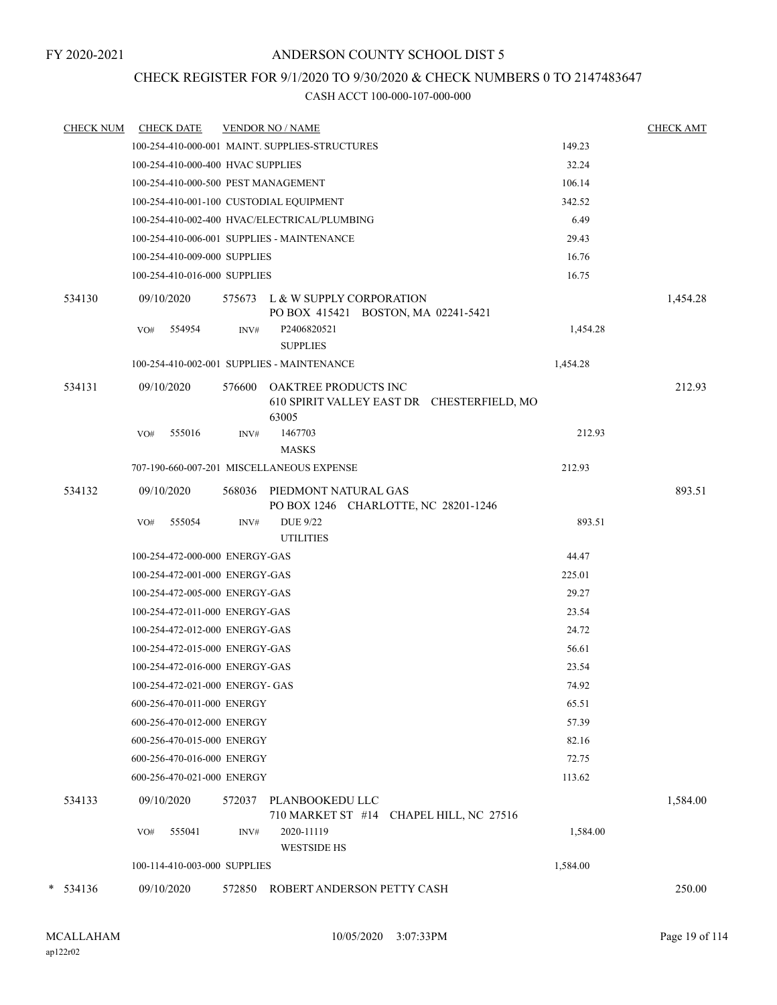## CHECK REGISTER FOR 9/1/2020 TO 9/30/2020 & CHECK NUMBERS 0 TO 2147483647

| <b>CHECK NUM</b> | <b>CHECK DATE</b>                          |        | <b>VENDOR NO / NAME</b>                                                            |          | <b>CHECK AMT</b> |
|------------------|--------------------------------------------|--------|------------------------------------------------------------------------------------|----------|------------------|
|                  |                                            |        | 100-254-410-000-001 MAINT. SUPPLIES-STRUCTURES                                     | 149.23   |                  |
|                  | 100-254-410-000-400 HVAC SUPPLIES          |        |                                                                                    | 32.24    |                  |
|                  | 100-254-410-000-500 PEST MANAGEMENT        |        |                                                                                    | 106.14   |                  |
|                  | 100-254-410-001-100 CUSTODIAL EQUIPMENT    |        |                                                                                    | 342.52   |                  |
|                  |                                            |        | 100-254-410-002-400 HVAC/ELECTRICAL/PLUMBING                                       | 6.49     |                  |
|                  | 100-254-410-006-001 SUPPLIES - MAINTENANCE |        |                                                                                    | 29.43    |                  |
|                  | 100-254-410-009-000 SUPPLIES               |        |                                                                                    | 16.76    |                  |
|                  | 100-254-410-016-000 SUPPLIES               |        |                                                                                    | 16.75    |                  |
| 534130           | 09/10/2020                                 |        | 575673 L & W SUPPLY CORPORATION<br>PO BOX 415421 BOSTON, MA 02241-5421             |          | 1,454.28         |
|                  | 554954<br>VO#                              | INV#   | P2406820521<br><b>SUPPLIES</b>                                                     | 1,454.28 |                  |
|                  | 100-254-410-002-001 SUPPLIES - MAINTENANCE |        |                                                                                    | 1,454.28 |                  |
| 534131           | 09/10/2020                                 | 576600 | <b>OAKTREE PRODUCTS INC</b><br>610 SPIRIT VALLEY EAST DR CHESTERFIELD, MO<br>63005 |          | 212.93           |
|                  | 555016<br>VO#                              | INV#   | 1467703<br><b>MASKS</b>                                                            | 212.93   |                  |
|                  |                                            |        | 707-190-660-007-201 MISCELLANEOUS EXPENSE                                          | 212.93   |                  |
| 534132           | 09/10/2020                                 |        | 568036 PIEDMONT NATURAL GAS<br>PO BOX 1246 CHARLOTTE, NC 28201-1246                |          | 893.51           |
|                  | 555054<br>VO#                              | INV#   | <b>DUE 9/22</b><br><b>UTILITIES</b>                                                | 893.51   |                  |
|                  | 100-254-472-000-000 ENERGY-GAS             |        |                                                                                    | 44.47    |                  |
|                  | 100-254-472-001-000 ENERGY-GAS             |        |                                                                                    | 225.01   |                  |
|                  | 100-254-472-005-000 ENERGY-GAS             |        |                                                                                    | 29.27    |                  |
|                  | 100-254-472-011-000 ENERGY-GAS             |        |                                                                                    | 23.54    |                  |
|                  | 100-254-472-012-000 ENERGY-GAS             |        |                                                                                    | 24.72    |                  |
|                  | 100-254-472-015-000 ENERGY-GAS             |        |                                                                                    | 56.61    |                  |
|                  | 100-254-472-016-000 ENERGY-GAS             |        |                                                                                    | 23.54    |                  |
|                  | 100-254-472-021-000 ENERGY- GAS            |        |                                                                                    | 74.92    |                  |
|                  | 600-256-470-011-000 ENERGY                 |        |                                                                                    | 65.51    |                  |
|                  | 600-256-470-012-000 ENERGY                 |        |                                                                                    | 57.39    |                  |
|                  | 600-256-470-015-000 ENERGY                 |        |                                                                                    | 82.16    |                  |
|                  | 600-256-470-016-000 ENERGY                 |        |                                                                                    | 72.75    |                  |
|                  | 600-256-470-021-000 ENERGY                 |        |                                                                                    | 113.62   |                  |
| 534133           | 09/10/2020                                 | 572037 | PLANBOOKEDU LLC<br>710 MARKET ST #14 CHAPEL HILL, NC 27516                         |          | 1,584.00         |
|                  | 555041<br>VO#                              | INV#   | 2020-11119<br><b>WESTSIDE HS</b>                                                   | 1,584.00 |                  |
|                  | 100-114-410-003-000 SUPPLIES               |        |                                                                                    | 1,584.00 |                  |
| $* 534136$       | 09/10/2020                                 | 572850 | ROBERT ANDERSON PETTY CASH                                                         |          | 250.00           |
|                  |                                            |        |                                                                                    |          |                  |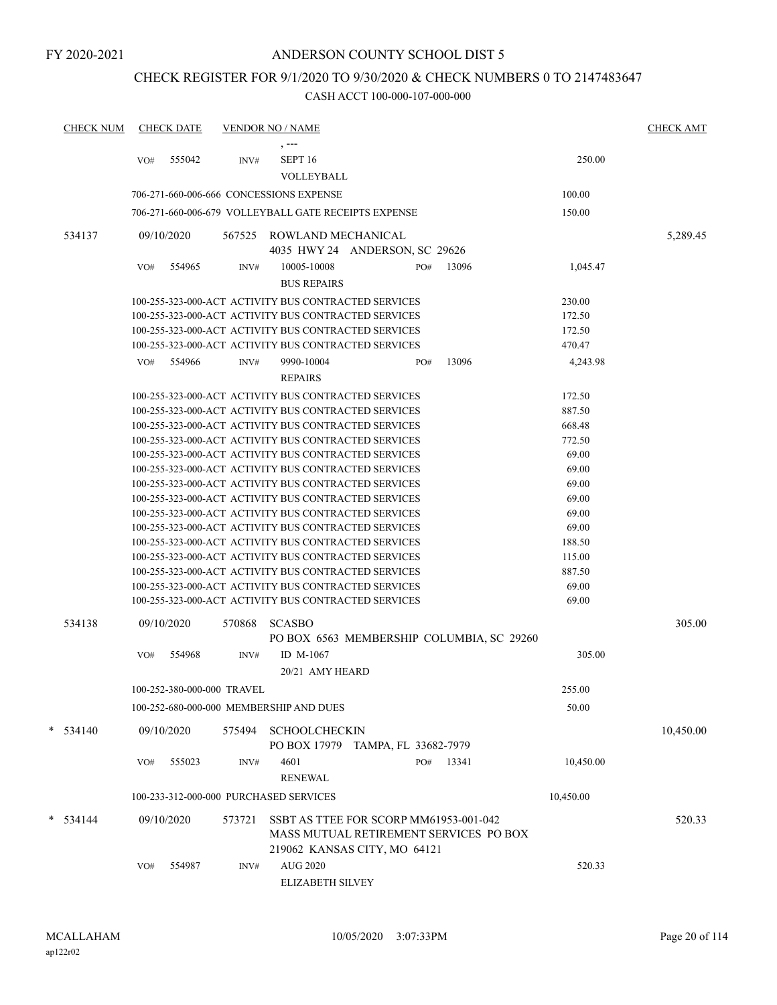## CHECK REGISTER FOR 9/1/2020 TO 9/30/2020 & CHECK NUMBERS 0 TO 2147483647

| <b>CHECK NUM</b> |            | <b>CHECK DATE</b>          |        | <b>VENDOR NO / NAME</b>                              |     |       |           | <b>CHECK AMT</b> |
|------------------|------------|----------------------------|--------|------------------------------------------------------|-----|-------|-----------|------------------|
|                  |            |                            |        |                                                      |     |       |           |                  |
|                  | VO#        | 555042                     | INV#   | SEPT <sub>16</sub>                                   |     |       | 250.00    |                  |
|                  |            |                            |        | VOLLEYBALL                                           |     |       |           |                  |
|                  |            |                            |        | 706-271-660-006-666 CONCESSIONS EXPENSE              |     |       | 100.00    |                  |
|                  |            |                            |        | 706-271-660-006-679 VOLLEYBALL GATE RECEIPTS EXPENSE |     |       | 150.00    |                  |
| 534137           | 09/10/2020 |                            | 567525 | ROWLAND MECHANICAL                                   |     |       |           | 5,289.45         |
|                  |            |                            |        | 4035 HWY 24 ANDERSON, SC 29626                       |     |       |           |                  |
|                  | VO#        | 554965                     | INV#   | 10005-10008                                          | PO# | 13096 | 1,045.47  |                  |
|                  |            |                            |        | <b>BUS REPAIRS</b>                                   |     |       |           |                  |
|                  |            |                            |        | 100-255-323-000-ACT ACTIVITY BUS CONTRACTED SERVICES |     |       | 230.00    |                  |
|                  |            |                            |        | 100-255-323-000-ACT ACTIVITY BUS CONTRACTED SERVICES |     |       | 172.50    |                  |
|                  |            |                            |        | 100-255-323-000-ACT ACTIVITY BUS CONTRACTED SERVICES |     |       | 172.50    |                  |
|                  |            |                            |        | 100-255-323-000-ACT ACTIVITY BUS CONTRACTED SERVICES |     |       | 470.47    |                  |
|                  | VO#        | 554966                     | INV#   | 9990-10004                                           | PO# | 13096 | 4,243.98  |                  |
|                  |            |                            |        | <b>REPAIRS</b>                                       |     |       |           |                  |
|                  |            |                            |        | 100-255-323-000-ACT ACTIVITY BUS CONTRACTED SERVICES |     |       | 172.50    |                  |
|                  |            |                            |        | 100-255-323-000-ACT ACTIVITY BUS CONTRACTED SERVICES |     |       | 887.50    |                  |
|                  |            |                            |        | 100-255-323-000-ACT ACTIVITY BUS CONTRACTED SERVICES |     |       | 668.48    |                  |
|                  |            |                            |        | 100-255-323-000-ACT ACTIVITY BUS CONTRACTED SERVICES |     |       | 772.50    |                  |
|                  |            |                            |        | 100-255-323-000-ACT ACTIVITY BUS CONTRACTED SERVICES |     |       | 69.00     |                  |
|                  |            |                            |        | 100-255-323-000-ACT ACTIVITY BUS CONTRACTED SERVICES |     |       | 69.00     |                  |
|                  |            |                            |        | 100-255-323-000-ACT ACTIVITY BUS CONTRACTED SERVICES |     |       | 69.00     |                  |
|                  |            |                            |        | 100-255-323-000-ACT ACTIVITY BUS CONTRACTED SERVICES |     |       | 69.00     |                  |
|                  |            |                            |        | 100-255-323-000-ACT ACTIVITY BUS CONTRACTED SERVICES |     |       | 69.00     |                  |
|                  |            |                            |        | 100-255-323-000-ACT ACTIVITY BUS CONTRACTED SERVICES |     |       | 69.00     |                  |
|                  |            |                            |        | 100-255-323-000-ACT ACTIVITY BUS CONTRACTED SERVICES |     |       | 188.50    |                  |
|                  |            |                            |        | 100-255-323-000-ACT ACTIVITY BUS CONTRACTED SERVICES |     |       | 115.00    |                  |
|                  |            |                            |        | 100-255-323-000-ACT ACTIVITY BUS CONTRACTED SERVICES |     |       | 887.50    |                  |
|                  |            |                            |        | 100-255-323-000-ACT ACTIVITY BUS CONTRACTED SERVICES |     |       | 69.00     |                  |
|                  |            |                            |        | 100-255-323-000-ACT ACTIVITY BUS CONTRACTED SERVICES |     |       | 69.00     |                  |
| 534138           | 09/10/2020 |                            | 570868 | <b>SCASBO</b>                                        |     |       |           | 305.00           |
|                  |            |                            |        | PO BOX 6563 MEMBERSHIP COLUMBIA, SC 29260            |     |       |           |                  |
|                  | VO#        | 554968                     | INV#   | ID M-1067                                            |     |       | 305.00    |                  |
|                  |            |                            |        | 20/21 AMY HEARD                                      |     |       |           |                  |
|                  |            | 100-252-380-000-000 TRAVEL |        |                                                      |     |       | 255.00    |                  |
|                  |            |                            |        | 100-252-680-000-000 MEMBERSHIP AND DUES              |     |       | 50.00     |                  |
|                  |            |                            |        |                                                      |     |       |           |                  |
| $* 534140$       | 09/10/2020 |                            |        | 575494 SCHOOLCHECKIN                                 |     |       |           | 10,450.00        |
|                  |            |                            |        | PO BOX 17979 TAMPA, FL 33682-7979                    |     |       |           |                  |
|                  | VO#        | 555023                     | INV#   | 4601                                                 | PO# | 13341 | 10,450.00 |                  |
|                  |            |                            |        | <b>RENEWAL</b>                                       |     |       |           |                  |
|                  |            |                            |        | 100-233-312-000-000 PURCHASED SERVICES               |     |       | 10,450.00 |                  |
| $*$ 534144       | 09/10/2020 |                            | 573721 | SSBT AS TTEE FOR SCORP MM61953-001-042               |     |       |           | 520.33           |
|                  |            |                            |        | MASS MUTUAL RETIREMENT SERVICES PO BOX               |     |       |           |                  |
|                  |            |                            |        | 219062 KANSAS CITY, MO 64121                         |     |       |           |                  |
|                  | VO#        | 554987                     | INV#   | AUG 2020                                             |     |       | 520.33    |                  |
|                  |            |                            |        |                                                      |     |       |           |                  |
|                  |            |                            |        | ELIZABETH SILVEY                                     |     |       |           |                  |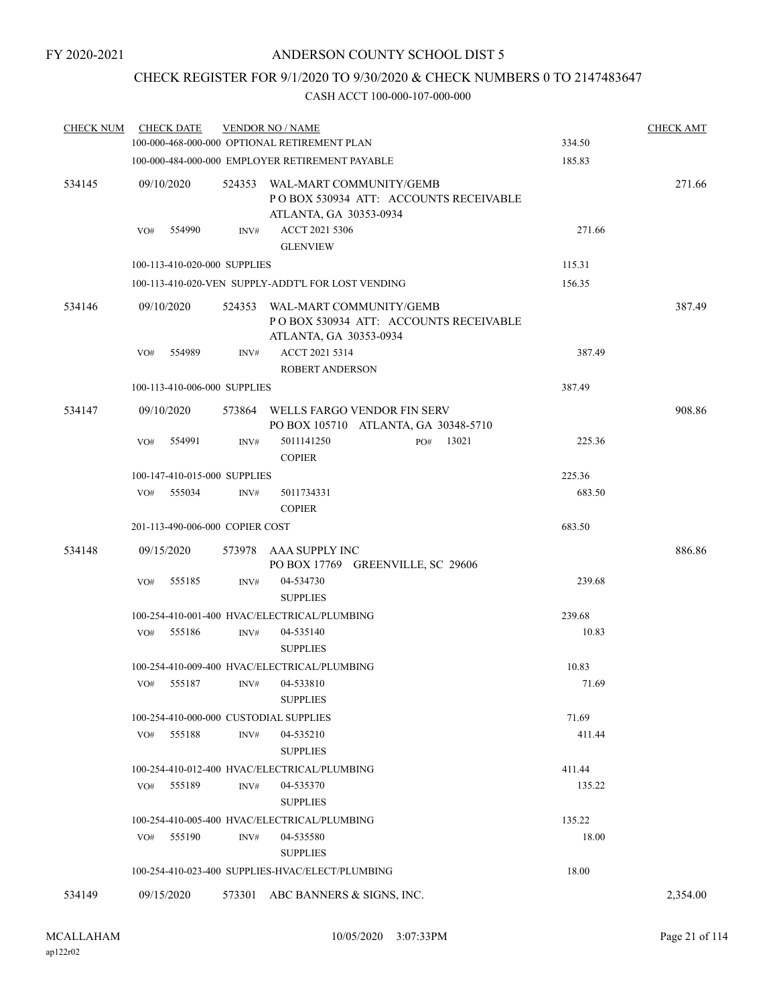## CHECK REGISTER FOR 9/1/2020 TO 9/30/2020 & CHECK NUMBERS 0 TO 2147483647

| <b>CHECK NUM</b> |            | <b>CHECK DATE</b> |                                 | <b>VENDOR NO / NAME</b><br>100-000-468-000-000 OPTIONAL RETIREMENT PLAN                     |              |  | 334.50 | <b>CHECK AMT</b> |
|------------------|------------|-------------------|---------------------------------|---------------------------------------------------------------------------------------------|--------------|--|--------|------------------|
|                  |            |                   |                                 | 100-000-484-000-000 EMPLOYER RETIREMENT PAYABLE                                             |              |  | 185.83 |                  |
| 534145           | 09/10/2020 |                   | 524353                          | WAL-MART COMMUNITY/GEMB<br>POBOX 530934 ATT: ACCOUNTS RECEIVABLE<br>ATLANTA, GA 30353-0934  |              |  |        | 271.66           |
|                  | VO#        | 554990            | INV#                            | ACCT 2021 5306<br><b>GLENVIEW</b>                                                           |              |  | 271.66 |                  |
|                  |            |                   | 100-113-410-020-000 SUPPLIES    |                                                                                             |              |  | 115.31 |                  |
|                  |            |                   |                                 | 100-113-410-020-VEN SUPPLY-ADDT'L FOR LOST VENDING                                          |              |  | 156.35 |                  |
| 534146           | 09/10/2020 |                   | 524353                          | WAL-MART COMMUNITY/GEMB<br>PO BOX 530934 ATT: ACCOUNTS RECEIVABLE<br>ATLANTA, GA 30353-0934 |              |  |        | 387.49           |
|                  | VO#        | 554989            | INV#                            | ACCT 2021 5314<br><b>ROBERT ANDERSON</b>                                                    |              |  | 387.49 |                  |
|                  |            |                   | 100-113-410-006-000 SUPPLIES    |                                                                                             |              |  | 387.49 |                  |
| 534147           | 09/10/2020 |                   | 573864                          | WELLS FARGO VENDOR FIN SERV<br>PO BOX 105710 ATLANTA, GA 30348-5710                         |              |  |        | 908.86           |
|                  | VO#        | 554991            | INV#                            | 5011141250<br><b>COPIER</b>                                                                 | 13021<br>PO# |  | 225.36 |                  |
|                  |            |                   | 100-147-410-015-000 SUPPLIES    |                                                                                             |              |  | 225.36 |                  |
|                  | VO#        | 555034            | INV#                            | 5011734331<br><b>COPIER</b>                                                                 |              |  | 683.50 |                  |
|                  |            |                   | 201-113-490-006-000 COPIER COST |                                                                                             |              |  | 683.50 |                  |
| 534148           | 09/15/2020 |                   | 573978                          | AAA SUPPLY INC<br>PO BOX 17769 GREENVILLE, SC 29606                                         |              |  |        | 886.86           |
|                  | VO#        | 555185            | INV#                            | 04-534730<br><b>SUPPLIES</b>                                                                |              |  | 239.68 |                  |
|                  |            |                   |                                 | 100-254-410-001-400 HVAC/ELECTRICAL/PLUMBING                                                |              |  | 239.68 |                  |
|                  | VO#        | 555186            | INV#                            | 04-535140<br><b>SUPPLIES</b>                                                                |              |  | 10.83  |                  |
|                  |            |                   |                                 | 100-254-410-009-400 HVAC/ELECTRICAL/PLUMBING                                                |              |  | 10.83  |                  |
|                  | VO#        | 555187            | INV#                            | 04-533810<br><b>SUPPLIES</b>                                                                |              |  | 71.69  |                  |
|                  |            |                   |                                 | 100-254-410-000-000 CUSTODIAL SUPPLIES                                                      |              |  | 71.69  |                  |
|                  | VO#        | 555188            | INV#                            | 04-535210<br><b>SUPPLIES</b>                                                                |              |  | 411.44 |                  |
|                  |            |                   |                                 | 100-254-410-012-400 HVAC/ELECTRICAL/PLUMBING                                                |              |  | 411.44 |                  |
|                  | VO#        | 555189            | INV#                            | 04-535370<br><b>SUPPLIES</b>                                                                |              |  | 135.22 |                  |
|                  |            |                   |                                 | 100-254-410-005-400 HVAC/ELECTRICAL/PLUMBING                                                |              |  | 135.22 |                  |
|                  | VO#        | 555190            | INV#                            | 04-535580<br><b>SUPPLIES</b>                                                                |              |  | 18.00  |                  |
|                  |            |                   |                                 | 100-254-410-023-400 SUPPLIES-HVAC/ELECT/PLUMBING                                            |              |  | 18.00  |                  |
| 534149           | 09/15/2020 |                   | 573301                          | ABC BANNERS & SIGNS, INC.                                                                   |              |  |        | 2,354.00         |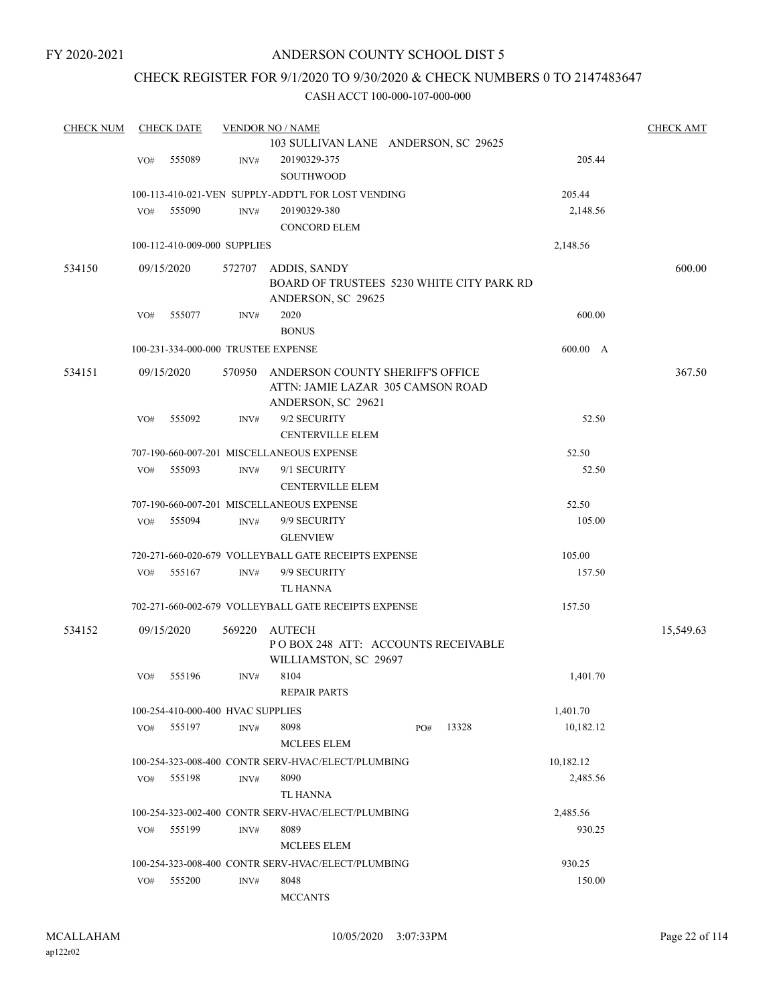## CHECK REGISTER FOR 9/1/2020 TO 9/30/2020 & CHECK NUMBERS 0 TO 2147483647

| <b>CHECK NUM</b> |     | <b>CHECK DATE</b>                   |        | <b>VENDOR NO / NAME</b>                              |     |       |           | <b>CHECK AMT</b> |
|------------------|-----|-------------------------------------|--------|------------------------------------------------------|-----|-------|-----------|------------------|
|                  |     |                                     |        | 103 SULLIVAN LANE ANDERSON, SC 29625                 |     |       |           |                  |
|                  | VO# | 555089                              | INV#   | 20190329-375                                         |     |       | 205.44    |                  |
|                  |     |                                     |        | <b>SOUTHWOOD</b>                                     |     |       |           |                  |
|                  |     |                                     |        | 100-113-410-021-VEN SUPPLY-ADDT'L FOR LOST VENDING   |     |       | 205.44    |                  |
|                  | VO# | 555090                              | INV#   | 20190329-380                                         |     |       | 2,148.56  |                  |
|                  |     |                                     |        | <b>CONCORD ELEM</b>                                  |     |       |           |                  |
|                  |     | 100-112-410-009-000 SUPPLIES        |        |                                                      |     |       | 2,148.56  |                  |
| 534150           |     | 09/15/2020                          | 572707 | ADDIS, SANDY                                         |     |       |           | 600.00           |
|                  |     |                                     |        | BOARD OF TRUSTEES 5230 WHITE CITY PARK RD            |     |       |           |                  |
|                  |     |                                     |        | ANDERSON, SC 29625                                   |     |       |           |                  |
|                  | VO# | 555077                              | INV#   | 2020                                                 |     |       | 600.00    |                  |
|                  |     |                                     |        | <b>BONUS</b>                                         |     |       |           |                  |
|                  |     | 100-231-334-000-000 TRUSTEE EXPENSE |        |                                                      |     |       | 600.00 A  |                  |
| 534151           |     | 09/15/2020                          | 570950 | ANDERSON COUNTY SHERIFF'S OFFICE                     |     |       |           | 367.50           |
|                  |     |                                     |        | ATTN: JAMIE LAZAR 305 CAMSON ROAD                    |     |       |           |                  |
|                  |     |                                     |        | ANDERSON, SC 29621                                   |     |       |           |                  |
|                  | VO# | 555092                              | INV#   | 9/2 SECURITY                                         |     |       | 52.50     |                  |
|                  |     |                                     |        | <b>CENTERVILLE ELEM</b>                              |     |       |           |                  |
|                  |     |                                     |        | 707-190-660-007-201 MISCELLANEOUS EXPENSE            |     |       | 52.50     |                  |
|                  | VO# | 555093                              | INV#   | 9/1 SECURITY                                         |     |       | 52.50     |                  |
|                  |     |                                     |        | <b>CENTERVILLE ELEM</b>                              |     |       |           |                  |
|                  |     |                                     |        | 707-190-660-007-201 MISCELLANEOUS EXPENSE            |     |       | 52.50     |                  |
|                  | VO# | 555094                              | INV#   | 9/9 SECURITY                                         |     |       | 105.00    |                  |
|                  |     |                                     |        | <b>GLENVIEW</b>                                      |     |       |           |                  |
|                  |     |                                     |        | 720-271-660-020-679 VOLLEYBALL GATE RECEIPTS EXPENSE |     |       | 105.00    |                  |
|                  | VO# | 555167                              | INV#   | 9/9 SECURITY                                         |     |       | 157.50    |                  |
|                  |     |                                     |        | TL HANNA                                             |     |       |           |                  |
|                  |     |                                     |        | 702-271-660-002-679 VOLLEYBALL GATE RECEIPTS EXPENSE |     |       | 157.50    |                  |
| 534152           |     | 09/15/2020                          | 569220 | AUTECH                                               |     |       |           | 15,549.63        |
|                  |     |                                     |        | POBOX 248 ATT: ACCOUNTS RECEIVABLE                   |     |       |           |                  |
|                  |     |                                     |        | WILLIAMSTON, SC 29697                                |     |       |           |                  |
|                  | VO# | 555196                              | INV#   | 8104                                                 |     |       | 1,401.70  |                  |
|                  |     |                                     |        | REPAIR PARTS                                         |     |       |           |                  |
|                  |     | 100-254-410-000-400 HVAC SUPPLIES   |        |                                                      |     |       | 1,401.70  |                  |
|                  | VO# | 555197                              | INV#   | 8098                                                 | PO# | 13328 | 10,182.12 |                  |
|                  |     |                                     |        | <b>MCLEES ELEM</b>                                   |     |       |           |                  |
|                  |     |                                     |        | 100-254-323-008-400 CONTR SERV-HVAC/ELECT/PLUMBING   |     |       | 10,182.12 |                  |
|                  | VO# | 555198                              | INV#   | 8090                                                 |     |       | 2,485.56  |                  |
|                  |     |                                     |        | TL HANNA                                             |     |       |           |                  |
|                  |     |                                     |        | 100-254-323-002-400 CONTR SERV-HVAC/ELECT/PLUMBING   |     |       | 2,485.56  |                  |
|                  | VO# | 555199                              | INV#   | 8089                                                 |     |       | 930.25    |                  |
|                  |     |                                     |        | <b>MCLEES ELEM</b>                                   |     |       |           |                  |
|                  |     |                                     |        | 100-254-323-008-400 CONTR SERV-HVAC/ELECT/PLUMBING   |     |       | 930.25    |                  |
|                  | VO# | 555200                              | INV#   | 8048                                                 |     |       | 150.00    |                  |
|                  |     |                                     |        | <b>MCCANTS</b>                                       |     |       |           |                  |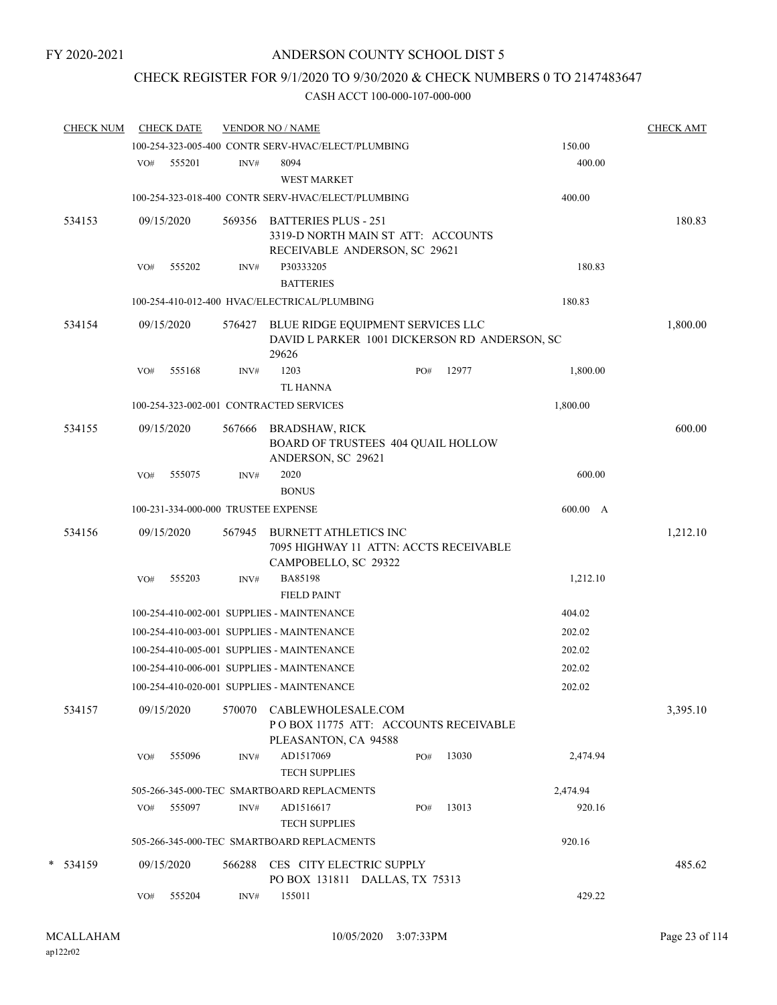## CHECK REGISTER FOR 9/1/2020 TO 9/30/2020 & CHECK NUMBERS 0 TO 2147483647

| <b>CHECK NUM</b> |     | <b>CHECK DATE</b>                   |        | <b>VENDOR NO / NAME</b>                                                                            |     |       |          | <b>CHECK AMT</b> |
|------------------|-----|-------------------------------------|--------|----------------------------------------------------------------------------------------------------|-----|-------|----------|------------------|
|                  |     |                                     |        | 100-254-323-005-400 CONTR SERV-HVAC/ELECT/PLUMBING                                                 |     |       | 150.00   |                  |
|                  | VO# | 555201                              | INV#   | 8094<br><b>WEST MARKET</b>                                                                         |     |       | 400.00   |                  |
|                  |     |                                     |        | 100-254-323-018-400 CONTR SERV-HVAC/ELECT/PLUMBING                                                 |     |       | 400.00   |                  |
| 534153           |     | 09/15/2020                          |        | 569356 BATTERIES PLUS - 251<br>3319-D NORTH MAIN ST ATT: ACCOUNTS<br>RECEIVABLE ANDERSON, SC 29621 |     |       |          | 180.83           |
|                  | VO# | 555202                              | INV#   | P30333205<br><b>BATTERIES</b>                                                                      |     |       | 180.83   |                  |
|                  |     |                                     |        | 100-254-410-012-400 HVAC/ELECTRICAL/PLUMBING                                                       |     |       | 180.83   |                  |
| 534154           |     | 09/15/2020                          | 576427 | BLUE RIDGE EQUIPMENT SERVICES LLC<br>DAVID L PARKER 1001 DICKERSON RD ANDERSON, SC<br>29626        |     |       |          | 1,800.00         |
|                  | VO# | 555168                              | INV#   | 1203<br><b>TL HANNA</b>                                                                            | PO# | 12977 | 1,800.00 |                  |
|                  |     |                                     |        | 100-254-323-002-001 CONTRACTED SERVICES                                                            |     |       | 1,800.00 |                  |
| 534155           |     | 09/15/2020                          | 567666 | <b>BRADSHAW, RICK</b><br>BOARD OF TRUSTEES 404 QUAIL HOLLOW<br>ANDERSON, SC 29621                  |     |       |          | 600.00           |
|                  | VO# | 555075                              | INV#   | 2020<br><b>BONUS</b>                                                                               |     |       | 600.00   |                  |
|                  |     | 100-231-334-000-000 TRUSTEE EXPENSE |        |                                                                                                    |     |       | 600.00 A |                  |
| 534156           |     | 09/15/2020                          | 567945 | <b>BURNETT ATHLETICS INC</b><br>7095 HIGHWAY 11 ATTN: ACCTS RECEIVABLE                             |     |       |          | 1,212.10         |
|                  | VO# | 555203                              | INV#   | CAMPOBELLO, SC 29322<br><b>BA85198</b><br><b>FIELD PAINT</b>                                       |     |       | 1,212.10 |                  |
|                  |     |                                     |        | 100-254-410-002-001 SUPPLIES - MAINTENANCE                                                         |     |       | 404.02   |                  |
|                  |     |                                     |        | 100-254-410-003-001 SUPPLIES - MAINTENANCE                                                         |     |       | 202.02   |                  |
|                  |     |                                     |        | 100-254-410-005-001 SUPPLIES - MAINTENANCE                                                         |     |       | 202.02   |                  |
|                  |     |                                     |        | 100-254-410-006-001 SUPPLIES - MAINTENANCE                                                         |     |       | 202.02   |                  |
|                  |     |                                     |        | 100-254-410-020-001 SUPPLIES - MAINTENANCE                                                         |     |       | 202.02   |                  |
| 534157           |     | 09/15/2020                          | 570070 | CABLEWHOLESALE.COM<br>PO BOX 11775 ATT: ACCOUNTS RECEIVABLE<br>PLEASANTON, CA 94588                |     |       |          | 3,395.10         |
|                  | VO# | 555096                              | INV#   | AD1517069<br><b>TECH SUPPLIES</b>                                                                  | PO# | 13030 | 2,474.94 |                  |
|                  |     |                                     |        | 505-266-345-000-TEC SMARTBOARD REPLACMENTS                                                         |     |       | 2,474.94 |                  |
|                  | VO# | 555097                              | INV#   | AD1516617<br><b>TECH SUPPLIES</b>                                                                  | PO# | 13013 | 920.16   |                  |
|                  |     |                                     |        | 505-266-345-000-TEC SMARTBOARD REPLACMENTS                                                         |     |       | 920.16   |                  |
| $*$ 534159       |     | 09/15/2020                          | 566288 | CES CITY ELECTRIC SUPPLY                                                                           |     |       |          | 485.62           |
|                  | VO# | 555204                              | INV#   | PO BOX 131811 DALLAS, TX 75313<br>155011                                                           |     |       | 429.22   |                  |
|                  |     |                                     |        |                                                                                                    |     |       |          |                  |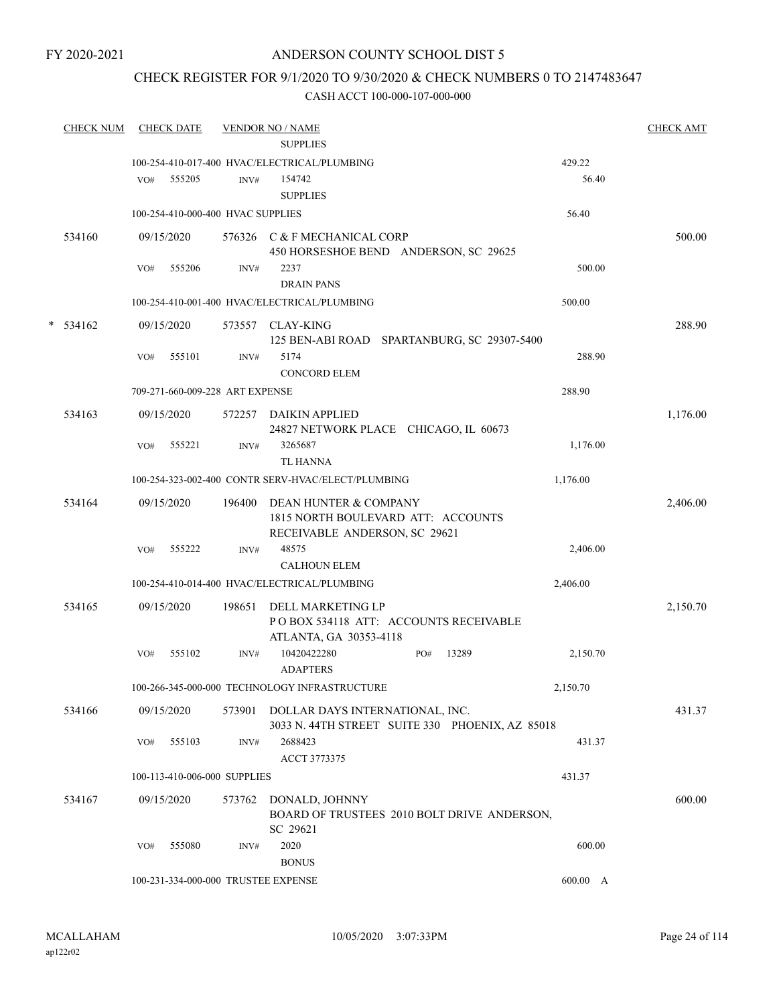## ANDERSON COUNTY SCHOOL DIST 5

## CHECK REGISTER FOR 9/1/2020 TO 9/30/2020 & CHECK NUMBERS 0 TO 2147483647

|   | <b>CHECK NUM</b> |     | <b>CHECK DATE</b> |                                   | <b>VENDOR NO / NAME</b><br><b>SUPPLIES</b>                 |     |       |          | <b>CHECK AMT</b> |
|---|------------------|-----|-------------------|-----------------------------------|------------------------------------------------------------|-----|-------|----------|------------------|
|   |                  |     |                   |                                   | 100-254-410-017-400 HVAC/ELECTRICAL/PLUMBING               |     |       | 429.22   |                  |
|   |                  | VO# | 555205            | INV#                              | 154742                                                     |     |       | 56.40    |                  |
|   |                  |     |                   |                                   | <b>SUPPLIES</b>                                            |     |       |          |                  |
|   |                  |     |                   | 100-254-410-000-400 HVAC SUPPLIES |                                                            |     |       | 56.40    |                  |
|   | 534160           |     | 09/15/2020        |                                   | 576326 C & F MECHANICAL CORP                               |     |       |          | 500.00           |
|   |                  |     |                   |                                   | 450 HORSESHOE BEND ANDERSON, SC 29625                      |     |       |          |                  |
|   |                  | VO# | 555206            | INV#                              | 2237                                                       |     |       | 500.00   |                  |
|   |                  |     |                   |                                   | <b>DRAIN PANS</b>                                          |     |       |          |                  |
|   |                  |     |                   |                                   | 100-254-410-001-400 HVAC/ELECTRICAL/PLUMBING               |     |       | 500.00   |                  |
| * | 534162           |     | 09/15/2020        | 573557                            | CLAY-KING                                                  |     |       |          | 288.90           |
|   |                  |     |                   |                                   | 125 BEN-ABI ROAD SPARTANBURG, SC 29307-5400                |     |       |          |                  |
|   |                  | VO# | 555101            | INV#                              | 5174                                                       |     |       | 288.90   |                  |
|   |                  |     |                   |                                   | <b>CONCORD ELEM</b>                                        |     |       |          |                  |
|   |                  |     |                   | 709-271-660-009-228 ART EXPENSE   |                                                            |     |       | 288.90   |                  |
|   | 534163           |     | 09/15/2020        |                                   | 572257 DAIKIN APPLIED                                      |     |       |          | 1,176.00         |
|   |                  |     |                   |                                   | 24827 NETWORK PLACE CHICAGO, IL 60673                      |     |       |          |                  |
|   |                  | VO# | 555221            | INV#                              | 3265687                                                    |     |       | 1,176.00 |                  |
|   |                  |     |                   |                                   | <b>TL HANNA</b>                                            |     |       |          |                  |
|   |                  |     |                   |                                   | 100-254-323-002-400 CONTR SERV-HVAC/ELECT/PLUMBING         |     |       | 1,176.00 |                  |
|   | 534164           |     | 09/15/2020        | 196400                            | DEAN HUNTER & COMPANY                                      |     |       |          | 2,406.00         |
|   |                  |     |                   |                                   | 1815 NORTH BOULEVARD ATT: ACCOUNTS                         |     |       |          |                  |
|   |                  |     |                   |                                   | RECEIVABLE ANDERSON, SC 29621                              |     |       |          |                  |
|   |                  | VO# | 555222            | INV#                              | 48575                                                      |     |       | 2,406.00 |                  |
|   |                  |     |                   |                                   | <b>CALHOUN ELEM</b>                                        |     |       |          |                  |
|   |                  |     |                   |                                   | 100-254-410-014-400 HVAC/ELECTRICAL/PLUMBING               |     |       | 2,406.00 |                  |
|   | 534165           |     | 09/15/2020        | 198651                            | DELL MARKETING LP                                          |     |       |          | 2,150.70         |
|   |                  |     |                   |                                   | POBOX 534118 ATT: ACCOUNTS RECEIVABLE                      |     |       |          |                  |
|   |                  |     |                   |                                   | ATLANTA, GA 30353-4118                                     |     | 13289 |          |                  |
|   |                  | VO# | 555102            | INV#                              | 10420422280<br><b>ADAPTERS</b>                             | PO# |       | 2,150.70 |                  |
|   |                  |     |                   |                                   | 100-266-345-000-000 TECHNOLOGY INFRASTRUCTURE              |     |       | 2,150.70 |                  |
|   |                  |     |                   |                                   |                                                            |     |       |          |                  |
|   | 534166           |     | 09/15/2020        |                                   | 573901 DOLLAR DAYS INTERNATIONAL, INC.                     |     |       |          | 431.37           |
|   |                  | VO# | 555103            | INV#                              | 3033 N. 44TH STREET SUITE 330 PHOENIX, AZ 85018<br>2688423 |     |       | 431.37   |                  |
|   |                  |     |                   |                                   | ACCT 3773375                                               |     |       |          |                  |
|   |                  |     |                   | 100-113-410-006-000 SUPPLIES      |                                                            |     |       | 431.37   |                  |
|   |                  |     |                   |                                   |                                                            |     |       |          |                  |
|   | 534167           |     | 09/15/2020        | 573762                            | DONALD, JOHNNY                                             |     |       |          | 600.00           |
|   |                  |     |                   |                                   | BOARD OF TRUSTEES 2010 BOLT DRIVE ANDERSON,<br>SC 29621    |     |       |          |                  |
|   |                  | VO# | 555080            | INV#                              | 2020                                                       |     |       | 600.00   |                  |
|   |                  |     |                   |                                   | <b>BONUS</b>                                               |     |       |          |                  |
|   |                  |     |                   |                                   | 100-231-334-000-000 TRUSTEE EXPENSE                        |     |       | 600.00 A |                  |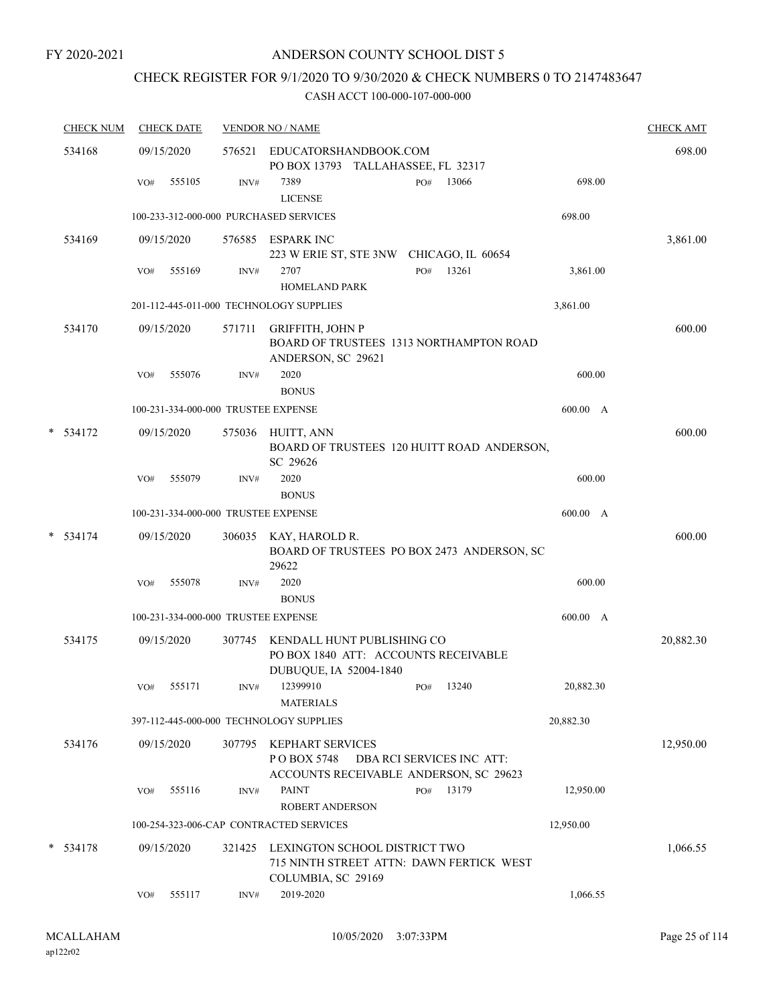## CHECK REGISTER FOR 9/1/2020 TO 9/30/2020 & CHECK NUMBERS 0 TO 2147483647

| <b>CHECK NUM</b> | <b>CHECK DATE</b>                   |        | <b>VENDOR NO / NAME</b>                                                                         |                           |           | <b>CHECK AMT</b> |
|------------------|-------------------------------------|--------|-------------------------------------------------------------------------------------------------|---------------------------|-----------|------------------|
| 534168           | 09/15/2020                          | 576521 | EDUCATORSHANDBOOK.COM<br>PO BOX 13793 TALLAHASSEE, FL 32317                                     |                           |           | 698.00           |
|                  | 555105<br>VO#                       | INV#   | 7389<br><b>LICENSE</b>                                                                          | 13066<br>PO#              | 698.00    |                  |
|                  |                                     |        | 100-233-312-000-000 PURCHASED SERVICES                                                          |                           | 698.00    |                  |
| 534169           | 09/15/2020                          | 576585 | ESPARK INC<br>223 W ERIE ST, STE 3NW CHICAGO, IL 60654                                          |                           |           | 3,861.00         |
|                  | 555169<br>VO#                       | INV#   | 2707<br><b>HOMELAND PARK</b>                                                                    | 13261<br>PO#              | 3,861.00  |                  |
|                  |                                     |        | 201-112-445-011-000 TECHNOLOGY SUPPLIES                                                         |                           | 3,861.00  |                  |
| 534170           | 09/15/2020                          | 571711 | <b>GRIFFITH, JOHN P</b><br>BOARD OF TRUSTEES 1313 NORTHAMPTON ROAD<br>ANDERSON, SC 29621        |                           |           | 600.00           |
|                  | 555076<br>VO#                       | INV#   | 2020<br><b>BONUS</b>                                                                            |                           | 600.00    |                  |
|                  | 100-231-334-000-000 TRUSTEE EXPENSE |        |                                                                                                 |                           | 600.00 A  |                  |
| $*$ 534172       | 09/15/2020                          | 575036 | HUITT, ANN<br>BOARD OF TRUSTEES 120 HUITT ROAD ANDERSON,<br>SC 29626                            |                           |           | 600.00           |
|                  | 555079<br>VO#                       | INV#   | 2020<br><b>BONUS</b>                                                                            |                           | 600.00    |                  |
|                  | 100-231-334-000-000 TRUSTEE EXPENSE |        |                                                                                                 |                           | 600.00 A  |                  |
| $*$ 534174       | 09/15/2020                          | 306035 | KAY, HAROLD R.<br>BOARD OF TRUSTEES PO BOX 2473 ANDERSON, SC<br>29622                           |                           |           | 600.00           |
|                  | 555078<br>VO#                       | INV#   | 2020<br><b>BONUS</b>                                                                            |                           | 600.00    |                  |
|                  | 100-231-334-000-000 TRUSTEE EXPENSE |        |                                                                                                 |                           | 600.00 A  |                  |
| 534175           | 09/15/2020                          | 307745 | KENDALL HUNT PUBLISHING CO<br>PO BOX 1840 ATT: ACCOUNTS RECEIVABLE<br>DUBUQUE, IA 52004-1840    |                           |           | 20,882.30        |
|                  | 555171<br>VO#                       | INV#   | 12399910<br><b>MATERIALS</b>                                                                    | 13240<br>PO#              | 20,882.30 |                  |
|                  |                                     |        | 397-112-445-000-000 TECHNOLOGY SUPPLIES                                                         |                           | 20,882.30 |                  |
| 534176           | 09/15/2020                          | 307795 | KEPHART SERVICES<br>PO BOX 5748<br>ACCOUNTS RECEIVABLE ANDERSON, SC 29623                       | DBA RCI SERVICES INC ATT: |           | 12,950.00        |
|                  | 555116<br>VO#                       | INV#   | <b>PAINT</b><br><b>ROBERT ANDERSON</b>                                                          | 13179<br>PO#              | 12,950.00 |                  |
|                  |                                     |        | 100-254-323-006-CAP CONTRACTED SERVICES                                                         |                           | 12,950.00 |                  |
| $* 534178$       | 09/15/2020                          | 321425 | LEXINGTON SCHOOL DISTRICT TWO<br>715 NINTH STREET ATTN: DAWN FERTICK WEST<br>COLUMBIA, SC 29169 |                           |           | 1,066.55         |
|                  | 555117<br>VO#                       | INV#   | 2019-2020                                                                                       |                           | 1,066.55  |                  |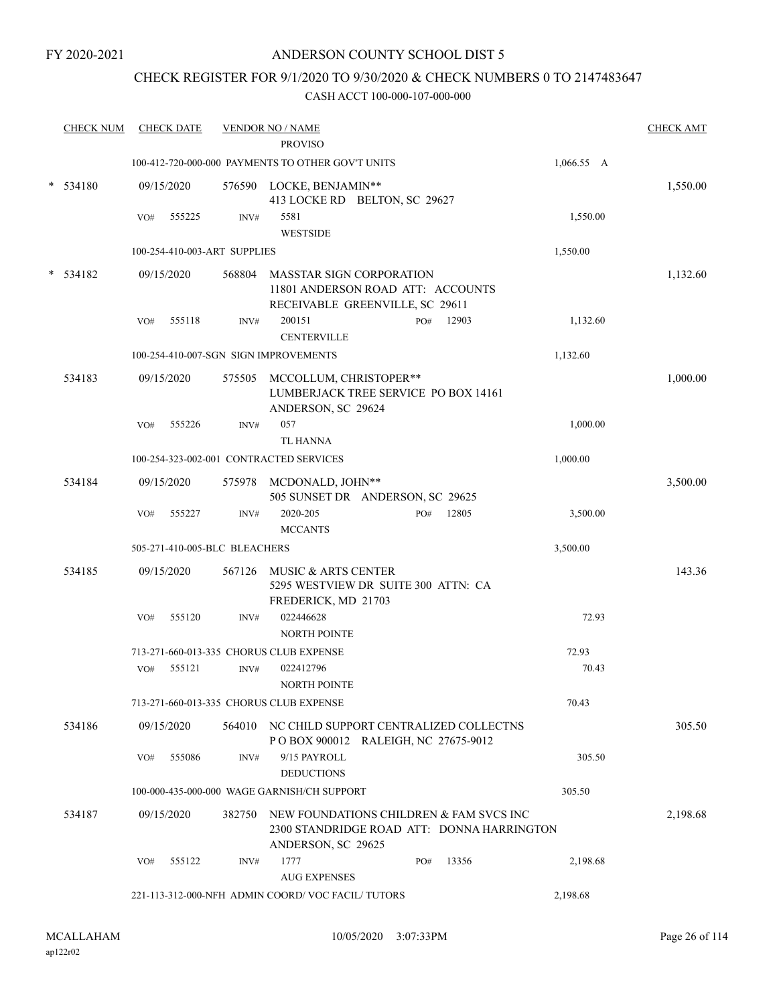## ANDERSON COUNTY SCHOOL DIST 5

## CHECK REGISTER FOR 9/1/2020 TO 9/30/2020 & CHECK NUMBERS 0 TO 2147483647

| <b>CHECK NUM</b> |     | <b>CHECK DATE</b> |                               | <b>VENDOR NO / NAME</b><br><b>PROVISO</b>                                                                          |     |       |            | <b>CHECK AMT</b> |
|------------------|-----|-------------------|-------------------------------|--------------------------------------------------------------------------------------------------------------------|-----|-------|------------|------------------|
|                  |     |                   |                               | 100-412-720-000-000 PAYMENTS TO OTHER GOV'T UNITS                                                                  |     |       | 1,066.55 A |                  |
|                  |     |                   |                               |                                                                                                                    |     |       |            |                  |
| $*$ 534180       |     | 09/15/2020        |                               | 576590 LOCKE, BENJAMIN**<br>413 LOCKE RD BELTON, SC 29627                                                          |     |       |            | 1,550.00         |
|                  | VO# | 555225            | INV#                          | 5581<br><b>WESTSIDE</b>                                                                                            |     |       | 1,550.00   |                  |
|                  |     |                   | 100-254-410-003-ART SUPPLIES  |                                                                                                                    |     |       | 1,550.00   |                  |
| * 534182         |     | 09/15/2020        | 568804                        | MASSTAR SIGN CORPORATION<br>11801 ANDERSON ROAD ATT: ACCOUNTS<br>RECEIVABLE GREENVILLE, SC 29611                   |     |       |            | 1,132.60         |
|                  | VO# | 555118            | INV#                          | 200151<br><b>CENTERVILLE</b>                                                                                       | PO# | 12903 | 1,132.60   |                  |
|                  |     |                   |                               | 100-254-410-007-SGN SIGN IMPROVEMENTS                                                                              |     |       | 1,132.60   |                  |
| 534183           |     | 09/15/2020        |                               | 575505 MCCOLLUM, CHRISTOPER**<br>LUMBERJACK TREE SERVICE PO BOX 14161<br>ANDERSON, SC 29624                        |     |       |            | 1,000.00         |
|                  | VO# | 555226            | INV#                          | 057<br><b>TL HANNA</b>                                                                                             |     |       | 1,000.00   |                  |
|                  |     |                   |                               | 100-254-323-002-001 CONTRACTED SERVICES                                                                            |     |       | 1,000.00   |                  |
| 534184           |     | 09/15/2020        | 575978                        | MCDONALD, JOHN**<br>505 SUNSET DR ANDERSON, SC 29625                                                               |     |       |            | 3,500.00         |
|                  | VO# | 555227            | INV#                          | 2020-205<br><b>MCCANTS</b>                                                                                         | PO# | 12805 | 3,500.00   |                  |
|                  |     |                   | 505-271-410-005-BLC BLEACHERS |                                                                                                                    |     |       | 3,500.00   |                  |
| 534185           |     | 09/15/2020        |                               | 567126 MUSIC & ARTS CENTER<br>5295 WESTVIEW DR SUITE 300 ATTN: CA<br>FREDERICK, MD 21703                           |     |       |            | 143.36           |
|                  | VO# | 555120            | INV#                          | 022446628<br><b>NORTH POINTE</b>                                                                                   |     |       | 72.93      |                  |
|                  |     |                   |                               | 713-271-660-013-335 CHORUS CLUB EXPENSE                                                                            |     |       | 72.93      |                  |
|                  | VO# | 555121            | INV#                          | 022412796<br><b>NORTH POINTE</b>                                                                                   |     |       | 70.43      |                  |
|                  |     |                   |                               | 713-271-660-013-335 CHORUS CLUB EXPENSE                                                                            |     |       | 70.43      |                  |
| 534186           |     | 09/15/2020        |                               | 564010 NC CHILD SUPPORT CENTRALIZED COLLECTNS<br>POBOX 900012 RALEIGH, NC 27675-9012                               |     |       |            | 305.50           |
|                  | VO# | 555086            | INV#                          | 9/15 PAYROLL<br><b>DEDUCTIONS</b>                                                                                  |     |       | 305.50     |                  |
|                  |     |                   |                               | 100-000-435-000-000 WAGE GARNISH/CH SUPPORT                                                                        |     |       | 305.50     |                  |
| 534187           |     | 09/15/2020        |                               | 382750 NEW FOUNDATIONS CHILDREN & FAM SVCS INC<br>2300 STANDRIDGE ROAD ATT: DONNA HARRINGTON<br>ANDERSON, SC 29625 |     |       |            | 2,198.68         |
|                  | VO# | 555122            | INV#                          | 1777<br><b>AUG EXPENSES</b>                                                                                        | PO# | 13356 | 2,198.68   |                  |
|                  |     |                   |                               | 221-113-312-000-NFH ADMIN COORD/VOC FACIL/TUTORS                                                                   |     |       | 2,198.68   |                  |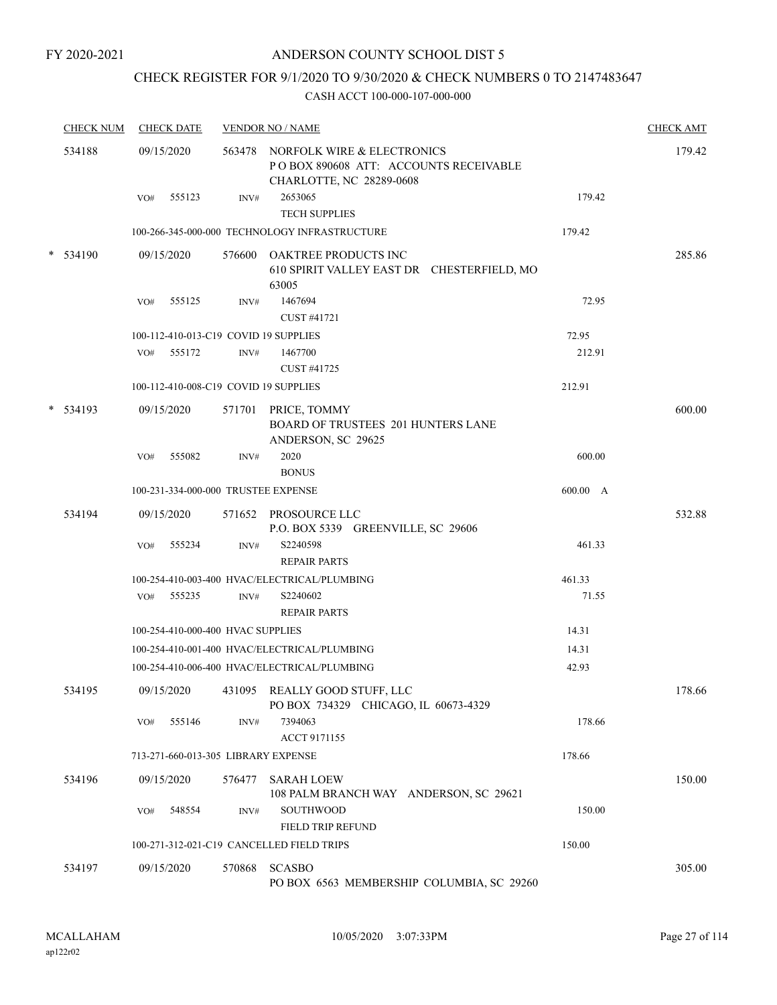## CHECK REGISTER FOR 9/1/2020 TO 9/30/2020 & CHECK NUMBERS 0 TO 2147483647

| <b>CHECK NUM</b> |     | <b>CHECK DATE</b> |                                   | <b>VENDOR NO / NAME</b>                                                                                 |          | <b>CHECK AMT</b> |
|------------------|-----|-------------------|-----------------------------------|---------------------------------------------------------------------------------------------------------|----------|------------------|
| 534188           |     | 09/15/2020        |                                   | 563478 NORFOLK WIRE & ELECTRONICS<br>PO BOX 890608 ATT: ACCOUNTS RECEIVABLE<br>CHARLOTTE, NC 28289-0608 |          | 179.42           |
|                  | VO# | 555123            | INV#                              | 2653065<br><b>TECH SUPPLIES</b>                                                                         | 179.42   |                  |
|                  |     |                   |                                   | 100-266-345-000-000 TECHNOLOGY INFRASTRUCTURE                                                           | 179.42   |                  |
| * 534190         |     | 09/15/2020        |                                   | 576600 OAKTREE PRODUCTS INC<br>610 SPIRIT VALLEY EAST DR CHESTERFIELD, MO<br>63005                      |          | 285.86           |
|                  | VO# | 555125            | INV#                              | 1467694<br>CUST #41721                                                                                  | 72.95    |                  |
|                  |     |                   |                                   | 100-112-410-013-C19 COVID 19 SUPPLIES                                                                   | 72.95    |                  |
|                  |     | VO# 555172        | INV#                              | 1467700<br>CUST #41725                                                                                  | 212.91   |                  |
|                  |     |                   |                                   | 100-112-410-008-C19 COVID 19 SUPPLIES                                                                   | 212.91   |                  |
| * 534193         |     | 09/15/2020        |                                   | 571701 PRICE, TOMMY<br><b>BOARD OF TRUSTEES 201 HUNTERS LANE</b><br>ANDERSON, SC 29625                  |          | 600.00           |
|                  | VO# | 555082            | INV#                              | 2020<br><b>BONUS</b>                                                                                    | 600.00   |                  |
|                  |     |                   |                                   | 100-231-334-000-000 TRUSTEE EXPENSE                                                                     | 600.00 A |                  |
| 534194           |     | 09/15/2020        |                                   | 571652 PROSOURCE LLC<br>P.O. BOX 5339 GREENVILLE, SC 29606                                              |          | 532.88           |
|                  | VO# | 555234            | INV#                              | S2240598<br><b>REPAIR PARTS</b>                                                                         | 461.33   |                  |
|                  |     |                   |                                   | 100-254-410-003-400 HVAC/ELECTRICAL/PLUMBING                                                            | 461.33   |                  |
|                  |     | VO# 555235        | INV#                              | S2240602<br><b>REPAIR PARTS</b>                                                                         | 71.55    |                  |
|                  |     |                   | 100-254-410-000-400 HVAC SUPPLIES |                                                                                                         | 14.31    |                  |
|                  |     |                   |                                   | 100-254-410-001-400 HVAC/ELECTRICAL/PLUMBING                                                            | 14.31    |                  |
|                  |     |                   |                                   | 100-254-410-006-400 HVAC/ELECTRICAL/PLUMBING                                                            | 42.93    |                  |
| 534195           |     |                   |                                   | 09/15/2020 431095 REALLY GOOD STUFF, LLC<br>PO BOX 734329 CHICAGO, IL 60673-4329                        |          | 178.66           |
|                  | VO# | 555146            | INV#                              | 7394063<br>ACCT 9171155                                                                                 | 178.66   |                  |
|                  |     |                   |                                   | 713-271-660-013-305 LIBRARY EXPENSE                                                                     | 178.66   |                  |
| 534196           |     | 09/15/2020        | 576477                            | <b>SARAH LOEW</b><br>108 PALM BRANCH WAY ANDERSON, SC 29621                                             |          | 150.00           |
|                  | VO# | 548554            | INV#                              | SOUTHWOOD<br>FIELD TRIP REFUND                                                                          | 150.00   |                  |
|                  |     |                   |                                   | 100-271-312-021-C19 CANCELLED FIELD TRIPS                                                               | 150.00   |                  |
| 534197           |     | 09/15/2020        | 570868                            | <b>SCASBO</b>                                                                                           |          | 305.00           |
|                  |     |                   |                                   | PO BOX 6563 MEMBERSHIP COLUMBIA, SC 29260                                                               |          |                  |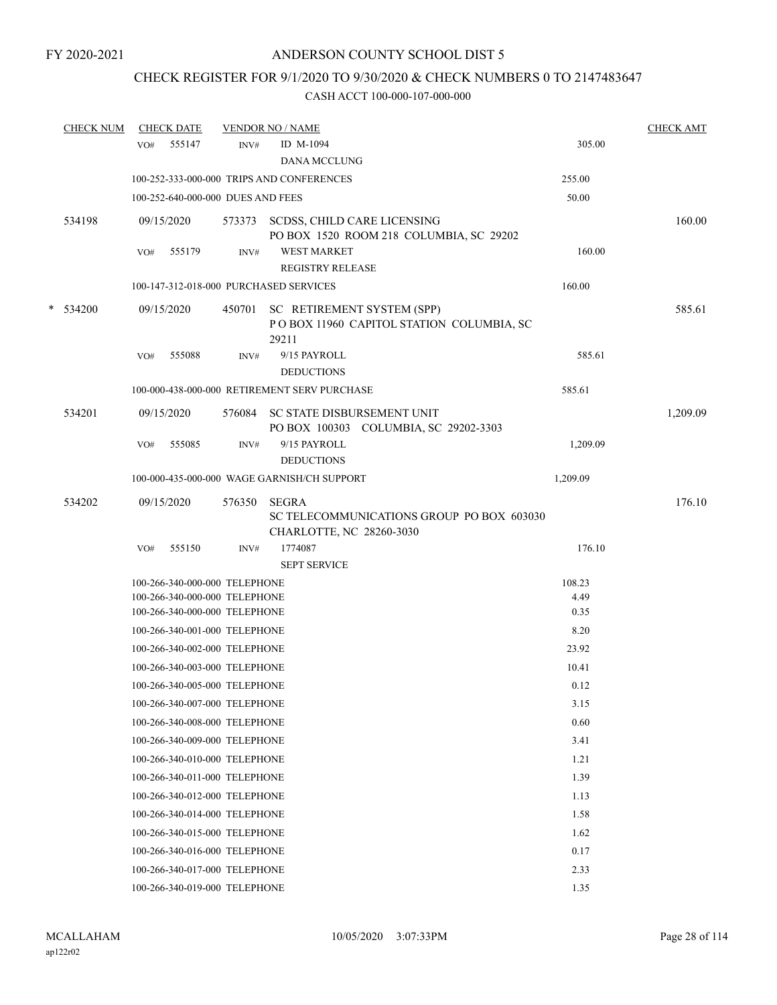## CHECK REGISTER FOR 9/1/2020 TO 9/30/2020 & CHECK NUMBERS 0 TO 2147483647

|   | <b>CHECK NUM</b> |     | <b>CHECK DATE</b>                                              |        | <b>VENDOR NO / NAME</b>                                                               |              | <b>CHECK AMT</b> |
|---|------------------|-----|----------------------------------------------------------------|--------|---------------------------------------------------------------------------------------|--------------|------------------|
|   |                  | VO# | 555147                                                         | INV#   | ID M-1094<br><b>DANA MCCLUNG</b>                                                      | 305.00       |                  |
|   |                  |     |                                                                |        | 100-252-333-000-000 TRIPS AND CONFERENCES                                             | 255.00       |                  |
|   |                  |     | 100-252-640-000-000 DUES AND FEES                              |        |                                                                                       | 50.00        |                  |
|   | 534198           |     | 09/15/2020                                                     | 573373 | SCDSS, CHILD CARE LICENSING<br>PO BOX 1520 ROOM 218 COLUMBIA, SC 29202                |              | 160.00           |
|   |                  | VO# | 555179                                                         | INV#   | <b>WEST MARKET</b><br><b>REGISTRY RELEASE</b>                                         | 160.00       |                  |
|   |                  |     |                                                                |        | 100-147-312-018-000 PURCHASED SERVICES                                                | 160.00       |                  |
| * | 534200           |     | 09/15/2020                                                     | 450701 | SC RETIREMENT SYSTEM (SPP)<br>POBOX 11960 CAPITOL STATION COLUMBIA, SC<br>29211       |              | 585.61           |
|   |                  | VO# | 555088                                                         | INV#   | 9/15 PAYROLL<br><b>DEDUCTIONS</b>                                                     | 585.61       |                  |
|   |                  |     |                                                                |        | 100-000-438-000-000 RETIREMENT SERV PURCHASE                                          | 585.61       |                  |
|   | 534201           |     | 09/15/2020                                                     |        | 576084 SC STATE DISBURSEMENT UNIT<br>PO BOX 100303 COLUMBIA, SC 29202-3303            |              | 1,209.09         |
|   |                  | VO# | 555085                                                         | INV#   | 9/15 PAYROLL<br><b>DEDUCTIONS</b>                                                     | 1,209.09     |                  |
|   |                  |     |                                                                |        | 100-000-435-000-000 WAGE GARNISH/CH SUPPORT                                           | 1,209.09     |                  |
|   | 534202           |     | 09/15/2020                                                     | 576350 | <b>SEGRA</b><br>SC TELECOMMUNICATIONS GROUP PO BOX 603030<br>CHARLOTTE, NC 28260-3030 |              | 176.10           |
|   |                  | VO# | 555150                                                         | INV#   | 1774087<br><b>SEPT SERVICE</b>                                                        | 176.10       |                  |
|   |                  |     | 100-266-340-000-000 TELEPHONE                                  |        |                                                                                       | 108.23       |                  |
|   |                  |     | 100-266-340-000-000 TELEPHONE<br>100-266-340-000-000 TELEPHONE |        |                                                                                       | 4.49<br>0.35 |                  |
|   |                  |     | 100-266-340-001-000 TELEPHONE                                  |        |                                                                                       | 8.20         |                  |
|   |                  |     | 100-266-340-002-000 TELEPHONE                                  |        |                                                                                       | 23.92        |                  |
|   |                  |     | 100-266-340-003-000 TELEPHONE                                  |        |                                                                                       | 10.41        |                  |
|   |                  |     | 100-266-340-005-000 TELEPHONE                                  |        |                                                                                       | 0.12         |                  |
|   |                  |     | 100-266-340-007-000 TELEPHONE                                  |        |                                                                                       | 3.15         |                  |
|   |                  |     | 100-266-340-008-000 TELEPHONE                                  |        |                                                                                       | 0.60         |                  |
|   |                  |     | 100-266-340-009-000 TELEPHONE                                  |        |                                                                                       | 3.41         |                  |
|   |                  |     | 100-266-340-010-000 TELEPHONE                                  |        |                                                                                       | 1.21         |                  |
|   |                  |     | 100-266-340-011-000 TELEPHONE                                  |        |                                                                                       | 1.39         |                  |
|   |                  |     | 100-266-340-012-000 TELEPHONE                                  |        |                                                                                       | 1.13         |                  |
|   |                  |     | 100-266-340-014-000 TELEPHONE                                  |        |                                                                                       | 1.58         |                  |
|   |                  |     | 100-266-340-015-000 TELEPHONE                                  |        |                                                                                       | 1.62         |                  |
|   |                  |     | 100-266-340-016-000 TELEPHONE                                  |        |                                                                                       | 0.17         |                  |
|   |                  |     | 100-266-340-017-000 TELEPHONE                                  |        |                                                                                       | 2.33         |                  |
|   |                  |     | 100-266-340-019-000 TELEPHONE                                  |        |                                                                                       | 1.35         |                  |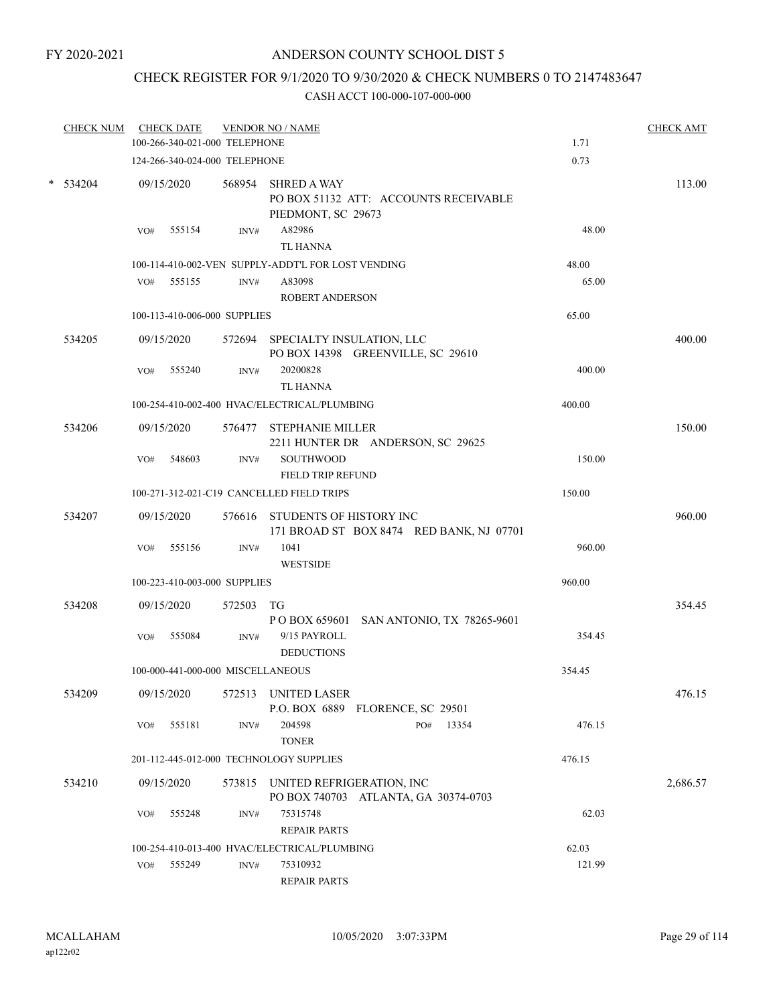## CHECK REGISTER FOR 9/1/2020 TO 9/30/2020 & CHECK NUMBERS 0 TO 2147483647

| <b>CHECK NUM</b> |     | <b>CHECK DATE</b><br>100-266-340-021-000 TELEPHONE |           | <b>VENDOR NO / NAME</b>                                                           | 1.71   | <b>CHECK AMT</b> |
|------------------|-----|----------------------------------------------------|-----------|-----------------------------------------------------------------------------------|--------|------------------|
|                  |     |                                                    |           |                                                                                   |        |                  |
|                  |     | 124-266-340-024-000 TELEPHONE                      |           |                                                                                   | 0.73   |                  |
| $*$ 534204       |     | 09/15/2020                                         |           | 568954 SHRED A WAY<br>PO BOX 51132 ATT: ACCOUNTS RECEIVABLE<br>PIEDMONT, SC 29673 |        | 113.00           |
|                  | VO# | 555154                                             | INV#      | A82986                                                                            | 48.00  |                  |
|                  |     |                                                    |           | <b>TL HANNA</b>                                                                   |        |                  |
|                  |     |                                                    |           | 100-114-410-002-VEN SUPPLY-ADDT'L FOR LOST VENDING                                | 48.00  |                  |
|                  | VO# | 555155                                             | INV#      | A83098<br><b>ROBERT ANDERSON</b>                                                  | 65.00  |                  |
|                  |     | 100-113-410-006-000 SUPPLIES                       |           | 65.00                                                                             |        |                  |
| 534205           |     | 09/15/2020                                         |           | 572694 SPECIALTY INSULATION, LLC<br>PO BOX 14398 GREENVILLE, SC 29610             |        | 400.00           |
|                  | VO# | 555240                                             | INV#      | 20200828<br><b>TL HANNA</b>                                                       | 400.00 |                  |
|                  |     |                                                    |           | 100-254-410-002-400 HVAC/ELECTRICAL/PLUMBING                                      | 400.00 |                  |
| 534206           |     | 09/15/2020                                         |           | 576477 STEPHANIE MILLER<br>2211 HUNTER DR ANDERSON, SC 29625                      |        | 150.00           |
|                  | VO# | 548603                                             | INV#      | <b>SOUTHWOOD</b><br>FIELD TRIP REFUND                                             | 150.00 |                  |
|                  |     |                                                    |           | 100-271-312-021-C19 CANCELLED FIELD TRIPS                                         | 150.00 |                  |
| 534207           |     | 09/15/2020                                         |           | 576616 STUDENTS OF HISTORY INC<br>171 BROAD ST BOX 8474 RED BANK, NJ 07701        |        | 960.00           |
|                  | VO# | 555156                                             | INV#      | 1041<br><b>WESTSIDE</b>                                                           | 960.00 |                  |
|                  |     | 100-223-410-003-000 SUPPLIES                       |           |                                                                                   | 960.00 |                  |
| 534208           |     | 09/15/2020                                         | 572503 TG | P O BOX 659601 SAN ANTONIO, TX 78265-9601                                         |        | 354.45           |
|                  | VO# | 555084                                             | INV#      | 9/15 PAYROLL<br><b>DEDUCTIONS</b>                                                 | 354.45 |                  |
|                  |     | 100-000-441-000-000 MISCELLANEOUS                  |           |                                                                                   | 354.45 |                  |
| 534209           |     | 09/15/2020                                         | 572513    | <b>UNITED LASER</b><br>P.O. BOX 6889 FLORENCE, SC 29501                           |        | 476.15           |
|                  | VO# | 555181                                             | INV#      | 204598<br>PO#<br>13354<br><b>TONER</b>                                            | 476.15 |                  |
|                  |     |                                                    |           | 201-112-445-012-000 TECHNOLOGY SUPPLIES                                           | 476.15 |                  |
| 534210           |     | 09/15/2020                                         |           | 573815 UNITED REFRIGERATION, INC<br>PO BOX 740703 ATLANTA, GA 30374-0703          |        | 2,686.57         |
|                  | VO# | 555248                                             | INV#      | 75315748<br><b>REPAIR PARTS</b>                                                   | 62.03  |                  |
|                  |     |                                                    |           | 100-254-410-013-400 HVAC/ELECTRICAL/PLUMBING                                      | 62.03  |                  |
|                  |     | VO# 555249                                         | INV#      | 75310932<br><b>REPAIR PARTS</b>                                                   | 121.99 |                  |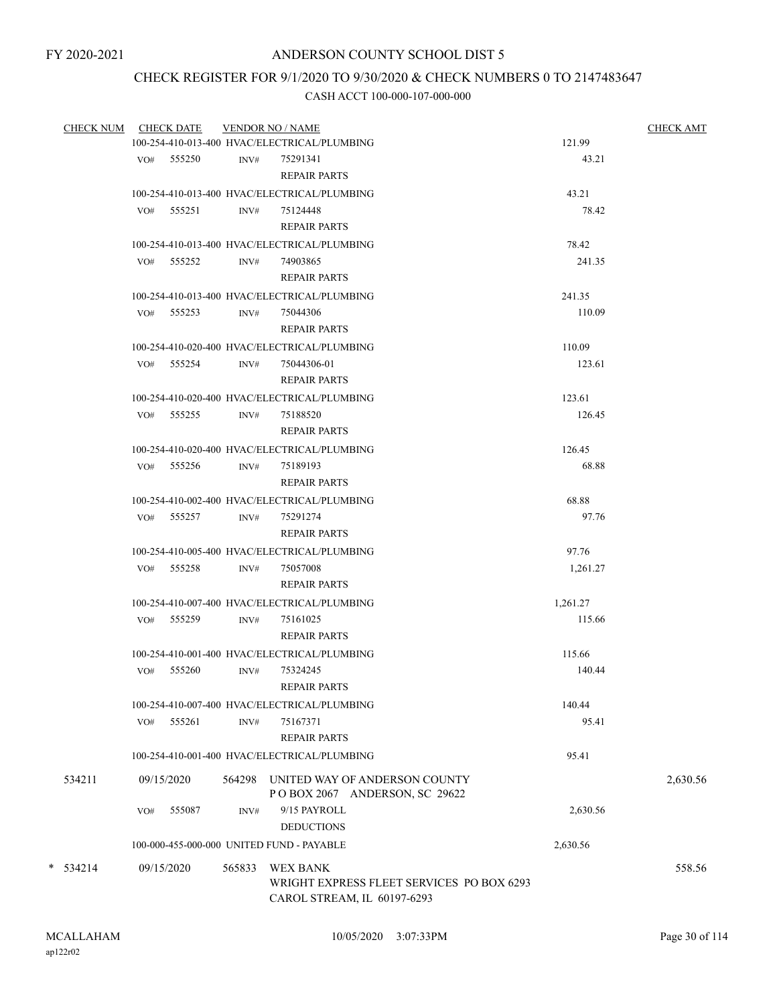## CHECK REGISTER FOR 9/1/2020 TO 9/30/2020 & CHECK NUMBERS 0 TO 2147483647

|            | CHECK NUM CHECK DATE                      |        | <b>VENDOR NO / NAME</b>                                               |          | <b>CHECK AMT</b> |
|------------|-------------------------------------------|--------|-----------------------------------------------------------------------|----------|------------------|
|            |                                           |        | 100-254-410-013-400 HVAC/ELECTRICAL/PLUMBING                          | 121.99   |                  |
|            | VO# 555250                                | INV#   | 75291341                                                              | 43.21    |                  |
|            |                                           |        | <b>REPAIR PARTS</b>                                                   |          |                  |
|            |                                           |        | 100-254-410-013-400 HVAC/ELECTRICAL/PLUMBING                          | 43.21    |                  |
|            | $VO#$ 555251                              | INV#   | 75124448                                                              | 78.42    |                  |
|            |                                           |        | <b>REPAIR PARTS</b>                                                   |          |                  |
|            |                                           |        | 100-254-410-013-400 HVAC/ELECTRICAL/PLUMBING                          | 78.42    |                  |
|            | VO# 555252                                | INV#   | 74903865                                                              | 241.35   |                  |
|            |                                           |        | <b>REPAIR PARTS</b>                                                   |          |                  |
|            |                                           |        | 100-254-410-013-400 HVAC/ELECTRICAL/PLUMBING                          | 241.35   |                  |
|            | $VO#$ 555253                              | INV#   | 75044306                                                              | 110.09   |                  |
|            |                                           |        | <b>REPAIR PARTS</b>                                                   |          |                  |
|            |                                           |        | 100-254-410-020-400 HVAC/ELECTRICAL/PLUMBING                          | 110.09   |                  |
|            | VO# 555254                                | INV#   | 75044306-01                                                           | 123.61   |                  |
|            |                                           |        | <b>REPAIR PARTS</b>                                                   |          |                  |
|            |                                           |        | 100-254-410-020-400 HVAC/ELECTRICAL/PLUMBING                          | 123.61   |                  |
|            | VO# 555255                                | INV#   | 75188520                                                              | 126.45   |                  |
|            |                                           |        | <b>REPAIR PARTS</b>                                                   |          |                  |
|            |                                           |        | 100-254-410-020-400 HVAC/ELECTRICAL/PLUMBING                          | 126.45   |                  |
|            | VO# 555256                                | INV#   | 75189193                                                              | 68.88    |                  |
|            |                                           |        | <b>REPAIR PARTS</b>                                                   |          |                  |
|            |                                           |        | 100-254-410-002-400 HVAC/ELECTRICAL/PLUMBING                          | 68.88    |                  |
|            |                                           |        |                                                                       | 97.76    |                  |
|            | VO# 555257                                | INV#   | 75291274                                                              |          |                  |
|            |                                           |        | <b>REPAIR PARTS</b>                                                   |          |                  |
|            |                                           |        | 100-254-410-005-400 HVAC/ELECTRICAL/PLUMBING                          | 97.76    |                  |
|            | VO# 555258                                | INV#   | 75057008                                                              | 1,261.27 |                  |
|            |                                           |        | <b>REPAIR PARTS</b>                                                   |          |                  |
|            |                                           |        | 100-254-410-007-400 HVAC/ELECTRICAL/PLUMBING                          | 1,261.27 |                  |
|            | VO# 555259                                | INV#   | 75161025                                                              | 115.66   |                  |
|            |                                           |        | <b>REPAIR PARTS</b>                                                   |          |                  |
|            |                                           |        | 100-254-410-001-400 HVAC/ELECTRICAL/PLUMBING                          | 115.66   |                  |
|            | VO#<br>555260                             | INV#   | 75324245                                                              | 140.44   |                  |
|            |                                           |        | <b>REPAIR PARTS</b>                                                   |          |                  |
|            |                                           |        | 100-254-410-007-400 HVAC/ELECTRICAL/PLUMBING                          | 140.44   |                  |
|            | VO#<br>555261                             | INV#   | 75167371                                                              | 95.41    |                  |
|            |                                           |        | <b>REPAIR PARTS</b>                                                   |          |                  |
|            |                                           |        | 100-254-410-001-400 HVAC/ELECTRICAL/PLUMBING                          | 95.41    |                  |
| 534211     | 09/15/2020                                |        | 564298 UNITED WAY OF ANDERSON COUNTY<br>POBOX 2067 ANDERSON, SC 29622 |          | 2,630.56         |
|            | 555087<br>VO#                             | INV#   | 9/15 PAYROLL                                                          | 2,630.56 |                  |
|            |                                           |        | <b>DEDUCTIONS</b>                                                     |          |                  |
|            | 100-000-455-000-000 UNITED FUND - PAYABLE |        |                                                                       | 2,630.56 |                  |
|            |                                           |        |                                                                       |          |                  |
| $*$ 534214 | 09/15/2020                                | 565833 | <b>WEX BANK</b><br>WRIGHT EXPRESS FLEET SERVICES PO BOX 6293          |          | 558.56           |
|            |                                           |        | CAROL STREAM, IL 60197-6293                                           |          |                  |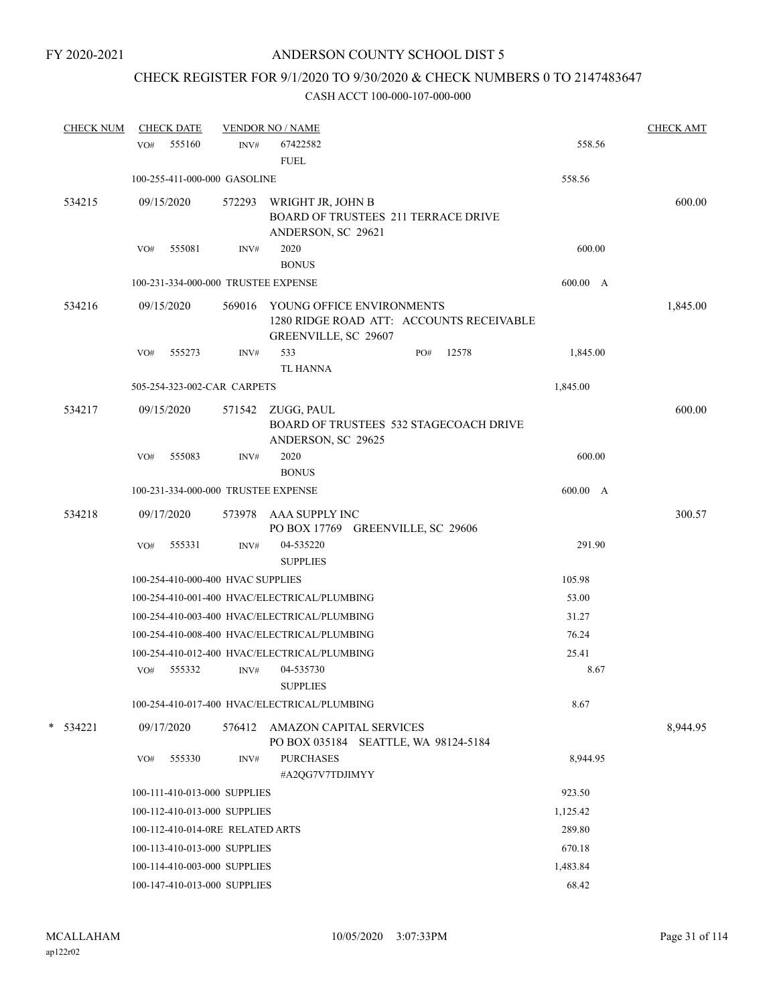# CHECK REGISTER FOR 9/1/2020 TO 9/30/2020 & CHECK NUMBERS 0 TO 2147483647

| <b>CHECK NUM</b> | <b>CHECK DATE</b>                            |        | <b>VENDOR NO / NAME</b>                                                               |     |                                          |          | <b>CHECK AMT</b> |
|------------------|----------------------------------------------|--------|---------------------------------------------------------------------------------------|-----|------------------------------------------|----------|------------------|
|                  | 555160<br>VO#                                | INV#   | 67422582<br><b>FUEL</b>                                                               |     |                                          | 558.56   |                  |
|                  | 100-255-411-000-000 GASOLINE                 |        |                                                                                       |     |                                          | 558.56   |                  |
| 534215           | 09/15/2020                                   | 572293 | WRIGHT JR, JOHN B<br><b>BOARD OF TRUSTEES 211 TERRACE DRIVE</b><br>ANDERSON, SC 29621 |     |                                          |          | 600.00           |
|                  | 555081<br>VO#                                | INV#   | 2020<br><b>BONUS</b>                                                                  |     |                                          | 600.00   |                  |
|                  | 100-231-334-000-000 TRUSTEE EXPENSE          |        |                                                                                       |     |                                          | 600.00 A |                  |
| 534216           | 09/15/2020                                   | 569016 | YOUNG OFFICE ENVIRONMENTS<br>GREENVILLE, SC 29607                                     |     | 1280 RIDGE ROAD ATT: ACCOUNTS RECEIVABLE |          | 1,845.00         |
|                  | VO#<br>555273                                | INV#   | 533<br><b>TL HANNA</b>                                                                | PO# | 12578                                    | 1,845.00 |                  |
|                  | 505-254-323-002-CAR CARPETS                  |        |                                                                                       |     |                                          | 1,845.00 |                  |
| 534217           | 09/15/2020                                   |        | 571542 ZUGG, PAUL<br>ANDERSON, SC 29625                                               |     | BOARD OF TRUSTEES 532 STAGECOACH DRIVE   |          | 600.00           |
|                  | 555083<br>VO#                                | INV#   | 2020<br><b>BONUS</b>                                                                  |     |                                          | 600.00   |                  |
|                  | 100-231-334-000-000 TRUSTEE EXPENSE          |        |                                                                                       |     |                                          | 600.00 A |                  |
| 534218           | 09/17/2020                                   | 573978 | AAA SUPPLY INC<br>PO BOX 17769 GREENVILLE, SC 29606                                   |     |                                          |          | 300.57           |
|                  | VO#<br>555331                                | INV#   | 04-535220<br><b>SUPPLIES</b>                                                          |     |                                          | 291.90   |                  |
|                  | 100-254-410-000-400 HVAC SUPPLIES            |        |                                                                                       |     |                                          | 105.98   |                  |
|                  | 100-254-410-001-400 HVAC/ELECTRICAL/PLUMBING |        |                                                                                       |     |                                          | 53.00    |                  |
|                  | 100-254-410-003-400 HVAC/ELECTRICAL/PLUMBING |        |                                                                                       |     |                                          | 31.27    |                  |
|                  | 100-254-410-008-400 HVAC/ELECTRICAL/PLUMBING |        |                                                                                       |     |                                          | 76.24    |                  |
|                  | 100-254-410-012-400 HVAC/ELECTRICAL/PLUMBING |        |                                                                                       |     |                                          | 25.41    |                  |
|                  | VO#<br>555332                                | INV#   | 04-535730<br><b>SUPPLIES</b>                                                          |     |                                          | 8.67     |                  |
|                  | 100-254-410-017-400 HVAC/ELECTRICAL/PLUMBING |        |                                                                                       |     |                                          | 8.67     |                  |
| $*$ 534221       | 09/17/2020                                   |        | 576412 AMAZON CAPITAL SERVICES<br>PO BOX 035184 SEATTLE, WA 98124-5184                |     |                                          |          | 8,944.95         |
|                  | 555330<br>VO#                                | INV#   | <b>PURCHASES</b><br>#A2QG7V7TDJIMYY                                                   |     |                                          | 8,944.95 |                  |
|                  | 100-111-410-013-000 SUPPLIES                 |        |                                                                                       |     |                                          | 923.50   |                  |
|                  | 100-112-410-013-000 SUPPLIES                 |        |                                                                                       |     |                                          | 1,125.42 |                  |
|                  | 100-112-410-014-0RE RELATED ARTS             |        |                                                                                       |     |                                          | 289.80   |                  |
|                  | 100-113-410-013-000 SUPPLIES                 |        |                                                                                       |     |                                          | 670.18   |                  |
|                  | 100-114-410-003-000 SUPPLIES                 |        |                                                                                       |     |                                          | 1,483.84 |                  |
|                  | 100-147-410-013-000 SUPPLIES                 |        |                                                                                       |     |                                          | 68.42    |                  |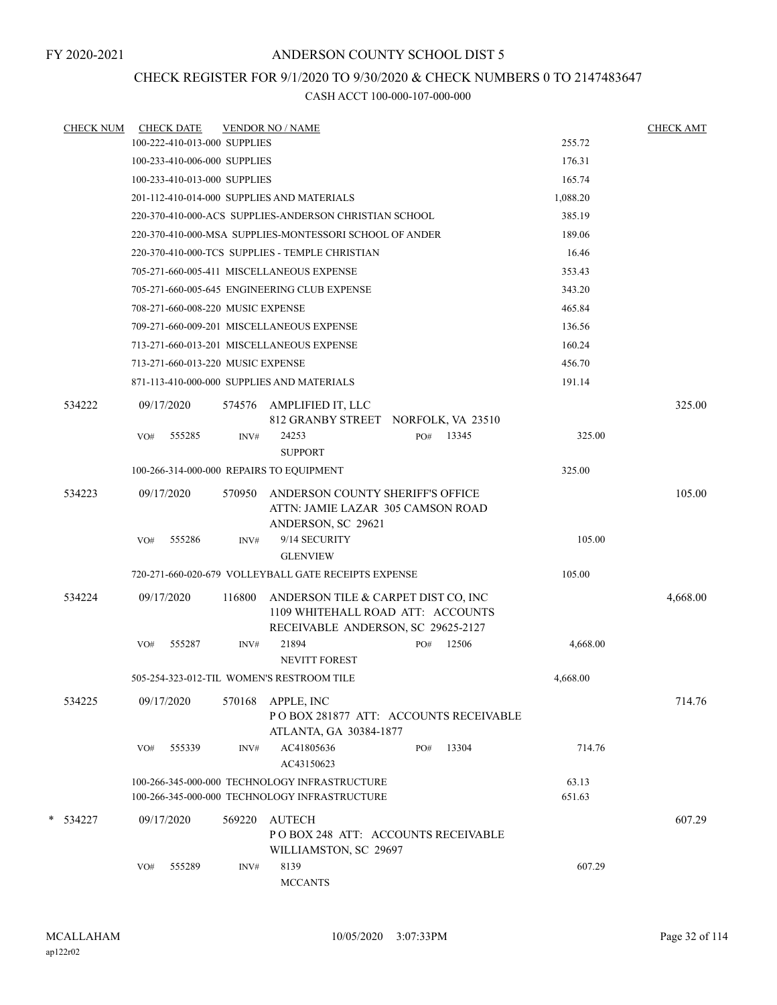## CHECK REGISTER FOR 9/1/2020 TO 9/30/2020 & CHECK NUMBERS 0 TO 2147483647

| <b>CHECK NUM</b> |     | <b>CHECK DATE</b>                 |        | <b>VENDOR NO / NAME</b>                                                                                        |     |           |                 | <b>CHECK AMT</b> |
|------------------|-----|-----------------------------------|--------|----------------------------------------------------------------------------------------------------------------|-----|-----------|-----------------|------------------|
|                  |     | 100-222-410-013-000 SUPPLIES      |        |                                                                                                                |     |           | 255.72          |                  |
|                  |     | 100-233-410-006-000 SUPPLIES      |        |                                                                                                                |     |           | 176.31          |                  |
|                  |     | 100-233-410-013-000 SUPPLIES      |        |                                                                                                                |     |           | 165.74          |                  |
|                  |     |                                   |        | 201-112-410-014-000 SUPPLIES AND MATERIALS                                                                     |     |           | 1,088.20        |                  |
|                  |     |                                   |        | 220-370-410-000-ACS SUPPLIES-ANDERSON CHRISTIAN SCHOOL                                                         |     |           | 385.19          |                  |
|                  |     |                                   |        | 220-370-410-000-MSA SUPPLIES-MONTESSORI SCHOOL OF ANDER                                                        |     |           | 189.06          |                  |
|                  |     |                                   |        | 220-370-410-000-TCS SUPPLIES - TEMPLE CHRISTIAN                                                                |     |           | 16.46           |                  |
|                  |     |                                   |        | 705-271-660-005-411 MISCELLANEOUS EXPENSE                                                                      |     |           | 353.43          |                  |
|                  |     |                                   |        | 705-271-660-005-645 ENGINEERING CLUB EXPENSE                                                                   |     |           | 343.20          |                  |
|                  |     | 708-271-660-008-220 MUSIC EXPENSE |        |                                                                                                                |     |           | 465.84          |                  |
|                  |     |                                   |        | 709-271-660-009-201 MISCELLANEOUS EXPENSE                                                                      |     |           | 136.56          |                  |
|                  |     |                                   |        | 713-271-660-013-201 MISCELLANEOUS EXPENSE                                                                      |     |           | 160.24          |                  |
|                  |     | 713-271-660-013-220 MUSIC EXPENSE |        |                                                                                                                |     |           | 456.70          |                  |
|                  |     |                                   |        | 871-113-410-000-000 SUPPLIES AND MATERIALS                                                                     |     |           | 191.14          |                  |
| 534222           |     | 09/17/2020                        | 574576 | AMPLIFIED IT, LLC<br>812 GRANBY STREET NORFOLK, VA 23510                                                       |     |           |                 | 325.00           |
|                  | VO# | 555285                            | INV#   | 24253<br><b>SUPPORT</b>                                                                                        |     | PO# 13345 | 325.00          |                  |
|                  |     |                                   |        | 100-266-314-000-000 REPAIRS TO EQUIPMENT                                                                       |     |           | 325.00          |                  |
| 534223           |     | 09/17/2020                        | 570950 | ANDERSON COUNTY SHERIFF'S OFFICE<br>ATTN: JAMIE LAZAR 305 CAMSON ROAD<br>ANDERSON, SC 29621                    |     |           |                 | 105.00           |
|                  | VO# | 555286                            | INV#   | 9/14 SECURITY<br><b>GLENVIEW</b>                                                                               |     |           | 105.00          |                  |
|                  |     |                                   |        | 720-271-660-020-679 VOLLEYBALL GATE RECEIPTS EXPENSE                                                           |     |           | 105.00          |                  |
| 534224           |     | 09/17/2020                        | 116800 | ANDERSON TILE & CARPET DIST CO, INC<br>1109 WHITEHALL ROAD ATT: ACCOUNTS<br>RECEIVABLE ANDERSON, SC 29625-2127 |     |           |                 | 4,668.00         |
|                  | VO# | 555287                            | INV#   | 21894<br><b>NEVITT FOREST</b>                                                                                  | PO# | 12506     | 4,668.00        |                  |
|                  |     |                                   |        | 505-254-323-012-TIL WOMEN'S RESTROOM TILE                                                                      |     |           | 4,668.00        |                  |
| 534225           |     | 09/17/2020                        | 570168 | APPLE, INC<br>POBOX 281877 ATT: ACCOUNTS RECEIVABLE<br>ATLANTA, GA 30384-1877                                  |     |           |                 | 714.76           |
|                  | VO# | 555339                            | INV#   | AC41805636<br>AC43150623                                                                                       | PO# | 13304     | 714.76          |                  |
|                  |     |                                   |        | 100-266-345-000-000 TECHNOLOGY INFRASTRUCTURE<br>100-266-345-000-000 TECHNOLOGY INFRASTRUCTURE                 |     |           | 63.13<br>651.63 |                  |
| * 534227         |     | 09/17/2020                        | 569220 | <b>AUTECH</b><br>POBOX 248 ATT: ACCOUNTS RECEIVABLE<br>WILLIAMSTON, SC 29697                                   |     |           |                 | 607.29           |
|                  | VO# | 555289                            | INV#   | 8139<br><b>MCCANTS</b>                                                                                         |     |           | 607.29          |                  |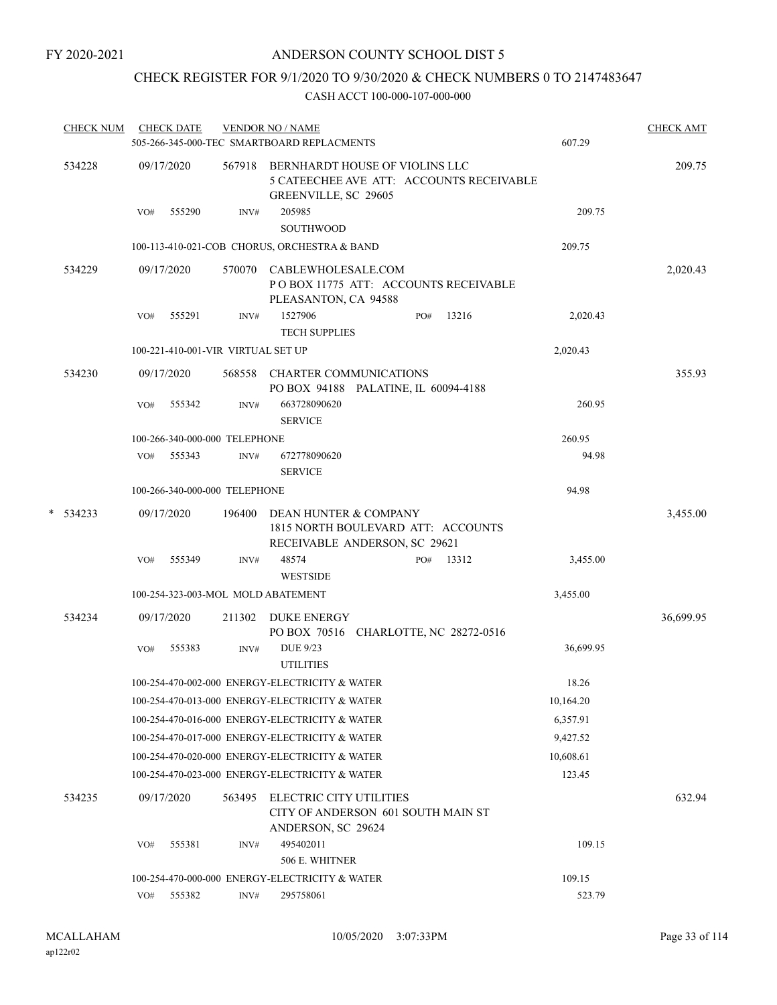## CHECK REGISTER FOR 9/1/2020 TO 9/30/2020 & CHECK NUMBERS 0 TO 2147483647

| <b>CHECK NUM</b> |     | <b>CHECK DATE</b> |                                    | <b>VENDOR NO / NAME</b><br>505-266-345-000-TEC SMARTBOARD REPLACMENTS                                     |     |       | 607.29    | <b>CHECK AMT</b> |
|------------------|-----|-------------------|------------------------------------|-----------------------------------------------------------------------------------------------------------|-----|-------|-----------|------------------|
| 534228           |     | 09/17/2020        |                                    | 567918 BERNHARDT HOUSE OF VIOLINS LLC<br>5 CATEECHEE AVE ATT: ACCOUNTS RECEIVABLE<br>GREENVILLE, SC 29605 |     |       |           | 209.75           |
|                  | VO# | 555290            | INV#                               | 205985<br>SOUTHWOOD                                                                                       |     |       | 209.75    |                  |
|                  |     |                   |                                    | 100-113-410-021-COB CHORUS, ORCHESTRA & BAND                                                              |     |       | 209.75    |                  |
| 534229           |     | 09/17/2020        | 570070                             | CABLEWHOLESALE.COM<br>POBOX 11775 ATT: ACCOUNTS RECEIVABLE<br>PLEASANTON, CA 94588                        |     |       |           | 2,020.43         |
|                  | VO# | 555291            | INV#                               | 1527906<br><b>TECH SUPPLIES</b>                                                                           | PO# | 13216 | 2,020.43  |                  |
|                  |     |                   | 100-221-410-001-VIR VIRTUAL SET UP |                                                                                                           |     |       | 2,020.43  |                  |
| 534230           |     | 09/17/2020        | 568558                             | <b>CHARTER COMMUNICATIONS</b><br>PO BOX 94188 PALATINE, IL 60094-4188                                     |     |       |           | 355.93           |
|                  | VO# | 555342            | INV#                               | 663728090620<br><b>SERVICE</b>                                                                            |     |       | 260.95    |                  |
|                  |     |                   | 100-266-340-000-000 TELEPHONE      |                                                                                                           |     |       | 260.95    |                  |
|                  | VO# | 555343            | INV#                               | 672778090620<br><b>SERVICE</b>                                                                            |     |       | 94.98     |                  |
|                  |     |                   | 100-266-340-000-000 TELEPHONE      |                                                                                                           |     |       | 94.98     |                  |
| $*$ 534233       |     | 09/17/2020        | 196400                             | DEAN HUNTER & COMPANY<br>1815 NORTH BOULEVARD ATT: ACCOUNTS<br>RECEIVABLE ANDERSON, SC 29621              |     |       |           | 3,455.00         |
|                  | VO# | 555349            | INV#                               | 48574                                                                                                     | PO# | 13312 | 3,455.00  |                  |
|                  |     |                   |                                    | <b>WESTSIDE</b>                                                                                           |     |       |           |                  |
|                  |     |                   |                                    | 100-254-323-003-MOL MOLD ABATEMENT                                                                        |     |       | 3,455.00  |                  |
| 534234           |     | 09/17/2020        | 211302                             | <b>DUKE ENERGY</b><br>PO BOX 70516 CHARLOTTE, NC 28272-0516                                               |     |       |           | 36,699.95        |
|                  | VO# | 555383            | INV#                               | <b>DUE 9/23</b><br><b>UTILITIES</b>                                                                       |     |       | 36,699.95 |                  |
|                  |     |                   |                                    | 100-254-470-002-000 ENERGY-ELECTRICITY & WATER                                                            |     |       | 18.26     |                  |
|                  |     |                   |                                    | 100-254-470-013-000 ENERGY-ELECTRICITY & WATER                                                            |     |       | 10,164.20 |                  |
|                  |     |                   |                                    | 100-254-470-016-000 ENERGY-ELECTRICITY & WATER                                                            |     |       | 6,357.91  |                  |
|                  |     |                   |                                    | 100-254-470-017-000 ENERGY-ELECTRICITY & WATER                                                            |     |       | 9,427.52  |                  |
|                  |     |                   |                                    | 100-254-470-020-000 ENERGY-ELECTRICITY & WATER                                                            |     |       | 10,608.61 |                  |
|                  |     |                   |                                    | 100-254-470-023-000 ENERGY-ELECTRICITY & WATER                                                            |     |       | 123.45    |                  |
| 534235           |     | 09/17/2020        | 563495                             | <b>ELECTRIC CITY UTILITIES</b><br>CITY OF ANDERSON 601 SOUTH MAIN ST<br>ANDERSON, SC 29624                |     |       |           | 632.94           |
|                  | VO# | 555381            | INV#                               | 495402011<br>506 E. WHITNER                                                                               |     |       | 109.15    |                  |
|                  |     |                   |                                    | 100-254-470-000-000 ENERGY-ELECTRICITY & WATER                                                            |     |       | 109.15    |                  |
|                  |     | VO# 555382        | INV#                               | 295758061                                                                                                 |     |       | 523.79    |                  |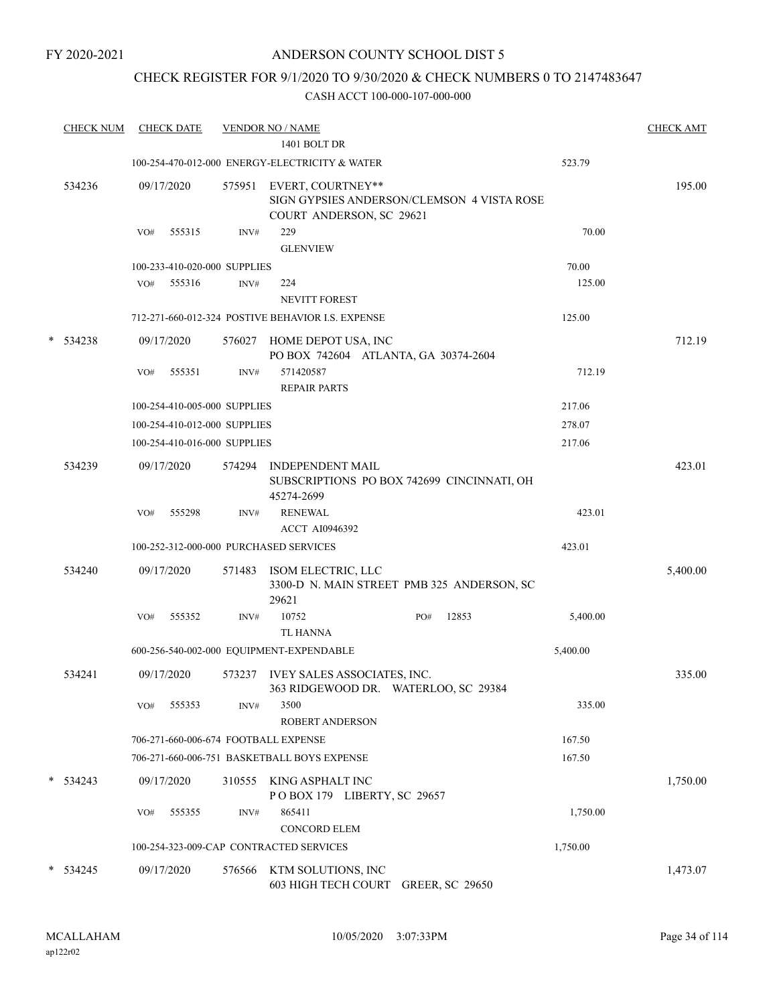## CHECK REGISTER FOR 9/1/2020 TO 9/30/2020 & CHECK NUMBERS 0 TO 2147483647

|   | <b>CHECK NUM</b> |     | <b>CHECK DATE</b> |                              | <b>VENDOR NO / NAME</b>                                     |                                            |          | <b>CHECK AMT</b> |
|---|------------------|-----|-------------------|------------------------------|-------------------------------------------------------------|--------------------------------------------|----------|------------------|
|   |                  |     |                   |                              | 1401 BOLT DR                                                |                                            |          |                  |
|   |                  |     |                   |                              | 100-254-470-012-000 ENERGY-ELECTRICITY & WATER              |                                            | 523.79   |                  |
|   | 534236           |     | 09/17/2020        | 575951                       | EVERT, COURTNEY**<br>COURT ANDERSON, SC 29621               | SIGN GYPSIES ANDERSON/CLEMSON 4 VISTA ROSE |          | 195.00           |
|   |                  | VO# | 555315            | INV#                         | 229                                                         |                                            | 70.00    |                  |
|   |                  |     |                   |                              | <b>GLENVIEW</b>                                             |                                            |          |                  |
|   |                  |     |                   | 100-233-410-020-000 SUPPLIES |                                                             |                                            | 70.00    |                  |
|   |                  |     | VO# 555316        | INV#                         | 224                                                         |                                            | 125.00   |                  |
|   |                  |     |                   |                              | <b>NEVITT FOREST</b>                                        |                                            |          |                  |
|   |                  |     |                   |                              | 712-271-660-012-324 POSTIVE BEHAVIOR I.S. EXPENSE           |                                            | 125.00   |                  |
| * | 534238           |     | 09/17/2020        | 576027                       | HOME DEPOT USA, INC<br>PO BOX 742604 ATLANTA, GA 30374-2604 |                                            |          | 712.19           |
|   |                  | VO# | 555351            | INV#                         | 571420587<br><b>REPAIR PARTS</b>                            |                                            | 712.19   |                  |
|   |                  |     |                   | 100-254-410-005-000 SUPPLIES |                                                             |                                            | 217.06   |                  |
|   |                  |     |                   | 100-254-410-012-000 SUPPLIES |                                                             |                                            | 278.07   |                  |
|   |                  |     |                   | 100-254-410-016-000 SUPPLIES |                                                             |                                            | 217.06   |                  |
|   | 534239           |     | 09/17/2020        | 574294                       | <b>INDEPENDENT MAIL</b>                                     |                                            |          | 423.01           |
|   |                  |     |                   |                              | 45274-2699                                                  | SUBSCRIPTIONS PO BOX 742699 CINCINNATI, OH |          |                  |
|   |                  | VO# | 555298            | INV#                         | <b>RENEWAL</b>                                              |                                            | 423.01   |                  |
|   |                  |     |                   |                              | <b>ACCT AI0946392</b>                                       |                                            |          |                  |
|   |                  |     |                   |                              | 100-252-312-000-000 PURCHASED SERVICES                      |                                            | 423.01   |                  |
|   | 534240           |     | 09/17/2020        | 571483                       | ISOM ELECTRIC, LLC<br>29621                                 | 3300-D N. MAIN STREET PMB 325 ANDERSON, SC |          | 5,400.00         |
|   |                  | VO# | 555352            | INV#                         | 10752                                                       | 12853<br>PO#                               | 5,400.00 |                  |
|   |                  |     |                   |                              | <b>TL HANNA</b>                                             |                                            |          |                  |
|   |                  |     |                   |                              | 600-256-540-002-000 EQUIPMENT-EXPENDABLE                    |                                            | 5,400.00 |                  |
|   | 534241           |     | 09/17/2020        | 573237                       | IVEY SALES ASSOCIATES, INC.                                 | 363 RIDGEWOOD DR. WATERLOO, SC 29384       |          | 335.00           |
|   |                  | VO# | 555353            | INV#                         | 3500<br><b>ROBERT ANDERSON</b>                              |                                            | 335.00   |                  |
|   |                  |     |                   |                              | 706-271-660-006-674 FOOTBALL EXPENSE                        |                                            | 167.50   |                  |
|   |                  |     |                   |                              | 706-271-660-006-751 BASKETBALL BOYS EXPENSE                 |                                            | 167.50   |                  |
|   | $*$ 534243       |     | 09/17/2020        | 310555                       | KING ASPHALT INC<br>POBOX 179 LIBERTY, SC 29657             |                                            |          | 1,750.00         |
|   |                  | VO# | 555355            | INV#                         | 865411                                                      |                                            | 1,750.00 |                  |
|   |                  |     |                   |                              | <b>CONCORD ELEM</b>                                         |                                            |          |                  |
|   |                  |     |                   |                              | 100-254-323-009-CAP CONTRACTED SERVICES                     |                                            | 1,750.00 |                  |
|   | $* 534245$       |     | 09/17/2020        | 576566                       | KTM SOLUTIONS, INC                                          |                                            |          | 1,473.07         |
|   |                  |     |                   |                              | 603 HIGH TECH COURT GREER, SC 29650                         |                                            |          |                  |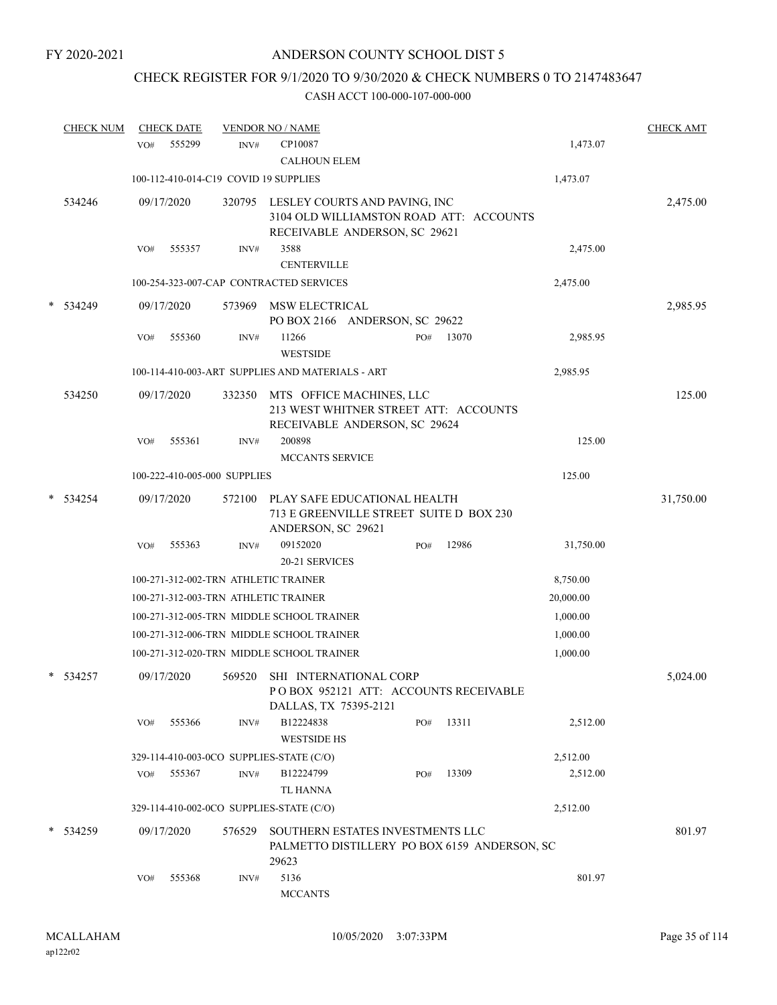## CHECK REGISTER FOR 9/1/2020 TO 9/30/2020 & CHECK NUMBERS 0 TO 2147483647

|   | <b>CHECK NUM</b> |                 | <b>CHECK DATE</b> |                              | <b>VENDOR NO / NAME</b>                            |                                                                                  |     |       |           | <b>CHECK AMT</b> |
|---|------------------|-----------------|-------------------|------------------------------|----------------------------------------------------|----------------------------------------------------------------------------------|-----|-------|-----------|------------------|
|   |                  | VO <sub>#</sub> | 555299            | INV#                         | CP10087<br><b>CALHOUN ELEM</b>                     |                                                                                  |     |       | 1,473.07  |                  |
|   |                  |                 |                   |                              | 100-112-410-014-C19 COVID 19 SUPPLIES              |                                                                                  |     |       | 1,473.07  |                  |
|   | 534246           |                 | 09/17/2020        | 320795                       | LESLEY COURTS AND PAVING, INC                      | 3104 OLD WILLIAMSTON ROAD ATT: ACCOUNTS<br>RECEIVABLE ANDERSON, SC 29621         |     |       |           | 2,475.00         |
|   |                  | VO#             | 555357            | INV#                         | 3588<br><b>CENTERVILLE</b>                         |                                                                                  |     |       | 2,475.00  |                  |
|   |                  |                 |                   |                              | 100-254-323-007-CAP CONTRACTED SERVICES            |                                                                                  |     |       | 2,475.00  |                  |
| * | 534249           |                 | 09/17/2020        | 573969                       | MSW ELECTRICAL                                     | PO BOX 2166 ANDERSON, SC 29622                                                   |     |       |           | 2,985.95         |
|   |                  | VO#             | 555360            | INV#                         | 11266<br><b>WESTSIDE</b>                           |                                                                                  | PO# | 13070 | 2,985.95  |                  |
|   |                  |                 |                   |                              | 100-114-410-003-ART SUPPLIES AND MATERIALS - ART   |                                                                                  |     |       | 2,985.95  |                  |
|   | 534250           |                 | 09/17/2020        | 332350                       | MTS OFFICE MACHINES, LLC                           | 213 WEST WHITNER STREET ATT: ACCOUNTS<br>RECEIVABLE ANDERSON, SC 29624           |     |       |           | 125.00           |
|   |                  | VO#             | 555361            | INV#                         | 200898                                             |                                                                                  |     |       | 125.00    |                  |
|   |                  |                 |                   |                              | <b>MCCANTS SERVICE</b>                             |                                                                                  |     |       |           |                  |
|   |                  |                 |                   | 100-222-410-005-000 SUPPLIES |                                                    |                                                                                  |     |       | 125.00    |                  |
| * | 534254           |                 | 09/17/2020        | 572100                       | PLAY SAFE EDUCATIONAL HEALTH<br>ANDERSON, SC 29621 | 713 E GREENVILLE STREET SUITE D BOX 230                                          |     |       |           | 31,750.00        |
|   |                  | VO#             | 555363            | INV#                         | 09152020                                           |                                                                                  | PO# | 12986 | 31,750.00 |                  |
|   |                  |                 |                   |                              | 20-21 SERVICES                                     |                                                                                  |     |       |           |                  |
|   |                  |                 |                   |                              | 100-271-312-002-TRN ATHLETIC TRAINER               |                                                                                  |     |       | 8,750.00  |                  |
|   |                  |                 |                   |                              | 100-271-312-003-TRN ATHLETIC TRAINER               |                                                                                  |     |       | 20,000.00 |                  |
|   |                  |                 |                   |                              | 100-271-312-005-TRN MIDDLE SCHOOL TRAINER          |                                                                                  |     |       | 1,000.00  |                  |
|   |                  |                 |                   |                              | 100-271-312-006-TRN MIDDLE SCHOOL TRAINER          |                                                                                  |     |       | 1,000.00  |                  |
|   |                  |                 |                   |                              | 100-271-312-020-TRN MIDDLE SCHOOL TRAINER          |                                                                                  |     |       | 1,000.00  |                  |
|   | $*$ 534257       |                 | 09/17/2020        | 569520                       | DALLAS, TX 75395-2121                              | SHI INTERNATIONAL CORP<br>POBOX 952121 ATT: ACCOUNTS RECEIVABLE                  |     |       |           | 5,024.00         |
|   |                  | VO#             | 555366            | INV#                         | B12224838<br><b>WESTSIDE HS</b>                    |                                                                                  | PO# | 13311 | 2,512.00  |                  |
|   |                  |                 |                   |                              | 329-114-410-003-0CO SUPPLIES-STATE (C/O)           |                                                                                  |     |       | 2,512.00  |                  |
|   |                  | VO#             | 555367            | INV#                         | B12224799<br><b>TL HANNA</b>                       |                                                                                  | PO# | 13309 | 2,512.00  |                  |
|   |                  |                 |                   |                              | 329-114-410-002-0CO SUPPLIES-STATE (C/O)           |                                                                                  |     |       | 2,512.00  |                  |
|   | $*$ 534259       |                 | 09/17/2020        | 576529                       | 29623                                              | SOUTHERN ESTATES INVESTMENTS LLC<br>PALMETTO DISTILLERY PO BOX 6159 ANDERSON, SC |     |       |           | 801.97           |
|   |                  | VO#             | 555368            | INV#                         | 5136<br><b>MCCANTS</b>                             |                                                                                  |     |       | 801.97    |                  |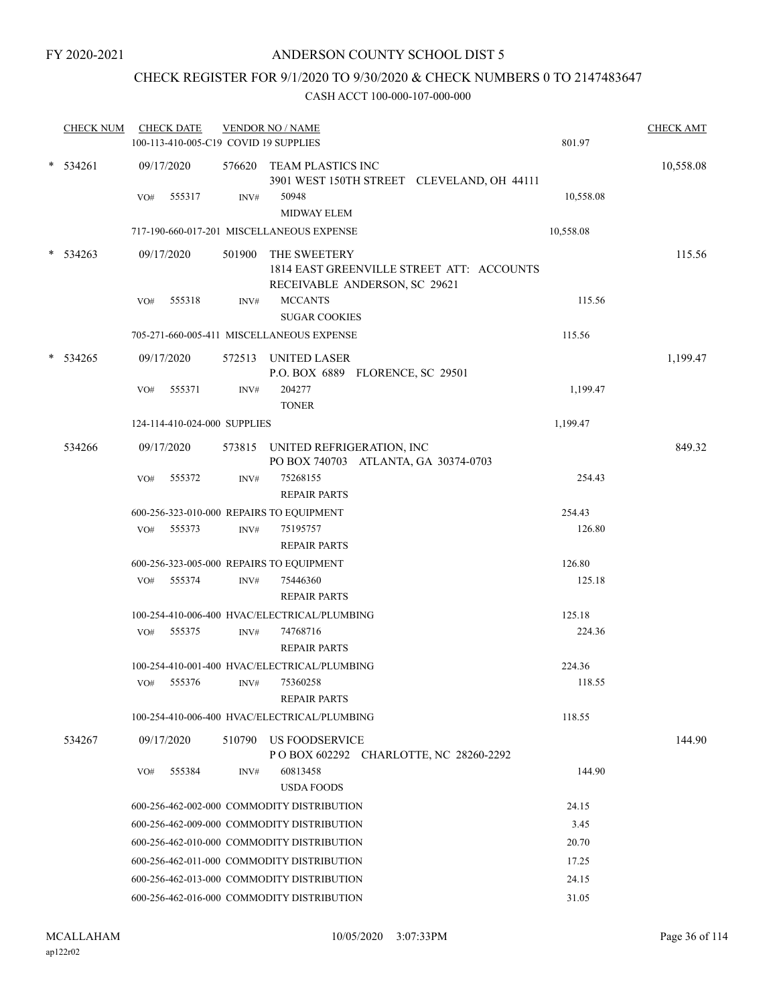## CHECK REGISTER FOR 9/1/2020 TO 9/30/2020 & CHECK NUMBERS 0 TO 2147483647

| * 534261<br>09/17/2020<br>576620 TEAM PLASTICS INC<br>3901 WEST 150TH STREET CLEVELAND, OH 44111<br>10,558.08<br>VO#<br>555317<br>INV#<br>50948<br><b>MIDWAY ELEM</b><br>717-190-660-017-201 MISCELLANEOUS EXPENSE<br>10,558.08<br>$* 534263$<br>09/17/2020<br>501900<br>THE SWEETERY<br>115.56<br>1814 EAST GREENVILLE STREET ATT: ACCOUNTS<br>RECEIVABLE ANDERSON, SC 29621<br><b>MCCANTS</b><br>115.56<br>555318<br>VO#<br>INV#<br><b>SUGAR COOKIES</b><br>705-271-660-005-411 MISCELLANEOUS EXPENSE<br>115.56<br>$*$ 534265<br>09/17/2020<br>572513 UNITED LASER<br>P.O. BOX 6889 FLORENCE, SC 29501<br>204277<br>555371<br>1,199.47<br>VO#<br>INV#<br><b>TONER</b><br>124-114-410-024-000 SUPPLIES<br>1,199.47<br>534266<br>09/17/2020<br>573815 UNITED REFRIGERATION, INC<br>PO BOX 740703 ATLANTA, GA 30374-0703<br>75268155<br>VO#<br>555372<br>INV#<br>254.43<br><b>REPAIR PARTS</b><br>600-256-323-010-000 REPAIRS TO EQUIPMENT<br>254.43<br>126.80<br>VO# 555373<br>75195757<br>INV#<br><b>REPAIR PARTS</b><br>600-256-323-005-000 REPAIRS TO EQUIPMENT<br>126.80<br>555374<br>VO#<br>INV#<br>75446360<br>125.18<br><b>REPAIR PARTS</b><br>100-254-410-006-400 HVAC/ELECTRICAL/PLUMBING<br>125.18<br>74768716<br>224.36<br>555375<br>VO#<br>INV#<br><b>REPAIR PARTS</b><br>100-254-410-001-400 HVAC/ELECTRICAL/PLUMBING<br>224.36<br>555376<br>75360258<br>118.55<br>VO#<br>INV#<br><b>REPAIR PARTS</b><br>118.55<br>100-254-410-006-400 HVAC/ELECTRICAL/PLUMBING<br>US FOODSERVICE<br>534267<br>09/17/2020<br>510790<br>POBOX 602292 CHARLOTTE, NC 28260-2292<br>555384<br>60813458<br>144.90<br>VO#<br>INV#<br><b>USDA FOODS</b><br>24.15<br>600-256-462-002-000 COMMODITY DISTRIBUTION<br>600-256-462-009-000 COMMODITY DISTRIBUTION<br>3.45<br>600-256-462-010-000 COMMODITY DISTRIBUTION<br>20.70<br>600-256-462-011-000 COMMODITY DISTRIBUTION<br>17.25<br>600-256-462-013-000 COMMODITY DISTRIBUTION<br>24.15 | <b>CHECK NUM</b> | <b>CHECK DATE</b><br>100-113-410-005-C19 COVID 19 SUPPLIES | <b>VENDOR NO / NAME</b> | 801.97 | <b>CHECK AMT</b> |
|---------------------------------------------------------------------------------------------------------------------------------------------------------------------------------------------------------------------------------------------------------------------------------------------------------------------------------------------------------------------------------------------------------------------------------------------------------------------------------------------------------------------------------------------------------------------------------------------------------------------------------------------------------------------------------------------------------------------------------------------------------------------------------------------------------------------------------------------------------------------------------------------------------------------------------------------------------------------------------------------------------------------------------------------------------------------------------------------------------------------------------------------------------------------------------------------------------------------------------------------------------------------------------------------------------------------------------------------------------------------------------------------------------------------------------------------------------------------------------------------------------------------------------------------------------------------------------------------------------------------------------------------------------------------------------------------------------------------------------------------------------------------------------------------------------------------------------------------------------------------------------------------------------------------------------|------------------|------------------------------------------------------------|-------------------------|--------|------------------|
|                                                                                                                                                                                                                                                                                                                                                                                                                                                                                                                                                                                                                                                                                                                                                                                                                                                                                                                                                                                                                                                                                                                                                                                                                                                                                                                                                                                                                                                                                                                                                                                                                                                                                                                                                                                                                                                                                                                                 |                  |                                                            |                         |        | 10,558.08        |
|                                                                                                                                                                                                                                                                                                                                                                                                                                                                                                                                                                                                                                                                                                                                                                                                                                                                                                                                                                                                                                                                                                                                                                                                                                                                                                                                                                                                                                                                                                                                                                                                                                                                                                                                                                                                                                                                                                                                 |                  |                                                            |                         |        |                  |
|                                                                                                                                                                                                                                                                                                                                                                                                                                                                                                                                                                                                                                                                                                                                                                                                                                                                                                                                                                                                                                                                                                                                                                                                                                                                                                                                                                                                                                                                                                                                                                                                                                                                                                                                                                                                                                                                                                                                 |                  |                                                            |                         |        |                  |
|                                                                                                                                                                                                                                                                                                                                                                                                                                                                                                                                                                                                                                                                                                                                                                                                                                                                                                                                                                                                                                                                                                                                                                                                                                                                                                                                                                                                                                                                                                                                                                                                                                                                                                                                                                                                                                                                                                                                 |                  |                                                            |                         |        |                  |
|                                                                                                                                                                                                                                                                                                                                                                                                                                                                                                                                                                                                                                                                                                                                                                                                                                                                                                                                                                                                                                                                                                                                                                                                                                                                                                                                                                                                                                                                                                                                                                                                                                                                                                                                                                                                                                                                                                                                 |                  |                                                            |                         |        |                  |
|                                                                                                                                                                                                                                                                                                                                                                                                                                                                                                                                                                                                                                                                                                                                                                                                                                                                                                                                                                                                                                                                                                                                                                                                                                                                                                                                                                                                                                                                                                                                                                                                                                                                                                                                                                                                                                                                                                                                 |                  |                                                            |                         |        |                  |
|                                                                                                                                                                                                                                                                                                                                                                                                                                                                                                                                                                                                                                                                                                                                                                                                                                                                                                                                                                                                                                                                                                                                                                                                                                                                                                                                                                                                                                                                                                                                                                                                                                                                                                                                                                                                                                                                                                                                 |                  |                                                            |                         |        |                  |
|                                                                                                                                                                                                                                                                                                                                                                                                                                                                                                                                                                                                                                                                                                                                                                                                                                                                                                                                                                                                                                                                                                                                                                                                                                                                                                                                                                                                                                                                                                                                                                                                                                                                                                                                                                                                                                                                                                                                 |                  |                                                            |                         |        |                  |
|                                                                                                                                                                                                                                                                                                                                                                                                                                                                                                                                                                                                                                                                                                                                                                                                                                                                                                                                                                                                                                                                                                                                                                                                                                                                                                                                                                                                                                                                                                                                                                                                                                                                                                                                                                                                                                                                                                                                 |                  |                                                            |                         |        | 1,199.47         |
|                                                                                                                                                                                                                                                                                                                                                                                                                                                                                                                                                                                                                                                                                                                                                                                                                                                                                                                                                                                                                                                                                                                                                                                                                                                                                                                                                                                                                                                                                                                                                                                                                                                                                                                                                                                                                                                                                                                                 |                  |                                                            |                         |        |                  |
|                                                                                                                                                                                                                                                                                                                                                                                                                                                                                                                                                                                                                                                                                                                                                                                                                                                                                                                                                                                                                                                                                                                                                                                                                                                                                                                                                                                                                                                                                                                                                                                                                                                                                                                                                                                                                                                                                                                                 |                  |                                                            |                         |        |                  |
|                                                                                                                                                                                                                                                                                                                                                                                                                                                                                                                                                                                                                                                                                                                                                                                                                                                                                                                                                                                                                                                                                                                                                                                                                                                                                                                                                                                                                                                                                                                                                                                                                                                                                                                                                                                                                                                                                                                                 |                  |                                                            |                         |        | 849.32           |
|                                                                                                                                                                                                                                                                                                                                                                                                                                                                                                                                                                                                                                                                                                                                                                                                                                                                                                                                                                                                                                                                                                                                                                                                                                                                                                                                                                                                                                                                                                                                                                                                                                                                                                                                                                                                                                                                                                                                 |                  |                                                            |                         |        |                  |
|                                                                                                                                                                                                                                                                                                                                                                                                                                                                                                                                                                                                                                                                                                                                                                                                                                                                                                                                                                                                                                                                                                                                                                                                                                                                                                                                                                                                                                                                                                                                                                                                                                                                                                                                                                                                                                                                                                                                 |                  |                                                            |                         |        |                  |
|                                                                                                                                                                                                                                                                                                                                                                                                                                                                                                                                                                                                                                                                                                                                                                                                                                                                                                                                                                                                                                                                                                                                                                                                                                                                                                                                                                                                                                                                                                                                                                                                                                                                                                                                                                                                                                                                                                                                 |                  |                                                            |                         |        |                  |
|                                                                                                                                                                                                                                                                                                                                                                                                                                                                                                                                                                                                                                                                                                                                                                                                                                                                                                                                                                                                                                                                                                                                                                                                                                                                                                                                                                                                                                                                                                                                                                                                                                                                                                                                                                                                                                                                                                                                 |                  |                                                            |                         |        |                  |
|                                                                                                                                                                                                                                                                                                                                                                                                                                                                                                                                                                                                                                                                                                                                                                                                                                                                                                                                                                                                                                                                                                                                                                                                                                                                                                                                                                                                                                                                                                                                                                                                                                                                                                                                                                                                                                                                                                                                 |                  |                                                            |                         |        |                  |
|                                                                                                                                                                                                                                                                                                                                                                                                                                                                                                                                                                                                                                                                                                                                                                                                                                                                                                                                                                                                                                                                                                                                                                                                                                                                                                                                                                                                                                                                                                                                                                                                                                                                                                                                                                                                                                                                                                                                 |                  |                                                            |                         |        |                  |
|                                                                                                                                                                                                                                                                                                                                                                                                                                                                                                                                                                                                                                                                                                                                                                                                                                                                                                                                                                                                                                                                                                                                                                                                                                                                                                                                                                                                                                                                                                                                                                                                                                                                                                                                                                                                                                                                                                                                 |                  |                                                            |                         |        |                  |
|                                                                                                                                                                                                                                                                                                                                                                                                                                                                                                                                                                                                                                                                                                                                                                                                                                                                                                                                                                                                                                                                                                                                                                                                                                                                                                                                                                                                                                                                                                                                                                                                                                                                                                                                                                                                                                                                                                                                 |                  |                                                            |                         |        |                  |
|                                                                                                                                                                                                                                                                                                                                                                                                                                                                                                                                                                                                                                                                                                                                                                                                                                                                                                                                                                                                                                                                                                                                                                                                                                                                                                                                                                                                                                                                                                                                                                                                                                                                                                                                                                                                                                                                                                                                 |                  |                                                            |                         |        |                  |
|                                                                                                                                                                                                                                                                                                                                                                                                                                                                                                                                                                                                                                                                                                                                                                                                                                                                                                                                                                                                                                                                                                                                                                                                                                                                                                                                                                                                                                                                                                                                                                                                                                                                                                                                                                                                                                                                                                                                 |                  |                                                            |                         |        |                  |
|                                                                                                                                                                                                                                                                                                                                                                                                                                                                                                                                                                                                                                                                                                                                                                                                                                                                                                                                                                                                                                                                                                                                                                                                                                                                                                                                                                                                                                                                                                                                                                                                                                                                                                                                                                                                                                                                                                                                 |                  |                                                            |                         |        |                  |
|                                                                                                                                                                                                                                                                                                                                                                                                                                                                                                                                                                                                                                                                                                                                                                                                                                                                                                                                                                                                                                                                                                                                                                                                                                                                                                                                                                                                                                                                                                                                                                                                                                                                                                                                                                                                                                                                                                                                 |                  |                                                            |                         |        | 144.90           |
|                                                                                                                                                                                                                                                                                                                                                                                                                                                                                                                                                                                                                                                                                                                                                                                                                                                                                                                                                                                                                                                                                                                                                                                                                                                                                                                                                                                                                                                                                                                                                                                                                                                                                                                                                                                                                                                                                                                                 |                  |                                                            |                         |        |                  |
|                                                                                                                                                                                                                                                                                                                                                                                                                                                                                                                                                                                                                                                                                                                                                                                                                                                                                                                                                                                                                                                                                                                                                                                                                                                                                                                                                                                                                                                                                                                                                                                                                                                                                                                                                                                                                                                                                                                                 |                  |                                                            |                         |        |                  |
|                                                                                                                                                                                                                                                                                                                                                                                                                                                                                                                                                                                                                                                                                                                                                                                                                                                                                                                                                                                                                                                                                                                                                                                                                                                                                                                                                                                                                                                                                                                                                                                                                                                                                                                                                                                                                                                                                                                                 |                  |                                                            |                         |        |                  |
|                                                                                                                                                                                                                                                                                                                                                                                                                                                                                                                                                                                                                                                                                                                                                                                                                                                                                                                                                                                                                                                                                                                                                                                                                                                                                                                                                                                                                                                                                                                                                                                                                                                                                                                                                                                                                                                                                                                                 |                  |                                                            |                         |        |                  |
|                                                                                                                                                                                                                                                                                                                                                                                                                                                                                                                                                                                                                                                                                                                                                                                                                                                                                                                                                                                                                                                                                                                                                                                                                                                                                                                                                                                                                                                                                                                                                                                                                                                                                                                                                                                                                                                                                                                                 |                  |                                                            |                         |        |                  |
|                                                                                                                                                                                                                                                                                                                                                                                                                                                                                                                                                                                                                                                                                                                                                                                                                                                                                                                                                                                                                                                                                                                                                                                                                                                                                                                                                                                                                                                                                                                                                                                                                                                                                                                                                                                                                                                                                                                                 |                  |                                                            |                         |        |                  |
| 600-256-462-016-000 COMMODITY DISTRIBUTION                                                                                                                                                                                                                                                                                                                                                                                                                                                                                                                                                                                                                                                                                                                                                                                                                                                                                                                                                                                                                                                                                                                                                                                                                                                                                                                                                                                                                                                                                                                                                                                                                                                                                                                                                                                                                                                                                      |                  |                                                            |                         | 31.05  |                  |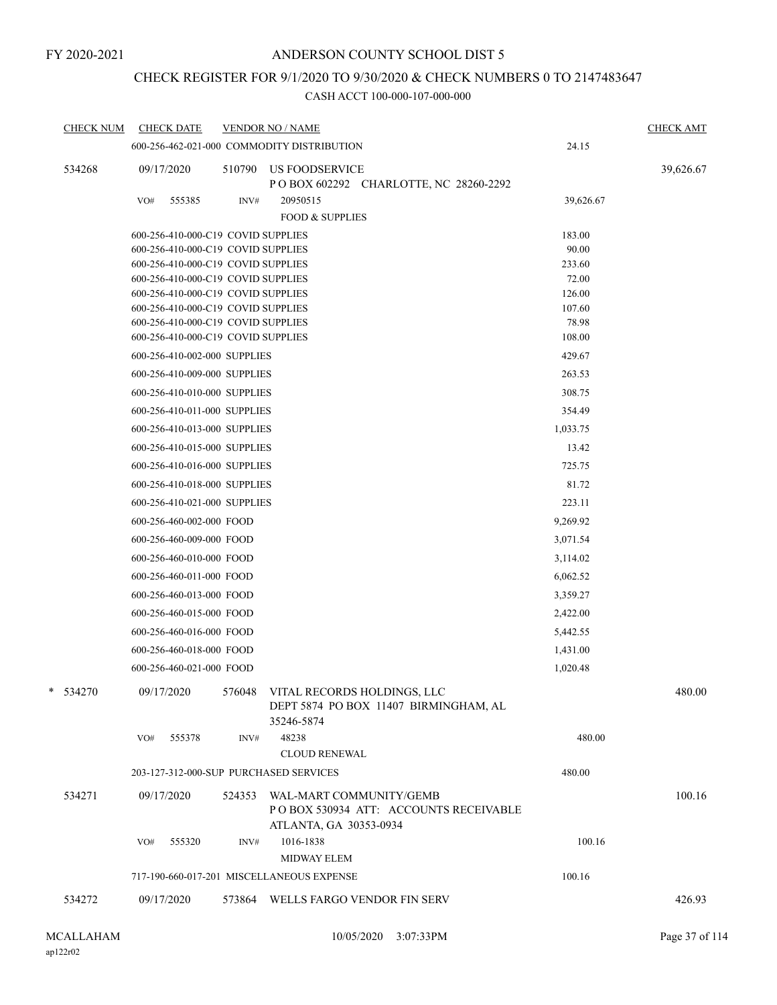## CHECK REGISTER FOR 9/1/2020 TO 9/30/2020 & CHECK NUMBERS 0 TO 2147483647

| <b>CHECK NUM</b> | <b>CHECK DATE</b>                                                        |        | <b>VENDOR NO / NAME</b>                                                                              |                 | <b>CHECK AMT</b> |
|------------------|--------------------------------------------------------------------------|--------|------------------------------------------------------------------------------------------------------|-----------------|------------------|
|                  |                                                                          |        | 600-256-462-021-000 COMMODITY DISTRIBUTION                                                           | 24.15           |                  |
| 534268           | 09/17/2020                                                               | 510790 | <b>US FOODSERVICE</b><br>P O BOX 602292 CHARLOTTE, NC 28260-2292                                     |                 | 39,626.67        |
|                  | 555385<br>VO#                                                            | INV#   | 20950515                                                                                             | 39,626.67       |                  |
|                  |                                                                          |        | <b>FOOD &amp; SUPPLIES</b>                                                                           |                 |                  |
|                  | 600-256-410-000-C19 COVID SUPPLIES                                       |        |                                                                                                      | 183.00          |                  |
|                  | 600-256-410-000-C19 COVID SUPPLIES                                       |        |                                                                                                      | 90.00           |                  |
|                  | 600-256-410-000-C19 COVID SUPPLIES                                       |        |                                                                                                      | 233.60          |                  |
|                  | 600-256-410-000-C19 COVID SUPPLIES                                       |        |                                                                                                      | 72.00           |                  |
|                  | 600-256-410-000-C19 COVID SUPPLIES                                       |        |                                                                                                      | 126.00          |                  |
|                  | 600-256-410-000-C19 COVID SUPPLIES                                       |        |                                                                                                      | 107.60          |                  |
|                  | 600-256-410-000-C19 COVID SUPPLIES<br>600-256-410-000-C19 COVID SUPPLIES |        |                                                                                                      | 78.98<br>108.00 |                  |
|                  | 600-256-410-002-000 SUPPLIES                                             |        |                                                                                                      | 429.67          |                  |
|                  | 600-256-410-009-000 SUPPLIES                                             |        |                                                                                                      | 263.53          |                  |
|                  | 600-256-410-010-000 SUPPLIES                                             |        |                                                                                                      | 308.75          |                  |
|                  |                                                                          |        |                                                                                                      |                 |                  |
|                  | 600-256-410-011-000 SUPPLIES                                             |        |                                                                                                      | 354.49          |                  |
|                  | 600-256-410-013-000 SUPPLIES                                             |        |                                                                                                      | 1,033.75        |                  |
|                  | 600-256-410-015-000 SUPPLIES                                             |        |                                                                                                      | 13.42           |                  |
|                  | 600-256-410-016-000 SUPPLIES                                             |        |                                                                                                      | 725.75          |                  |
|                  | 600-256-410-018-000 SUPPLIES                                             |        |                                                                                                      | 81.72           |                  |
|                  | 600-256-410-021-000 SUPPLIES                                             |        |                                                                                                      | 223.11          |                  |
|                  | 600-256-460-002-000 FOOD                                                 |        |                                                                                                      | 9,269.92        |                  |
|                  | 600-256-460-009-000 FOOD                                                 |        |                                                                                                      | 3,071.54        |                  |
|                  | 600-256-460-010-000 FOOD                                                 |        |                                                                                                      | 3,114.02        |                  |
|                  | 600-256-460-011-000 FOOD                                                 |        |                                                                                                      | 6,062.52        |                  |
|                  | 600-256-460-013-000 FOOD                                                 |        |                                                                                                      | 3,359.27        |                  |
|                  | 600-256-460-015-000 FOOD                                                 |        |                                                                                                      | 2,422.00        |                  |
|                  | 600-256-460-016-000 FOOD                                                 |        |                                                                                                      | 5,442.55        |                  |
|                  | 600-256-460-018-000 FOOD                                                 |        |                                                                                                      | 1,431.00        |                  |
|                  | 600-256-460-021-000 FOOD                                                 |        |                                                                                                      | 1,020.48        |                  |
| * 534270         |                                                                          |        | 09/17/2020 576048 VITAL RECORDS HOLDINGS, LLC<br>DEPT 5874 PO BOX 11407 BIRMINGHAM, AL<br>35246-5874 |                 | 480.00           |
|                  | 555378<br>VO#                                                            | INV#   | 48238                                                                                                | 480.00          |                  |
|                  |                                                                          |        | <b>CLOUD RENEWAL</b>                                                                                 |                 |                  |
|                  | 203-127-312-000-SUP PURCHASED SERVICES                                   |        |                                                                                                      | 480.00          |                  |
| 534271           | 09/17/2020                                                               |        | 524353 WAL-MART COMMUNITY/GEMB<br>POBOX 530934 ATT: ACCOUNTS RECEIVABLE<br>ATLANTA, GA 30353-0934    |                 | 100.16           |
|                  | 555320<br>VO#                                                            | INV#   | 1016-1838                                                                                            | 100.16          |                  |
|                  |                                                                          |        | <b>MIDWAY ELEM</b>                                                                                   |                 |                  |
|                  |                                                                          |        | 717-190-660-017-201 MISCELLANEOUS EXPENSE                                                            | 100.16          |                  |
| 534272           | 09/17/2020                                                               |        | 573864 WELLS FARGO VENDOR FIN SERV                                                                   |                 | 426.93           |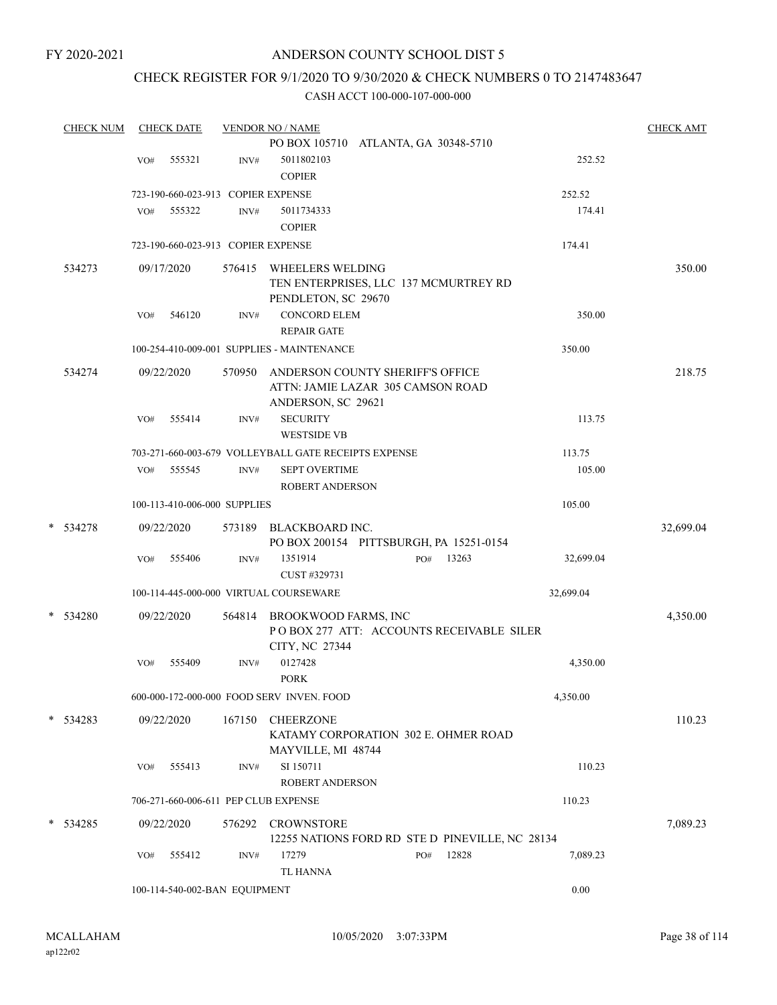## CHECK REGISTER FOR 9/1/2020 TO 9/30/2020 & CHECK NUMBERS 0 TO 2147483647

| <b>CHECK NUM</b> |     | <b>CHECK DATE</b> |                                    | <b>VENDOR NO / NAME</b>                                                                     |     |       |           | <b>CHECK AMT</b> |
|------------------|-----|-------------------|------------------------------------|---------------------------------------------------------------------------------------------|-----|-------|-----------|------------------|
|                  |     |                   |                                    | PO BOX 105710 ATLANTA, GA 30348-5710                                                        |     |       |           |                  |
|                  | VO# | 555321            | INV#                               | 5011802103                                                                                  |     |       | 252.52    |                  |
|                  |     |                   |                                    | <b>COPIER</b>                                                                               |     |       |           |                  |
|                  |     |                   | 723-190-660-023-913 COPIER EXPENSE |                                                                                             |     |       | 252.52    |                  |
|                  | VO# | 555322            | INV#                               | 5011734333                                                                                  |     |       | 174.41    |                  |
|                  |     |                   |                                    | <b>COPIER</b>                                                                               |     |       |           |                  |
|                  |     |                   | 723-190-660-023-913 COPIER EXPENSE |                                                                                             |     |       | 174.41    |                  |
| 534273           |     | 09/17/2020        |                                    | 576415 WHEELERS WELDING<br>TEN ENTERPRISES, LLC 137 MCMURTREY RD                            |     |       |           | 350.00           |
|                  |     |                   |                                    | PENDLETON, SC 29670                                                                         |     |       |           |                  |
|                  | VO# | 546120            | INV#                               | <b>CONCORD ELEM</b>                                                                         |     |       | 350.00    |                  |
|                  |     |                   |                                    | <b>REPAIR GATE</b>                                                                          |     |       |           |                  |
|                  |     |                   |                                    | 100-254-410-009-001 SUPPLIES - MAINTENANCE                                                  |     |       | 350.00    |                  |
| 534274           |     | 09/22/2020        | 570950                             | ANDERSON COUNTY SHERIFF'S OFFICE<br>ATTN: JAMIE LAZAR 305 CAMSON ROAD<br>ANDERSON, SC 29621 |     |       |           | 218.75           |
|                  | VO# | 555414            | INV#                               | <b>SECURITY</b>                                                                             |     |       | 113.75    |                  |
|                  |     |                   |                                    | <b>WESTSIDE VB</b>                                                                          |     |       |           |                  |
|                  |     |                   |                                    | 703-271-660-003-679 VOLLEYBALL GATE RECEIPTS EXPENSE                                        |     |       | 113.75    |                  |
|                  | VO# | 555545            | INV#                               | <b>SEPT OVERTIME</b>                                                                        |     |       | 105.00    |                  |
|                  |     |                   |                                    | <b>ROBERT ANDERSON</b>                                                                      |     |       |           |                  |
|                  |     |                   | 100-113-410-006-000 SUPPLIES       |                                                                                             |     |       | 105.00    |                  |
|                  |     |                   |                                    |                                                                                             |     |       |           |                  |
| * 534278         |     | 09/22/2020        | 573189                             | BLACKBOARD INC.<br>PO BOX 200154 PITTSBURGH, PA 15251-0154                                  |     |       |           | 32,699.04        |
|                  | VO# | 555406            | INV#                               | 1351914                                                                                     | PO# | 13263 | 32,699.04 |                  |
|                  |     |                   |                                    | CUST #329731                                                                                |     |       |           |                  |
|                  |     |                   |                                    | 100-114-445-000-000 VIRTUAL COURSEWARE                                                      |     |       | 32,699.04 |                  |
| $*$ 534280       |     | 09/22/2020        |                                    | 564814 BROOKWOOD FARMS, INC<br>POBOX 277 ATT: ACCOUNTS RECEIVABLE SILER<br>CITY, NC 27344   |     |       |           | 4,350.00         |
|                  | VO# | 555409            | INV#                               | 0127428<br><b>PORK</b>                                                                      |     |       | 4,350.00  |                  |
|                  |     |                   |                                    | 600-000-172-000-000 FOOD SERV INVEN. FOOD                                                   |     |       | 4,350.00  |                  |
|                  |     |                   |                                    |                                                                                             |     |       |           |                  |
| $* 534283$       |     | 09/22/2020        | 167150                             | <b>CHEERZONE</b><br>KATAMY CORPORATION 302 E. OHMER ROAD<br>MAYVILLE, MI 48744              |     |       |           | 110.23           |
|                  | VO# | 555413            | INV#                               | SI 150711<br>ROBERT ANDERSON                                                                |     |       | 110.23    |                  |
|                  |     |                   |                                    | 706-271-660-006-611 PEP CLUB EXPENSE                                                        |     |       | 110.23    |                  |
| $*$ 534285       |     | 09/22/2020        | 576292                             | <b>CROWNSTORE</b>                                                                           |     |       |           | 7,089.23         |
|                  |     |                   |                                    | 12255 NATIONS FORD RD STE D PINEVILLE, NC 28134                                             |     |       |           |                  |
|                  | VO# | 555412            | INV#                               | 17279                                                                                       | PO# | 12828 | 7,089.23  |                  |
|                  |     |                   |                                    | <b>TL HANNA</b>                                                                             |     |       |           |                  |
|                  |     |                   | 100-114-540-002-BAN EQUIPMENT      |                                                                                             |     |       | 0.00      |                  |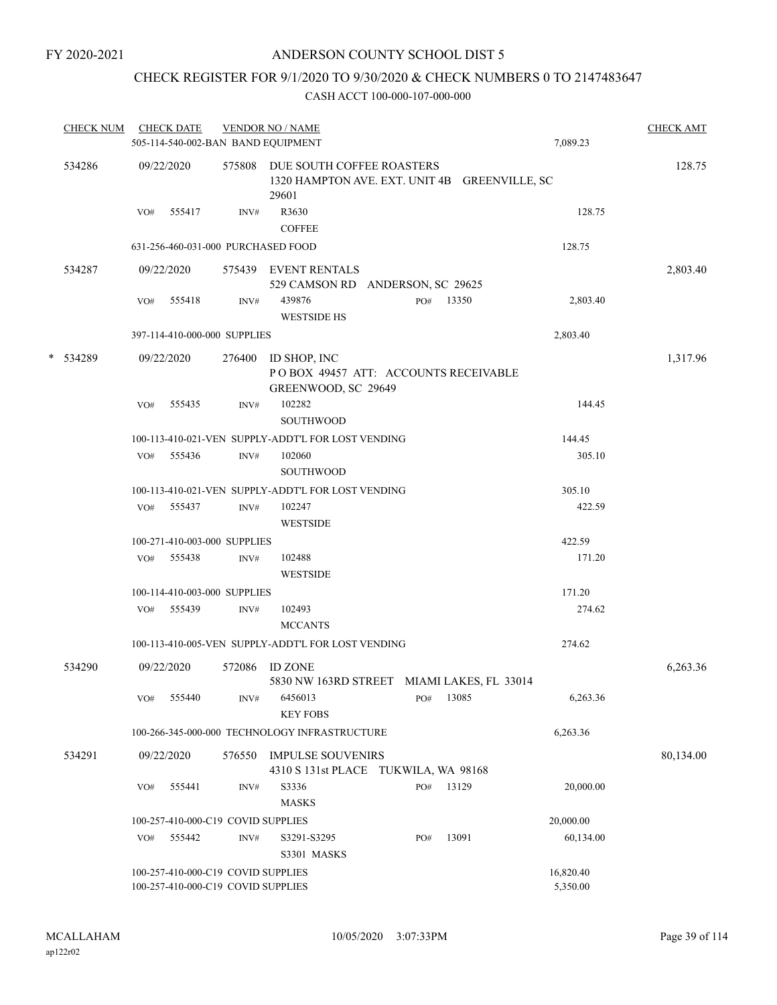## CHECK REGISTER FOR 9/1/2020 TO 9/30/2020 & CHECK NUMBERS 0 TO 2147483647

| <b>CHECK NUM</b> |     | <b>CHECK DATE</b> |                                                                          | <b>VENDOR NO / NAME</b><br>505-114-540-002-BAN BAND EQUIPMENT                              |     |           | 7,089.23              | <b>CHECK AMT</b> |
|------------------|-----|-------------------|--------------------------------------------------------------------------|--------------------------------------------------------------------------------------------|-----|-----------|-----------------------|------------------|
|                  |     |                   |                                                                          |                                                                                            |     |           |                       |                  |
| 534286           |     | 09/22/2020        |                                                                          | 575808 DUE SOUTH COFFEE ROASTERS<br>1320 HAMPTON AVE. EXT. UNIT 4B GREENVILLE, SC<br>29601 |     |           |                       | 128.75           |
|                  | VO# | 555417            | INV#                                                                     | R3630<br><b>COFFEE</b>                                                                     |     |           | 128.75                |                  |
|                  |     |                   | 631-256-460-031-000 PURCHASED FOOD                                       |                                                                                            |     |           | 128.75                |                  |
| 534287           |     | 09/22/2020        |                                                                          | 575439 EVENT RENTALS<br>529 CAMSON RD ANDERSON, SC 29625                                   |     |           |                       | 2,803.40         |
|                  | VO# | 555418            | INV#                                                                     | 439876<br><b>WESTSIDE HS</b>                                                               |     | PO# 13350 | 2,803.40              |                  |
|                  |     |                   | 397-114-410-000-000 SUPPLIES                                             |                                                                                            |     |           | 2,803.40              |                  |
| * 534289         |     | 09/22/2020        |                                                                          | 276400 ID SHOP, INC<br>POBOX 49457 ATT: ACCOUNTS RECEIVABLE<br>GREENWOOD, SC 29649         |     |           |                       | 1,317.96         |
|                  | VO# | 555435            | INV#                                                                     | 102282<br><b>SOUTHWOOD</b>                                                                 |     |           | 144.45                |                  |
|                  |     |                   |                                                                          | 100-113-410-021-VEN SUPPLY-ADDT'L FOR LOST VENDING                                         |     |           | 144.45                |                  |
|                  |     | VO# 555436        | INV#                                                                     | 102060<br><b>SOUTHWOOD</b>                                                                 |     |           | 305.10                |                  |
|                  |     |                   |                                                                          | 100-113-410-021-VEN SUPPLY-ADDT'L FOR LOST VENDING                                         |     |           | 305.10                |                  |
|                  |     | VO# 555437        | INV#                                                                     | 102247<br><b>WESTSIDE</b>                                                                  |     |           | 422.59                |                  |
|                  |     |                   | 100-271-410-003-000 SUPPLIES                                             |                                                                                            |     |           | 422.59                |                  |
|                  |     | VO# 555438        | INV#                                                                     | 102488<br><b>WESTSIDE</b>                                                                  |     |           | 171.20                |                  |
|                  |     |                   | 100-114-410-003-000 SUPPLIES                                             |                                                                                            |     |           | 171.20                |                  |
|                  | VO# | 555439            | INV#                                                                     | 102493<br><b>MCCANTS</b>                                                                   |     |           | 274.62                |                  |
|                  |     |                   |                                                                          | 100-113-410-005-VEN SUPPLY-ADDT'L FOR LOST VENDING                                         |     |           | 274.62                |                  |
| 534290           |     | 09/22/2020        | 572086                                                                   | <b>ID ZONE</b><br>5830 NW 163RD STREET MIAMI LAKES, FL 33014                               |     |           |                       | 6,263.36         |
|                  | VO# | 555440            | INV#                                                                     | 6456013<br><b>KEY FOBS</b>                                                                 | PO# | 13085     | 6,263.36              |                  |
|                  |     |                   |                                                                          | 100-266-345-000-000 TECHNOLOGY INFRASTRUCTURE                                              |     |           | 6,263.36              |                  |
| 534291           |     | 09/22/2020        | 576550                                                                   | <b>IMPULSE SOUVENIRS</b><br>4310 S 131st PLACE TUKWILA, WA 98168                           |     |           |                       | 80,134.00        |
|                  | VO# | 555441            | INV#                                                                     | S3336<br><b>MASKS</b>                                                                      | PO# | 13129     | 20,000.00             |                  |
|                  |     |                   | 100-257-410-000-C19 COVID SUPPLIES                                       |                                                                                            |     |           | 20,000.00             |                  |
|                  | VO# | 555442            | INV#                                                                     | S3291-S3295<br>S3301 MASKS                                                                 | PO# | 13091     | 60,134.00             |                  |
|                  |     |                   | 100-257-410-000-C19 COVID SUPPLIES<br>100-257-410-000-C19 COVID SUPPLIES |                                                                                            |     |           | 16,820.40<br>5,350.00 |                  |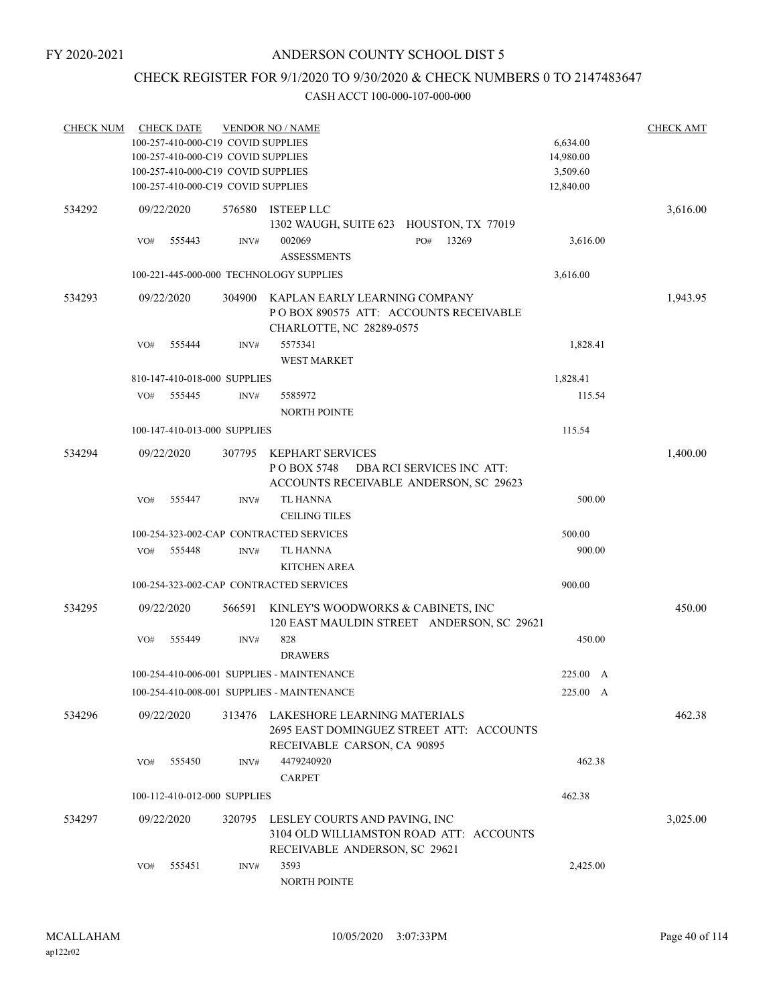## CHECK REGISTER FOR 9/1/2020 TO 9/30/2020 & CHECK NUMBERS 0 TO 2147483647

| <b>CHECK NUM</b> |     | <b>CHECK DATE</b> | 100-257-410-000-C19 COVID SUPPLIES | <b>VENDOR NO / NAME</b>                    |                           | 6,634.00  | <b>CHECK AMT</b> |
|------------------|-----|-------------------|------------------------------------|--------------------------------------------|---------------------------|-----------|------------------|
|                  |     |                   | 100-257-410-000-C19 COVID SUPPLIES |                                            |                           | 14,980.00 |                  |
|                  |     |                   | 100-257-410-000-C19 COVID SUPPLIES |                                            |                           | 3,509.60  |                  |
|                  |     |                   | 100-257-410-000-C19 COVID SUPPLIES |                                            |                           | 12,840.00 |                  |
| 534292           |     | 09/22/2020        | 576580                             | <b>ISTEEP LLC</b>                          |                           |           | 3,616.00         |
|                  |     |                   |                                    | 1302 WAUGH, SUITE 623 HOUSTON, TX 77019    |                           |           |                  |
|                  | VO# | 555443            | INV#                               | 002069                                     | 13269<br>PO#              | 3,616.00  |                  |
|                  |     |                   |                                    | <b>ASSESSMENTS</b>                         |                           |           |                  |
|                  |     |                   |                                    | 100-221-445-000-000 TECHNOLOGY SUPPLIES    |                           | 3,616.00  |                  |
| 534293           |     | 09/22/2020        | 304900                             | KAPLAN EARLY LEARNING COMPANY              |                           |           | 1,943.95         |
|                  |     |                   |                                    | POBOX 890575 ATT: ACCOUNTS RECEIVABLE      |                           |           |                  |
|                  |     |                   |                                    | CHARLOTTE, NC 28289-0575                   |                           |           |                  |
|                  | VO# | 555444            | INV#                               | 5575341                                    |                           | 1,828.41  |                  |
|                  |     |                   |                                    | <b>WEST MARKET</b>                         |                           |           |                  |
|                  |     |                   | 810-147-410-018-000 SUPPLIES       |                                            |                           | 1,828.41  |                  |
|                  | VO# | 555445            | INV#                               | 5585972                                    |                           | 115.54    |                  |
|                  |     |                   |                                    | <b>NORTH POINTE</b>                        |                           |           |                  |
|                  |     |                   | 100-147-410-013-000 SUPPLIES       |                                            |                           | 115.54    |                  |
| 534294           |     | 09/22/2020        | 307795                             | <b>KEPHART SERVICES</b>                    |                           |           | 1,400.00         |
|                  |     |                   |                                    | P O BOX 5748                               | DBA RCI SERVICES INC ATT: |           |                  |
|                  |     |                   |                                    | ACCOUNTS RECEIVABLE ANDERSON, SC 29623     |                           |           |                  |
|                  | VO# | 555447            | INV#                               | <b>TL HANNA</b>                            |                           | 500.00    |                  |
|                  |     |                   |                                    | <b>CEILING TILES</b>                       |                           |           |                  |
|                  |     |                   |                                    | 100-254-323-002-CAP CONTRACTED SERVICES    |                           | 500.00    |                  |
|                  | VO# | 555448            | INV#                               | TL HANNA                                   |                           | 900.00    |                  |
|                  |     |                   |                                    | <b>KITCHEN AREA</b>                        |                           |           |                  |
|                  |     |                   |                                    | 100-254-323-002-CAP CONTRACTED SERVICES    |                           | 900.00    |                  |
| 534295           |     | 09/22/2020        | 566591                             | KINLEY'S WOODWORKS & CABINETS, INC         |                           |           | 450.00           |
|                  |     |                   |                                    | 120 EAST MAULDIN STREET ANDERSON, SC 29621 |                           |           |                  |
|                  | VO# | 555449            | INV#                               | 828                                        |                           | 450.00    |                  |
|                  |     |                   |                                    | <b>DRAWERS</b>                             |                           |           |                  |
|                  |     |                   |                                    | 100-254-410-006-001 SUPPLIES - MAINTENANCE |                           | 225.00 A  |                  |
|                  |     |                   |                                    | 100-254-410-008-001 SUPPLIES - MAINTENANCE |                           | 225.00 A  |                  |
| 534296           |     | 09/22/2020        | 313476                             | LAKESHORE LEARNING MATERIALS               |                           |           | 462.38           |
|                  |     |                   |                                    | 2695 EAST DOMINGUEZ STREET ATT: ACCOUNTS   |                           |           |                  |
|                  |     |                   |                                    | RECEIVABLE CARSON, CA 90895                |                           |           |                  |
|                  | VO# | 555450            | INV#                               | 4479240920                                 |                           | 462.38    |                  |
|                  |     |                   |                                    | <b>CARPET</b>                              |                           |           |                  |
|                  |     |                   | 100-112-410-012-000 SUPPLIES       |                                            |                           | 462.38    |                  |
| 534297           |     | 09/22/2020        | 320795                             | LESLEY COURTS AND PAVING, INC              |                           |           | 3,025.00         |
|                  |     |                   |                                    | 3104 OLD WILLIAMSTON ROAD ATT: ACCOUNTS    |                           |           |                  |
|                  |     |                   |                                    | RECEIVABLE ANDERSON, SC 29621              |                           |           |                  |
|                  | VO# | 555451            | INV#                               | 3593                                       |                           | 2,425.00  |                  |
|                  |     |                   |                                    | NORTH POINTE                               |                           |           |                  |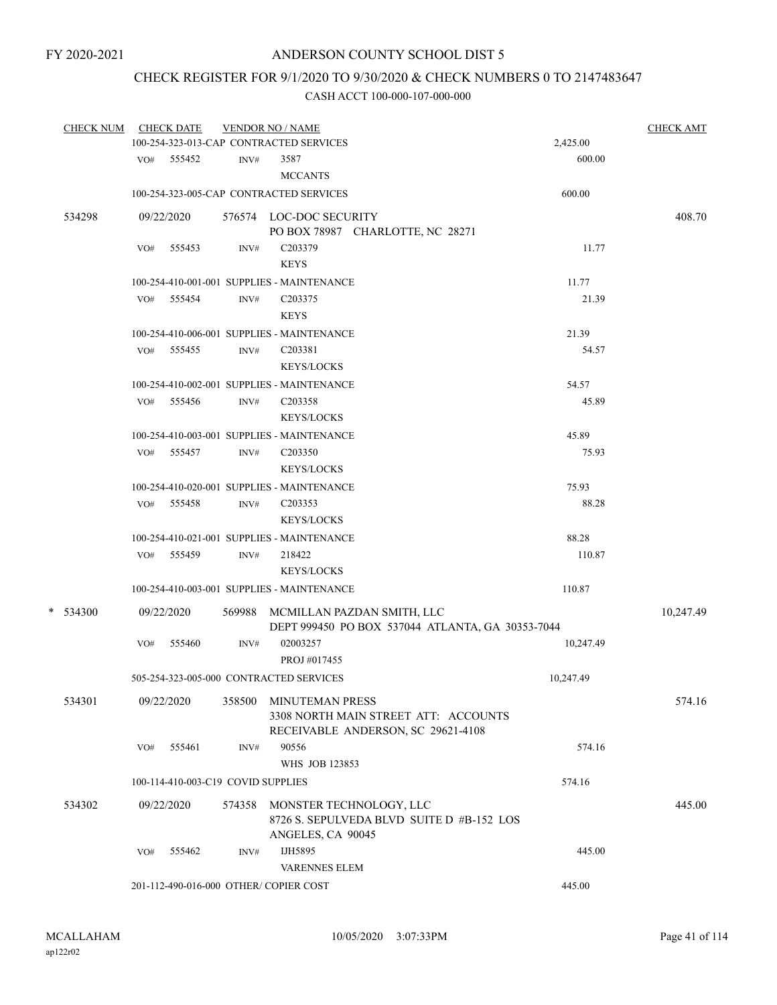## CHECK REGISTER FOR 9/1/2020 TO 9/30/2020 & CHECK NUMBERS 0 TO 2147483647

|   | <b>CHECK NUM</b> |     | <b>CHECK DATE</b>                  |        | <b>VENDOR NO / NAME</b>                          |           | <b>CHECK AMT</b> |
|---|------------------|-----|------------------------------------|--------|--------------------------------------------------|-----------|------------------|
|   |                  |     |                                    |        | 100-254-323-013-CAP CONTRACTED SERVICES          | 2,425.00  |                  |
|   |                  |     | VO# 555452                         | INV#   | 3587                                             | 600.00    |                  |
|   |                  |     |                                    |        | <b>MCCANTS</b>                                   |           |                  |
|   |                  |     |                                    |        | 100-254-323-005-CAP CONTRACTED SERVICES          | 600.00    |                  |
|   | 534298           |     | 09/22/2020                         |        | 576574 LOC-DOC SECURITY                          |           | 408.70           |
|   |                  |     |                                    |        | PO BOX 78987 CHARLOTTE, NC 28271                 |           |                  |
|   |                  | VO# | 555453                             | INV#   | C203379                                          | 11.77     |                  |
|   |                  |     |                                    |        | <b>KEYS</b>                                      |           |                  |
|   |                  |     |                                    |        | 100-254-410-001-001 SUPPLIES - MAINTENANCE       | 11.77     |                  |
|   |                  | VO# | 555454                             | INV#   | C <sub>203375</sub>                              | 21.39     |                  |
|   |                  |     |                                    |        | <b>KEYS</b>                                      |           |                  |
|   |                  |     |                                    |        | 100-254-410-006-001 SUPPLIES - MAINTENANCE       | 21.39     |                  |
|   |                  | VO# | 555455                             | INV#   | C <sub>203381</sub>                              | 54.57     |                  |
|   |                  |     |                                    |        | <b>KEYS/LOCKS</b>                                |           |                  |
|   |                  |     |                                    |        | 100-254-410-002-001 SUPPLIES - MAINTENANCE       | 54.57     |                  |
|   |                  | VO# | 555456                             | INV#   | C203358                                          | 45.89     |                  |
|   |                  |     |                                    |        | <b>KEYS/LOCKS</b>                                |           |                  |
|   |                  |     |                                    |        | 100-254-410-003-001 SUPPLIES - MAINTENANCE       | 45.89     |                  |
|   |                  |     | VO# 555457                         | INV#   | C <sub>203350</sub>                              | 75.93     |                  |
|   |                  |     |                                    |        | <b>KEYS/LOCKS</b>                                |           |                  |
|   |                  |     |                                    |        | 100-254-410-020-001 SUPPLIES - MAINTENANCE       | 75.93     |                  |
|   |                  | VO# | 555458                             | INV#   | C <sub>203353</sub>                              | 88.28     |                  |
|   |                  |     |                                    |        | <b>KEYS/LOCKS</b>                                |           |                  |
|   |                  |     |                                    |        |                                                  |           |                  |
|   |                  |     |                                    |        | 100-254-410-021-001 SUPPLIES - MAINTENANCE       | 88.28     |                  |
|   |                  |     | VO# 555459                         | INV#   | 218422                                           | 110.87    |                  |
|   |                  |     |                                    |        | <b>KEYS/LOCKS</b>                                |           |                  |
|   |                  |     |                                    |        | 100-254-410-003-001 SUPPLIES - MAINTENANCE       | 110.87    |                  |
| * | 534300           |     | 09/22/2020                         |        | 569988 MCMILLAN PAZDAN SMITH, LLC                |           | 10,247.49        |
|   |                  |     |                                    |        | DEPT 999450 PO BOX 537044 ATLANTA, GA 30353-7044 |           |                  |
|   |                  | VO# | 555460                             | INV#   | 02003257                                         | 10,247.49 |                  |
|   |                  |     |                                    |        | PROJ #017455                                     |           |                  |
|   |                  |     |                                    |        | 505-254-323-005-000 CONTRACTED SERVICES          | 10,247.49 |                  |
|   | 534301           |     | 09/22/2020                         | 358500 | <b>MINUTEMAN PRESS</b>                           |           | 574.16           |
|   |                  |     |                                    |        | 3308 NORTH MAIN STREET ATT: ACCOUNTS             |           |                  |
|   |                  |     |                                    |        | RECEIVABLE ANDERSON, SC 29621-4108               |           |                  |
|   |                  | VO# | 555461                             | INV#   | 90556                                            | 574.16    |                  |
|   |                  |     |                                    |        | WHS JOB 123853                                   |           |                  |
|   |                  |     | 100-114-410-003-C19 COVID SUPPLIES |        |                                                  | 574.16    |                  |
|   | 534302           |     | 09/22/2020                         | 574358 | MONSTER TECHNOLOGY, LLC                          |           | 445.00           |
|   |                  |     |                                    |        | 8726 S. SEPULVEDA BLVD SUITE D #B-152 LOS        |           |                  |
|   |                  |     |                                    |        | ANGELES, CA 90045                                |           |                  |
|   |                  | VO# | 555462                             | INV#   | IJH5895                                          | 445.00    |                  |
|   |                  |     |                                    |        | <b>VARENNES ELEM</b>                             |           |                  |
|   |                  |     |                                    |        | 201-112-490-016-000 OTHER/ COPIER COST           | 445.00    |                  |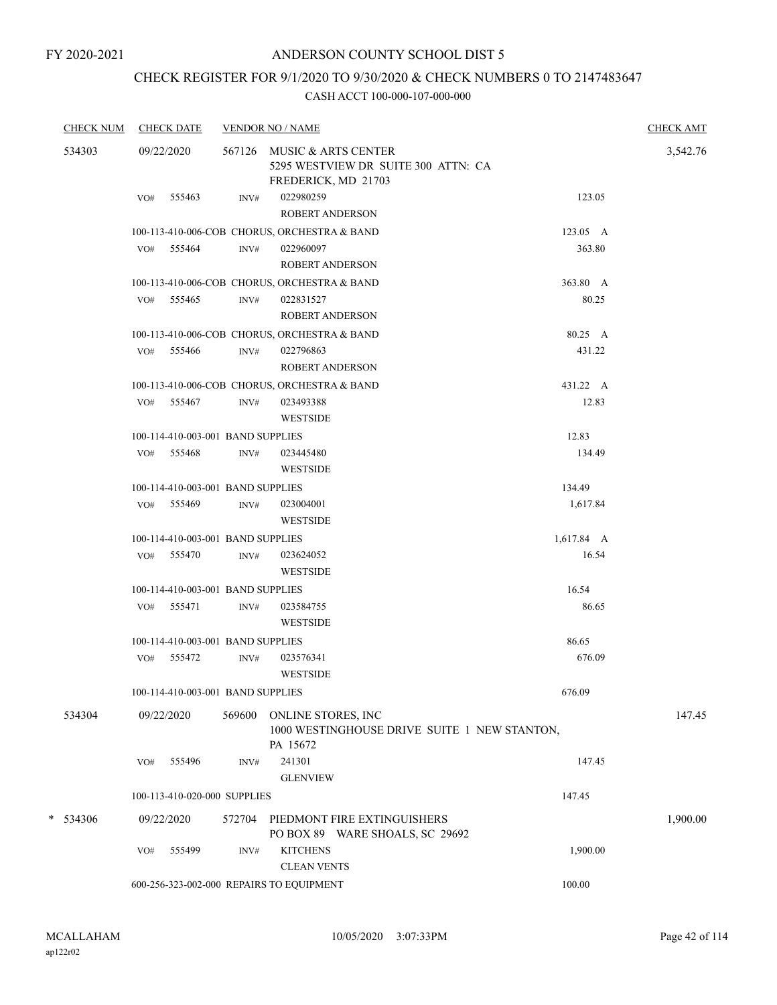## CHECK REGISTER FOR 9/1/2020 TO 9/30/2020 & CHECK NUMBERS 0 TO 2147483647

| <b>CHECK NUM</b> |     | <b>CHECK DATE</b>                 |                | <b>VENDOR NO / NAME</b>                                                                  |            | <b>CHECK AMT</b> |
|------------------|-----|-----------------------------------|----------------|------------------------------------------------------------------------------------------|------------|------------------|
| 534303           |     | 09/22/2020                        |                | 567126 MUSIC & ARTS CENTER<br>5295 WESTVIEW DR SUITE 300 ATTN: CA<br>FREDERICK, MD 21703 |            | 3,542.76         |
|                  | VO# | 555463                            | INV#           | 022980259<br><b>ROBERT ANDERSON</b>                                                      | 123.05     |                  |
|                  |     |                                   |                | 100-113-410-006-COB CHORUS, ORCHESTRA & BAND                                             | 123.05 A   |                  |
|                  |     | VO# 555464                        | INV#           | 022960097<br><b>ROBERT ANDERSON</b>                                                      | 363.80     |                  |
|                  |     |                                   |                | 100-113-410-006-COB CHORUS, ORCHESTRA & BAND                                             | 363.80 A   |                  |
|                  |     | VO# 555465                        | INV#           | 022831527<br><b>ROBERT ANDERSON</b>                                                      | 80.25      |                  |
|                  |     |                                   |                | 100-113-410-006-COB CHORUS, ORCHESTRA & BAND                                             | 80.25 A    |                  |
|                  | VO# | 555466                            | INV#           | 022796863<br>ROBERT ANDERSON                                                             | 431.22     |                  |
|                  |     |                                   |                | 100-113-410-006-COB CHORUS, ORCHESTRA & BAND                                             | 431.22 A   |                  |
|                  |     | VO# 555467                        | INV#           | 023493388<br><b>WESTSIDE</b>                                                             | 12.83      |                  |
|                  |     | 100-114-410-003-001 BAND SUPPLIES |                |                                                                                          | 12.83      |                  |
|                  | VO# | 555468                            | $\text{INV}\#$ | 023445480<br><b>WESTSIDE</b>                                                             | 134.49     |                  |
|                  |     | 100-114-410-003-001 BAND SUPPLIES |                |                                                                                          | 134.49     |                  |
|                  |     | VO# 555469                        | INV#           | 023004001<br><b>WESTSIDE</b>                                                             | 1,617.84   |                  |
|                  |     | 100-114-410-003-001 BAND SUPPLIES |                |                                                                                          | 1,617.84 A |                  |
|                  |     | VO# 555470                        | INV#           | 023624052<br><b>WESTSIDE</b>                                                             | 16.54      |                  |
|                  |     | 100-114-410-003-001 BAND SUPPLIES |                |                                                                                          | 16.54      |                  |
|                  |     | VO# 555471                        | INV#           | 023584755<br><b>WESTSIDE</b>                                                             | 86.65      |                  |
|                  |     | 100-114-410-003-001 BAND SUPPLIES |                |                                                                                          | 86.65      |                  |
|                  |     | VO# 555472                        | INV#           | 023576341<br><b>WESTSIDE</b>                                                             | 676.09     |                  |
|                  |     | 100-114-410-003-001 BAND SUPPLIES |                |                                                                                          | 676.09     |                  |
| 534304           |     | 09/22/2020                        | 569600         | ONLINE STORES, INC<br>1000 WESTINGHOUSE DRIVE SUITE 1 NEW STANTON,<br>PA 15672           |            | 147.45           |
|                  | VO# | 555496                            | INV#           | 241301<br><b>GLENVIEW</b>                                                                | 147.45     |                  |
|                  |     | 100-113-410-020-000 SUPPLIES      |                |                                                                                          | 147.45     |                  |
| $*$ 534306       |     | 09/22/2020                        | 572704         | PIEDMONT FIRE EXTINGUISHERS<br>PO BOX 89 WARE SHOALS, SC 29692                           |            | 1,900.00         |
|                  | VO# | 555499                            | INV#           | <b>KITCHENS</b><br><b>CLEAN VENTS</b>                                                    | 1,900.00   |                  |
|                  |     |                                   |                | 600-256-323-002-000 REPAIRS TO EQUIPMENT                                                 | 100.00     |                  |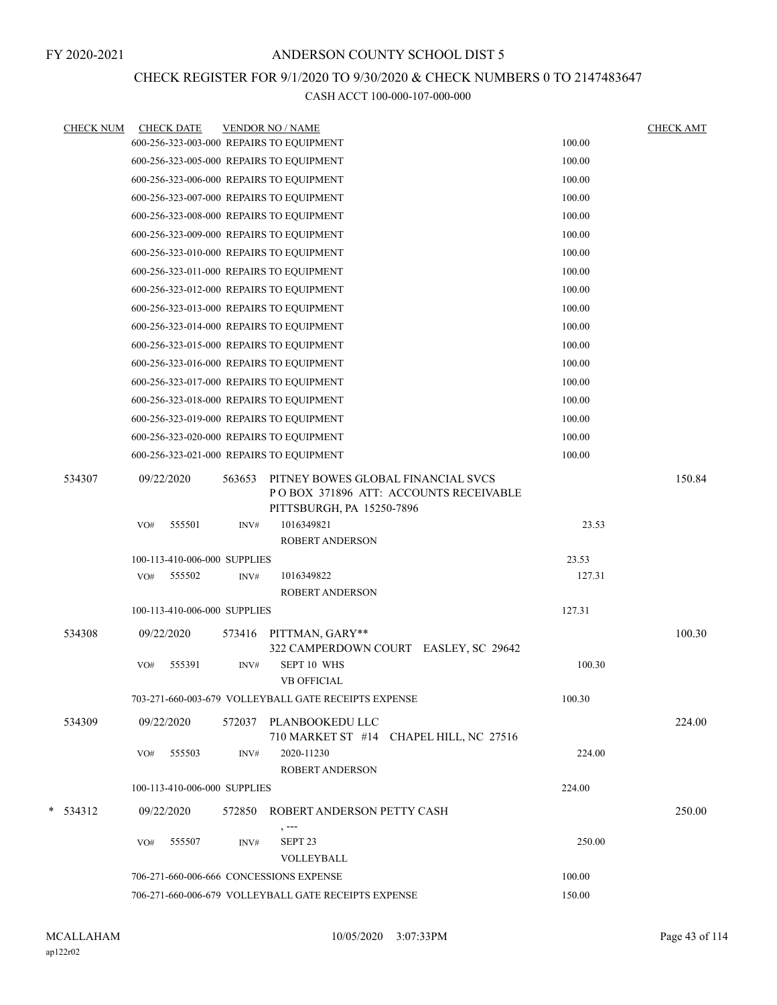## CHECK REGISTER FOR 9/1/2020 TO 9/30/2020 & CHECK NUMBERS 0 TO 2147483647

| <b>CHECK NUM</b> |            | <b>CHECK DATE</b>            |        | <b>VENDOR NO / NAME</b>                                                                                  |        | <b>CHECK AMT</b> |
|------------------|------------|------------------------------|--------|----------------------------------------------------------------------------------------------------------|--------|------------------|
|                  |            |                              |        | 600-256-323-003-000 REPAIRS TO EQUIPMENT                                                                 | 100.00 |                  |
|                  |            |                              |        | 600-256-323-005-000 REPAIRS TO EQUIPMENT                                                                 | 100.00 |                  |
|                  |            |                              |        | 600-256-323-006-000 REPAIRS TO EQUIPMENT                                                                 | 100.00 |                  |
|                  |            |                              |        | 600-256-323-007-000 REPAIRS TO EQUIPMENT                                                                 | 100.00 |                  |
|                  |            |                              |        | 600-256-323-008-000 REPAIRS TO EQUIPMENT                                                                 | 100.00 |                  |
|                  |            |                              |        | 600-256-323-009-000 REPAIRS TO EQUIPMENT                                                                 | 100.00 |                  |
|                  |            |                              |        | 600-256-323-010-000 REPAIRS TO EQUIPMENT                                                                 | 100.00 |                  |
|                  |            |                              |        | 600-256-323-011-000 REPAIRS TO EQUIPMENT                                                                 | 100.00 |                  |
|                  |            |                              |        | 600-256-323-012-000 REPAIRS TO EQUIPMENT                                                                 | 100.00 |                  |
|                  |            |                              |        | 600-256-323-013-000 REPAIRS TO EQUIPMENT                                                                 | 100.00 |                  |
|                  |            |                              |        | 600-256-323-014-000 REPAIRS TO EQUIPMENT                                                                 | 100.00 |                  |
|                  |            |                              |        | 600-256-323-015-000 REPAIRS TO EQUIPMENT                                                                 | 100.00 |                  |
|                  |            |                              |        | 600-256-323-016-000 REPAIRS TO EQUIPMENT                                                                 | 100.00 |                  |
|                  |            |                              |        | 600-256-323-017-000 REPAIRS TO EQUIPMENT                                                                 | 100.00 |                  |
|                  |            |                              |        | 600-256-323-018-000 REPAIRS TO EQUIPMENT                                                                 | 100.00 |                  |
|                  |            |                              |        | 600-256-323-019-000 REPAIRS TO EQUIPMENT                                                                 | 100.00 |                  |
|                  |            |                              |        | 600-256-323-020-000 REPAIRS TO EQUIPMENT                                                                 | 100.00 |                  |
|                  |            |                              |        | 600-256-323-021-000 REPAIRS TO EQUIPMENT                                                                 | 100.00 |                  |
| 534307           | 09/22/2020 |                              | 563653 | PITNEY BOWES GLOBAL FINANCIAL SVCS<br>POBOX 371896 ATT: ACCOUNTS RECEIVABLE<br>PITTSBURGH, PA 15250-7896 |        | 150.84           |
|                  | VO#        | 555501                       | INV#   | 1016349821<br>ROBERT ANDERSON                                                                            | 23.53  |                  |
|                  |            | 100-113-410-006-000 SUPPLIES |        |                                                                                                          | 23.53  |                  |
|                  | VO#        | 555502                       | INV#   | 1016349822                                                                                               | 127.31 |                  |
|                  |            |                              |        | ROBERT ANDERSON                                                                                          |        |                  |
|                  |            | 100-113-410-006-000 SUPPLIES |        |                                                                                                          | 127.31 |                  |
| 534308           | 09/22/2020 |                              | 573416 | PITTMAN, GARY**<br>322 CAMPERDOWN COURT EASLEY, SC 29642                                                 |        | 100.30           |
|                  | VO#        | 555391                       | INV#   | SEPT 10 WHS<br><b>VB OFFICIAL</b>                                                                        | 100.30 |                  |
|                  |            |                              |        | 703-271-660-003-679 VOLLEYBALL GATE RECEIPTS EXPENSE                                                     | 100.30 |                  |
| 534309           | 09/22/2020 |                              |        | 572037 PLANBOOKEDU LLC                                                                                   |        | 224.00           |
|                  | VO#        | 555503                       | INV#   | 710 MARKET ST #14 CHAPEL HILL, NC 27516<br>2020-11230                                                    | 224.00 |                  |
|                  |            |                              |        | <b>ROBERT ANDERSON</b>                                                                                   |        |                  |
|                  |            | 100-113-410-006-000 SUPPLIES |        |                                                                                                          | 224.00 |                  |
| $*$ 534312       | 09/22/2020 |                              | 572850 | ROBERT ANDERSON PETTY CASH                                                                               |        | 250.00           |
|                  | VO#        | 555507                       | INV#   | SEPT <sub>23</sub><br>VOLLEYBALL                                                                         | 250.00 |                  |
|                  |            |                              |        | 706-271-660-006-666 CONCESSIONS EXPENSE                                                                  | 100.00 |                  |
|                  |            |                              |        | 706-271-660-006-679 VOLLEYBALL GATE RECEIPTS EXPENSE                                                     | 150.00 |                  |
|                  |            |                              |        |                                                                                                          |        |                  |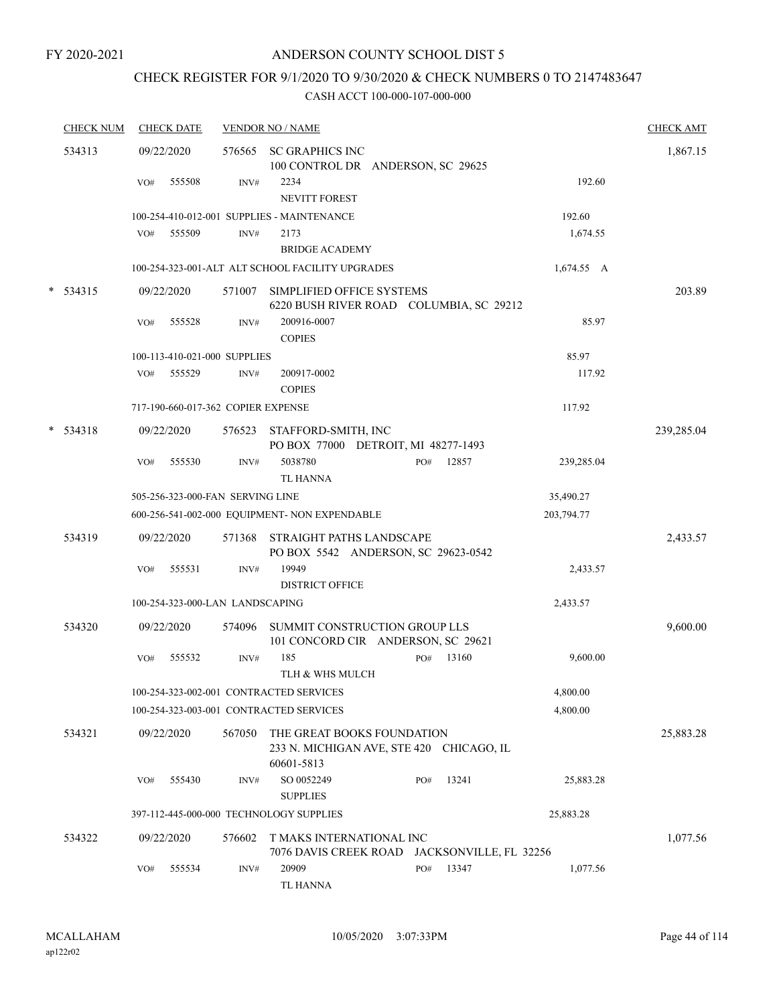## CHECK REGISTER FOR 9/1/2020 TO 9/30/2020 & CHECK NUMBERS 0 TO 2147483647

|   | <b>CHECK NUM</b> |     | <b>CHECK DATE</b> |                                    | <b>VENDOR NO / NAME</b>                                                  |     |       |              | <b>CHECK AMT</b> |
|---|------------------|-----|-------------------|------------------------------------|--------------------------------------------------------------------------|-----|-------|--------------|------------------|
|   | 534313           |     | 09/22/2020        | 576565                             | <b>SC GRAPHICS INC</b><br>100 CONTROL DR ANDERSON, SC 29625              |     |       |              | 1,867.15         |
|   |                  | VO# | 555508            | INV#                               | 2234                                                                     |     |       | 192.60       |                  |
|   |                  |     |                   |                                    | <b>NEVITT FOREST</b>                                                     |     |       |              |                  |
|   |                  |     |                   |                                    | 100-254-410-012-001 SUPPLIES - MAINTENANCE                               |     |       | 192.60       |                  |
|   |                  | VO# | 555509            | INV#                               | 2173                                                                     |     |       | 1,674.55     |                  |
|   |                  |     |                   |                                    | <b>BRIDGE ACADEMY</b>                                                    |     |       |              |                  |
|   |                  |     |                   |                                    | 100-254-323-001-ALT ALT SCHOOL FACILITY UPGRADES                         |     |       | $1,674.55$ A |                  |
| * | 534315           |     | 09/22/2020        | 571007                             | SIMPLIFIED OFFICE SYSTEMS<br>6220 BUSH RIVER ROAD COLUMBIA, SC 29212     |     |       |              | 203.89           |
|   |                  | VO# | 555528            | INV#                               | 200916-0007<br><b>COPIES</b>                                             |     |       | 85.97        |                  |
|   |                  |     |                   | 100-113-410-021-000 SUPPLIES       |                                                                          |     |       | 85.97        |                  |
|   |                  | VO# | 555529            | INV#                               | 200917-0002<br><b>COPIES</b>                                             |     |       | 117.92       |                  |
|   |                  |     |                   | 717-190-660-017-362 COPIER EXPENSE |                                                                          |     |       | 117.92       |                  |
| * | 534318           |     | 09/22/2020        | 576523                             | STAFFORD-SMITH, INC<br>PO BOX 77000 DETROIT, MI 48277-1493               |     |       |              | 239,285.04       |
|   |                  | VO# | 555530            | INV#                               | 5038780<br><b>TL HANNA</b>                                               | PO# | 12857 | 239,285.04   |                  |
|   |                  |     |                   | 505-256-323-000-FAN SERVING LINE   |                                                                          |     |       | 35,490.27    |                  |
|   |                  |     |                   |                                    | 600-256-541-002-000 EQUIPMENT- NON EXPENDABLE                            |     |       | 203,794.77   |                  |
|   | 534319           |     | 09/22/2020        | 571368                             | STRAIGHT PATHS LANDSCAPE<br>PO BOX 5542 ANDERSON, SC 29623-0542          |     |       |              | 2,433.57         |
|   |                  | VO# | 555531            | INV#                               | 19949<br><b>DISTRICT OFFICE</b>                                          |     |       | 2,433.57     |                  |
|   |                  |     |                   | 100-254-323-000-LAN LANDSCAPING    |                                                                          |     |       | 2,433.57     |                  |
|   | 534320           |     | 09/22/2020        | 574096                             | SUMMIT CONSTRUCTION GROUP LLS<br>101 CONCORD CIR ANDERSON, SC 29621      |     |       |              | 9,600.00         |
|   |                  | VO# | 555532            | INV#                               | 185<br>TLH & WHS MULCH                                                   | PO# | 13160 | 9,600.00     |                  |
|   |                  |     |                   |                                    | 100-254-323-002-001 CONTRACTED SERVICES                                  |     |       | 4,800.00     |                  |
|   |                  |     |                   |                                    | 100-254-323-003-001 CONTRACTED SERVICES                                  |     |       | 4,800.00     |                  |
|   | 534321           |     | 09/22/2020        | 567050                             | THE GREAT BOOKS FOUNDATION<br>233 N. MICHIGAN AVE, STE 420 CHICAGO, IL   |     |       |              | 25,883.28        |
|   |                  |     |                   |                                    | 60601-5813                                                               |     |       |              |                  |
|   |                  | VO# | 555430            | INV#                               | SO 0052249                                                               | PO# | 13241 | 25,883.28    |                  |
|   |                  |     |                   |                                    | <b>SUPPLIES</b>                                                          |     |       |              |                  |
|   |                  |     |                   |                                    | 397-112-445-000-000 TECHNOLOGY SUPPLIES                                  |     |       | 25,883.28    |                  |
|   | 534322           |     | 09/22/2020        | 576602                             | T MAKS INTERNATIONAL INC<br>7076 DAVIS CREEK ROAD JACKSONVILLE, FL 32256 |     |       |              | 1,077.56         |
|   |                  | VO# | 555534            | INV#                               | 20909<br>TL HANNA                                                        | PO# | 13347 | 1,077.56     |                  |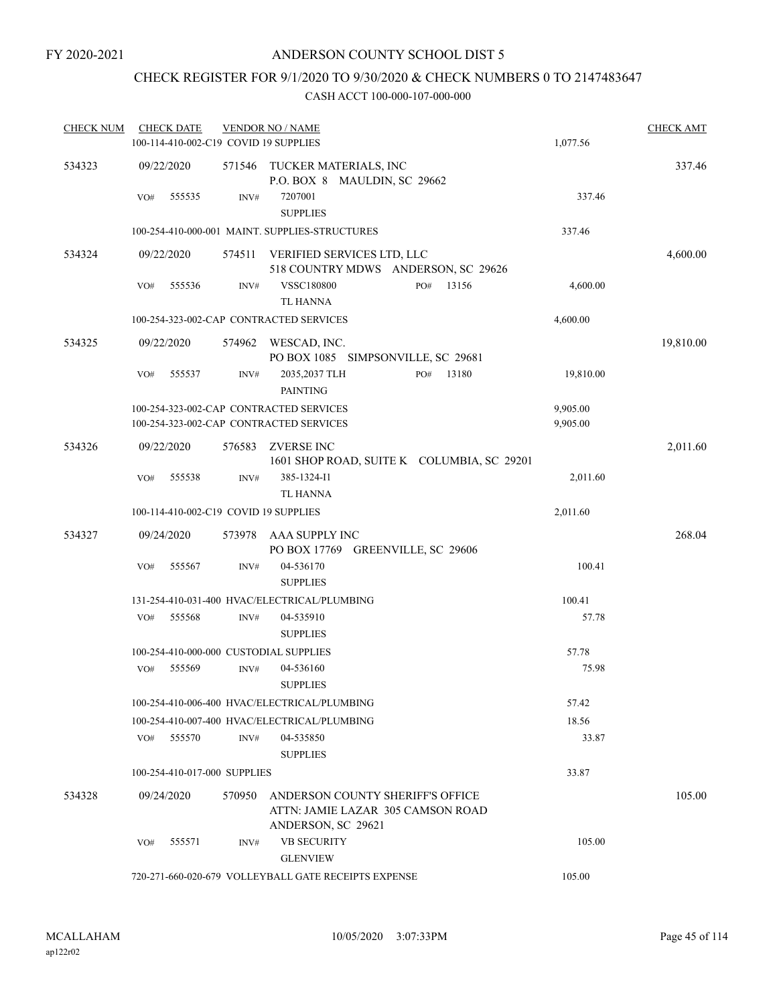## CHECK REGISTER FOR 9/1/2020 TO 9/30/2020 & CHECK NUMBERS 0 TO 2147483647

| <b>CHECK NUM</b> | <b>CHECK DATE</b><br>100-114-410-002-C19 COVID 19 SUPPLIES |                | <b>VENDOR NO / NAME</b>                                               | 1,077.56  | <b>CHECK AMT</b> |
|------------------|------------------------------------------------------------|----------------|-----------------------------------------------------------------------|-----------|------------------|
| 534323           | 09/22/2020                                                 | 571546         | TUCKER MATERIALS, INC<br>P.O. BOX 8 MAULDIN, SC 29662                 |           | 337.46           |
|                  | 555535<br>VO#                                              | INV#           | 7207001<br><b>SUPPLIES</b>                                            | 337.46    |                  |
|                  |                                                            |                | 100-254-410-000-001 MAINT. SUPPLIES-STRUCTURES                        | 337.46    |                  |
| 534324           | 09/22/2020                                                 | 574511         | VERIFIED SERVICES LTD, LLC<br>518 COUNTRY MDWS ANDERSON, SC 29626     |           | 4,600.00         |
|                  | 555536<br>VO#                                              | $\text{INV}\#$ | <b>VSSC180800</b><br>13156<br>PO#<br>TL HANNA                         | 4,600.00  |                  |
|                  | 100-254-323-002-CAP CONTRACTED SERVICES                    |                |                                                                       | 4,600.00  |                  |
| 534325           | 09/22/2020                                                 | 574962         | WESCAD, INC.<br>PO BOX 1085 SIMPSONVILLE, SC 29681                    |           | 19,810.00        |
|                  | 555537<br>VO#                                              | INV#           | 2035,2037 TLH<br>13180<br>PO#<br><b>PAINTING</b>                      | 19,810.00 |                  |
|                  | 100-254-323-002-CAP CONTRACTED SERVICES                    |                |                                                                       | 9,905.00  |                  |
|                  | 100-254-323-002-CAP CONTRACTED SERVICES                    |                |                                                                       | 9,905.00  |                  |
| 534326           | 09/22/2020                                                 | 576583         | <b>ZVERSE INC</b><br>1601 SHOP ROAD, SUITE K COLUMBIA, SC 29201       |           | 2,011.60         |
|                  | VO#<br>555538                                              | INV#           | 385-1324-I1<br><b>TL HANNA</b>                                        | 2,011.60  |                  |
|                  | 100-114-410-002-C19 COVID 19 SUPPLIES                      |                |                                                                       | 2,011.60  |                  |
| 534327           | 09/24/2020                                                 | 573978         | AAA SUPPLY INC<br>PO BOX 17769 GREENVILLE, SC 29606                   |           | 268.04           |
|                  | 555567<br>VO#                                              | INV#           | 04-536170<br><b>SUPPLIES</b>                                          | 100.41    |                  |
|                  |                                                            |                | 131-254-410-031-400 HVAC/ELECTRICAL/PLUMBING                          | 100.41    |                  |
|                  | 555568<br>VO#                                              | INV#           | 04-535910<br><b>SUPPLIES</b>                                          | 57.78     |                  |
|                  | 100-254-410-000-000 CUSTODIAL SUPPLIES                     |                |                                                                       | 57.78     |                  |
|                  | 555569<br>VO#                                              | INV#           | 04-536160<br><b>SUPPLIES</b>                                          | 75.98     |                  |
|                  |                                                            |                | 100-254-410-006-400 HVAC/ELECTRICAL/PLUMBING                          | 57.42     |                  |
|                  |                                                            |                | 100-254-410-007-400 HVAC/ELECTRICAL/PLUMBING                          | 18.56     |                  |
|                  | 555570<br>VO#                                              | INV#           | 04-535850<br><b>SUPPLIES</b>                                          | 33.87     |                  |
|                  | 100-254-410-017-000 SUPPLIES                               |                |                                                                       | 33.87     |                  |
| 534328           | 09/24/2020                                                 | 570950         | ANDERSON COUNTY SHERIFF'S OFFICE<br>ATTN: JAMIE LAZAR 305 CAMSON ROAD |           | 105.00           |
|                  | 555571<br>VO#                                              | INV#           | ANDERSON, SC 29621<br><b>VB SECURITY</b><br><b>GLENVIEW</b>           | 105.00    |                  |
|                  |                                                            |                | 720-271-660-020-679 VOLLEYBALL GATE RECEIPTS EXPENSE                  | 105.00    |                  |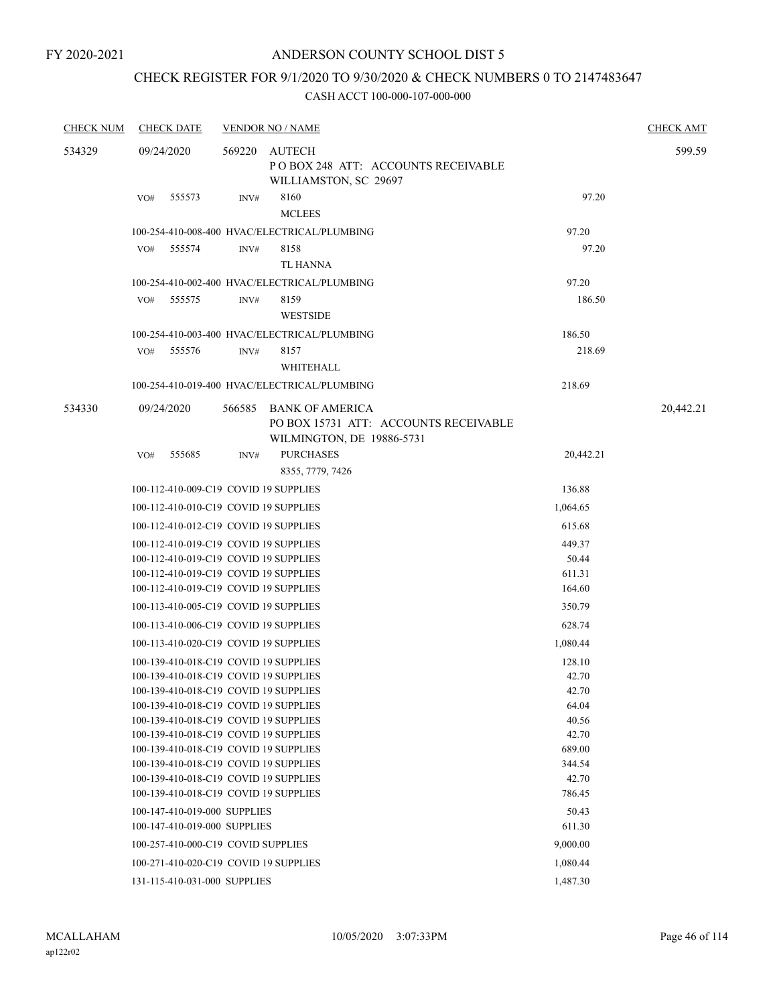## CHECK REGISTER FOR 9/1/2020 TO 9/30/2020 & CHECK NUMBERS 0 TO 2147483647

| <b>CHECK NUM</b> | <b>CHECK DATE</b>                                                              |          | <b>VENDOR NO / NAME</b>                                                               |                 | <b>CHECK AMT</b> |
|------------------|--------------------------------------------------------------------------------|----------|---------------------------------------------------------------------------------------|-----------------|------------------|
| 534329           | 09/24/2020                                                                     | 569220   | AUTECH<br>POBOX 248 ATT: ACCOUNTS RECEIVABLE<br>WILLIAMSTON, SC 29697                 |                 | 599.59           |
|                  | 555573<br>VO#                                                                  | INV#     | 8160<br><b>MCLEES</b>                                                                 | 97.20           |                  |
|                  |                                                                                |          | 100-254-410-008-400 HVAC/ELECTRICAL/PLUMBING                                          | 97.20           |                  |
|                  | 555574<br>VO#                                                                  | INV#     | 8158                                                                                  | 97.20           |                  |
|                  |                                                                                |          | <b>TL HANNA</b>                                                                       |                 |                  |
|                  |                                                                                |          | 100-254-410-002-400 HVAC/ELECTRICAL/PLUMBING                                          | 97.20           |                  |
|                  | VO#<br>555575                                                                  | INV#     | 8159                                                                                  | 186.50          |                  |
|                  |                                                                                |          | <b>WESTSIDE</b>                                                                       |                 |                  |
|                  |                                                                                |          | 100-254-410-003-400 HVAC/ELECTRICAL/PLUMBING                                          | 186.50          |                  |
|                  | 555576<br>VO#                                                                  | INV#     | 8157                                                                                  | 218.69          |                  |
|                  |                                                                                |          | WHITEHALL                                                                             |                 |                  |
|                  |                                                                                |          | 100-254-410-019-400 HVAC/ELECTRICAL/PLUMBING                                          | 218.69          |                  |
| 534330           | 09/24/2020                                                                     | 566585   | BANK OF AMERICA<br>PO BOX 15731 ATT: ACCOUNTS RECEIVABLE<br>WILMINGTON, DE 19886-5731 |                 | 20,442.21        |
|                  | VO#<br>555685                                                                  | INV#     | <b>PURCHASES</b>                                                                      | 20,442.21       |                  |
|                  |                                                                                |          | 8355, 7779, 7426                                                                      |                 |                  |
|                  | 100-112-410-009-C19 COVID 19 SUPPLIES                                          |          |                                                                                       | 136.88          |                  |
|                  | 100-112-410-010-C19 COVID 19 SUPPLIES                                          |          |                                                                                       | 1,064.65        |                  |
|                  | 100-112-410-012-C19 COVID 19 SUPPLIES                                          |          |                                                                                       | 615.68          |                  |
|                  | 100-112-410-019-C19 COVID 19 SUPPLIES                                          |          | 449.37                                                                                |                 |                  |
|                  | 100-112-410-019-C19 COVID 19 SUPPLIES                                          |          | 50.44                                                                                 |                 |                  |
|                  | 100-112-410-019-C19 COVID 19 SUPPLIES                                          |          |                                                                                       | 611.31          |                  |
|                  | 100-112-410-019-C19 COVID 19 SUPPLIES                                          |          | 164.60                                                                                |                 |                  |
|                  | 100-113-410-005-C19 COVID 19 SUPPLIES                                          |          | 350.79                                                                                |                 |                  |
|                  | 100-113-410-006-C19 COVID 19 SUPPLIES                                          |          |                                                                                       | 628.74          |                  |
|                  | 100-113-410-020-C19 COVID 19 SUPPLIES                                          |          |                                                                                       | 1,080.44        |                  |
|                  | 100-139-410-018-C19 COVID 19 SUPPLIES                                          |          |                                                                                       | 128.10          |                  |
|                  | 100-139-410-018-C19 COVID 19 SUPPLIES                                          |          |                                                                                       | 42.70           |                  |
|                  | 100-139-410-018-C19 COVID 19 SUPPLIES                                          |          |                                                                                       | 42.70           |                  |
|                  | 100-139-410-018-C19 COVID 19 SUPPLIES                                          |          |                                                                                       | 64.04           |                  |
|                  | 100-139-410-018-C19 COVID 19 SUPPLIES<br>100-139-410-018-C19 COVID 19 SUPPLIES |          |                                                                                       | 40.56           |                  |
|                  | 100-139-410-018-C19 COVID 19 SUPPLIES                                          |          |                                                                                       | 42.70<br>689.00 |                  |
|                  | 100-139-410-018-C19 COVID 19 SUPPLIES                                          |          |                                                                                       | 344.54          |                  |
|                  | 100-139-410-018-C19 COVID 19 SUPPLIES                                          |          |                                                                                       | 42.70           |                  |
|                  | 100-139-410-018-C19 COVID 19 SUPPLIES                                          |          |                                                                                       | 786.45          |                  |
|                  | 100-147-410-019-000 SUPPLIES                                                   |          |                                                                                       | 50.43           |                  |
|                  | 100-147-410-019-000 SUPPLIES                                                   | 611.30   |                                                                                       |                 |                  |
|                  | 100-257-410-000-C19 COVID SUPPLIES                                             | 9,000.00 |                                                                                       |                 |                  |
|                  | 100-271-410-020-C19 COVID 19 SUPPLIES                                          |          |                                                                                       | 1,080.44        |                  |
|                  | 131-115-410-031-000 SUPPLIES                                                   |          |                                                                                       | 1,487.30        |                  |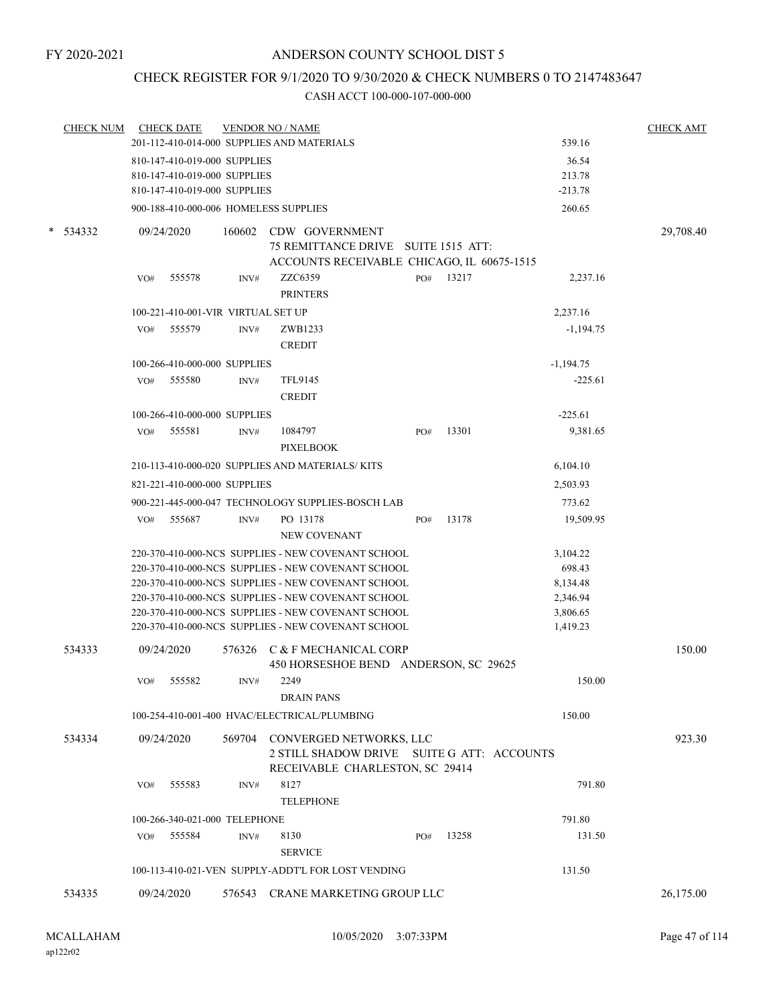## CHECK REGISTER FOR 9/1/2020 TO 9/30/2020 & CHECK NUMBERS 0 TO 2147483647

| 201-112-410-014-000 SUPPLIES AND MATERIALS<br>539.16<br>810-147-410-019-000 SUPPLIES<br>36.54<br>213.78<br>810-147-410-019-000 SUPPLIES<br>810-147-410-019-000 SUPPLIES<br>$-213.78$<br>900-188-410-000-006 HOMELESS SUPPLIES<br>260.65<br>160602<br>CDW GOVERNMENT<br>*<br>534332<br>09/24/2020<br>75 REMITTANCE DRIVE SUITE 1515 ATT:<br>ACCOUNTS RECEIVABLE CHICAGO, IL 60675-1515<br>ZZC6359<br>13217<br>555578<br>2,237.16<br>PO#<br>VO#<br>INV#<br><b>PRINTERS</b><br>100-221-410-001-VIR VIRTUAL SET UP<br>2,237.16<br>555579<br>VO#<br>INV#<br>ZWB1233<br>$-1,194.75$<br><b>CREDIT</b><br>100-266-410-000-000 SUPPLIES<br>$-1,194.75$<br>555580<br><b>TFL9145</b><br>VO#<br>INV#<br><b>CREDIT</b><br>100-266-410-000-000 SUPPLIES<br>$-225.61$<br>555581<br>INV#<br>1084797<br>PO#<br>13301<br>9,381.65<br>VO#<br><b>PIXELBOOK</b> |           |
|--------------------------------------------------------------------------------------------------------------------------------------------------------------------------------------------------------------------------------------------------------------------------------------------------------------------------------------------------------------------------------------------------------------------------------------------------------------------------------------------------------------------------------------------------------------------------------------------------------------------------------------------------------------------------------------------------------------------------------------------------------------------------------------------------------------------------------------------|-----------|
|                                                                                                                                                                                                                                                                                                                                                                                                                                                                                                                                                                                                                                                                                                                                                                                                                                            |           |
|                                                                                                                                                                                                                                                                                                                                                                                                                                                                                                                                                                                                                                                                                                                                                                                                                                            |           |
|                                                                                                                                                                                                                                                                                                                                                                                                                                                                                                                                                                                                                                                                                                                                                                                                                                            |           |
|                                                                                                                                                                                                                                                                                                                                                                                                                                                                                                                                                                                                                                                                                                                                                                                                                                            |           |
|                                                                                                                                                                                                                                                                                                                                                                                                                                                                                                                                                                                                                                                                                                                                                                                                                                            |           |
|                                                                                                                                                                                                                                                                                                                                                                                                                                                                                                                                                                                                                                                                                                                                                                                                                                            | 29,708.40 |
|                                                                                                                                                                                                                                                                                                                                                                                                                                                                                                                                                                                                                                                                                                                                                                                                                                            |           |
|                                                                                                                                                                                                                                                                                                                                                                                                                                                                                                                                                                                                                                                                                                                                                                                                                                            |           |
|                                                                                                                                                                                                                                                                                                                                                                                                                                                                                                                                                                                                                                                                                                                                                                                                                                            |           |
|                                                                                                                                                                                                                                                                                                                                                                                                                                                                                                                                                                                                                                                                                                                                                                                                                                            |           |
|                                                                                                                                                                                                                                                                                                                                                                                                                                                                                                                                                                                                                                                                                                                                                                                                                                            |           |
|                                                                                                                                                                                                                                                                                                                                                                                                                                                                                                                                                                                                                                                                                                                                                                                                                                            |           |
|                                                                                                                                                                                                                                                                                                                                                                                                                                                                                                                                                                                                                                                                                                                                                                                                                                            | $-225.61$ |
|                                                                                                                                                                                                                                                                                                                                                                                                                                                                                                                                                                                                                                                                                                                                                                                                                                            |           |
|                                                                                                                                                                                                                                                                                                                                                                                                                                                                                                                                                                                                                                                                                                                                                                                                                                            |           |
|                                                                                                                                                                                                                                                                                                                                                                                                                                                                                                                                                                                                                                                                                                                                                                                                                                            |           |
| 210-113-410-000-020 SUPPLIES AND MATERIALS/KITS<br>6,104.10                                                                                                                                                                                                                                                                                                                                                                                                                                                                                                                                                                                                                                                                                                                                                                                |           |
| 821-221-410-000-000 SUPPLIES<br>2,503.93                                                                                                                                                                                                                                                                                                                                                                                                                                                                                                                                                                                                                                                                                                                                                                                                   |           |
| 900-221-445-000-047 TECHNOLOGY SUPPLIES-BOSCH LAB<br>773.62                                                                                                                                                                                                                                                                                                                                                                                                                                                                                                                                                                                                                                                                                                                                                                                |           |
| 555687<br>PO 13178<br>13178<br>VO#<br>INV#<br>PO#<br>19,509.95<br>NEW COVENANT                                                                                                                                                                                                                                                                                                                                                                                                                                                                                                                                                                                                                                                                                                                                                             |           |
| 220-370-410-000-NCS SUPPLIES - NEW COVENANT SCHOOL<br>3,104.22                                                                                                                                                                                                                                                                                                                                                                                                                                                                                                                                                                                                                                                                                                                                                                             |           |
| 220-370-410-000-NCS SUPPLIES - NEW COVENANT SCHOOL<br>698.43                                                                                                                                                                                                                                                                                                                                                                                                                                                                                                                                                                                                                                                                                                                                                                               |           |
| 220-370-410-000-NCS SUPPLIES - NEW COVENANT SCHOOL<br>8,134.48                                                                                                                                                                                                                                                                                                                                                                                                                                                                                                                                                                                                                                                                                                                                                                             |           |
| 220-370-410-000-NCS SUPPLIES - NEW COVENANT SCHOOL<br>2,346.94                                                                                                                                                                                                                                                                                                                                                                                                                                                                                                                                                                                                                                                                                                                                                                             |           |
| 220-370-410-000-NCS SUPPLIES - NEW COVENANT SCHOOL<br>3,806.65                                                                                                                                                                                                                                                                                                                                                                                                                                                                                                                                                                                                                                                                                                                                                                             |           |
| 220-370-410-000-NCS SUPPLIES - NEW COVENANT SCHOOL<br>1,419.23                                                                                                                                                                                                                                                                                                                                                                                                                                                                                                                                                                                                                                                                                                                                                                             |           |
| 534333<br>09/24/2020<br>576326<br>C & F MECHANICAL CORP                                                                                                                                                                                                                                                                                                                                                                                                                                                                                                                                                                                                                                                                                                                                                                                    | 150.00    |
| 450 HORSESHOE BEND ANDERSON, SC 29625                                                                                                                                                                                                                                                                                                                                                                                                                                                                                                                                                                                                                                                                                                                                                                                                      |           |
| 555582<br>2249<br>VO#<br>INV#<br><b>DRAIN PANS</b>                                                                                                                                                                                                                                                                                                                                                                                                                                                                                                                                                                                                                                                                                                                                                                                         | 150.00    |
| 100-254-410-001-400 HVAC/ELECTRICAL/PLUMBING<br>150.00                                                                                                                                                                                                                                                                                                                                                                                                                                                                                                                                                                                                                                                                                                                                                                                     |           |
| 534334<br>09/24/2020<br>569704 CONVERGED NETWORKS, LLC<br>2 STILL SHADOW DRIVE SUITE G ATT: ACCOUNTS<br>RECEIVABLE CHARLESTON, SC 29414                                                                                                                                                                                                                                                                                                                                                                                                                                                                                                                                                                                                                                                                                                    | 923.30    |
| 8127<br>555583<br>VO#<br>INV#<br><b>TELEPHONE</b>                                                                                                                                                                                                                                                                                                                                                                                                                                                                                                                                                                                                                                                                                                                                                                                          | 791.80    |
| 791.80<br>100-266-340-021-000 TELEPHONE                                                                                                                                                                                                                                                                                                                                                                                                                                                                                                                                                                                                                                                                                                                                                                                                    |           |
| 8130<br>13258<br>555584<br>VO#<br>INV#<br>PO#                                                                                                                                                                                                                                                                                                                                                                                                                                                                                                                                                                                                                                                                                                                                                                                              | 131.50    |
| <b>SERVICE</b>                                                                                                                                                                                                                                                                                                                                                                                                                                                                                                                                                                                                                                                                                                                                                                                                                             |           |
| 100-113-410-021-VEN SUPPLY-ADDT'L FOR LOST VENDING<br>131.50                                                                                                                                                                                                                                                                                                                                                                                                                                                                                                                                                                                                                                                                                                                                                                               |           |
| 534335<br>09/24/2020<br>576543 CRANE MARKETING GROUP LLC                                                                                                                                                                                                                                                                                                                                                                                                                                                                                                                                                                                                                                                                                                                                                                                   | 26,175.00 |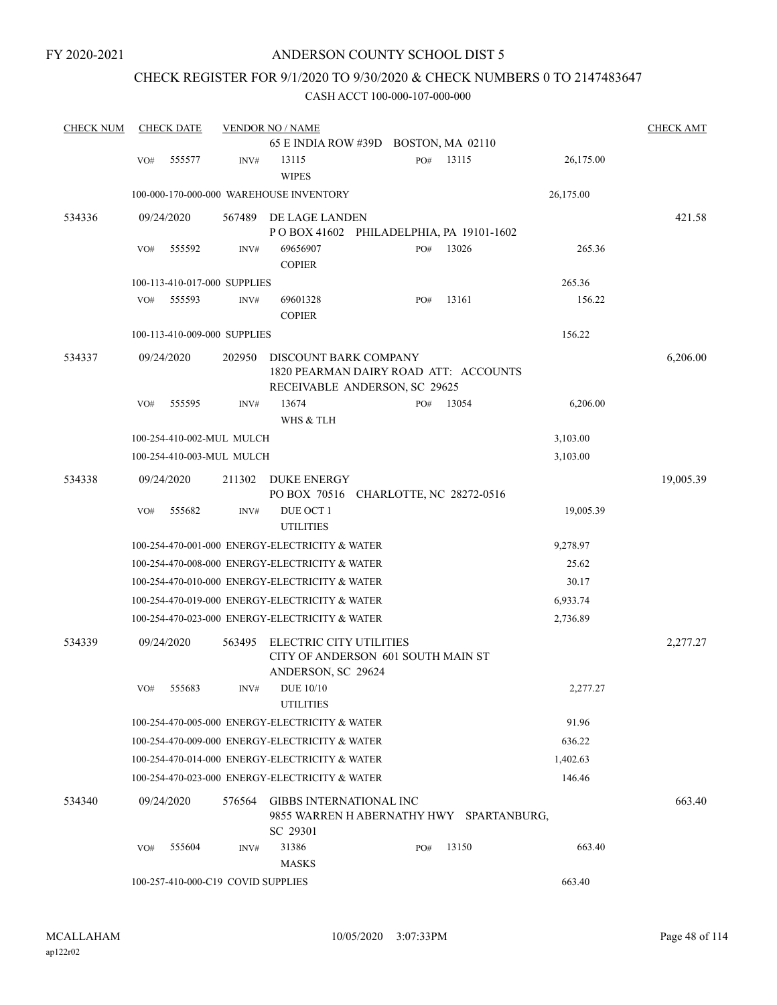## CHECK REGISTER FOR 9/1/2020 TO 9/30/2020 & CHECK NUMBERS 0 TO 2147483647

| <b>CHECK NUM</b> |     | <b>CHECK DATE</b> |                                    | <b>VENDOR NO / NAME</b>                                                                         |     |       |           | <b>CHECK AMT</b> |
|------------------|-----|-------------------|------------------------------------|-------------------------------------------------------------------------------------------------|-----|-------|-----------|------------------|
|                  |     |                   |                                    | 65 E INDIA ROW #39D BOSTON, MA 02110                                                            |     |       |           |                  |
|                  | VO# | 555577            | INV#                               | 13115<br><b>WIPES</b>                                                                           | PO# | 13115 | 26,175.00 |                  |
|                  |     |                   |                                    | 100-000-170-000-000 WAREHOUSE INVENTORY                                                         |     |       | 26,175.00 |                  |
| 534336           |     | 09/24/2020        | 567489                             | DE LAGE LANDEN                                                                                  |     |       |           | 421.58           |
|                  |     |                   |                                    | POBOX 41602 PHILADELPHIA, PA 19101-1602                                                         |     |       |           |                  |
|                  | VO# | 555592            | INV#                               | 69656907<br><b>COPIER</b>                                                                       | PO# | 13026 | 265.36    |                  |
|                  |     |                   | 100-113-410-017-000 SUPPLIES       |                                                                                                 |     |       | 265.36    |                  |
|                  | VO# | 555593            | INV#                               | 69601328<br><b>COPIER</b>                                                                       | PO# | 13161 | 156.22    |                  |
|                  |     |                   | 100-113-410-009-000 SUPPLIES       |                                                                                                 |     |       | 156.22    |                  |
| 534337           |     | 09/24/2020        | 202950                             | DISCOUNT BARK COMPANY<br>1820 PEARMAN DAIRY ROAD ATT: ACCOUNTS<br>RECEIVABLE ANDERSON, SC 29625 |     |       |           | 6,206.00         |
|                  | VO# | 555595            | INV#                               | 13674<br>WHS & TLH                                                                              | PO# | 13054 | 6,206.00  |                  |
|                  |     |                   | 100-254-410-002-MUL MULCH          |                                                                                                 |     |       | 3,103.00  |                  |
|                  |     |                   | 100-254-410-003-MUL MULCH          |                                                                                                 |     |       | 3,103.00  |                  |
| 534338           |     | 09/24/2020        | 211302                             | DUKE ENERGY<br>PO BOX 70516 CHARLOTTE, NC 28272-0516                                            |     |       |           | 19,005.39        |
|                  | VO# | 555682            | INV#                               | DUE OCT 1<br><b>UTILITIES</b>                                                                   |     |       | 19,005.39 |                  |
|                  |     |                   |                                    | 100-254-470-001-000 ENERGY-ELECTRICITY & WATER                                                  |     |       | 9,278.97  |                  |
|                  |     |                   |                                    | 100-254-470-008-000 ENERGY-ELECTRICITY & WATER                                                  |     |       | 25.62     |                  |
|                  |     |                   |                                    | 100-254-470-010-000 ENERGY-ELECTRICITY & WATER                                                  |     |       | 30.17     |                  |
|                  |     |                   |                                    | 100-254-470-019-000 ENERGY-ELECTRICITY & WATER                                                  |     |       | 6,933.74  |                  |
|                  |     |                   |                                    | 100-254-470-023-000 ENERGY-ELECTRICITY & WATER                                                  |     |       | 2,736.89  |                  |
| 534339           |     | 09/24/2020        | 563495                             | ELECTRIC CITY UTILITIES<br>CITY OF ANDERSON 601 SOUTH MAIN ST<br>ANDERSON, SC 29624             |     |       |           | 2,277.27         |
|                  | VO# | 555683            | INV#                               | <b>DUE 10/10</b><br><b>UTILITIES</b>                                                            |     |       | 2,277.27  |                  |
|                  |     |                   |                                    | 100-254-470-005-000 ENERGY-ELECTRICITY & WATER                                                  |     |       | 91.96     |                  |
|                  |     |                   |                                    | 100-254-470-009-000 ENERGY-ELECTRICITY & WATER                                                  |     |       | 636.22    |                  |
|                  |     |                   |                                    | 100-254-470-014-000 ENERGY-ELECTRICITY & WATER                                                  |     |       | 1,402.63  |                  |
|                  |     |                   |                                    | 100-254-470-023-000 ENERGY-ELECTRICITY & WATER                                                  |     |       | 146.46    |                  |
| 534340           |     | 09/24/2020        | 576564                             | <b>GIBBS INTERNATIONAL INC</b><br>9855 WARREN H ABERNATHY HWY SPARTANBURG.<br>SC 29301          |     |       |           | 663.40           |
|                  | VO# | 555604            | INV#                               | 31386<br><b>MASKS</b>                                                                           | PO# | 13150 | 663.40    |                  |
|                  |     |                   | 100-257-410-000-C19 COVID SUPPLIES |                                                                                                 |     |       | 663.40    |                  |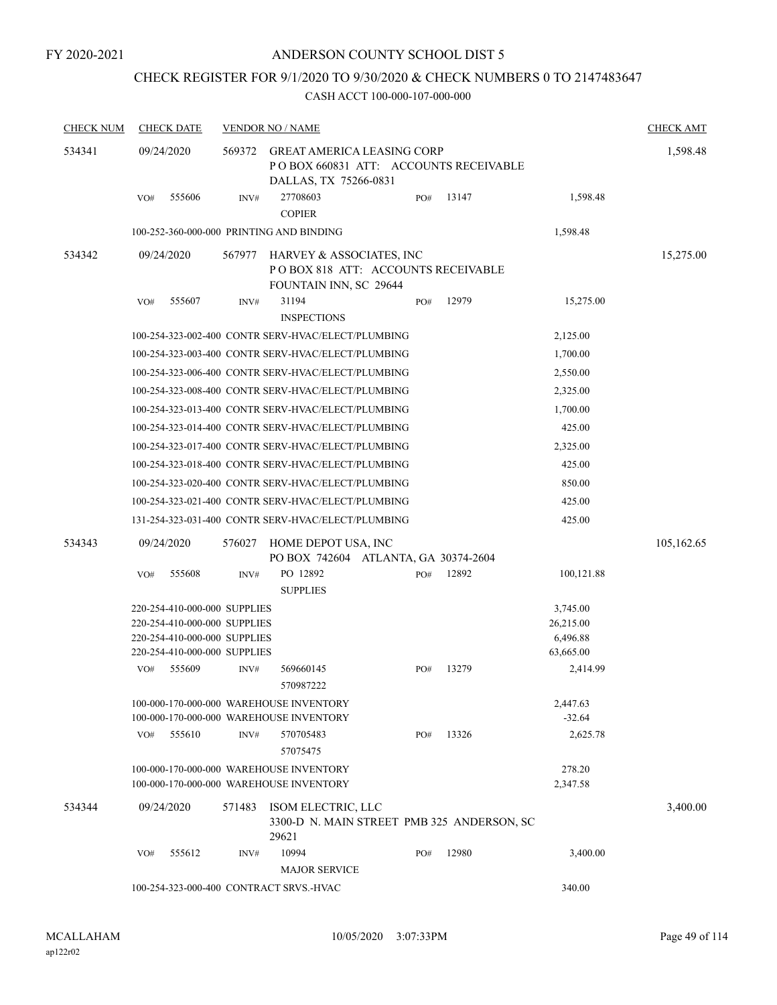## CHECK REGISTER FOR 9/1/2020 TO 9/30/2020 & CHECK NUMBERS 0 TO 2147483647

| <b>CHECK NUM</b> | <b>CHECK DATE</b>                                                                                                            |        | <b>VENDOR NO / NAME</b>                                                                              |     |                                            |                                                | <b>CHECK AMT</b> |
|------------------|------------------------------------------------------------------------------------------------------------------------------|--------|------------------------------------------------------------------------------------------------------|-----|--------------------------------------------|------------------------------------------------|------------------|
| 534341           | 09/24/2020                                                                                                                   | 569372 | <b>GREAT AMERICA LEASING CORP</b><br>PO BOX 660831 ATT: ACCOUNTS RECEIVABLE<br>DALLAS, TX 75266-0831 |     |                                            |                                                | 1,598.48         |
|                  | 555606<br>VO#                                                                                                                | INV#   | 27708603<br><b>COPIER</b>                                                                            | PO# | 13147                                      | 1,598.48                                       |                  |
|                  | 100-252-360-000-000 PRINTING AND BINDING                                                                                     |        |                                                                                                      |     |                                            | 1,598.48                                       |                  |
| 534342           | 09/24/2020                                                                                                                   | 567977 | HARVEY & ASSOCIATES, INC<br>POBOX 818 ATT: ACCOUNTS RECEIVABLE<br><b>FOUNTAIN INN, SC 29644</b>      |     |                                            |                                                | 15,275.00        |
|                  | 555607<br>VO#                                                                                                                | INV#   | 31194<br><b>INSPECTIONS</b>                                                                          | PO# | 12979                                      | 15,275.00                                      |                  |
|                  |                                                                                                                              |        | 100-254-323-002-400 CONTR SERV-HVAC/ELECT/PLUMBING                                                   |     |                                            | 2,125.00                                       |                  |
|                  |                                                                                                                              |        | 100-254-323-003-400 CONTR SERV-HVAC/ELECT/PLUMBING                                                   |     |                                            | 1,700.00                                       |                  |
|                  |                                                                                                                              |        | 100-254-323-006-400 CONTR SERV-HVAC/ELECT/PLUMBING                                                   |     |                                            | 2,550.00                                       |                  |
|                  |                                                                                                                              |        | 100-254-323-008-400 CONTR SERV-HVAC/ELECT/PLUMBING                                                   |     |                                            | 2,325.00                                       |                  |
|                  |                                                                                                                              |        | 100-254-323-013-400 CONTR SERV-HVAC/ELECT/PLUMBING                                                   |     |                                            | 1,700.00                                       |                  |
|                  |                                                                                                                              |        | 100-254-323-014-400 CONTR SERV-HVAC/ELECT/PLUMBING                                                   |     |                                            | 425.00                                         |                  |
|                  |                                                                                                                              |        | 100-254-323-017-400 CONTR SERV-HVAC/ELECT/PLUMBING                                                   |     |                                            | 2,325.00                                       |                  |
|                  |                                                                                                                              |        | 100-254-323-018-400 CONTR SERV-HVAC/ELECT/PLUMBING                                                   |     |                                            | 425.00                                         |                  |
|                  |                                                                                                                              |        | 100-254-323-020-400 CONTR SERV-HVAC/ELECT/PLUMBING                                                   |     |                                            | 850.00                                         |                  |
|                  |                                                                                                                              |        | 100-254-323-021-400 CONTR SERV-HVAC/ELECT/PLUMBING                                                   |     |                                            | 425.00                                         |                  |
|                  |                                                                                                                              |        | 131-254-323-031-400 CONTR SERV-HVAC/ELECT/PLUMBING                                                   |     |                                            | 425.00                                         |                  |
| 534343           | 09/24/2020                                                                                                                   | 576027 | HOME DEPOT USA, INC<br>PO BOX 742604 ATLANTA, GA 30374-2604                                          |     |                                            |                                                | 105,162.65       |
|                  | 555608<br>VO#                                                                                                                | INV#   | PO 12892<br><b>SUPPLIES</b>                                                                          | PO# | 12892                                      | 100,121.88                                     |                  |
|                  | 220-254-410-000-000 SUPPLIES<br>220-254-410-000-000 SUPPLIES<br>220-254-410-000-000 SUPPLIES<br>220-254-410-000-000 SUPPLIES |        |                                                                                                      |     |                                            | 3,745.00<br>26,215.00<br>6,496.88<br>63,665.00 |                  |
|                  | VO#<br>555609                                                                                                                | INV#   | 569660145<br>570987222                                                                               | PO# | 13279                                      | 2,414.99                                       |                  |
|                  | 100-000-170-000-000 WAREHOUSE INVENTORY<br>100-000-170-000-000 WAREHOUSE INVENTORY                                           |        |                                                                                                      |     |                                            | 2,447.63<br>$-32.64$                           |                  |
|                  | 555610<br>VO#                                                                                                                | INV#   | 570705483<br>57075475                                                                                | PO# | 13326                                      | 2,625.78                                       |                  |
|                  | 100-000-170-000-000 WAREHOUSE INVENTORY<br>100-000-170-000-000 WAREHOUSE INVENTORY                                           |        |                                                                                                      |     |                                            | 278.20<br>2,347.58                             |                  |
| 534344           | 09/24/2020                                                                                                                   | 571483 | ISOM ELECTRIC, LLC<br>29621                                                                          |     | 3300-D N. MAIN STREET PMB 325 ANDERSON, SC |                                                | 3,400.00         |
|                  | 555612<br>VO#                                                                                                                | INV#   | 10994<br><b>MAJOR SERVICE</b>                                                                        | PO# | 12980                                      | 3,400.00                                       |                  |
|                  | 100-254-323-000-400 CONTRACT SRVS.-HVAC                                                                                      |        |                                                                                                      |     |                                            |                                                |                  |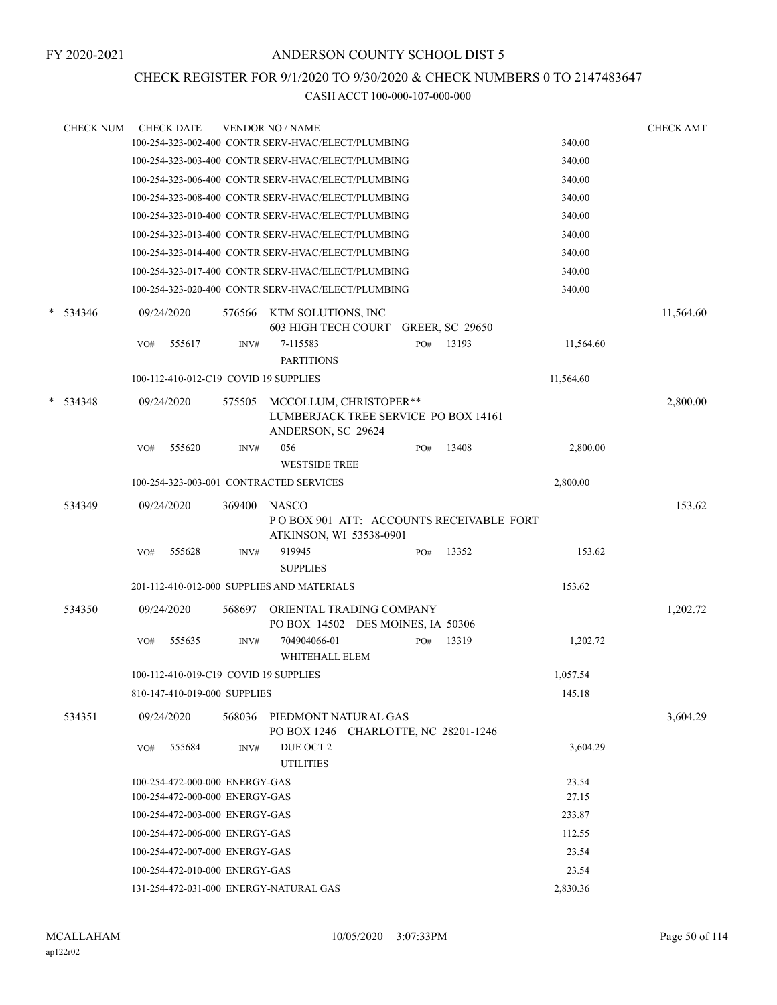## CHECK REGISTER FOR 9/1/2020 TO 9/30/2020 & CHECK NUMBERS 0 TO 2147483647

|   | <b>CHECK NUM</b> |            | <b>CHECK DATE</b>                     |        | <b>VENDOR NO / NAME</b>                                                              |     |                        |           | <b>CHECK AMT</b> |
|---|------------------|------------|---------------------------------------|--------|--------------------------------------------------------------------------------------|-----|------------------------|-----------|------------------|
|   |                  |            |                                       |        | 100-254-323-002-400 CONTR SERV-HVAC/ELECT/PLUMBING                                   |     |                        | 340.00    |                  |
|   |                  |            |                                       |        | 100-254-323-003-400 CONTR SERV-HVAC/ELECT/PLUMBING                                   |     |                        | 340.00    |                  |
|   |                  |            |                                       |        | 100-254-323-006-400 CONTR SERV-HVAC/ELECT/PLUMBING                                   |     |                        | 340.00    |                  |
|   |                  |            |                                       |        | 100-254-323-008-400 CONTR SERV-HVAC/ELECT/PLUMBING                                   |     |                        | 340.00    |                  |
|   |                  |            |                                       |        | 100-254-323-010-400 CONTR SERV-HVAC/ELECT/PLUMBING                                   |     |                        | 340.00    |                  |
|   |                  |            |                                       |        | 100-254-323-013-400 CONTR SERV-HVAC/ELECT/PLUMBING                                   |     |                        | 340.00    |                  |
|   |                  |            |                                       |        | 100-254-323-014-400 CONTR SERV-HVAC/ELECT/PLUMBING                                   |     |                        | 340.00    |                  |
|   |                  |            |                                       |        | 100-254-323-017-400 CONTR SERV-HVAC/ELECT/PLUMBING                                   |     |                        | 340.00    |                  |
|   |                  |            |                                       |        | 100-254-323-020-400 CONTR SERV-HVAC/ELECT/PLUMBING                                   |     |                        | 340.00    |                  |
|   | $* 534346$       |            | 09/24/2020                            | 576566 | KTM SOLUTIONS, INC<br><b>603 HIGH TECH COURT</b>                                     |     | <b>GREER, SC 29650</b> |           | 11,564.60        |
|   |                  | VO#        | 555617                                | INV#   | 7-115583                                                                             | PO# | 13193                  | 11,564.60 |                  |
|   |                  |            |                                       |        | <b>PARTITIONS</b>                                                                    |     |                        |           |                  |
|   |                  |            | 100-112-410-012-C19 COVID 19 SUPPLIES |        |                                                                                      |     |                        | 11,564.60 |                  |
| * | 534348           | 09/24/2020 |                                       | 575505 | MCCOLLUM, CHRISTOPER**<br>LUMBERJACK TREE SERVICE PO BOX 14161<br>ANDERSON, SC 29624 |     |                        |           | 2,800.00         |
|   |                  | VO#        | 555620                                | INV#   | 056<br><b>WESTSIDE TREE</b>                                                          | PO# | 13408                  | 2,800.00  |                  |
|   |                  |            |                                       |        | 100-254-323-003-001 CONTRACTED SERVICES                                              |     |                        | 2,800.00  |                  |
|   | 534349           |            | 09/24/2020                            | 369400 | <b>NASCO</b><br>POBOX 901 ATT: ACCOUNTS RECEIVABLE FORT<br>ATKINSON, WI 53538-0901   |     |                        |           | 153.62           |
|   |                  | VO#        | 555628                                | INV#   | 919945<br><b>SUPPLIES</b>                                                            | PO# | 13352                  | 153.62    |                  |
|   |                  |            |                                       |        | 201-112-410-012-000 SUPPLIES AND MATERIALS                                           |     |                        | 153.62    |                  |
|   | 534350           | 09/24/2020 |                                       | 568697 | ORIENTAL TRADING COMPANY<br>PO BOX 14502 DES MOINES, IA 50306                        |     |                        |           | 1,202.72         |
|   |                  | VO#        | 555635                                | INV#   | 704904066-01<br>WHITEHALL ELEM                                                       | PO# | 13319                  | 1,202.72  |                  |
|   |                  |            | 100-112-410-019-C19 COVID 19 SUPPLIES |        |                                                                                      |     |                        | 1,057.54  |                  |
|   |                  |            | 810-147-410-019-000 SUPPLIES          |        |                                                                                      |     |                        | 145.18    |                  |
|   | 534351           |            | 09/24/2020                            | 568036 | PIEDMONT NATURAL GAS<br>PO BOX 1246 CHARLOTTE, NC 28201-1246                         |     |                        |           | 3,604.29         |
|   |                  | VO#        | 555684                                | INV#   | DUE OCT 2<br><b>UTILITIES</b>                                                        |     |                        | 3,604.29  |                  |
|   |                  |            | 100-254-472-000-000 ENERGY-GAS        |        |                                                                                      |     |                        | 23.54     |                  |
|   |                  |            | 100-254-472-000-000 ENERGY-GAS        |        |                                                                                      |     |                        | 27.15     |                  |
|   |                  |            | 100-254-472-003-000 ENERGY-GAS        |        |                                                                                      |     |                        | 233.87    |                  |
|   |                  |            | 100-254-472-006-000 ENERGY-GAS        |        |                                                                                      |     |                        | 112.55    |                  |
|   |                  |            | 100-254-472-007-000 ENERGY-GAS        |        |                                                                                      |     |                        | 23.54     |                  |
|   |                  |            | 100-254-472-010-000 ENERGY-GAS        |        |                                                                                      |     |                        | 23.54     |                  |
|   |                  |            |                                       |        | 131-254-472-031-000 ENERGY-NATURAL GAS                                               |     |                        | 2,830.36  |                  |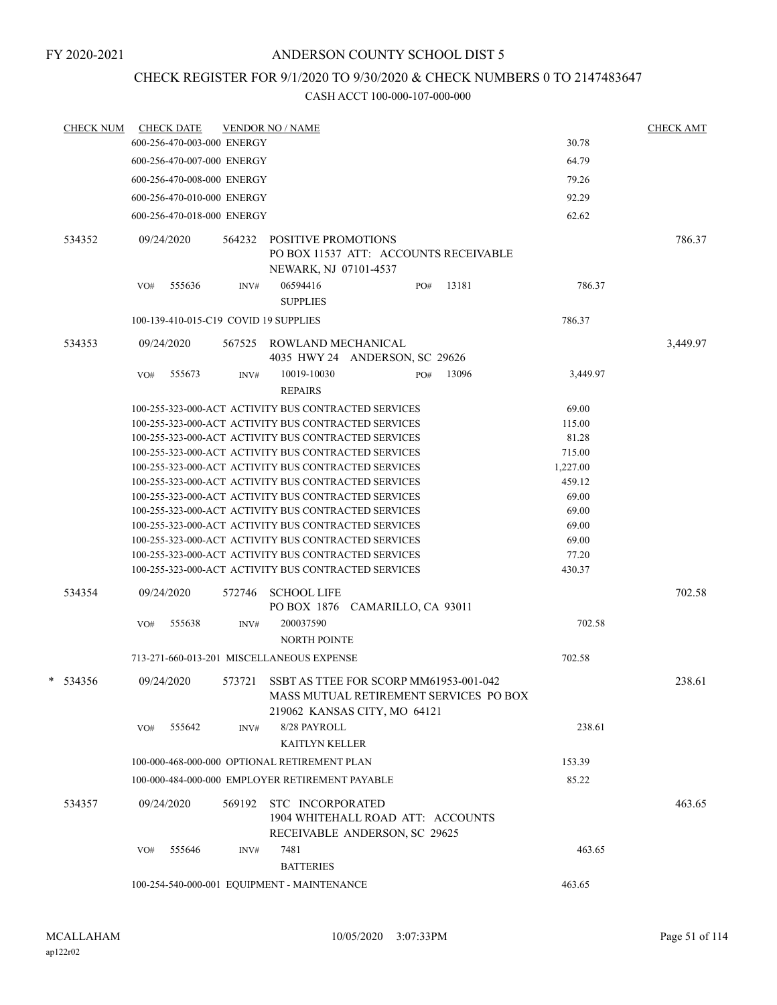## CHECK REGISTER FOR 9/1/2020 TO 9/30/2020 & CHECK NUMBERS 0 TO 2147483647

|  | <b>CHECK NUM</b> | <b>CHECK DATE</b>                     |        | <b>VENDOR NO / NAME</b>                                                                                          |          | <b>CHECK AMT</b> |
|--|------------------|---------------------------------------|--------|------------------------------------------------------------------------------------------------------------------|----------|------------------|
|  |                  | 600-256-470-003-000 ENERGY            |        |                                                                                                                  | 30.78    |                  |
|  |                  | 600-256-470-007-000 ENERGY            |        |                                                                                                                  | 64.79    |                  |
|  |                  | 600-256-470-008-000 ENERGY            |        |                                                                                                                  | 79.26    |                  |
|  |                  | 600-256-470-010-000 ENERGY            |        |                                                                                                                  | 92.29    |                  |
|  |                  | 600-256-470-018-000 ENERGY            |        |                                                                                                                  | 62.62    |                  |
|  | 534352           | 09/24/2020                            | 564232 | <b>POSITIVE PROMOTIONS</b><br>PO BOX 11537 ATT: ACCOUNTS RECEIVABLE<br>NEWARK, NJ 07101-4537                     |          | 786.37           |
|  |                  | 555636<br>VO#                         | INV#   | 13181<br>06594416<br>PO#<br><b>SUPPLIES</b>                                                                      | 786.37   |                  |
|  |                  | 100-139-410-015-C19 COVID 19 SUPPLIES |        |                                                                                                                  | 786.37   |                  |
|  | 534353           | 09/24/2020                            |        | 567525 ROWLAND MECHANICAL<br>4035 HWY 24 ANDERSON, SC 29626                                                      |          | 3,449.97         |
|  |                  | VO#<br>555673                         | INV#   | 10019-10030<br>PO#<br>13096<br><b>REPAIRS</b>                                                                    | 3,449.97 |                  |
|  |                  |                                       |        | 100-255-323-000-ACT ACTIVITY BUS CONTRACTED SERVICES                                                             | 69.00    |                  |
|  |                  |                                       |        | 100-255-323-000-ACT ACTIVITY BUS CONTRACTED SERVICES                                                             | 115.00   |                  |
|  |                  |                                       |        | 100-255-323-000-ACT ACTIVITY BUS CONTRACTED SERVICES                                                             | 81.28    |                  |
|  |                  |                                       |        | 100-255-323-000-ACT ACTIVITY BUS CONTRACTED SERVICES                                                             | 715.00   |                  |
|  |                  |                                       |        | 100-255-323-000-ACT ACTIVITY BUS CONTRACTED SERVICES                                                             | 1,227.00 |                  |
|  |                  |                                       |        | 100-255-323-000-ACT ACTIVITY BUS CONTRACTED SERVICES                                                             | 459.12   |                  |
|  |                  |                                       |        | 100-255-323-000-ACT ACTIVITY BUS CONTRACTED SERVICES                                                             | 69.00    |                  |
|  |                  |                                       |        | 100-255-323-000-ACT ACTIVITY BUS CONTRACTED SERVICES                                                             | 69.00    |                  |
|  |                  |                                       |        | 100-255-323-000-ACT ACTIVITY BUS CONTRACTED SERVICES                                                             | 69.00    |                  |
|  |                  |                                       |        | 100-255-323-000-ACT ACTIVITY BUS CONTRACTED SERVICES                                                             | 69.00    |                  |
|  |                  |                                       |        | 100-255-323-000-ACT ACTIVITY BUS CONTRACTED SERVICES                                                             | 77.20    |                  |
|  |                  |                                       |        | 100-255-323-000-ACT ACTIVITY BUS CONTRACTED SERVICES                                                             | 430.37   |                  |
|  | 534354           | 09/24/2020                            | 572746 | <b>SCHOOL LIFE</b><br>PO BOX 1876 CAMARILLO, CA 93011                                                            |          | 702.58           |
|  |                  | 555638<br>VO#                         | INV#   | 200037590<br><b>NORTH POINTE</b>                                                                                 | 702.58   |                  |
|  |                  |                                       |        | 713-271-660-013-201 MISCELLANEOUS EXPENSE                                                                        | 702.58   |                  |
|  | $* 534356$       | 09/24/2020                            | 573721 | SSBT AS TTEE FOR SCORP MM61953-001-042<br>MASS MUTUAL RETIREMENT SERVICES PO BOX<br>219062 KANSAS CITY, MO 64121 |          | 238.61           |
|  |                  | 555642<br>VO#                         | INV#   | 8/28 PAYROLL                                                                                                     | 238.61   |                  |
|  |                  |                                       |        | <b>KAITLYN KELLER</b>                                                                                            |          |                  |
|  |                  |                                       |        | 100-000-468-000-000 OPTIONAL RETIREMENT PLAN                                                                     | 153.39   |                  |
|  |                  |                                       |        | 100-000-484-000-000 EMPLOYER RETIREMENT PAYABLE                                                                  | 85.22    |                  |
|  | 534357           | 09/24/2020                            | 569192 | STC INCORPORATED<br>1904 WHITEHALL ROAD ATT: ACCOUNTS<br>RECEIVABLE ANDERSON, SC 29625                           |          | 463.65           |
|  |                  | 555646<br>VO#                         | INV#   | 7481                                                                                                             | 463.65   |                  |
|  |                  |                                       |        | <b>BATTERIES</b>                                                                                                 |          |                  |
|  |                  |                                       |        | 100-254-540-000-001 EQUIPMENT - MAINTENANCE                                                                      | 463.65   |                  |
|  |                  |                                       |        |                                                                                                                  |          |                  |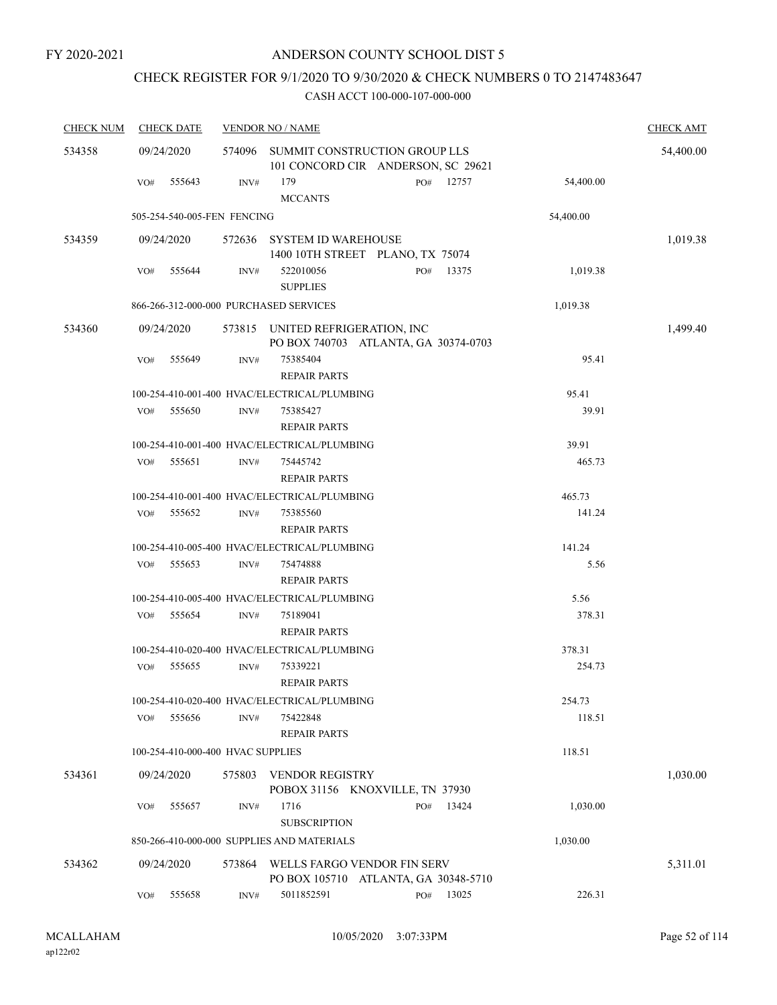## CHECK REGISTER FOR 9/1/2020 TO 9/30/2020 & CHECK NUMBERS 0 TO 2147483647

| <b>CHECK NUM</b> | <b>CHECK DATE</b>                      |        | <b>VENDOR NO / NAME</b>                                                  |     |           |           | <b>CHECK AMT</b> |
|------------------|----------------------------------------|--------|--------------------------------------------------------------------------|-----|-----------|-----------|------------------|
| 534358           | 09/24/2020                             | 574096 | SUMMIT CONSTRUCTION GROUP LLS<br>101 CONCORD CIR ANDERSON, SC 29621      |     |           |           | 54,400.00        |
|                  | 555643<br>VO#                          | INV#   | 179<br><b>MCCANTS</b>                                                    |     | PO# 12757 | 54,400.00 |                  |
|                  | 505-254-540-005-FEN FENCING            |        |                                                                          |     |           | 54,400.00 |                  |
| 534359           | 09/24/2020                             |        | 572636 SYSTEM ID WAREHOUSE<br>1400 10TH STREET PLANO, TX 75074           |     |           |           | 1,019.38         |
|                  | 555644<br>VO#                          | INV#   | 522010056<br><b>SUPPLIES</b>                                             | PO# | 13375     | 1,019.38  |                  |
|                  | 866-266-312-000-000 PURCHASED SERVICES |        |                                                                          |     |           | 1,019.38  |                  |
| 534360           | 09/24/2020                             |        | 573815 UNITED REFRIGERATION, INC<br>PO BOX 740703 ATLANTA, GA 30374-0703 |     |           |           | 1,499.40         |
|                  | VO#<br>555649                          | INV#   | 75385404<br><b>REPAIR PARTS</b>                                          |     |           | 95.41     |                  |
|                  |                                        |        | 100-254-410-001-400 HVAC/ELECTRICAL/PLUMBING                             |     |           | 95.41     |                  |
|                  | 555650<br>VO#                          | INV#   | 75385427<br><b>REPAIR PARTS</b>                                          |     |           | 39.91     |                  |
|                  |                                        |        | 100-254-410-001-400 HVAC/ELECTRICAL/PLUMBING                             |     |           | 39.91     |                  |
|                  | VO#<br>555651                          | INV#   | 75445742<br><b>REPAIR PARTS</b>                                          |     |           | 465.73    |                  |
|                  |                                        |        | 100-254-410-001-400 HVAC/ELECTRICAL/PLUMBING                             |     |           | 465.73    |                  |
|                  | 555652<br>VO#                          | INV#   | 75385560<br><b>REPAIR PARTS</b>                                          |     |           | 141.24    |                  |
|                  |                                        |        | 100-254-410-005-400 HVAC/ELECTRICAL/PLUMBING                             |     |           | 141.24    |                  |
|                  | VO#<br>555653                          | INV#   | 75474888<br><b>REPAIR PARTS</b>                                          |     |           | 5.56      |                  |
|                  |                                        |        | 100-254-410-005-400 HVAC/ELECTRICAL/PLUMBING                             |     |           | 5.56      |                  |
|                  | 555654<br>VO#                          | INV#   | 75189041<br><b>REPAIR PARTS</b>                                          |     |           | 378.31    |                  |
|                  |                                        |        | 100-254-410-020-400 HVAC/ELECTRICAL/PLUMBING                             |     |           | 378.31    |                  |
|                  | VO#<br>555655                          | INV#   | 75339221<br><b>REPAIR PARTS</b>                                          |     |           | 254.73    |                  |
|                  |                                        |        | 100-254-410-020-400 HVAC/ELECTRICAL/PLUMBING                             |     |           | 254.73    |                  |
|                  | 555656<br>VO#                          | INV#   | 75422848<br><b>REPAIR PARTS</b>                                          |     |           | 118.51    |                  |
|                  | 100-254-410-000-400 HVAC SUPPLIES      |        |                                                                          |     |           | 118.51    |                  |
| 534361           | 09/24/2020                             | 575803 | <b>VENDOR REGISTRY</b><br>POBOX 31156 KNOXVILLE, TN 37930                |     |           |           | 1,030.00         |
|                  | 555657<br>VO#                          | INV#   | 1716<br><b>SUBSCRIPTION</b>                                              | PO# | 13424     | 1,030.00  |                  |
|                  |                                        |        | 850-266-410-000-000 SUPPLIES AND MATERIALS                               |     |           | 1,030.00  |                  |
| 534362           | 09/24/2020                             | 573864 | WELLS FARGO VENDOR FIN SERV<br>PO BOX 105710 ATLANTA, GA 30348-5710      |     |           |           | 5,311.01         |
|                  | VO#<br>555658                          | INV#   | 5011852591                                                               | PO# | 13025     | 226.31    |                  |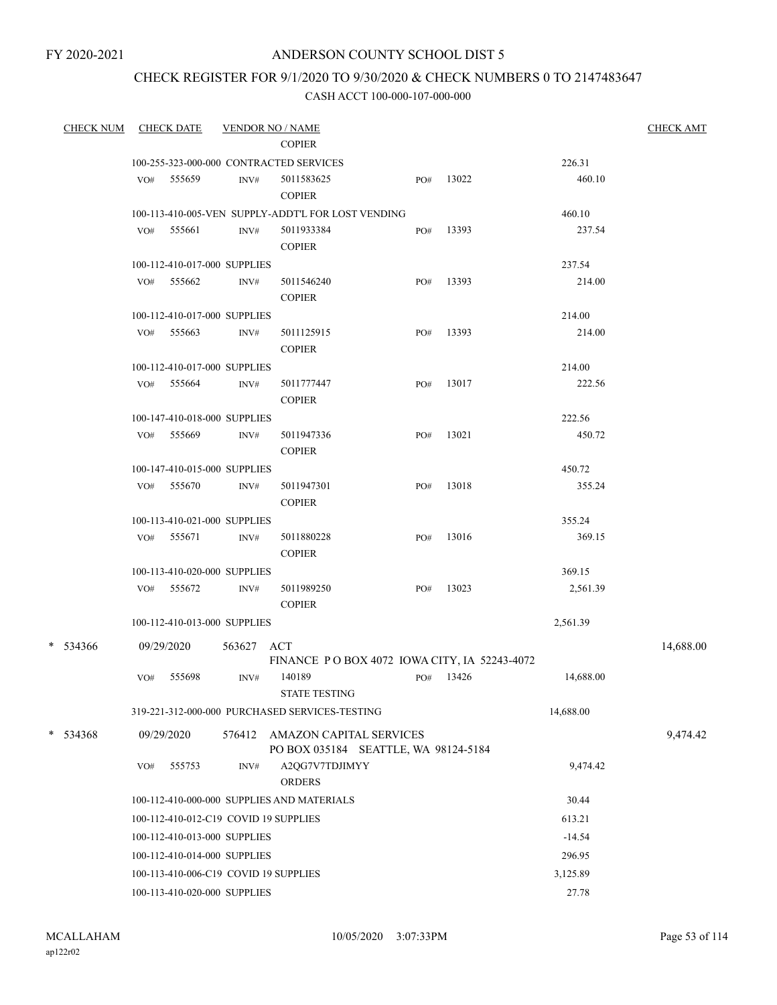## CHECK REGISTER FOR 9/1/2020 TO 9/30/2020 & CHECK NUMBERS 0 TO 2147483647

| <b>CHECK NUM</b> |                                          | <b>CHECK DATE</b>                     |        | <b>VENDOR NO / NAME</b>                                                |     |       |           | <b>CHECK AMT</b> |  |
|------------------|------------------------------------------|---------------------------------------|--------|------------------------------------------------------------------------|-----|-------|-----------|------------------|--|
|                  |                                          |                                       |        | <b>COPIER</b>                                                          |     |       |           |                  |  |
|                  |                                          |                                       |        | 100-255-323-000-000 CONTRACTED SERVICES                                |     |       | 226.31    |                  |  |
|                  |                                          | VO# 555659                            | INV#   | 5011583625                                                             | PO# | 13022 | 460.10    |                  |  |
|                  |                                          |                                       |        | <b>COPIER</b>                                                          |     |       |           |                  |  |
|                  |                                          |                                       |        | 100-113-410-005-VEN SUPPLY-ADDT'L FOR LOST VENDING                     |     |       | 460.10    |                  |  |
|                  | VO#                                      | 555661                                | INV#   | 5011933384<br><b>COPIER</b>                                            | PO# | 13393 | 237.54    |                  |  |
|                  |                                          | 100-112-410-017-000 SUPPLIES          |        |                                                                        |     |       | 237.54    |                  |  |
|                  |                                          | VO# 555662                            | INV#   | 5011546240                                                             | PO# | 13393 | 214.00    |                  |  |
|                  |                                          |                                       |        | <b>COPIER</b>                                                          |     |       |           |                  |  |
|                  |                                          | 100-112-410-017-000 SUPPLIES          |        |                                                                        |     |       | 214.00    |                  |  |
|                  | VO#                                      | 555663                                | INV#   | 5011125915                                                             | PO# | 13393 | 214.00    |                  |  |
|                  |                                          |                                       |        | <b>COPIER</b>                                                          |     |       |           |                  |  |
|                  |                                          | 100-112-410-017-000 SUPPLIES          |        |                                                                        |     |       | 214.00    |                  |  |
|                  |                                          | VO# 555664                            | INV#   | 5011777447                                                             | PO# | 13017 | 222.56    |                  |  |
|                  |                                          |                                       |        | <b>COPIER</b>                                                          |     |       |           |                  |  |
|                  |                                          | 100-147-410-018-000 SUPPLIES          |        |                                                                        |     |       | 222.56    |                  |  |
|                  |                                          | VO# 555669                            | INV#   | 5011947336                                                             | PO# | 13021 | 450.72    |                  |  |
|                  |                                          |                                       |        | <b>COPIER</b>                                                          |     |       |           |                  |  |
|                  |                                          | 100-147-410-015-000 SUPPLIES          |        |                                                                        |     |       | 450.72    |                  |  |
|                  |                                          | VO# 555670                            | INV#   | 5011947301<br><b>COPIER</b>                                            | PO# | 13018 | 355.24    |                  |  |
|                  |                                          | 100-113-410-021-000 SUPPLIES          |        |                                                                        |     |       | 355.24    |                  |  |
|                  |                                          | VO# 555671                            | INV#   | 5011880228                                                             | PO# | 13016 | 369.15    |                  |  |
|                  |                                          |                                       |        | <b>COPIER</b>                                                          |     |       |           |                  |  |
|                  |                                          | 100-113-410-020-000 SUPPLIES          |        |                                                                        |     |       | 369.15    |                  |  |
|                  |                                          | VO# 555672                            | INV#   | 5011989250<br><b>COPIER</b>                                            | PO# | 13023 | 2,561.39  |                  |  |
|                  |                                          | 100-112-410-013-000 SUPPLIES          |        |                                                                        |     |       | 2,561.39  |                  |  |
| * 534366         |                                          | 09/29/2020                            | 563627 | ACT                                                                    |     |       |           | 14,688.00        |  |
|                  |                                          |                                       |        | FINANCE PO BOX 4072 IOWA CITY, IA 52243-4072                           |     |       |           |                  |  |
|                  | VO#                                      | 555698                                | INV#   | 140189<br><b>STATE TESTING</b>                                         | PO# | 13426 | 14,688.00 |                  |  |
|                  |                                          |                                       |        | 319-221-312-000-000 PURCHASED SERVICES-TESTING                         |     |       | 14,688.00 |                  |  |
| $* 534368$       |                                          | 09/29/2020                            |        | 576412 AMAZON CAPITAL SERVICES<br>PO BOX 035184 SEATTLE, WA 98124-5184 |     |       |           | 9,474.42         |  |
|                  | VO#                                      | 555753                                | INV#   | A2QG7V7TDJIMYY<br><b>ORDERS</b>                                        |     |       | 9,474.42  |                  |  |
|                  |                                          |                                       |        | 100-112-410-000-000 SUPPLIES AND MATERIALS                             |     |       | 30.44     |                  |  |
|                  |                                          | 100-112-410-012-C19 COVID 19 SUPPLIES |        |                                                                        |     |       | 613.21    |                  |  |
|                  | $-14.54$<br>100-112-410-013-000 SUPPLIES |                                       |        |                                                                        |     |       |           |                  |  |
|                  |                                          | 100-112-410-014-000 SUPPLIES          |        |                                                                        |     |       | 296.95    |                  |  |
|                  |                                          | 100-113-410-006-C19 COVID 19 SUPPLIES |        |                                                                        |     |       | 3,125.89  |                  |  |
|                  |                                          | 100-113-410-020-000 SUPPLIES          |        |                                                                        |     |       | 27.78     |                  |  |
|                  |                                          |                                       |        |                                                                        |     |       |           |                  |  |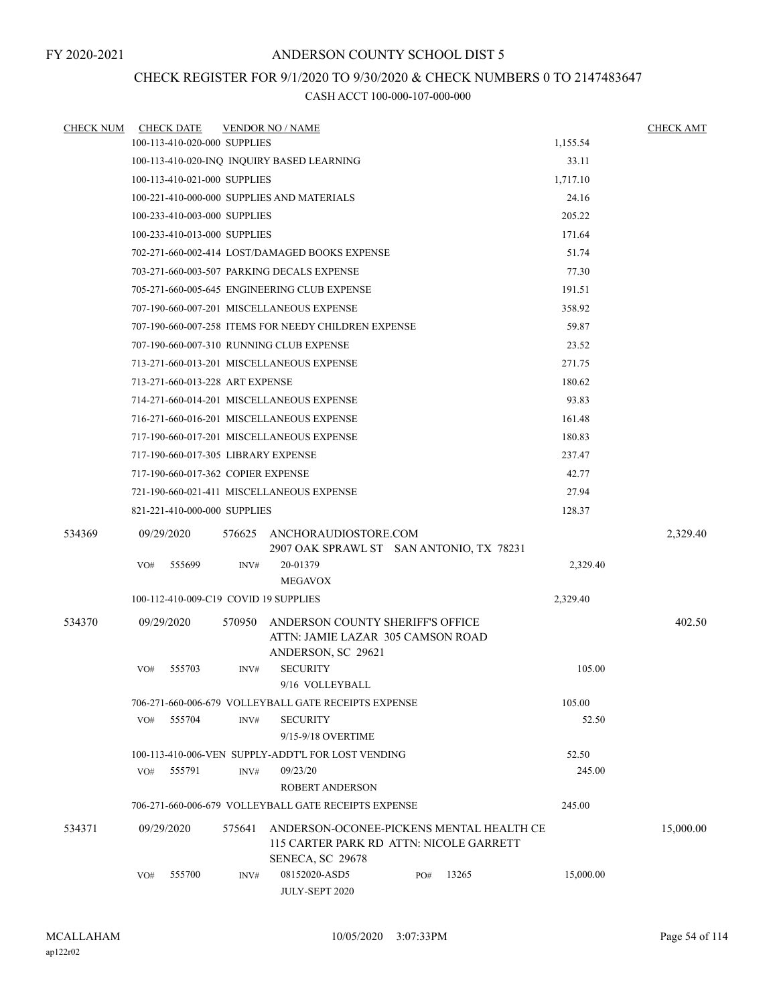## CHECK REGISTER FOR 9/1/2020 TO 9/30/2020 & CHECK NUMBERS 0 TO 2147483647

| <b>CHECK NUM</b> | <b>CHECK DATE</b>                     |        | <b>VENDOR NO / NAME</b>                                                                                 |     |       |           | <b>CHECK AMT</b> |
|------------------|---------------------------------------|--------|---------------------------------------------------------------------------------------------------------|-----|-------|-----------|------------------|
|                  | 100-113-410-020-000 SUPPLIES          |        |                                                                                                         |     |       | 1,155.54  |                  |
|                  |                                       |        | 100-113-410-020-INQ INQUIRY BASED LEARNING                                                              |     |       | 33.11     |                  |
|                  | 100-113-410-021-000 SUPPLIES          |        |                                                                                                         |     |       | 1,717.10  |                  |
|                  |                                       |        | 100-221-410-000-000 SUPPLIES AND MATERIALS                                                              |     |       | 24.16     |                  |
|                  | 100-233-410-003-000 SUPPLIES          |        |                                                                                                         |     |       | 205.22    |                  |
|                  | 100-233-410-013-000 SUPPLIES          |        |                                                                                                         |     |       | 171.64    |                  |
|                  |                                       |        | 702-271-660-002-414 LOST/DAMAGED BOOKS EXPENSE                                                          |     |       | 51.74     |                  |
|                  |                                       |        | 703-271-660-003-507 PARKING DECALS EXPENSE                                                              |     |       | 77.30     |                  |
|                  |                                       |        | 705-271-660-005-645 ENGINEERING CLUB EXPENSE                                                            |     |       | 191.51    |                  |
|                  |                                       |        | 707-190-660-007-201 MISCELLANEOUS EXPENSE                                                               |     |       | 358.92    |                  |
|                  |                                       |        | 707-190-660-007-258 ITEMS FOR NEEDY CHILDREN EXPENSE                                                    |     |       | 59.87     |                  |
|                  |                                       |        | 707-190-660-007-310 RUNNING CLUB EXPENSE                                                                |     |       | 23.52     |                  |
|                  |                                       |        | 713-271-660-013-201 MISCELLANEOUS EXPENSE                                                               |     |       | 271.75    |                  |
|                  | 713-271-660-013-228 ART EXPENSE       |        |                                                                                                         |     |       | 180.62    |                  |
|                  |                                       |        | 714-271-660-014-201 MISCELLANEOUS EXPENSE                                                               |     |       | 93.83     |                  |
|                  |                                       |        | 716-271-660-016-201 MISCELLANEOUS EXPENSE                                                               |     |       | 161.48    |                  |
|                  |                                       |        | 717-190-660-017-201 MISCELLANEOUS EXPENSE                                                               |     |       | 180.83    |                  |
|                  | 717-190-660-017-305 LIBRARY EXPENSE   |        |                                                                                                         |     |       | 237.47    |                  |
|                  | 717-190-660-017-362 COPIER EXPENSE    |        |                                                                                                         |     |       | 42.77     |                  |
|                  |                                       |        | 721-190-660-021-411 MISCELLANEOUS EXPENSE                                                               |     |       | 27.94     |                  |
|                  | 821-221-410-000-000 SUPPLIES          |        |                                                                                                         |     |       | 128.37    |                  |
| 534369           | 09/29/2020                            |        | 576625 ANCHORAUDIOSTORE.COM<br>2907 OAK SPRAWL ST SAN ANTONIO, TX 78231                                 |     |       |           | 2,329.40         |
|                  | 555699<br>VO#                         | INV#   | 20-01379<br><b>MEGAVOX</b>                                                                              |     |       | 2,329.40  |                  |
|                  | 100-112-410-009-C19 COVID 19 SUPPLIES |        |                                                                                                         |     |       | 2,329.40  |                  |
| 534370           | 09/29/2020                            | 570950 | ANDERSON COUNTY SHERIFF'S OFFICE<br>ATTN: JAMIE LAZAR 305 CAMSON ROAD                                   |     |       |           | 402.50           |
|                  | 555703<br>VO#                         | INV#   | ANDERSON, SC 29621<br><b>SECURITY</b><br>9/16 VOLLEYBALL                                                |     |       | 105.00    |                  |
|                  |                                       |        | 706-271-660-006-679 VOLLEYBALL GATE RECEIPTS EXPENSE                                                    |     |       | 105.00    |                  |
|                  | VO#<br>555704                         | INV#   | <b>SECURITY</b><br>9/15-9/18 OVERTIME                                                                   |     |       | 52.50     |                  |
|                  |                                       |        | 100-113-410-006-VEN SUPPLY-ADDT'L FOR LOST VENDING                                                      |     |       | 52.50     |                  |
|                  | 555791<br>VO#                         | INV#   | 09/23/20<br>ROBERT ANDERSON                                                                             |     |       | 245.00    |                  |
|                  |                                       |        | 706-271-660-006-679 VOLLEYBALL GATE RECEIPTS EXPENSE                                                    |     |       | 245.00    |                  |
| 534371           | 09/29/2020                            | 575641 | ANDERSON-OCONEE-PICKENS MENTAL HEALTH CE<br>115 CARTER PARK RD ATTN: NICOLE GARRETT<br>SENECA, SC 29678 |     |       |           | 15,000.00        |
|                  | 555700<br>VO#                         | INV#   | 08152020-ASD5<br>JULY-SEPT 2020                                                                         | PO# | 13265 | 15,000.00 |                  |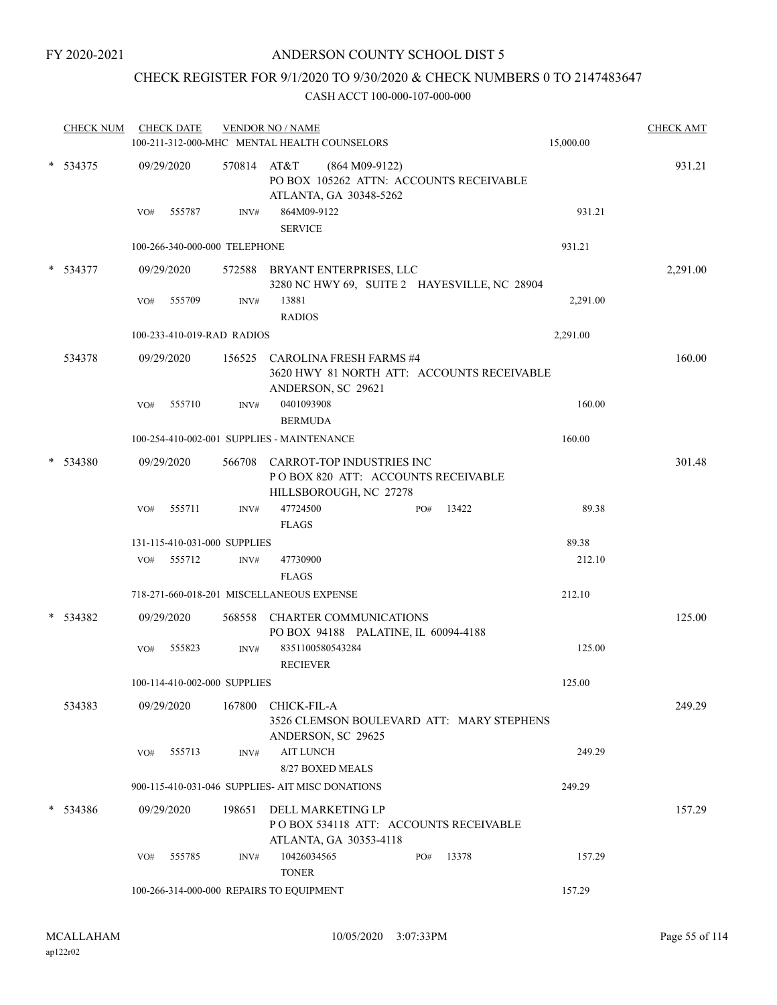## CHECK REGISTER FOR 9/1/2020 TO 9/30/2020 & CHECK NUMBERS 0 TO 2147483647

|   | <b>CHECK NUM</b> |     | <b>CHECK DATE</b>             |                            | <b>VENDOR NO / NAME</b><br>100-211-312-000-MHC MENTAL HEALTH COUNSELORS                            |     |       | 15,000.00 | <b>CHECK AMT</b> |
|---|------------------|-----|-------------------------------|----------------------------|----------------------------------------------------------------------------------------------------|-----|-------|-----------|------------------|
|   | $* 534375$       |     | 09/29/2020                    | 570814 AT&T                | $(864 M09-9122)$<br>PO BOX 105262 ATTN: ACCOUNTS RECEIVABLE                                        |     |       |           | 931.21           |
|   |                  | VO# | 555787                        | INV#                       | ATLANTA, GA 30348-5262<br>864M09-9122<br><b>SERVICE</b>                                            |     |       | 931.21    |                  |
|   |                  |     | 100-266-340-000-000 TELEPHONE |                            |                                                                                                    |     |       | 931.21    |                  |
|   | $*$ 534377       |     | 09/29/2020                    |                            | 572588 BRYANT ENTERPRISES, LLC<br>3280 NC HWY 69, SUITE 2 HAYESVILLE, NC 28904                     |     |       |           | 2,291.00         |
|   |                  | VO# | 555709                        | INV#                       | 13881<br><b>RADIOS</b>                                                                             |     |       | 2,291.00  |                  |
|   |                  |     |                               | 100-233-410-019-RAD RADIOS |                                                                                                    |     |       | 2,291.00  |                  |
|   | 534378           |     | 09/29/2020                    | 156525                     | <b>CAROLINA FRESH FARMS #4</b><br>3620 HWY 81 NORTH ATT: ACCOUNTS RECEIVABLE<br>ANDERSON, SC 29621 |     |       |           | 160.00           |
|   |                  | VO# | 555710                        | INV#                       | 0401093908<br><b>BERMUDA</b>                                                                       |     |       | 160.00    |                  |
|   |                  |     |                               |                            | 100-254-410-002-001 SUPPLIES - MAINTENANCE                                                         |     |       | 160.00    |                  |
|   | 534380           |     | 09/29/2020                    | 566708                     | CARROT-TOP INDUSTRIES INC<br>POBOX 820 ATT: ACCOUNTS RECEIVABLE<br>HILLSBOROUGH, NC 27278          |     |       |           | 301.48           |
|   |                  | VO# | 555711                        | INV#                       | 47724500                                                                                           | PO# | 13422 | 89.38     |                  |
|   |                  |     |                               |                            | <b>FLAGS</b>                                                                                       |     |       |           |                  |
|   |                  |     | 131-115-410-031-000 SUPPLIES  |                            |                                                                                                    |     |       | 89.38     |                  |
|   |                  | VO# | 555712                        | INV#                       | 47730900<br><b>FLAGS</b>                                                                           |     |       | 212.10    |                  |
|   |                  |     |                               |                            | 718-271-660-018-201 MISCELLANEOUS EXPENSE                                                          |     |       | 212.10    |                  |
| * | 534382           |     | 09/29/2020                    | 568558                     | <b>CHARTER COMMUNICATIONS</b><br>PO BOX 94188 PALATINE, IL 60094-4188                              |     |       |           | 125.00           |
|   |                  | VO# | 555823                        | INV#                       | 8351100580543284<br><b>RECIEVER</b>                                                                |     |       | 125.00    |                  |
|   |                  |     | 100-114-410-002-000 SUPPLIES  |                            |                                                                                                    |     |       | 125.00    |                  |
|   | 534383           |     | 09/29/2020                    | 167800                     | CHICK-FIL-A<br>3526 CLEMSON BOULEVARD ATT: MARY STEPHENS<br>ANDERSON, SC 29625                     |     |       |           | 249.29           |
|   |                  | VO# | 555713                        | INV#                       | <b>AIT LUNCH</b><br>8/27 BOXED MEALS                                                               |     |       | 249.29    |                  |
|   |                  |     |                               |                            | 900-115-410-031-046 SUPPLIES- AIT MISC DONATIONS                                                   |     |       | 249.29    |                  |
|   | $* 534386$       |     | 09/29/2020                    | 198651                     | DELL MARKETING LP<br>POBOX 534118 ATT: ACCOUNTS RECEIVABLE<br>ATLANTA, GA 30353-4118               |     |       |           | 157.29           |
|   |                  | VO# | 555785                        | INV#                       | 10426034565<br><b>TONER</b>                                                                        | PO# | 13378 | 157.29    |                  |
|   |                  |     |                               |                            | 100-266-314-000-000 REPAIRS TO EQUIPMENT                                                           |     |       | 157.29    |                  |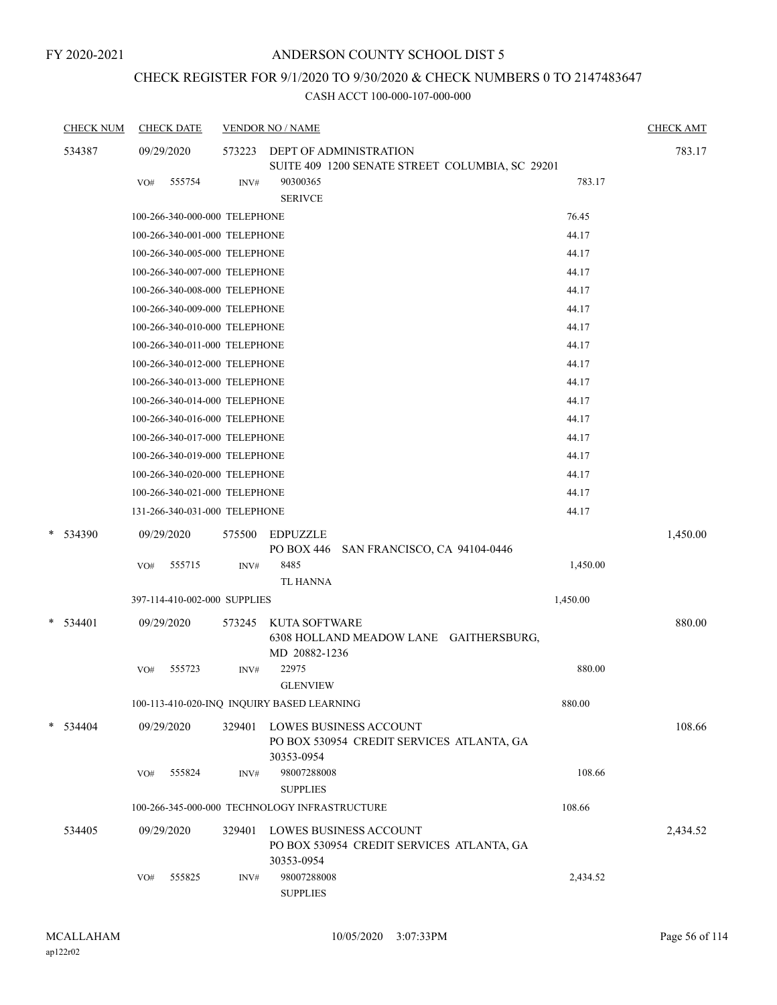## CHECK REGISTER FOR 9/1/2020 TO 9/30/2020 & CHECK NUMBERS 0 TO 2147483647

| <b>CHECK NUM</b> | <b>CHECK DATE</b> |                               | <b>VENDOR NO / NAME</b>                                             |          | <b>CHECK AMT</b> |
|------------------|-------------------|-------------------------------|---------------------------------------------------------------------|----------|------------------|
| 534387           | 09/29/2020        | 573223                        | DEPT OF ADMINISTRATION                                              |          | 783.17           |
|                  |                   |                               | SUITE 409 1200 SENATE STREET COLUMBIA, SC 29201                     |          |                  |
|                  | 555754<br>VO#     | INV#                          | 90300365<br><b>SERIVCE</b>                                          | 783.17   |                  |
|                  |                   | 100-266-340-000-000 TELEPHONE |                                                                     | 76.45    |                  |
|                  |                   | 100-266-340-001-000 TELEPHONE |                                                                     | 44.17    |                  |
|                  |                   | 100-266-340-005-000 TELEPHONE |                                                                     | 44.17    |                  |
|                  |                   | 100-266-340-007-000 TELEPHONE |                                                                     | 44.17    |                  |
|                  |                   | 100-266-340-008-000 TELEPHONE |                                                                     | 44.17    |                  |
|                  |                   | 100-266-340-009-000 TELEPHONE |                                                                     | 44.17    |                  |
|                  |                   | 100-266-340-010-000 TELEPHONE |                                                                     | 44.17    |                  |
|                  |                   | 100-266-340-011-000 TELEPHONE |                                                                     | 44.17    |                  |
|                  |                   | 100-266-340-012-000 TELEPHONE |                                                                     | 44.17    |                  |
|                  |                   | 100-266-340-013-000 TELEPHONE |                                                                     | 44.17    |                  |
|                  |                   | 100-266-340-014-000 TELEPHONE |                                                                     | 44.17    |                  |
|                  |                   | 100-266-340-016-000 TELEPHONE |                                                                     | 44.17    |                  |
|                  |                   | 100-266-340-017-000 TELEPHONE |                                                                     | 44.17    |                  |
|                  |                   | 100-266-340-019-000 TELEPHONE |                                                                     | 44.17    |                  |
|                  |                   | 100-266-340-020-000 TELEPHONE |                                                                     | 44.17    |                  |
|                  |                   | 100-266-340-021-000 TELEPHONE |                                                                     | 44.17    |                  |
|                  |                   | 131-266-340-031-000 TELEPHONE |                                                                     | 44.17    |                  |
| * 534390         | 09/29/2020        | 575500                        | <b>EDPUZZLE</b>                                                     |          | 1,450.00         |
|                  |                   |                               | PO BOX 446 SAN FRANCISCO, CA 94104-0446                             |          |                  |
|                  | 555715<br>VO#     | INV#                          | 8485                                                                | 1,450.00 |                  |
|                  |                   |                               | TL HANNA                                                            |          |                  |
|                  |                   | 397-114-410-002-000 SUPPLIES  |                                                                     | 1,450.00 |                  |
| $*$ 534401       | 09/29/2020        | 573245                        | KUTA SOFTWARE                                                       |          | 880.00           |
|                  |                   |                               | 6308 HOLLAND MEADOW LANE GAITHERSBURG,                              |          |                  |
|                  |                   |                               | MD 20882-1236                                                       |          |                  |
|                  | 555723<br>VO#     | INV#                          | 22975<br><b>GLENVIEW</b>                                            | 880.00   |                  |
|                  |                   |                               | 100-113-410-020-INQ INQUIRY BASED LEARNING                          | 880.00   |                  |
|                  |                   |                               |                                                                     |          |                  |
| $* 534404$       | 09/29/2020        | 329401                        | LOWES BUSINESS ACCOUNT<br>PO BOX 530954 CREDIT SERVICES ATLANTA, GA |          | 108.66           |
|                  |                   |                               | 30353-0954                                                          |          |                  |
|                  | VO#<br>555824     | INV#                          | 98007288008                                                         | 108.66   |                  |
|                  |                   |                               | <b>SUPPLIES</b>                                                     |          |                  |
|                  |                   |                               | 100-266-345-000-000 TECHNOLOGY INFRASTRUCTURE                       | 108.66   |                  |
| 534405           | 09/29/2020        | 329401                        | <b>LOWES BUSINESS ACCOUNT</b>                                       |          | 2,434.52         |
|                  |                   |                               | PO BOX 530954 CREDIT SERVICES ATLANTA, GA                           |          |                  |
|                  |                   |                               | 30353-0954                                                          |          |                  |
|                  | 555825<br>VO#     | INV#                          | 98007288008                                                         | 2,434.52 |                  |
|                  |                   |                               | <b>SUPPLIES</b>                                                     |          |                  |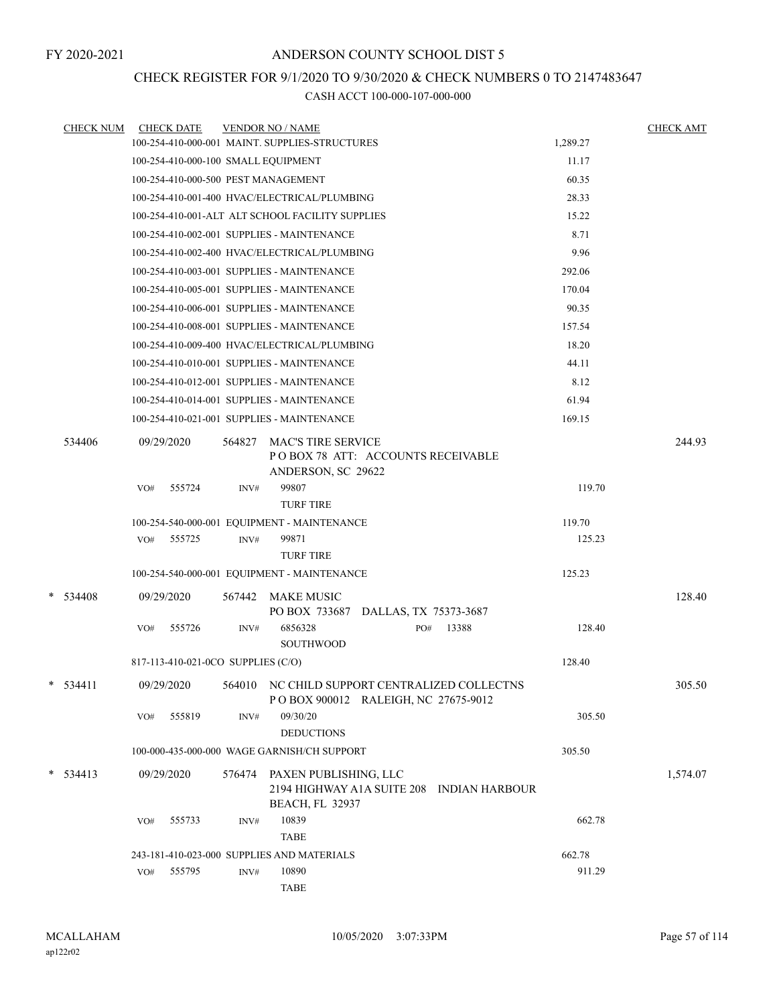## CHECK REGISTER FOR 9/1/2020 TO 9/30/2020 & CHECK NUMBERS 0 TO 2147483647

| <b>CHECK NUM</b> |     | <b>CHECK DATE</b>                  |        | <b>VENDOR NO / NAME</b>                                                                      |     |       |          | <b>CHECK AMT</b> |
|------------------|-----|------------------------------------|--------|----------------------------------------------------------------------------------------------|-----|-------|----------|------------------|
|                  |     |                                    |        | 100-254-410-000-001 MAINT. SUPPLIES-STRUCTURES                                               |     |       | 1,289.27 |                  |
|                  |     |                                    |        | 100-254-410-000-100 SMALL EQUIPMENT                                                          |     |       | 11.17    |                  |
|                  |     |                                    |        | 100-254-410-000-500 PEST MANAGEMENT                                                          |     |       | 60.35    |                  |
|                  |     |                                    |        | 100-254-410-001-400 HVAC/ELECTRICAL/PLUMBING                                                 |     |       | 28.33    |                  |
|                  |     |                                    |        | 100-254-410-001-ALT ALT SCHOOL FACILITY SUPPLIES                                             |     |       | 15.22    |                  |
|                  |     |                                    |        | 100-254-410-002-001 SUPPLIES - MAINTENANCE                                                   |     |       | 8.71     |                  |
|                  |     |                                    |        | 100-254-410-002-400 HVAC/ELECTRICAL/PLUMBING                                                 |     |       | 9.96     |                  |
|                  |     |                                    |        | 100-254-410-003-001 SUPPLIES - MAINTENANCE                                                   |     |       | 292.06   |                  |
|                  |     |                                    |        | 100-254-410-005-001 SUPPLIES - MAINTENANCE                                                   |     |       | 170.04   |                  |
|                  |     |                                    |        | 100-254-410-006-001 SUPPLIES - MAINTENANCE                                                   |     |       | 90.35    |                  |
|                  |     |                                    |        | 100-254-410-008-001 SUPPLIES - MAINTENANCE                                                   |     |       | 157.54   |                  |
|                  |     |                                    |        | 100-254-410-009-400 HVAC/ELECTRICAL/PLUMBING                                                 |     |       | 18.20    |                  |
|                  |     |                                    |        | 100-254-410-010-001 SUPPLIES - MAINTENANCE                                                   |     |       | 44.11    |                  |
|                  |     |                                    |        | 100-254-410-012-001 SUPPLIES - MAINTENANCE                                                   |     |       | 8.12     |                  |
|                  |     |                                    |        | 100-254-410-014-001 SUPPLIES - MAINTENANCE                                                   |     |       | 61.94    |                  |
|                  |     |                                    |        | 100-254-410-021-001 SUPPLIES - MAINTENANCE                                                   |     |       | 169.15   |                  |
| 534406           |     | 09/29/2020                         | 564827 | <b>MAC'S TIRE SERVICE</b><br>POBOX 78 ATT: ACCOUNTS RECEIVABLE<br>ANDERSON, SC 29622         |     |       |          | 244.93           |
|                  | VO# | 555724                             | INV#   | 99807<br><b>TURF TIRE</b>                                                                    |     |       | 119.70   |                  |
|                  |     |                                    |        | 100-254-540-000-001 EQUIPMENT - MAINTENANCE                                                  |     |       | 119.70   |                  |
|                  |     | VO# 555725                         | INV#   | 99871                                                                                        |     |       | 125.23   |                  |
|                  |     |                                    |        | <b>TURF TIRE</b>                                                                             |     |       |          |                  |
|                  |     |                                    |        | 100-254-540-000-001 EQUIPMENT - MAINTENANCE                                                  |     |       | 125.23   |                  |
| $*$ 534408       |     | 09/29/2020                         | 567442 | <b>MAKE MUSIC</b><br>PO BOX 733687 DALLAS, TX 75373-3687                                     |     |       |          | 128.40           |
|                  | VO# | 555726                             | INV#   | 6856328<br><b>SOUTHWOOD</b>                                                                  | PO# | 13388 | 128.40   |                  |
|                  |     | 817-113-410-021-0CO SUPPLIES (C/O) |        |                                                                                              |     |       | 128.40   |                  |
| $*$ 534411       |     | 09/29/2020                         |        | 564010 NC CHILD SUPPORT CENTRALIZED COLLECTNS<br>POBOX 900012 RALEIGH, NC 27675-9012         |     |       |          | 305.50           |
|                  | VO# | 555819                             | INV#   | 09/30/20<br><b>DEDUCTIONS</b>                                                                |     |       | 305.50   |                  |
|                  |     |                                    |        | 100-000-435-000-000 WAGE GARNISH/CH SUPPORT                                                  |     |       | 305.50   |                  |
| $* 534413$       |     | 09/29/2020                         | 576474 | PAXEN PUBLISHING, LLC<br>2194 HIGHWAY A1A SUITE 208 INDIAN HARBOUR<br><b>BEACH, FL 32937</b> |     |       |          | 1,574.07         |
|                  | VO# | 555733                             | INV#   | 10839<br><b>TABE</b>                                                                         |     |       | 662.78   |                  |
|                  |     |                                    |        | 243-181-410-023-000 SUPPLIES AND MATERIALS                                                   |     |       | 662.78   |                  |
|                  | VO# | 555795                             | INV#   | 10890<br><b>TABE</b>                                                                         |     |       | 911.29   |                  |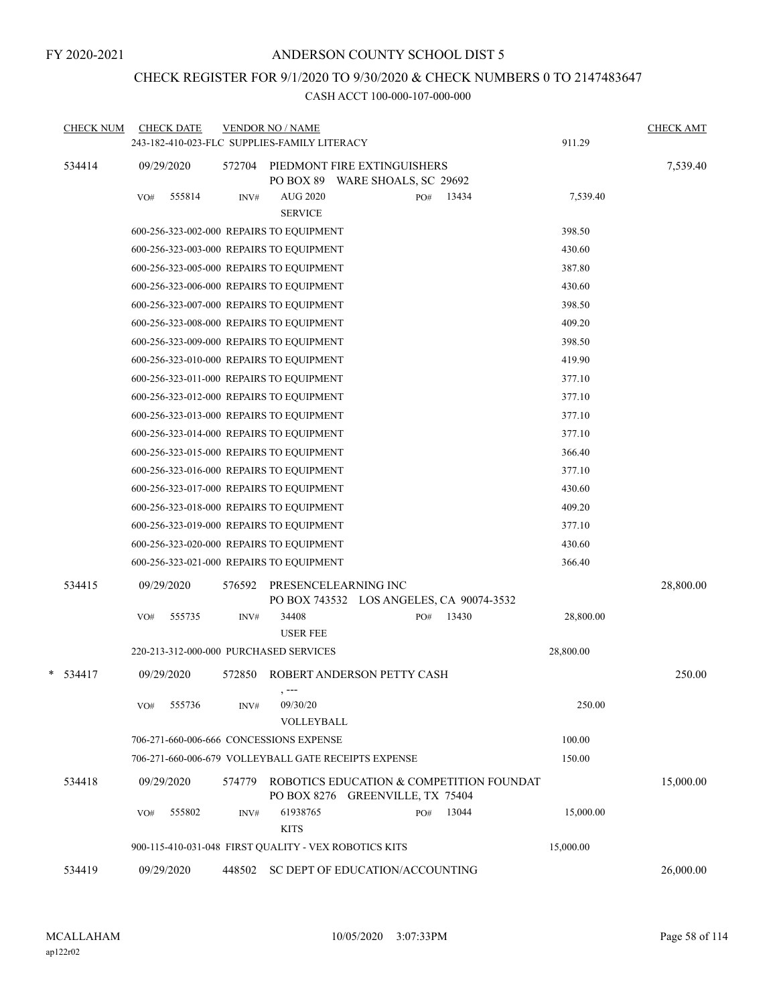## CHECK REGISTER FOR 9/1/2020 TO 9/30/2020 & CHECK NUMBERS 0 TO 2147483647

|   | <b>CHECK NUM</b> |     | <b>CHECK DATE</b> |        | <b>VENDOR NO / NAME</b><br>243-182-410-023-FLC SUPPLIES-FAMILY LITERACY |                                                                              |              | 911.29    | <b>CHECK AMT</b> |
|---|------------------|-----|-------------------|--------|-------------------------------------------------------------------------|------------------------------------------------------------------------------|--------------|-----------|------------------|
|   | 534414           |     | 09/29/2020        | 572704 |                                                                         | PIEDMONT FIRE EXTINGUISHERS<br>PO BOX 89 WARE SHOALS, SC 29692               |              |           | 7,539.40         |
|   |                  | VO# | 555814            | INV#   | <b>AUG 2020</b><br><b>SERVICE</b>                                       |                                                                              | PO#<br>13434 | 7,539.40  |                  |
|   |                  |     |                   |        | 600-256-323-002-000 REPAIRS TO EQUIPMENT                                |                                                                              |              | 398.50    |                  |
|   |                  |     |                   |        | 600-256-323-003-000 REPAIRS TO EQUIPMENT                                |                                                                              |              | 430.60    |                  |
|   |                  |     |                   |        | 600-256-323-005-000 REPAIRS TO EQUIPMENT                                |                                                                              |              | 387.80    |                  |
|   |                  |     |                   |        | 600-256-323-006-000 REPAIRS TO EQUIPMENT                                |                                                                              |              | 430.60    |                  |
|   |                  |     |                   |        | 600-256-323-007-000 REPAIRS TO EQUIPMENT                                |                                                                              |              | 398.50    |                  |
|   |                  |     |                   |        | 600-256-323-008-000 REPAIRS TO EQUIPMENT                                |                                                                              |              | 409.20    |                  |
|   |                  |     |                   |        | 600-256-323-009-000 REPAIRS TO EQUIPMENT                                |                                                                              |              | 398.50    |                  |
|   |                  |     |                   |        | 600-256-323-010-000 REPAIRS TO EQUIPMENT                                |                                                                              |              | 419.90    |                  |
|   |                  |     |                   |        | 600-256-323-011-000 REPAIRS TO EQUIPMENT                                |                                                                              |              | 377.10    |                  |
|   |                  |     |                   |        | 600-256-323-012-000 REPAIRS TO EQUIPMENT                                |                                                                              |              | 377.10    |                  |
|   |                  |     |                   |        | 600-256-323-013-000 REPAIRS TO EQUIPMENT                                |                                                                              |              | 377.10    |                  |
|   |                  |     |                   |        | 600-256-323-014-000 REPAIRS TO EQUIPMENT                                |                                                                              |              | 377.10    |                  |
|   |                  |     |                   |        | 600-256-323-015-000 REPAIRS TO EQUIPMENT                                |                                                                              |              | 366.40    |                  |
|   |                  |     |                   |        | 600-256-323-016-000 REPAIRS TO EQUIPMENT                                |                                                                              |              | 377.10    |                  |
|   |                  |     |                   |        | 600-256-323-017-000 REPAIRS TO EQUIPMENT                                |                                                                              |              | 430.60    |                  |
|   |                  |     |                   |        | 600-256-323-018-000 REPAIRS TO EQUIPMENT                                |                                                                              |              | 409.20    |                  |
|   |                  |     |                   |        | 600-256-323-019-000 REPAIRS TO EQUIPMENT                                |                                                                              |              | 377.10    |                  |
|   |                  |     |                   |        | 600-256-323-020-000 REPAIRS TO EQUIPMENT                                |                                                                              |              | 430.60    |                  |
|   |                  |     |                   |        | 600-256-323-021-000 REPAIRS TO EQUIPMENT                                |                                                                              |              | 366.40    |                  |
|   | 534415           |     | 09/29/2020        | 576592 | PRESENCELEARNING INC                                                    | PO BOX 743532 LOS ANGELES, CA 90074-3532                                     |              |           | 28,800.00        |
|   |                  | VO# | 555735            | INV#   | 34408<br><b>USER FEE</b>                                                |                                                                              | 13430<br>PO# | 28,800.00 |                  |
|   |                  |     |                   |        | 220-213-312-000-000 PURCHASED SERVICES                                  |                                                                              |              | 28,800.00 |                  |
| * | 534417           |     | 09/29/2020        | 572850 |                                                                         | ROBERT ANDERSON PETTY CASH                                                   |              |           | 250.00           |
|   |                  | VO# | 555736            | INV#   | 09/30/20<br>VOLLEYBALL                                                  |                                                                              |              | 250.00    |                  |
|   |                  |     |                   |        | 706-271-660-006-666 CONCESSIONS EXPENSE                                 |                                                                              |              | 100.00    |                  |
|   |                  |     |                   |        | 706-271-660-006-679 VOLLEYBALL GATE RECEIPTS EXPENSE                    |                                                                              |              | 150.00    |                  |
|   | 534418           |     | 09/29/2020        | 574779 |                                                                         | ROBOTICS EDUCATION & COMPETITION FOUNDAT<br>PO BOX 8276 GREENVILLE, TX 75404 |              |           | 15,000.00        |
|   |                  | VO# | 555802            | INV#   | 61938765<br><b>KITS</b>                                                 |                                                                              | 13044<br>PO# | 15,000.00 |                  |
|   |                  |     |                   |        | 900-115-410-031-048 FIRST QUALITY - VEX ROBOTICS KITS                   |                                                                              |              | 15,000.00 |                  |
|   | 534419           |     | 09/29/2020        | 448502 | SC DEPT OF EDUCATION/ACCOUNTING                                         |                                                                              |              |           | 26,000.00        |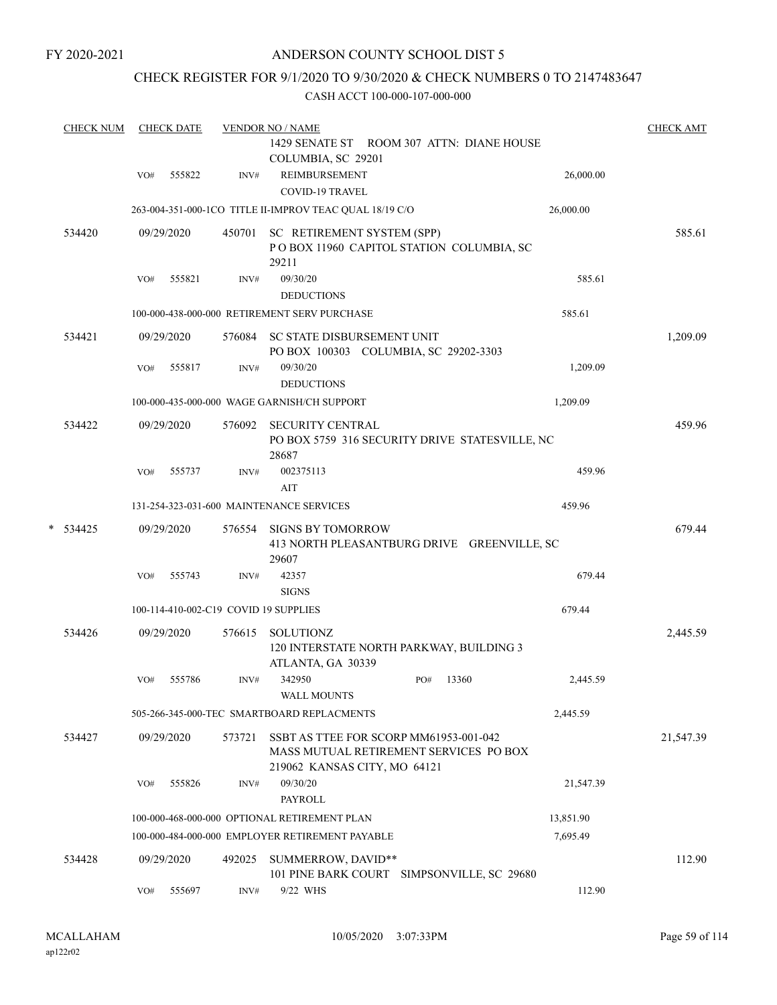## CHECK REGISTER FOR 9/1/2020 TO 9/30/2020 & CHECK NUMBERS 0 TO 2147483647

|        | <b>CHECK NUM</b> |            | <b>CHECK DATE</b> |        | <b>VENDOR NO / NAME</b>                                                                                          |     |       |           | <b>CHECK AMT</b> |
|--------|------------------|------------|-------------------|--------|------------------------------------------------------------------------------------------------------------------|-----|-------|-----------|------------------|
|        |                  |            |                   |        | 1429 SENATE ST ROOM 307 ATTN: DIANE HOUSE                                                                        |     |       |           |                  |
|        |                  |            |                   |        | COLUMBIA, SC 29201                                                                                               |     |       |           |                  |
|        |                  | VO#        | 555822            | INV#   | REIMBURSEMENT                                                                                                    |     |       | 26,000.00 |                  |
|        |                  |            |                   |        | <b>COVID-19 TRAVEL</b>                                                                                           |     |       |           |                  |
|        |                  |            |                   |        | 263-004-351-000-1CO TITLE II-IMPROV TEAC QUAL 18/19 C/O                                                          |     |       | 26,000.00 |                  |
| 534420 |                  | 09/29/2020 |                   | 450701 | SC RETIREMENT SYSTEM (SPP)<br>POBOX 11960 CAPITOL STATION COLUMBIA, SC<br>29211                                  |     |       |           | 585.61           |
|        |                  | VO#        | 555821            | INV#   | 09/30/20                                                                                                         |     |       | 585.61    |                  |
|        |                  |            |                   |        | <b>DEDUCTIONS</b>                                                                                                |     |       |           |                  |
|        |                  |            |                   |        | 100-000-438-000-000 RETIREMENT SERV PURCHASE                                                                     |     |       | 585.61    |                  |
|        | 534421           |            | 09/29/2020        | 576084 | SC STATE DISBURSEMENT UNIT<br>PO BOX 100303 COLUMBIA, SC 29202-3303                                              |     |       |           | 1,209.09         |
|        |                  | VO#        | 555817            | INV#   | 09/30/20                                                                                                         |     |       | 1,209.09  |                  |
|        |                  |            |                   |        | <b>DEDUCTIONS</b>                                                                                                |     |       |           |                  |
|        |                  |            |                   |        | 100-000-435-000-000 WAGE GARNISH/CH SUPPORT                                                                      |     |       | 1,209.09  |                  |
|        | 534422           |            | 09/29/2020        | 576092 | <b>SECURITY CENTRAL</b><br>PO BOX 5759 316 SECURITY DRIVE STATESVILLE, NC                                        |     |       |           | 459.96           |
|        |                  |            | 555737            |        | 28687<br>002375113                                                                                               |     |       | 459.96    |                  |
|        |                  | VO#        |                   | INV#   | AIT                                                                                                              |     |       |           |                  |
|        |                  |            |                   |        | 131-254-323-031-600 MAINTENANCE SERVICES                                                                         |     |       | 459.96    |                  |
|        |                  |            |                   |        |                                                                                                                  |     |       |           |                  |
|        | $*$ 534425       |            | 09/29/2020        | 576554 | <b>SIGNS BY TOMORROW</b><br>413 NORTH PLEASANTBURG DRIVE GREENVILLE, SC<br>29607                                 |     |       |           | 679.44           |
|        |                  | VO#        | 555743            | INV#   | 42357<br><b>SIGNS</b>                                                                                            |     |       | 679.44    |                  |
|        |                  |            |                   |        | 100-114-410-002-C19 COVID 19 SUPPLIES                                                                            |     |       | 679.44    |                  |
|        | 534426           |            | 09/29/2020        | 576615 | SOLUTIONZ<br>120 INTERSTATE NORTH PARKWAY, BUILDING 3<br>ATLANTA, GA 30339                                       |     |       |           | 2,445.59         |
|        |                  | VO#        | 555786            | INV#   | 342950                                                                                                           | PO# | 13360 | 2,445.59  |                  |
|        |                  |            |                   |        | <b>WALL MOUNTS</b>                                                                                               |     |       |           |                  |
|        |                  |            |                   |        | 505-266-345-000-TEC SMARTBOARD REPLACMENTS                                                                       |     |       | 2,445.59  |                  |
|        | 534427           |            | 09/29/2020        | 573721 | SSBT AS TTEE FOR SCORP MM61953-001-042<br>MASS MUTUAL RETIREMENT SERVICES PO BOX<br>219062 KANSAS CITY, MO 64121 |     |       |           | 21,547.39        |
|        |                  | VO#        | 555826            | INV#   | 09/30/20<br><b>PAYROLL</b>                                                                                       |     |       | 21,547.39 |                  |
|        |                  |            |                   |        | 100-000-468-000-000 OPTIONAL RETIREMENT PLAN                                                                     |     |       | 13,851.90 |                  |
|        |                  |            |                   |        | 100-000-484-000-000 EMPLOYER RETIREMENT PAYABLE                                                                  |     |       | 7,695.49  |                  |
|        | 534428           |            | 09/29/2020        | 492025 | SUMMERROW, DAVID**<br>101 PINE BARK COURT SIMPSONVILLE, SC 29680                                                 |     |       |           | 112.90           |
|        |                  | VO#        | 555697            | INV#   | 9/22 WHS                                                                                                         |     |       | 112.90    |                  |
|        |                  |            |                   |        |                                                                                                                  |     |       |           |                  |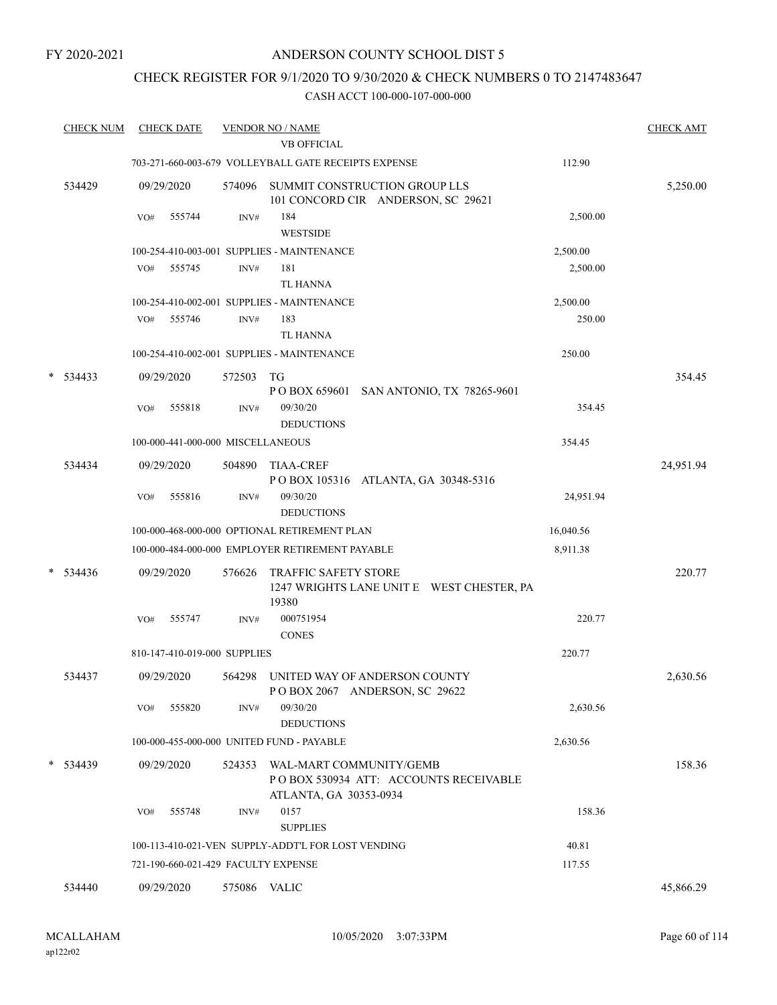FY 2020-2021

## ANDERSON COUNTY SCHOOL DIST 5

## CHECK REGISTER FOR 9/1/2020 TO 9/30/2020 & CHECK NUMBERS 0 TO 2147483647

| <b>CHECK NUM</b> | <b>CHECK DATE</b>                   |              | <b>VENDOR NO / NAME</b>                                                                           |           | <b>CHECK AMT</b> |
|------------------|-------------------------------------|--------------|---------------------------------------------------------------------------------------------------|-----------|------------------|
|                  |                                     |              | <b>VB OFFICIAL</b>                                                                                |           |                  |
|                  |                                     |              | 703-271-660-003-679 VOLLEYBALL GATE RECEIPTS EXPENSE                                              | 112.90    |                  |
| 534429           | 09/29/2020                          | 574096       | SUMMIT CONSTRUCTION GROUP LLS<br>101 CONCORD CIR ANDERSON, SC 29621                               |           | 5,250.00         |
|                  | VO#<br>555744                       | INV#         | 184<br><b>WESTSIDE</b>                                                                            | 2,500.00  |                  |
|                  |                                     |              | 100-254-410-003-001 SUPPLIES - MAINTENANCE                                                        | 2,500.00  |                  |
|                  | 555745<br>VO#                       | INV#         | 181<br><b>TL HANNA</b>                                                                            | 2,500.00  |                  |
|                  |                                     |              | 100-254-410-002-001 SUPPLIES - MAINTENANCE                                                        | 2,500.00  |                  |
|                  | 555746<br>VO#                       | INV#         | 183<br>TL HANNA                                                                                   | 250.00    |                  |
|                  |                                     |              | 100-254-410-002-001 SUPPLIES - MAINTENANCE                                                        | 250.00    |                  |
| $*$ 534433       | 09/29/2020                          | 572503       | TG                                                                                                |           | 354.45           |
|                  |                                     |              | POBOX 659601 SAN ANTONIO, TX 78265-9601                                                           |           |                  |
|                  | 555818<br>VO#                       | INV#         | 09/30/20<br><b>DEDUCTIONS</b>                                                                     | 354.45    |                  |
|                  | 100-000-441-000-000 MISCELLANEOUS   |              |                                                                                                   | 354.45    |                  |
| 534434           | 09/29/2020                          | 504890       | <b>TIAA-CREF</b><br>POBOX 105316 ATLANTA, GA 30348-5316                                           |           | 24,951.94        |
|                  | 555816<br>VO#                       | INV#         | 09/30/20<br><b>DEDUCTIONS</b>                                                                     | 24,951.94 |                  |
|                  |                                     |              | 100-000-468-000-000 OPTIONAL RETIREMENT PLAN                                                      | 16,040.56 |                  |
|                  |                                     |              | 100-000-484-000-000 EMPLOYER RETIREMENT PAYABLE                                                   | 8,911.38  |                  |
| $* 534436$       | 09/29/2020                          | 576626       | TRAFFIC SAFETY STORE<br>1247 WRIGHTS LANE UNIT E WEST CHESTER, PA<br>19380                        |           | 220.77           |
|                  | 555747<br>VO#                       | INV#         | 000751954<br><b>CONES</b>                                                                         | 220.77    |                  |
|                  | 810-147-410-019-000 SUPPLIES        |              |                                                                                                   | 220.77    |                  |
| 534437           | 09/29/2020                          | 564298       | UNITED WAY OF ANDERSON COUNTY<br>POBOX 2067 ANDERSON, SC 29622                                    |           | 2,630.56         |
|                  | 555820<br>VO#                       | INV#         | 09/30/20<br><b>DEDUCTIONS</b>                                                                     | 2,630.56  |                  |
|                  |                                     |              | 100-000-455-000-000 UNITED FUND - PAYABLE                                                         | 2,630.56  |                  |
| $*$ 534439       | 09/29/2020                          |              | 524353 WAL-MART COMMUNITY/GEMB<br>POBOX 530934 ATT: ACCOUNTS RECEIVABLE<br>ATLANTA, GA 30353-0934 |           | 158.36           |
|                  | VO#<br>555748                       | INV#         | 0157<br><b>SUPPLIES</b>                                                                           | 158.36    |                  |
|                  |                                     |              | 100-113-410-021-VEN SUPPLY-ADDT'L FOR LOST VENDING                                                | 40.81     |                  |
|                  | 721-190-660-021-429 FACULTY EXPENSE |              |                                                                                                   | 117.55    |                  |
| 534440           | 09/29/2020                          | 575086 VALIC |                                                                                                   |           | 45,866.29        |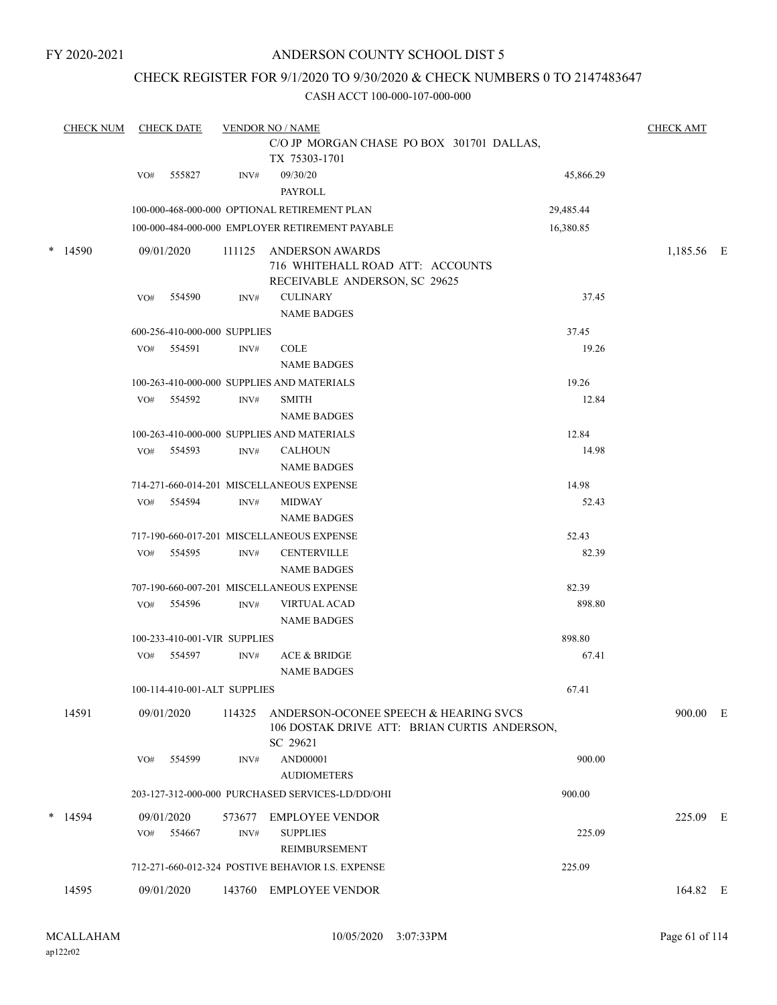FY 2020-2021

## ANDERSON COUNTY SCHOOL DIST 5

## CHECK REGISTER FOR 9/1/2020 TO 9/30/2020 & CHECK NUMBERS 0 TO 2147483647

|   | <b>CHECK NUM</b> |     | <b>CHECK DATE</b>            |        | <b>VENDOR NO / NAME</b><br>C/O JP MORGAN CHASE PO BOX 301701 DALLAS,<br>TX 75303-1701                    |           | <b>CHECK AMT</b> |  |  |
|---|------------------|-----|------------------------------|--------|----------------------------------------------------------------------------------------------------------|-----------|------------------|--|--|
|   |                  |     |                              |        |                                                                                                          |           |                  |  |  |
|   |                  | VO# | 555827                       | INV#   | 09/30/20<br>PAYROLL                                                                                      | 45,866.29 |                  |  |  |
|   |                  |     |                              |        | 100-000-468-000-000 OPTIONAL RETIREMENT PLAN                                                             | 29,485.44 |                  |  |  |
|   |                  |     |                              |        | 100-000-484-000-000 EMPLOYER RETIREMENT PAYABLE                                                          | 16,380.85 |                  |  |  |
| * | 14590            |     | 09/01/2020                   | 111125 | <b>ANDERSON AWARDS</b><br>716 WHITEHALL ROAD ATT: ACCOUNTS<br>RECEIVABLE ANDERSON, SC 29625              |           | 1,185.56 E       |  |  |
|   |                  | VO# | 554590                       | INV#   | <b>CULINARY</b><br><b>NAME BADGES</b>                                                                    | 37.45     |                  |  |  |
|   |                  |     | 600-256-410-000-000 SUPPLIES |        |                                                                                                          | 37.45     |                  |  |  |
|   |                  | VO# | 554591                       | INV#   | <b>COLE</b><br><b>NAME BADGES</b>                                                                        | 19.26     |                  |  |  |
|   |                  |     |                              |        | 100-263-410-000-000 SUPPLIES AND MATERIALS                                                               | 19.26     |                  |  |  |
|   |                  | VO# | 554592                       | INV#   | <b>SMITH</b><br><b>NAME BADGES</b>                                                                       | 12.84     |                  |  |  |
|   |                  |     |                              |        | 100-263-410-000-000 SUPPLIES AND MATERIALS                                                               | 12.84     |                  |  |  |
|   |                  | VO# | 554593                       | INV#   | <b>CALHOUN</b><br><b>NAME BADGES</b>                                                                     | 14.98     |                  |  |  |
|   |                  |     |                              |        | 714-271-660-014-201 MISCELLANEOUS EXPENSE                                                                | 14.98     |                  |  |  |
|   |                  | VO# | 554594                       | INV#   | <b>MIDWAY</b><br><b>NAME BADGES</b>                                                                      | 52.43     |                  |  |  |
|   |                  |     |                              |        | 717-190-660-017-201 MISCELLANEOUS EXPENSE                                                                | 52.43     |                  |  |  |
|   |                  | VO# | 554595                       | INV#   | <b>CENTERVILLE</b><br><b>NAME BADGES</b>                                                                 | 82.39     |                  |  |  |
|   |                  |     |                              |        | 707-190-660-007-201 MISCELLANEOUS EXPENSE                                                                | 82.39     |                  |  |  |
|   |                  | VO# | 554596                       | INV#   | <b>VIRTUAL ACAD</b><br><b>NAME BADGES</b>                                                                | 898.80    |                  |  |  |
|   |                  |     | 100-233-410-001-VIR SUPPLIES |        |                                                                                                          | 898.80    |                  |  |  |
|   |                  | VO# | 554597                       | INV#   | <b>ACE &amp; BRIDGE</b><br><b>NAME BADGES</b>                                                            | 67.41     |                  |  |  |
|   |                  |     | 100-114-410-001-ALT SUPPLIES |        |                                                                                                          | 67.41     |                  |  |  |
|   | 14591            |     | 09/01/2020                   |        | 114325 ANDERSON-OCONEE SPEECH & HEARING SVCS<br>106 DOSTAK DRIVE ATT: BRIAN CURTIS ANDERSON,<br>SC 29621 |           | 900.00 E         |  |  |
|   |                  | VO# | 554599                       | INV#   | <b>AND00001</b><br><b>AUDIOMETERS</b>                                                                    | 900.00    |                  |  |  |
|   |                  |     |                              |        | 203-127-312-000-000 PURCHASED SERVICES-LD/DD/OHI                                                         | 900.00    |                  |  |  |
|   | $*$ 14594        |     | 09/01/2020                   | 573677 | <b>EMPLOYEE VENDOR</b>                                                                                   |           | 225.09 E         |  |  |
|   |                  | VO# | 554667                       | INV#   | <b>SUPPLIES</b><br>REIMBURSEMENT                                                                         | 225.09    |                  |  |  |
|   |                  |     |                              |        | 712-271-660-012-324 POSTIVE BEHAVIOR I.S. EXPENSE                                                        | 225.09    |                  |  |  |
|   | 14595            |     | 09/01/2020                   |        | 143760 EMPLOYEE VENDOR                                                                                   |           | 164.82 E         |  |  |
|   |                  |     |                              |        |                                                                                                          |           |                  |  |  |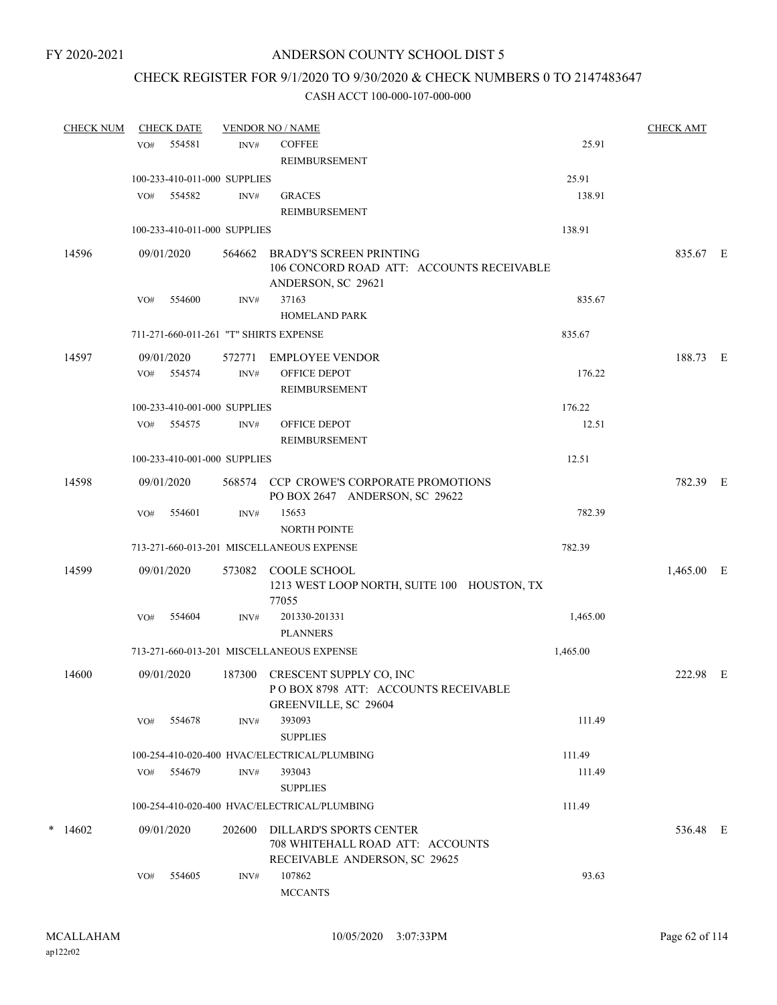## CHECK REGISTER FOR 9/1/2020 TO 9/30/2020 & CHECK NUMBERS 0 TO 2147483647

| <b>CHECK NUM</b> |     | <b>CHECK DATE</b>            |        | <b>VENDOR NO / NAME</b>                                                                           |          | <b>CHECK AMT</b> |  |
|------------------|-----|------------------------------|--------|---------------------------------------------------------------------------------------------------|----------|------------------|--|
|                  | VO# | 554581                       | INV#   | <b>COFFEE</b>                                                                                     | 25.91    |                  |  |
|                  |     |                              |        | <b>REIMBURSEMENT</b>                                                                              |          |                  |  |
|                  |     | 100-233-410-011-000 SUPPLIES |        |                                                                                                   | 25.91    |                  |  |
|                  | VO# | 554582                       | INV#   | <b>GRACES</b>                                                                                     | 138.91   |                  |  |
|                  |     |                              |        | <b>REIMBURSEMENT</b>                                                                              |          |                  |  |
|                  |     | 100-233-410-011-000 SUPPLIES |        |                                                                                                   | 138.91   |                  |  |
| 14596            |     | 09/01/2020                   |        | 564662 BRADY'S SCREEN PRINTING<br>106 CONCORD ROAD ATT: ACCOUNTS RECEIVABLE<br>ANDERSON, SC 29621 |          | 835.67 E         |  |
|                  | VO# | 554600                       | INV#   | 37163                                                                                             | 835.67   |                  |  |
|                  |     |                              |        | <b>HOMELAND PARK</b>                                                                              |          |                  |  |
|                  |     |                              |        | 711-271-660-011-261 "T" SHIRTS EXPENSE                                                            | 835.67   |                  |  |
| 14597            |     | 09/01/2020                   | 572771 | EMPLOYEE VENDOR                                                                                   |          | 188.73 E         |  |
|                  | VO# | 554574                       | INV#   | OFFICE DEPOT<br><b>REIMBURSEMENT</b>                                                              | 176.22   |                  |  |
|                  |     | 100-233-410-001-000 SUPPLIES |        |                                                                                                   | 176.22   |                  |  |
|                  |     | VO# 554575                   | INV#   | OFFICE DEPOT                                                                                      | 12.51    |                  |  |
|                  |     |                              |        | REIMBURSEMENT                                                                                     |          |                  |  |
|                  |     | 100-233-410-001-000 SUPPLIES |        |                                                                                                   | 12.51    |                  |  |
| 14598            |     | 09/01/2020                   |        | 568574 CCP CROWE'S CORPORATE PROMOTIONS<br>PO BOX 2647 ANDERSON, SC 29622                         |          | 782.39 E         |  |
|                  | VO# | 554601                       | INV#   | 15653<br><b>NORTH POINTE</b>                                                                      | 782.39   |                  |  |
|                  |     |                              |        | 713-271-660-013-201 MISCELLANEOUS EXPENSE                                                         | 782.39   |                  |  |
|                  |     |                              |        |                                                                                                   |          |                  |  |
| 14599            |     | 09/01/2020                   |        | 573082 COOLE SCHOOL<br>1213 WEST LOOP NORTH, SUITE 100 HOUSTON, TX<br>77055                       |          | 1,465.00 E       |  |
|                  | VO# | 554604                       | INV#   | 201330-201331<br><b>PLANNERS</b>                                                                  | 1,465.00 |                  |  |
|                  |     |                              |        | 713-271-660-013-201 MISCELLANEOUS EXPENSE                                                         | 1,465.00 |                  |  |
| 14600            |     | 09/01/2020                   |        | 187300 CRESCENT SUPPLY CO, INC<br>POBOX 8798 ATT: ACCOUNTS RECEIVABLE<br>GREENVILLE, SC 29604     |          | 222.98 E         |  |
|                  | VO# | 554678                       | INV#   | 393093<br><b>SUPPLIES</b>                                                                         | 111.49   |                  |  |
|                  |     |                              |        | 100-254-410-020-400 HVAC/ELECTRICAL/PLUMBING                                                      | 111.49   |                  |  |
|                  | VO# | 554679                       | INV#   | 393043                                                                                            | 111.49   |                  |  |
|                  |     |                              |        | <b>SUPPLIES</b>                                                                                   |          |                  |  |
|                  |     |                              |        | 100-254-410-020-400 HVAC/ELECTRICAL/PLUMBING                                                      | 111.49   |                  |  |
| $*$ 14602        |     | 09/01/2020                   | 202600 | DILLARD'S SPORTS CENTER<br>708 WHITEHALL ROAD ATT: ACCOUNTS<br>RECEIVABLE ANDERSON, SC 29625      |          | 536.48 E         |  |
|                  | VO# | 554605                       | INV#   | 107862<br><b>MCCANTS</b>                                                                          | 93.63    |                  |  |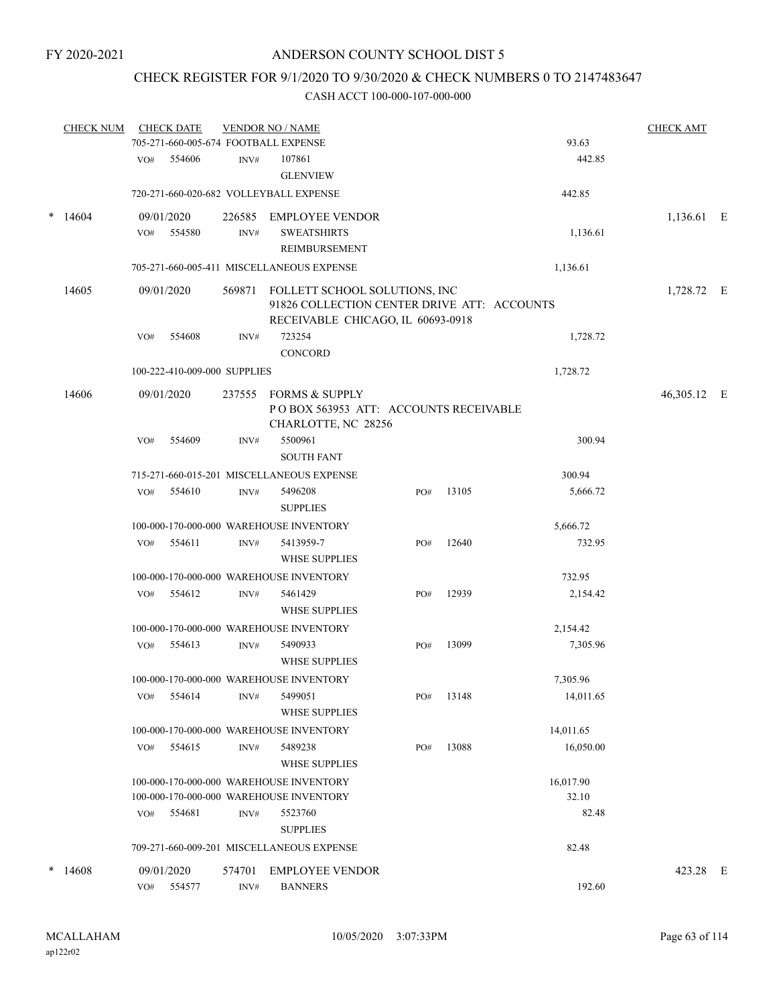## CHECK REGISTER FOR 9/1/2020 TO 9/30/2020 & CHECK NUMBERS 0 TO 2147483647

|        | <b>CHECK NUM</b> |     | <b>CHECK DATE</b>            |        | <b>VENDOR NO / NAME</b><br>705-271-660-005-674 FOOTBALL EXPENSE                                                   |     |       | 93.63              | <b>CHECK AMT</b> |  |
|--------|------------------|-----|------------------------------|--------|-------------------------------------------------------------------------------------------------------------------|-----|-------|--------------------|------------------|--|
|        |                  |     | 554606                       | INV#   | 107861                                                                                                            |     |       | 442.85             |                  |  |
|        |                  | VO# |                              |        | <b>GLENVIEW</b>                                                                                                   |     |       |                    |                  |  |
|        |                  |     |                              |        | 720-271-660-020-682 VOLLEYBALL EXPENSE                                                                            |     |       | 442.85             |                  |  |
| $\ast$ | 14604            |     | 09/01/2020                   | 226585 | <b>EMPLOYEE VENDOR</b>                                                                                            |     |       |                    | 1,136.61 E       |  |
|        |                  | VO# | 554580                       | INV#   | <b>SWEATSHIRTS</b>                                                                                                |     |       | 1,136.61           |                  |  |
|        |                  |     |                              |        | REIMBURSEMENT                                                                                                     |     |       |                    |                  |  |
|        |                  |     |                              |        | 705-271-660-005-411 MISCELLANEOUS EXPENSE                                                                         |     |       | 1,136.61           |                  |  |
|        | 14605            |     | 09/01/2020                   | 569871 | FOLLETT SCHOOL SOLUTIONS, INC<br>91826 COLLECTION CENTER DRIVE ATT: ACCOUNTS<br>RECEIVABLE CHICAGO, IL 60693-0918 |     |       |                    | 1,728.72 E       |  |
|        |                  | VO# | 554608                       | INV#   | 723254<br><b>CONCORD</b>                                                                                          |     |       | 1,728.72           |                  |  |
|        |                  |     | 100-222-410-009-000 SUPPLIES |        |                                                                                                                   |     |       | 1,728.72           |                  |  |
|        | 14606            |     | 09/01/2020                   | 237555 | <b>FORMS &amp; SUPPLY</b><br>POBOX 563953 ATT: ACCOUNTS RECEIVABLE<br>CHARLOTTE, NC 28256                         |     |       |                    | 46,305.12 E      |  |
|        |                  | VO# | 554609                       | INV#   | 5500961<br><b>SOUTH FANT</b>                                                                                      |     |       | 300.94             |                  |  |
|        |                  |     |                              |        | 715-271-660-015-201 MISCELLANEOUS EXPENSE                                                                         |     |       | 300.94             |                  |  |
|        |                  | VO# | 554610                       | INV#   | 5496208<br><b>SUPPLIES</b>                                                                                        | PO# | 13105 | 5,666.72           |                  |  |
|        |                  |     |                              |        | 100-000-170-000-000 WAREHOUSE INVENTORY                                                                           |     |       | 5,666.72           |                  |  |
|        |                  | VO# | 554611                       | INV#   | 5413959-7                                                                                                         | PO# | 12640 | 732.95             |                  |  |
|        |                  |     |                              |        | WHSE SUPPLIES                                                                                                     |     |       |                    |                  |  |
|        |                  |     |                              |        | 100-000-170-000-000 WAREHOUSE INVENTORY                                                                           |     |       | 732.95             |                  |  |
|        |                  | VO# | 554612                       | INV#   | 5461429<br><b>WHSE SUPPLIES</b>                                                                                   | PO# | 12939 | 2,154.42           |                  |  |
|        |                  |     |                              |        | 100-000-170-000-000 WAREHOUSE INVENTORY                                                                           |     |       | 2,154.42           |                  |  |
|        |                  | VO# | 554613                       | INV#   | 5490933<br><b>WHSE SUPPLIES</b>                                                                                   | PO# | 13099 | 7,305.96           |                  |  |
|        |                  |     |                              |        | 100-000-170-000-000 WAREHOUSE INVENTORY                                                                           |     |       | 7,305.96           |                  |  |
|        |                  | VO# | 554614                       | INV#   | 5499051<br><b>WHSE SUPPLIES</b>                                                                                   | PO# | 13148 | 14,011.65          |                  |  |
|        |                  |     |                              |        |                                                                                                                   |     |       | 14,011.65          |                  |  |
|        |                  |     |                              | INV#   | 100-000-170-000-000 WAREHOUSE INVENTORY<br>5489238                                                                |     | 13088 | 16,050.00          |                  |  |
|        |                  | VO# | 554615                       |        | <b>WHSE SUPPLIES</b>                                                                                              | PO# |       |                    |                  |  |
|        |                  |     |                              |        | 100-000-170-000-000 WAREHOUSE INVENTORY<br>100-000-170-000-000 WAREHOUSE INVENTORY                                |     |       | 16,017.90<br>32.10 |                  |  |
|        |                  | VO# | 554681                       | INV#   | 5523760<br><b>SUPPLIES</b>                                                                                        |     |       | 82.48              |                  |  |
|        |                  |     |                              |        | 709-271-660-009-201 MISCELLANEOUS EXPENSE                                                                         |     |       | 82.48              |                  |  |
| *      | 14608            |     | 09/01/2020                   | 574701 | <b>EMPLOYEE VENDOR</b>                                                                                            |     |       |                    | 423.28 E         |  |
|        |                  | VO# | 554577                       | INV#   | <b>BANNERS</b>                                                                                                    |     |       | 192.60             |                  |  |
|        |                  |     |                              |        |                                                                                                                   |     |       |                    |                  |  |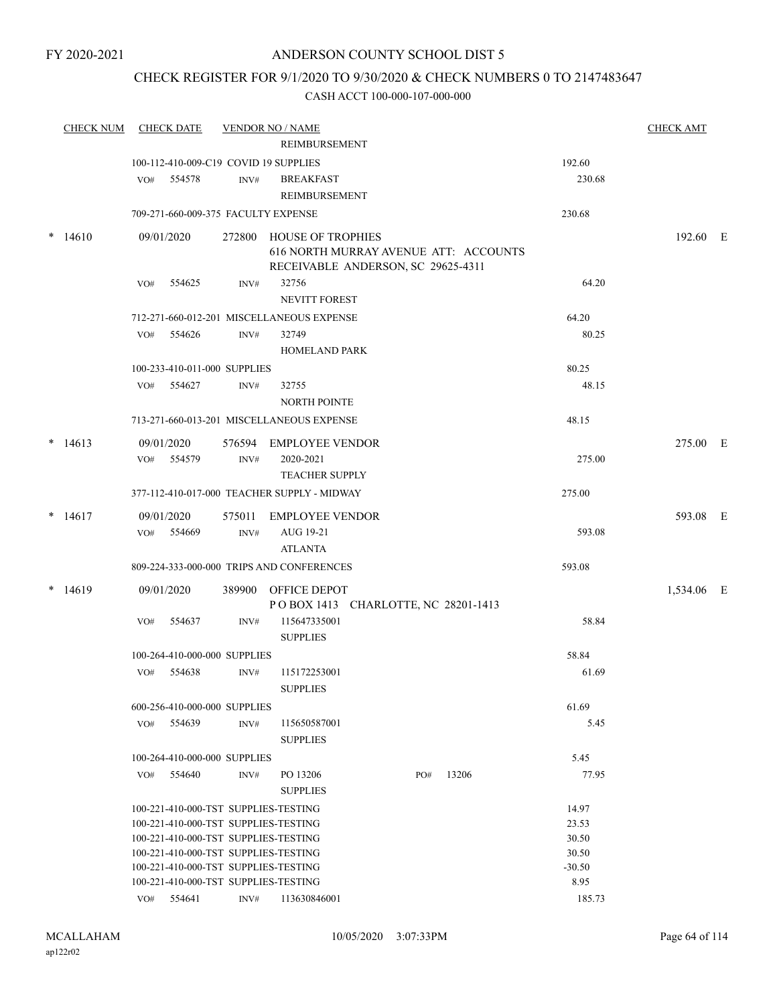## CHECK REGISTER FOR 9/1/2020 TO 9/30/2020 & CHECK NUMBERS 0 TO 2147483647

|        | <b>CHECK NUM</b> |     | <b>CHECK DATE</b>                     |        | <b>VENDOR NO / NAME</b>                     |     |       |          | <b>CHECK AMT</b> |  |
|--------|------------------|-----|---------------------------------------|--------|---------------------------------------------|-----|-------|----------|------------------|--|
|        |                  |     |                                       |        | REIMBURSEMENT                               |     |       |          |                  |  |
|        |                  |     | 100-112-410-009-C19 COVID 19 SUPPLIES |        |                                             |     |       | 192.60   |                  |  |
|        |                  | VO# | 554578                                | INV#   | <b>BREAKFAST</b>                            |     |       | 230.68   |                  |  |
|        |                  |     |                                       |        | REIMBURSEMENT                               |     |       |          |                  |  |
|        |                  |     | 709-271-660-009-375 FACULTY EXPENSE   |        |                                             |     |       | 230.68   |                  |  |
| $\ast$ | 14610            |     | 09/01/2020                            |        | 272800 HOUSE OF TROPHIES                    |     |       |          | 192.60 E         |  |
|        |                  |     |                                       |        | 616 NORTH MURRAY AVENUE ATT: ACCOUNTS       |     |       |          |                  |  |
|        |                  |     |                                       |        | RECEIVABLE ANDERSON, SC 29625-4311          |     |       |          |                  |  |
|        |                  | VO# | 554625                                | INV#   | 32756                                       |     |       | 64.20    |                  |  |
|        |                  |     |                                       |        | <b>NEVITT FOREST</b>                        |     |       |          |                  |  |
|        |                  |     |                                       |        | 712-271-660-012-201 MISCELLANEOUS EXPENSE   |     |       | 64.20    |                  |  |
|        |                  | VO# | 554626                                | INV#   | 32749                                       |     |       | 80.25    |                  |  |
|        |                  |     |                                       |        | <b>HOMELAND PARK</b>                        |     |       |          |                  |  |
|        |                  |     | 100-233-410-011-000 SUPPLIES          |        |                                             |     |       | 80.25    |                  |  |
|        |                  |     | VO# 554627                            | INV#   | 32755                                       |     |       | 48.15    |                  |  |
|        |                  |     |                                       |        | <b>NORTH POINTE</b>                         |     |       |          |                  |  |
|        |                  |     |                                       |        | 713-271-660-013-201 MISCELLANEOUS EXPENSE   |     |       | 48.15    |                  |  |
|        |                  |     |                                       |        |                                             |     |       |          |                  |  |
|        | $*14613$         |     | 09/01/2020                            |        | 576594 EMPLOYEE VENDOR                      |     |       |          | 275.00 E         |  |
|        |                  | VO# | 554579                                | INV#   | 2020-2021                                   |     |       | 275.00   |                  |  |
|        |                  |     |                                       |        | <b>TEACHER SUPPLY</b>                       |     |       |          |                  |  |
|        |                  |     |                                       |        | 377-112-410-017-000 TEACHER SUPPLY - MIDWAY |     |       | 275.00   |                  |  |
|        | $*$ 14617        |     | 09/01/2020                            | 575011 | <b>EMPLOYEE VENDOR</b>                      |     |       |          | 593.08 E         |  |
|        |                  |     | VO# 554669                            | INV#   | AUG 19-21                                   |     |       | 593.08   |                  |  |
|        |                  |     |                                       |        | <b>ATLANTA</b>                              |     |       |          |                  |  |
|        |                  |     |                                       |        | 809-224-333-000-000 TRIPS AND CONFERENCES   |     |       | 593.08   |                  |  |
|        | $*14619$         |     | 09/01/2020                            | 389900 | OFFICE DEPOT                                |     |       |          | 1,534.06 E       |  |
|        |                  |     |                                       |        | POBOX 1413 CHARLOTTE, NC 28201-1413         |     |       |          |                  |  |
|        |                  | VO# | 554637                                | INV#   | 115647335001                                |     |       | 58.84    |                  |  |
|        |                  |     |                                       |        | <b>SUPPLIES</b>                             |     |       |          |                  |  |
|        |                  |     | 100-264-410-000-000 SUPPLIES          |        |                                             |     |       | 58.84    |                  |  |
|        |                  | VO# | 554638                                | INV#   | 115172253001                                |     |       | 61.69    |                  |  |
|        |                  |     |                                       |        | <b>SUPPLIES</b>                             |     |       |          |                  |  |
|        |                  |     | 600-256-410-000-000 SUPPLIES          |        |                                             |     |       | 61.69    |                  |  |
|        |                  | VO# | 554639                                | INV#   | 115650587001                                |     |       | 5.45     |                  |  |
|        |                  |     |                                       |        | <b>SUPPLIES</b>                             |     |       |          |                  |  |
|        |                  |     | 100-264-410-000-000 SUPPLIES          |        |                                             |     |       | 5.45     |                  |  |
|        |                  |     | VO# 554640                            | INV#   | PO 13206                                    | PO# | 13206 | 77.95    |                  |  |
|        |                  |     |                                       |        | <b>SUPPLIES</b>                             |     |       |          |                  |  |
|        |                  |     | 100-221-410-000-TST SUPPLIES-TESTING  |        |                                             |     |       | 14.97    |                  |  |
|        |                  |     | 100-221-410-000-TST SUPPLIES-TESTING  |        |                                             |     |       | 23.53    |                  |  |
|        |                  |     | 100-221-410-000-TST SUPPLIES-TESTING  |        |                                             |     |       | 30.50    |                  |  |
|        |                  |     | 100-221-410-000-TST SUPPLIES-TESTING  |        |                                             |     |       | 30.50    |                  |  |
|        |                  |     | 100-221-410-000-TST SUPPLIES-TESTING  |        |                                             |     |       | $-30.50$ |                  |  |
|        |                  |     | 100-221-410-000-TST SUPPLIES-TESTING  |        |                                             |     |       | 8.95     |                  |  |
|        |                  |     | VO# 554641                            | INV#   | 113630846001                                |     |       | 185.73   |                  |  |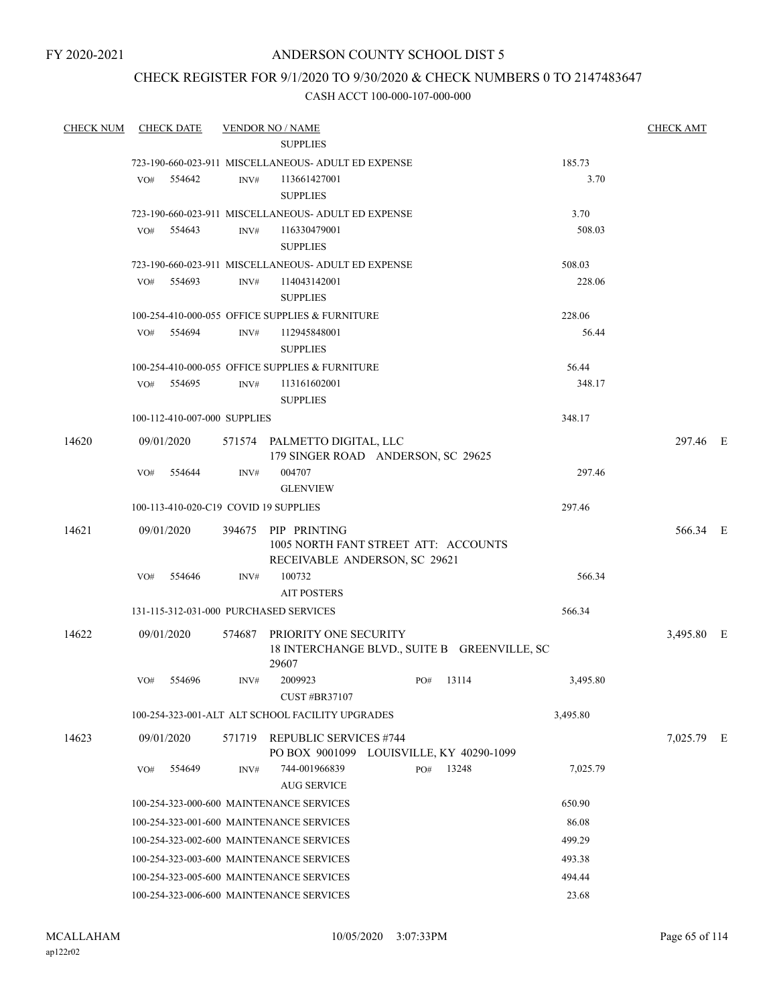FY 2020-2021

## ANDERSON COUNTY SCHOOL DIST 5

## CHECK REGISTER FOR 9/1/2020 TO 9/30/2020 & CHECK NUMBERS 0 TO 2147483647

| <b>CHECK NUM</b> |            | <b>CHECK DATE</b>            |        | <b>VENDOR NO / NAME</b>                                                                      |     |       |          | <b>CHECK AMT</b> |  |
|------------------|------------|------------------------------|--------|----------------------------------------------------------------------------------------------|-----|-------|----------|------------------|--|
|                  |            |                              |        | <b>SUPPLIES</b>                                                                              |     |       |          |                  |  |
|                  |            |                              |        | 723-190-660-023-911 MISCELLANEOUS- ADULT ED EXPENSE                                          |     |       | 185.73   |                  |  |
|                  | VO#        | 554642                       | INV#   | 113661427001<br><b>SUPPLIES</b>                                                              |     |       | 3.70     |                  |  |
|                  |            |                              |        | 723-190-660-023-911 MISCELLANEOUS- ADULT ED EXPENSE                                          |     |       | 3.70     |                  |  |
|                  | VO#        | 554643                       | INV#   | 116330479001<br><b>SUPPLIES</b>                                                              |     |       | 508.03   |                  |  |
|                  |            |                              |        | 723-190-660-023-911 MISCELLANEOUS- ADULT ED EXPENSE                                          |     |       | 508.03   |                  |  |
|                  | VO#        | 554693                       | INV#   | 114043142001<br><b>SUPPLIES</b>                                                              |     |       | 228.06   |                  |  |
|                  |            |                              |        | 100-254-410-000-055 OFFICE SUPPLIES & FURNITURE                                              |     |       | 228.06   |                  |  |
|                  | VO#        | 554694                       | INV#   | 112945848001<br><b>SUPPLIES</b>                                                              |     |       | 56.44    |                  |  |
|                  |            |                              |        | 100-254-410-000-055 OFFICE SUPPLIES & FURNITURE                                              |     |       | 56.44    |                  |  |
|                  |            | VO# 554695                   | INV#   | 113161602001<br><b>SUPPLIES</b>                                                              |     |       | 348.17   |                  |  |
|                  |            | 100-112-410-007-000 SUPPLIES |        |                                                                                              |     |       | 348.17   |                  |  |
| 14620            |            | 09/01/2020                   |        | 571574 PALMETTO DIGITAL, LLC<br>179 SINGER ROAD ANDERSON, SC 29625                           |     |       |          | 297.46 E         |  |
|                  | VO#        | 554644                       | INV#   | 004707<br><b>GLENVIEW</b>                                                                    |     |       | 297.46   |                  |  |
|                  |            |                              |        | 100-113-410-020-C19 COVID 19 SUPPLIES                                                        |     |       | 297.46   |                  |  |
| 14621            |            | 09/01/2020                   |        | 394675 PIP PRINTING<br>1005 NORTH FANT STREET ATT: ACCOUNTS<br>RECEIVABLE ANDERSON, SC 29621 |     |       |          | 566.34 E         |  |
|                  | VO#        | 554646                       | INV#   | 100732<br><b>AIT POSTERS</b>                                                                 |     |       | 566.34   |                  |  |
|                  |            |                              |        | 131-115-312-031-000 PURCHASED SERVICES                                                       |     |       | 566.34   |                  |  |
| 14622            |            | 09/01/2020                   |        | 574687 PRIORITY ONE SECURITY<br>18 INTERCHANGE BLVD., SUITE B GREENVILLE, SC                 |     |       |          | 3,495.80 E       |  |
|                  | VO#        | 554696                       | INV#   | 29607<br>2009923                                                                             | PO# | 13114 | 3,495.80 |                  |  |
|                  |            |                              |        | <b>CUST #BR37107</b>                                                                         |     |       |          |                  |  |
|                  |            |                              |        | 100-254-323-001-ALT ALT SCHOOL FACILITY UPGRADES                                             |     |       | 3,495.80 |                  |  |
| 14623            | 09/01/2020 |                              | 571719 | <b>REPUBLIC SERVICES #744</b><br>PO BOX 9001099 LOUISVILLE, KY 40290-1099                    |     |       |          | 7,025.79 E       |  |
|                  | VO#        | 554649                       | INV#   | 744-001966839<br><b>AUG SERVICE</b>                                                          | PO# | 13248 | 7,025.79 |                  |  |
|                  |            |                              |        | 100-254-323-000-600 MAINTENANCE SERVICES                                                     |     |       | 650.90   |                  |  |
|                  |            |                              |        | 100-254-323-001-600 MAINTENANCE SERVICES                                                     |     |       | 86.08    |                  |  |
|                  |            |                              |        | 100-254-323-002-600 MAINTENANCE SERVICES                                                     |     |       | 499.29   |                  |  |
|                  |            |                              |        | 100-254-323-003-600 MAINTENANCE SERVICES                                                     |     |       | 493.38   |                  |  |
|                  |            |                              |        | 100-254-323-005-600 MAINTENANCE SERVICES                                                     |     |       | 494.44   |                  |  |
|                  |            |                              |        | 100-254-323-006-600 MAINTENANCE SERVICES                                                     |     |       | 23.68    |                  |  |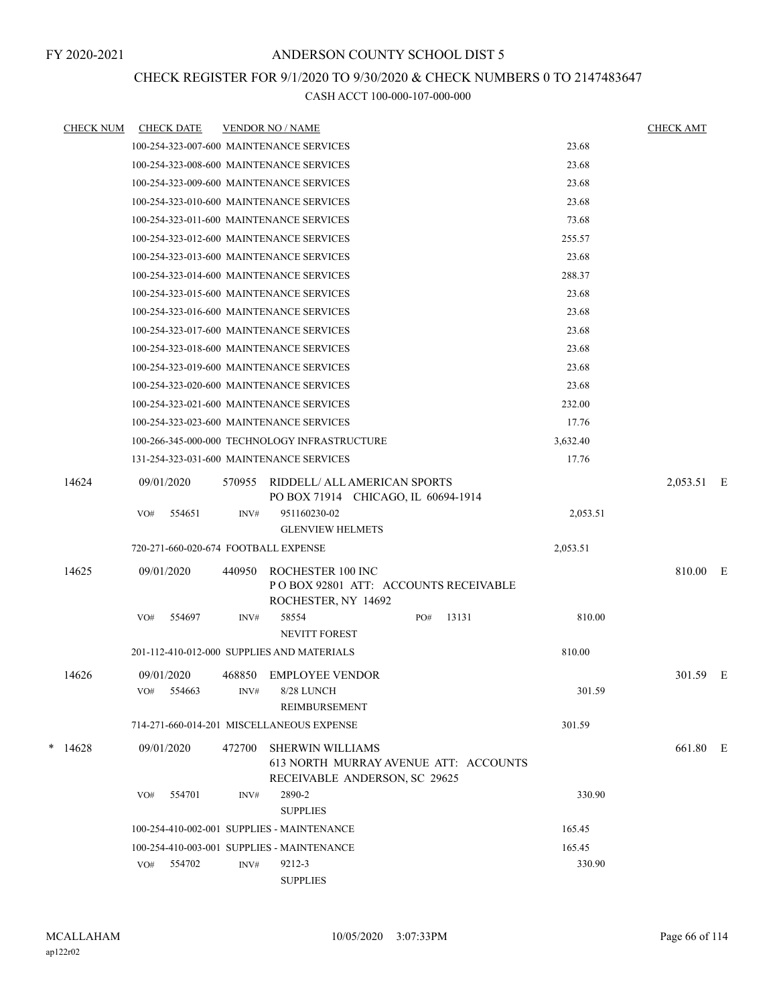## CHECK REGISTER FOR 9/1/2020 TO 9/30/2020 & CHECK NUMBERS 0 TO 2147483647

| <b>CHECK NUM</b> |            | <b>CHECK DATE</b> |        | <b>VENDOR NO / NAME</b>                                                           |              |          | <b>CHECK AMT</b> |  |
|------------------|------------|-------------------|--------|-----------------------------------------------------------------------------------|--------------|----------|------------------|--|
|                  |            |                   |        | 100-254-323-007-600 MAINTENANCE SERVICES                                          |              | 23.68    |                  |  |
|                  |            |                   |        | 100-254-323-008-600 MAINTENANCE SERVICES                                          |              | 23.68    |                  |  |
|                  |            |                   |        | 100-254-323-009-600 MAINTENANCE SERVICES                                          |              | 23.68    |                  |  |
|                  |            |                   |        | 100-254-323-010-600 MAINTENANCE SERVICES                                          |              | 23.68    |                  |  |
|                  |            |                   |        | 100-254-323-011-600 MAINTENANCE SERVICES                                          |              | 73.68    |                  |  |
|                  |            |                   |        | 100-254-323-012-600 MAINTENANCE SERVICES                                          |              | 255.57   |                  |  |
|                  |            |                   |        | 100-254-323-013-600 MAINTENANCE SERVICES                                          |              | 23.68    |                  |  |
|                  |            |                   |        | 100-254-323-014-600 MAINTENANCE SERVICES                                          |              | 288.37   |                  |  |
|                  |            |                   |        | 100-254-323-015-600 MAINTENANCE SERVICES                                          |              | 23.68    |                  |  |
|                  |            |                   |        | 100-254-323-016-600 MAINTENANCE SERVICES                                          |              | 23.68    |                  |  |
|                  |            |                   |        | 100-254-323-017-600 MAINTENANCE SERVICES                                          |              | 23.68    |                  |  |
|                  |            |                   |        | 100-254-323-018-600 MAINTENANCE SERVICES                                          |              | 23.68    |                  |  |
|                  |            |                   |        | 100-254-323-019-600 MAINTENANCE SERVICES                                          |              | 23.68    |                  |  |
|                  |            |                   |        | 100-254-323-020-600 MAINTENANCE SERVICES                                          |              | 23.68    |                  |  |
|                  |            |                   |        | 100-254-323-021-600 MAINTENANCE SERVICES                                          |              | 232.00   |                  |  |
|                  |            |                   |        | 100-254-323-023-600 MAINTENANCE SERVICES                                          |              | 17.76    |                  |  |
|                  |            |                   |        | 100-266-345-000-000 TECHNOLOGY INFRASTRUCTURE                                     |              | 3,632.40 |                  |  |
|                  |            |                   |        | 131-254-323-031-600 MAINTENANCE SERVICES                                          |              | 17.76    |                  |  |
| 14624            | 09/01/2020 |                   | 570955 | RIDDELL/ ALL AMERICAN SPORTS<br>PO BOX 71914 CHICAGO, IL 60694-1914               |              |          | 2,053.51 E       |  |
|                  | VO#        | 554651            | INV#   | 951160230-02<br><b>GLENVIEW HELMETS</b>                                           |              | 2,053.51 |                  |  |
|                  |            |                   |        | 720-271-660-020-674 FOOTBALL EXPENSE                                              |              | 2,053.51 |                  |  |
| 14625            | 09/01/2020 |                   | 440950 | ROCHESTER 100 INC<br>PO BOX 92801 ATT: ACCOUNTS RECEIVABLE<br>ROCHESTER, NY 14692 |              |          | 810.00 E         |  |
|                  | VO#        | 554697            | INV#   | 58554<br><b>NEVITT FOREST</b>                                                     | 13131<br>PO# | 810.00   |                  |  |
|                  |            |                   |        | 201-112-410-012-000 SUPPLIES AND MATERIALS                                        |              | 810.00   |                  |  |
| 14626            | 09/01/2020 |                   |        | 468850 EMPLOYEE VENDOR                                                            |              |          | 301.59 E         |  |
|                  |            | VO# 554663        |        | INV# 8/28 LUNCH<br>REIMBURSEMENT                                                  |              | 301.59   |                  |  |
|                  |            |                   |        | 714-271-660-014-201 MISCELLANEOUS EXPENSE                                         |              | 301.59   |                  |  |
| $*$ 14628        | 09/01/2020 |                   | 472700 | <b>SHERWIN WILLIAMS</b>                                                           |              |          | 661.80 E         |  |
|                  |            |                   |        | 613 NORTH MURRAY AVENUE ATT: ACCOUNTS<br>RECEIVABLE ANDERSON, SC 29625            |              |          |                  |  |
|                  | VO#        | 554701            | INV#   | 2890-2                                                                            |              | 330.90   |                  |  |
|                  |            |                   |        | <b>SUPPLIES</b>                                                                   |              |          |                  |  |
|                  |            |                   |        | 100-254-410-002-001 SUPPLIES - MAINTENANCE                                        |              | 165.45   |                  |  |
|                  |            |                   |        | 100-254-410-003-001 SUPPLIES - MAINTENANCE                                        |              | 165.45   |                  |  |
|                  |            | VO# 554702        | INV#   | 9212-3<br><b>SUPPLIES</b>                                                         |              | 330.90   |                  |  |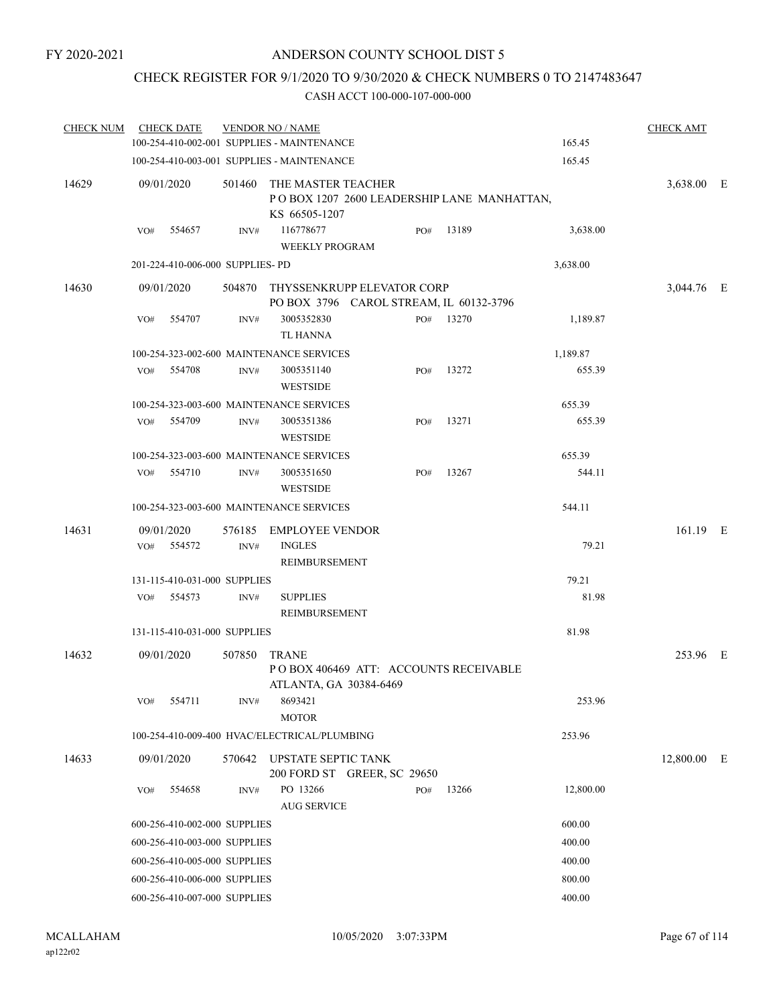## CHECK REGISTER FOR 9/1/2020 TO 9/30/2020 & CHECK NUMBERS 0 TO 2147483647

| <b>CHECK NUM</b> | <b>CHECK DATE</b>                |                | <b>VENDOR NO / NAME</b>                                                                  |     |           |           | <b>CHECK AMT</b> |  |
|------------------|----------------------------------|----------------|------------------------------------------------------------------------------------------|-----|-----------|-----------|------------------|--|
|                  |                                  |                | 100-254-410-002-001 SUPPLIES - MAINTENANCE                                               |     |           | 165.45    |                  |  |
|                  |                                  |                | 100-254-410-003-001 SUPPLIES - MAINTENANCE                                               |     |           | 165.45    |                  |  |
| 14629            | 09/01/2020                       |                | 501460 THE MASTER TEACHER<br>POBOX 1207 2600 LEADERSHIP LANE MANHATTAN,<br>KS 66505-1207 |     |           |           | 3,638.00 E       |  |
|                  | 554657<br>VO#                    | INV#           | 116778677<br><b>WEEKLY PROGRAM</b>                                                       | PO# | 13189     | 3,638.00  |                  |  |
|                  | 201-224-410-006-000 SUPPLIES- PD |                |                                                                                          |     |           | 3,638.00  |                  |  |
| 14630            | 09/01/2020                       | 504870         | THYSSENKRUPP ELEVATOR CORP<br>PO BOX 3796 CAROL STREAM, IL 60132-3796                    |     |           |           | 3,044.76 E       |  |
|                  | VO#<br>554707                    | INV#           | 3005352830<br>TL HANNA                                                                   |     | PO# 13270 | 1,189.87  |                  |  |
|                  |                                  |                | 100-254-323-002-600 MAINTENANCE SERVICES                                                 |     |           | 1,189.87  |                  |  |
|                  | $VO#$ 554708                     | INV#           | 3005351140<br><b>WESTSIDE</b>                                                            | PO# | 13272     | 655.39    |                  |  |
|                  |                                  |                | 100-254-323-003-600 MAINTENANCE SERVICES                                                 |     |           | 655.39    |                  |  |
|                  | VO#<br>554709                    | INV#           | 3005351386<br><b>WESTSIDE</b>                                                            | PO# | 13271     | 655.39    |                  |  |
|                  |                                  |                | 100-254-323-003-600 MAINTENANCE SERVICES                                                 |     |           | 655.39    |                  |  |
|                  | 554710<br>VO#                    | INV#           | 3005351650<br><b>WESTSIDE</b>                                                            | PO# | 13267     | 544.11    |                  |  |
|                  |                                  |                | 100-254-323-003-600 MAINTENANCE SERVICES                                                 |     |           | 544.11    |                  |  |
| 14631            | 09/01/2020<br>VO#<br>554572      | 576185<br>INV# | <b>EMPLOYEE VENDOR</b><br><b>INGLES</b>                                                  |     |           | 79.21     | 161.19 E         |  |
|                  |                                  |                | REIMBURSEMENT                                                                            |     |           |           |                  |  |
|                  | 131-115-410-031-000 SUPPLIES     |                |                                                                                          |     |           | 79.21     |                  |  |
|                  | 554573<br>VO#                    | INV#           | <b>SUPPLIES</b><br>REIMBURSEMENT                                                         |     |           | 81.98     |                  |  |
|                  | 131-115-410-031-000 SUPPLIES     |                |                                                                                          |     |           | 81.98     |                  |  |
| 14632            | 09/01/2020                       | 507850         | <b>TRANE</b><br>POBOX 406469 ATT: ACCOUNTS RECEIVABLE<br>ATLANTA, GA 30384-6469          |     |           |           | 253.96 E         |  |
|                  | 554711<br>VO#                    | INV#           | 8693421<br><b>MOTOR</b>                                                                  |     |           | 253.96    |                  |  |
|                  |                                  |                | 100-254-410-009-400 HVAC/ELECTRICAL/PLUMBING                                             |     |           | 253.96    |                  |  |
| 14633            | 09/01/2020                       | 570642         | <b>UPSTATE SEPTIC TANK</b><br>200 FORD ST GREER, SC 29650                                |     |           |           | 12,800.00 E      |  |
|                  | 554658<br>VO#                    | INV#           | PO 13266<br><b>AUG SERVICE</b>                                                           | PO# | 13266     | 12,800.00 |                  |  |
|                  | 600-256-410-002-000 SUPPLIES     |                |                                                                                          |     |           | 600.00    |                  |  |
|                  | 600-256-410-003-000 SUPPLIES     |                |                                                                                          |     |           | 400.00    |                  |  |
|                  | 600-256-410-005-000 SUPPLIES     |                |                                                                                          |     |           | 400.00    |                  |  |
|                  | 600-256-410-006-000 SUPPLIES     |                |                                                                                          |     |           | 800.00    |                  |  |
|                  | 600-256-410-007-000 SUPPLIES     |                |                                                                                          |     |           | 400.00    |                  |  |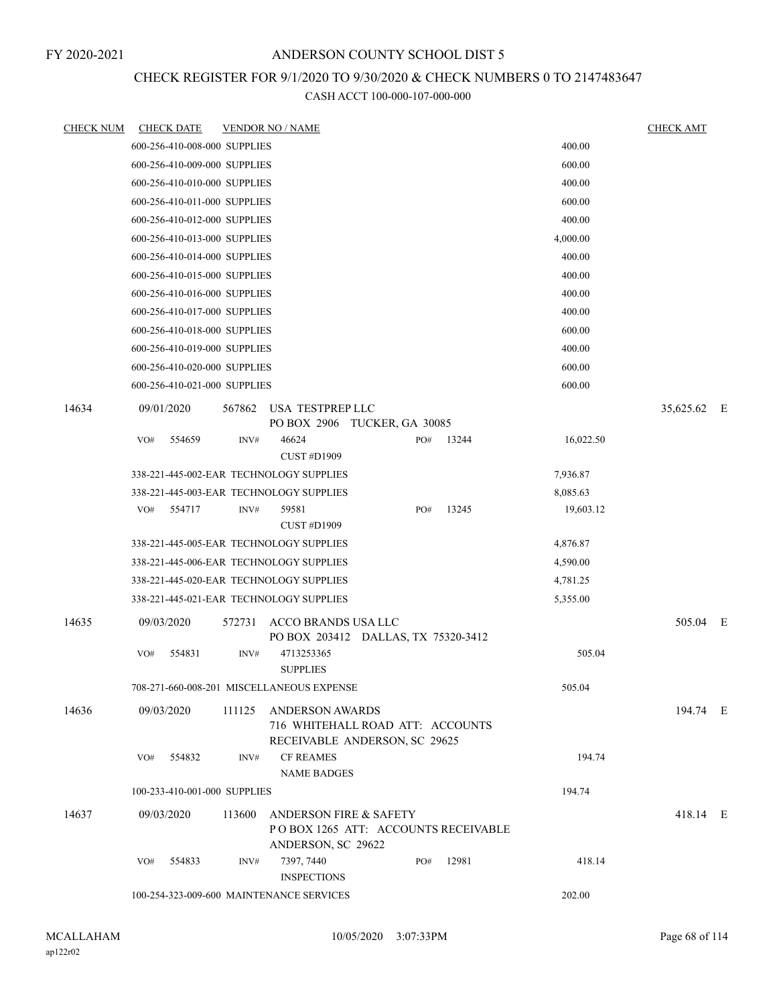## CHECK REGISTER FOR 9/1/2020 TO 9/30/2020 & CHECK NUMBERS 0 TO 2147483647

| <b>CHECK NUM</b> | <b>CHECK DATE</b>                        |        | <b>VENDOR NO / NAME</b>                                                              |     |       |           | <b>CHECK AMT</b> |  |
|------------------|------------------------------------------|--------|--------------------------------------------------------------------------------------|-----|-------|-----------|------------------|--|
|                  | 600-256-410-008-000 SUPPLIES             |        |                                                                                      |     |       | 400.00    |                  |  |
|                  | 600-256-410-009-000 SUPPLIES             |        |                                                                                      |     |       | 600.00    |                  |  |
|                  | 600-256-410-010-000 SUPPLIES             |        |                                                                                      |     |       | 400.00    |                  |  |
|                  | 600-256-410-011-000 SUPPLIES             |        |                                                                                      |     |       | 600.00    |                  |  |
|                  | 600-256-410-012-000 SUPPLIES             |        |                                                                                      |     |       | 400.00    |                  |  |
|                  | 600-256-410-013-000 SUPPLIES             |        |                                                                                      |     |       | 4,000.00  |                  |  |
|                  | 600-256-410-014-000 SUPPLIES             |        |                                                                                      |     |       | 400.00    |                  |  |
|                  | 600-256-410-015-000 SUPPLIES             |        |                                                                                      |     |       | 400.00    |                  |  |
|                  | 600-256-410-016-000 SUPPLIES             |        |                                                                                      |     |       | 400.00    |                  |  |
|                  | 600-256-410-017-000 SUPPLIES             |        |                                                                                      |     |       | 400.00    |                  |  |
|                  | 600-256-410-018-000 SUPPLIES             |        |                                                                                      |     |       | 600.00    |                  |  |
|                  | 600-256-410-019-000 SUPPLIES             |        |                                                                                      |     |       | 400.00    |                  |  |
|                  | 600-256-410-020-000 SUPPLIES             |        |                                                                                      |     |       | 600.00    |                  |  |
|                  | 600-256-410-021-000 SUPPLIES             |        |                                                                                      |     |       | 600.00    |                  |  |
| 14634            | 09/01/2020                               | 567862 | USA TESTPREP LLC<br>PO BOX 2906 TUCKER, GA 30085                                     |     |       |           | 35,625.62 E      |  |
|                  | 554659<br>VO#                            | INV#   | 46624                                                                                | PO# | 13244 | 16,022.50 |                  |  |
|                  |                                          |        | <b>CUST #D1909</b>                                                                   |     |       |           |                  |  |
|                  | 338-221-445-002-EAR TECHNOLOGY SUPPLIES  |        |                                                                                      |     |       | 7,936.87  |                  |  |
|                  | 338-221-445-003-EAR TECHNOLOGY SUPPLIES  |        |                                                                                      |     |       | 8,085.63  |                  |  |
|                  | VO#<br>554717                            | INV#   | 59581<br><b>CUST #D1909</b>                                                          | PO# | 13245 | 19,603.12 |                  |  |
|                  | 338-221-445-005-EAR TECHNOLOGY SUPPLIES  |        |                                                                                      |     |       | 4,876.87  |                  |  |
|                  | 338-221-445-006-EAR TECHNOLOGY SUPPLIES  |        |                                                                                      |     |       | 4,590.00  |                  |  |
|                  | 338-221-445-020-EAR TECHNOLOGY SUPPLIES  |        |                                                                                      |     |       | 4,781.25  |                  |  |
|                  | 338-221-445-021-EAR TECHNOLOGY SUPPLIES  |        |                                                                                      |     |       | 5,355.00  |                  |  |
| 14635            | 09/03/2020                               | 572731 | ACCO BRANDS USA LLC<br>PO BOX 203412 DALLAS, TX 75320-3412                           |     |       |           | 505.04 E         |  |
|                  | 554831<br>VO#                            | INV#   | 4713253365<br><b>SUPPLIES</b>                                                        |     |       | 505.04    |                  |  |
|                  |                                          |        | 708-271-660-008-201 MISCELLANEOUS EXPENSE                                            |     |       | 505.04    |                  |  |
| 14636            | 09/03/2020                               | 111125 | ANDERSON AWARDS<br>716 WHITEHALL ROAD ATT: ACCOUNTS<br>RECEIVABLE ANDERSON, SC 29625 |     |       |           | 194.74 E         |  |
|                  | 554832<br>VO#                            | INV#   | <b>CF REAMES</b>                                                                     |     |       | 194.74    |                  |  |
|                  |                                          |        | <b>NAME BADGES</b>                                                                   |     |       |           |                  |  |
|                  | 100-233-410-001-000 SUPPLIES             |        |                                                                                      |     |       | 194.74    |                  |  |
| 14637            | 09/03/2020                               | 113600 | ANDERSON FIRE & SAFETY<br>POBOX 1265 ATT: ACCOUNTS RECEIVABLE<br>ANDERSON, SC 29622  |     |       |           | 418.14 E         |  |
|                  | 554833<br>VO#                            | INV#   | 7397, 7440<br><b>INSPECTIONS</b>                                                     | PO# | 12981 | 418.14    |                  |  |
|                  | 100-254-323-009-600 MAINTENANCE SERVICES |        |                                                                                      |     |       | 202.00    |                  |  |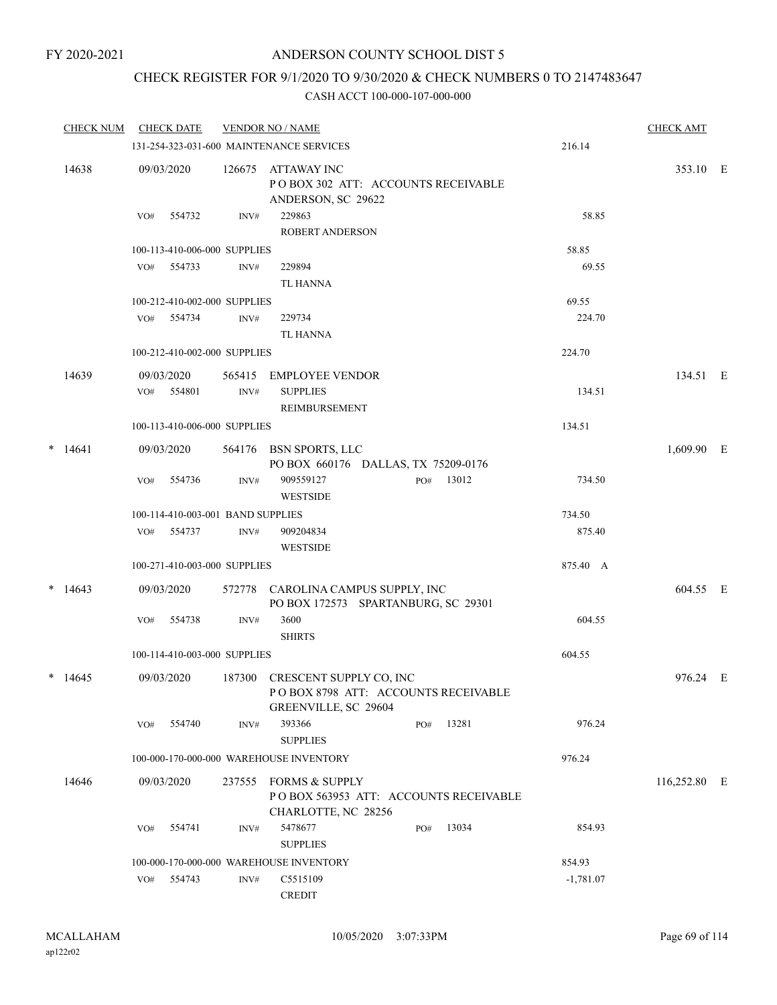## CHECK REGISTER FOR 9/1/2020 TO 9/30/2020 & CHECK NUMBERS 0 TO 2147483647

|        | <b>CHECK NUM</b> |     | <b>CHECK DATE</b>                 |        | <b>VENDOR NO / NAME</b>                                                                       |     |       |             | <b>CHECK AMT</b> |  |
|--------|------------------|-----|-----------------------------------|--------|-----------------------------------------------------------------------------------------------|-----|-------|-------------|------------------|--|
|        |                  |     |                                   |        | 131-254-323-031-600 MAINTENANCE SERVICES                                                      |     |       | 216.14      |                  |  |
|        | 14638            |     | 09/03/2020                        | 126675 | ATTAWAY INC<br>POBOX 302 ATT: ACCOUNTS RECEIVABLE<br>ANDERSON, SC 29622                       |     |       |             | 353.10 E         |  |
|        |                  | VO# | 554732                            | INV#   | 229863<br><b>ROBERT ANDERSON</b>                                                              |     |       | 58.85       |                  |  |
|        |                  |     | 100-113-410-006-000 SUPPLIES      |        |                                                                                               |     |       | 58.85       |                  |  |
|        |                  |     | VO# 554733                        | INV#   | 229894<br><b>TL HANNA</b>                                                                     |     |       | 69.55       |                  |  |
|        |                  |     | 100-212-410-002-000 SUPPLIES      |        |                                                                                               |     |       | 69.55       |                  |  |
|        |                  | VO# | 554734                            | INV#   | 229734<br>TL HANNA                                                                            |     |       | 224.70      |                  |  |
|        |                  |     | 100-212-410-002-000 SUPPLIES      |        |                                                                                               |     |       | 224.70      |                  |  |
|        | 14639            |     | 09/03/2020                        |        | 565415 EMPLOYEE VENDOR                                                                        |     |       |             | 134.51 E         |  |
|        |                  |     | VO# 554801                        | INV#   | <b>SUPPLIES</b><br><b>REIMBURSEMENT</b>                                                       |     |       | 134.51      |                  |  |
|        |                  |     | 100-113-410-006-000 SUPPLIES      |        |                                                                                               |     |       | 134.51      |                  |  |
| $\ast$ | 14641            |     | 09/03/2020                        |        | 564176 BSN SPORTS, LLC<br>PO BOX 660176 DALLAS, TX 75209-0176                                 |     |       |             | 1,609.90 E       |  |
|        |                  | VO# | 554736                            | INV#   | 909559127<br><b>WESTSIDE</b>                                                                  | PO# | 13012 | 734.50      |                  |  |
|        |                  |     | 100-114-410-003-001 BAND SUPPLIES |        |                                                                                               |     |       | 734.50      |                  |  |
|        |                  | VO# | 554737                            | INV#   | 909204834<br><b>WESTSIDE</b>                                                                  |     |       | 875.40      |                  |  |
|        |                  |     | 100-271-410-003-000 SUPPLIES      |        |                                                                                               |     |       | 875.40 A    |                  |  |
|        | $*$ 14643        |     | 09/03/2020                        |        | 572778 CAROLINA CAMPUS SUPPLY, INC<br>PO BOX 172573 SPARTANBURG, SC 29301                     |     |       |             | 604.55 E         |  |
|        |                  | VO# | 554738                            | INV#   | 3600<br><b>SHIRTS</b>                                                                         |     |       | 604.55      |                  |  |
|        |                  |     | 100-114-410-003-000 SUPPLIES      |        |                                                                                               |     |       | 604.55      |                  |  |
|        | $*$ 14645        |     | 09/03/2020                        |        | 187300 CRESCENT SUPPLY CO, INC<br>POBOX 8798 ATT: ACCOUNTS RECEIVABLE<br>GREENVILLE, SC 29604 |     |       |             | 976.24 E         |  |
|        |                  | VO# | 554740                            | INV#   | 393366<br><b>SUPPLIES</b>                                                                     | PO# | 13281 | 976.24      |                  |  |
|        |                  |     |                                   |        | 100-000-170-000-000 WAREHOUSE INVENTORY                                                       |     |       | 976.24      |                  |  |
|        | 14646            |     | 09/03/2020                        | 237555 | <b>FORMS &amp; SUPPLY</b><br>POBOX 563953 ATT: ACCOUNTS RECEIVABLE<br>CHARLOTTE, NC 28256     |     |       |             | 116,252.80 E     |  |
|        |                  | VO# | 554741                            | INV#   | 5478677<br><b>SUPPLIES</b>                                                                    | PO# | 13034 | 854.93      |                  |  |
|        |                  |     |                                   |        | 100-000-170-000-000 WAREHOUSE INVENTORY                                                       |     |       | 854.93      |                  |  |
|        |                  | VO# | 554743                            | INV#   | C5515109<br><b>CREDIT</b>                                                                     |     |       | $-1,781.07$ |                  |  |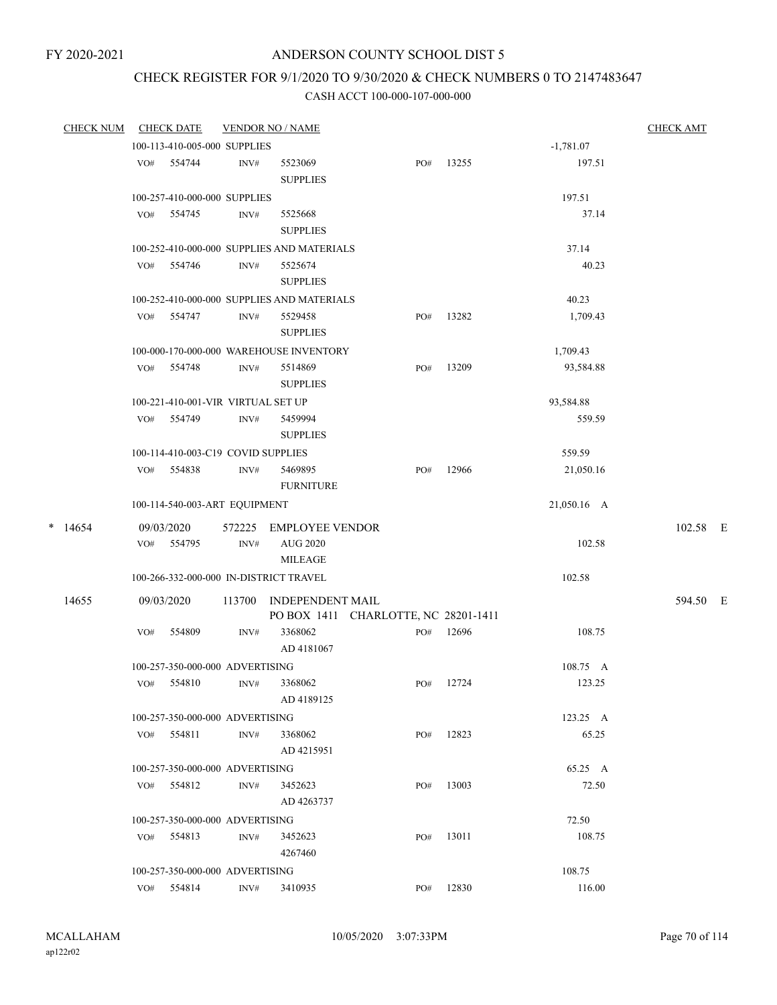# CHECK REGISTER FOR 9/1/2020 TO 9/30/2020 & CHECK NUMBERS 0 TO 2147483647

|   | <b>CHECK NUM</b> |     | <b>CHECK DATE</b>                  |                | <b>VENDOR NO / NAME</b>                                         |     |       |             | <b>CHECK AMT</b> |  |
|---|------------------|-----|------------------------------------|----------------|-----------------------------------------------------------------|-----|-------|-------------|------------------|--|
|   |                  |     | 100-113-410-005-000 SUPPLIES       |                |                                                                 |     |       | $-1,781.07$ |                  |  |
|   |                  |     | VO# 554744                         | INV#           | 5523069<br><b>SUPPLIES</b>                                      | PO# | 13255 | 197.51      |                  |  |
|   |                  |     | 100-257-410-000-000 SUPPLIES       |                |                                                                 |     |       | 197.51      |                  |  |
|   |                  |     | VO# 554745                         | INV#           | 5525668<br><b>SUPPLIES</b>                                      |     |       | 37.14       |                  |  |
|   |                  |     |                                    |                | 100-252-410-000-000 SUPPLIES AND MATERIALS                      |     |       | 37.14       |                  |  |
|   |                  | VO# | 554746                             | INV#           | 5525674<br><b>SUPPLIES</b>                                      |     |       | 40.23       |                  |  |
|   |                  |     |                                    |                | 100-252-410-000-000 SUPPLIES AND MATERIALS                      |     |       | 40.23       |                  |  |
|   |                  | VO# | 554747                             | INV#           | 5529458<br><b>SUPPLIES</b>                                      | PO# | 13282 | 1,709.43    |                  |  |
|   |                  |     |                                    |                | 100-000-170-000-000 WAREHOUSE INVENTORY                         |     |       | 1,709.43    |                  |  |
|   |                  | VO# | 554748                             | INV#           | 5514869<br><b>SUPPLIES</b>                                      | PO# | 13209 | 93,584.88   |                  |  |
|   |                  |     | 100-221-410-001-VIR VIRTUAL SET UP |                |                                                                 |     |       | 93,584.88   |                  |  |
|   |                  |     | VO# 554749                         | INV#           | 5459994<br><b>SUPPLIES</b>                                      |     |       | 559.59      |                  |  |
|   |                  |     | 100-114-410-003-C19 COVID SUPPLIES |                |                                                                 |     |       | 559.59      |                  |  |
|   |                  |     | VO# 554838                         | INV#           | 5469895<br><b>FURNITURE</b>                                     | PO# | 12966 | 21,050.16   |                  |  |
|   |                  |     | 100-114-540-003-ART EQUIPMENT      |                |                                                                 |     |       | 21,050.16 A |                  |  |
| * | 14654            |     | 09/03/2020<br>VO# 554795           | $\text{INV}\#$ | 572225 EMPLOYEE VENDOR<br><b>AUG 2020</b>                       |     |       | 102.58      | 102.58 E         |  |
|   |                  |     |                                    |                | MILEAGE                                                         |     |       |             |                  |  |
|   |                  |     |                                    |                | 100-266-332-000-000 IN-DISTRICT TRAVEL                          |     |       | 102.58      |                  |  |
|   | 14655            |     | 09/03/2020                         | 113700         | <b>INDEPENDENT MAIL</b><br>PO BOX 1411 CHARLOTTE, NC 28201-1411 |     |       |             | 594.50 E         |  |
|   |                  | VO# | 554809                             | INV#           | 3368062<br>AD 4181067                                           | PO# | 12696 | 108.75      |                  |  |
|   |                  |     | 100-257-350-000-000 ADVERTISING    |                |                                                                 |     |       | 108.75 A    |                  |  |
|   |                  |     | VO# 554810                         | INV#           | 3368062<br>AD 4189125                                           | PO# | 12724 | 123.25      |                  |  |
|   |                  |     | 100-257-350-000-000 ADVERTISING    |                |                                                                 |     |       | 123.25 A    |                  |  |
|   |                  |     | $VO#$ 554811                       | INV#           | 3368062<br>AD 4215951                                           | PO# | 12823 | 65.25       |                  |  |
|   |                  |     | 100-257-350-000-000 ADVERTISING    |                |                                                                 |     |       | 65.25 A     |                  |  |
|   |                  |     | VO# 554812                         | INV#           | 3452623<br>AD 4263737                                           | PO# | 13003 | 72.50       |                  |  |
|   |                  |     | 100-257-350-000-000 ADVERTISING    |                |                                                                 |     |       | 72.50       |                  |  |
|   |                  |     | VO# 554813                         | INV#           | 3452623<br>4267460                                              | PO# | 13011 | 108.75      |                  |  |
|   |                  |     | 100-257-350-000-000 ADVERTISING    |                |                                                                 |     |       | 108.75      |                  |  |
|   |                  |     | VO# 554814                         | INV#           | 3410935                                                         | PO# | 12830 | 116.00      |                  |  |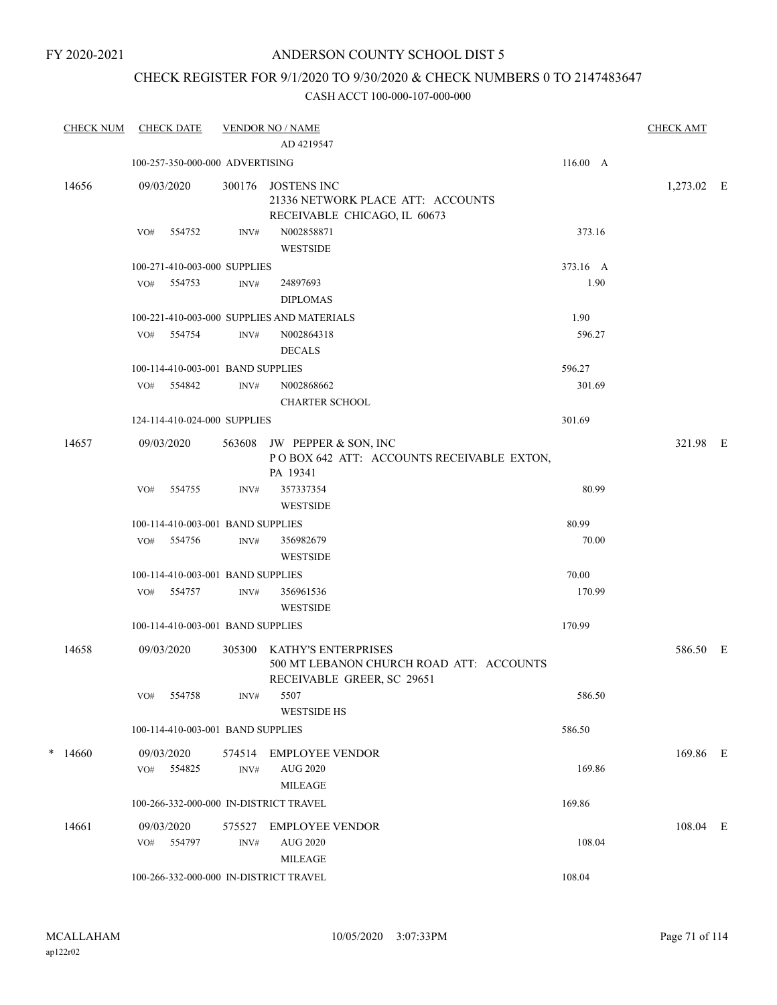## CHECK REGISTER FOR 9/1/2020 TO 9/30/2020 & CHECK NUMBERS 0 TO 2147483647

| <b>CHECK NUM</b> |            | <b>CHECK DATE</b>        |                                   | <b>VENDOR NO / NAME</b><br>AD 4219547                                                         |          | <b>CHECK AMT</b> |  |
|------------------|------------|--------------------------|-----------------------------------|-----------------------------------------------------------------------------------------------|----------|------------------|--|
|                  |            |                          | 100-257-350-000-000 ADVERTISING   |                                                                                               | 116.00 A |                  |  |
| 14656            | 09/03/2020 |                          | 300176                            | JOSTENS INC<br>21336 NETWORK PLACE ATT: ACCOUNTS<br>RECEIVABLE CHICAGO, IL 60673              |          | 1,273.02 E       |  |
|                  | VO#        | 554752                   | INV#                              | N002858871<br><b>WESTSIDE</b>                                                                 | 373.16   |                  |  |
|                  |            |                          | 100-271-410-003-000 SUPPLIES      |                                                                                               | 373.16 A |                  |  |
|                  | VO#        | 554753                   | INV#                              | 24897693<br><b>DIPLOMAS</b>                                                                   | 1.90     |                  |  |
|                  |            |                          |                                   | 100-221-410-003-000 SUPPLIES AND MATERIALS                                                    | 1.90     |                  |  |
|                  |            | VO# 554754               | INV#                              | N002864318<br><b>DECALS</b>                                                                   | 596.27   |                  |  |
|                  |            |                          | 100-114-410-003-001 BAND SUPPLIES |                                                                                               | 596.27   |                  |  |
|                  | VO#        | 554842                   | INV#                              | N002868662<br><b>CHARTER SCHOOL</b>                                                           | 301.69   |                  |  |
|                  |            |                          | 124-114-410-024-000 SUPPLIES      |                                                                                               | 301.69   |                  |  |
| 14657            | 09/03/2020 |                          | 563608                            | JW PEPPER & SON, INC<br>POBOX 642 ATT: ACCOUNTS RECEIVABLE EXTON,<br>PA 19341                 |          | 321.98 E         |  |
|                  | VO#        | 554755                   | INV#                              | 357337354<br><b>WESTSIDE</b>                                                                  | 80.99    |                  |  |
|                  |            |                          | 100-114-410-003-001 BAND SUPPLIES |                                                                                               | 80.99    |                  |  |
|                  |            | VO# 554756               | INV#                              | 356982679<br><b>WESTSIDE</b>                                                                  | 70.00    |                  |  |
|                  |            |                          | 100-114-410-003-001 BAND SUPPLIES |                                                                                               | 70.00    |                  |  |
|                  |            | VO# 554757               | INV#                              | 356961536<br><b>WESTSIDE</b>                                                                  | 170.99   |                  |  |
|                  |            |                          | 100-114-410-003-001 BAND SUPPLIES |                                                                                               | 170.99   |                  |  |
| 14658            | 09/03/2020 |                          | 305300                            | KATHY'S ENTERPRISES<br>500 MT LEBANON CHURCH ROAD ATT: ACCOUNTS<br>RECEIVABLE GREER, SC 29651 |          | 586.50 E         |  |
|                  | VO#        | 554758                   | INV#                              | 5507<br><b>WESTSIDE HS</b>                                                                    | 586.50   |                  |  |
|                  |            |                          | 100-114-410-003-001 BAND SUPPLIES |                                                                                               | 586.50   |                  |  |
| $*$ 14660        |            | 09/03/2020<br>VO# 554825 | INV#                              | 574514 EMPLOYEE VENDOR<br><b>AUG 2020</b>                                                     | 169.86   | 169.86 E         |  |
|                  |            |                          |                                   | <b>MILEAGE</b>                                                                                |          |                  |  |
|                  |            |                          |                                   | 100-266-332-000-000 IN-DISTRICT TRAVEL                                                        | 169.86   |                  |  |
| 14661            | 09/03/2020 | VO# 554797               | INV#                              | 575527 EMPLOYEE VENDOR<br><b>AUG 2020</b><br>MILEAGE                                          | 108.04   | 108.04 E         |  |
|                  |            |                          |                                   | 100-266-332-000-000 IN-DISTRICT TRAVEL                                                        | 108.04   |                  |  |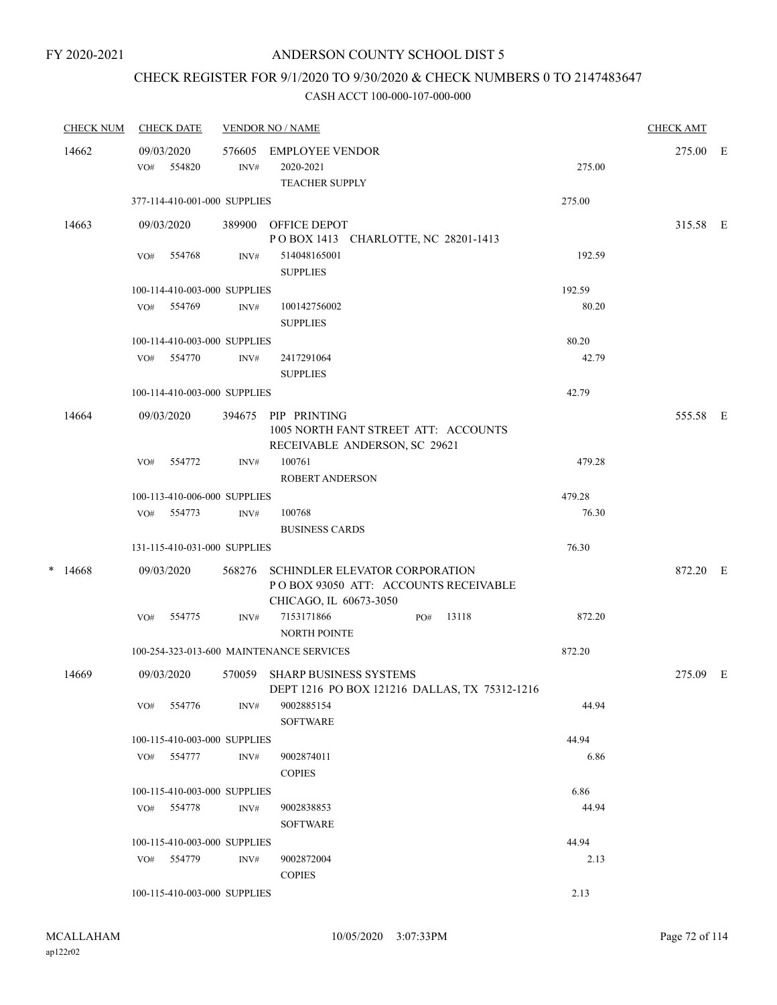## CHECK REGISTER FOR 9/1/2020 TO 9/30/2020 & CHECK NUMBERS 0 TO 2147483647

|   | <b>CHECK NUM</b> |     | <b>CHECK DATE</b>            |                | <b>VENDOR NO / NAME</b>                                                                                 | <b>CHECK AMT</b> |
|---|------------------|-----|------------------------------|----------------|---------------------------------------------------------------------------------------------------------|------------------|
|   | 14662            | VO# | 09/03/2020<br>554820         | 576605<br>INV# | EMPLOYEE VENDOR<br>2020-2021<br>275.00<br><b>TEACHER SUPPLY</b>                                         | 275.00 E         |
|   |                  |     | 377-114-410-001-000 SUPPLIES |                | 275.00                                                                                                  |                  |
|   | 14663            |     | 09/03/2020                   |                | 389900 OFFICE DEPOT<br>POBOX 1413 CHARLOTTE, NC 28201-1413                                              | 315.58 E         |
|   |                  | VO# | 554768                       | INV#           | 192.59<br>514048165001<br><b>SUPPLIES</b>                                                               |                  |
|   |                  |     | 100-114-410-003-000 SUPPLIES |                | 192.59                                                                                                  |                  |
|   |                  |     | VO# 554769                   | INV#           | 100142756002<br>80.20<br><b>SUPPLIES</b>                                                                |                  |
|   |                  |     | 100-114-410-003-000 SUPPLIES |                | 80.20                                                                                                   |                  |
|   |                  | VO# | 554770                       | INV#           | 42.79<br>2417291064<br><b>SUPPLIES</b>                                                                  |                  |
|   |                  |     | 100-114-410-003-000 SUPPLIES |                | 42.79                                                                                                   |                  |
|   | 14664            |     | 09/03/2020                   | 394675         | PIP PRINTING<br>1005 NORTH FANT STREET ATT: ACCOUNTS<br>RECEIVABLE ANDERSON, SC 29621                   | 555.58 E         |
|   |                  | VO# | 554772                       | INV#           | 100761<br>479.28<br><b>ROBERT ANDERSON</b>                                                              |                  |
|   |                  |     | 100-113-410-006-000 SUPPLIES |                | 479.28                                                                                                  |                  |
|   |                  | VO# | 554773                       | INV#           | 100768<br>76.30<br><b>BUSINESS CARDS</b>                                                                |                  |
|   |                  |     | 131-115-410-031-000 SUPPLIES |                | 76.30                                                                                                   |                  |
| * | 14668            |     | 09/03/2020                   | 568276         | <b>SCHINDLER ELEVATOR CORPORATION</b><br>POBOX 93050 ATT: ACCOUNTS RECEIVABLE<br>CHICAGO, IL 60673-3050 | 872.20 E         |
|   |                  | VO# | 554775                       | INV#           | 7153171866<br>13118<br>872.20<br>PO#<br><b>NORTH POINTE</b>                                             |                  |
|   |                  |     |                              |                | 100-254-323-013-600 MAINTENANCE SERVICES<br>872.20                                                      |                  |
|   | 14669            |     | 09/03/2020                   | 570059         | <b>SHARP BUSINESS SYSTEMS</b><br>DEPT 1216 PO BOX 121216 DALLAS, TX 75312-1216                          | 275.09 E         |
|   |                  | VO# | 554776                       | INV#           | 44.94<br>9002885154<br><b>SOFTWARE</b>                                                                  |                  |
|   |                  |     | 100-115-410-003-000 SUPPLIES |                | 44.94                                                                                                   |                  |
|   |                  |     | VO# 554777                   | INV#           | 9002874011<br>6.86<br><b>COPIES</b>                                                                     |                  |
|   |                  |     | 100-115-410-003-000 SUPPLIES |                | 6.86                                                                                                    |                  |
|   |                  |     | VO# 554778                   | INV#           | 44.94<br>9002838853<br><b>SOFTWARE</b>                                                                  |                  |
|   |                  |     | 100-115-410-003-000 SUPPLIES |                | 44.94                                                                                                   |                  |
|   |                  |     | VO# 554779                   | INV#           | 2.13<br>9002872004<br><b>COPIES</b>                                                                     |                  |
|   |                  |     | 100-115-410-003-000 SUPPLIES |                | 2.13                                                                                                    |                  |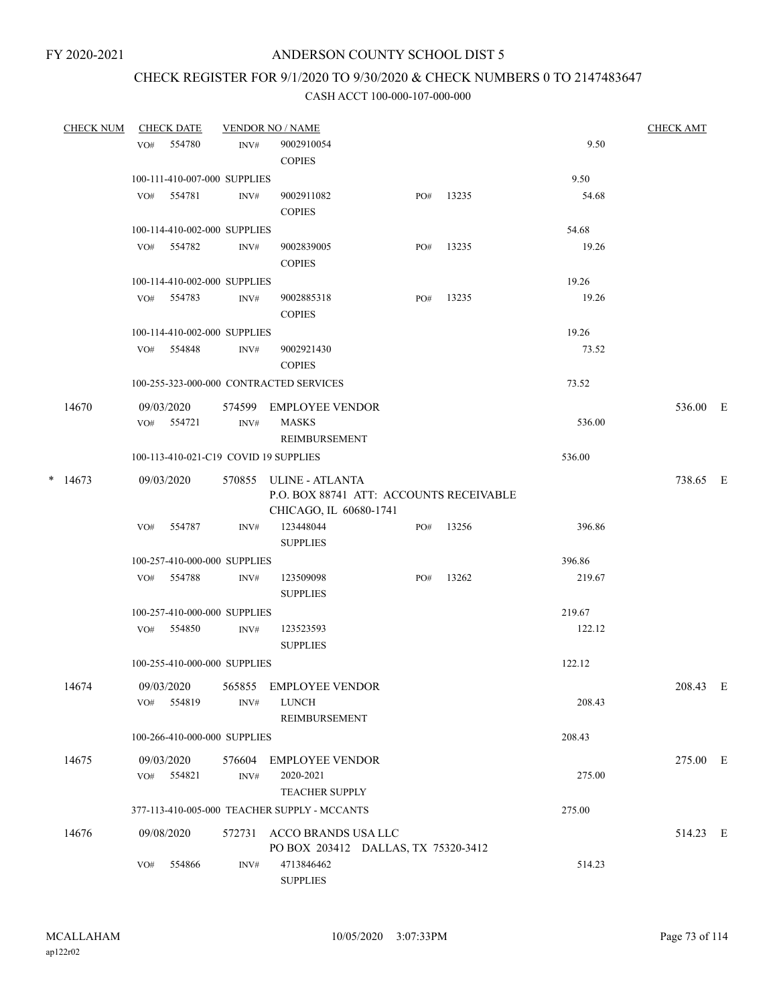# CHECK REGISTER FOR 9/1/2020 TO 9/30/2020 & CHECK NUMBERS 0 TO 2147483647

| <b>CHECK NUM</b> |     | <b>CHECK DATE</b>        |                              | <b>VENDOR NO / NAME</b>                                                                     |     |       |        | <b>CHECK AMT</b> |   |
|------------------|-----|--------------------------|------------------------------|---------------------------------------------------------------------------------------------|-----|-------|--------|------------------|---|
|                  | VO# | 554780                   | INV#                         | 9002910054<br><b>COPIES</b>                                                                 |     |       | 9.50   |                  |   |
|                  |     |                          | 100-111-410-007-000 SUPPLIES |                                                                                             |     |       | 9.50   |                  |   |
|                  |     | VO# 554781               | INV#                         | 9002911082<br><b>COPIES</b>                                                                 | PO# | 13235 | 54.68  |                  |   |
|                  |     |                          | 100-114-410-002-000 SUPPLIES |                                                                                             |     |       | 54.68  |                  |   |
|                  |     | VO# 554782               | INV#                         | 9002839005<br><b>COPIES</b>                                                                 | PO# | 13235 | 19.26  |                  |   |
|                  |     |                          | 100-114-410-002-000 SUPPLIES |                                                                                             |     |       | 19.26  |                  |   |
|                  |     | VO# 554783               | INV#                         | 9002885318<br><b>COPIES</b>                                                                 | PO# | 13235 | 19.26  |                  |   |
|                  |     |                          | 100-114-410-002-000 SUPPLIES |                                                                                             |     |       | 19.26  |                  |   |
|                  |     | VO# 554848               | INV#                         | 9002921430<br><b>COPIES</b>                                                                 |     |       | 73.52  |                  |   |
|                  |     |                          |                              | 100-255-323-000-000 CONTRACTED SERVICES                                                     |     |       | 73.52  |                  |   |
| 14670            |     | 09/03/2020<br>VO# 554721 | INV#                         | 574599 EMPLOYEE VENDOR<br><b>MASKS</b>                                                      |     |       | 536.00 | 536.00 E         |   |
|                  |     |                          |                              | REIMBURSEMENT                                                                               |     |       |        |                  |   |
|                  |     |                          |                              | 100-113-410-021-C19 COVID 19 SUPPLIES                                                       |     |       | 536.00 |                  |   |
| $*$ 14673        |     | 09/03/2020               |                              | 570855 ULINE - ATLANTA<br>P.O. BOX 88741 ATT: ACCOUNTS RECEIVABLE<br>CHICAGO, IL 60680-1741 |     |       |        | 738.65 E         |   |
|                  | VO# | 554787                   | INV#                         | 123448044<br><b>SUPPLIES</b>                                                                | PO# | 13256 | 396.86 |                  |   |
|                  |     |                          | 100-257-410-000-000 SUPPLIES |                                                                                             |     |       | 396.86 |                  |   |
|                  |     | VO# 554788               | INV#                         | 123509098<br><b>SUPPLIES</b>                                                                | PO# | 13262 | 219.67 |                  |   |
|                  |     |                          | 100-257-410-000-000 SUPPLIES |                                                                                             |     |       | 219.67 |                  |   |
|                  |     | VO# 554850               | INV#                         | 123523593<br><b>SUPPLIES</b>                                                                |     |       | 122.12 |                  |   |
|                  |     |                          | 100-255-410-000-000 SUPPLIES |                                                                                             |     |       | 122.12 |                  |   |
| 14674            | VO# | 09/03/2020<br>554819     | INV#                         | 565855 EMPLOYEE VENDOR<br><b>LUNCH</b><br>REIMBURSEMENT                                     |     |       | 208.43 | 208.43           | E |
|                  |     |                          | 100-266-410-000-000 SUPPLIES |                                                                                             |     |       | 208.43 |                  |   |
| 14675            |     | 09/03/2020               | 576604                       | <b>EMPLOYEE VENDOR</b>                                                                      |     |       |        | 275.00 E         |   |
|                  | VO# | 554821                   | INV#                         | 2020-2021<br><b>TEACHER SUPPLY</b>                                                          |     |       | 275.00 |                  |   |
|                  |     |                          |                              | 377-113-410-005-000 TEACHER SUPPLY - MCCANTS                                                |     |       | 275.00 |                  |   |
| 14676            |     | 09/08/2020               | 572731                       | ACCO BRANDS USA LLC<br>PO BOX 203412 DALLAS, TX 75320-3412                                  |     |       |        | 514.23 E         |   |
|                  | VO# | 554866                   | INV#                         | 4713846462<br><b>SUPPLIES</b>                                                               |     |       | 514.23 |                  |   |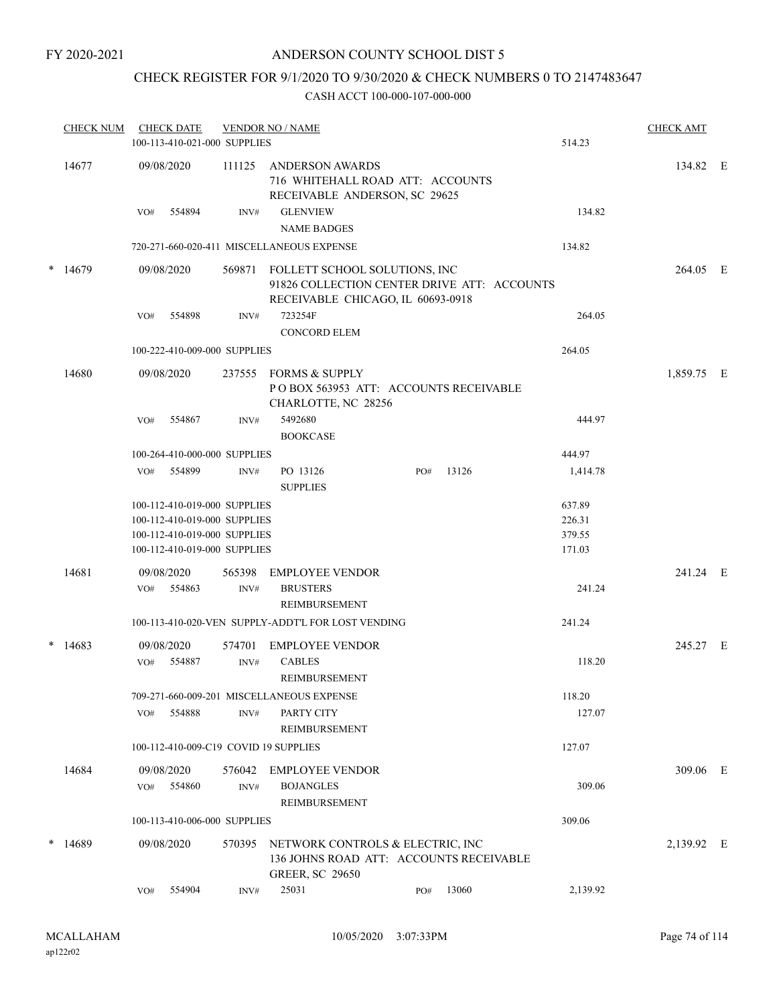# CHECK REGISTER FOR 9/1/2020 TO 9/30/2020 & CHECK NUMBERS 0 TO 2147483647

| <b>CHECK NUM</b> |     | <b>CHECK DATE</b><br>100-113-410-021-000 SUPPLIES                                                                            |                | <b>VENDOR NO / NAME</b>                                                                                           |     |       | 514.23                               | <b>CHECK AMT</b> |  |
|------------------|-----|------------------------------------------------------------------------------------------------------------------------------|----------------|-------------------------------------------------------------------------------------------------------------------|-----|-------|--------------------------------------|------------------|--|
| 14677            |     | 09/08/2020                                                                                                                   | 111125         | ANDERSON AWARDS<br>716 WHITEHALL ROAD ATT: ACCOUNTS<br>RECEIVABLE ANDERSON, SC 29625                              |     |       |                                      | 134.82 E         |  |
|                  | VO# | 554894                                                                                                                       | INV#           | <b>GLENVIEW</b><br><b>NAME BADGES</b>                                                                             |     |       | 134.82                               |                  |  |
|                  |     |                                                                                                                              |                | 720-271-660-020-411 MISCELLANEOUS EXPENSE                                                                         |     |       | 134.82                               |                  |  |
| $*$ 14679        |     | 09/08/2020                                                                                                                   | 569871         | FOLLETT SCHOOL SOLUTIONS, INC<br>91826 COLLECTION CENTER DRIVE ATT: ACCOUNTS<br>RECEIVABLE CHICAGO, IL 60693-0918 |     |       |                                      | 264.05 E         |  |
|                  | VO# | 554898                                                                                                                       | INV#           | 723254F                                                                                                           |     |       | 264.05                               |                  |  |
|                  |     |                                                                                                                              |                | <b>CONCORD ELEM</b>                                                                                               |     |       |                                      |                  |  |
|                  |     | 100-222-410-009-000 SUPPLIES                                                                                                 |                |                                                                                                                   |     |       | 264.05                               |                  |  |
| 14680            |     | 09/08/2020                                                                                                                   |                | 237555 FORMS & SUPPLY<br>POBOX 563953 ATT: ACCOUNTS RECEIVABLE<br>CHARLOTTE, NC 28256                             |     |       |                                      | 1,859.75 E       |  |
|                  | VO# | 554867                                                                                                                       | INV#           | 5492680<br><b>BOOKCASE</b>                                                                                        |     |       | 444.97                               |                  |  |
|                  |     | 100-264-410-000-000 SUPPLIES                                                                                                 |                |                                                                                                                   |     |       | 444.97                               |                  |  |
|                  | VO# | 554899                                                                                                                       | INV#           | PO 13126<br><b>SUPPLIES</b>                                                                                       | PO# | 13126 | 1,414.78                             |                  |  |
|                  |     | 100-112-410-019-000 SUPPLIES<br>100-112-410-019-000 SUPPLIES<br>100-112-410-019-000 SUPPLIES<br>100-112-410-019-000 SUPPLIES |                |                                                                                                                   |     |       | 637.89<br>226.31<br>379.55<br>171.03 |                  |  |
| 14681            |     | 09/08/2020<br>VO# 554863                                                                                                     | 565398<br>INV# | EMPLOYEE VENDOR<br><b>BRUSTERS</b><br>REIMBURSEMENT                                                               |     |       | 241.24                               | 241.24 E         |  |
|                  |     |                                                                                                                              |                | 100-113-410-020-VEN SUPPLY-ADDT'L FOR LOST VENDING                                                                |     |       | 241.24                               |                  |  |
| $*$ 14683        | VO# | 09/08/2020<br>554887                                                                                                         | 574701<br>INV# | <b>EMPLOYEE VENDOR</b><br><b>CABLES</b>                                                                           |     |       | 118.20                               | 245.27 E         |  |
|                  |     |                                                                                                                              |                | <b>REIMBURSEMENT</b>                                                                                              |     |       |                                      |                  |  |
|                  | VO# | 554888                                                                                                                       | INV#           | 709-271-660-009-201 MISCELLANEOUS EXPENSE<br>PARTY CITY<br>REIMBURSEMENT                                          |     |       | 118.20<br>127.07                     |                  |  |
|                  |     |                                                                                                                              |                | 100-112-410-009-C19 COVID 19 SUPPLIES                                                                             |     |       | 127.07                               |                  |  |
| 14684            |     | 09/08/2020                                                                                                                   | 576042         | <b>EMPLOYEE VENDOR</b>                                                                                            |     |       |                                      | 309.06 E         |  |
|                  | VO# | 554860                                                                                                                       | INV#           | <b>BOJANGLES</b><br>REIMBURSEMENT                                                                                 |     |       | 309.06                               |                  |  |
|                  |     | 100-113-410-006-000 SUPPLIES                                                                                                 |                |                                                                                                                   |     |       | 309.06                               |                  |  |
| $*$ 14689        |     | 09/08/2020                                                                                                                   | 570395         | NETWORK CONTROLS & ELECTRIC, INC<br>136 JOHNS ROAD ATT: ACCOUNTS RECEIVABLE<br><b>GREER, SC 29650</b>             |     |       |                                      | 2,139.92 E       |  |
|                  | VO# | 554904                                                                                                                       | INV#           | 25031                                                                                                             | PO# | 13060 | 2,139.92                             |                  |  |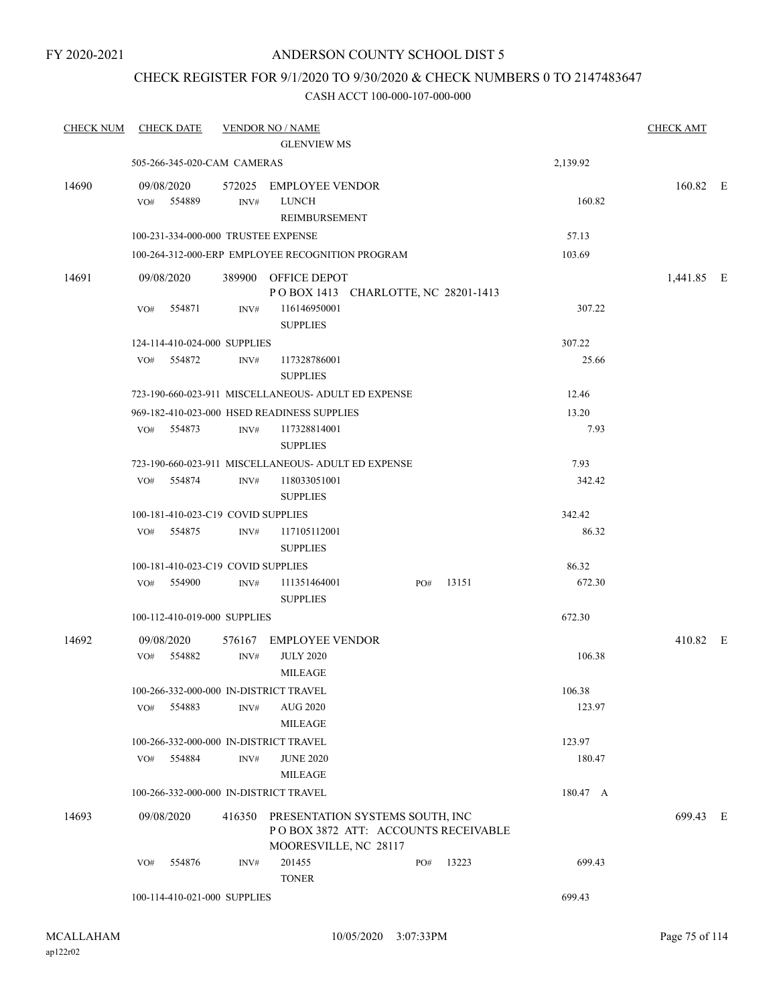# CHECK REGISTER FOR 9/1/2020 TO 9/30/2020 & CHECK NUMBERS 0 TO 2147483647

| <b>CHECK NUM</b> | <b>CHECK DATE</b>                      |        | <b>VENDOR NO / NAME</b>                                                                         |     |       |          | <b>CHECK AMT</b> |  |
|------------------|----------------------------------------|--------|-------------------------------------------------------------------------------------------------|-----|-------|----------|------------------|--|
|                  |                                        |        | <b>GLENVIEW MS</b>                                                                              |     |       |          |                  |  |
|                  | 505-266-345-020-CAM CAMERAS            |        |                                                                                                 |     |       | 2,139.92 |                  |  |
| 14690            | 09/08/2020<br>VO# 554889               | INV#   | 572025 EMPLOYEE VENDOR<br><b>LUNCH</b><br>REIMBURSEMENT                                         |     |       | 160.82   | 160.82 E         |  |
|                  | 100-231-334-000-000 TRUSTEE EXPENSE    |        |                                                                                                 |     |       | 57.13    |                  |  |
|                  |                                        |        | 100-264-312-000-ERP EMPLOYEE RECOGNITION PROGRAM                                                |     |       | 103.69   |                  |  |
| 14691            | 09/08/2020                             |        | 389900 OFFICE DEPOT<br>POBOX 1413 CHARLOTTE, NC 28201-1413                                      |     |       |          | 1,441.85 E       |  |
|                  | VO#<br>554871                          | INV#   | 116146950001<br><b>SUPPLIES</b>                                                                 |     |       | 307.22   |                  |  |
|                  | 124-114-410-024-000 SUPPLIES           |        |                                                                                                 |     |       | 307.22   |                  |  |
|                  | VO# 554872                             | INV#   | 117328786001<br><b>SUPPLIES</b>                                                                 |     |       | 25.66    |                  |  |
|                  |                                        |        | 723-190-660-023-911 MISCELLANEOUS- ADULT ED EXPENSE                                             |     |       | 12.46    |                  |  |
|                  |                                        |        | 969-182-410-023-000 HSED READINESS SUPPLIES                                                     |     |       | 13.20    |                  |  |
|                  | VO# 554873                             | INV#   | 117328814001<br><b>SUPPLIES</b>                                                                 |     |       | 7.93     |                  |  |
|                  |                                        |        | 723-190-660-023-911 MISCELLANEOUS- ADULT ED EXPENSE                                             |     |       | 7.93     |                  |  |
|                  | VO# 554874                             | INV#   | 118033051001<br><b>SUPPLIES</b>                                                                 |     |       | 342.42   |                  |  |
|                  | 100-181-410-023-C19 COVID SUPPLIES     |        |                                                                                                 |     |       | 342.42   |                  |  |
|                  | VO# 554875                             | INV#   | 117105112001<br><b>SUPPLIES</b>                                                                 |     |       | 86.32    |                  |  |
|                  | 100-181-410-023-C19 COVID SUPPLIES     |        |                                                                                                 |     |       | 86.32    |                  |  |
|                  | VO# 554900                             | INV#   | 111351464001<br><b>SUPPLIES</b>                                                                 | PO# | 13151 | 672.30   |                  |  |
|                  | 100-112-410-019-000 SUPPLIES           |        |                                                                                                 |     |       | 672.30   |                  |  |
| 14692            | 09/08/2020                             |        | 576167 EMPLOYEE VENDOR                                                                          |     |       |          | 410.82 E         |  |
|                  | VO# 554882                             | INV#   | <b>JULY 2020</b><br><b>MILEAGE</b>                                                              |     |       | 106.38   |                  |  |
|                  | 100-266-332-000-000 IN-DISTRICT TRAVEL |        |                                                                                                 |     |       | 106.38   |                  |  |
|                  | VO#<br>554883                          | INV#   | <b>AUG 2020</b><br><b>MILEAGE</b>                                                               |     |       | 123.97   |                  |  |
|                  | 100-266-332-000-000 IN-DISTRICT TRAVEL |        |                                                                                                 |     |       | 123.97   |                  |  |
|                  | 554884<br>VO#                          | INV#   | <b>JUNE 2020</b><br><b>MILEAGE</b>                                                              |     |       | 180.47   |                  |  |
|                  | 100-266-332-000-000 IN-DISTRICT TRAVEL |        |                                                                                                 |     |       | 180.47 A |                  |  |
| 14693            | 09/08/2020                             | 416350 | PRESENTATION SYSTEMS SOUTH, INC<br>POBOX 3872 ATT: ACCOUNTS RECEIVABLE<br>MOORESVILLE, NC 28117 |     |       |          | 699.43 E         |  |
|                  | 554876<br>VO#                          | INV#   | 201455<br><b>TONER</b>                                                                          | PO# | 13223 | 699.43   |                  |  |
|                  | 100-114-410-021-000 SUPPLIES           |        |                                                                                                 |     |       | 699.43   |                  |  |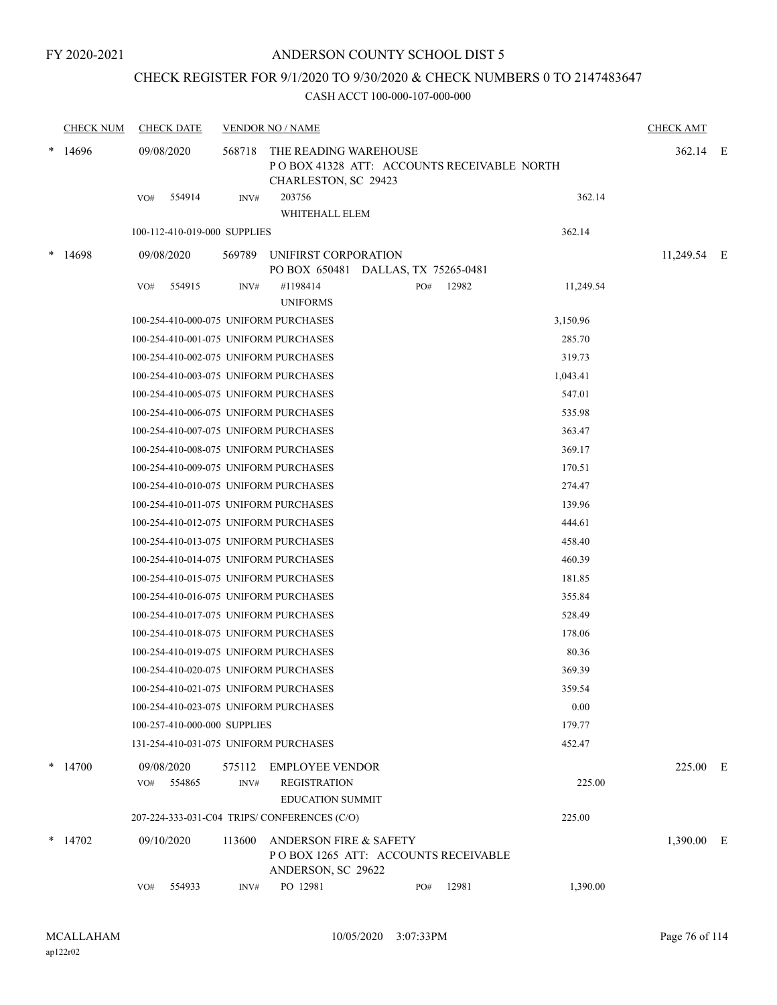# CHECK REGISTER FOR 9/1/2020 TO 9/30/2020 & CHECK NUMBERS 0 TO 2147483647

|   | <b>CHECK NUM</b> | <b>CHECK DATE</b>                     |        | <b>VENDOR NO / NAME</b>                                                                        |     |       |           | <b>CHECK AMT</b> |  |
|---|------------------|---------------------------------------|--------|------------------------------------------------------------------------------------------------|-----|-------|-----------|------------------|--|
| * | 14696            | 09/08/2020                            | 568718 | THE READING WAREHOUSE<br>PO BOX 41328 ATT: ACCOUNTS RECEIVABLE NORTH<br>CHARLESTON, SC 29423   |     |       |           | 362.14 E         |  |
|   |                  | 554914<br>VO#                         | INV#   | 203756<br>WHITEHALL ELEM                                                                       |     |       | 362.14    |                  |  |
|   |                  | 100-112-410-019-000 SUPPLIES          |        |                                                                                                |     |       | 362.14    |                  |  |
|   | 14698            | 09/08/2020                            | 569789 | UNIFIRST CORPORATION<br>PO BOX 650481 DALLAS, TX 75265-0481                                    |     |       |           | 11,249.54 E      |  |
|   |                  | 554915<br>VO#                         | INV#   | #1198414<br><b>UNIFORMS</b>                                                                    | PO# | 12982 | 11,249.54 |                  |  |
|   |                  | 100-254-410-000-075 UNIFORM PURCHASES |        |                                                                                                |     |       | 3,150.96  |                  |  |
|   |                  | 100-254-410-001-075 UNIFORM PURCHASES |        |                                                                                                |     |       | 285.70    |                  |  |
|   |                  | 100-254-410-002-075 UNIFORM PURCHASES |        |                                                                                                |     |       | 319.73    |                  |  |
|   |                  | 100-254-410-003-075 UNIFORM PURCHASES |        |                                                                                                |     |       | 1,043.41  |                  |  |
|   |                  | 100-254-410-005-075 UNIFORM PURCHASES |        |                                                                                                |     |       | 547.01    |                  |  |
|   |                  | 100-254-410-006-075 UNIFORM PURCHASES |        |                                                                                                |     |       | 535.98    |                  |  |
|   |                  | 100-254-410-007-075 UNIFORM PURCHASES |        |                                                                                                |     |       | 363.47    |                  |  |
|   |                  | 100-254-410-008-075 UNIFORM PURCHASES |        |                                                                                                |     |       | 369.17    |                  |  |
|   |                  | 100-254-410-009-075 UNIFORM PURCHASES |        |                                                                                                |     |       | 170.51    |                  |  |
|   |                  | 100-254-410-010-075 UNIFORM PURCHASES |        |                                                                                                |     |       | 274.47    |                  |  |
|   |                  | 100-254-410-011-075 UNIFORM PURCHASES |        |                                                                                                |     |       | 139.96    |                  |  |
|   |                  | 100-254-410-012-075 UNIFORM PURCHASES |        |                                                                                                |     |       | 444.61    |                  |  |
|   |                  | 100-254-410-013-075 UNIFORM PURCHASES |        |                                                                                                |     |       | 458.40    |                  |  |
|   |                  | 100-254-410-014-075 UNIFORM PURCHASES |        |                                                                                                |     |       | 460.39    |                  |  |
|   |                  | 100-254-410-015-075 UNIFORM PURCHASES |        |                                                                                                |     |       | 181.85    |                  |  |
|   |                  | 100-254-410-016-075 UNIFORM PURCHASES |        |                                                                                                |     |       | 355.84    |                  |  |
|   |                  | 100-254-410-017-075 UNIFORM PURCHASES |        |                                                                                                |     |       | 528.49    |                  |  |
|   |                  | 100-254-410-018-075 UNIFORM PURCHASES |        |                                                                                                |     |       | 178.06    |                  |  |
|   |                  | 100-254-410-019-075 UNIFORM PURCHASES |        |                                                                                                |     |       | 80.36     |                  |  |
|   |                  | 100-254-410-020-075 UNIFORM PURCHASES |        |                                                                                                |     |       | 369.39    |                  |  |
|   |                  | 100-254-410-021-075 UNIFORM PURCHASES |        |                                                                                                |     |       | 359.54    |                  |  |
|   |                  | 100-254-410-023-075 UNIFORM PURCHASES |        |                                                                                                |     |       | 0.00      |                  |  |
|   |                  | 100-257-410-000-000 SUPPLIES          |        |                                                                                                |     |       | 179.77    |                  |  |
|   |                  | 131-254-410-031-075 UNIFORM PURCHASES |        |                                                                                                |     |       | 452.47    |                  |  |
|   | $*$ 14700        | 09/08/2020<br>554865<br>VO#           | INV#   | 575112 EMPLOYEE VENDOR<br><b>REGISTRATION</b><br><b>EDUCATION SUMMIT</b>                       |     |       | 225.00    | 225.00 E         |  |
|   |                  |                                       |        | 207-224-333-031-C04 TRIPS/CONFERENCES (C/O)                                                    |     |       | 225.00    |                  |  |
|   | $*$ 14702        | 09/10/2020                            | 113600 | <b>ANDERSON FIRE &amp; SAFETY</b><br>POBOX 1265 ATT: ACCOUNTS RECEIVABLE<br>ANDERSON, SC 29622 |     |       |           | 1,390.00 E       |  |
|   |                  | 554933<br>VO#                         | INV#   | PO 12981                                                                                       | PO# | 12981 | 1,390.00  |                  |  |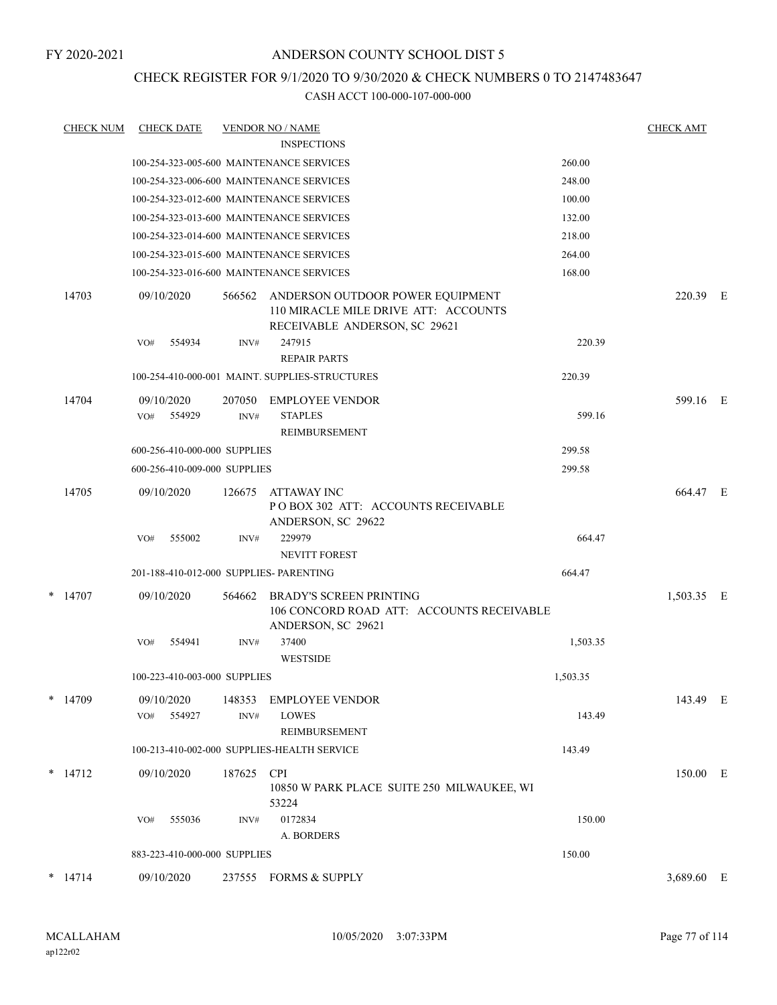# CHECK REGISTER FOR 9/1/2020 TO 9/30/2020 & CHECK NUMBERS 0 TO 2147483647

| <b>CHECK NUM</b> | <b>CHECK DATE</b>                       |        | <b>VENDOR NO / NAME</b>                                                                                   |          | <b>CHECK AMT</b> |  |
|------------------|-----------------------------------------|--------|-----------------------------------------------------------------------------------------------------------|----------|------------------|--|
|                  |                                         |        | <b>INSPECTIONS</b>                                                                                        |          |                  |  |
|                  |                                         |        | 100-254-323-005-600 MAINTENANCE SERVICES                                                                  | 260.00   |                  |  |
|                  |                                         |        | 100-254-323-006-600 MAINTENANCE SERVICES                                                                  | 248.00   |                  |  |
|                  |                                         |        | 100-254-323-012-600 MAINTENANCE SERVICES                                                                  | 100.00   |                  |  |
|                  |                                         |        | 100-254-323-013-600 MAINTENANCE SERVICES                                                                  | 132.00   |                  |  |
|                  |                                         |        | 100-254-323-014-600 MAINTENANCE SERVICES                                                                  | 218.00   |                  |  |
|                  |                                         |        | 100-254-323-015-600 MAINTENANCE SERVICES                                                                  | 264.00   |                  |  |
|                  |                                         |        | 100-254-323-016-600 MAINTENANCE SERVICES                                                                  | 168.00   |                  |  |
| 14703            | 09/10/2020                              | 566562 | ANDERSON OUTDOOR POWER EQUIPMENT<br>110 MIRACLE MILE DRIVE ATT: ACCOUNTS<br>RECEIVABLE ANDERSON, SC 29621 |          | 220.39 E         |  |
|                  | 554934<br>VO#                           | INV#   | 247915                                                                                                    | 220.39   |                  |  |
|                  |                                         |        | <b>REPAIR PARTS</b>                                                                                       |          |                  |  |
|                  |                                         |        | 100-254-410-000-001 MAINT. SUPPLIES-STRUCTURES                                                            | 220.39   |                  |  |
| 14704            | 09/10/2020                              | 207050 | <b>EMPLOYEE VENDOR</b>                                                                                    |          | 599.16 E         |  |
|                  | 554929<br>VO#                           | INV#   | <b>STAPLES</b><br>REIMBURSEMENT                                                                           | 599.16   |                  |  |
|                  | 600-256-410-000-000 SUPPLIES            |        |                                                                                                           | 299.58   |                  |  |
|                  | 600-256-410-009-000 SUPPLIES            |        |                                                                                                           | 299.58   |                  |  |
| 14705            | 09/10/2020                              | 126675 | ATTAWAY INC<br>PO BOX 302 ATT: ACCOUNTS RECEIVABLE<br>ANDERSON, SC 29622                                  |          | 664.47 E         |  |
|                  | 555002<br>VO#                           | INV#   | 229979                                                                                                    | 664.47   |                  |  |
|                  |                                         |        | <b>NEVITT FOREST</b>                                                                                      |          |                  |  |
|                  | 201-188-410-012-000 SUPPLIES- PARENTING |        |                                                                                                           | 664.47   |                  |  |
| $*$ 14707        | 09/10/2020                              | 564662 | <b>BRADY'S SCREEN PRINTING</b><br>106 CONCORD ROAD ATT: ACCOUNTS RECEIVABLE<br>ANDERSON, SC 29621         |          | 1,503.35 E       |  |
|                  | 554941<br>VO#                           | INV#   | 37400<br><b>WESTSIDE</b>                                                                                  | 1,503.35 |                  |  |
|                  | 100-223-410-003-000 SUPPLIES            |        |                                                                                                           | 1,503.35 |                  |  |
| $*$ 14709        | 09/10/2020                              | 148353 | <b>EMPLOYEE VENDOR</b>                                                                                    |          | 143.49 E         |  |
|                  | 554927<br>VO#                           | INV#   | <b>LOWES</b>                                                                                              | 143.49   |                  |  |
|                  |                                         |        | REIMBURSEMENT                                                                                             |          |                  |  |
|                  |                                         |        | 100-213-410-002-000 SUPPLIES-HEALTH SERVICE                                                               | 143.49   |                  |  |
| $*$ 14712        | 09/10/2020                              | 187625 | <b>CPI</b><br>10850 W PARK PLACE SUITE 250 MILWAUKEE, WI<br>53224                                         |          | 150.00 E         |  |
|                  | 555036<br>VO#                           | INV#   | 0172834                                                                                                   | 150.00   |                  |  |
|                  |                                         |        | A. BORDERS                                                                                                |          |                  |  |
|                  | 883-223-410-000-000 SUPPLIES            |        |                                                                                                           | 150.00   |                  |  |
| $*$ 14714        | 09/10/2020                              |        | 237555 FORMS & SUPPLY                                                                                     |          | 3,689.60 E       |  |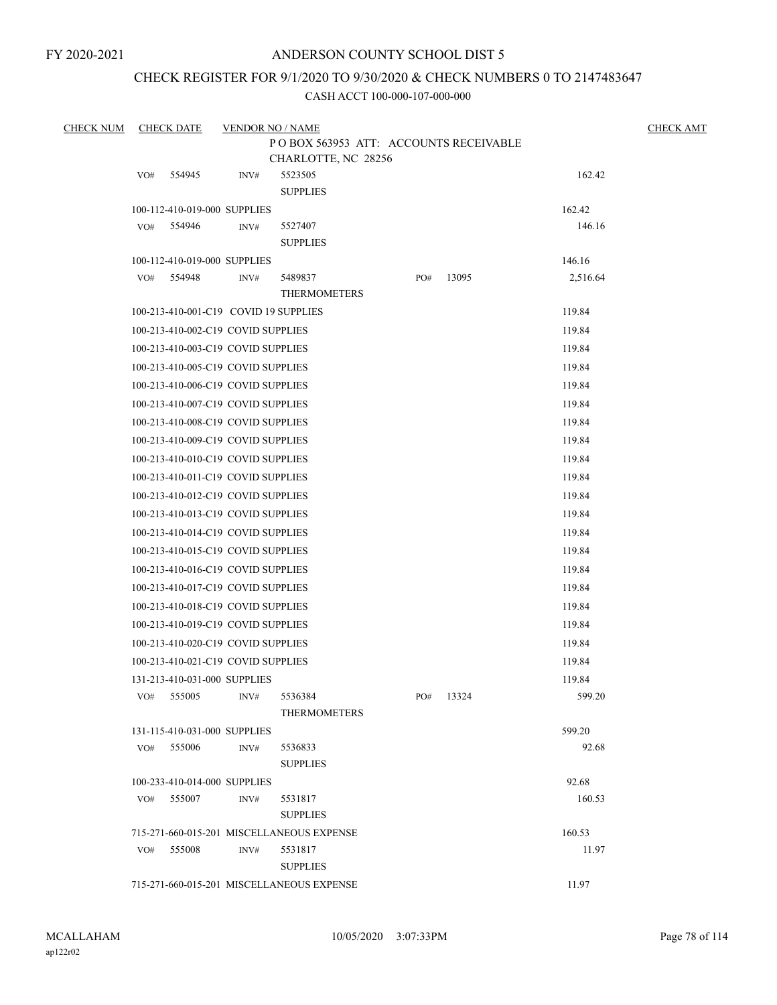# CHECK REGISTER FOR 9/1/2020 TO 9/30/2020 & CHECK NUMBERS 0 TO 2147483647

| <b>CHECK NUM</b> |     | <b>CHECK DATE</b>                     | <b>VENDOR NO / NAME</b> |                                           |     |       |          | <b>CHECK AMT</b> |
|------------------|-----|---------------------------------------|-------------------------|-------------------------------------------|-----|-------|----------|------------------|
|                  |     |                                       |                         | PO BOX 563953 ATT: ACCOUNTS RECEIVABLE    |     |       |          |                  |
|                  |     |                                       |                         | CHARLOTTE, NC 28256                       |     |       | 162.42   |                  |
|                  | VO# | 554945                                | INV#                    | 5523505<br><b>SUPPLIES</b>                |     |       |          |                  |
|                  |     | 100-112-410-019-000 SUPPLIES          |                         |                                           |     |       | 162.42   |                  |
|                  | VO# | 554946                                | INV#                    | 5527407                                   |     |       | 146.16   |                  |
|                  |     |                                       |                         | <b>SUPPLIES</b>                           |     |       |          |                  |
|                  |     | 100-112-410-019-000 SUPPLIES          |                         |                                           |     |       | 146.16   |                  |
|                  | VO# | 554948                                | INV#                    | 5489837                                   | PO# | 13095 | 2,516.64 |                  |
|                  |     |                                       |                         | <b>THERMOMETERS</b>                       |     |       |          |                  |
|                  |     | 100-213-410-001-C19 COVID 19 SUPPLIES |                         |                                           |     |       | 119.84   |                  |
|                  |     | 100-213-410-002-C19 COVID SUPPLIES    |                         |                                           |     |       | 119.84   |                  |
|                  |     | 100-213-410-003-C19 COVID SUPPLIES    |                         |                                           |     |       | 119.84   |                  |
|                  |     | 100-213-410-005-C19 COVID SUPPLIES    |                         |                                           |     |       | 119.84   |                  |
|                  |     | 100-213-410-006-C19 COVID SUPPLIES    |                         |                                           |     |       | 119.84   |                  |
|                  |     | 100-213-410-007-C19 COVID SUPPLIES    |                         |                                           |     |       | 119.84   |                  |
|                  |     | 100-213-410-008-C19 COVID SUPPLIES    |                         |                                           |     |       | 119.84   |                  |
|                  |     | 100-213-410-009-C19 COVID SUPPLIES    |                         |                                           |     |       | 119.84   |                  |
|                  |     | 100-213-410-010-C19 COVID SUPPLIES    |                         |                                           |     |       | 119.84   |                  |
|                  |     | 100-213-410-011-C19 COVID SUPPLIES    |                         |                                           |     |       | 119.84   |                  |
|                  |     | 100-213-410-012-C19 COVID SUPPLIES    |                         |                                           |     |       | 119.84   |                  |
|                  |     | 100-213-410-013-C19 COVID SUPPLIES    |                         |                                           |     |       | 119.84   |                  |
|                  |     | 100-213-410-014-C19 COVID SUPPLIES    |                         |                                           |     |       | 119.84   |                  |
|                  |     | 100-213-410-015-C19 COVID SUPPLIES    |                         |                                           |     |       | 119.84   |                  |
|                  |     | 100-213-410-016-C19 COVID SUPPLIES    |                         |                                           |     |       | 119.84   |                  |
|                  |     | 100-213-410-017-C19 COVID SUPPLIES    |                         |                                           |     |       | 119.84   |                  |
|                  |     | 100-213-410-018-C19 COVID SUPPLIES    |                         |                                           |     |       | 119.84   |                  |
|                  |     | 100-213-410-019-C19 COVID SUPPLIES    |                         |                                           |     |       | 119.84   |                  |
|                  |     | 100-213-410-020-C19 COVID SUPPLIES    |                         |                                           |     |       | 119.84   |                  |
|                  |     | 100-213-410-021-C19 COVID SUPPLIES    |                         |                                           |     |       | 119.84   |                  |
|                  |     | 131-213-410-031-000 SUPPLIES          |                         |                                           |     |       | 119.84   |                  |
|                  | VO# | 555005                                | INV#                    | 5536384                                   | PO# | 13324 | 599.20   |                  |
|                  |     |                                       |                         | <b>THERMOMETERS</b>                       |     |       |          |                  |
|                  |     | 131-115-410-031-000 SUPPLIES          |                         |                                           |     |       | 599.20   |                  |
|                  |     | VO# 555006                            | INV#                    | 5536833                                   |     |       | 92.68    |                  |
|                  |     | 100-233-410-014-000 SUPPLIES          |                         | <b>SUPPLIES</b>                           |     |       | 92.68    |                  |
|                  | VO# | 555007                                | INV#                    | 5531817                                   |     |       | 160.53   |                  |
|                  |     |                                       |                         | <b>SUPPLIES</b>                           |     |       |          |                  |
|                  |     |                                       |                         | 715-271-660-015-201 MISCELLANEOUS EXPENSE |     |       | 160.53   |                  |
|                  | VO# | 555008                                | INV#                    | 5531817                                   |     |       | 11.97    |                  |
|                  |     |                                       |                         | <b>SUPPLIES</b>                           |     |       |          |                  |
|                  |     |                                       |                         | 715-271-660-015-201 MISCELLANEOUS EXPENSE |     |       | 11.97    |                  |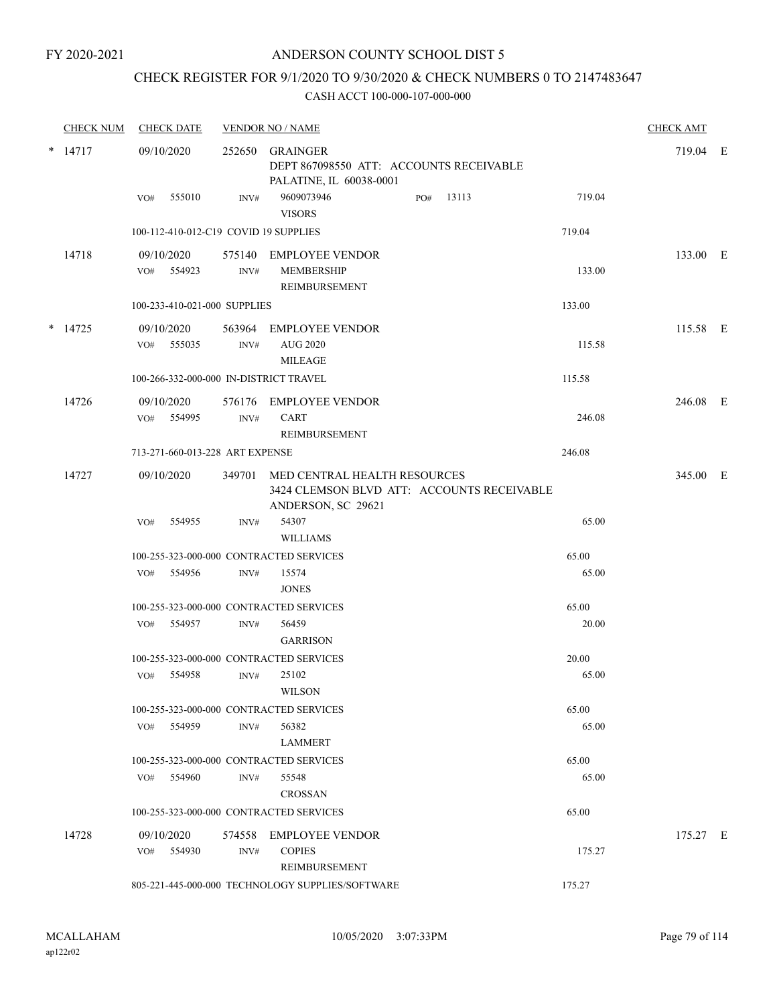# CHECK REGISTER FOR 9/1/2020 TO 9/30/2020 & CHECK NUMBERS 0 TO 2147483647

|        | <b>CHECK NUM</b> | <b>CHECK DATE</b>                       |                | <b>VENDOR NO / NAME</b>                                                                                 |     |       |        | <b>CHECK AMT</b> |  |
|--------|------------------|-----------------------------------------|----------------|---------------------------------------------------------------------------------------------------------|-----|-------|--------|------------------|--|
|        | $*$ 14717        | 09/10/2020                              |                | 252650 GRAINGER<br>DEPT 867098550 ATT: ACCOUNTS RECEIVABLE<br>PALATINE, IL 60038-0001                   |     |       |        | 719.04 E         |  |
|        |                  | 555010<br>VO#                           | INV#           | 9609073946<br><b>VISORS</b>                                                                             | PO# | 13113 | 719.04 |                  |  |
|        |                  | 100-112-410-012-C19 COVID 19 SUPPLIES   |                |                                                                                                         |     |       | 719.04 |                  |  |
|        | 14718            | 09/10/2020                              |                | 575140 EMPLOYEE VENDOR                                                                                  |     |       |        | 133.00 E         |  |
|        |                  | VO# 554923                              | INV#           | <b>MEMBERSHIP</b><br>REIMBURSEMENT                                                                      |     |       | 133.00 |                  |  |
|        |                  | 100-233-410-021-000 SUPPLIES            |                |                                                                                                         |     |       | 133.00 |                  |  |
| $\ast$ | 14725            | 09/10/2020<br>VO# 555035                | $\text{INV}\#$ | 563964 EMPLOYEE VENDOR<br><b>AUG 2020</b><br><b>MILEAGE</b>                                             |     |       | 115.58 | 115.58 E         |  |
|        |                  | 100-266-332-000-000 IN-DISTRICT TRAVEL  |                |                                                                                                         |     |       | 115.58 |                  |  |
|        | 14726            | 09/10/2020                              |                | 576176 EMPLOYEE VENDOR                                                                                  |     |       |        | 246.08 E         |  |
|        |                  | VO# 554995                              | INV#           | <b>CART</b><br><b>REIMBURSEMENT</b>                                                                     |     |       | 246.08 |                  |  |
|        |                  | 713-271-660-013-228 ART EXPENSE         |                |                                                                                                         |     |       | 246.08 |                  |  |
|        | 14727            | 09/10/2020                              |                | 349701 MED CENTRAL HEALTH RESOURCES<br>3424 CLEMSON BLVD ATT: ACCOUNTS RECEIVABLE<br>ANDERSON, SC 29621 |     |       |        | 345.00 E         |  |
|        |                  | 554955<br>VO#                           | INV#           | 54307                                                                                                   |     |       | 65.00  |                  |  |
|        |                  |                                         |                | <b>WILLIAMS</b>                                                                                         |     |       |        |                  |  |
|        |                  | 100-255-323-000-000 CONTRACTED SERVICES |                |                                                                                                         |     |       | 65.00  |                  |  |
|        |                  | 554956<br>VO#                           | INV#           | 15574<br><b>JONES</b>                                                                                   |     |       | 65.00  |                  |  |
|        |                  | 100-255-323-000-000 CONTRACTED SERVICES |                |                                                                                                         |     |       | 65.00  |                  |  |
|        |                  | VO#<br>554957                           | INV#           | 56459<br><b>GARRISON</b>                                                                                |     |       | 20.00  |                  |  |
|        |                  | 100-255-323-000-000 CONTRACTED SERVICES |                |                                                                                                         |     |       | 20.00  |                  |  |
|        |                  | 554958<br>VO#                           | INV#           | 25102<br>WILSON                                                                                         |     |       | 65.00  |                  |  |
|        |                  | 100-255-323-000-000 CONTRACTED SERVICES |                |                                                                                                         |     |       | 65.00  |                  |  |
|        |                  | 554959<br>VO#                           | INV#           | 56382<br><b>LAMMERT</b>                                                                                 |     |       | 65.00  |                  |  |
|        |                  | 100-255-323-000-000 CONTRACTED SERVICES |                |                                                                                                         |     |       | 65.00  |                  |  |
|        |                  | VO# 554960                              | INV#           | 55548<br><b>CROSSAN</b>                                                                                 |     |       | 65.00  |                  |  |
|        |                  | 100-255-323-000-000 CONTRACTED SERVICES |                |                                                                                                         |     |       | 65.00  |                  |  |
|        | 14728            | 09/10/2020                              |                | 574558 EMPLOYEE VENDOR                                                                                  |     |       |        | 175.27 E         |  |
|        |                  | 554930<br>VO#                           | INV#           | <b>COPIES</b><br>REIMBURSEMENT                                                                          |     |       | 175.27 |                  |  |
|        |                  |                                         |                | 805-221-445-000-000 TECHNOLOGY SUPPLIES/SOFTWARE                                                        |     |       | 175.27 |                  |  |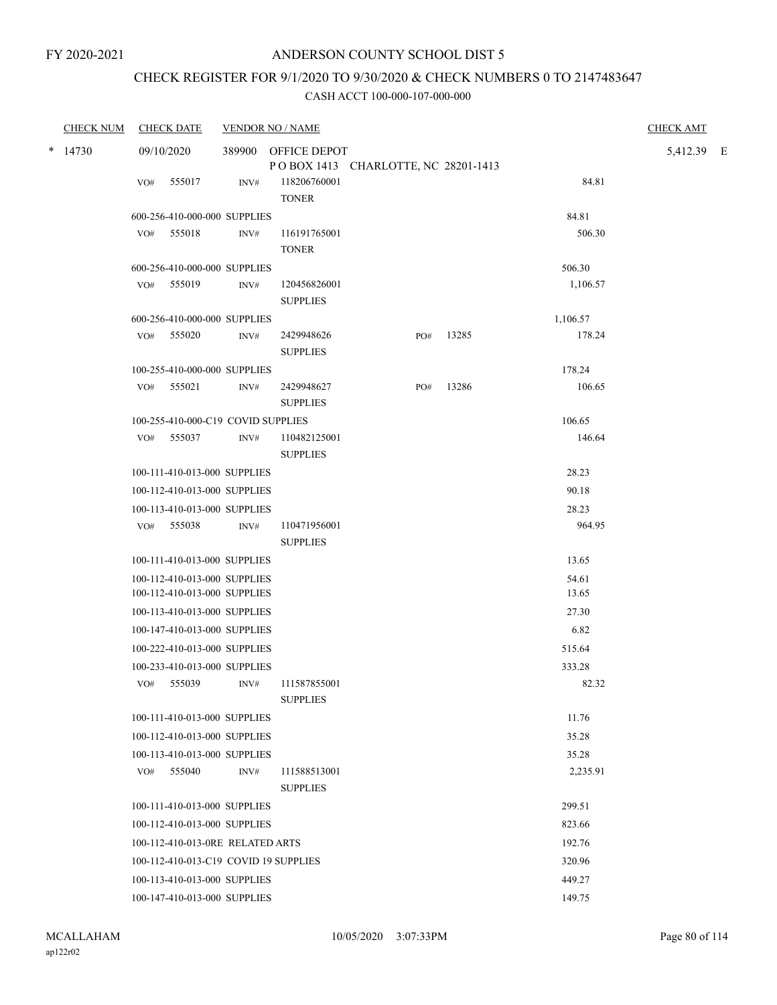# CHECK REGISTER FOR 9/1/2020 TO 9/30/2020 & CHECK NUMBERS 0 TO 2147483647

|   | <b>CHECK NUM</b> |     | <b>CHECK DATE</b>                                            |      | <b>VENDOR NO / NAME</b>                                    |     |       |                | <b>CHECK AMT</b> |  |
|---|------------------|-----|--------------------------------------------------------------|------|------------------------------------------------------------|-----|-------|----------------|------------------|--|
| * | 14730            |     | 09/10/2020                                                   |      | 389900 OFFICE DEPOT<br>POBOX 1413 CHARLOTTE, NC 28201-1413 |     |       |                | 5,412.39 E       |  |
|   |                  | VO# | 555017                                                       | INV# | 118206760001<br><b>TONER</b>                               |     |       | 84.81          |                  |  |
|   |                  |     | 600-256-410-000-000 SUPPLIES                                 |      |                                                            |     |       | 84.81          |                  |  |
|   |                  |     | VO# 555018                                                   | INV# | 116191765001<br><b>TONER</b>                               |     |       | 506.30         |                  |  |
|   |                  |     | 600-256-410-000-000 SUPPLIES                                 |      |                                                            |     |       | 506.30         |                  |  |
|   |                  |     | VO# 555019                                                   | INV# | 120456826001<br><b>SUPPLIES</b>                            |     |       | 1,106.57       |                  |  |
|   |                  |     | 600-256-410-000-000 SUPPLIES                                 |      |                                                            |     |       | 1,106.57       |                  |  |
|   |                  |     | VO# 555020                                                   | INV# | 2429948626<br><b>SUPPLIES</b>                              | PO# | 13285 | 178.24         |                  |  |
|   |                  |     | 100-255-410-000-000 SUPPLIES                                 |      |                                                            |     |       | 178.24         |                  |  |
|   |                  | VO# | 555021                                                       | INV# | 2429948627<br><b>SUPPLIES</b>                              | PO# | 13286 | 106.65         |                  |  |
|   |                  |     | 100-255-410-000-C19 COVID SUPPLIES                           |      |                                                            |     |       | 106.65         |                  |  |
|   |                  |     | VO# 555037                                                   | INV# | 110482125001<br><b>SUPPLIES</b>                            |     |       | 146.64         |                  |  |
|   |                  |     | 100-111-410-013-000 SUPPLIES                                 |      |                                                            |     |       | 28.23          |                  |  |
|   |                  |     | 100-112-410-013-000 SUPPLIES                                 |      |                                                            |     |       | 90.18          |                  |  |
|   |                  |     | 100-113-410-013-000 SUPPLIES                                 |      |                                                            |     |       | 28.23          |                  |  |
|   |                  |     | VO# 555038                                                   | INV# | 110471956001<br><b>SUPPLIES</b>                            |     |       | 964.95         |                  |  |
|   |                  |     | 100-111-410-013-000 SUPPLIES                                 |      |                                                            |     |       | 13.65          |                  |  |
|   |                  |     | 100-112-410-013-000 SUPPLIES<br>100-112-410-013-000 SUPPLIES |      |                                                            |     |       | 54.61<br>13.65 |                  |  |
|   |                  |     | 100-113-410-013-000 SUPPLIES                                 |      |                                                            |     |       | 27.30          |                  |  |
|   |                  |     | 100-147-410-013-000 SUPPLIES                                 |      |                                                            |     |       | 6.82           |                  |  |
|   |                  |     | 100-222-410-013-000 SUPPLIES                                 |      |                                                            |     |       | 515.64         |                  |  |
|   |                  |     | 100-233-410-013-000 SUPPLIES                                 |      |                                                            |     |       | 333.28         |                  |  |
|   |                  |     | VO# 555039                                                   | INV# | 111587855001<br><b>SUPPLIES</b>                            |     |       | 82.32          |                  |  |
|   |                  |     | 100-111-410-013-000 SUPPLIES                                 |      |                                                            |     |       | 11.76          |                  |  |
|   |                  |     | 100-112-410-013-000 SUPPLIES                                 |      |                                                            |     |       | 35.28          |                  |  |
|   |                  |     | 100-113-410-013-000 SUPPLIES                                 |      |                                                            |     |       | 35.28          |                  |  |
|   |                  | VO# | 555040                                                       | INV# | 111588513001<br><b>SUPPLIES</b>                            |     |       | 2,235.91       |                  |  |
|   |                  |     | 100-111-410-013-000 SUPPLIES                                 |      |                                                            |     |       | 299.51         |                  |  |
|   |                  |     | 100-112-410-013-000 SUPPLIES                                 |      |                                                            |     |       | 823.66         |                  |  |
|   |                  |     | 100-112-410-013-0RE RELATED ARTS                             |      |                                                            |     |       | 192.76         |                  |  |
|   |                  |     | 100-112-410-013-C19 COVID 19 SUPPLIES                        |      |                                                            |     |       | 320.96         |                  |  |
|   |                  |     | 100-113-410-013-000 SUPPLIES                                 |      |                                                            |     |       | 449.27         |                  |  |
|   |                  |     | 100-147-410-013-000 SUPPLIES                                 |      |                                                            |     |       | 149.75         |                  |  |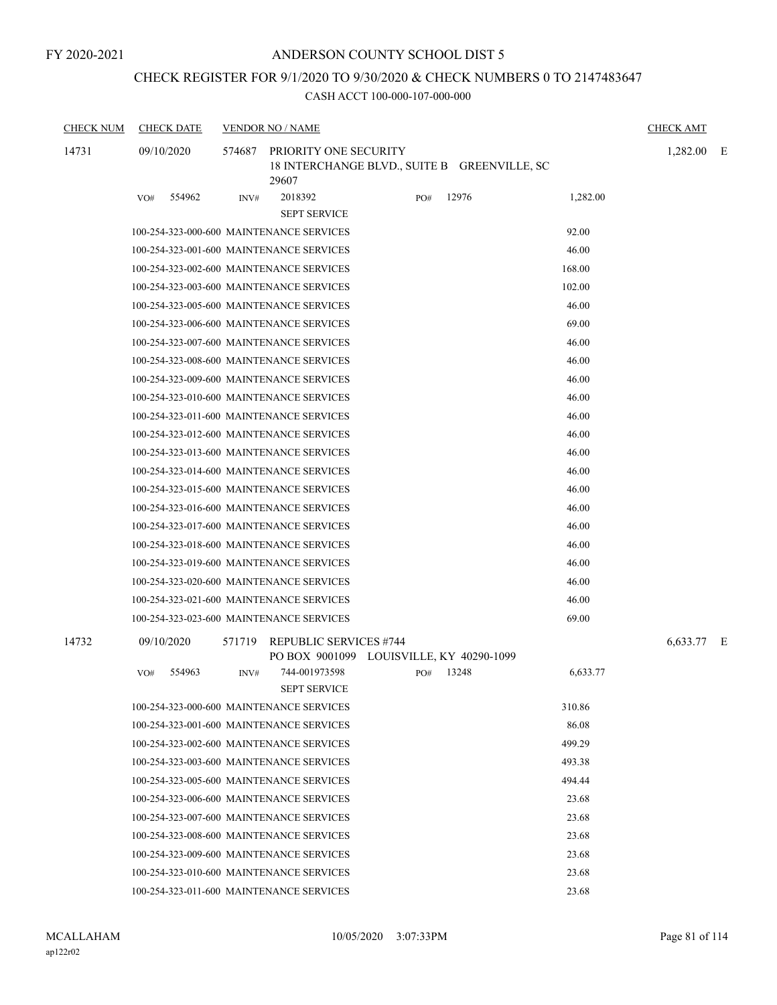# ANDERSON COUNTY SCHOOL DIST 5

# CHECK REGISTER FOR 9/1/2020 TO 9/30/2020 & CHECK NUMBERS 0 TO 2147483647

| <b>CHECK NUM</b> | <b>CHECK DATE</b>                        |        | <b>VENDOR NO / NAME</b>                                                   |     |                                              |          | <b>CHECK AMT</b> |   |
|------------------|------------------------------------------|--------|---------------------------------------------------------------------------|-----|----------------------------------------------|----------|------------------|---|
| 14731            | 09/10/2020                               | 574687 | PRIORITY ONE SECURITY<br>29607                                            |     | 18 INTERCHANGE BLVD., SUITE B GREENVILLE, SC |          | 1,282.00         | E |
|                  | 554962<br>VO#                            | INV#   | 2018392<br><b>SEPT SERVICE</b>                                            | PO# | 12976                                        | 1,282.00 |                  |   |
|                  |                                          |        | 100-254-323-000-600 MAINTENANCE SERVICES                                  |     |                                              | 92.00    |                  |   |
|                  |                                          |        | 100-254-323-001-600 MAINTENANCE SERVICES                                  |     |                                              | 46.00    |                  |   |
|                  |                                          |        | 100-254-323-002-600 MAINTENANCE SERVICES                                  |     |                                              | 168.00   |                  |   |
|                  |                                          |        | 100-254-323-003-600 MAINTENANCE SERVICES                                  |     |                                              | 102.00   |                  |   |
|                  |                                          |        | 100-254-323-005-600 MAINTENANCE SERVICES                                  |     |                                              | 46.00    |                  |   |
|                  |                                          |        | 100-254-323-006-600 MAINTENANCE SERVICES                                  |     |                                              | 69.00    |                  |   |
|                  |                                          |        | 100-254-323-007-600 MAINTENANCE SERVICES                                  |     |                                              | 46.00    |                  |   |
|                  |                                          |        | 100-254-323-008-600 MAINTENANCE SERVICES                                  |     |                                              | 46.00    |                  |   |
|                  |                                          |        | 100-254-323-009-600 MAINTENANCE SERVICES                                  |     |                                              | 46.00    |                  |   |
|                  |                                          |        | 100-254-323-010-600 MAINTENANCE SERVICES                                  |     |                                              | 46.00    |                  |   |
|                  |                                          |        | 100-254-323-011-600 MAINTENANCE SERVICES                                  |     |                                              | 46.00    |                  |   |
|                  |                                          |        | 100-254-323-012-600 MAINTENANCE SERVICES                                  |     |                                              | 46.00    |                  |   |
|                  |                                          |        | 100-254-323-013-600 MAINTENANCE SERVICES                                  |     |                                              | 46.00    |                  |   |
|                  |                                          |        | 100-254-323-014-600 MAINTENANCE SERVICES                                  |     |                                              | 46.00    |                  |   |
|                  |                                          |        | 100-254-323-015-600 MAINTENANCE SERVICES                                  |     |                                              | 46.00    |                  |   |
|                  |                                          |        | 100-254-323-016-600 MAINTENANCE SERVICES                                  |     |                                              | 46.00    |                  |   |
|                  |                                          |        | 100-254-323-017-600 MAINTENANCE SERVICES                                  |     |                                              | 46.00    |                  |   |
|                  |                                          |        | 100-254-323-018-600 MAINTENANCE SERVICES                                  |     |                                              | 46.00    |                  |   |
|                  |                                          |        | 100-254-323-019-600 MAINTENANCE SERVICES                                  |     |                                              | 46.00    |                  |   |
|                  |                                          |        | 100-254-323-020-600 MAINTENANCE SERVICES                                  |     |                                              | 46.00    |                  |   |
|                  |                                          |        | 100-254-323-021-600 MAINTENANCE SERVICES                                  |     |                                              | 46.00    |                  |   |
|                  |                                          |        | 100-254-323-023-600 MAINTENANCE SERVICES                                  |     |                                              | 69.00    |                  |   |
| 14732            | 09/10/2020                               | 571719 | <b>REPUBLIC SERVICES #744</b><br>PO BOX 9001099 LOUISVILLE, KY 40290-1099 |     |                                              |          | 6,633.77 E       |   |
|                  | 554963<br>VO#                            | INV#   | 744-001973598                                                             | PO# | 13248                                        | 6,633.77 |                  |   |
|                  |                                          |        | <b>SEPT SERVICE</b>                                                       |     |                                              |          |                  |   |
|                  |                                          |        | 100-254-323-000-600 MAINTENANCE SERVICES                                  |     |                                              | 310.86   |                  |   |
|                  |                                          |        | 100-254-323-001-600 MAINTENANCE SERVICES                                  |     |                                              | 86.08    |                  |   |
|                  |                                          |        | 100-254-323-002-600 MAINTENANCE SERVICES                                  |     |                                              | 499.29   |                  |   |
|                  |                                          |        | 100-254-323-003-600 MAINTENANCE SERVICES                                  |     |                                              | 493.38   |                  |   |
|                  |                                          |        | 100-254-323-005-600 MAINTENANCE SERVICES                                  |     |                                              | 494.44   |                  |   |
|                  | 100-254-323-006-600 MAINTENANCE SERVICES |        |                                                                           |     |                                              | 23.68    |                  |   |
|                  |                                          |        | 100-254-323-007-600 MAINTENANCE SERVICES                                  |     |                                              | 23.68    |                  |   |
|                  |                                          |        | 100-254-323-008-600 MAINTENANCE SERVICES                                  |     |                                              | 23.68    |                  |   |
|                  |                                          |        | 100-254-323-009-600 MAINTENANCE SERVICES                                  |     |                                              | 23.68    |                  |   |
|                  | 100-254-323-010-600 MAINTENANCE SERVICES |        |                                                                           |     |                                              | 23.68    |                  |   |
|                  | 100-254-323-011-600 MAINTENANCE SERVICES |        |                                                                           |     |                                              | 23.68    |                  |   |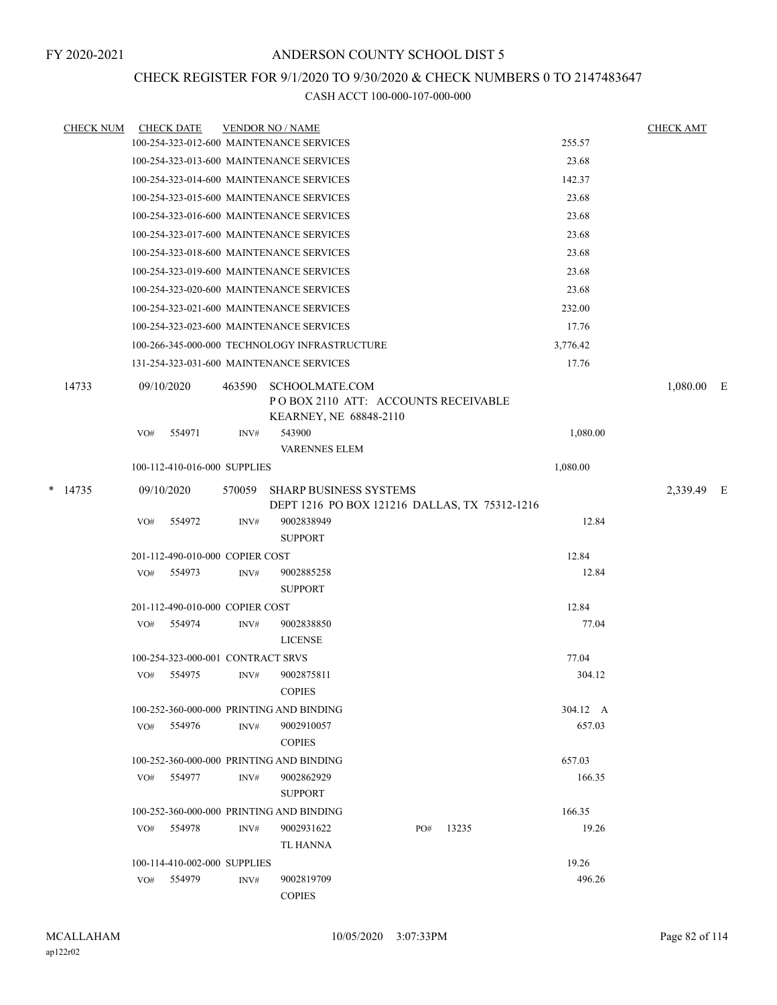# CHECK REGISTER FOR 9/1/2020 TO 9/30/2020 & CHECK NUMBERS 0 TO 2147483647

| <b>CHECK NUM</b> |     | <b>CHECK DATE</b>                 |        | <b>VENDOR NO / NAME</b>                                                                |     |       |          | <b>CHECK AMT</b> |     |
|------------------|-----|-----------------------------------|--------|----------------------------------------------------------------------------------------|-----|-------|----------|------------------|-----|
|                  |     |                                   |        | 100-254-323-012-600 MAINTENANCE SERVICES                                               |     |       | 255.57   |                  |     |
|                  |     |                                   |        | 100-254-323-013-600 MAINTENANCE SERVICES                                               |     |       | 23.68    |                  |     |
|                  |     |                                   |        | 100-254-323-014-600 MAINTENANCE SERVICES                                               |     |       | 142.37   |                  |     |
|                  |     |                                   |        | 100-254-323-015-600 MAINTENANCE SERVICES                                               |     |       | 23.68    |                  |     |
|                  |     |                                   |        | 100-254-323-016-600 MAINTENANCE SERVICES                                               |     |       | 23.68    |                  |     |
|                  |     |                                   |        | 100-254-323-017-600 MAINTENANCE SERVICES                                               |     |       | 23.68    |                  |     |
|                  |     |                                   |        | 100-254-323-018-600 MAINTENANCE SERVICES                                               |     |       | 23.68    |                  |     |
|                  |     |                                   |        | 100-254-323-019-600 MAINTENANCE SERVICES                                               |     |       | 23.68    |                  |     |
|                  |     |                                   |        | 100-254-323-020-600 MAINTENANCE SERVICES                                               |     |       | 23.68    |                  |     |
|                  |     |                                   |        | 100-254-323-021-600 MAINTENANCE SERVICES                                               |     |       | 232.00   |                  |     |
|                  |     |                                   |        | 100-254-323-023-600 MAINTENANCE SERVICES                                               |     |       | 17.76    |                  |     |
|                  |     |                                   |        | 100-266-345-000-000 TECHNOLOGY INFRASTRUCTURE                                          |     |       | 3,776.42 |                  |     |
|                  |     |                                   |        | 131-254-323-031-600 MAINTENANCE SERVICES                                               |     |       | 17.76    |                  |     |
| 14733            |     | 09/10/2020                        | 463590 | <b>SCHOOLMATE.COM</b><br>POBOX 2110 ATT: ACCOUNTS RECEIVABLE<br>KEARNEY, NE 68848-2110 |     |       |          | 1,080.00         | – E |
|                  | VO# | 554971                            | INV#   | 543900                                                                                 |     |       | 1,080.00 |                  |     |
|                  |     |                                   |        | VARENNES ELEM                                                                          |     |       |          |                  |     |
|                  |     | 100-112-410-016-000 SUPPLIES      |        |                                                                                        |     |       | 1,080.00 |                  |     |
| $*$ 14735        |     | 09/10/2020                        | 570059 | <b>SHARP BUSINESS SYSTEMS</b><br>DEPT 1216 PO BOX 121216 DALLAS, TX 75312-1216         |     |       |          | 2,339.49 E       |     |
|                  | VO# | 554972                            | INV#   | 9002838949<br><b>SUPPORT</b>                                                           |     |       | 12.84    |                  |     |
|                  |     | 201-112-490-010-000 COPIER COST   |        |                                                                                        |     |       | 12.84    |                  |     |
|                  | VO# | 554973                            | INV#   | 9002885258<br><b>SUPPORT</b>                                                           |     |       | 12.84    |                  |     |
|                  |     | 201-112-490-010-000 COPIER COST   |        |                                                                                        |     |       | 12.84    |                  |     |
|                  | VO# | 554974                            | INV#   | 9002838850<br><b>LICENSE</b>                                                           |     |       | 77.04    |                  |     |
|                  |     | 100-254-323-000-001 CONTRACT SRVS |        |                                                                                        |     |       | 77.04    |                  |     |
|                  | VO# | 554975                            | INV#   | 9002875811<br><b>COPIES</b>                                                            |     |       | 304.12   |                  |     |
|                  |     |                                   |        | 100-252-360-000-000 PRINTING AND BINDING                                               |     |       | 304.12 A |                  |     |
|                  |     | VO# 554976                        | INV#   | 9002910057<br><b>COPIES</b>                                                            |     |       | 657.03   |                  |     |
|                  |     |                                   |        | 100-252-360-000-000 PRINTING AND BINDING                                               |     |       | 657.03   |                  |     |
|                  |     | VO# 554977                        | INV#   | 9002862929<br><b>SUPPORT</b>                                                           |     |       | 166.35   |                  |     |
|                  |     |                                   |        | 100-252-360-000-000 PRINTING AND BINDING                                               |     |       | 166.35   |                  |     |
|                  | VO# | 554978                            | INV#   | 9002931622<br>TL HANNA                                                                 | PO# | 13235 | 19.26    |                  |     |
|                  |     | 100-114-410-002-000 SUPPLIES      |        |                                                                                        |     |       | 19.26    |                  |     |
|                  | VO# | 554979                            | INV#   | 9002819709<br><b>COPIES</b>                                                            |     |       | 496.26   |                  |     |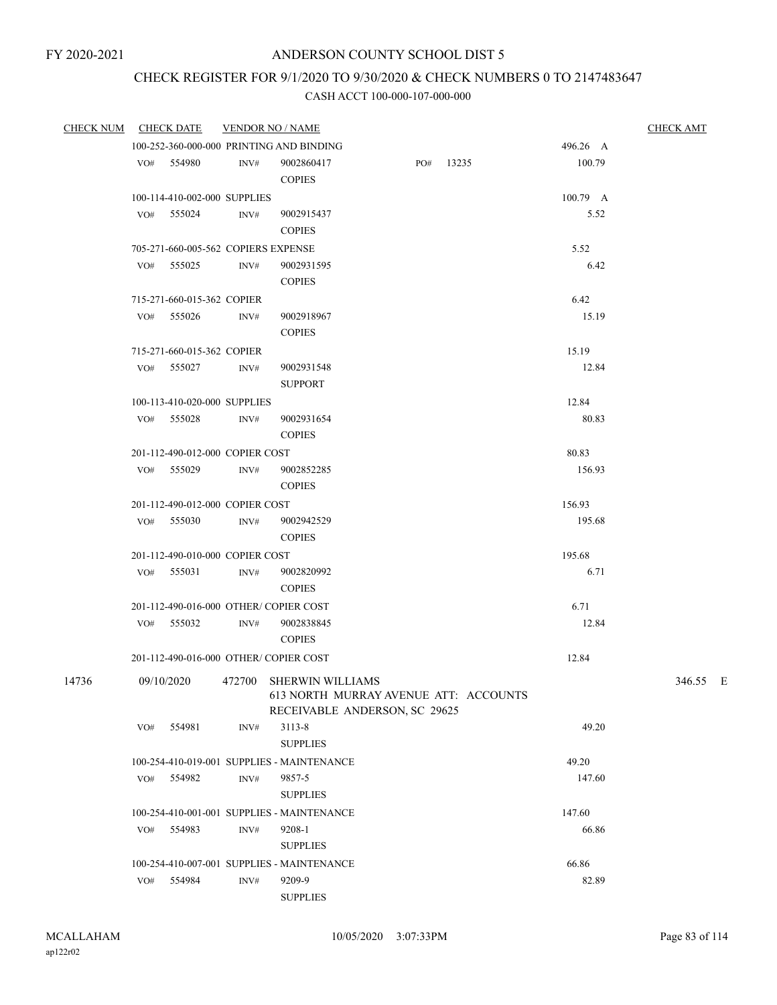# CHECK REGISTER FOR 9/1/2020 TO 9/30/2020 & CHECK NUMBERS 0 TO 2147483647

| <b>CHECK NUM</b> |     | <b>CHECK DATE</b>                   |                | <b>VENDOR NO / NAME</b>                                          |     |       |          | <b>CHECK AMT</b> |
|------------------|-----|-------------------------------------|----------------|------------------------------------------------------------------|-----|-------|----------|------------------|
|                  |     |                                     |                | 100-252-360-000-000 PRINTING AND BINDING                         |     |       | 496.26 A |                  |
|                  |     | VO# 554980                          | INV#           | 9002860417<br><b>COPIES</b>                                      | PO# | 13235 | 100.79   |                  |
|                  |     | 100-114-410-002-000 SUPPLIES        |                |                                                                  |     |       | 100.79 A |                  |
|                  | VO# | 555024                              | INV#           | 9002915437                                                       |     |       | 5.52     |                  |
|                  |     |                                     |                | <b>COPIES</b>                                                    |     |       |          |                  |
|                  |     | 705-271-660-005-562 COPIERS EXPENSE |                |                                                                  |     |       | 5.52     |                  |
|                  |     | VO# 555025                          | INV#           | 9002931595                                                       |     |       | 6.42     |                  |
|                  |     |                                     |                | <b>COPIES</b>                                                    |     |       |          |                  |
|                  |     | 715-271-660-015-362 COPIER          |                |                                                                  |     |       | 6.42     |                  |
|                  | VO# | 555026                              | INV#           | 9002918967                                                       |     |       | 15.19    |                  |
|                  |     |                                     |                | <b>COPIES</b>                                                    |     |       |          |                  |
|                  |     | 715-271-660-015-362 COPIER          |                |                                                                  |     |       | 15.19    |                  |
|                  |     | VO# 555027                          | INV#           | 9002931548                                                       |     |       | 12.84    |                  |
|                  |     |                                     |                | <b>SUPPORT</b>                                                   |     |       |          |                  |
|                  |     | 100-113-410-020-000 SUPPLIES        |                |                                                                  |     |       | 12.84    |                  |
|                  |     | VO# 555028                          | INV#           | 9002931654                                                       |     |       | 80.83    |                  |
|                  |     |                                     |                | <b>COPIES</b>                                                    |     |       |          |                  |
|                  |     | 201-112-490-012-000 COPIER COST     |                |                                                                  |     |       | 80.83    |                  |
|                  |     | VO# 555029                          | INV#           | 9002852285                                                       |     |       | 156.93   |                  |
|                  |     |                                     |                | <b>COPIES</b>                                                    |     |       |          |                  |
|                  |     | 201-112-490-012-000 COPIER COST     |                |                                                                  |     |       | 156.93   |                  |
|                  |     | VO# 555030                          | INV#           | 9002942529<br><b>COPIES</b>                                      |     |       | 195.68   |                  |
|                  |     | 201-112-490-010-000 COPIER COST     |                |                                                                  |     |       | 195.68   |                  |
|                  | VO# | 555031                              | INV#           | 9002820992                                                       |     |       | 6.71     |                  |
|                  |     |                                     |                | <b>COPIES</b>                                                    |     |       |          |                  |
|                  |     |                                     |                | 201-112-490-016-000 OTHER/COPIER COST                            |     |       | 6.71     |                  |
|                  |     | VO# 555032                          | $\text{INV}\#$ | 9002838845                                                       |     |       | 12.84    |                  |
|                  |     |                                     |                | <b>COPIES</b>                                                    |     |       |          |                  |
|                  |     |                                     |                | 201-112-490-016-000 OTHER/COPIER COST                            |     |       | 12.84    |                  |
| 14736            |     | 09/10/2020                          |                | 472700 SHERWIN WILLIAMS<br>613 NORTH MURRAY AVENUE ATT: ACCOUNTS |     |       |          | 346.55 E         |
|                  |     |                                     |                | RECEIVABLE ANDERSON, SC 29625                                    |     |       | 49.20    |                  |
|                  | VO# | 554981                              | INV#           | 3113-8<br><b>SUPPLIES</b>                                        |     |       |          |                  |
|                  |     |                                     |                | 100-254-410-019-001 SUPPLIES - MAINTENANCE                       |     |       | 49.20    |                  |
|                  |     | VO# 554982                          | INV#           | 9857-5<br><b>SUPPLIES</b>                                        |     |       | 147.60   |                  |
|                  |     |                                     |                | 100-254-410-001-001 SUPPLIES - MAINTENANCE                       |     |       | 147.60   |                  |
|                  | VO# | 554983                              | INV#           | 9208-1                                                           |     |       | 66.86    |                  |
|                  |     |                                     |                | <b>SUPPLIES</b>                                                  |     |       |          |                  |
|                  |     |                                     |                | 100-254-410-007-001 SUPPLIES - MAINTENANCE                       |     |       | 66.86    |                  |
|                  | VO# | 554984                              | INV#           | 9209-9                                                           |     |       | 82.89    |                  |
|                  |     |                                     |                | <b>SUPPLIES</b>                                                  |     |       |          |                  |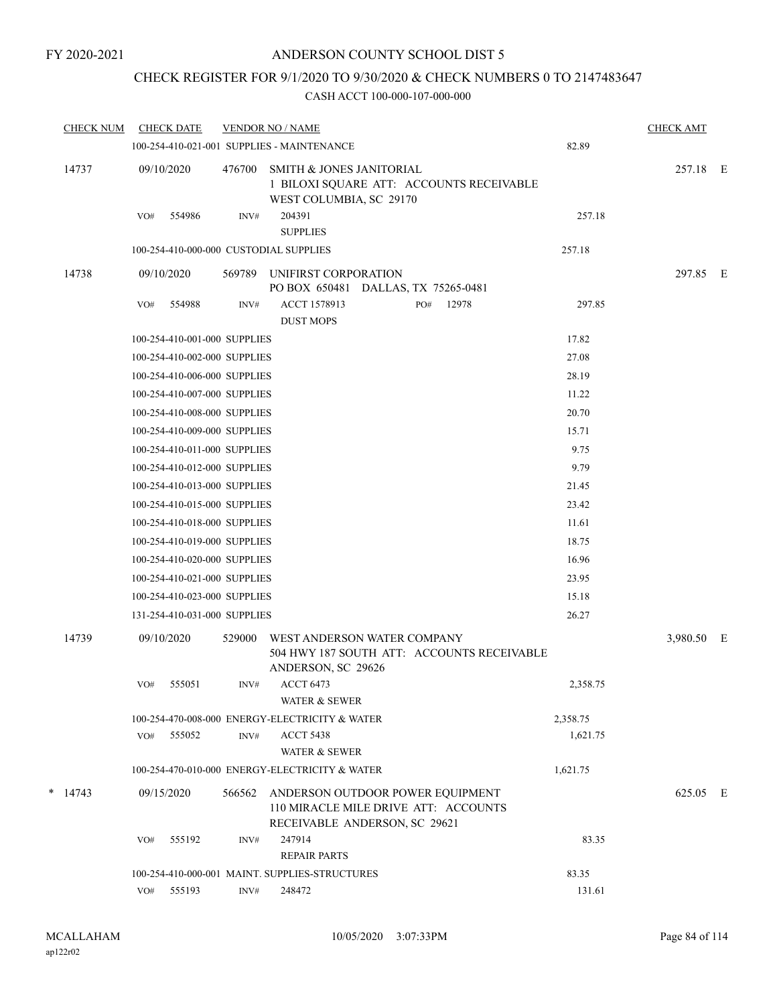# CHECK REGISTER FOR 9/1/2020 TO 9/30/2020 & CHECK NUMBERS 0 TO 2147483647

| <b>CHECK NUM</b> |     | <b>CHECK DATE</b>            |        | <b>VENDOR NO / NAME</b>                                                                                   |     |       |          | <b>CHECK AMT</b> |  |
|------------------|-----|------------------------------|--------|-----------------------------------------------------------------------------------------------------------|-----|-------|----------|------------------|--|
|                  |     |                              |        | 100-254-410-021-001 SUPPLIES - MAINTENANCE                                                                |     |       | 82.89    |                  |  |
| 14737            |     | 09/10/2020                   | 476700 | SMITH & JONES JANITORIAL<br>1 BILOXI SQUARE ATT: ACCOUNTS RECEIVABLE<br>WEST COLUMBIA, SC 29170           |     |       |          | 257.18 E         |  |
|                  | VO# | 554986                       | INV#   | 204391<br><b>SUPPLIES</b>                                                                                 |     |       | 257.18   |                  |  |
|                  |     |                              |        | 100-254-410-000-000 CUSTODIAL SUPPLIES                                                                    |     |       | 257.18   |                  |  |
| 14738            |     | 09/10/2020                   | 569789 | UNIFIRST CORPORATION<br>PO BOX 650481 DALLAS, TX 75265-0481                                               |     |       |          | 297.85 E         |  |
|                  | VO# | 554988                       | INV#   | ACCT 1578913<br><b>DUST MOPS</b>                                                                          | PO# | 12978 | 297.85   |                  |  |
|                  |     | 100-254-410-001-000 SUPPLIES |        |                                                                                                           |     |       | 17.82    |                  |  |
|                  |     | 100-254-410-002-000 SUPPLIES |        |                                                                                                           |     |       | 27.08    |                  |  |
|                  |     | 100-254-410-006-000 SUPPLIES |        |                                                                                                           |     |       | 28.19    |                  |  |
|                  |     | 100-254-410-007-000 SUPPLIES |        |                                                                                                           |     |       | 11.22    |                  |  |
|                  |     | 100-254-410-008-000 SUPPLIES |        |                                                                                                           |     |       | 20.70    |                  |  |
|                  |     | 100-254-410-009-000 SUPPLIES |        |                                                                                                           |     |       | 15.71    |                  |  |
|                  |     | 100-254-410-011-000 SUPPLIES |        |                                                                                                           |     |       | 9.75     |                  |  |
|                  |     | 100-254-410-012-000 SUPPLIES |        |                                                                                                           |     |       | 9.79     |                  |  |
|                  |     | 100-254-410-013-000 SUPPLIES |        |                                                                                                           |     |       | 21.45    |                  |  |
|                  |     | 100-254-410-015-000 SUPPLIES |        |                                                                                                           |     |       | 23.42    |                  |  |
|                  |     | 100-254-410-018-000 SUPPLIES |        |                                                                                                           |     |       | 11.61    |                  |  |
|                  |     | 100-254-410-019-000 SUPPLIES |        |                                                                                                           |     |       | 18.75    |                  |  |
|                  |     | 100-254-410-020-000 SUPPLIES |        |                                                                                                           |     |       | 16.96    |                  |  |
|                  |     | 100-254-410-021-000 SUPPLIES |        |                                                                                                           |     |       | 23.95    |                  |  |
|                  |     | 100-254-410-023-000 SUPPLIES |        |                                                                                                           |     |       | 15.18    |                  |  |
|                  |     | 131-254-410-031-000 SUPPLIES |        |                                                                                                           |     |       | 26.27    |                  |  |
| 14739            |     | 09/10/2020                   | 529000 | WEST ANDERSON WATER COMPANY<br>504 HWY 187 SOUTH ATT: ACCOUNTS RECEIVABLE<br>ANDERSON, SC 29626           |     |       |          | 3,980.50 E       |  |
|                  | VO# | 555051                       | INV#   | <b>ACCT 6473</b><br>WATER & SEWER                                                                         |     |       | 2,358.75 |                  |  |
|                  |     |                              |        | 100-254-470-008-000 ENERGY-ELECTRICITY & WATER                                                            |     |       | 2,358.75 |                  |  |
|                  | VO# | 555052                       | INV#   | <b>ACCT 5438</b>                                                                                          |     |       | 1,621.75 |                  |  |
|                  |     |                              |        | WATER & SEWER                                                                                             |     |       |          |                  |  |
|                  |     |                              |        | 100-254-470-010-000 ENERGY-ELECTRICITY & WATER                                                            |     |       | 1,621.75 |                  |  |
| $*$ 14743        |     | 09/15/2020                   | 566562 | ANDERSON OUTDOOR POWER EQUIPMENT<br>110 MIRACLE MILE DRIVE ATT: ACCOUNTS<br>RECEIVABLE ANDERSON, SC 29621 |     |       |          | 625.05 E         |  |
|                  | VO# | 555192                       | INV#   | 247914<br><b>REPAIR PARTS</b>                                                                             |     |       | 83.35    |                  |  |
|                  |     |                              |        | 100-254-410-000-001 MAINT. SUPPLIES-STRUCTURES                                                            |     |       | 83.35    |                  |  |
|                  |     | VO# 555193                   | INV#   | 248472                                                                                                    |     |       | 131.61   |                  |  |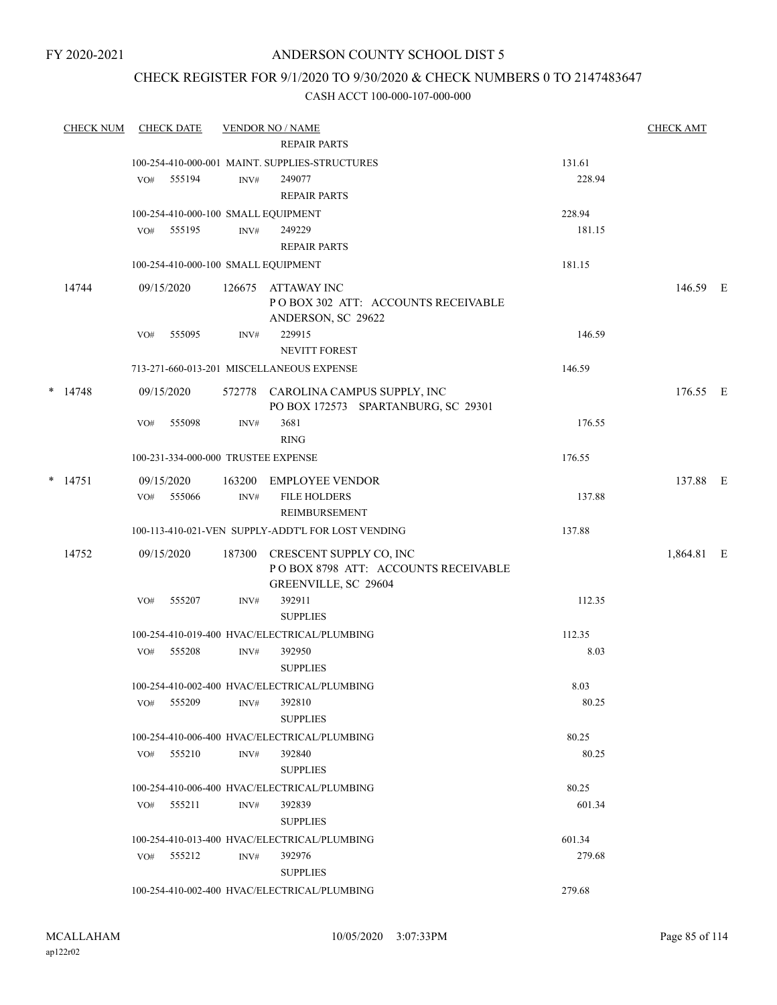# ANDERSON COUNTY SCHOOL DIST 5

# CHECK REGISTER FOR 9/1/2020 TO 9/30/2020 & CHECK NUMBERS 0 TO 2147483647

| <b>CHECK NUM</b> |     | <b>CHECK DATE</b>                   |        | <b>VENDOR NO / NAME</b><br><b>REPAIR PARTS</b>                                         |        | <b>CHECK AMT</b> |  |
|------------------|-----|-------------------------------------|--------|----------------------------------------------------------------------------------------|--------|------------------|--|
|                  |     |                                     |        | 100-254-410-000-001 MAINT. SUPPLIES-STRUCTURES                                         | 131.61 |                  |  |
|                  | VO# | 555194                              | INV#   | 249077                                                                                 | 228.94 |                  |  |
|                  |     |                                     |        | <b>REPAIR PARTS</b>                                                                    |        |                  |  |
|                  |     |                                     |        | 100-254-410-000-100 SMALL EQUIPMENT                                                    | 228.94 |                  |  |
|                  |     | VO# 555195                          | INV#   | 249229                                                                                 | 181.15 |                  |  |
|                  |     |                                     |        | <b>REPAIR PARTS</b>                                                                    |        |                  |  |
|                  |     |                                     |        | 100-254-410-000-100 SMALL EQUIPMENT                                                    | 181.15 |                  |  |
| 14744            |     | 09/15/2020                          | 126675 | ATTAWAY INC<br>PO BOX 302 ATT: ACCOUNTS RECEIVABLE<br>ANDERSON, SC 29622               |        | 146.59 E         |  |
|                  | VO# | 555095                              | INV#   | 229915<br><b>NEVITT FOREST</b>                                                         | 146.59 |                  |  |
|                  |     |                                     |        | 713-271-660-013-201 MISCELLANEOUS EXPENSE                                              | 146.59 |                  |  |
| $*$ 14748        |     | 09/15/2020                          | 572778 | CAROLINA CAMPUS SUPPLY, INC                                                            |        | 176.55 E         |  |
|                  | VO# | 555098                              | INV#   | PO BOX 172573 SPARTANBURG, SC 29301<br>3681<br><b>RING</b>                             | 176.55 |                  |  |
|                  |     | 100-231-334-000-000 TRUSTEE EXPENSE |        |                                                                                        | 176.55 |                  |  |
| $*$ 14751        |     | 09/15/2020                          |        | 163200 EMPLOYEE VENDOR                                                                 |        | 137.88 E         |  |
|                  |     | VO# 555066                          | INV#   | <b>FILE HOLDERS</b><br>REIMBURSEMENT                                                   | 137.88 |                  |  |
|                  |     |                                     |        | 100-113-410-021-VEN SUPPLY-ADDT'L FOR LOST VENDING                                     | 137.88 |                  |  |
| 14752            |     | 09/15/2020                          | 187300 | CRESCENT SUPPLY CO, INC<br>POBOX 8798 ATT: ACCOUNTS RECEIVABLE<br>GREENVILLE, SC 29604 |        | 1,864.81 E       |  |
|                  | VO# | 555207                              | INV#   | 392911<br><b>SUPPLIES</b>                                                              | 112.35 |                  |  |
|                  |     |                                     |        | 100-254-410-019-400 HVAC/ELECTRICAL/PLUMBING                                           | 112.35 |                  |  |
|                  | VO# | 555208                              | INV#   | 392950<br><b>SUPPLIES</b>                                                              | 8.03   |                  |  |
|                  |     |                                     |        | 100-254-410-002-400 HVAC/ELECTRICAL/PLUMBING                                           | 8.03   |                  |  |
|                  |     | VO# 555209                          | INV#   | 392810<br><b>SUPPLIES</b>                                                              | 80.25  |                  |  |
|                  |     |                                     |        | 100-254-410-006-400 HVAC/ELECTRICAL/PLUMBING                                           | 80.25  |                  |  |
|                  |     | $VO#$ 555210                        | INV#   | 392840<br><b>SUPPLIES</b>                                                              | 80.25  |                  |  |
|                  |     |                                     |        | 100-254-410-006-400 HVAC/ELECTRICAL/PLUMBING                                           | 80.25  |                  |  |
|                  |     | VO# 555211                          | INV#   | 392839<br><b>SUPPLIES</b>                                                              | 601.34 |                  |  |
|                  |     |                                     |        | 100-254-410-013-400 HVAC/ELECTRICAL/PLUMBING                                           | 601.34 |                  |  |
|                  |     | VO# 555212                          | INV#   | 392976                                                                                 | 279.68 |                  |  |
|                  |     |                                     |        | <b>SUPPLIES</b><br>100-254-410-002-400 HVAC/ELECTRICAL/PLUMBING                        | 279.68 |                  |  |
|                  |     |                                     |        |                                                                                        |        |                  |  |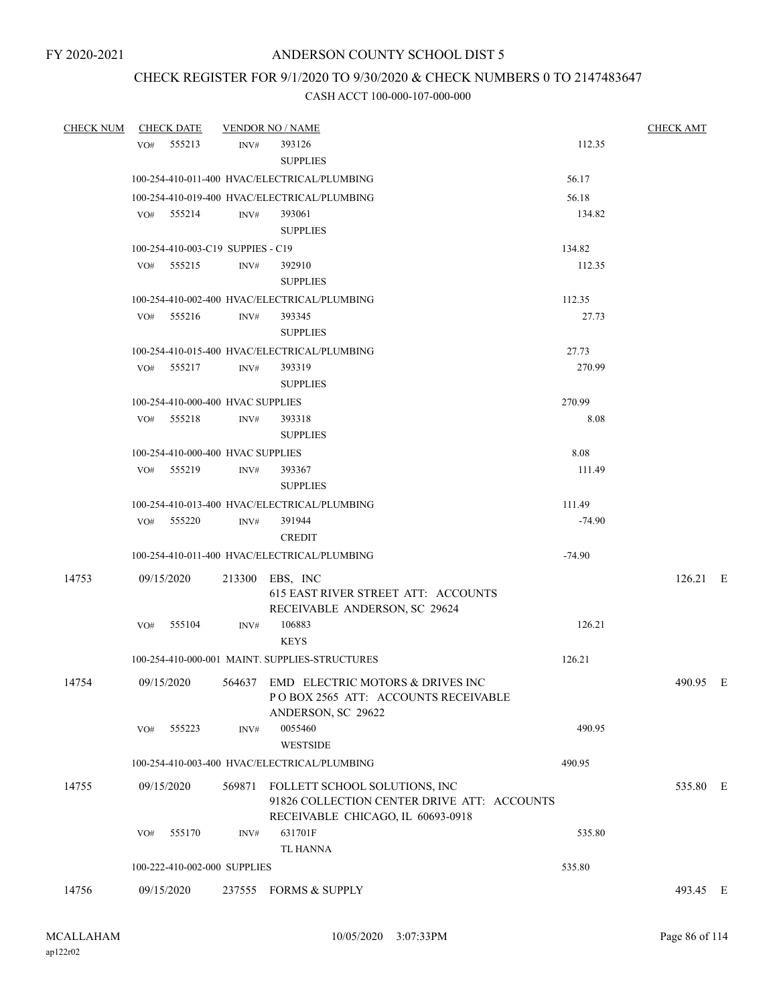# CHECK REGISTER FOR 9/1/2020 TO 9/30/2020 & CHECK NUMBERS 0 TO 2147483647

| CHECK NUM | CHECK DATE    |                                   | <b>VENDOR NO / NAME</b>                                                                                                  |          | <b>CHECK AMT</b> |
|-----------|---------------|-----------------------------------|--------------------------------------------------------------------------------------------------------------------------|----------|------------------|
|           | VO# 555213    | INV#                              | 393126                                                                                                                   | 112.35   |                  |
|           |               |                                   | <b>SUPPLIES</b>                                                                                                          |          |                  |
|           |               |                                   | 100-254-410-011-400 HVAC/ELECTRICAL/PLUMBING                                                                             | 56.17    |                  |
|           |               |                                   | 100-254-410-019-400 HVAC/ELECTRICAL/PLUMBING                                                                             | 56.18    |                  |
|           | VO# 555214    | INV#                              | 393061                                                                                                                   | 134.82   |                  |
|           |               |                                   | <b>SUPPLIES</b>                                                                                                          |          |                  |
|           |               | 100-254-410-003-C19 SUPPIES - C19 |                                                                                                                          | 134.82   |                  |
|           | VO# 555215    | INV#                              | 392910<br><b>SUPPLIES</b>                                                                                                | 112.35   |                  |
|           |               |                                   | 100-254-410-002-400 HVAC/ELECTRICAL/PLUMBING                                                                             | 112.35   |                  |
|           | VO# 555216    | INV#                              | 393345<br><b>SUPPLIES</b>                                                                                                | 27.73    |                  |
|           |               |                                   | 100-254-410-015-400 HVAC/ELECTRICAL/PLUMBING                                                                             | 27.73    |                  |
|           | VO# 555217    | INV#                              | 393319<br><b>SUPPLIES</b>                                                                                                | 270.99   |                  |
|           |               | 100-254-410-000-400 HVAC SUPPLIES |                                                                                                                          | 270.99   |                  |
|           | VO# 555218    | INV#                              | 393318                                                                                                                   | 8.08     |                  |
|           |               |                                   | <b>SUPPLIES</b>                                                                                                          |          |                  |
|           |               | 100-254-410-000-400 HVAC SUPPLIES |                                                                                                                          | 8.08     |                  |
|           | VO# 555219    | INV#                              | 393367                                                                                                                   | 111.49   |                  |
|           |               |                                   | <b>SUPPLIES</b>                                                                                                          |          |                  |
|           |               |                                   | 100-254-410-013-400 HVAC/ELECTRICAL/PLUMBING                                                                             | 111.49   |                  |
|           | VO# 555220    | INV#                              | 391944                                                                                                                   | $-74.90$ |                  |
|           |               |                                   | <b>CREDIT</b>                                                                                                            |          |                  |
|           |               |                                   | 100-254-410-011-400 HVAC/ELECTRICAL/PLUMBING                                                                             | $-74.90$ |                  |
| 14753     | 09/15/2020    |                                   | 213300 EBS, INC<br>615 EAST RIVER STREET ATT: ACCOUNTS<br>RECEIVABLE ANDERSON, SC 29624                                  |          | $126.21$ E       |
|           | 555104<br>VO# | INV#                              | 106883<br><b>KEYS</b>                                                                                                    | 126.21   |                  |
|           |               |                                   | 100-254-410-000-001 MAINT. SUPPLIES-STRUCTURES                                                                           | 126.21   |                  |
| 14754     | 09/15/2020    |                                   | 564637 EMD ELECTRIC MOTORS & DRIVES INC<br>POBOX 2565 ATT: ACCOUNTS RECEIVABLE<br>ANDERSON, SC 29622                     |          | 490.95 E         |
|           | VO#           | 555223<br>INV#                    | 0055460<br><b>WESTSIDE</b>                                                                                               | 490.95   |                  |
|           |               |                                   | 100-254-410-003-400 HVAC/ELECTRICAL/PLUMBING                                                                             | 490.95   |                  |
| 14755     | 09/15/2020    |                                   | 569871 FOLLETT SCHOOL SOLUTIONS, INC<br>91826 COLLECTION CENTER DRIVE ATT: ACCOUNTS<br>RECEIVABLE CHICAGO, IL 60693-0918 |          | 535.80 E         |
|           | VO#           | 555170<br>INV#                    | 631701F                                                                                                                  | 535.80   |                  |
|           |               |                                   | <b>TL HANNA</b>                                                                                                          |          |                  |
|           |               | 100-222-410-002-000 SUPPLIES      |                                                                                                                          | 535.80   |                  |
| 14756     | 09/15/2020    | 237555                            | FORMS & SUPPLY                                                                                                           |          | 493.45 E         |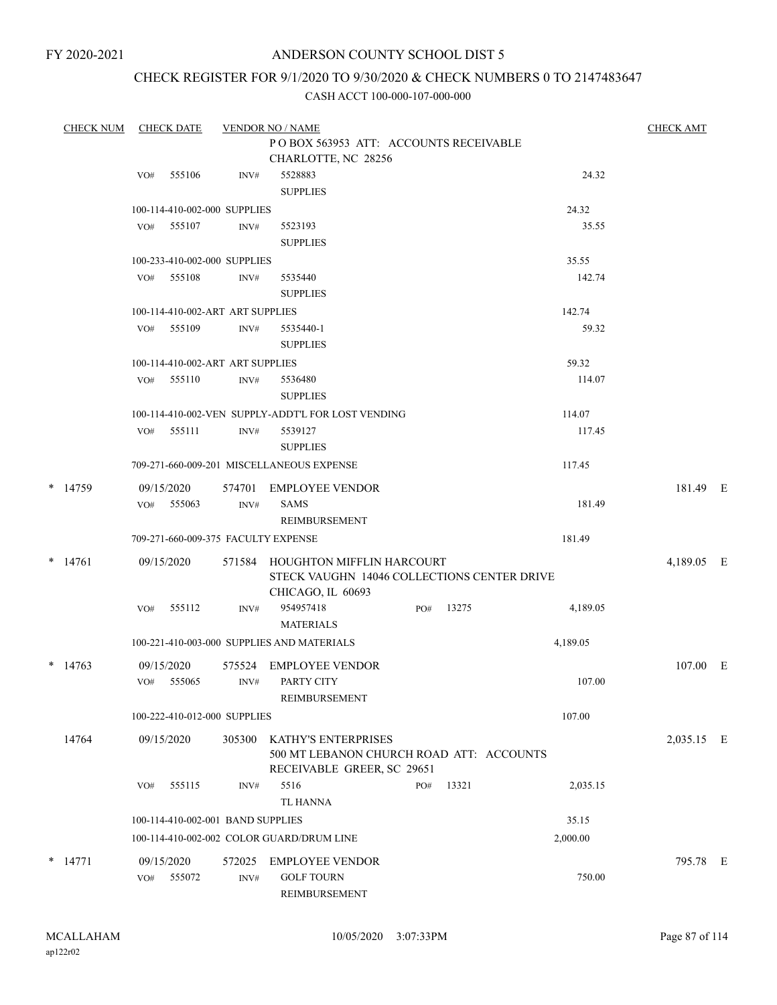# ANDERSON COUNTY SCHOOL DIST 5

# CHECK REGISTER FOR 9/1/2020 TO 9/30/2020 & CHECK NUMBERS 0 TO 2147483647

| <b>CHECK NUM</b> |     | <b>CHECK DATE</b>                 |        | <b>VENDOR NO / NAME</b>                                                  |     |       |          | <b>CHECK AMT</b> |  |
|------------------|-----|-----------------------------------|--------|--------------------------------------------------------------------------|-----|-------|----------|------------------|--|
|                  |     |                                   |        | POBOX 563953 ATT: ACCOUNTS RECEIVABLE                                    |     |       |          |                  |  |
|                  |     |                                   |        | CHARLOTTE, NC 28256                                                      |     |       |          |                  |  |
|                  | VO# | 555106                            | INV#   | 5528883                                                                  |     |       | 24.32    |                  |  |
|                  |     |                                   |        | <b>SUPPLIES</b>                                                          |     |       |          |                  |  |
|                  |     | 100-114-410-002-000 SUPPLIES      |        |                                                                          |     |       | 24.32    |                  |  |
|                  | VO# | 555107                            | INV#   | 5523193                                                                  |     |       | 35.55    |                  |  |
|                  |     |                                   |        | <b>SUPPLIES</b>                                                          |     |       |          |                  |  |
|                  |     | 100-233-410-002-000 SUPPLIES      |        |                                                                          |     |       | 35.55    |                  |  |
|                  | VO# | 555108                            | INV#   | 5535440                                                                  |     |       | 142.74   |                  |  |
|                  |     |                                   |        | <b>SUPPLIES</b>                                                          |     |       |          |                  |  |
|                  |     | 100-114-410-002-ART ART SUPPLIES  |        |                                                                          |     |       | 142.74   |                  |  |
|                  | VO# | 555109                            | INV#   | 5535440-1                                                                |     |       | 59.32    |                  |  |
|                  |     |                                   |        | <b>SUPPLIES</b>                                                          |     |       |          |                  |  |
|                  |     | 100-114-410-002-ART ART SUPPLIES  |        |                                                                          |     |       | 59.32    |                  |  |
|                  | VO# | 555110                            | INV#   | 5536480                                                                  |     |       | 114.07   |                  |  |
|                  |     |                                   |        | <b>SUPPLIES</b>                                                          |     |       |          |                  |  |
|                  |     |                                   |        | 100-114-410-002-VEN SUPPLY-ADDT'L FOR LOST VENDING                       |     |       | 114.07   |                  |  |
|                  | VO# | 555111                            | INV#   | 5539127                                                                  |     |       | 117.45   |                  |  |
|                  |     |                                   |        | <b>SUPPLIES</b>                                                          |     |       |          |                  |  |
|                  |     |                                   |        | 709-271-660-009-201 MISCELLANEOUS EXPENSE                                |     |       | 117.45   |                  |  |
| * 14759          |     | 09/15/2020                        | 574701 | <b>EMPLOYEE VENDOR</b>                                                   |     |       |          | 181.49 E         |  |
|                  | VO# | 555063                            | INV#   | <b>SAMS</b>                                                              |     |       | 181.49   |                  |  |
|                  |     |                                   |        | REIMBURSEMENT                                                            |     |       |          |                  |  |
|                  |     |                                   |        | 709-271-660-009-375 FACULTY EXPENSE                                      |     |       | 181.49   |                  |  |
|                  |     |                                   |        |                                                                          |     |       |          |                  |  |
| $*$ 14761        |     | 09/15/2020                        | 571584 | HOUGHTON MIFFLIN HARCOURT<br>STECK VAUGHN 14046 COLLECTIONS CENTER DRIVE |     |       |          | 4,189.05 E       |  |
|                  |     |                                   |        | CHICAGO, IL 60693                                                        |     |       |          |                  |  |
|                  | VO# | 555112                            | INV#   | 954957418                                                                | PO# | 13275 | 4,189.05 |                  |  |
|                  |     |                                   |        | <b>MATERIALS</b>                                                         |     |       |          |                  |  |
|                  |     |                                   |        | 100-221-410-003-000 SUPPLIES AND MATERIALS                               |     |       | 4,189.05 |                  |  |
|                  |     |                                   |        |                                                                          |     |       |          |                  |  |
| $*$ 14763        |     | 09/15/2020                        | 575524 | <b>EMPLOYEE VENDOR</b>                                                   |     |       |          | 107.00 E         |  |
|                  |     | VO# 555065                        | INV#   | PARTY CITY                                                               |     |       | 107.00   |                  |  |
|                  |     |                                   |        | REIMBURSEMENT                                                            |     |       |          |                  |  |
|                  |     | 100-222-410-012-000 SUPPLIES      |        |                                                                          |     |       | 107.00   |                  |  |
| 14764            |     | 09/15/2020                        | 305300 | KATHY'S ENTERPRISES                                                      |     |       |          | 2,035.15 E       |  |
|                  |     |                                   |        | 500 MT LEBANON CHURCH ROAD ATT: ACCOUNTS                                 |     |       |          |                  |  |
|                  |     |                                   |        | RECEIVABLE GREER, SC 29651                                               |     |       |          |                  |  |
|                  | VO# | 555115                            | INV#   | 5516                                                                     | PO# | 13321 | 2,035.15 |                  |  |
|                  |     |                                   |        | <b>TL HANNA</b>                                                          |     |       |          |                  |  |
|                  |     | 100-114-410-002-001 BAND SUPPLIES |        |                                                                          |     |       | 35.15    |                  |  |
|                  |     |                                   |        | 100-114-410-002-002 COLOR GUARD/DRUM LINE                                |     |       | 2,000.00 |                  |  |
| $*$ 14771        |     | 09/15/2020                        | 572025 | <b>EMPLOYEE VENDOR</b>                                                   |     |       |          | 795.78 E         |  |
|                  | VO# | 555072                            | INV#   | <b>GOLF TOURN</b>                                                        |     |       | 750.00   |                  |  |
|                  |     |                                   |        | REIMBURSEMENT                                                            |     |       |          |                  |  |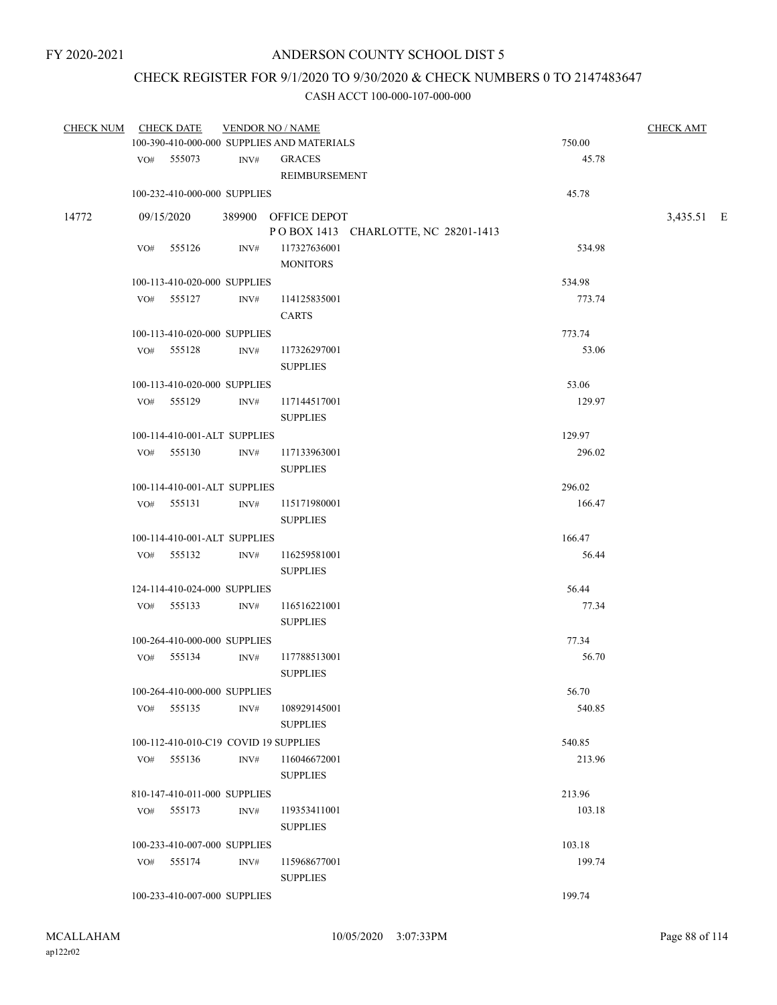# CHECK REGISTER FOR 9/1/2020 TO 9/30/2020 & CHECK NUMBERS 0 TO 2147483647

| CHECK NUM | <b>CHECK DATE</b> | <b>VENDOR NO / NAME</b>               |                                            |        | <b>CHECK AMT</b> |  |
|-----------|-------------------|---------------------------------------|--------------------------------------------|--------|------------------|--|
|           |                   |                                       | 100-390-410-000-000 SUPPLIES AND MATERIALS | 750.00 |                  |  |
|           | VO# 555073        | INV#                                  | <b>GRACES</b><br>REIMBURSEMENT             | 45.78  |                  |  |
|           |                   | 100-232-410-000-000 SUPPLIES          |                                            | 45.78  |                  |  |
| 14772     | 09/15/2020        |                                       | 389900 OFFICE DEPOT                        |        | 3,435.51 E       |  |
|           |                   |                                       | POBOX 1413 CHARLOTTE, NC 28201-1413        |        |                  |  |
|           | VO# 555126        | INV#                                  | 117327636001<br><b>MONITORS</b>            | 534.98 |                  |  |
|           |                   | 100-113-410-020-000 SUPPLIES          |                                            | 534.98 |                  |  |
|           | VO# 555127        | INV#                                  | 114125835001<br><b>CARTS</b>               | 773.74 |                  |  |
|           |                   | 100-113-410-020-000 SUPPLIES          |                                            | 773.74 |                  |  |
|           | VO# 555128        | INV#                                  | 117326297001<br><b>SUPPLIES</b>            | 53.06  |                  |  |
|           |                   | 100-113-410-020-000 SUPPLIES          |                                            | 53.06  |                  |  |
|           | VO# 555129        | INV#                                  | 117144517001<br><b>SUPPLIES</b>            | 129.97 |                  |  |
|           |                   | 100-114-410-001-ALT SUPPLIES          |                                            | 129.97 |                  |  |
|           | VO# 555130        | INV#                                  | 117133963001<br><b>SUPPLIES</b>            | 296.02 |                  |  |
|           |                   | 100-114-410-001-ALT SUPPLIES          |                                            | 296.02 |                  |  |
|           | VO# 555131        | INV#                                  | 115171980001<br><b>SUPPLIES</b>            | 166.47 |                  |  |
|           |                   | 100-114-410-001-ALT SUPPLIES          |                                            | 166.47 |                  |  |
|           | VO# 555132        | INV#                                  | 116259581001<br><b>SUPPLIES</b>            | 56.44  |                  |  |
|           |                   | 124-114-410-024-000 SUPPLIES          |                                            | 56.44  |                  |  |
|           | VO# 555133        | INV#                                  | 116516221001<br><b>SUPPLIES</b>            | 77.34  |                  |  |
|           |                   | 100-264-410-000-000 SUPPLIES          |                                            | 77.34  |                  |  |
|           | VO# 555134        | INV#                                  | 117788513001<br><b>SUPPLIES</b>            | 56.70  |                  |  |
|           |                   | 100-264-410-000-000 SUPPLIES          |                                            | 56.70  |                  |  |
|           | VO# 555135        | INV#                                  | 108929145001<br><b>SUPPLIES</b>            | 540.85 |                  |  |
|           |                   | 100-112-410-010-C19 COVID 19 SUPPLIES |                                            | 540.85 |                  |  |
|           | VO# 555136        | INV#                                  | 116046672001<br><b>SUPPLIES</b>            | 213.96 |                  |  |
|           |                   | 810-147-410-011-000 SUPPLIES          |                                            | 213.96 |                  |  |
|           | VO# 555173        | INV#                                  | 119353411001<br><b>SUPPLIES</b>            | 103.18 |                  |  |
|           |                   | 100-233-410-007-000 SUPPLIES          |                                            | 103.18 |                  |  |
|           | VO# 555174        | INV#                                  | 115968677001<br><b>SUPPLIES</b>            | 199.74 |                  |  |
|           |                   | 100-233-410-007-000 SUPPLIES          |                                            | 199.74 |                  |  |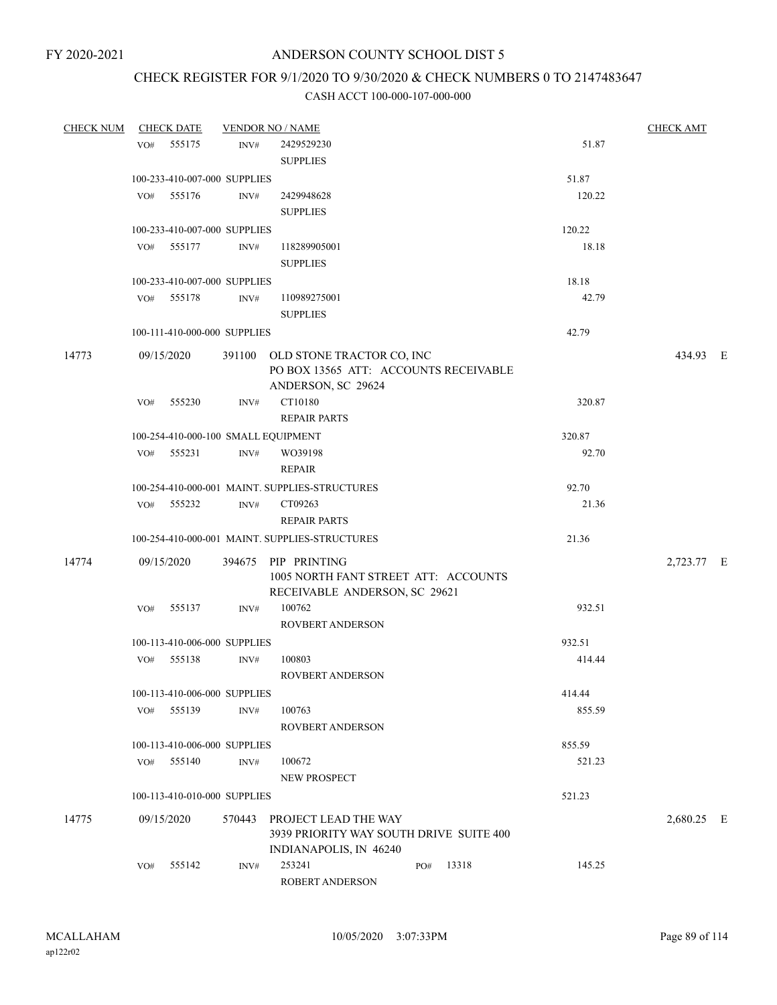# CHECK REGISTER FOR 9/1/2020 TO 9/30/2020 & CHECK NUMBERS 0 TO 2147483647

| <b>CHECK NUM</b> |     | <b>CHECK DATE</b>            |        | <b>VENDOR NO / NAME</b>                                                                         |     |       |        | <b>CHECK AMT</b> |  |
|------------------|-----|------------------------------|--------|-------------------------------------------------------------------------------------------------|-----|-------|--------|------------------|--|
|                  | VO# | 555175                       | INV#   | 2429529230                                                                                      |     |       | 51.87  |                  |  |
|                  |     |                              |        | <b>SUPPLIES</b>                                                                                 |     |       |        |                  |  |
|                  |     | 100-233-410-007-000 SUPPLIES |        |                                                                                                 |     |       | 51.87  |                  |  |
|                  | VO# | 555176                       | INV#   | 2429948628                                                                                      |     |       | 120.22 |                  |  |
|                  |     |                              |        | <b>SUPPLIES</b>                                                                                 |     |       |        |                  |  |
|                  |     | 100-233-410-007-000 SUPPLIES |        |                                                                                                 |     |       | 120.22 |                  |  |
|                  |     | VO# 555177                   | INV#   | 118289905001                                                                                    |     |       | 18.18  |                  |  |
|                  |     |                              |        | <b>SUPPLIES</b>                                                                                 |     |       |        |                  |  |
|                  |     | 100-233-410-007-000 SUPPLIES |        |                                                                                                 |     |       | 18.18  |                  |  |
|                  | VO# | 555178                       | INV#   | 110989275001                                                                                    |     |       | 42.79  |                  |  |
|                  |     |                              |        | <b>SUPPLIES</b>                                                                                 |     |       |        |                  |  |
|                  |     | 100-111-410-000-000 SUPPLIES |        |                                                                                                 |     |       | 42.79  |                  |  |
| 14773            |     | 09/15/2020                   |        | 391100 OLD STONE TRACTOR CO, INC<br>PO BOX 13565 ATT: ACCOUNTS RECEIVABLE<br>ANDERSON, SC 29624 |     |       |        | 434.93 E         |  |
|                  | VO# | 555230                       | INV#   | CT10180                                                                                         |     |       | 320.87 |                  |  |
|                  |     |                              |        | <b>REPAIR PARTS</b>                                                                             |     |       |        |                  |  |
|                  |     |                              |        | 100-254-410-000-100 SMALL EQUIPMENT                                                             |     |       | 320.87 |                  |  |
|                  |     | VO# 555231                   | INV#   | WO39198                                                                                         |     |       | 92.70  |                  |  |
|                  |     |                              |        | <b>REPAIR</b>                                                                                   |     |       |        |                  |  |
|                  |     |                              |        | 100-254-410-000-001 MAINT. SUPPLIES-STRUCTURES                                                  |     |       | 92.70  |                  |  |
|                  |     | VO# 555232                   | INV#   | CT09263                                                                                         |     |       | 21.36  |                  |  |
|                  |     |                              |        | <b>REPAIR PARTS</b>                                                                             |     |       |        |                  |  |
|                  |     |                              |        | 100-254-410-000-001 MAINT. SUPPLIES-STRUCTURES                                                  |     |       | 21.36  |                  |  |
| 14774            |     | 09/15/2020                   |        | 394675 PIP PRINTING<br>1005 NORTH FANT STREET ATT: ACCOUNTS<br>RECEIVABLE ANDERSON, SC 29621    |     |       |        | 2,723.77 E       |  |
|                  | VO# | 555137                       | INV#   | 100762<br><b>ROVBERT ANDERSON</b>                                                               |     |       | 932.51 |                  |  |
|                  |     | 100-113-410-006-000 SUPPLIES |        |                                                                                                 |     |       | 932.51 |                  |  |
|                  | VO# | 555138                       | INV#   | 100803                                                                                          |     |       | 414.44 |                  |  |
|                  |     |                              |        | <b>ROVBERT ANDERSON</b>                                                                         |     |       |        |                  |  |
|                  |     | 100-113-410-006-000 SUPPLIES |        |                                                                                                 |     |       | 414.44 |                  |  |
|                  | VO# | 555139                       | INV#   | 100763                                                                                          |     |       | 855.59 |                  |  |
|                  |     |                              |        | <b>ROVBERT ANDERSON</b>                                                                         |     |       |        |                  |  |
|                  |     | 100-113-410-006-000 SUPPLIES |        |                                                                                                 |     |       | 855.59 |                  |  |
|                  | VO# | 555140                       | INV#   | 100672                                                                                          |     |       | 521.23 |                  |  |
|                  |     |                              |        | NEW PROSPECT                                                                                    |     |       |        |                  |  |
|                  |     | 100-113-410-010-000 SUPPLIES |        |                                                                                                 |     |       | 521.23 |                  |  |
| 14775            |     | 09/15/2020                   | 570443 | PROJECT LEAD THE WAY<br>3939 PRIORITY WAY SOUTH DRIVE SUITE 400<br>INDIANAPOLIS, IN 46240       |     |       |        | 2,680.25 E       |  |
|                  | VO# | 555142                       | INV#   | 253241<br>ROBERT ANDERSON                                                                       | PO# | 13318 | 145.25 |                  |  |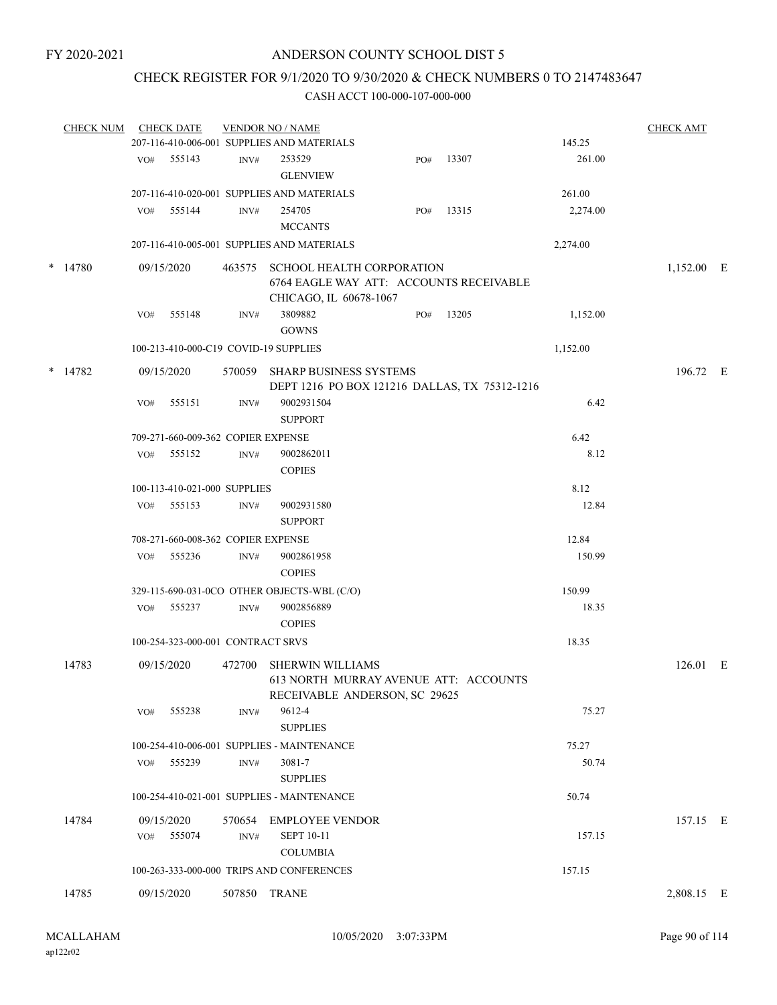# CHECK REGISTER FOR 9/1/2020 TO 9/30/2020 & CHECK NUMBERS 0 TO 2147483647

|        | <b>CHECK NUM</b> |     | <b>CHECK DATE</b>                  |        | <b>VENDOR NO / NAME</b>                                                                               |     |       |          | <b>CHECK AMT</b> |  |
|--------|------------------|-----|------------------------------------|--------|-------------------------------------------------------------------------------------------------------|-----|-------|----------|------------------|--|
|        |                  |     |                                    |        | 207-116-410-006-001 SUPPLIES AND MATERIALS                                                            |     |       | 145.25   |                  |  |
|        |                  |     | VO# 555143                         | INV#   | 253529<br><b>GLENVIEW</b>                                                                             | PO# | 13307 | 261.00   |                  |  |
|        |                  |     |                                    |        | 207-116-410-020-001 SUPPLIES AND MATERIALS                                                            |     |       | 261.00   |                  |  |
|        |                  | VO# | 555144                             | INV#   | 254705                                                                                                | PO# | 13315 | 2,274.00 |                  |  |
|        |                  |     |                                    |        | <b>MCCANTS</b>                                                                                        |     |       |          |                  |  |
|        |                  |     |                                    |        | 207-116-410-005-001 SUPPLIES AND MATERIALS                                                            |     |       | 2,274.00 |                  |  |
|        | $*$ 14780        |     | 09/15/2020                         |        | 463575 SCHOOL HEALTH CORPORATION<br>6764 EAGLE WAY ATT: ACCOUNTS RECEIVABLE<br>CHICAGO, IL 60678-1067 |     |       |          | 1,152.00 E       |  |
|        |                  | VO# | 555148                             | INV#   | 3809882<br><b>GOWNS</b>                                                                               | PO# | 13205 | 1,152.00 |                  |  |
|        |                  |     |                                    |        | 100-213-410-000-C19 COVID-19 SUPPLIES                                                                 |     |       | 1,152.00 |                  |  |
| $\ast$ | 14782            |     | 09/15/2020                         |        | 570059 SHARP BUSINESS SYSTEMS<br>DEPT 1216 PO BOX 121216 DALLAS, TX 75312-1216                        |     |       |          | 196.72 E         |  |
|        |                  | VO# | 555151                             | INV#   | 9002931504<br><b>SUPPORT</b>                                                                          |     |       | 6.42     |                  |  |
|        |                  |     | 709-271-660-009-362 COPIER EXPENSE |        |                                                                                                       |     |       | 6.42     |                  |  |
|        |                  | VO# | 555152                             | INV#   | 9002862011<br><b>COPIES</b>                                                                           |     |       | 8.12     |                  |  |
|        |                  |     | 100-113-410-021-000 SUPPLIES       |        |                                                                                                       |     |       | 8.12     |                  |  |
|        |                  | VO# | 555153                             | INV#   | 9002931580<br><b>SUPPORT</b>                                                                          |     |       | 12.84    |                  |  |
|        |                  |     | 708-271-660-008-362 COPIER EXPENSE |        |                                                                                                       |     |       | 12.84    |                  |  |
|        |                  | VO# | 555236                             | INV#   | 9002861958                                                                                            |     |       | 150.99   |                  |  |
|        |                  |     |                                    |        | <b>COPIES</b>                                                                                         |     |       |          |                  |  |
|        |                  |     |                                    |        | 329-115-690-031-0CO OTHER OBJECTS-WBL (C/O)                                                           |     |       | 150.99   |                  |  |
|        |                  | VO# | 555237                             | INV#   | 9002856889<br><b>COPIES</b>                                                                           |     |       | 18.35    |                  |  |
|        |                  |     | 100-254-323-000-001 CONTRACT SRVS  |        |                                                                                                       |     |       | 18.35    |                  |  |
|        | 14783            |     | 09/15/2020                         | 472700 | <b>SHERWIN WILLIAMS</b><br>613 NORTH MURRAY AVENUE ATT: ACCOUNTS<br>RECEIVABLE ANDERSON, SC 29625     |     |       |          | 126.01 E         |  |
|        |                  | VO# | 555238                             | INV#   | 9612-4<br><b>SUPPLIES</b>                                                                             |     |       | 75.27    |                  |  |
|        |                  |     |                                    |        | 100-254-410-006-001 SUPPLIES - MAINTENANCE                                                            |     |       | 75.27    |                  |  |
|        |                  | VO# | 555239                             | INV#   | 3081-7<br><b>SUPPLIES</b>                                                                             |     |       | 50.74    |                  |  |
|        |                  |     |                                    |        | 100-254-410-021-001 SUPPLIES - MAINTENANCE                                                            |     |       | 50.74    |                  |  |
|        | 14784            |     | 09/15/2020                         |        | 570654 EMPLOYEE VENDOR                                                                                |     |       |          | 157.15 E         |  |
|        |                  | VO# | 555074                             | INV#   | <b>SEPT 10-11</b>                                                                                     |     |       | 157.15   |                  |  |
|        |                  |     |                                    |        | <b>COLUMBIA</b>                                                                                       |     |       |          |                  |  |
|        |                  |     |                                    |        | 100-263-333-000-000 TRIPS AND CONFERENCES                                                             |     |       | 157.15   |                  |  |
|        | 14785            |     | 09/15/2020                         |        | 507850 TRANE                                                                                          |     |       |          | 2,808.15 E       |  |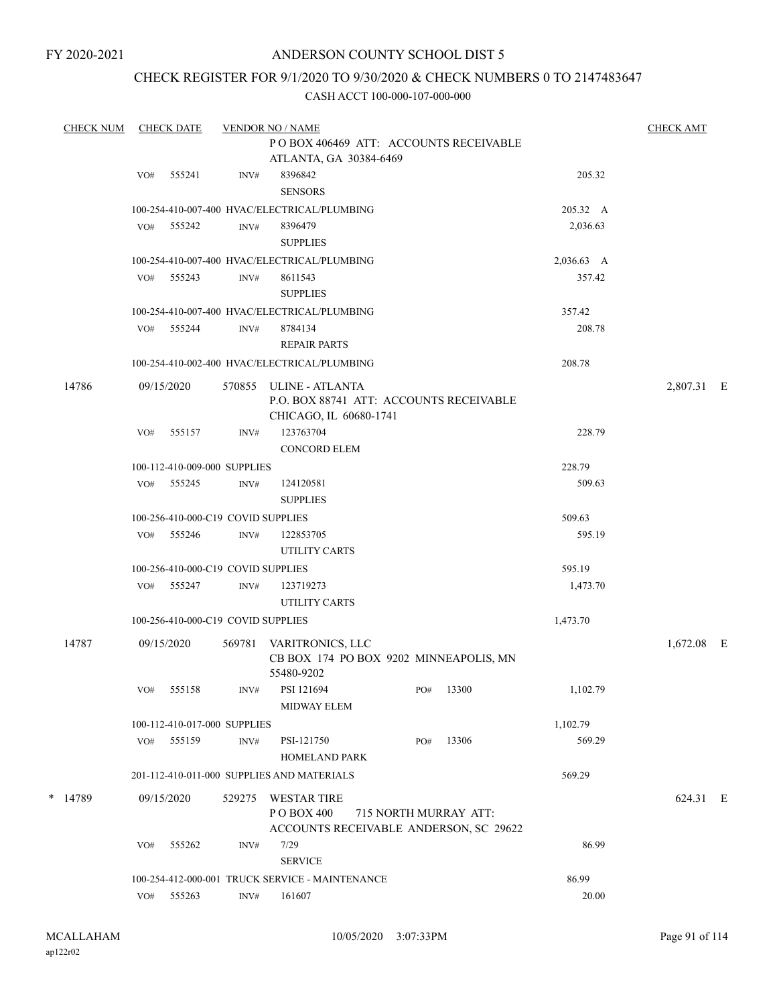# ANDERSON COUNTY SCHOOL DIST 5

# CHECK REGISTER FOR 9/1/2020 TO 9/30/2020 & CHECK NUMBERS 0 TO 2147483647

| <b>CHECK NUM</b> |     | <b>CHECK DATE</b>                  |        | <b>VENDOR NO / NAME</b>                                                                     |                       |     |           |            | <b>CHECK AMT</b> |  |
|------------------|-----|------------------------------------|--------|---------------------------------------------------------------------------------------------|-----------------------|-----|-----------|------------|------------------|--|
|                  |     |                                    |        | POBOX 406469 ATT: ACCOUNTS RECEIVABLE<br>ATLANTA, GA 30384-6469                             |                       |     |           |            |                  |  |
|                  | VO# | 555241                             | INV#   | 8396842                                                                                     |                       |     |           | 205.32     |                  |  |
|                  |     |                                    |        | <b>SENSORS</b>                                                                              |                       |     |           |            |                  |  |
|                  |     |                                    |        | 100-254-410-007-400 HVAC/ELECTRICAL/PLUMBING                                                |                       |     |           | 205.32 A   |                  |  |
|                  | VO# | 555242                             | INV#   | 8396479                                                                                     |                       |     |           | 2,036.63   |                  |  |
|                  |     |                                    |        | <b>SUPPLIES</b>                                                                             |                       |     |           |            |                  |  |
|                  |     |                                    |        | 100-254-410-007-400 HVAC/ELECTRICAL/PLUMBING                                                |                       |     |           | 2,036.63 A |                  |  |
|                  | VO# | 555243                             | INV#   | 8611543<br><b>SUPPLIES</b>                                                                  |                       |     |           | 357.42     |                  |  |
|                  |     |                                    |        | 100-254-410-007-400 HVAC/ELECTRICAL/PLUMBING                                                |                       |     |           | 357.42     |                  |  |
|                  |     | VO# 555244                         | INV#   | 8784134                                                                                     |                       |     |           | 208.78     |                  |  |
|                  |     |                                    |        | <b>REPAIR PARTS</b>                                                                         |                       |     |           |            |                  |  |
|                  |     |                                    |        | 100-254-410-002-400 HVAC/ELECTRICAL/PLUMBING                                                |                       |     |           | 208.78     |                  |  |
| 14786            |     | 09/15/2020                         |        | 570855 ULINE - ATLANTA<br>P.O. BOX 88741 ATT: ACCOUNTS RECEIVABLE<br>CHICAGO, IL 60680-1741 |                       |     |           |            | 2,807.31 E       |  |
|                  | VO# | 555157                             | INV#   | 123763704                                                                                   |                       |     |           | 228.79     |                  |  |
|                  |     |                                    |        | <b>CONCORD ELEM</b>                                                                         |                       |     |           |            |                  |  |
|                  |     | 100-112-410-009-000 SUPPLIES       |        |                                                                                             |                       |     |           | 228.79     |                  |  |
|                  |     | VO# 555245                         | INV#   | 124120581<br><b>SUPPLIES</b>                                                                |                       |     |           | 509.63     |                  |  |
|                  |     | 100-256-410-000-C19 COVID SUPPLIES |        |                                                                                             |                       |     |           | 509.63     |                  |  |
|                  | VO# | 555246                             | INV#   | 122853705                                                                                   |                       |     |           | 595.19     |                  |  |
|                  |     |                                    |        | UTILITY CARTS                                                                               |                       |     |           |            |                  |  |
|                  |     | 100-256-410-000-C19 COVID SUPPLIES |        |                                                                                             |                       |     |           | 595.19     |                  |  |
|                  |     | VO# 555247                         | INV#   | 123719273<br>UTILITY CARTS                                                                  |                       |     |           | 1,473.70   |                  |  |
|                  |     | 100-256-410-000-C19 COVID SUPPLIES |        |                                                                                             |                       |     |           | 1,473.70   |                  |  |
| 14787            |     | 09/15/2020                         | 569781 | VARITRONICS, LLC<br>CB BOX 174 PO BOX 9202 MINNEAPOLIS, MN<br>55480-9202                    |                       |     |           |            | $1,672.08$ E     |  |
|                  |     | VO# 555158                         |        | INV# PSI 121694<br>MIDWAY ELEM                                                              |                       |     | PO# 13300 | 1,102.79   |                  |  |
|                  |     | 100-112-410-017-000 SUPPLIES       |        |                                                                                             |                       |     |           | 1,102.79   |                  |  |
|                  |     | VO# 555159                         | INV#   | PSI-121750<br><b>HOMELAND PARK</b>                                                          |                       | PO# | 13306     | 569.29     |                  |  |
|                  |     |                                    |        | 201-112-410-011-000 SUPPLIES AND MATERIALS                                                  |                       |     |           | 569.29     |                  |  |
|                  |     |                                    |        |                                                                                             |                       |     |           |            |                  |  |
| * 14789          |     | 09/15/2020                         |        | 529275 WESTAR TIRE<br>P O BOX 400<br>ACCOUNTS RECEIVABLE ANDERSON, SC 29622                 | 715 NORTH MURRAY ATT: |     |           |            | 624.31 E         |  |
|                  | VO# | 555262                             | INV#   | 7/29<br><b>SERVICE</b>                                                                      |                       |     |           | 86.99      |                  |  |
|                  |     |                                    |        | 100-254-412-000-001 TRUCK SERVICE - MAINTENANCE                                             |                       |     |           | 86.99      |                  |  |
|                  |     | VO# 555263                         | INV#   | 161607                                                                                      |                       |     |           | 20.00      |                  |  |
|                  |     |                                    |        |                                                                                             |                       |     |           |            |                  |  |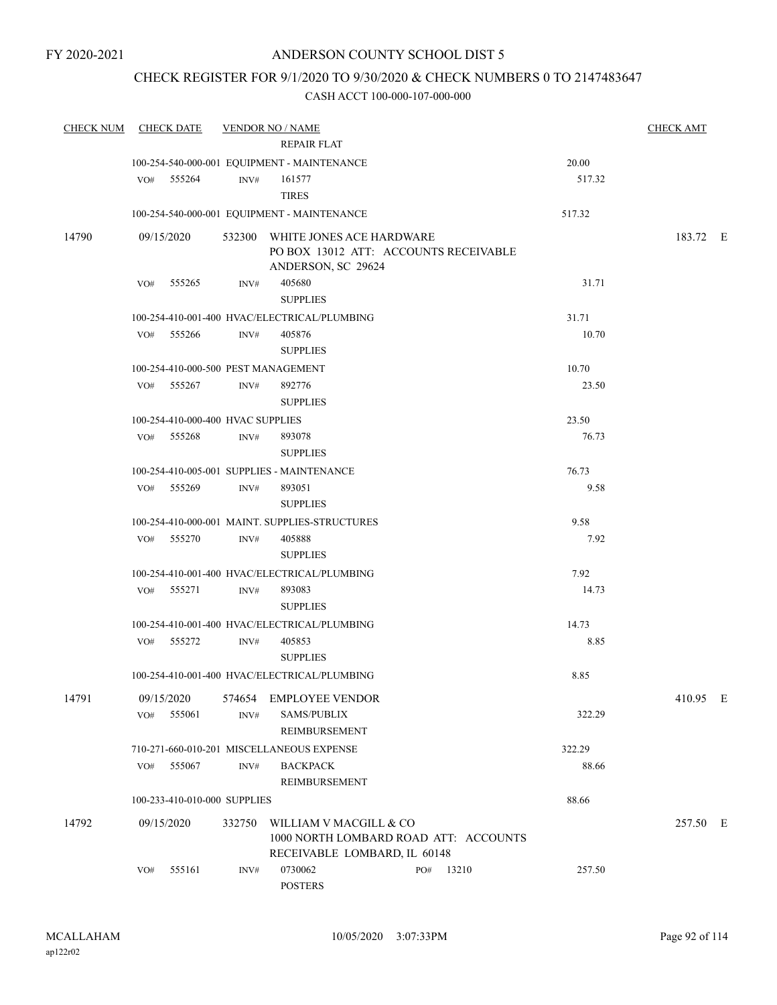# CHECK REGISTER FOR 9/1/2020 TO 9/30/2020 & CHECK NUMBERS 0 TO 2147483647

| <b>CHECK NUM</b> | <b>CHECK DATE</b>                   |        | <b>VENDOR NO / NAME</b>                        |              |        | <b>CHECK AMT</b> |  |
|------------------|-------------------------------------|--------|------------------------------------------------|--------------|--------|------------------|--|
|                  |                                     |        | <b>REPAIR FLAT</b>                             |              |        |                  |  |
|                  |                                     |        | 100-254-540-000-001 EQUIPMENT - MAINTENANCE    |              | 20.00  |                  |  |
|                  | VO# 555264                          | INV#   | 161577                                         |              | 517.32 |                  |  |
|                  |                                     |        | <b>TIRES</b>                                   |              |        |                  |  |
|                  |                                     |        | 100-254-540-000-001 EQUIPMENT - MAINTENANCE    |              | 517.32 |                  |  |
| 14790            | 09/15/2020                          |        | 532300 WHITE JONES ACE HARDWARE                |              |        | 183.72 E         |  |
|                  |                                     |        | PO BOX 13012 ATT: ACCOUNTS RECEIVABLE          |              |        |                  |  |
|                  |                                     |        | ANDERSON, SC 29624                             |              |        |                  |  |
|                  | 555265<br>VO#                       | INV#   | 405680                                         |              | 31.71  |                  |  |
|                  |                                     |        | <b>SUPPLIES</b>                                |              |        |                  |  |
|                  |                                     |        | 100-254-410-001-400 HVAC/ELECTRICAL/PLUMBING   |              | 31.71  |                  |  |
|                  | VO# 555266                          | INV#   | 405876                                         |              | 10.70  |                  |  |
|                  |                                     |        | <b>SUPPLIES</b>                                |              |        |                  |  |
|                  | 100-254-410-000-500 PEST MANAGEMENT |        |                                                |              | 10.70  |                  |  |
|                  | VO# 555267                          | INV#   | 892776                                         |              | 23.50  |                  |  |
|                  |                                     |        | <b>SUPPLIES</b>                                |              |        |                  |  |
|                  | 100-254-410-000-400 HVAC SUPPLIES   |        |                                                |              | 23.50  |                  |  |
|                  | VO# 555268                          | INV#   | 893078<br><b>SUPPLIES</b>                      |              | 76.73  |                  |  |
|                  |                                     |        | 100-254-410-005-001 SUPPLIES - MAINTENANCE     |              | 76.73  |                  |  |
|                  | VO# 555269                          | INV#   | 893051                                         |              | 9.58   |                  |  |
|                  |                                     |        | <b>SUPPLIES</b>                                |              |        |                  |  |
|                  |                                     |        | 100-254-410-000-001 MAINT. SUPPLIES-STRUCTURES |              | 9.58   |                  |  |
|                  | VO# 555270                          | INV#   | 405888                                         |              | 7.92   |                  |  |
|                  |                                     |        | <b>SUPPLIES</b>                                |              |        |                  |  |
|                  |                                     |        | 100-254-410-001-400 HVAC/ELECTRICAL/PLUMBING   |              | 7.92   |                  |  |
|                  | VO# 555271                          | INV#   | 893083                                         |              | 14.73  |                  |  |
|                  |                                     |        | <b>SUPPLIES</b>                                |              |        |                  |  |
|                  |                                     |        | 100-254-410-001-400 HVAC/ELECTRICAL/PLUMBING   |              | 14.73  |                  |  |
|                  | VO# 555272                          | INV#   | 405853                                         |              | 8.85   |                  |  |
|                  |                                     |        | <b>SUPPLIES</b>                                |              |        |                  |  |
|                  |                                     |        | 100-254-410-001-400 HVAC/ELECTRICAL/PLUMBING   |              | 8.85   |                  |  |
| 14791            | 09/15/2020                          |        | 574654 EMPLOYEE VENDOR                         |              |        | 410.95 E         |  |
|                  | 555061<br>VO#                       | INV#   | <b>SAMS/PUBLIX</b>                             |              | 322.29 |                  |  |
|                  |                                     |        | <b>REIMBURSEMENT</b>                           |              |        |                  |  |
|                  |                                     |        | 710-271-660-010-201 MISCELLANEOUS EXPENSE      |              | 322.29 |                  |  |
|                  | 555067<br>VO#                       | INV#   | <b>BACKPACK</b>                                |              | 88.66  |                  |  |
|                  |                                     |        | REIMBURSEMENT                                  |              |        |                  |  |
|                  | 100-233-410-010-000 SUPPLIES        |        |                                                |              | 88.66  |                  |  |
| 14792            | 09/15/2020                          | 332750 | WILLIAM V MACGILL & CO                         |              |        | 257.50 E         |  |
|                  |                                     |        | 1000 NORTH LOMBARD ROAD ATT: ACCOUNTS          |              |        |                  |  |
|                  |                                     |        | RECEIVABLE LOMBARD, IL 60148                   |              |        |                  |  |
|                  | 555161<br>VO#                       | INV#   | 0730062<br><b>POSTERS</b>                      | PO#<br>13210 | 257.50 |                  |  |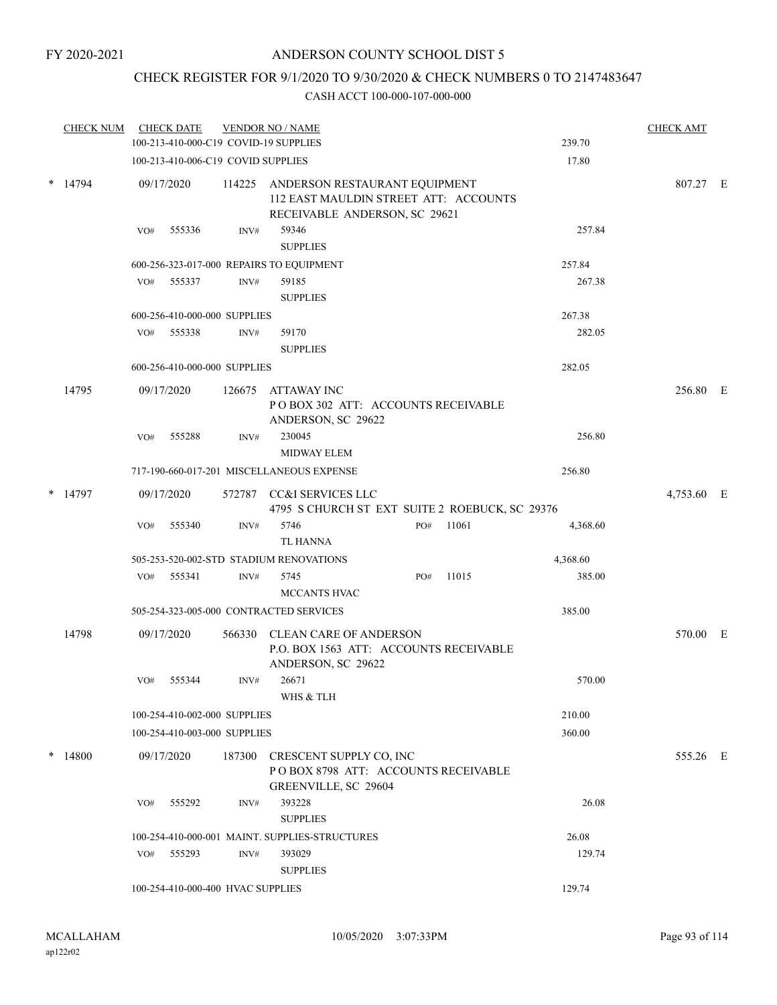# CHECK REGISTER FOR 9/1/2020 TO 9/30/2020 & CHECK NUMBERS 0 TO 2147483647

|        | <b>CHECK NUM</b> |     | <b>CHECK DATE</b>                  |        | <b>VENDOR NO / NAME</b>                                                                                        |        |       |          | <b>CHECK AMT</b> |  |
|--------|------------------|-----|------------------------------------|--------|----------------------------------------------------------------------------------------------------------------|--------|-------|----------|------------------|--|
|        |                  |     |                                    |        | 100-213-410-000-C19 COVID-19 SUPPLIES                                                                          |        |       | 239.70   |                  |  |
|        |                  |     | 100-213-410-006-C19 COVID SUPPLIES |        |                                                                                                                |        |       | 17.80    |                  |  |
|        | $*$ 14794        |     | 09/17/2020                         |        | 114225 ANDERSON RESTAURANT EQUIPMENT<br>112 EAST MAULDIN STREET ATT: ACCOUNTS<br>RECEIVABLE ANDERSON, SC 29621 |        |       |          | 807.27 E         |  |
|        |                  | VO# | 555336                             | INV#   | 59346                                                                                                          |        |       | 257.84   |                  |  |
|        |                  |     |                                    |        | <b>SUPPLIES</b>                                                                                                |        |       |          |                  |  |
|        |                  |     |                                    |        | 600-256-323-017-000 REPAIRS TO EQUIPMENT                                                                       |        |       | 257.84   |                  |  |
|        |                  | VO# | 555337                             | INV#   | 59185<br><b>SUPPLIES</b>                                                                                       |        |       | 267.38   |                  |  |
|        |                  |     | 600-256-410-000-000 SUPPLIES       |        |                                                                                                                |        |       | 267.38   |                  |  |
|        |                  | VO# | 555338                             | INV#   | 59170<br><b>SUPPLIES</b>                                                                                       |        |       | 282.05   |                  |  |
|        |                  |     | 600-256-410-000-000 SUPPLIES       |        |                                                                                                                |        |       | 282.05   |                  |  |
|        | 14795            |     | 09/17/2020                         | 126675 | ATTAWAY INC<br>POBOX 302 ATT: ACCOUNTS RECEIVABLE<br>ANDERSON, SC 29622                                        |        |       |          | 256.80 E         |  |
|        |                  | VO# | 555288                             | INV#   | 230045<br><b>MIDWAY ELEM</b>                                                                                   |        |       | 256.80   |                  |  |
|        |                  |     |                                    |        | 717-190-660-017-201 MISCELLANEOUS EXPENSE                                                                      |        |       | 256.80   |                  |  |
| *      | 14797            |     | 09/17/2020                         |        | 572787 CC&I SERVICES LLC<br>4795 S CHURCH ST EXT SUITE 2 ROEBUCK, SC 29376                                     |        |       |          | 4,753.60 E       |  |
|        |                  | VO# | 555340                             | INV#   | 5746<br>TL HANNA                                                                                               | PO#    | 11061 | 4,368.60 |                  |  |
|        |                  |     |                                    |        | 505-253-520-002-STD STADIUM RENOVATIONS                                                                        |        |       | 4,368.60 |                  |  |
|        |                  | VO# | 555341                             | INV#   | 5745<br>MCCANTS HVAC                                                                                           | PO#    | 11015 | 385.00   |                  |  |
|        |                  |     |                                    |        | 505-254-323-005-000 CONTRACTED SERVICES                                                                        |        |       | 385.00   |                  |  |
|        | 14798            |     | 09/17/2020                         | 566330 | CLEAN CARE OF ANDERSON<br>P.O. BOX 1563 ATT: ACCOUNTS RECEIVABLE<br>ANDERSON, SC 29622                         |        |       |          | 570.00 E         |  |
|        |                  | VO# | 555344                             | INV#   | 26671<br>WHS & TLH                                                                                             |        |       | 570.00   |                  |  |
|        |                  |     | 100-254-410-002-000 SUPPLIES       |        |                                                                                                                |        |       | 210.00   |                  |  |
|        |                  |     | 100-254-410-003-000 SUPPLIES       |        |                                                                                                                |        |       | 360.00   |                  |  |
| $\ast$ | 14800            |     | 09/17/2020                         | 187300 | CRESCENT SUPPLY CO, INC<br>POBOX 8798 ATT: ACCOUNTS RECEIVABLE<br>GREENVILLE, SC 29604                         |        |       |          | 555.26 E         |  |
|        |                  | VO# | 555292                             | INV#   | 393228<br><b>SUPPLIES</b>                                                                                      |        |       | 26.08    |                  |  |
|        |                  |     |                                    |        | 100-254-410-000-001 MAINT. SUPPLIES-STRUCTURES                                                                 |        |       | 26.08    |                  |  |
|        |                  | VO# | 555293                             | INV#   | 393029<br><b>SUPPLIES</b>                                                                                      |        |       | 129.74   |                  |  |
|        |                  |     | 100-254-410-000-400 HVAC SUPPLIES  |        |                                                                                                                | 129.74 |       |          |                  |  |
|        |                  |     |                                    |        |                                                                                                                |        |       |          |                  |  |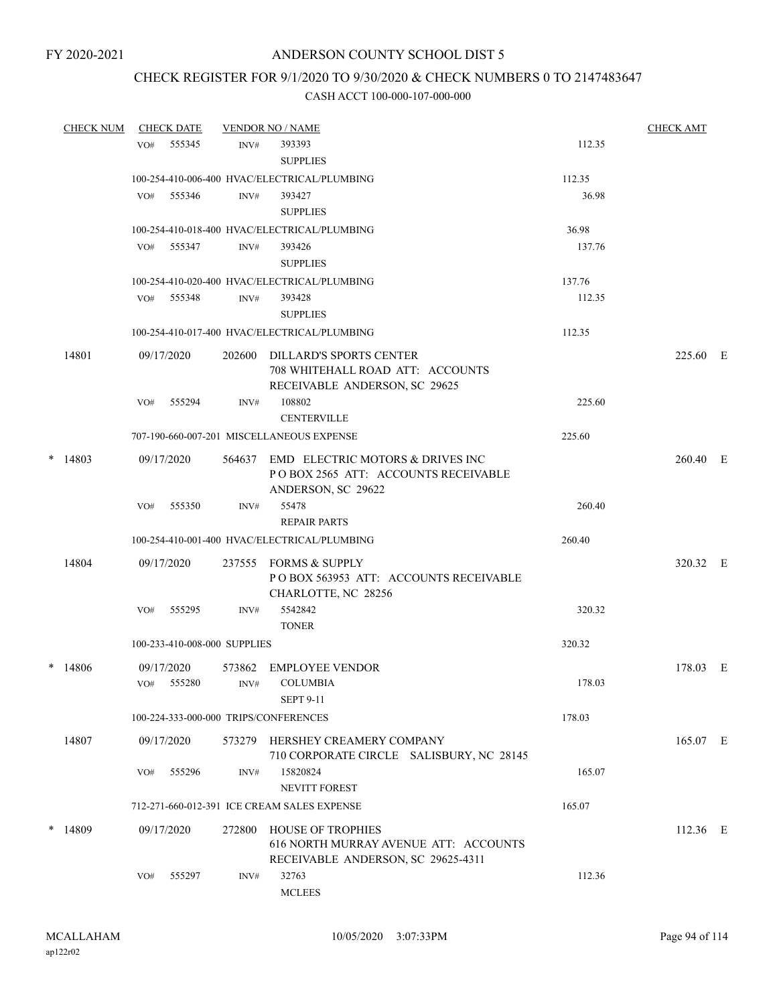# CHECK REGISTER FOR 9/1/2020 TO 9/30/2020 & CHECK NUMBERS 0 TO 2147483647

|        | <b>CHECK NUM</b> |     | <b>CHECK DATE</b>    |                              | <b>VENDOR NO / NAME</b>                                                                                 |        | <b>CHECK AMT</b> |  |
|--------|------------------|-----|----------------------|------------------------------|---------------------------------------------------------------------------------------------------------|--------|------------------|--|
|        |                  | VO# | 555345               | INV#                         | 393393<br><b>SUPPLIES</b>                                                                               | 112.35 |                  |  |
|        |                  |     |                      |                              | 100-254-410-006-400 HVAC/ELECTRICAL/PLUMBING                                                            | 112.35 |                  |  |
|        |                  | VO# | 555346               | INV#                         | 393427<br><b>SUPPLIES</b>                                                                               | 36.98  |                  |  |
|        |                  |     |                      |                              | 100-254-410-018-400 HVAC/ELECTRICAL/PLUMBING                                                            | 36.98  |                  |  |
|        |                  |     | $VO#$ 555347         | INV#                         | 393426<br><b>SUPPLIES</b>                                                                               | 137.76 |                  |  |
|        |                  |     |                      |                              | 100-254-410-020-400 HVAC/ELECTRICAL/PLUMBING                                                            | 137.76 |                  |  |
|        |                  | VO# | 555348               | INV#                         | 393428<br><b>SUPPLIES</b>                                                                               | 112.35 |                  |  |
|        |                  |     |                      |                              | 100-254-410-017-400 HVAC/ELECTRICAL/PLUMBING                                                            | 112.35 |                  |  |
|        | 14801            |     | 09/17/2020           | 202600                       | DILLARD'S SPORTS CENTER<br>708 WHITEHALL ROAD ATT: ACCOUNTS<br>RECEIVABLE ANDERSON, SC 29625            |        | 225.60 E         |  |
|        |                  | VO# | 555294               | INV#                         | 108802<br><b>CENTERVILLE</b>                                                                            | 225.60 |                  |  |
|        |                  |     |                      |                              | 707-190-660-007-201 MISCELLANEOUS EXPENSE                                                               | 225.60 |                  |  |
| $\ast$ | 14803            |     | 09/17/2020           |                              | 564637 EMD ELECTRIC MOTORS & DRIVES INC<br>POBOX 2565 ATT: ACCOUNTS RECEIVABLE<br>ANDERSON, SC 29622    |        | 260.40 E         |  |
|        |                  | VO# | 555350               | INV#                         | 55478<br><b>REPAIR PARTS</b>                                                                            | 260.40 |                  |  |
|        |                  |     |                      |                              | 100-254-410-001-400 HVAC/ELECTRICAL/PLUMBING                                                            | 260.40 |                  |  |
|        | 14804            |     | 09/17/2020           |                              | 237555 FORMS & SUPPLY<br>POBOX 563953 ATT: ACCOUNTS RECEIVABLE<br>CHARLOTTE, NC 28256                   |        | 320.32 E         |  |
|        |                  | VO# | 555295               | INV#                         | 5542842<br><b>TONER</b>                                                                                 | 320.32 |                  |  |
|        |                  |     |                      | 100-233-410-008-000 SUPPLIES |                                                                                                         | 320.32 |                  |  |
|        | $*$ 14806        | VO# | 09/17/2020<br>555280 | 573862<br>INV#               | <b>EMPLOYEE VENDOR</b><br><b>COLUMBIA</b>                                                               | 178.03 | 178.03 E         |  |
|        |                  |     |                      |                              | SEPT 9-11                                                                                               |        |                  |  |
|        |                  |     |                      |                              | 100-224-333-000-000 TRIPS/CONFERENCES                                                                   | 178.03 |                  |  |
|        | 14807            |     | 09/17/2020           |                              | 573279 HERSHEY CREAMERY COMPANY<br>710 CORPORATE CIRCLE SALISBURY, NC 28145                             |        | 165.07 E         |  |
|        |                  | VO# | 555296               | INV#                         | 15820824<br><b>NEVITT FOREST</b>                                                                        | 165.07 |                  |  |
|        |                  |     |                      |                              | 712-271-660-012-391 ICE CREAM SALES EXPENSE                                                             | 165.07 |                  |  |
|        | $*$ 14809        |     | 09/17/2020           | 272800                       | <b>HOUSE OF TROPHIES</b><br>616 NORTH MURRAY AVENUE ATT: ACCOUNTS<br>RECEIVABLE ANDERSON, SC 29625-4311 |        | $112.36$ E       |  |
|        |                  | VO# | 555297               | INV#                         | 32763<br><b>MCLEES</b>                                                                                  | 112.36 |                  |  |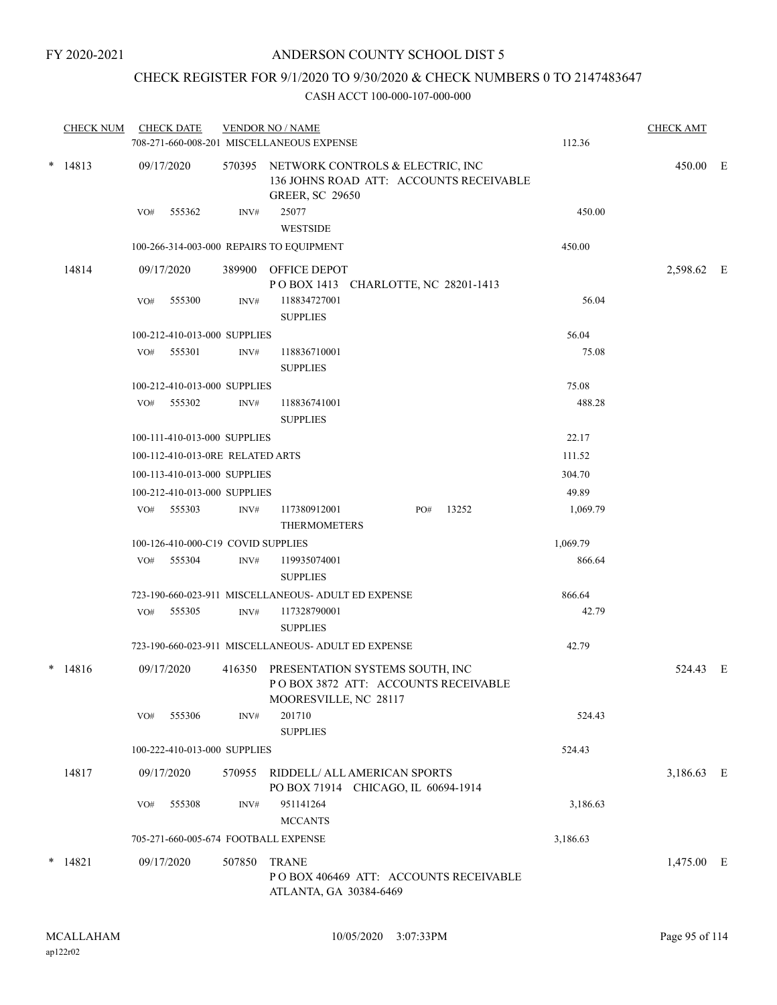# CHECK REGISTER FOR 9/1/2020 TO 9/30/2020 & CHECK NUMBERS 0 TO 2147483647

| $* 14813$<br>09/17/2020<br>570395 NETWORK CONTROLS & ELECTRIC, INC<br>450.00 E<br>136 JOHNS ROAD ATT: ACCOUNTS RECEIVABLE<br><b>GREER, SC 29650</b><br>25077<br>450.00<br>555362<br>VO#<br>INV#<br><b>WESTSIDE</b><br>100-266-314-003-000 REPAIRS TO EQUIPMENT<br>450.00<br>14814<br>09/17/2020<br>389900 OFFICE DEPOT<br>POBOX 1413 CHARLOTTE, NC 28201-1413<br>56.04<br>555300<br>INV#<br>118834727001<br>VO#<br><b>SUPPLIES</b><br>56.04<br>100-212-410-013-000 SUPPLIES<br>VO# 555301<br>INV#<br>118836710001<br>75.08<br><b>SUPPLIES</b><br>75.08<br>100-212-410-013-000 SUPPLIES<br>488.28<br>VO# 555302<br>118836741001<br>INV#<br><b>SUPPLIES</b><br>22.17<br>100-111-410-013-000 SUPPLIES<br>100-112-410-013-0RE RELATED ARTS<br>111.52<br>100-113-410-013-000 SUPPLIES<br>304.70<br>49.89<br>100-212-410-013-000 SUPPLIES<br>117380912001<br>13252<br>VO# 555303<br>1,069.79<br>INV#<br>PO#<br><b>THERMOMETERS</b><br>100-126-410-000-C19 COVID SUPPLIES<br>1,069.79<br>VO# 555304<br>$\mathrm{INV}\#$<br>866.64<br>119935074001<br><b>SUPPLIES</b><br>723-190-660-023-911 MISCELLANEOUS- ADULT ED EXPENSE<br>866.64<br>555305<br>117328790001<br>42.79<br>VO#<br>INV#<br><b>SUPPLIES</b><br>723-190-660-023-911 MISCELLANEOUS- ADULT ED EXPENSE<br>42.79<br>$* 14816$<br>PRESENTATION SYSTEMS SOUTH, INC<br>09/17/2020<br>416350<br>POBOX 3872 ATT: ACCOUNTS RECEIVABLE<br>MOORESVILLE, NC 28117<br>201710<br>555306<br>524.43<br>VO#<br>INV#<br><b>SUPPLIES</b><br>524.43<br>100-222-410-013-000 SUPPLIES<br>14817<br>09/17/2020<br>RIDDELL/ ALL AMERICAN SPORTS<br>570955<br>PO BOX 71914 CHICAGO, IL 60694-1914<br>951141264<br>555308<br>3,186.63<br>INV#<br>VO#<br><b>MCCANTS</b><br>705-271-660-005-674 FOOTBALL EXPENSE<br>3,186.63<br>$\ast$<br>14821<br>507850<br>09/17/2020<br><b>TRANE</b><br>POBOX 406469 ATT: ACCOUNTS RECEIVABLE | <b>CHECK NUM</b> | <b>CHECK DATE</b> | <b>VENDOR NO / NAME</b><br>708-271-660-008-201 MISCELLANEOUS EXPENSE | 112.36 | <b>CHECK AMT</b> |  |
|-----------------------------------------------------------------------------------------------------------------------------------------------------------------------------------------------------------------------------------------------------------------------------------------------------------------------------------------------------------------------------------------------------------------------------------------------------------------------------------------------------------------------------------------------------------------------------------------------------------------------------------------------------------------------------------------------------------------------------------------------------------------------------------------------------------------------------------------------------------------------------------------------------------------------------------------------------------------------------------------------------------------------------------------------------------------------------------------------------------------------------------------------------------------------------------------------------------------------------------------------------------------------------------------------------------------------------------------------------------------------------------------------------------------------------------------------------------------------------------------------------------------------------------------------------------------------------------------------------------------------------------------------------------------------------------------------------------------------------------------------------------------------------------------------------------------------------------------------------------|------------------|-------------------|----------------------------------------------------------------------|--------|------------------|--|
|                                                                                                                                                                                                                                                                                                                                                                                                                                                                                                                                                                                                                                                                                                                                                                                                                                                                                                                                                                                                                                                                                                                                                                                                                                                                                                                                                                                                                                                                                                                                                                                                                                                                                                                                                                                                                                                           |                  |                   |                                                                      |        |                  |  |
|                                                                                                                                                                                                                                                                                                                                                                                                                                                                                                                                                                                                                                                                                                                                                                                                                                                                                                                                                                                                                                                                                                                                                                                                                                                                                                                                                                                                                                                                                                                                                                                                                                                                                                                                                                                                                                                           |                  |                   |                                                                      |        |                  |  |
|                                                                                                                                                                                                                                                                                                                                                                                                                                                                                                                                                                                                                                                                                                                                                                                                                                                                                                                                                                                                                                                                                                                                                                                                                                                                                                                                                                                                                                                                                                                                                                                                                                                                                                                                                                                                                                                           |                  |                   |                                                                      |        |                  |  |
|                                                                                                                                                                                                                                                                                                                                                                                                                                                                                                                                                                                                                                                                                                                                                                                                                                                                                                                                                                                                                                                                                                                                                                                                                                                                                                                                                                                                                                                                                                                                                                                                                                                                                                                                                                                                                                                           |                  |                   |                                                                      |        |                  |  |
|                                                                                                                                                                                                                                                                                                                                                                                                                                                                                                                                                                                                                                                                                                                                                                                                                                                                                                                                                                                                                                                                                                                                                                                                                                                                                                                                                                                                                                                                                                                                                                                                                                                                                                                                                                                                                                                           |                  |                   |                                                                      |        | 2,598.62 E       |  |
|                                                                                                                                                                                                                                                                                                                                                                                                                                                                                                                                                                                                                                                                                                                                                                                                                                                                                                                                                                                                                                                                                                                                                                                                                                                                                                                                                                                                                                                                                                                                                                                                                                                                                                                                                                                                                                                           |                  |                   |                                                                      |        |                  |  |
|                                                                                                                                                                                                                                                                                                                                                                                                                                                                                                                                                                                                                                                                                                                                                                                                                                                                                                                                                                                                                                                                                                                                                                                                                                                                                                                                                                                                                                                                                                                                                                                                                                                                                                                                                                                                                                                           |                  |                   |                                                                      |        |                  |  |
|                                                                                                                                                                                                                                                                                                                                                                                                                                                                                                                                                                                                                                                                                                                                                                                                                                                                                                                                                                                                                                                                                                                                                                                                                                                                                                                                                                                                                                                                                                                                                                                                                                                                                                                                                                                                                                                           |                  |                   |                                                                      |        |                  |  |
|                                                                                                                                                                                                                                                                                                                                                                                                                                                                                                                                                                                                                                                                                                                                                                                                                                                                                                                                                                                                                                                                                                                                                                                                                                                                                                                                                                                                                                                                                                                                                                                                                                                                                                                                                                                                                                                           |                  |                   |                                                                      |        |                  |  |
|                                                                                                                                                                                                                                                                                                                                                                                                                                                                                                                                                                                                                                                                                                                                                                                                                                                                                                                                                                                                                                                                                                                                                                                                                                                                                                                                                                                                                                                                                                                                                                                                                                                                                                                                                                                                                                                           |                  |                   |                                                                      |        |                  |  |
|                                                                                                                                                                                                                                                                                                                                                                                                                                                                                                                                                                                                                                                                                                                                                                                                                                                                                                                                                                                                                                                                                                                                                                                                                                                                                                                                                                                                                                                                                                                                                                                                                                                                                                                                                                                                                                                           |                  |                   |                                                                      |        |                  |  |
|                                                                                                                                                                                                                                                                                                                                                                                                                                                                                                                                                                                                                                                                                                                                                                                                                                                                                                                                                                                                                                                                                                                                                                                                                                                                                                                                                                                                                                                                                                                                                                                                                                                                                                                                                                                                                                                           |                  |                   |                                                                      |        |                  |  |
|                                                                                                                                                                                                                                                                                                                                                                                                                                                                                                                                                                                                                                                                                                                                                                                                                                                                                                                                                                                                                                                                                                                                                                                                                                                                                                                                                                                                                                                                                                                                                                                                                                                                                                                                                                                                                                                           |                  |                   |                                                                      |        |                  |  |
|                                                                                                                                                                                                                                                                                                                                                                                                                                                                                                                                                                                                                                                                                                                                                                                                                                                                                                                                                                                                                                                                                                                                                                                                                                                                                                                                                                                                                                                                                                                                                                                                                                                                                                                                                                                                                                                           |                  |                   |                                                                      |        |                  |  |
|                                                                                                                                                                                                                                                                                                                                                                                                                                                                                                                                                                                                                                                                                                                                                                                                                                                                                                                                                                                                                                                                                                                                                                                                                                                                                                                                                                                                                                                                                                                                                                                                                                                                                                                                                                                                                                                           |                  |                   |                                                                      |        |                  |  |
|                                                                                                                                                                                                                                                                                                                                                                                                                                                                                                                                                                                                                                                                                                                                                                                                                                                                                                                                                                                                                                                                                                                                                                                                                                                                                                                                                                                                                                                                                                                                                                                                                                                                                                                                                                                                                                                           |                  |                   |                                                                      |        |                  |  |
|                                                                                                                                                                                                                                                                                                                                                                                                                                                                                                                                                                                                                                                                                                                                                                                                                                                                                                                                                                                                                                                                                                                                                                                                                                                                                                                                                                                                                                                                                                                                                                                                                                                                                                                                                                                                                                                           |                  |                   |                                                                      |        |                  |  |
|                                                                                                                                                                                                                                                                                                                                                                                                                                                                                                                                                                                                                                                                                                                                                                                                                                                                                                                                                                                                                                                                                                                                                                                                                                                                                                                                                                                                                                                                                                                                                                                                                                                                                                                                                                                                                                                           |                  |                   |                                                                      |        |                  |  |
|                                                                                                                                                                                                                                                                                                                                                                                                                                                                                                                                                                                                                                                                                                                                                                                                                                                                                                                                                                                                                                                                                                                                                                                                                                                                                                                                                                                                                                                                                                                                                                                                                                                                                                                                                                                                                                                           |                  |                   |                                                                      |        |                  |  |
|                                                                                                                                                                                                                                                                                                                                                                                                                                                                                                                                                                                                                                                                                                                                                                                                                                                                                                                                                                                                                                                                                                                                                                                                                                                                                                                                                                                                                                                                                                                                                                                                                                                                                                                                                                                                                                                           |                  |                   |                                                                      |        |                  |  |
|                                                                                                                                                                                                                                                                                                                                                                                                                                                                                                                                                                                                                                                                                                                                                                                                                                                                                                                                                                                                                                                                                                                                                                                                                                                                                                                                                                                                                                                                                                                                                                                                                                                                                                                                                                                                                                                           |                  |                   |                                                                      |        | 524.43 E         |  |
|                                                                                                                                                                                                                                                                                                                                                                                                                                                                                                                                                                                                                                                                                                                                                                                                                                                                                                                                                                                                                                                                                                                                                                                                                                                                                                                                                                                                                                                                                                                                                                                                                                                                                                                                                                                                                                                           |                  |                   |                                                                      |        |                  |  |
|                                                                                                                                                                                                                                                                                                                                                                                                                                                                                                                                                                                                                                                                                                                                                                                                                                                                                                                                                                                                                                                                                                                                                                                                                                                                                                                                                                                                                                                                                                                                                                                                                                                                                                                                                                                                                                                           |                  |                   |                                                                      |        |                  |  |
|                                                                                                                                                                                                                                                                                                                                                                                                                                                                                                                                                                                                                                                                                                                                                                                                                                                                                                                                                                                                                                                                                                                                                                                                                                                                                                                                                                                                                                                                                                                                                                                                                                                                                                                                                                                                                                                           |                  |                   |                                                                      |        | 3,186.63 E       |  |
|                                                                                                                                                                                                                                                                                                                                                                                                                                                                                                                                                                                                                                                                                                                                                                                                                                                                                                                                                                                                                                                                                                                                                                                                                                                                                                                                                                                                                                                                                                                                                                                                                                                                                                                                                                                                                                                           |                  |                   |                                                                      |        |                  |  |
|                                                                                                                                                                                                                                                                                                                                                                                                                                                                                                                                                                                                                                                                                                                                                                                                                                                                                                                                                                                                                                                                                                                                                                                                                                                                                                                                                                                                                                                                                                                                                                                                                                                                                                                                                                                                                                                           |                  |                   |                                                                      |        |                  |  |
|                                                                                                                                                                                                                                                                                                                                                                                                                                                                                                                                                                                                                                                                                                                                                                                                                                                                                                                                                                                                                                                                                                                                                                                                                                                                                                                                                                                                                                                                                                                                                                                                                                                                                                                                                                                                                                                           |                  |                   | ATLANTA, GA 30384-6469                                               |        | 1,475.00 E       |  |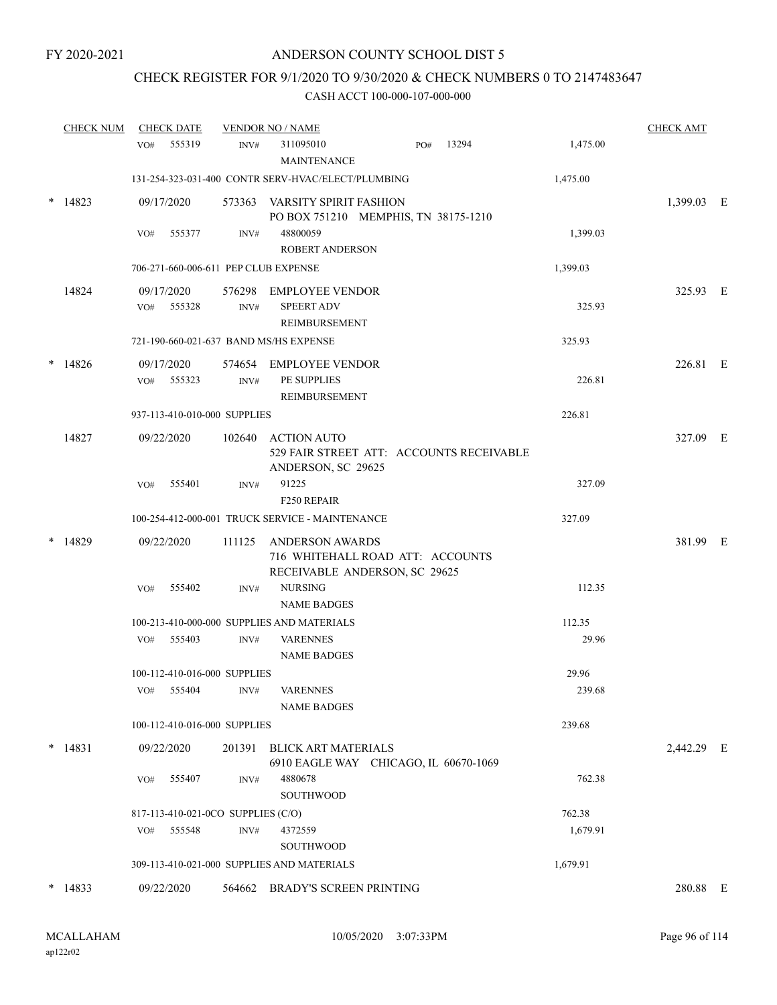# CHECK REGISTER FOR 9/1/2020 TO 9/30/2020 & CHECK NUMBERS 0 TO 2147483647

|   | <b>CHECK NUM</b> | <b>CHECK DATE</b>                      |        | <b>VENDOR NO / NAME</b>                                                              |          | <b>CHECK AMT</b> |  |
|---|------------------|----------------------------------------|--------|--------------------------------------------------------------------------------------|----------|------------------|--|
|   |                  | 555319<br>VO#                          | INV#   | 311095010<br>13294<br>PO#<br><b>MAINTENANCE</b>                                      | 1,475.00 |                  |  |
|   |                  |                                        |        | 131-254-323-031-400 CONTR SERV-HVAC/ELECT/PLUMBING                                   | 1,475.00 |                  |  |
| * | 14823            | 09/17/2020                             |        | 573363 VARSITY SPIRIT FASHION<br>PO BOX 751210 MEMPHIS, TN 38175-1210                |          | 1,399.03 E       |  |
|   |                  | 555377<br>VO#                          | INV#   | 48800059<br><b>ROBERT ANDERSON</b>                                                   | 1,399.03 |                  |  |
|   |                  | 706-271-660-006-611 PEP CLUB EXPENSE   |        |                                                                                      | 1,399.03 |                  |  |
|   | 14824            | 09/17/2020<br>VO#<br>555328            | INV#   | 576298 EMPLOYEE VENDOR<br><b>SPEERT ADV</b><br>REIMBURSEMENT                         | 325.93   | 325.93 E         |  |
|   |                  | 721-190-660-021-637 BAND MS/HS EXPENSE |        |                                                                                      | 325.93   |                  |  |
|   | $*$ 14826        | 09/17/2020<br>555323<br>VO#            | INV#   | 574654 EMPLOYEE VENDOR<br>PE SUPPLIES<br>REIMBURSEMENT                               | 226.81   | 226.81 E         |  |
|   |                  | 937-113-410-010-000 SUPPLIES           |        |                                                                                      | 226.81   |                  |  |
|   | 14827            | 09/22/2020                             |        | 102640 ACTION AUTO<br>529 FAIR STREET ATT: ACCOUNTS RECEIVABLE<br>ANDERSON, SC 29625 |          | 327.09 E         |  |
|   |                  | 555401<br>VO#                          | INV#   | 91225<br>F250 REPAIR                                                                 | 327.09   |                  |  |
|   |                  |                                        |        | 100-254-412-000-001 TRUCK SERVICE - MAINTENANCE                                      | 327.09   |                  |  |
|   | 14829            | 09/22/2020                             | 111125 | ANDERSON AWARDS<br>716 WHITEHALL ROAD ATT: ACCOUNTS<br>RECEIVABLE ANDERSON, SC 29625 |          | 381.99 E         |  |
|   |                  | 555402<br>VO#                          | INV#   | <b>NURSING</b><br><b>NAME BADGES</b>                                                 | 112.35   |                  |  |
|   |                  |                                        |        | 100-213-410-000-000 SUPPLIES AND MATERIALS                                           | 112.35   |                  |  |
|   |                  | VO# 555403                             | INV#   | <b>VARENNES</b><br><b>NAME BADGES</b>                                                | 29.96    |                  |  |
|   |                  | 100-112-410-016-000 SUPPLIES           |        |                                                                                      | 29.96    |                  |  |
|   |                  | VO# 555404                             | INV#   | <b>VARENNES</b><br><b>NAME BADGES</b>                                                | 239.68   |                  |  |
|   |                  | 100-112-410-016-000 SUPPLIES           |        |                                                                                      | 239.68   |                  |  |
|   | $*$ 14831        | 09/22/2020                             | 201391 | <b>BLICK ART MATERIALS</b><br>6910 EAGLE WAY CHICAGO, IL 60670-1069                  |          | 2,442.29 E       |  |
|   |                  | 555407<br>VO#                          | INV#   | 4880678<br><b>SOUTHWOOD</b>                                                          | 762.38   |                  |  |
|   |                  | 817-113-410-021-0CO SUPPLIES (C/O)     |        |                                                                                      | 762.38   |                  |  |
|   |                  | VO# 555548                             | INV#   | 4372559<br><b>SOUTHWOOD</b>                                                          | 1,679.91 |                  |  |
|   |                  |                                        |        | 309-113-410-021-000 SUPPLIES AND MATERIALS                                           | 1,679.91 |                  |  |
|   | $*$ 14833        | 09/22/2020                             |        | 564662 BRADY'S SCREEN PRINTING                                                       |          | 280.88 E         |  |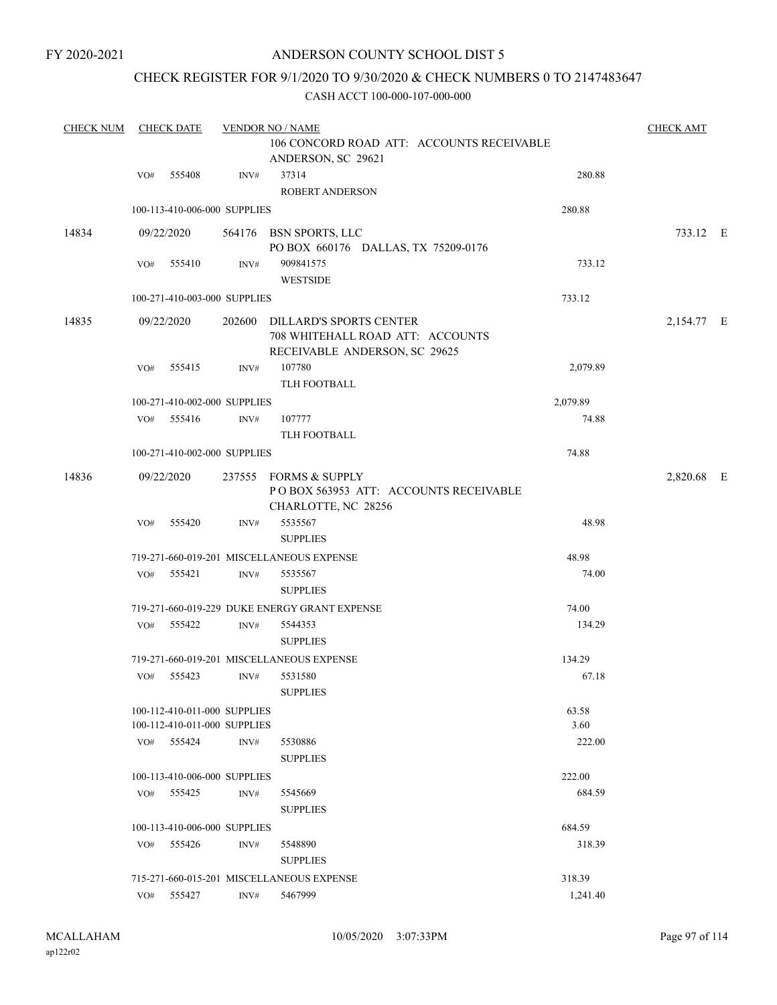# CHECK REGISTER FOR 9/1/2020 TO 9/30/2020 & CHECK NUMBERS 0 TO 2147483647

| <b>CHECK NUM</b> |                                                                 | <b>CHECK DATE</b>            |                | <b>VENDOR NO / NAME</b>                                                                             |          | <b>CHECK AMT</b> |  |
|------------------|-----------------------------------------------------------------|------------------------------|----------------|-----------------------------------------------------------------------------------------------------|----------|------------------|--|
|                  | 106 CONCORD ROAD ATT: ACCOUNTS RECEIVABLE<br>ANDERSON, SC 29621 |                              |                |                                                                                                     |          |                  |  |
|                  | VO#                                                             | 555408                       | INV#           | 37314<br>ROBERT ANDERSON                                                                            | 280.88   |                  |  |
|                  |                                                                 | 100-113-410-006-000 SUPPLIES |                |                                                                                                     | 280.88   |                  |  |
| 14834            |                                                                 | 09/22/2020                   |                | 564176 BSN SPORTS, LLC<br>PO BOX 660176 DALLAS, TX 75209-0176                                       |          | 733.12 E         |  |
|                  | VO#                                                             | 555410                       | INV#           | 909841575<br><b>WESTSIDE</b>                                                                        | 733.12   |                  |  |
|                  |                                                                 | 100-271-410-003-000 SUPPLIES |                |                                                                                                     | 733.12   |                  |  |
| 14835            |                                                                 | 09/22/2020                   |                | 202600 DILLARD'S SPORTS CENTER<br>708 WHITEHALL ROAD ATT: ACCOUNTS<br>RECEIVABLE ANDERSON, SC 29625 |          | 2,154.77 E       |  |
|                  | VO#                                                             | 555415                       | INV#           | 107780<br>TLH FOOTBALL                                                                              | 2,079.89 |                  |  |
|                  |                                                                 | 100-271-410-002-000 SUPPLIES |                |                                                                                                     | 2,079.89 |                  |  |
|                  | VO#                                                             | 555416                       | INV#           | 107777<br>TLH FOOTBALL                                                                              | 74.88    |                  |  |
|                  |                                                                 | 100-271-410-002-000 SUPPLIES |                |                                                                                                     | 74.88    |                  |  |
| 14836            |                                                                 | 09/22/2020                   |                | 237555 FORMS & SUPPLY<br>POBOX 563953 ATT: ACCOUNTS RECEIVABLE<br>CHARLOTTE, NC 28256               |          | 2,820.68 E       |  |
|                  | VO#                                                             | 555420                       | INV#           | 5535567<br><b>SUPPLIES</b>                                                                          | 48.98    |                  |  |
|                  |                                                                 |                              |                | 719-271-660-019-201 MISCELLANEOUS EXPENSE                                                           | 48.98    |                  |  |
|                  | VO#                                                             | 555421                       | $\text{INV}\#$ | 5535567<br><b>SUPPLIES</b>                                                                          | 74.00    |                  |  |
|                  |                                                                 |                              |                | 719-271-660-019-229 DUKE ENERGY GRANT EXPENSE                                                       | 74.00    |                  |  |
|                  | VO#                                                             | 555422                       | INV#           | 5544353<br><b>SUPPLIES</b>                                                                          | 134.29   |                  |  |
|                  |                                                                 |                              |                | 719-271-660-019-201 MISCELLANEOUS EXPENSE                                                           | 134.29   |                  |  |
|                  | VO#                                                             | 555423                       | INV#           | 5531580<br><b>SUPPLIES</b>                                                                          | 67.18    |                  |  |
|                  |                                                                 | 100-112-410-011-000 SUPPLIES |                |                                                                                                     | 63.58    |                  |  |
|                  |                                                                 | 100-112-410-011-000 SUPPLIES |                |                                                                                                     | 3.60     |                  |  |
|                  |                                                                 | VO# 555424                   | INV#           | 5530886<br><b>SUPPLIES</b>                                                                          | 222.00   |                  |  |
|                  |                                                                 | 100-113-410-006-000 SUPPLIES |                |                                                                                                     | 222.00   |                  |  |
|                  | VO#                                                             | 555425                       | INV#           | 5545669<br><b>SUPPLIES</b>                                                                          | 684.59   |                  |  |
|                  |                                                                 | 100-113-410-006-000 SUPPLIES |                |                                                                                                     | 684.59   |                  |  |
|                  | VO#                                                             | 555426                       | INV#           | 5548890<br><b>SUPPLIES</b>                                                                          | 318.39   |                  |  |
|                  |                                                                 |                              |                | 715-271-660-015-201 MISCELLANEOUS EXPENSE                                                           | 318.39   |                  |  |
|                  |                                                                 | VO# 555427                   | INV#           | 5467999                                                                                             | 1,241.40 |                  |  |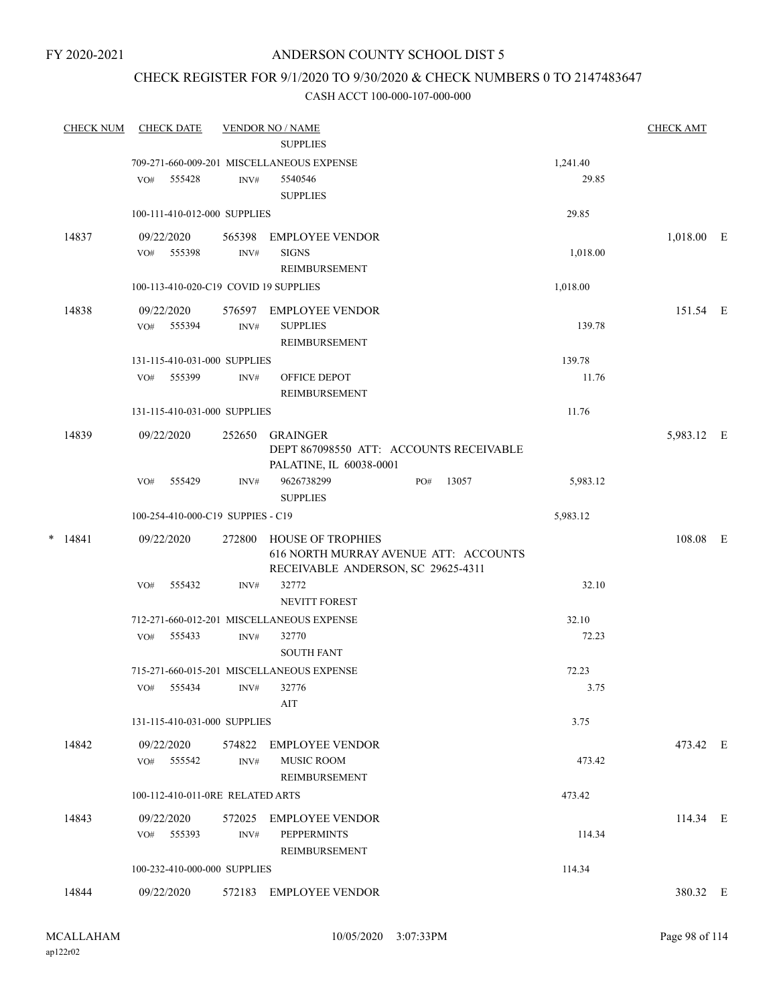# ANDERSON COUNTY SCHOOL DIST 5

# CHECK REGISTER FOR 9/1/2020 TO 9/30/2020 & CHECK NUMBERS 0 TO 2147483647

| <b>CHECK NUM</b> | <b>CHECK DATE</b>                     |        | <b>VENDOR NO / NAME</b>                                            |              |          | <b>CHECK AMT</b> |  |
|------------------|---------------------------------------|--------|--------------------------------------------------------------------|--------------|----------|------------------|--|
|                  |                                       |        | <b>SUPPLIES</b>                                                    |              |          |                  |  |
|                  |                                       |        | 709-271-660-009-201 MISCELLANEOUS EXPENSE                          |              | 1,241.40 |                  |  |
|                  | VO# 555428                            | INV#   | 5540546<br><b>SUPPLIES</b>                                         |              | 29.85    |                  |  |
|                  | 100-111-410-012-000 SUPPLIES          |        |                                                                    |              | 29.85    |                  |  |
|                  |                                       |        |                                                                    |              |          |                  |  |
| 14837            | 09/22/2020                            |        | 565398 EMPLOYEE VENDOR                                             |              |          | $1,018.00$ E     |  |
|                  | VO# 555398                            | INV#   | <b>SIGNS</b>                                                       |              | 1,018.00 |                  |  |
|                  |                                       |        | REIMBURSEMENT                                                      |              |          |                  |  |
|                  | 100-113-410-020-C19 COVID 19 SUPPLIES |        |                                                                    |              | 1,018.00 |                  |  |
| 14838            | 09/22/2020                            |        | 576597 EMPLOYEE VENDOR                                             |              |          | 151.54 E         |  |
|                  | VO# 555394                            | INV#   | <b>SUPPLIES</b>                                                    |              | 139.78   |                  |  |
|                  |                                       |        | <b>REIMBURSEMENT</b>                                               |              |          |                  |  |
|                  | 131-115-410-031-000 SUPPLIES          |        |                                                                    |              | 139.78   |                  |  |
|                  | VO# 555399                            | INV#   | OFFICE DEPOT<br><b>REIMBURSEMENT</b>                               |              | 11.76    |                  |  |
|                  | 131-115-410-031-000 SUPPLIES          |        |                                                                    |              | 11.76    |                  |  |
|                  |                                       |        |                                                                    |              |          |                  |  |
| 14839            | 09/22/2020                            | 252650 | GRAINGER                                                           |              |          | 5,983.12 E       |  |
|                  |                                       |        | DEPT 867098550 ATT: ACCOUNTS RECEIVABLE<br>PALATINE, IL 60038-0001 |              |          |                  |  |
|                  | VO# 555429                            | INV#   | 9626738299                                                         | 13057<br>PO# | 5,983.12 |                  |  |
|                  |                                       |        | <b>SUPPLIES</b>                                                    |              |          |                  |  |
|                  | 100-254-410-000-C19 SUPPIES - C19     |        |                                                                    |              | 5,983.12 |                  |  |
| $*$ 14841        | 09/22/2020                            | 272800 | HOUSE OF TROPHIES                                                  |              |          | 108.08 E         |  |
|                  |                                       |        | 616 NORTH MURRAY AVENUE ATT: ACCOUNTS                              |              |          |                  |  |
|                  |                                       |        | RECEIVABLE ANDERSON, SC 29625-4311                                 |              |          |                  |  |
|                  | VO#<br>555432                         | INV#   | 32772                                                              |              | 32.10    |                  |  |
|                  |                                       |        | NEVITT FOREST                                                      |              |          |                  |  |
|                  |                                       |        | 712-271-660-012-201 MISCELLANEOUS EXPENSE                          |              | 32.10    |                  |  |
|                  | VO# 555433                            | INV#   | 32770                                                              |              | 72.23    |                  |  |
|                  |                                       |        | <b>SOUTH FANT</b>                                                  |              |          |                  |  |
|                  |                                       |        | 715-271-660-015-201 MISCELLANEOUS EXPENSE                          |              | 72.23    |                  |  |
|                  | VO# 555434 INV# 32776                 |        |                                                                    |              | 3.75     |                  |  |
|                  |                                       |        | AIT                                                                |              |          |                  |  |
|                  | 131-115-410-031-000 SUPPLIES          |        |                                                                    |              | 3.75     |                  |  |
| 14842            | 09/22/2020                            |        | 574822 EMPLOYEE VENDOR                                             |              |          | 473.42 E         |  |
|                  | VO# 555542                            | INV#   | <b>MUSIC ROOM</b>                                                  |              | 473.42   |                  |  |
|                  |                                       |        | REIMBURSEMENT                                                      |              |          |                  |  |
|                  | 100-112-410-011-0RE RELATED ARTS      |        |                                                                    |              | 473.42   |                  |  |
| 14843            | 09/22/2020                            |        | 572025 EMPLOYEE VENDOR                                             |              |          | 114.34 E         |  |
|                  | VO# 555393                            | INV#   | <b>PEPPERMINTS</b>                                                 |              | 114.34   |                  |  |
|                  |                                       |        | REIMBURSEMENT                                                      |              |          |                  |  |
|                  | 100-232-410-000-000 SUPPLIES          |        |                                                                    |              | 114.34   |                  |  |
| 14844            | 09/22/2020                            |        | 572183 EMPLOYEE VENDOR                                             |              |          | 380.32 E         |  |
|                  |                                       |        |                                                                    |              |          |                  |  |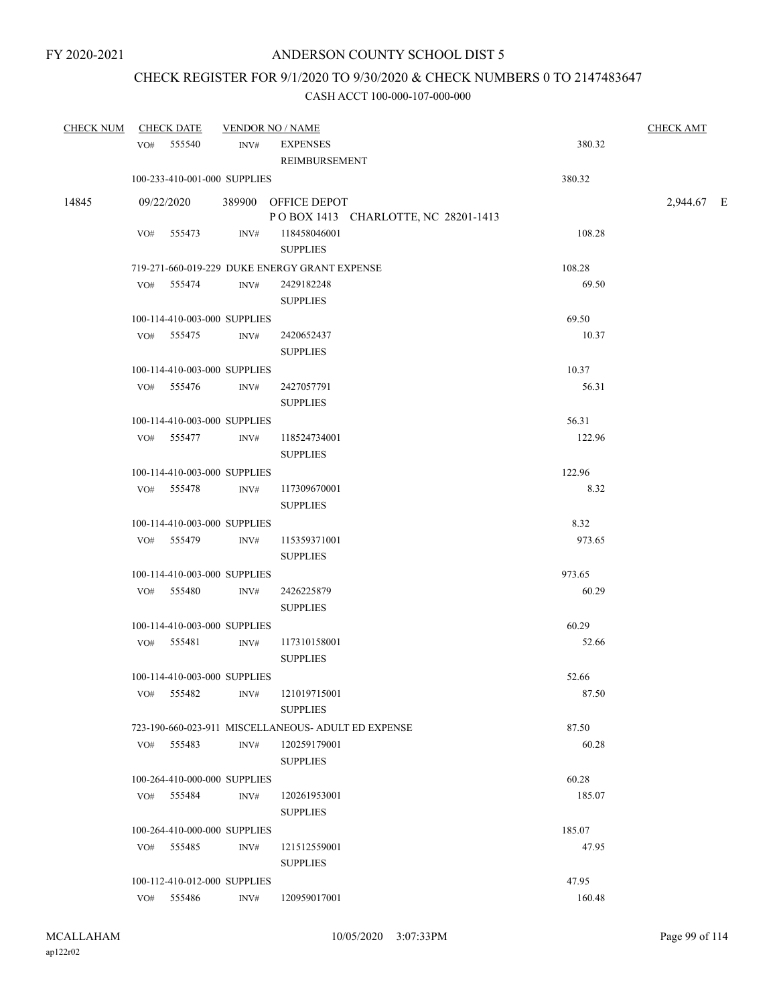# CHECK REGISTER FOR 9/1/2020 TO 9/30/2020 & CHECK NUMBERS 0 TO 2147483647

|       | CHECK NUM CHECK DATE         |      | <b>VENDOR NO / NAME</b>                                    |        |            |  |  |  |
|-------|------------------------------|------|------------------------------------------------------------|--------|------------|--|--|--|
|       | VO# 555540                   | INV# | <b>EXPENSES</b><br>REIMBURSEMENT                           | 380.32 |            |  |  |  |
|       | 100-233-410-001-000 SUPPLIES |      |                                                            | 380.32 |            |  |  |  |
| 14845 | 09/22/2020                   |      | 389900 OFFICE DEPOT<br>POBOX 1413 CHARLOTTE, NC 28201-1413 |        | 2,944.67 E |  |  |  |
|       | VO# 555473                   |      | INV# 118458046001<br><b>SUPPLIES</b>                       | 108.28 |            |  |  |  |
|       |                              |      | 719-271-660-019-229 DUKE ENERGY GRANT EXPENSE              | 108.28 |            |  |  |  |
|       | VO# 555474                   | INV# | 2429182248<br><b>SUPPLIES</b>                              | 69.50  |            |  |  |  |
|       | 100-114-410-003-000 SUPPLIES |      |                                                            | 69.50  |            |  |  |  |
|       | VO# 555475                   | INV# | 2420652437<br><b>SUPPLIES</b>                              | 10.37  |            |  |  |  |
|       | 100-114-410-003-000 SUPPLIES |      |                                                            | 10.37  |            |  |  |  |
|       | VO# 555476                   | INV# | 2427057791<br><b>SUPPLIES</b>                              | 56.31  |            |  |  |  |
|       | 100-114-410-003-000 SUPPLIES |      |                                                            | 56.31  |            |  |  |  |
|       | VO# 555477                   | INV# | 118524734001<br><b>SUPPLIES</b>                            | 122.96 |            |  |  |  |
|       | 100-114-410-003-000 SUPPLIES |      |                                                            | 122.96 |            |  |  |  |
|       | VO# 555478                   | INV# | 117309670001<br><b>SUPPLIES</b>                            | 8.32   |            |  |  |  |
|       | 100-114-410-003-000 SUPPLIES |      |                                                            | 8.32   |            |  |  |  |
|       | VO# 555479                   | INV# | 115359371001<br><b>SUPPLIES</b>                            | 973.65 |            |  |  |  |
|       | 100-114-410-003-000 SUPPLIES |      |                                                            | 973.65 |            |  |  |  |
|       | VO# 555480                   | INV# | 2426225879<br><b>SUPPLIES</b>                              | 60.29  |            |  |  |  |
|       | 100-114-410-003-000 SUPPLIES |      |                                                            | 60.29  |            |  |  |  |
|       | VO# 555481                   | INV# | 117310158001<br><b>SUPPLIES</b>                            | 52.66  |            |  |  |  |
|       | 100-114-410-003-000 SUPPLIES |      |                                                            | 52.66  |            |  |  |  |
|       | 555482<br>VO#                | INV# | 121019715001<br><b>SUPPLIES</b>                            | 87.50  |            |  |  |  |
|       |                              |      | 723-190-660-023-911 MISCELLANEOUS- ADULT ED EXPENSE        | 87.50  |            |  |  |  |
|       | VO# 555483                   | INV# | 120259179001<br><b>SUPPLIES</b>                            | 60.28  |            |  |  |  |
|       | 100-264-410-000-000 SUPPLIES |      |                                                            | 60.28  |            |  |  |  |
|       | VO# 555484                   | INV# | 120261953001<br><b>SUPPLIES</b>                            | 185.07 |            |  |  |  |
|       | 100-264-410-000-000 SUPPLIES |      |                                                            | 185.07 |            |  |  |  |
|       | VO# 555485                   | INV# | 121512559001<br><b>SUPPLIES</b>                            | 47.95  |            |  |  |  |
|       | 100-112-410-012-000 SUPPLIES |      |                                                            | 47.95  |            |  |  |  |
|       | VO# 555486                   | INV# | 120959017001                                               | 160.48 |            |  |  |  |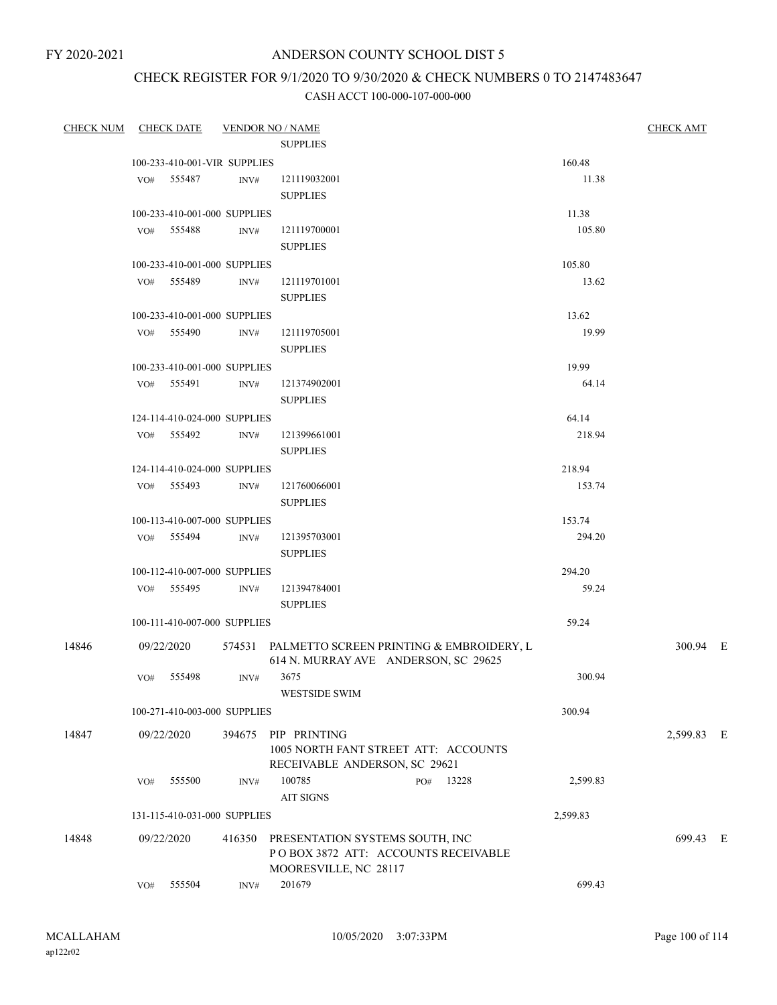# ANDERSON COUNTY SCHOOL DIST 5

# CHECK REGISTER FOR 9/1/2020 TO 9/30/2020 & CHECK NUMBERS 0 TO 2147483647

| CHECK NUM CHECK DATE |            |                              |        | <b>VENDOR NO / NAME</b>                         |          | <b>CHECK AMT</b> |  |
|----------------------|------------|------------------------------|--------|-------------------------------------------------|----------|------------------|--|
|                      |            |                              |        | <b>SUPPLIES</b>                                 |          |                  |  |
|                      |            | 100-233-410-001-VIR SUPPLIES |        |                                                 | 160.48   |                  |  |
|                      | VO#        | 555487                       | INV#   | 121119032001                                    | 11.38    |                  |  |
|                      |            |                              |        | <b>SUPPLIES</b>                                 |          |                  |  |
|                      |            | 100-233-410-001-000 SUPPLIES |        |                                                 | 11.38    |                  |  |
|                      |            | VO# 555488                   | INV#   | 121119700001                                    | 105.80   |                  |  |
|                      |            |                              |        | <b>SUPPLIES</b>                                 |          |                  |  |
|                      |            | 100-233-410-001-000 SUPPLIES |        |                                                 | 105.80   |                  |  |
|                      |            | VO# 555489                   | INV#   | 121119701001                                    | 13.62    |                  |  |
|                      |            |                              |        | <b>SUPPLIES</b>                                 |          |                  |  |
|                      |            | 100-233-410-001-000 SUPPLIES |        |                                                 | 13.62    |                  |  |
|                      |            | VO# 555490                   | INV#   | 121119705001                                    | 19.99    |                  |  |
|                      |            |                              |        | <b>SUPPLIES</b>                                 |          |                  |  |
|                      |            | 100-233-410-001-000 SUPPLIES |        |                                                 | 19.99    |                  |  |
|                      | VO# 555491 |                              | INV#   | 121374902001                                    | 64.14    |                  |  |
|                      |            |                              |        | <b>SUPPLIES</b>                                 |          |                  |  |
|                      |            | 124-114-410-024-000 SUPPLIES |        |                                                 | 64.14    |                  |  |
|                      |            | VO# 555492                   | INV#   | 121399661001                                    | 218.94   |                  |  |
|                      |            |                              |        | <b>SUPPLIES</b>                                 |          |                  |  |
|                      |            | 124-114-410-024-000 SUPPLIES |        |                                                 | 218.94   |                  |  |
|                      |            | VO# 555493                   | INV#   | 121760066001                                    | 153.74   |                  |  |
|                      |            |                              |        | <b>SUPPLIES</b>                                 |          |                  |  |
|                      |            | 100-113-410-007-000 SUPPLIES |        |                                                 | 153.74   |                  |  |
|                      |            | VO# 555494                   | INV#   | 121395703001                                    | 294.20   |                  |  |
|                      |            |                              |        | <b>SUPPLIES</b>                                 |          |                  |  |
|                      |            | 100-112-410-007-000 SUPPLIES |        |                                                 | 294.20   |                  |  |
|                      |            | VO# 555495                   | INV#   | 121394784001                                    | 59.24    |                  |  |
|                      |            |                              |        | <b>SUPPLIES</b>                                 |          |                  |  |
|                      |            | 100-111-410-007-000 SUPPLIES |        |                                                 | 59.24    |                  |  |
| 14846                |            | 09/22/2020                   |        | 574531 PALMETTO SCREEN PRINTING & EMBROIDERY, L |          | 300.94 E         |  |
|                      |            |                              |        | 614 N. MURRAY AVE ANDERSON, SC 29625            |          |                  |  |
|                      | VO# 555498 |                              | INV#   | 3675                                            | 300.94   |                  |  |
|                      |            |                              |        | <b>WESTSIDE SWIM</b>                            |          |                  |  |
|                      |            | 100-271-410-003-000 SUPPLIES |        |                                                 | 300.94   |                  |  |
| 14847                | 09/22/2020 |                              | 394675 | PIP PRINTING                                    |          | 2,599.83 E       |  |
|                      |            |                              |        | 1005 NORTH FANT STREET ATT: ACCOUNTS            |          |                  |  |
|                      |            |                              |        | RECEIVABLE ANDERSON, SC 29621                   |          |                  |  |
|                      | VO#        | 555500                       | INV#   | 100785<br>13228<br>PO#                          | 2,599.83 |                  |  |
|                      |            |                              |        | <b>AIT SIGNS</b>                                |          |                  |  |
|                      |            | 131-115-410-031-000 SUPPLIES |        |                                                 | 2,599.83 |                  |  |
| 14848                | 09/22/2020 |                              | 416350 | PRESENTATION SYSTEMS SOUTH, INC                 |          | 699.43 E         |  |
|                      |            |                              |        | POBOX 3872 ATT: ACCOUNTS RECEIVABLE             |          |                  |  |
|                      |            |                              |        | MOORESVILLE, NC 28117                           |          |                  |  |
|                      | VO#        | 555504                       | INV#   | 201679                                          | 699.43   |                  |  |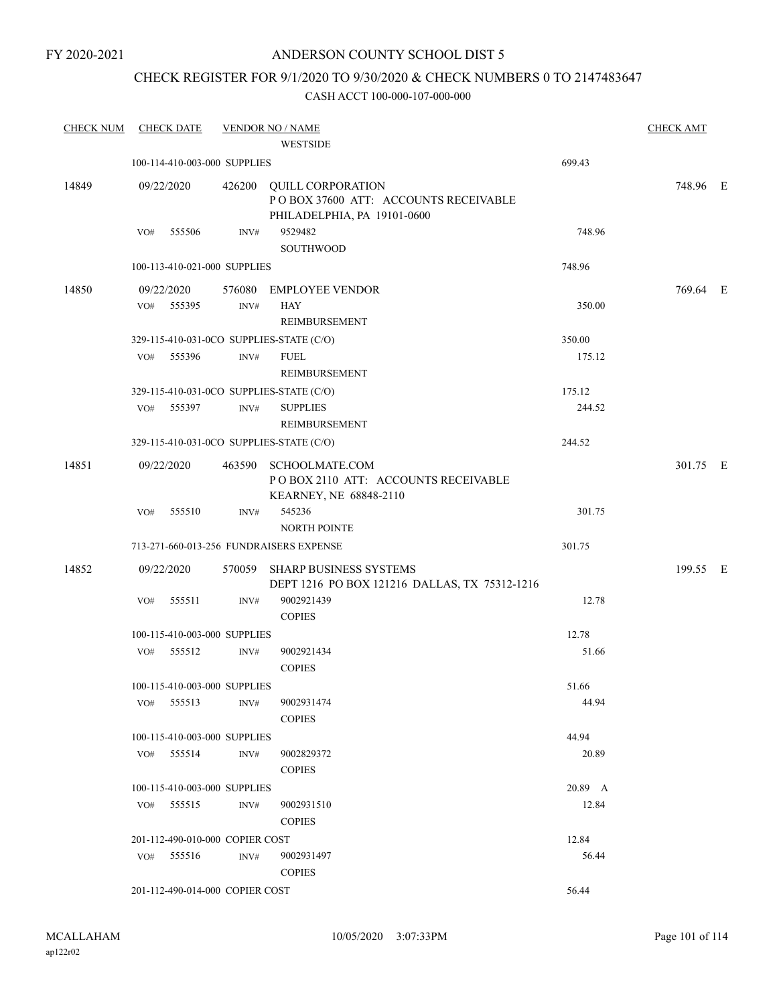# ANDERSON COUNTY SCHOOL DIST 5

# CHECK REGISTER FOR 9/1/2020 TO 9/30/2020 & CHECK NUMBERS 0 TO 2147483647

| <b>CHECK NUM</b> | <b>CHECK DATE</b>               |        |      | <b>VENDOR NO / NAME</b>                                                                         |         | <b>CHECK AMT</b> |  |
|------------------|---------------------------------|--------|------|-------------------------------------------------------------------------------------------------|---------|------------------|--|
|                  |                                 |        |      | <b>WESTSIDE</b>                                                                                 |         |                  |  |
|                  | 100-114-410-003-000 SUPPLIES    |        |      |                                                                                                 | 699.43  |                  |  |
| 14849            | 09/22/2020                      |        |      | 426200 QUILL CORPORATION<br>POBOX 37600 ATT: ACCOUNTS RECEIVABLE<br>PHILADELPHIA, PA 19101-0600 |         | 748.96 E         |  |
|                  | VO#                             | 555506 | INV# | 9529482<br><b>SOUTHWOOD</b>                                                                     | 748.96  |                  |  |
|                  | 100-113-410-021-000 SUPPLIES    |        |      |                                                                                                 | 748.96  |                  |  |
| 14850            | 09/22/2020                      |        |      | 576080 EMPLOYEE VENDOR                                                                          |         | 769.64 E         |  |
|                  | VO#                             | 555395 | INV# | <b>HAY</b><br>REIMBURSEMENT                                                                     | 350.00  |                  |  |
|                  |                                 |        |      | 329-115-410-031-0CO SUPPLIES-STATE (C/O)                                                        | 350.00  |                  |  |
|                  | VO#                             | 555396 | INV# | <b>FUEL</b><br>REIMBURSEMENT                                                                    | 175.12  |                  |  |
|                  |                                 |        |      | 329-115-410-031-0CO SUPPLIES-STATE (C/O)                                                        | 175.12  |                  |  |
|                  | VO# 555397                      |        | INV# | <b>SUPPLIES</b><br>REIMBURSEMENT                                                                | 244.52  |                  |  |
|                  |                                 |        |      | 329-115-410-031-0CO SUPPLIES-STATE (C/O)                                                        | 244.52  |                  |  |
| 14851            | 09/22/2020                      |        |      | 463590 SCHOOLMATE.COM<br>PO BOX 2110 ATT: ACCOUNTS RECEIVABLE<br>KEARNEY, NE 68848-2110         |         | 301.75 E         |  |
|                  | VO#                             | 555510 | INV# | 545236<br><b>NORTH POINTE</b>                                                                   | 301.75  |                  |  |
|                  |                                 |        |      | 713-271-660-013-256 FUNDRAISERS EXPENSE                                                         | 301.75  |                  |  |
| 14852            | 09/22/2020                      |        |      | 570059 SHARP BUSINESS SYSTEMS<br>DEPT 1216 PO BOX 121216 DALLAS, TX 75312-1216                  |         | 199.55 E         |  |
|                  | VO#                             | 555511 | INV# | 9002921439<br><b>COPIES</b>                                                                     | 12.78   |                  |  |
|                  | 100-115-410-003-000 SUPPLIES    |        |      |                                                                                                 | 12.78   |                  |  |
|                  | VO# 555512                      |        | INV# | 9002921434<br><b>COPIES</b>                                                                     | 51.66   |                  |  |
|                  | 100-115-410-003-000 SUPPLIES    |        |      |                                                                                                 | 51.66   |                  |  |
|                  | VO#                             | 555513 | INV# | 9002931474<br><b>COPIES</b>                                                                     | 44.94   |                  |  |
|                  | 100-115-410-003-000 SUPPLIES    |        |      |                                                                                                 | 44.94   |                  |  |
|                  | VO# 555514                      |        | INV# | 9002829372<br><b>COPIES</b>                                                                     | 20.89   |                  |  |
|                  | 100-115-410-003-000 SUPPLIES    |        |      |                                                                                                 | 20.89 A |                  |  |
|                  | VO# 555515                      |        | INV# | 9002931510<br><b>COPIES</b>                                                                     | 12.84   |                  |  |
|                  | 201-112-490-010-000 COPIER COST |        |      |                                                                                                 | 12.84   |                  |  |
|                  | $VO#$ 555516                    |        | INV# | 9002931497<br><b>COPIES</b>                                                                     | 56.44   |                  |  |
|                  | 201-112-490-014-000 COPIER COST |        |      |                                                                                                 | 56.44   |                  |  |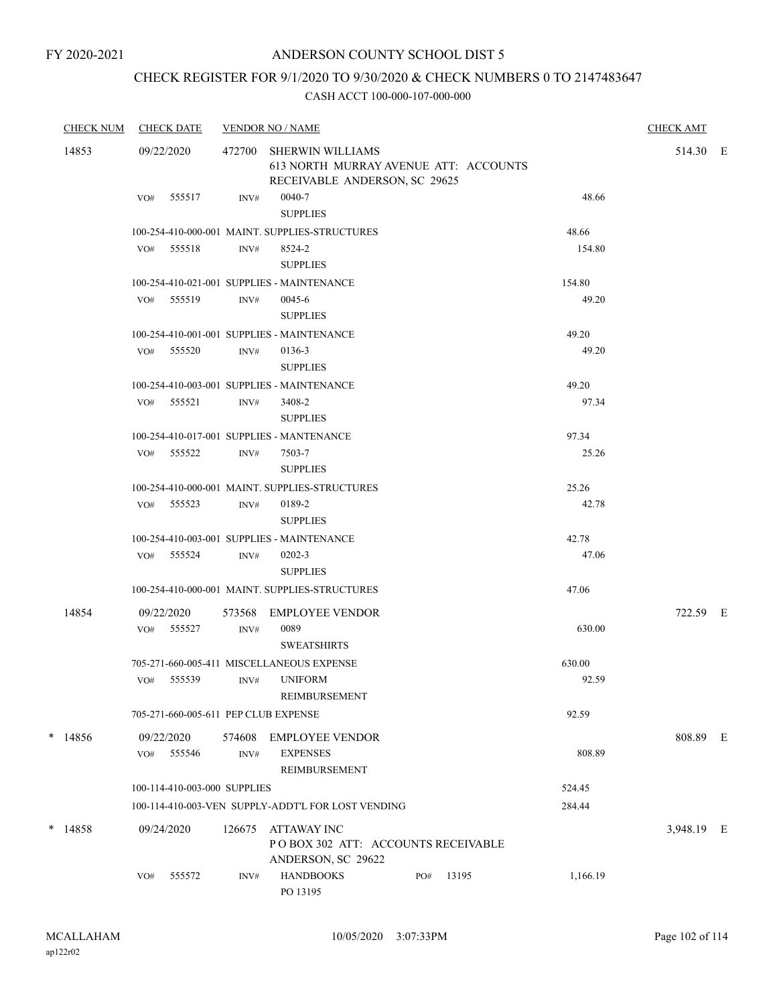# CHECK REGISTER FOR 9/1/2020 TO 9/30/2020 & CHECK NUMBERS 0 TO 2147483647

|       | <b>CHECK NUM</b><br><b>CHECK DATE</b> |     |                              | <b>VENDOR NO / NAME</b> | <b>CHECK AMT</b>                                                                                  |     |       |          |            |  |
|-------|---------------------------------------|-----|------------------------------|-------------------------|---------------------------------------------------------------------------------------------------|-----|-------|----------|------------|--|
| 14853 |                                       |     | 09/22/2020                   | 472700                  | <b>SHERWIN WILLIAMS</b><br>613 NORTH MURRAY AVENUE ATT: ACCOUNTS<br>RECEIVABLE ANDERSON, SC 29625 |     |       |          | 514.30 E   |  |
|       |                                       | VO# | 555517                       | INV#                    | 0040-7<br><b>SUPPLIES</b>                                                                         |     |       | 48.66    |            |  |
|       |                                       |     |                              |                         | 100-254-410-000-001 MAINT. SUPPLIES-STRUCTURES                                                    |     |       | 48.66    |            |  |
|       |                                       |     | VO# 555518                   | INV#                    | 8524-2                                                                                            |     |       | 154.80   |            |  |
|       |                                       |     |                              |                         | <b>SUPPLIES</b>                                                                                   |     |       |          |            |  |
|       |                                       |     |                              |                         | 100-254-410-021-001 SUPPLIES - MAINTENANCE                                                        |     |       | 154.80   |            |  |
|       |                                       |     | VO# 555519                   | INV#                    | 0045-6<br><b>SUPPLIES</b>                                                                         |     |       | 49.20    |            |  |
|       |                                       |     |                              |                         | 100-254-410-001-001 SUPPLIES - MAINTENANCE                                                        |     |       | 49.20    |            |  |
|       |                                       |     | VO# 555520                   | INV#                    | 0136-3<br><b>SUPPLIES</b>                                                                         |     |       | 49.20    |            |  |
|       |                                       |     |                              |                         | 100-254-410-003-001 SUPPLIES - MAINTENANCE                                                        |     |       | 49.20    |            |  |
|       |                                       |     | VO# 555521                   | INV#                    | 3408-2<br><b>SUPPLIES</b>                                                                         |     |       | 97.34    |            |  |
|       |                                       |     |                              |                         | 100-254-410-017-001 SUPPLIES - MANTENANCE                                                         |     |       | 97.34    |            |  |
|       |                                       |     | VO# 555522                   | INV#                    | 7503-7<br><b>SUPPLIES</b>                                                                         |     |       | 25.26    |            |  |
|       |                                       |     |                              |                         | 100-254-410-000-001 MAINT, SUPPLIES-STRUCTURES                                                    |     |       | 25.26    |            |  |
|       |                                       |     | VO# 555523                   | INV#                    | 0189-2<br><b>SUPPLIES</b>                                                                         |     |       | 42.78    |            |  |
|       |                                       |     |                              |                         | 100-254-410-003-001 SUPPLIES - MAINTENANCE                                                        |     |       | 42.78    |            |  |
|       |                                       |     | VO# 555524                   | INV#                    | $0202 - 3$<br><b>SUPPLIES</b>                                                                     |     |       | 47.06    |            |  |
|       |                                       |     |                              |                         | 100-254-410-000-001 MAINT. SUPPLIES-STRUCTURES                                                    |     |       | 47.06    |            |  |
|       | 14854                                 |     | 09/22/2020                   | 573568                  | EMPLOYEE VENDOR                                                                                   |     |       |          | 722.59 E   |  |
|       |                                       |     | VO# 555527                   | INV#                    | 0089<br><b>SWEATSHIRTS</b>                                                                        |     |       | 630.00   |            |  |
|       |                                       |     |                              |                         | 705-271-660-005-411 MISCELLANEOUS EXPENSE                                                         |     |       | 630.00   |            |  |
|       |                                       |     | VO# 555539                   | INV#                    | <b>UNIFORM</b><br>REIMBURSEMENT                                                                   |     |       | 92.59    |            |  |
|       |                                       |     |                              |                         | 705-271-660-005-611 PEP CLUB EXPENSE                                                              |     |       | 92.59    |            |  |
|       | $*$ 14856                             | VO# | 09/22/2020<br>555546         | 574608<br>INV#          | <b>EMPLOYEE VENDOR</b><br><b>EXPENSES</b>                                                         |     |       | 808.89   | 808.89 E   |  |
|       |                                       |     |                              |                         | REIMBURSEMENT                                                                                     |     |       |          |            |  |
|       |                                       |     | 100-114-410-003-000 SUPPLIES |                         |                                                                                                   |     |       | 524.45   |            |  |
|       |                                       |     |                              |                         | 100-114-410-003-VEN SUPPLY-ADDT'L FOR LOST VENDING                                                |     |       | 284.44   |            |  |
|       | $*$ 14858                             |     | 09/24/2020                   | 126675                  | ATTAWAY INC<br>PO BOX 302 ATT: ACCOUNTS RECEIVABLE<br>ANDERSON, SC 29622                          |     |       |          | 3,948.19 E |  |
|       |                                       | VO# | 555572                       | INV#                    | <b>HANDBOOKS</b><br>PO 13195                                                                      | PO# | 13195 | 1,166.19 |            |  |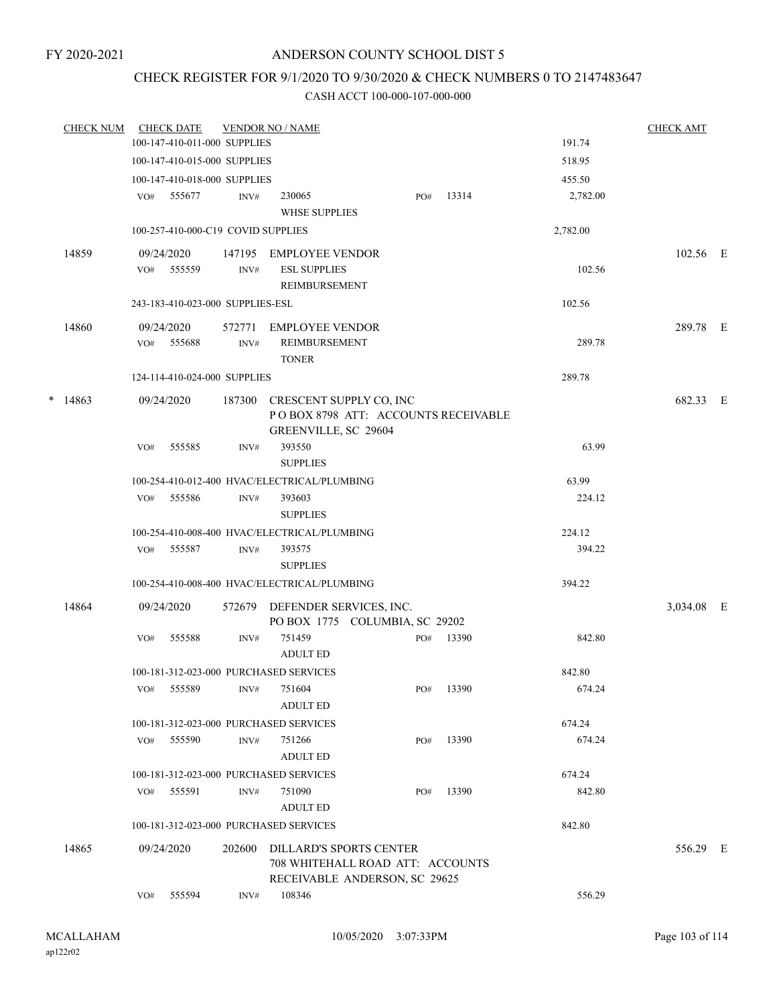# CHECK REGISTER FOR 9/1/2020 TO 9/30/2020 & CHECK NUMBERS 0 TO 2147483647

| <b>CHECK NUM</b> |     | <b>CHECK DATE</b>                  |                | <b>VENDOR NO / NAME</b>                                          |     |       |          | <b>CHECK AMT</b> |  |
|------------------|-----|------------------------------------|----------------|------------------------------------------------------------------|-----|-------|----------|------------------|--|
|                  |     | 100-147-410-011-000 SUPPLIES       |                |                                                                  |     |       | 191.74   |                  |  |
|                  |     | 100-147-410-015-000 SUPPLIES       |                |                                                                  |     |       | 518.95   |                  |  |
|                  |     | 100-147-410-018-000 SUPPLIES       |                |                                                                  |     |       | 455.50   |                  |  |
|                  | VO# | 555677                             | INV#           | 230065<br><b>WHSE SUPPLIES</b>                                   | PO# | 13314 | 2,782.00 |                  |  |
|                  |     | 100-257-410-000-C19 COVID SUPPLIES |                |                                                                  |     |       | 2,782.00 |                  |  |
| 14859            |     | 09/24/2020                         |                | 147195 EMPLOYEE VENDOR                                           |     |       |          | 102.56 E         |  |
|                  |     | VO# 555559                         | INV#           | <b>ESL SUPPLIES</b>                                              |     |       | 102.56   |                  |  |
|                  |     |                                    |                | <b>REIMBURSEMENT</b>                                             |     |       |          |                  |  |
|                  |     | 243-183-410-023-000 SUPPLIES-ESL   |                |                                                                  |     |       | 102.56   |                  |  |
| 14860            |     | 09/24/2020                         |                | 572771 EMPLOYEE VENDOR                                           |     |       |          | 289.78 E         |  |
|                  |     | VO# 555688                         | $\text{INV}\#$ | REIMBURSEMENT                                                    |     |       | 289.78   |                  |  |
|                  |     |                                    |                | <b>TONER</b>                                                     |     |       |          |                  |  |
|                  |     | 124-114-410-024-000 SUPPLIES       |                |                                                                  |     |       | 289.78   |                  |  |
| $*$ 14863        |     | 09/24/2020                         |                | 187300 CRESCENT SUPPLY CO, INC                                   |     |       |          | 682.33 E         |  |
|                  |     |                                    |                | POBOX 8798 ATT: ACCOUNTS RECEIVABLE                              |     |       |          |                  |  |
|                  |     |                                    |                | GREENVILLE, SC 29604                                             |     |       |          |                  |  |
|                  | VO# | 555585                             | INV#           | 393550                                                           |     |       | 63.99    |                  |  |
|                  |     |                                    |                | <b>SUPPLIES</b>                                                  |     |       |          |                  |  |
|                  |     |                                    |                | 100-254-410-012-400 HVAC/ELECTRICAL/PLUMBING                     |     |       | 63.99    |                  |  |
|                  | VO# | 555586                             | INV#           | 393603                                                           |     |       | 224.12   |                  |  |
|                  |     |                                    |                | <b>SUPPLIES</b>                                                  |     |       |          |                  |  |
|                  |     |                                    |                | 100-254-410-008-400 HVAC/ELECTRICAL/PLUMBING                     |     |       | 224.12   |                  |  |
|                  |     | VO# 555587                         | INV#           | 393575                                                           |     |       | 394.22   |                  |  |
|                  |     |                                    |                | <b>SUPPLIES</b>                                                  |     |       |          |                  |  |
|                  |     |                                    |                | 100-254-410-008-400 HVAC/ELECTRICAL/PLUMBING                     |     |       | 394.22   |                  |  |
| 14864            |     | 09/24/2020                         |                | 572679 DEFENDER SERVICES, INC.<br>PO BOX 1775 COLUMBIA, SC 29202 |     |       |          | 3,034.08 E       |  |
|                  | VO# | 555588                             | INV#           | 751459                                                           | PO# | 13390 | 842.80   |                  |  |
|                  |     |                                    |                | <b>ADULT ED</b>                                                  |     |       |          |                  |  |
|                  |     |                                    |                | 100-181-312-023-000 PURCHASED SERVICES                           |     |       | 842.80   |                  |  |
|                  | VO# | 555589                             |                | INV# 751604                                                      | PO# | 13390 | 674.24   |                  |  |
|                  |     |                                    |                | <b>ADULT ED</b>                                                  |     |       |          |                  |  |
|                  |     |                                    |                | 100-181-312-023-000 PURCHASED SERVICES                           |     |       | 674.24   |                  |  |
|                  | VO# | 555590                             | INV#           | 751266                                                           | PO# | 13390 | 674.24   |                  |  |
|                  |     |                                    |                | <b>ADULT ED</b>                                                  |     |       |          |                  |  |
|                  |     |                                    |                | 100-181-312-023-000 PURCHASED SERVICES                           |     |       | 674.24   |                  |  |
|                  | VO# | 555591                             | INV#           | 751090                                                           | PO# | 13390 | 842.80   |                  |  |
|                  |     |                                    |                | <b>ADULT ED</b><br>100-181-312-023-000 PURCHASED SERVICES        |     |       | 842.80   |                  |  |
|                  |     |                                    |                |                                                                  |     |       |          |                  |  |
| 14865            |     | 09/24/2020                         | 202600         | <b>DILLARD'S SPORTS CENTER</b>                                   |     |       |          | 556.29 E         |  |
|                  |     |                                    |                | 708 WHITEHALL ROAD ATT: ACCOUNTS                                 |     |       |          |                  |  |
|                  | VO# | 555594                             | INV#           | RECEIVABLE ANDERSON, SC 29625<br>108346                          |     |       | 556.29   |                  |  |
|                  |     |                                    |                |                                                                  |     |       |          |                  |  |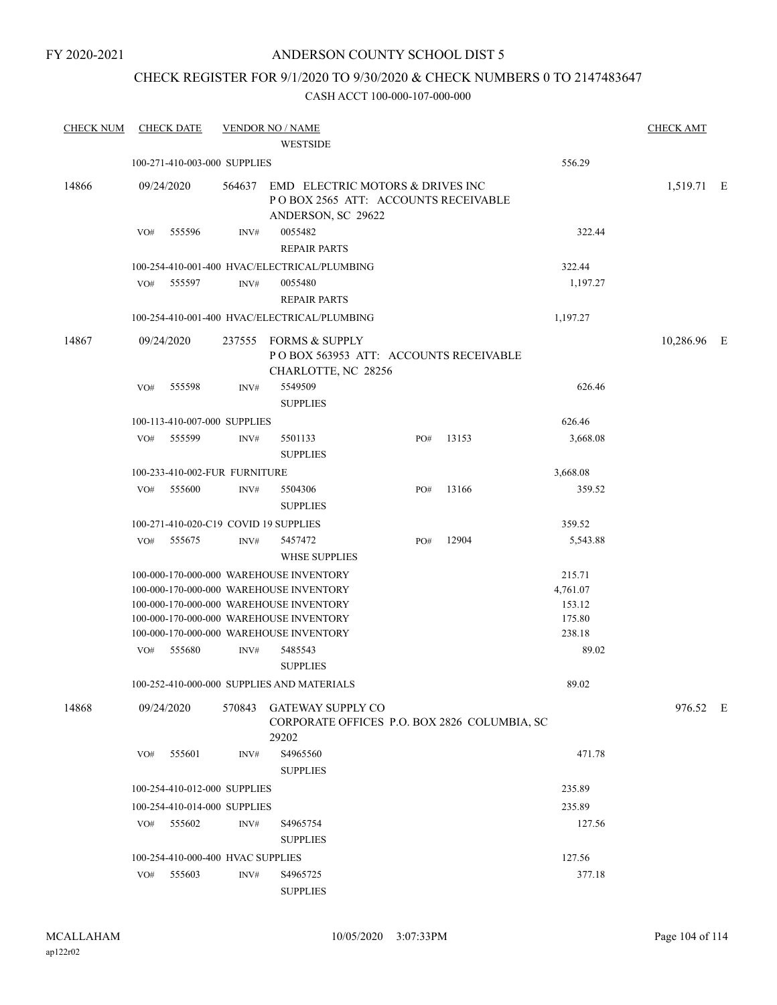# ANDERSON COUNTY SCHOOL DIST 5

# CHECK REGISTER FOR 9/1/2020 TO 9/30/2020 & CHECK NUMBERS 0 TO 2147483647

| <b>CHECK NUM</b> | <b>CHECK DATE</b>                     |      | <b>VENDOR NO / NAME</b>                                                                              |     |       |                 | <b>CHECK AMT</b> |  |
|------------------|---------------------------------------|------|------------------------------------------------------------------------------------------------------|-----|-------|-----------------|------------------|--|
|                  |                                       |      | <b>WESTSIDE</b>                                                                                      |     |       |                 |                  |  |
|                  | 100-271-410-003-000 SUPPLIES          |      |                                                                                                      |     |       | 556.29          |                  |  |
| 14866            | 09/24/2020                            |      | 564637 EMD ELECTRIC MOTORS & DRIVES INC<br>POBOX 2565 ATT: ACCOUNTS RECEIVABLE<br>ANDERSON, SC 29622 |     |       |                 | 1,519.71 E       |  |
|                  | 555596<br>VO#                         | INV# | 0055482<br><b>REPAIR PARTS</b>                                                                       |     |       | 322.44          |                  |  |
|                  |                                       |      | 100-254-410-001-400 HVAC/ELECTRICAL/PLUMBING                                                         |     |       | 322.44          |                  |  |
|                  | 555597<br>VO#                         | INV# | 0055480<br><b>REPAIR PARTS</b>                                                                       |     |       | 1,197.27        |                  |  |
|                  |                                       |      | 100-254-410-001-400 HVAC/ELECTRICAL/PLUMBING                                                         |     |       | 1,197.27        |                  |  |
| 14867            | 09/24/2020                            |      | 237555 FORMS & SUPPLY<br>POBOX 563953 ATT: ACCOUNTS RECEIVABLE<br>CHARLOTTE, NC 28256                |     |       |                 | 10,286.96 E      |  |
|                  | 555598<br>VO#                         | INV# | 5549509<br><b>SUPPLIES</b>                                                                           |     |       | 626.46          |                  |  |
|                  | 100-113-410-007-000 SUPPLIES          |      |                                                                                                      |     |       | 626.46          |                  |  |
|                  | VO# 555599                            | INV# | 5501133<br><b>SUPPLIES</b>                                                                           | PO# | 13153 | 3,668.08        |                  |  |
|                  | 100-233-410-002-FUR FURNITURE         |      |                                                                                                      |     |       | 3,668.08        |                  |  |
|                  | 555600<br>VO#                         | INV# | 5504306<br><b>SUPPLIES</b>                                                                           | PO# | 13166 | 359.52          |                  |  |
|                  | 100-271-410-020-C19 COVID 19 SUPPLIES |      |                                                                                                      |     |       | 359.52          |                  |  |
|                  | 555675<br>VO#                         | INV# | 5457472<br><b>WHSE SUPPLIES</b>                                                                      | PO# | 12904 | 5,543.88        |                  |  |
|                  |                                       |      | 100-000-170-000-000 WAREHOUSE INVENTORY                                                              |     |       | 215.71          |                  |  |
|                  |                                       |      | 100-000-170-000-000 WAREHOUSE INVENTORY                                                              |     |       | 4,761.07        |                  |  |
|                  |                                       |      | 100-000-170-000-000 WAREHOUSE INVENTORY                                                              |     |       | 153.12          |                  |  |
|                  |                                       |      | 100-000-170-000-000 WAREHOUSE INVENTORY<br>100-000-170-000-000 WAREHOUSE INVENTORY                   |     |       | 175.80          |                  |  |
|                  | 555680<br>VO#                         | INV# | 5485543                                                                                              |     |       | 238.18<br>89.02 |                  |  |
|                  |                                       |      | <b>SUPPLIES</b>                                                                                      |     |       |                 |                  |  |
|                  |                                       |      | 100-252-410-000-000 SUPPLIES AND MATERIALS                                                           |     |       | 89.02           |                  |  |
| 14868            | 09/24/2020                            |      | 570843 GATEWAY SUPPLY CO<br>CORPORATE OFFICES P.O. BOX 2826 COLUMBIA, SC                             |     |       |                 | 976.52 E         |  |
|                  |                                       |      | 29202                                                                                                |     |       |                 |                  |  |
|                  | 555601<br>VO#                         | INV# | S4965560<br><b>SUPPLIES</b>                                                                          |     |       | 471.78          |                  |  |
|                  | 100-254-410-012-000 SUPPLIES          |      |                                                                                                      |     |       | 235.89          |                  |  |
|                  | 100-254-410-014-000 SUPPLIES          |      |                                                                                                      |     |       | 235.89          |                  |  |
|                  | VO# 555602                            | INV# | S4965754<br><b>SUPPLIES</b>                                                                          |     |       | 127.56          |                  |  |
|                  | 100-254-410-000-400 HVAC SUPPLIES     |      |                                                                                                      |     |       | 127.56          |                  |  |
|                  | 555603<br>VO#                         | INV# | S4965725                                                                                             |     |       | 377.18          |                  |  |
|                  |                                       |      | <b>SUPPLIES</b>                                                                                      |     |       |                 |                  |  |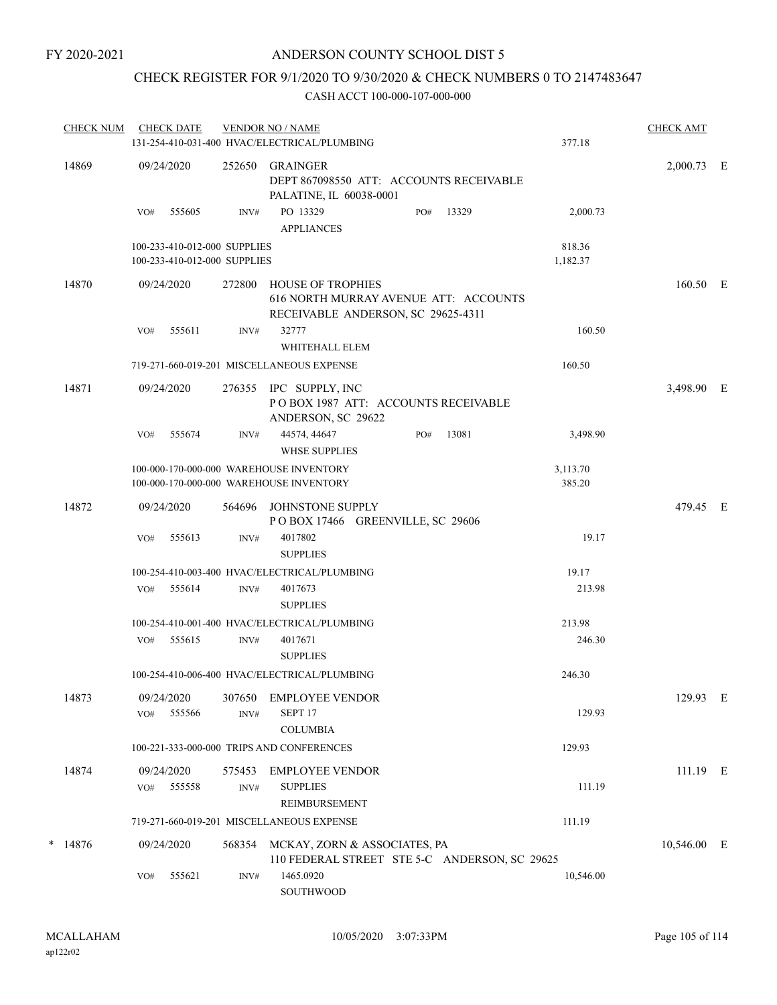# CHECK REGISTER FOR 9/1/2020 TO 9/30/2020 & CHECK NUMBERS 0 TO 2147483647

| <b>CHECK NUM</b> |     | <b>CHECK DATE</b>                                            |                | <b>VENDOR NO / NAME</b><br>131-254-410-031-400 HVAC/ELECTRICAL/PLUMBING                                 |     |       | 377.18             | <b>CHECK AMT</b> |  |
|------------------|-----|--------------------------------------------------------------|----------------|---------------------------------------------------------------------------------------------------------|-----|-------|--------------------|------------------|--|
| 14869            |     | 09/24/2020                                                   | 252650         | GRAINGER<br>DEPT 867098550 ATT: ACCOUNTS RECEIVABLE<br>PALATINE, IL 60038-0001                          |     |       |                    | 2,000.73 E       |  |
|                  | VO# | 555605                                                       | INV#           | PO 13329<br><b>APPLIANCES</b>                                                                           | PO# | 13329 | 2,000.73           |                  |  |
|                  |     | 100-233-410-012-000 SUPPLIES<br>100-233-410-012-000 SUPPLIES |                |                                                                                                         |     |       | 818.36<br>1,182.37 |                  |  |
| 14870            |     | 09/24/2020                                                   | 272800         | <b>HOUSE OF TROPHIES</b><br>616 NORTH MURRAY AVENUE ATT: ACCOUNTS<br>RECEIVABLE ANDERSON, SC 29625-4311 |     |       |                    | 160.50 E         |  |
|                  | VO# | 555611                                                       | INV#           | 32777<br>WHITEHALL ELEM                                                                                 |     |       | 160.50             |                  |  |
|                  |     |                                                              |                | 719-271-660-019-201 MISCELLANEOUS EXPENSE                                                               |     |       | 160.50             |                  |  |
| 14871            |     | 09/24/2020                                                   |                | 276355 IPC SUPPLY, INC<br>POBOX 1987 ATT: ACCOUNTS RECEIVABLE<br>ANDERSON, SC 29622                     |     |       |                    | 3,498.90 E       |  |
|                  | VO# | 555674                                                       | INV#           | 44574, 44647<br><b>WHSE SUPPLIES</b>                                                                    | PO# | 13081 | 3,498.90           |                  |  |
|                  |     |                                                              |                | 100-000-170-000-000 WAREHOUSE INVENTORY<br>100-000-170-000-000 WAREHOUSE INVENTORY                      |     |       | 3,113.70<br>385.20 |                  |  |
| 14872            |     | 09/24/2020                                                   | 564696         | JOHNSTONE SUPPLY<br>POBOX 17466 GREENVILLE, SC 29606                                                    |     |       |                    | 479.45 E         |  |
|                  | VO# | 555613                                                       | INV#           | 4017802<br><b>SUPPLIES</b>                                                                              |     |       | 19.17              |                  |  |
|                  |     |                                                              |                | 100-254-410-003-400 HVAC/ELECTRICAL/PLUMBING                                                            |     |       | 19.17              |                  |  |
|                  | VO# | 555614                                                       | INV#           | 4017673<br><b>SUPPLIES</b>                                                                              |     |       | 213.98             |                  |  |
|                  |     |                                                              |                | 100-254-410-001-400 HVAC/ELECTRICAL/PLUMBING                                                            |     |       | 213.98             |                  |  |
|                  | VO# | 555615                                                       | INV#           | 4017671<br><b>SUPPLIES</b>                                                                              |     |       | 246.30             |                  |  |
|                  |     |                                                              |                | 100-254-410-006-400 HVAC/ELECTRICAL/PLUMBING                                                            |     |       | 246.30             |                  |  |
| 14873            |     | 09/24/2020                                                   | 307650         | <b>EMPLOYEE VENDOR</b>                                                                                  |     |       |                    | 129.93 E         |  |
|                  | VO# | 555566                                                       | INV#           | SEPT <sub>17</sub><br><b>COLUMBIA</b>                                                                   |     |       | 129.93             |                  |  |
|                  |     |                                                              |                | 100-221-333-000-000 TRIPS AND CONFERENCES                                                               |     |       | 129.93             |                  |  |
| 14874            | VO# | 09/24/2020<br>555558                                         | 575453<br>INV# | <b>EMPLOYEE VENDOR</b><br><b>SUPPLIES</b><br><b>REIMBURSEMENT</b>                                       |     |       | 111.19             | 111.19 E         |  |
|                  |     |                                                              |                | 719-271-660-019-201 MISCELLANEOUS EXPENSE                                                               |     |       | 111.19             |                  |  |
| $*$ 14876        |     | 09/24/2020                                                   |                | 568354 MCKAY, ZORN & ASSOCIATES, PA<br>110 FEDERAL STREET STE 5-C ANDERSON, SC 29625                    |     |       |                    | 10,546.00 E      |  |
|                  | VO# | 555621                                                       | INV#           | 1465.0920<br>SOUTHWOOD                                                                                  |     |       | 10,546.00          |                  |  |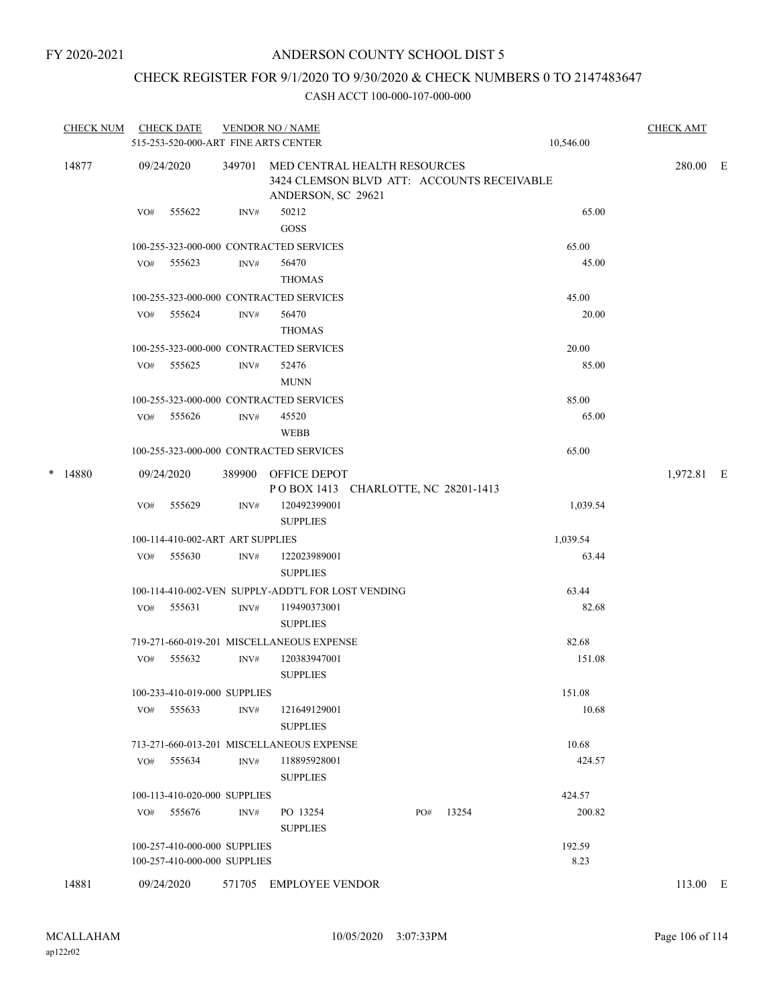# CHECK REGISTER FOR 9/1/2020 TO 9/30/2020 & CHECK NUMBERS 0 TO 2147483647

|   | <b>CHECK NUM</b> |                                                             | <b>CHECK DATE</b>                                            |      | <b>VENDOR NO / NAME</b><br>515-253-520-000-ART FINE ARTS CENTER                                         |  |     |       |  | 10,546.00      | <b>CHECK AMT</b> |  |
|---|------------------|-------------------------------------------------------------|--------------------------------------------------------------|------|---------------------------------------------------------------------------------------------------------|--|-----|-------|--|----------------|------------------|--|
|   | 14877            |                                                             | 09/24/2020                                                   |      | 349701 MED CENTRAL HEALTH RESOURCES<br>3424 CLEMSON BLVD ATT: ACCOUNTS RECEIVABLE<br>ANDERSON, SC 29621 |  |     |       |  |                | 280.00 E         |  |
|   |                  | VO#                                                         | 555622                                                       | INV# | 50212<br>GOSS                                                                                           |  |     |       |  | 65.00          |                  |  |
|   |                  |                                                             |                                                              |      | 100-255-323-000-000 CONTRACTED SERVICES                                                                 |  |     |       |  | 65.00          |                  |  |
|   |                  |                                                             | VO# 555623                                                   | INV# | 56470<br><b>THOMAS</b>                                                                                  |  |     |       |  | 45.00          |                  |  |
|   |                  |                                                             |                                                              |      | 100-255-323-000-000 CONTRACTED SERVICES                                                                 |  |     |       |  | 45.00          |                  |  |
|   |                  |                                                             | VO# 555624                                                   | INV# | 56470<br><b>THOMAS</b>                                                                                  |  |     |       |  | 20.00          |                  |  |
|   |                  |                                                             |                                                              |      | 100-255-323-000-000 CONTRACTED SERVICES                                                                 |  |     |       |  | 20.00          |                  |  |
|   |                  | VO#                                                         | 555625                                                       | INV# | 52476<br><b>MUNN</b>                                                                                    |  |     |       |  | 85.00          |                  |  |
|   |                  |                                                             |                                                              |      | 100-255-323-000-000 CONTRACTED SERVICES                                                                 |  |     |       |  | 85.00          |                  |  |
|   |                  |                                                             | VO# 555626                                                   | INV# | 45520<br>WEBB                                                                                           |  |     |       |  | 65.00          |                  |  |
|   |                  |                                                             |                                                              |      | 100-255-323-000-000 CONTRACTED SERVICES                                                                 |  |     |       |  | 65.00          |                  |  |
| * | 14880            |                                                             | 09/24/2020                                                   |      | 389900 OFFICE DEPOT<br>POBOX 1413 CHARLOTTE, NC 28201-1413                                              |  |     |       |  |                | 1,972.81 E       |  |
|   |                  | VO#                                                         | 555629                                                       | INV# | 120492399001<br><b>SUPPLIES</b>                                                                         |  |     |       |  | 1,039.54       |                  |  |
|   |                  |                                                             | 100-114-410-002-ART ART SUPPLIES                             |      |                                                                                                         |  |     |       |  | 1,039.54       |                  |  |
|   |                  | VO#                                                         | 555630                                                       | INV# | 122023989001<br><b>SUPPLIES</b>                                                                         |  |     |       |  | 63.44          |                  |  |
|   |                  | 100-114-410-002-VEN SUPPLY-ADDT'L FOR LOST VENDING<br>63.44 |                                                              |      |                                                                                                         |  |     |       |  |                |                  |  |
|   |                  | VO#                                                         | 555631                                                       | INV# | 119490373001<br><b>SUPPLIES</b>                                                                         |  |     |       |  | 82.68          |                  |  |
|   |                  |                                                             |                                                              |      | 719-271-660-019-201 MISCELLANEOUS EXPENSE                                                               |  |     |       |  | 82.68          |                  |  |
|   |                  | VO#                                                         | 555632                                                       | INV# | 120383947001<br><b>SUPPLIES</b>                                                                         |  |     |       |  | 151.08         |                  |  |
|   |                  |                                                             | 100-233-410-019-000 SUPPLIES                                 |      |                                                                                                         |  |     |       |  | 151.08         |                  |  |
|   |                  | VO#                                                         | 555633                                                       | INV# | 121649129001<br><b>SUPPLIES</b>                                                                         |  |     |       |  | 10.68          |                  |  |
|   |                  |                                                             |                                                              |      | 713-271-660-013-201 MISCELLANEOUS EXPENSE                                                               |  |     |       |  | 10.68          |                  |  |
|   |                  | VO#                                                         | 555634                                                       | INV# | 118895928001<br><b>SUPPLIES</b>                                                                         |  |     |       |  | 424.57         |                  |  |
|   |                  |                                                             | 100-113-410-020-000 SUPPLIES                                 |      |                                                                                                         |  |     |       |  | 424.57         |                  |  |
|   |                  | VO#                                                         | 555676                                                       | INV# | PO 13254<br><b>SUPPLIES</b>                                                                             |  | PO# | 13254 |  | 200.82         |                  |  |
|   |                  |                                                             | 100-257-410-000-000 SUPPLIES<br>100-257-410-000-000 SUPPLIES |      |                                                                                                         |  |     |       |  | 192.59<br>8.23 |                  |  |
|   | 14881            |                                                             | 09/24/2020                                                   |      | 571705 EMPLOYEE VENDOR                                                                                  |  |     |       |  |                | 113.00 E         |  |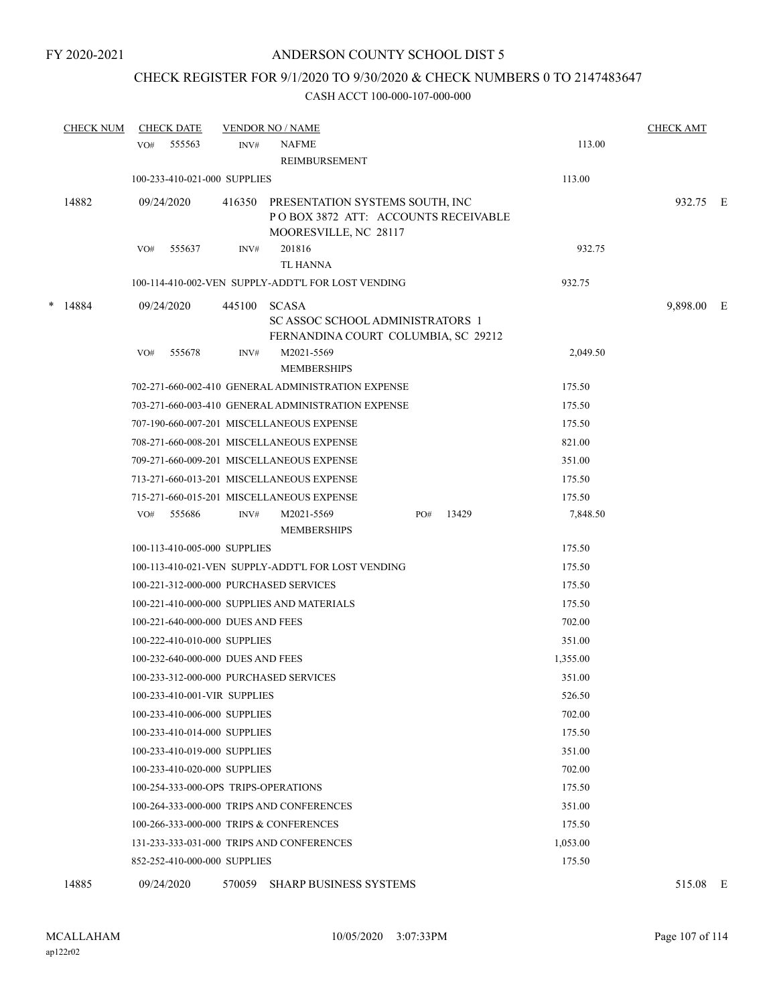# CHECK REGISTER FOR 9/1/2020 TO 9/30/2020 & CHECK NUMBERS 0 TO 2147483647

### CASH ACCT 100-000-107-000-000

|   | <b>CHECK NUM</b> | <b>CHECK DATE</b>                       |        | <b>VENDOR NO / NAME</b>                                                                       |              |          | <b>CHECK AMT</b> |  |
|---|------------------|-----------------------------------------|--------|-----------------------------------------------------------------------------------------------|--------------|----------|------------------|--|
|   |                  | 555563<br>VO#                           | INV#   | <b>NAFME</b><br><b>REIMBURSEMENT</b>                                                          |              | 113.00   |                  |  |
|   |                  | 100-233-410-021-000 SUPPLIES            |        |                                                                                               |              | 113.00   |                  |  |
|   |                  |                                         |        |                                                                                               |              |          |                  |  |
|   | 14882            | 09/24/2020                              | 416350 | PRESENTATION SYSTEMS SOUTH, INC<br>POBOX 3872 ATT: ACCOUNTS RECEIVABLE                        |              |          | 932.75 E         |  |
|   |                  |                                         |        | MOORESVILLE, NC 28117                                                                         |              |          |                  |  |
|   |                  | 555637<br>VO#                           | INV#   | 201816                                                                                        |              | 932.75   |                  |  |
|   |                  |                                         |        | TL HANNA                                                                                      |              |          |                  |  |
|   |                  |                                         |        | 100-114-410-002-VEN SUPPLY-ADDT'L FOR LOST VENDING                                            |              | 932.75   |                  |  |
| * | 14884            | 09/24/2020                              | 445100 | <b>SCASA</b><br><b>SCASSOC SCHOOL ADMINISTRATORS 1</b><br>FERNANDINA COURT COLUMBIA, SC 29212 |              |          | 9,898.00 E       |  |
|   |                  | 555678<br>VO#                           | INV#   | M2021-5569<br><b>MEMBERSHIPS</b>                                                              |              | 2,049.50 |                  |  |
|   |                  |                                         |        | 702-271-660-002-410 GENERAL ADMINISTRATION EXPENSE                                            |              | 175.50   |                  |  |
|   |                  |                                         |        | 703-271-660-003-410 GENERAL ADMINISTRATION EXPENSE                                            |              | 175.50   |                  |  |
|   |                  |                                         |        | 707-190-660-007-201 MISCELLANEOUS EXPENSE                                                     |              | 175.50   |                  |  |
|   |                  |                                         |        | 708-271-660-008-201 MISCELLANEOUS EXPENSE                                                     |              | 821.00   |                  |  |
|   |                  |                                         |        | 709-271-660-009-201 MISCELLANEOUS EXPENSE                                                     |              | 351.00   |                  |  |
|   |                  |                                         |        | 713-271-660-013-201 MISCELLANEOUS EXPENSE                                                     |              | 175.50   |                  |  |
|   |                  |                                         |        | 715-271-660-015-201 MISCELLANEOUS EXPENSE                                                     |              | 175.50   |                  |  |
|   |                  | 555686<br>VO#                           | INV#   | M2021-5569                                                                                    | 13429<br>PO# | 7,848.50 |                  |  |
|   |                  |                                         |        | <b>MEMBERSHIPS</b>                                                                            |              |          |                  |  |
|   |                  | 100-113-410-005-000 SUPPLIES            |        |                                                                                               |              | 175.50   |                  |  |
|   |                  |                                         |        | 100-113-410-021-VEN SUPPLY-ADDT'L FOR LOST VENDING                                            |              | 175.50   |                  |  |
|   |                  | 100-221-312-000-000 PURCHASED SERVICES  |        |                                                                                               |              | 175.50   |                  |  |
|   |                  |                                         |        | 100-221-410-000-000 SUPPLIES AND MATERIALS                                                    |              | 175.50   |                  |  |
|   |                  | 100-221-640-000-000 DUES AND FEES       |        |                                                                                               |              | 702.00   |                  |  |
|   |                  | 100-222-410-010-000 SUPPLIES            |        |                                                                                               |              | 351.00   |                  |  |
|   |                  | 100-232-640-000-000 DUES AND FEES       |        |                                                                                               |              | 1,355.00 |                  |  |
|   |                  | 100-233-312-000-000 PURCHASED SERVICES  |        |                                                                                               |              | 351.00   |                  |  |
|   |                  | 100-233-410-001-VIR SUPPLIES            |        |                                                                                               |              | 526.50   |                  |  |
|   |                  | 100-233-410-006-000 SUPPLIES            |        |                                                                                               |              | 702.00   |                  |  |
|   |                  | 100-233-410-014-000 SUPPLIES            |        |                                                                                               |              | 175.50   |                  |  |
|   |                  | 100-233-410-019-000 SUPPLIES            |        |                                                                                               |              | 351.00   |                  |  |
|   |                  | 100-233-410-020-000 SUPPLIES            |        |                                                                                               |              | 702.00   |                  |  |
|   |                  | 100-254-333-000-OPS TRIPS-OPERATIONS    |        |                                                                                               |              | 175.50   |                  |  |
|   |                  |                                         |        | 100-264-333-000-000 TRIPS AND CONFERENCES                                                     |              | 351.00   |                  |  |
|   |                  | 100-266-333-000-000 TRIPS & CONFERENCES |        |                                                                                               |              | 175.50   |                  |  |
|   |                  |                                         |        | 131-233-333-031-000 TRIPS AND CONFERENCES                                                     |              | 1,053.00 |                  |  |
|   |                  | 852-252-410-000-000 SUPPLIES            |        |                                                                                               |              | 175.50   |                  |  |
|   |                  |                                         |        |                                                                                               |              |          |                  |  |

14885 09/24/2020 570059 SHARP BUSINESS SYSTEMS 515.08 E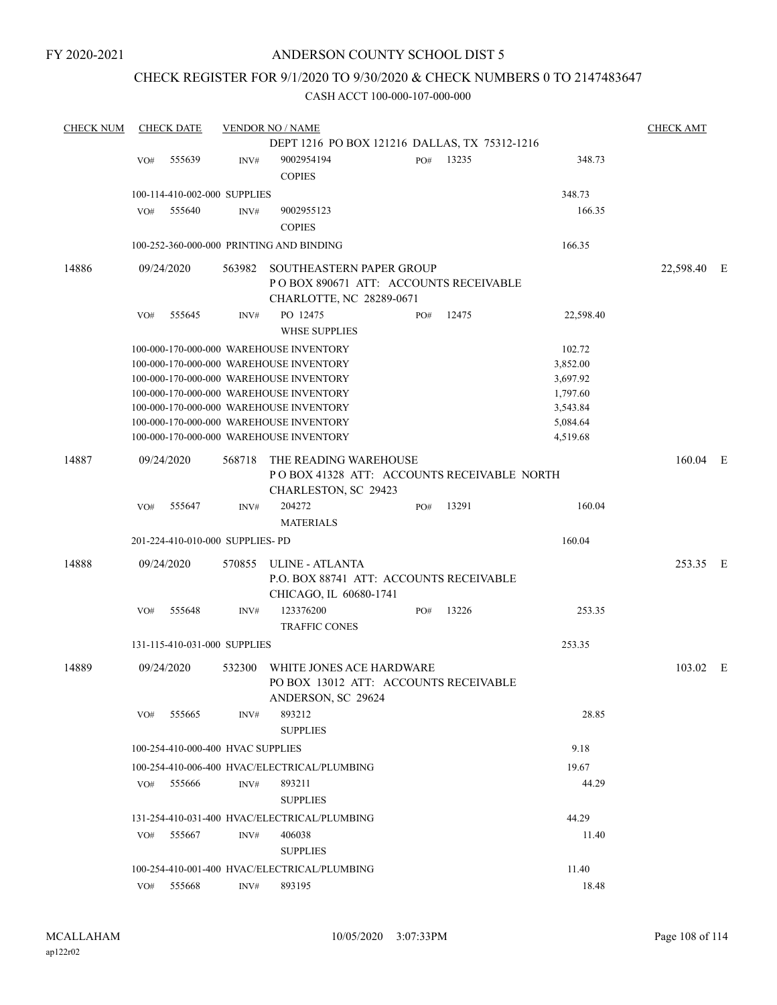# CHECK REGISTER FOR 9/1/2020 TO 9/30/2020 & CHECK NUMBERS 0 TO 2147483647

| <b>CHECK NUM</b> |     | <b>CHECK DATE</b>                 |        | <b>VENDOR NO / NAME</b>                                                                     |     |       |           | <b>CHECK AMT</b> |  |
|------------------|-----|-----------------------------------|--------|---------------------------------------------------------------------------------------------|-----|-------|-----------|------------------|--|
|                  |     |                                   |        | DEPT 1216 PO BOX 121216 DALLAS, TX 75312-1216                                               |     |       |           |                  |  |
|                  | VO# | 555639                            | INV#   | 9002954194<br><b>COPIES</b>                                                                 | PO# | 13235 | 348.73    |                  |  |
|                  |     | 100-114-410-002-000 SUPPLIES      |        |                                                                                             |     |       | 348.73    |                  |  |
|                  | VO# | 555640                            | INV#   | 9002955123                                                                                  |     |       | 166.35    |                  |  |
|                  |     |                                   |        | <b>COPIES</b>                                                                               |     |       |           |                  |  |
|                  |     |                                   |        |                                                                                             |     |       |           |                  |  |
|                  |     |                                   |        | 100-252-360-000-000 PRINTING AND BINDING                                                    |     |       | 166.35    |                  |  |
| 14886            |     | 09/24/2020                        | 563982 | SOUTHEASTERN PAPER GROUP<br>PO BOX 890671 ATT: ACCOUNTS RECEIVABLE                          |     |       |           | 22,598.40 E      |  |
|                  |     |                                   |        | CHARLOTTE, NC 28289-0671                                                                    |     |       |           |                  |  |
|                  | VO# | 555645                            | INV#   | PO 12475                                                                                    | PO# | 12475 | 22,598.40 |                  |  |
|                  |     |                                   |        | <b>WHSE SUPPLIES</b>                                                                        |     |       |           |                  |  |
|                  |     |                                   |        | 100-000-170-000-000 WAREHOUSE INVENTORY                                                     |     |       | 102.72    |                  |  |
|                  |     |                                   |        | 100-000-170-000-000 WAREHOUSE INVENTORY                                                     |     |       | 3,852.00  |                  |  |
|                  |     |                                   |        | 100-000-170-000-000 WAREHOUSE INVENTORY                                                     |     |       | 3,697.92  |                  |  |
|                  |     |                                   |        | 100-000-170-000-000 WAREHOUSE INVENTORY                                                     |     |       | 1,797.60  |                  |  |
|                  |     |                                   |        | 100-000-170-000-000 WAREHOUSE INVENTORY                                                     |     |       | 3,543.84  |                  |  |
|                  |     |                                   |        | 100-000-170-000-000 WAREHOUSE INVENTORY                                                     |     |       | 5,084.64  |                  |  |
|                  |     |                                   |        | 100-000-170-000-000 WAREHOUSE INVENTORY                                                     |     |       | 4,519.68  |                  |  |
| 14887            |     | 09/24/2020                        | 568718 | THE READING WAREHOUSE<br>POBOX 41328 ATT: ACCOUNTS RECEIVABLE NORTH<br>CHARLESTON, SC 29423 |     |       |           | $160.04$ E       |  |
|                  | VO# | 555647                            | INV#   | 204272<br><b>MATERIALS</b>                                                                  | PO# | 13291 | 160.04    |                  |  |
|                  |     | 201-224-410-010-000 SUPPLIES-PD   |        |                                                                                             |     |       | 160.04    |                  |  |
|                  |     |                                   |        |                                                                                             |     |       |           |                  |  |
| 14888            |     | 09/24/2020                        |        | 570855 ULINE - ATLANTA<br>P.O. BOX 88741 ATT: ACCOUNTS RECEIVABLE<br>CHICAGO, IL 60680-1741 |     |       |           | 253.35 E         |  |
|                  | VO# | 555648                            | INV#   | 123376200<br><b>TRAFFIC CONES</b>                                                           | PO# | 13226 | 253.35    |                  |  |
|                  |     | 131-115-410-031-000 SUPPLIES      |        |                                                                                             |     |       | 253.35    |                  |  |
|                  |     |                                   |        |                                                                                             |     |       |           |                  |  |
| 14889            |     | 09/24/2020                        | 532300 | WHITE JONES ACE HARDWARE<br>PO BOX 13012 ATT: ACCOUNTS RECEIVABLE<br>ANDERSON, SC 29624     |     |       |           | 103.02 E         |  |
|                  | VO# | 555665                            | INV#   | 893212<br><b>SUPPLIES</b>                                                                   |     |       | 28.85     |                  |  |
|                  |     | 100-254-410-000-400 HVAC SUPPLIES |        |                                                                                             |     |       | 9.18      |                  |  |
|                  |     |                                   |        | 100-254-410-006-400 HVAC/ELECTRICAL/PLUMBING                                                |     |       | 19.67     |                  |  |
|                  | VO# | 555666                            | INV#   | 893211                                                                                      |     |       | 44.29     |                  |  |
|                  |     |                                   |        | <b>SUPPLIES</b>                                                                             |     |       |           |                  |  |
|                  |     |                                   |        |                                                                                             |     |       |           |                  |  |
|                  |     |                                   |        | 131-254-410-031-400 HVAC/ELECTRICAL/PLUMBING                                                |     |       | 44.29     |                  |  |
|                  | VO# | 555667                            | INV#   | 406038<br><b>SUPPLIES</b>                                                                   |     |       | 11.40     |                  |  |
|                  |     |                                   |        | 100-254-410-001-400 HVAC/ELECTRICAL/PLUMBING                                                |     |       | 11.40     |                  |  |
|                  |     | VO# 555668                        | INV#   | 893195                                                                                      |     |       | 18.48     |                  |  |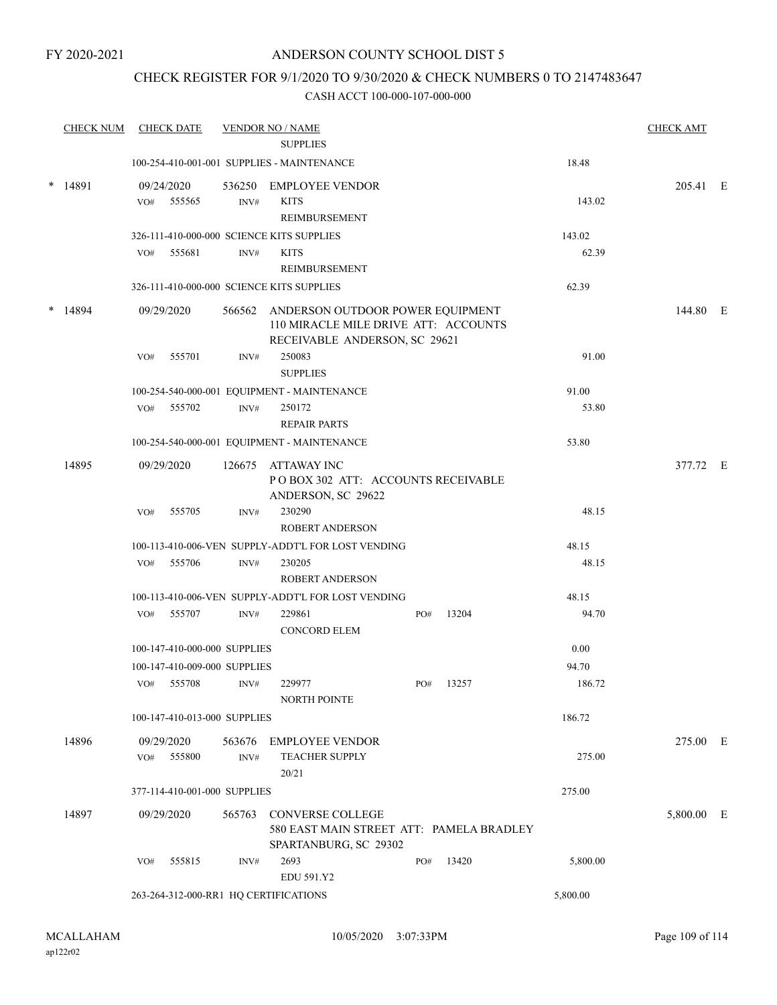### CHECK REGISTER FOR 9/1/2020 TO 9/30/2020 & CHECK NUMBERS 0 TO 2147483647

|   | <b>CHECK NUM</b> |     | <b>CHECK DATE</b>            |                | <b>VENDOR NO / NAME</b>                                                                                          |     |       |          | <b>CHECK AMT</b> |  |
|---|------------------|-----|------------------------------|----------------|------------------------------------------------------------------------------------------------------------------|-----|-------|----------|------------------|--|
|   |                  |     |                              |                | <b>SUPPLIES</b><br>100-254-410-001-001 SUPPLIES - MAINTENANCE                                                    |     |       | 18.48    |                  |  |
|   |                  |     |                              |                |                                                                                                                  |     |       |          |                  |  |
| * | 14891            |     | 09/24/2020<br>VO# 555565     | 536250<br>INV# | EMPLOYEE VENDOR<br><b>KITS</b><br><b>REIMBURSEMENT</b>                                                           |     |       | 143.02   | 205.41 E         |  |
|   |                  |     |                              |                | 326-111-410-000-000 SCIENCE KITS SUPPLIES                                                                        |     |       | 143.02   |                  |  |
|   |                  |     | VO# 555681                   | INV#           | <b>KITS</b><br>REIMBURSEMENT                                                                                     |     |       | 62.39    |                  |  |
|   |                  |     |                              |                | 326-111-410-000-000 SCIENCE KITS SUPPLIES                                                                        |     |       | 62.39    |                  |  |
|   | 14894            |     | 09/29/2020                   |                | 566562 ANDERSON OUTDOOR POWER EQUIPMENT<br>110 MIRACLE MILE DRIVE ATT: ACCOUNTS<br>RECEIVABLE ANDERSON, SC 29621 |     |       |          | 144.80 E         |  |
|   |                  | VO# | 555701                       | INV#           | 250083<br><b>SUPPLIES</b>                                                                                        |     |       | 91.00    |                  |  |
|   |                  |     |                              |                | 100-254-540-000-001 EQUIPMENT - MAINTENANCE                                                                      |     |       | 91.00    |                  |  |
|   |                  | VO# | 555702                       | INV#           | 250172<br><b>REPAIR PARTS</b>                                                                                    |     |       | 53.80    |                  |  |
|   |                  |     |                              |                | 100-254-540-000-001 EQUIPMENT - MAINTENANCE                                                                      |     |       | 53.80    |                  |  |
|   | 14895            |     | 09/29/2020                   | 126675         | ATTAWAY INC<br>PO BOX 302 ATT: ACCOUNTS RECEIVABLE<br>ANDERSON, SC 29622                                         |     |       |          | 377.72 E         |  |
|   |                  | VO# | 555705                       | INV#           | 230290<br>ROBERT ANDERSON                                                                                        |     |       | 48.15    |                  |  |
|   |                  |     |                              |                | 100-113-410-006-VEN SUPPLY-ADDT'L FOR LOST VENDING                                                               |     |       | 48.15    |                  |  |
|   |                  |     | VO# 555706                   | INV#           | 230205<br><b>ROBERT ANDERSON</b>                                                                                 |     |       | 48.15    |                  |  |
|   |                  |     |                              |                | 100-113-410-006-VEN SUPPLY-ADDT'L FOR LOST VENDING                                                               |     |       | 48.15    |                  |  |
|   |                  |     | VO# 555707                   | INV#           | 229861<br><b>CONCORD ELEM</b>                                                                                    | PO# | 13204 | 94.70    |                  |  |
|   |                  |     | 100-147-410-000-000 SUPPLIES |                |                                                                                                                  |     |       | 0.00     |                  |  |
|   |                  |     | 100-147-410-009-000 SUPPLIES |                |                                                                                                                  |     |       | 94.70    |                  |  |
|   |                  |     | VO# 555708                   | INV#           | 229977<br>NORTH POINTE                                                                                           | PO# | 13257 | 186.72   |                  |  |
|   |                  |     | 100-147-410-013-000 SUPPLIES |                |                                                                                                                  |     |       | 186.72   |                  |  |
|   | 14896            |     | 09/29/2020<br>VO# 555800     | 563676<br>INV# | <b>EMPLOYEE VENDOR</b><br><b>TEACHER SUPPLY</b>                                                                  |     |       | 275.00   | 275.00 E         |  |
|   |                  |     |                              |                | 20/21                                                                                                            |     |       |          |                  |  |
|   |                  |     | 377-114-410-001-000 SUPPLIES |                |                                                                                                                  |     |       | 275.00   |                  |  |
|   | 14897            |     | 09/29/2020                   | 565763         | <b>CONVERSE COLLEGE</b><br>580 EAST MAIN STREET ATT: PAMELA BRADLEY<br>SPARTANBURG, SC 29302                     |     |       |          | 5,800.00 E       |  |
|   |                  | VO# | 555815                       | INV#           | 2693<br>EDU 591.Y2                                                                                               | PO# | 13420 | 5,800.00 |                  |  |
|   |                  |     |                              |                | 263-264-312-000-RR1 HQ CERTIFICATIONS                                                                            |     |       | 5,800.00 |                  |  |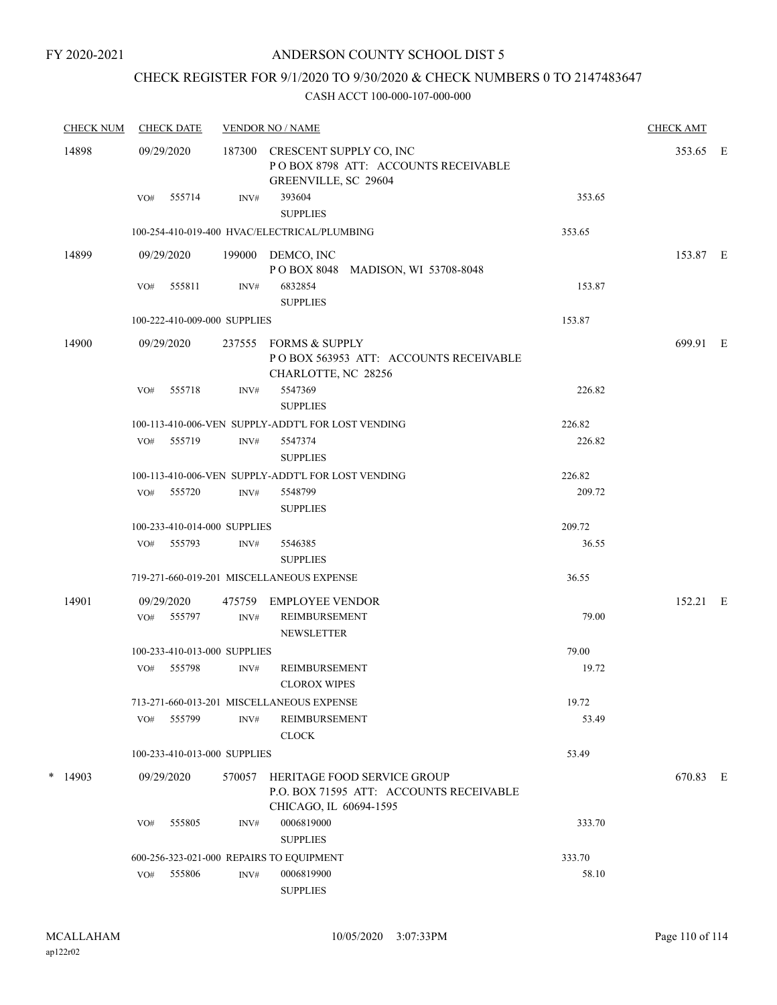# CHECK REGISTER FOR 9/1/2020 TO 9/30/2020 & CHECK NUMBERS 0 TO 2147483647

| <b>CHECK NUM</b> | <b>CHECK DATE</b>            | <b>VENDOR NO / NAME</b> |                                                                                                  |        |          |  |
|------------------|------------------------------|-------------------------|--------------------------------------------------------------------------------------------------|--------|----------|--|
| 14898            | 09/29/2020                   |                         | 187300 CRESCENT SUPPLY CO, INC<br>POBOX 8798 ATT: ACCOUNTS RECEIVABLE<br>GREENVILLE, SC 29604    |        | 353.65 E |  |
|                  | 555714<br>VO#                | INV#                    | 393604<br><b>SUPPLIES</b>                                                                        | 353.65 |          |  |
|                  |                              |                         | 100-254-410-019-400 HVAC/ELECTRICAL/PLUMBING                                                     | 353.65 |          |  |
| 14899            | 09/29/2020                   |                         | 199000 DEMCO, INC<br>POBOX 8048 MADISON, WI 53708-8048                                           |        | 153.87 E |  |
|                  | 555811<br>VO#                | INV#                    | 6832854<br><b>SUPPLIES</b>                                                                       | 153.87 |          |  |
|                  | 100-222-410-009-000 SUPPLIES |                         |                                                                                                  | 153.87 |          |  |
| 14900            | 09/29/2020                   |                         | 237555 FORMS & SUPPLY<br>POBOX 563953 ATT: ACCOUNTS RECEIVABLE<br>CHARLOTTE, NC 28256            |        | 699.91 E |  |
|                  | VO#<br>555718                | INV#                    | 5547369<br><b>SUPPLIES</b>                                                                       | 226.82 |          |  |
|                  |                              |                         | 100-113-410-006-VEN SUPPLY-ADDT'L FOR LOST VENDING                                               | 226.82 |          |  |
|                  | 555719<br>VO#                | INV#                    | 5547374<br><b>SUPPLIES</b>                                                                       | 226.82 |          |  |
|                  |                              |                         | 100-113-410-006-VEN SUPPLY-ADDT'L FOR LOST VENDING                                               | 226.82 |          |  |
|                  | VO# 555720                   | $\text{INV}\#$          | 5548799<br><b>SUPPLIES</b>                                                                       | 209.72 |          |  |
|                  | 100-233-410-014-000 SUPPLIES |                         |                                                                                                  | 209.72 |          |  |
|                  | VO# 555793                   | INV#                    | 5546385<br><b>SUPPLIES</b>                                                                       | 36.55  |          |  |
|                  |                              |                         | 719-271-660-019-201 MISCELLANEOUS EXPENSE                                                        | 36.55  |          |  |
| 14901            | 09/29/2020                   |                         | 475759 EMPLOYEE VENDOR                                                                           |        | 152.21 E |  |
|                  | VO# 555797                   | INV#                    | <b>REIMBURSEMENT</b><br><b>NEWSLETTER</b>                                                        | 79.00  |          |  |
|                  | 100-233-410-013-000 SUPPLIES |                         |                                                                                                  | 79.00  |          |  |
|                  | 555798<br>VO#                | INV#                    | REIMBURSEMENT<br><b>CLOROX WIPES</b>                                                             | 19.72  |          |  |
|                  |                              |                         | 713-271-660-013-201 MISCELLANEOUS EXPENSE                                                        | 19.72  |          |  |
|                  | 555799<br>VO#                | INV#                    | REIMBURSEMENT<br><b>CLOCK</b>                                                                    | 53.49  |          |  |
|                  | 100-233-410-013-000 SUPPLIES |                         |                                                                                                  | 53.49  |          |  |
| $*$ 14903        | 09/29/2020                   | 570057                  | HERITAGE FOOD SERVICE GROUP<br>P.O. BOX 71595 ATT: ACCOUNTS RECEIVABLE<br>CHICAGO, IL 60694-1595 |        | 670.83 E |  |
|                  | 555805<br>VO#                | INV#                    | 0006819000<br><b>SUPPLIES</b>                                                                    | 333.70 |          |  |
|                  |                              |                         | 600-256-323-021-000 REPAIRS TO EQUIPMENT                                                         | 333.70 |          |  |
|                  | 555806<br>VO#                | INV#                    | 0006819900<br><b>SUPPLIES</b>                                                                    | 58.10  |          |  |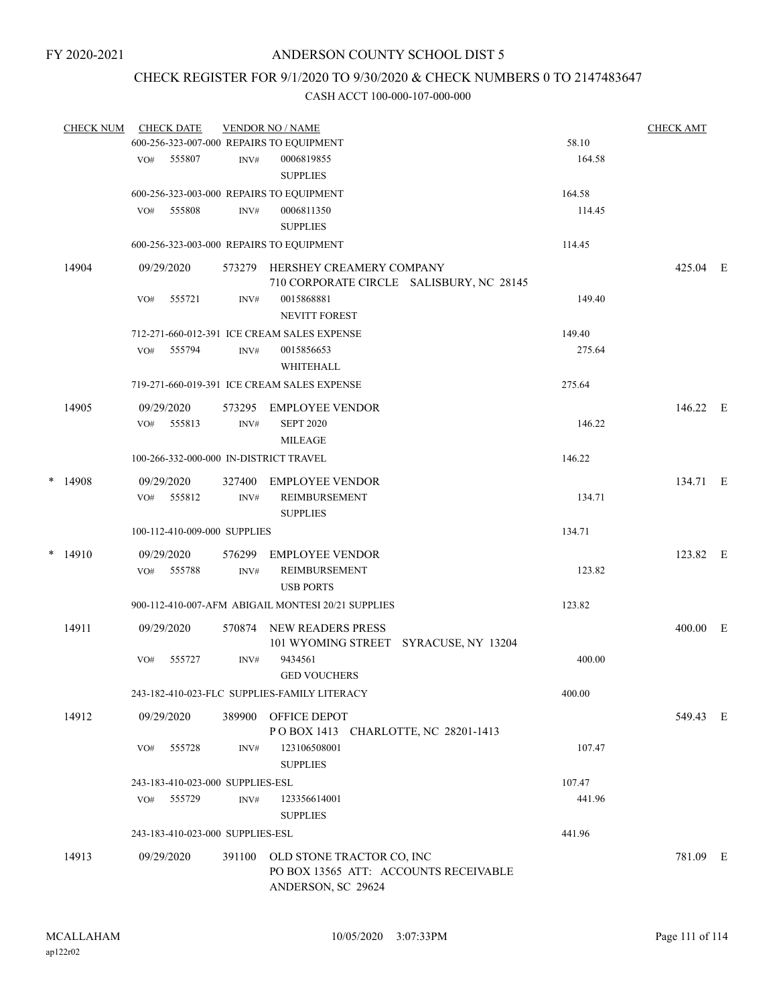### CHECK REGISTER FOR 9/1/2020 TO 9/30/2020 & CHECK NUMBERS 0 TO 2147483647

| <b>CHECK NUM</b> |     | <b>CHECK DATE</b>                |        | <b>VENDOR NO / NAME</b><br>600-256-323-007-000 REPAIRS TO EQUIPMENT         | 58.10  | <b>CHECK AMT</b> |  |
|------------------|-----|----------------------------------|--------|-----------------------------------------------------------------------------|--------|------------------|--|
|                  | VO# | 555807                           | INV#   | 0006819855                                                                  | 164.58 |                  |  |
|                  |     |                                  |        | <b>SUPPLIES</b>                                                             |        |                  |  |
|                  |     |                                  |        | 600-256-323-003-000 REPAIRS TO EQUIPMENT                                    | 164.58 |                  |  |
|                  | VO# | 555808                           | INV#   | 0006811350                                                                  | 114.45 |                  |  |
|                  |     |                                  |        | <b>SUPPLIES</b>                                                             |        |                  |  |
|                  |     |                                  |        | 600-256-323-003-000 REPAIRS TO EQUIPMENT                                    | 114.45 |                  |  |
| 14904            |     | 09/29/2020                       |        | 573279 HERSHEY CREAMERY COMPANY<br>710 CORPORATE CIRCLE SALISBURY, NC 28145 |        | 425.04 E         |  |
|                  | VO# | 555721                           | INV#   | 0015868881                                                                  | 149.40 |                  |  |
|                  |     |                                  |        | <b>NEVITT FOREST</b>                                                        |        |                  |  |
|                  |     |                                  |        | 712-271-660-012-391 ICE CREAM SALES EXPENSE                                 | 149.40 |                  |  |
|                  | VO# | 555794                           | INV#   | 0015856653                                                                  | 275.64 |                  |  |
|                  |     |                                  |        | WHITEHALL                                                                   |        |                  |  |
|                  |     |                                  |        | 719-271-660-019-391 ICE CREAM SALES EXPENSE                                 | 275.64 |                  |  |
|                  |     |                                  |        |                                                                             |        |                  |  |
| 14905            |     | 09/29/2020                       | 573295 | <b>EMPLOYEE VENDOR</b>                                                      |        | 146.22 E         |  |
|                  | VO# | 555813                           | INV#   | <b>SEPT 2020</b>                                                            | 146.22 |                  |  |
|                  |     |                                  |        | MILEAGE                                                                     |        |                  |  |
|                  |     |                                  |        | 100-266-332-000-000 IN-DISTRICT TRAVEL                                      | 146.22 |                  |  |
| $*$ 14908        |     | 09/29/2020                       | 327400 | EMPLOYEE VENDOR                                                             |        | 134.71 E         |  |
|                  |     | VO# 555812                       | INV#   | REIMBURSEMENT                                                               | 134.71 |                  |  |
|                  |     |                                  |        | <b>SUPPLIES</b>                                                             |        |                  |  |
|                  |     | 100-112-410-009-000 SUPPLIES     |        |                                                                             | 134.71 |                  |  |
| $*$ 14910        |     | 09/29/2020                       | 576299 | <b>EMPLOYEE VENDOR</b>                                                      |        | 123.82 E         |  |
|                  | VO# | 555788                           | INV#   | REIMBURSEMENT                                                               | 123.82 |                  |  |
|                  |     |                                  |        | <b>USB PORTS</b>                                                            |        |                  |  |
|                  |     |                                  |        | 900-112-410-007-AFM ABIGAIL MONTESI 20/21 SUPPLIES                          | 123.82 |                  |  |
| 14911            |     | 09/29/2020                       | 570874 | NEW READERS PRESS                                                           |        | $400.00$ E       |  |
|                  |     |                                  |        | 101 WYOMING STREET SYRACUSE, NY 13204                                       |        |                  |  |
|                  | VO# | 555727                           | INV#   | 9434561                                                                     | 400.00 |                  |  |
|                  |     |                                  |        | <b>GED VOUCHERS</b>                                                         |        |                  |  |
|                  |     |                                  |        | 243-182-410-023-FLC SUPPLIES-FAMILY LITERACY                                | 400.00 |                  |  |
| 14912            |     | 09/29/2020                       |        | 389900 OFFICE DEPOT                                                         |        | 549.43 E         |  |
|                  |     |                                  |        | POBOX 1413 CHARLOTTE, NC 28201-1413                                         |        |                  |  |
|                  | VO# | 555728                           | INV#   | 123106508001                                                                | 107.47 |                  |  |
|                  |     |                                  |        | <b>SUPPLIES</b>                                                             |        |                  |  |
|                  |     | 243-183-410-023-000 SUPPLIES-ESL |        |                                                                             | 107.47 |                  |  |
|                  | VO# | 555729                           | INV#   | 123356614001                                                                | 441.96 |                  |  |
|                  |     |                                  |        | <b>SUPPLIES</b>                                                             |        |                  |  |
|                  |     | 243-183-410-023-000 SUPPLIES-ESL |        |                                                                             | 441.96 |                  |  |
| 14913            |     | 09/29/2020                       | 391100 | OLD STONE TRACTOR CO, INC                                                   |        | 781.09 E         |  |
|                  |     |                                  |        | PO BOX 13565 ATT: ACCOUNTS RECEIVABLE<br>ANDERSON, SC 29624                 |        |                  |  |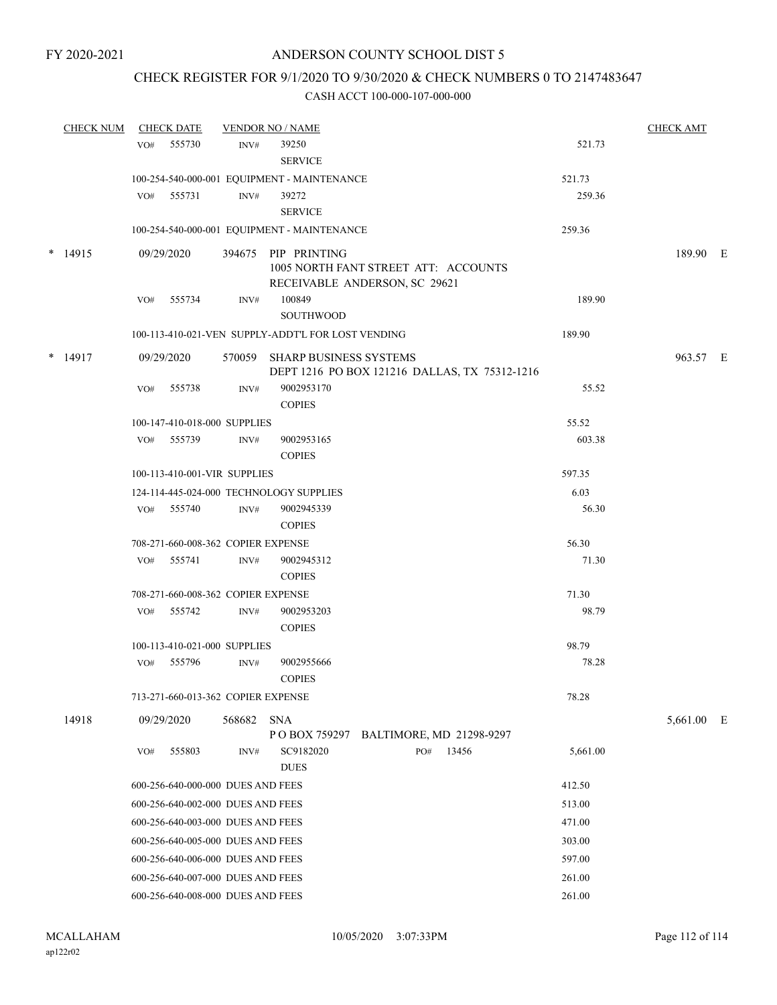### CHECK REGISTER FOR 9/1/2020 TO 9/30/2020 & CHECK NUMBERS 0 TO 2147483647

| <b>CHECK NUM</b> | <b>CHECK DATE</b> |                                    |        | <b>VENDOR NO / NAME</b>                                                                      |     |       |          | <b>CHECK AMT</b> |  |
|------------------|-------------------|------------------------------------|--------|----------------------------------------------------------------------------------------------|-----|-------|----------|------------------|--|
|                  | VO#               | 555730                             | INV#   | 39250<br><b>SERVICE</b>                                                                      |     |       | 521.73   |                  |  |
|                  |                   |                                    |        | 100-254-540-000-001 EQUIPMENT - MAINTENANCE                                                  |     |       | 521.73   |                  |  |
|                  | VO#               | 555731                             | INV#   | 39272                                                                                        |     |       | 259.36   |                  |  |
|                  |                   |                                    |        | <b>SERVICE</b>                                                                               |     |       |          |                  |  |
|                  |                   |                                    |        | 100-254-540-000-001 EQUIPMENT - MAINTENANCE                                                  |     |       | 259.36   |                  |  |
| $*$ 14915        |                   | 09/29/2020                         |        | 394675 PIP PRINTING<br>1005 NORTH FANT STREET ATT: ACCOUNTS<br>RECEIVABLE ANDERSON, SC 29621 |     |       |          | 189.90 E         |  |
|                  | VO#               | 555734                             | INV#   | 100849                                                                                       |     |       | 189.90   |                  |  |
|                  |                   |                                    |        | SOUTHWOOD                                                                                    |     |       |          |                  |  |
|                  |                   |                                    |        | 100-113-410-021-VEN SUPPLY-ADDT'L FOR LOST VENDING                                           |     |       | 189.90   |                  |  |
| $*$ 14917        |                   | 09/29/2020                         |        | 570059 SHARP BUSINESS SYSTEMS<br>DEPT 1216 PO BOX 121216 DALLAS, TX 75312-1216               |     |       |          | 963.57 E         |  |
|                  | VO#               | 555738                             | INV#   | 9002953170<br><b>COPIES</b>                                                                  |     |       | 55.52    |                  |  |
|                  |                   | 100-147-410-018-000 SUPPLIES       |        |                                                                                              |     |       | 55.52    |                  |  |
|                  |                   | VO# 555739                         | INV#   | 9002953165<br><b>COPIES</b>                                                                  |     |       | 603.38   |                  |  |
|                  |                   | 100-113-410-001-VIR SUPPLIES       |        |                                                                                              |     |       | 597.35   |                  |  |
|                  |                   |                                    |        | 124-114-445-024-000 TECHNOLOGY SUPPLIES                                                      |     |       | 6.03     |                  |  |
|                  |                   | VO# 555740                         | INV#   | 9002945339<br><b>COPIES</b>                                                                  |     |       | 56.30    |                  |  |
|                  |                   | 708-271-660-008-362 COPIER EXPENSE |        |                                                                                              |     |       | 56.30    |                  |  |
|                  | VO#               | 555741                             | INV#   | 9002945312<br><b>COPIES</b>                                                                  |     |       | 71.30    |                  |  |
|                  |                   | 708-271-660-008-362 COPIER EXPENSE |        |                                                                                              |     |       | 71.30    |                  |  |
|                  | VO#               | 555742                             | INV#   | 9002953203<br><b>COPIES</b>                                                                  |     |       | 98.79    |                  |  |
|                  |                   | 100-113-410-021-000 SUPPLIES       |        |                                                                                              |     |       | 98.79    |                  |  |
|                  | VO#               | 555796                             | INV#   | 9002955666<br><b>COPIES</b>                                                                  |     |       | 78.28    |                  |  |
|                  |                   | 713-271-660-013-362 COPIER EXPENSE |        |                                                                                              |     |       | 78.28    |                  |  |
| 14918            |                   | 09/29/2020                         | 568682 | SNA                                                                                          |     |       |          | 5,661.00 E       |  |
|                  | VO#               | 555803                             | INV#   | P O BOX 759297 BALTIMORE, MD 21298-9297<br>SC9182020                                         | PO# | 13456 | 5,661.00 |                  |  |
|                  |                   |                                    |        | <b>DUES</b>                                                                                  |     |       |          |                  |  |
|                  |                   | 600-256-640-000-000 DUES AND FEES  |        |                                                                                              |     |       | 412.50   |                  |  |
|                  |                   | 600-256-640-002-000 DUES AND FEES  |        |                                                                                              |     |       | 513.00   |                  |  |
|                  |                   | 600-256-640-003-000 DUES AND FEES  |        |                                                                                              |     |       | 471.00   |                  |  |
|                  |                   | 600-256-640-005-000 DUES AND FEES  |        |                                                                                              |     |       | 303.00   |                  |  |
|                  |                   | 600-256-640-006-000 DUES AND FEES  |        |                                                                                              |     |       | 597.00   |                  |  |
|                  |                   | 600-256-640-007-000 DUES AND FEES  |        |                                                                                              |     |       | 261.00   |                  |  |
|                  |                   | 600-256-640-008-000 DUES AND FEES  |        |                                                                                              |     |       | 261.00   |                  |  |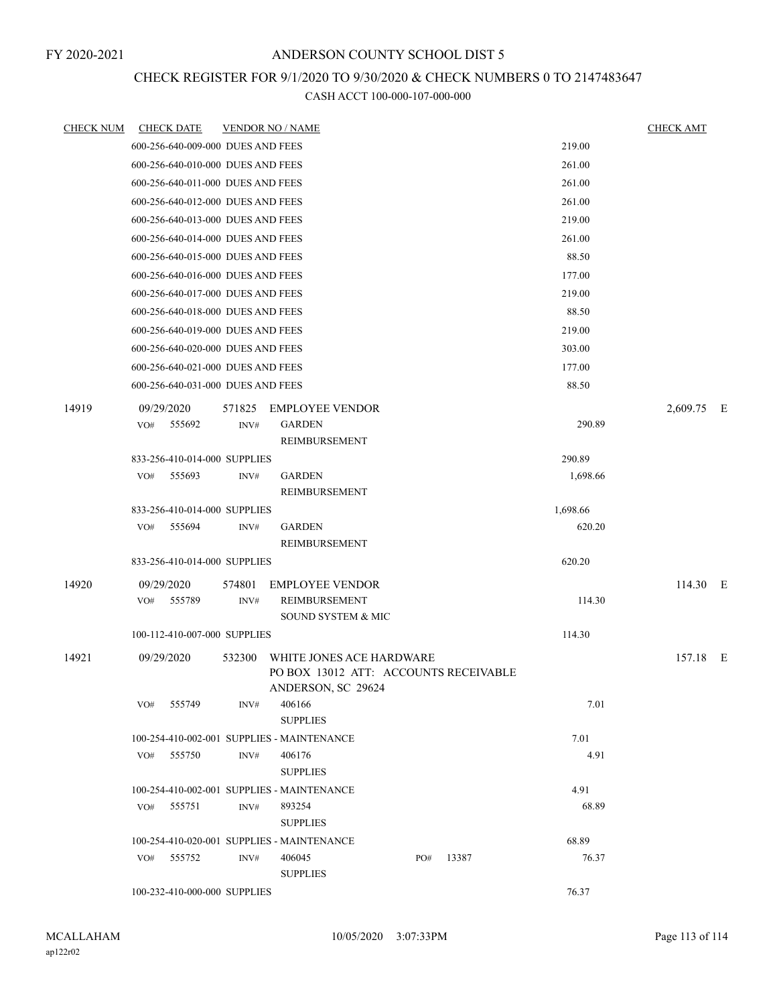# CHECK REGISTER FOR 9/1/2020 TO 9/30/2020 & CHECK NUMBERS 0 TO 2147483647

| CHECK NUM | <b>CHECK DATE</b>                          |        | <b>VENDOR NO / NAME</b>                                                                 |     |       |          | <b>CHECK AMT</b> |  |
|-----------|--------------------------------------------|--------|-----------------------------------------------------------------------------------------|-----|-------|----------|------------------|--|
|           | 600-256-640-009-000 DUES AND FEES          |        |                                                                                         |     |       | 219.00   |                  |  |
|           | 600-256-640-010-000 DUES AND FEES          |        |                                                                                         |     |       | 261.00   |                  |  |
|           | 600-256-640-011-000 DUES AND FEES          |        |                                                                                         |     |       | 261.00   |                  |  |
|           | 600-256-640-012-000 DUES AND FEES          |        |                                                                                         |     |       | 261.00   |                  |  |
|           | 600-256-640-013-000 DUES AND FEES          |        |                                                                                         |     |       | 219.00   |                  |  |
|           | 600-256-640-014-000 DUES AND FEES          |        |                                                                                         |     |       | 261.00   |                  |  |
|           | 600-256-640-015-000 DUES AND FEES          |        |                                                                                         |     |       | 88.50    |                  |  |
|           | 600-256-640-016-000 DUES AND FEES          |        |                                                                                         |     |       | 177.00   |                  |  |
|           | 600-256-640-017-000 DUES AND FEES          |        |                                                                                         |     |       | 219.00   |                  |  |
|           | 600-256-640-018-000 DUES AND FEES          |        |                                                                                         |     |       | 88.50    |                  |  |
|           | 600-256-640-019-000 DUES AND FEES          |        |                                                                                         |     |       | 219.00   |                  |  |
|           | 600-256-640-020-000 DUES AND FEES          |        |                                                                                         |     |       | 303.00   |                  |  |
|           | 600-256-640-021-000 DUES AND FEES          |        |                                                                                         |     |       | 177.00   |                  |  |
|           | 600-256-640-031-000 DUES AND FEES          |        |                                                                                         |     |       | 88.50    |                  |  |
| 14919     | 09/29/2020                                 |        | 571825 EMPLOYEE VENDOR                                                                  |     |       |          | 2,609.75 E       |  |
|           | 555692<br>VO#                              | INV#   | <b>GARDEN</b>                                                                           |     |       | 290.89   |                  |  |
|           |                                            |        | REIMBURSEMENT                                                                           |     |       |          |                  |  |
|           | 833-256-410-014-000 SUPPLIES               |        |                                                                                         |     |       | 290.89   |                  |  |
|           | 555693<br>VO#                              | INV#   | <b>GARDEN</b>                                                                           |     |       | 1,698.66 |                  |  |
|           |                                            |        | REIMBURSEMENT                                                                           |     |       |          |                  |  |
|           | 833-256-410-014-000 SUPPLIES               |        |                                                                                         |     |       | 1,698.66 |                  |  |
|           | 555694<br>VO#                              | INV#   | <b>GARDEN</b>                                                                           |     |       | 620.20   |                  |  |
|           |                                            |        | REIMBURSEMENT                                                                           |     |       |          |                  |  |
|           | 833-256-410-014-000 SUPPLIES               |        |                                                                                         |     |       | 620.20   |                  |  |
| 14920     | 09/29/2020                                 | 574801 | <b>EMPLOYEE VENDOR</b>                                                                  |     |       |          | 114.30 E         |  |
|           | VO# 555789                                 | INV#   | REIMBURSEMENT                                                                           |     |       | 114.30   |                  |  |
|           |                                            |        | <b>SOUND SYSTEM &amp; MIC</b>                                                           |     |       |          |                  |  |
|           | 100-112-410-007-000 SUPPLIES               |        |                                                                                         |     |       | 114.30   |                  |  |
| 14921     | 09/29/2020                                 | 532300 | WHITE JONES ACE HARDWARE<br>PO BOX 13012 ATT: ACCOUNTS RECEIVABLE<br>ANDERSON, SC 29624 |     |       |          | 157.18 E         |  |
|           | 555749<br>VO#                              | INV#   | 406166<br><b>SUPPLIES</b>                                                               |     |       | 7.01     |                  |  |
|           | 100-254-410-002-001 SUPPLIES - MAINTENANCE |        |                                                                                         |     |       | 7.01     |                  |  |
|           | VO# 555750                                 | INV#   | 406176<br><b>SUPPLIES</b>                                                               |     |       | 4.91     |                  |  |
|           | 100-254-410-002-001 SUPPLIES - MAINTENANCE |        |                                                                                         |     |       | 4.91     |                  |  |
|           | 555751<br>VO#                              | INV#   | 893254<br><b>SUPPLIES</b>                                                               |     |       | 68.89    |                  |  |
|           | 100-254-410-020-001 SUPPLIES - MAINTENANCE |        |                                                                                         |     |       | 68.89    |                  |  |
|           | VO# 555752                                 | INV#   | 406045<br><b>SUPPLIES</b>                                                               | PO# | 13387 | 76.37    |                  |  |
|           | 100-232-410-000-000 SUPPLIES               |        |                                                                                         |     |       | 76.37    |                  |  |